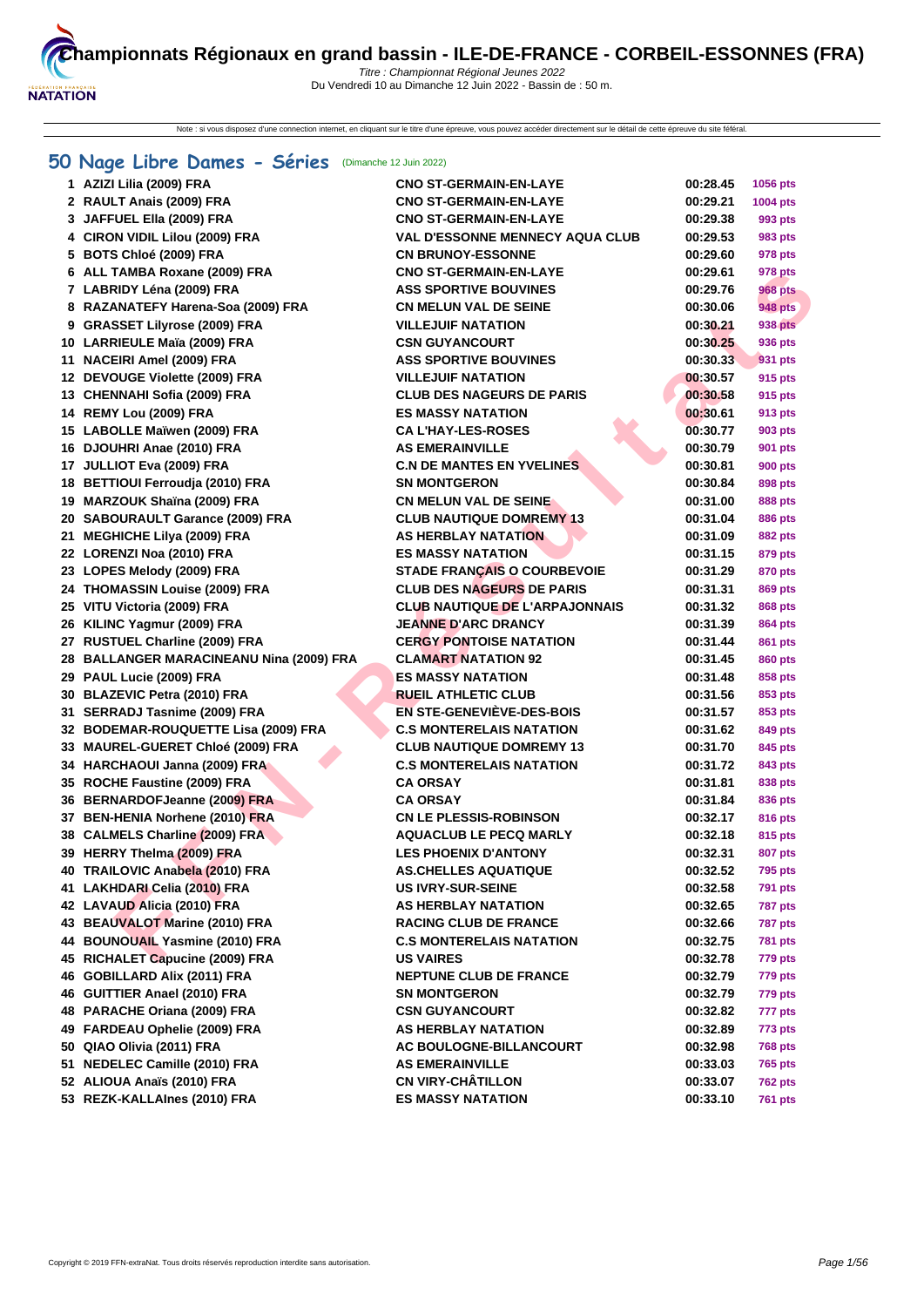Note : si vous disposez d'une connection internet, en cliquant sur le titre d'une épreuve, vous pouvez accéder directement sur le détail de cette épreuve du site féféral.

# **[50 Na](http://www.ffnatation.fr/webffn/index.php)ge Libre Dames - Séries** (Dimanche 12 Juin 2022)

| 1 AZIZI Lilia (2009) FRA                 | <b>CNO ST-GERMAIN-EN-LAYE</b>          | 00:28.45 | 1056 pts        |
|------------------------------------------|----------------------------------------|----------|-----------------|
| 2 RAULT Anais (2009) FRA                 | <b>CNO ST-GERMAIN-EN-LAYE</b>          | 00:29.21 | <b>1004 pts</b> |
| 3 JAFFUEL Ella (2009) FRA                | <b>CNO ST-GERMAIN-EN-LAYE</b>          | 00:29.38 | 993 pts         |
| 4 CIRON VIDIL Lilou (2009) FRA           | <b>VAL D'ESSONNE MENNECY AQUA CLUB</b> | 00:29.53 | 983 pts         |
| 5 BOTS Chloé (2009) FRA                  | <b>CN BRUNOY-ESSONNE</b>               | 00:29.60 | 978 pts         |
| 6 ALL TAMBA Roxane (2009) FRA            | <b>CNO ST-GERMAIN-EN-LAYE</b>          | 00:29.61 | 978 pts         |
| 7 LABRIDY Léna (2009) FRA                | <b>ASS SPORTIVE BOUVINES</b>           | 00:29.76 | 968 pts         |
| 8 RAZANATEFY Harena-Soa (2009) FRA       | <b>CN MELUN VAL DE SEINE</b>           | 00:30.06 | <b>948 pts</b>  |
| 9 GRASSET Lilyrose (2009) FRA            | <b>VILLEJUIF NATATION</b>              | 00:30.21 | 938 pts         |
| 10 LARRIEULE Maïa (2009) FRA             | <b>CSN GUYANCOURT</b>                  | 00:30.25 | 936 pts         |
| 11 NACEIRI Amel (2009) FRA               | <b>ASS SPORTIVE BOUVINES</b>           | 00:30.33 | 931 pts         |
| 12 DEVOUGE Violette (2009) FRA           | <b>VILLEJUIF NATATION</b>              | 00:30.57 | 915 pts         |
| 13 CHENNAHI Sofia (2009) FRA             | <b>CLUB DES NAGEURS DE PARIS</b>       | 00:30.58 | 915 pts         |
| 14 REMY Lou (2009) FRA                   | <b>ES MASSY NATATION</b>               | 00:30.61 | <b>913 pts</b>  |
| 15 LABOLLE Maïwen (2009) FRA             | <b>CA L'HAY-LES-ROSES</b>              | 00:30.77 | 903 pts         |
| 16 DJOUHRI Anae (2010) FRA               | <b>AS EMERAINVILLE</b>                 | 00:30.79 | 901 pts         |
| 17 JULLIOT Eva (2009) FRA                | <b>C.N DE MANTES EN YVELINES</b>       | 00:30.81 | <b>900 pts</b>  |
| 18 BETTIOUI Ferroudia (2010) FRA         | <b>SN MONTGERON</b>                    | 00:30.84 | 898 pts         |
| 19 MARZOUK Shaïna (2009) FRA             | <b>CN MELUN VAL DE SEINE</b>           | 00:31.00 | 888 pts         |
| 20 SABOURAULT Garance (2009) FRA         | <b>CLUB NAUTIQUE DOMREMY 13</b>        | 00:31.04 | <b>886 pts</b>  |
| 21 MEGHICHE Lilya (2009) FRA             | <b>AS HERBLAY NATATION</b>             | 00:31.09 | 882 pts         |
| 22 LORENZI Noa (2010) FRA                | <b>ES MASSY NATATION</b>               | 00:31.15 | 879 pts         |
| 23 LOPES Melody (2009) FRA               | <b>STADE FRANÇAIS O COURBEVOIE</b>     | 00:31.29 | 870 pts         |
| 24 THOMASSIN Louise (2009) FRA           | <b>CLUB DES NAGEURS DE PARIS</b>       | 00:31.31 | <b>869 pts</b>  |
| 25 VITU Victoria (2009) FRA              | <b>CLUB NAUTIQUE DE L'ARPAJONNAIS</b>  | 00:31.32 | 868 pts         |
| 26 KILINC Yagmur (2009) FRA              | <b>JEANNE D'ARC DRANCY</b>             | 00:31.39 | 864 pts         |
| 27 RUSTUEL Charline (2009) FRA           | <b>CERGY PONTOISE NATATION</b>         | 00:31.44 | 861 pts         |
| 28 BALLANGER MARACINEANU Nina (2009) FRA | <b>CLAMART NATATION 92</b>             | 00:31.45 | 860 pts         |
| 29 PAUL Lucie (2009) FRA                 | <b>ES MASSY NATATION</b>               | 00:31.48 | 858 pts         |
| 30 BLAZEVIC Petra (2010) FRA             | <b>RUEIL ATHLETIC CLUB</b>             | 00:31.56 | 853 pts         |
| 31 SERRADJ Tasnime (2009) FRA            | <b>EN STE-GENEVIÈVE-DES-BOIS</b>       | 00:31.57 | 853 pts         |
| 32 BODEMAR-ROUQUETTE Lisa (2009) FRA     | <b>C.S MONTERELAIS NATATION</b>        | 00:31.62 | 849 pts         |
| 33 MAUREL-GUERET Chloé (2009) FRA        | <b>CLUB NAUTIQUE DOMREMY 13</b>        | 00:31.70 | 845 pts         |
| 34 HARCHAOUI Janna (2009) FRA            | <b>C.S MONTERELAIS NATATION</b>        | 00:31.72 | 843 pts         |
| 35 ROCHE Faustine (2009) FRA             | <b>CA ORSAY</b>                        | 00:31.81 | 838 pts         |
| 36 BERNARDOFJeanne (2009) FRA            | <b>CA ORSAY</b>                        | 00:31.84 | 836 pts         |
| 37 BEN-HENIA Norhene (2010) FRA          | <b>CN LE PLESSIS-ROBINSON</b>          | 00:32.17 | <b>816 pts</b>  |
| 38 CALMELS Charline (2009) FRA           | <b>AQUACLUB LE PECQ MARLY</b>          | 00:32.18 | 815 pts         |
| 39 HERRY Thelma (2009) FRA               | <b>LES PHOENIX D'ANTONY</b>            | 00:32.31 | <b>807 pts</b>  |
| 40 TRAILOVIC Anabela (2010) FRA          | <b>AS.CHELLES AQUATIQUE</b>            | 00:32.52 | <b>795 pts</b>  |
| 41 LAKHDARI Celia (2010) FRA             | <b>US IVRY-SUR-SEINE</b>               | 00:32.58 | <b>791 pts</b>  |
| 42 LAVAUD Alicia (2010) FRA              | AS HERBLAY NATATION                    | 00:32.65 | <b>787 pts</b>  |
| 43 BEAUVALOT Marine (2010) FRA           | <b>RACING CLUB DE FRANCE</b>           | 00:32.66 | <b>787 pts</b>  |
| 44 BOUNOUAIL Yasmine (2010) FRA          | <b>C.S MONTERELAIS NATATION</b>        | 00:32.75 | <b>781 pts</b>  |
| 45 RICHALET Capucine (2009) FRA          | <b>US VAIRES</b>                       | 00:32.78 | 779 pts         |
| 46 GOBILLARD Alix (2011) FRA             | <b>NEPTUNE CLUB DE FRANCE</b>          | 00:32.79 | 779 pts         |
| 46 GUITTIER Anael (2010) FRA             | <b>SN MONTGERON</b>                    | 00:32.79 | 779 pts         |
| 48 PARACHE Oriana (2009) FRA             | <b>CSN GUYANCOURT</b>                  | 00:32.82 | 777 pts         |
| 49 FARDEAU Ophelie (2009) FRA            | AS HERBLAY NATATION                    | 00:32.89 | 773 pts         |
| 50 QIAO Olivia (2011) FRA                | AC BOULOGNE-BILLANCOURT                | 00:32.98 | <b>768 pts</b>  |
| 51 NEDELEC Camille (2010) FRA            | <b>AS EMERAINVILLE</b>                 | 00:33.03 | <b>765 pts</b>  |
| 52 ALIOUA Anaïs (2010) FRA               | <b>CN VIRY-CHÂTILLON</b>               | 00:33.07 | <b>762 pts</b>  |
| 53 REZK-KALLAInes (2010) FRA             | <b>ES MASSY NATATION</b>               | 00:33.10 | <b>761 pts</b>  |
|                                          |                                        |          |                 |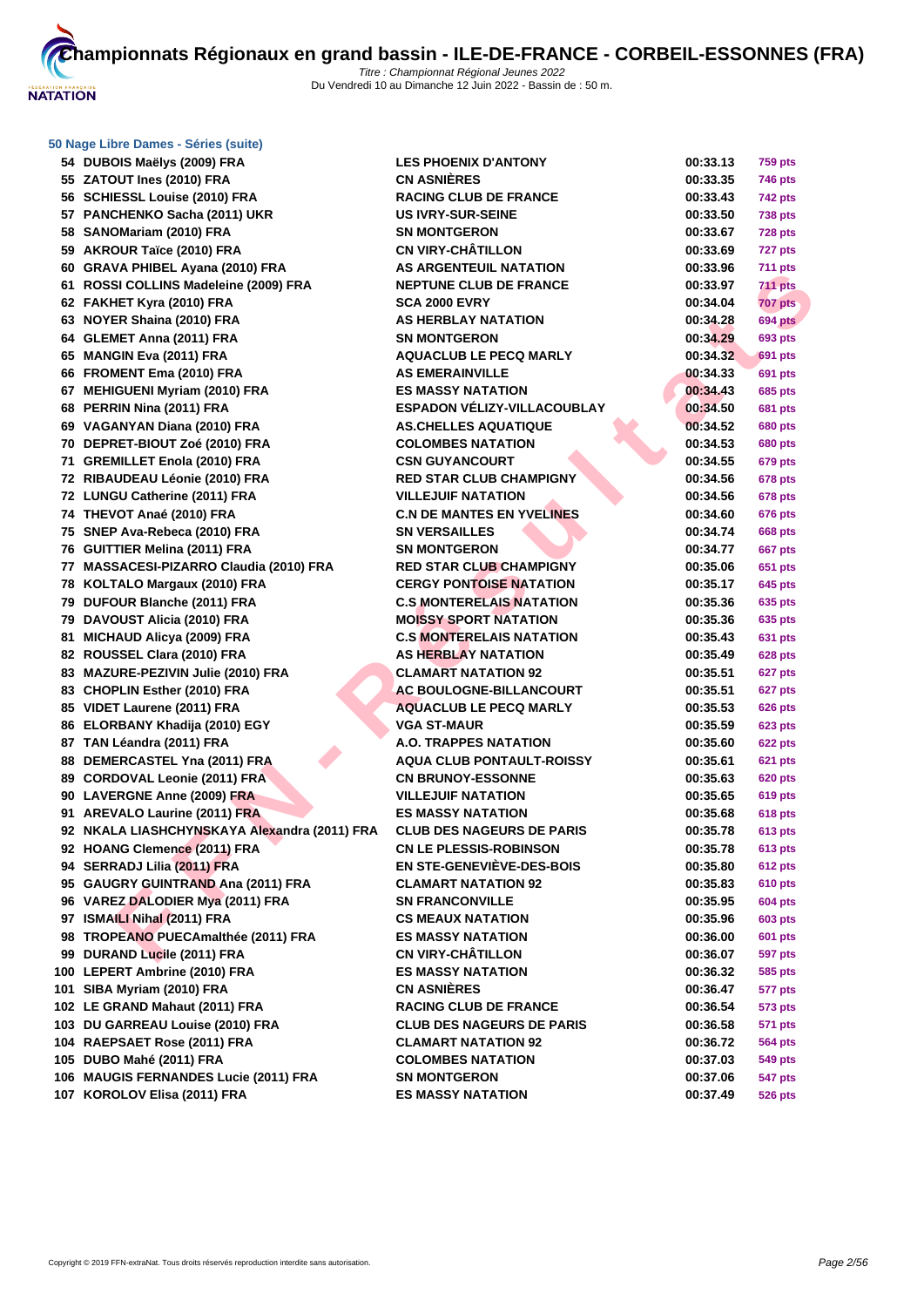

 **ZATOUT Ines (2010) FRA CN ASNIÈRES 00:33.35 746 pts SCHIESSL Louise (2010) FRA RACING CLUB DE FRANCE 00:33.43 742 pts PANCHENKO Sacha (2011) UKR US IVRY-SUR-SEINE 00:33.50 738 pts SANOMariam (2010) FRA SN MONTGERON 00:33.67 728 pts AKROUR Taïce (2010) FRA CN VIRY-CHÂTILLON 00:33.69 727 pts GRAVA PHIBEL Ayana (2010) FRA AS ARGENTEUIL NATATION 00:33.96 711 pts ROSSI COLLINS Madeleine (2009) FRA NEPTUNE CLUB DE FRANCE 00:33.97 711 pts FAKHET Kyra (2010) FRA SCA 2000 EVRY 00:34.04 707 pts NOYER Shaina (2010) FRA AS HERBLAY NATATION 00:34.28 694 pts GLEMET Anna (2011) FRA SN MONTGERON 00:34.29 693 pts MANGIN Eva (2011) FRA AQUACLUB LE PECQ MARLY 00:34.32 691 pts FROMENT Ema (2010) FRA AS EMERAINVILLE 00:34.33 691 pts MEHIGUENI Myriam (2010) FRA ES MASSY NATATION 00:34.43 685 pts PERRIN Nina (2011) FRA ESPADON VÉLIZY-VILLACOUBLAY 00:34.50 681 pts VAGANYAN Diana (2010) FRA AS.CHELLES AQUATIQUE 00:34.52 680 pts DEPRET-BIOUT Zoé (2010) FRA COLOMBES NATATION 00:34.53 680 pts GREMILLET Enola (2010) FRA CSN GUYANCOURT 00:34.55 679 pts RIBAUDEAU Léonie (2010) FRA RED STAR CLUB CHAMPIGNY 00:34.56 678 pts LUNGU Catherine (2011) FRA VILLEJUIF NATATION 00:34.56 678 pts THEVOT Anaé (2010) FRA C.N DE MANTES EN YVELINES 00:34.60 676 pts SNEP Ava-Rebeca (2010) FRA SN VERSAILLES 00:34.74 668 pts GUITTIER Melina (2011) FRA SN MONTGERON 00:34.77 667 pts MASSACESI-PIZARRO Claudia (2010) FRA RED STAR CLUB CHAMPIGNY 00:35.06 651 pts KOLTALO Margaux (2010) FRA CERGY PONTOISE NATATION 00:35.17 645 pts DUFOUR Blanche (2011) FRA C.S MONTERELAIS NATATION 00:35.36 635 pts DAVOUST Alicia (2010) FRA MOISSY SPORT NATATION 00:35.36 635 pts MICHAUD Alicya (2009) FRA C.S MONTERELAIS NATATION 00:35.43 631 pts ROUSSEL Clara (2010) FRA AS HERBLAY NATATION 00:35.49 628 pts MAZURE-PEZIVIN Julie (2010) FRA CLAMART NATATION 92 00:35.51 627 pts 83 CHOPLIN Esther (2010) FRA AC BOULOGNE-BILLANCOURT 00:35.51 627 pts VIDET Laurene (2011) FRA AQUACLUB LE PECQ MARLY 00:35.53 626 pts ELORBANY Khadija (2010) EGY VGA ST-MAUR 00:35.59 623 pts TAN Léandra (2011) FRA A.O. TRAPPES NATATION 00:35.60 622 pts DEMERCASTEL Yna (2011) FRA AQUA CLUB PONTAULT-ROISSY 00:35.61 621 pts CORDOVAL Leonie (2011) FRA CN BRUNOY-ESSONNE 00:35.63 620 pts LAVERGNE Anne (2009) FRA VILLEJUIF NATATION 00:35.65 619 pts AREVALO Laurine (2011) FRA ES MASSY NATATION 00:35.68 618 pts NKALA LIASHCHYNSKAYA Alexandra (2011) FRA CLUB DES NAGEURS DE PARIS 00:35.78 613 pts HOANG Clemence (2011) FRA CN LE PLESSIS-ROBINSON 00:35.78 613 pts SERRADJ Lilia (2011) FRA EN STE-GENEVIÈVE-DES-BOIS 00:35.80 612 pts GAUGRY GUINTRAND Ana (2011) FRA CLAMART NATATION 92 00:35.83 610 pts VAREZ DALODIER Mya (2011) FRA SN FRANCONVILLE 00:35.95 604 pts ISMAILI Nihal (2011) FRA CS MEAUX NATATION 00:35.96 603 pts TROPEANO PUECAmalthée (2011) FRA ES MASSY NATATION 00:36.00 601 pts DURAND Lucile (2011) FRA CN VIRY-CHÂTILLON 00:36.07 597 pts LEPERT Ambrine (2010) FRA ES MASSY NATATION 00:36.32 585 pts SIBA Myriam (2010) FRA CN ASNIÈRES 00:36.47 577 pts LE GRAND Mahaut (2011) FRA RACING CLUB DE FRANCE 00:36.54 573 pts DU GARREAU Louise (2010) FRA CLUB DES NAGEURS DE PARIS 00:36.58 571 pts RAEPSAET Rose (2011) FRA CLAMART NATATION 92 00:36.72 564 pts DUBO Mahé (2011) FRA COLOMBES NATATION 00:37.03 549 pts MAUGIS FERNANDES Lucie (2011) FRA SN MONTGERON 00:37.06 547 pts**

**FOR SIMILATE MANUE COLLEGATION AND AN ABSENT IN A SECURE COLLEGATION AND COLLEGATION AND CONSULTAINED AND CONSULTANTION CONSULTANT CONSULTANT CONSULTANT CONSULTANT CONSULTANT CONSULTANT CONSULTANT CONSULTANT CONSULTANT CO DUBOIS Maëlys (2009) FRA LES PHOENIX D'ANTONY 00:33.13 759 pts KOROLOV Elisa (2011) FRA ES MASSY NATATION 00:37.49 526 pts**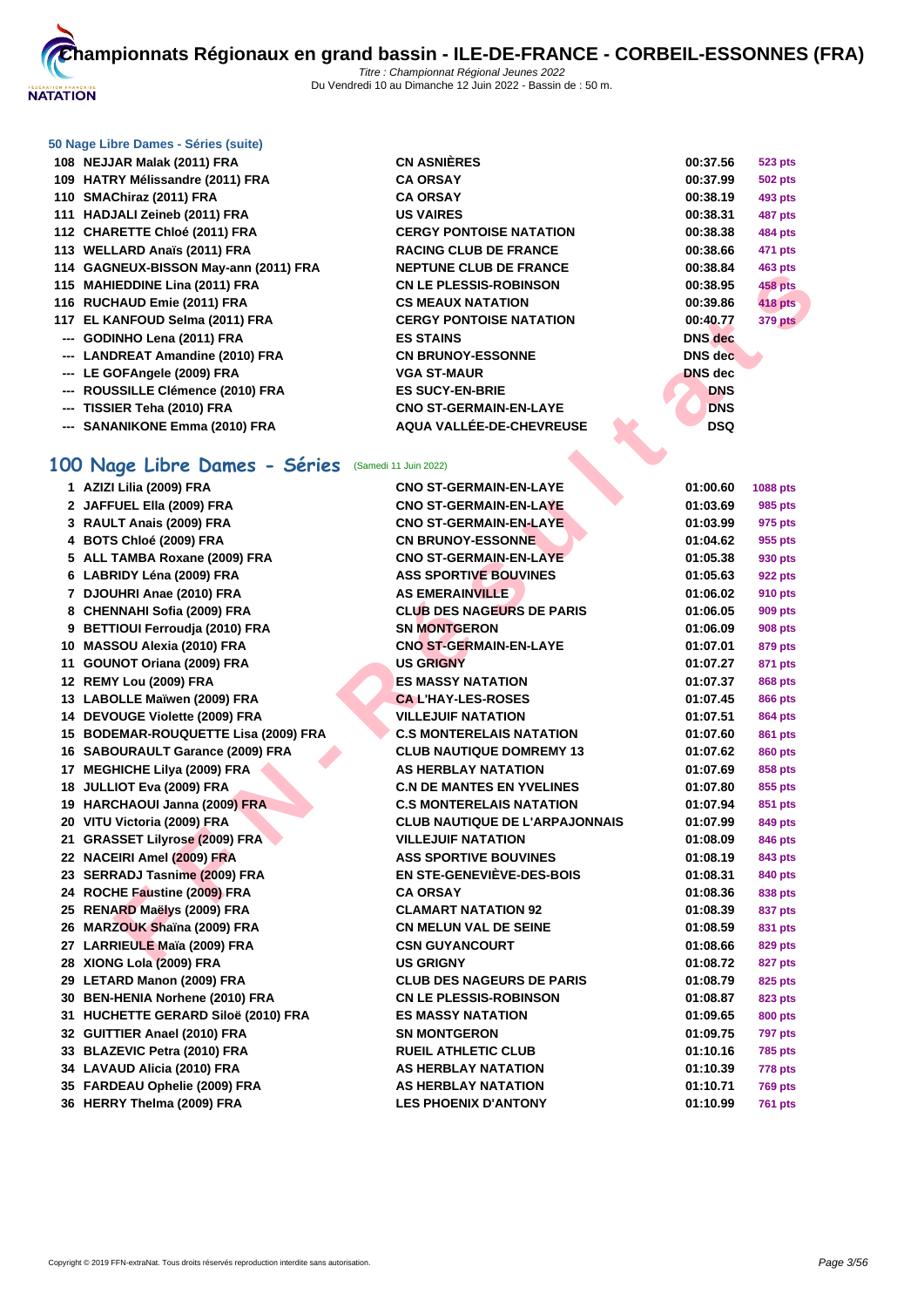

| 108 NEJJAR Malak (2011) FRA           | <b>CN ASNIERES</b>             | 00:37.56       | <b>523 pts</b> |
|---------------------------------------|--------------------------------|----------------|----------------|
| 109 HATRY Mélissandre (2011) FRA      | <b>CA ORSAY</b>                | 00:37.99       | <b>502 pts</b> |
| 110 SMAChiraz (2011) FRA              | <b>CA ORSAY</b>                | 00:38.19       | 493 pts        |
| 111 HADJALI Zeineb (2011) FRA         | <b>US VAIRES</b>               | 00:38.31       | <b>487 pts</b> |
| 112 CHARETTE Chloé (2011) FRA         | <b>CERGY PONTOISE NATATION</b> | 00:38.38       | <b>484 pts</b> |
| 113 WELLARD Anaïs (2011) FRA          | <b>RACING CLUB DE FRANCE</b>   | 00:38.66       | 471 pts        |
| 114 GAGNEUX-BISSON May-ann (2011) FRA | <b>NEPTUNE CLUB DE FRANCE</b>  | 00:38.84       | 463 pts        |
| 115 MAHIEDDINE Lina (2011) FRA        | <b>CN LE PLESSIS-ROBINSON</b>  | 00:38.95       | <b>458 pts</b> |
| 116 RUCHAUD Emie (2011) FRA           | <b>CS MEAUX NATATION</b>       | 00:39.86       | <b>418 pts</b> |
| 117 EL KANFOUD Selma (2011) FRA       | <b>CERGY PONTOISE NATATION</b> | 00:40.77       | <b>379 pts</b> |
| --- GODINHO Lena (2011) FRA           | <b>ES STAINS</b>               | <b>DNS</b> dec |                |
| --- LANDREAT Amandine (2010) FRA      | <b>CN BRUNOY-ESSONNE</b>       | <b>DNS</b> dec |                |
| --- LE GOFAngele (2009) FRA           | <b>VGA ST-MAUR</b>             | <b>DNS</b> dec |                |
| --- ROUSSILLE Clémence (2010) FRA     | <b>ES SUCY-EN-BRIE</b>         | <b>DNS</b>     |                |
| --- TISSIER Teha (2010) FRA           | <b>CNO ST-GERMAIN-EN-LAYE</b>  | <b>DNS</b>     |                |
| --- SANANIKONE Emma (2010) FRA        | AQUA VALLÉE-DE-CHEVREUSE       | <b>DSQ</b>     |                |
|                                       |                                |                |                |

# **100 Nage Libre Dames - Séries** (Samedi 11 Juin 2022)

| <b>19 BAGNEOA-DIJJON MAY-AMILIZUTITINA</b>         | וזכו זטוזב טבטט טב ו ולאוזטב          | 00.00.04       | 400 pis        |
|----------------------------------------------------|---------------------------------------|----------------|----------------|
| 115 MAHIEDDINE Lina (2011) FRA                     | <b>CN LE PLESSIS-ROBINSON</b>         | 00:38.95       | 458 pts        |
| 116 RUCHAUD Emie (2011) FRA                        | <b>CS MEAUX NATATION</b>              | 00:39.86       | <b>418 pts</b> |
| 117 EL KANFOUD Selma (2011) FRA                    | <b>CERGY PONTOISE NATATION</b>        | 00:40.77       | <b>379 pts</b> |
| --- GODINHO Lena (2011) FRA                        | <b>ES STAINS</b>                      | <b>DNS</b> dec |                |
| --- LANDREAT Amandine (2010) FRA                   | <b>CN BRUNOY-ESSONNE</b>              | <b>DNS</b> dec |                |
| --- LE GOFAngele (2009) FRA                        | <b>VGA ST-MAUR</b>                    | <b>DNS dec</b> |                |
| --- ROUSSILLE Clémence (2010) FRA                  | <b>ES SUCY-EN-BRIE</b>                | <b>DNS</b>     |                |
| --- TISSIER Teha (2010) FRA                        | <b>CNO ST-GERMAIN-EN-LAYE</b>         | <b>DNS</b>     |                |
| --- SANANIKONE Emma (2010) FRA                     | AQUA VALLÉE-DE-CHEVREUSE              | <b>DSQ</b>     |                |
|                                                    |                                       |                |                |
| 00 Nage Libre Dames - Séries (Samedi 11 Juin 2022) |                                       |                |                |
| 1 AZIZI Lilia (2009) FRA                           | <b>CNO ST-GERMAIN-EN-LAYE</b>         | 01:00.60       | 1088 pts       |
| 2 JAFFUEL Ella (2009) FRA                          | <b>CNO ST-GERMAIN-EN-LAYE</b>         | 01:03.69       | 985 pts        |
| 3 RAULT Anais (2009) FRA                           | <b>CNO ST-GERMAIN-EN-LAYE</b>         | 01:03.99       | 975 pts        |
| 4 BOTS Chloé (2009) FRA                            | <b>CN BRUNOY-ESSONNE</b>              | 01:04.62       | 955 pts        |
| 5 ALL TAMBA Roxane (2009) FRA                      | <b>CNO ST-GERMAIN-EN-LAYE</b>         | 01:05.38       | 930 pts        |
| 6 LABRIDY Léna (2009) FRA                          | <b>ASS SPORTIVE BOUVINES</b>          | 01:05.63       | 922 pts        |
| 7 DJOUHRI Anae (2010) FRA                          | <b>AS EMERAINVILLE</b>                | 01:06.02       | 910 pts        |
| 8 CHENNAHI Sofia (2009) FRA                        | <b>CLUB DES NAGEURS DE PARIS</b>      | 01:06.05       | 909 pts        |
| 9 BETTIOUI Ferroudja (2010) FRA                    | <b>SN MONTGERON</b>                   | 01:06.09       | 908 pts        |
| 10 MASSOU Alexia (2010) FRA                        | <b>CNO ST-GERMAIN-EN-LAYE</b>         | 01:07.01       | 879 pts        |
| 11 GOUNOT Oriana (2009) FRA                        | <b>US GRIGNY</b>                      | 01:07.27       | 871 pts        |
| 12 REMY Lou (2009) FRA                             | <b>ES MASSY NATATION</b>              | 01:07.37       | 868 pts        |
| 13 LABOLLE Maïwen (2009) FRA                       | <b>CAL'HAY-LES-ROSES</b>              | 01:07.45       | 866 pts        |
| 14 DEVOUGE Violette (2009) FRA                     | <b>VILLEJUIF NATATION</b>             | 01:07.51       | 864 pts        |
| 15 BODEMAR-ROUQUETTE Lisa (2009) FRA               | <b>C.S MONTERELAIS NATATION</b>       | 01:07.60       | 861 pts        |
| 16 SABOURAULT Garance (2009) FRA                   | <b>CLUB NAUTIQUE DOMREMY 13</b>       | 01:07.62       | 860 pts        |
| 17 MEGHICHE Lilya (2009) FRA                       | <b>AS HERBLAY NATATION</b>            | 01:07.69       | 858 pts        |
| 18 JULLIOT Eva (2009) FRA                          | <b>C.N DE MANTES EN YVELINES</b>      | 01:07.80       | 855 pts        |
| 19 HARCHAOUI Janna (2009) FRA                      | <b>C.S MONTERELAIS NATATION</b>       | 01:07.94       | 851 pts        |
| 20 VITU Victoria (2009) FRA                        | <b>CLUB NAUTIQUE DE L'ARPAJONNAIS</b> | 01:07.99       | 849 pts        |
| 21 GRASSET Lilyrose (2009) FRA                     | <b>VILLEJUIF NATATION</b>             | 01:08.09       | 846 pts        |
| 22 NACEIRI Amel (2009) FRA                         | <b>ASS SPORTIVE BOUVINES</b>          | 01:08.19       | 843 pts        |
| 23 SERRADJ Tasnime (2009) FRA                      | EN STE-GENEVIÈVE-DES-BOIS             | 01:08.31       | 840 pts        |
| 24 ROCHE Faustine (2009) FRA                       | <b>CA ORSAY</b>                       | 01:08.36       | 838 pts        |
| 25 RENARD Maëlys (2009) FRA                        | <b>CLAMART NATATION 92</b>            | 01:08.39       | 837 pts        |
| 26 MARZOUK Shaïna (2009) FRA                       | <b>CN MELUN VAL DE SEINE</b>          | 01:08.59       | 831 pts        |
| 27 LARRIEULE Maïa (2009) FRA                       | <b>CSN GUYANCOURT</b>                 | 01:08.66       | 829 pts        |
| 28 XIONG Lola (2009) FRA                           | <b>US GRIGNY</b>                      | 01:08.72       | 827 pts        |
| 29 LETARD Manon (2009) FRA                         | <b>CLUB DES NAGEURS DE PARIS</b>      | 01:08.79       | 825 pts        |
| 30 BEN-HENIA Norhene (2010) FRA                    | <b>CN LE PLESSIS-ROBINSON</b>         | 01:08.87       | 823 pts        |
| 31 HUCHETTE GERARD Siloë (2010) FRA                | <b>ES MASSY NATATION</b>              | 01:09.65       | <b>800 pts</b> |
| 32 GUITTIER Anael (2010) FRA                       | <b>SN MONTGERON</b>                   | 01:09.75       | <b>797 pts</b> |
| 33 BLAZEVIC Petra (2010) FRA                       | <b>RUEIL ATHLETIC CLUB</b>            | 01:10.16       | <b>785 pts</b> |
| 34 LAVAUD Alicia (2010) FRA                        | AS HERBLAY NATATION                   | 01:10.39       | 778 pts        |
| 35 FARDEAU Ophelie (2009) FRA                      | AS HERBLAY NATATION                   | 01:10.71       | <b>769 pts</b> |
| 36 HERRY Thelma (2009) FRA                         | <b>LES PHOENIX D'ANTONY</b>           | 01:10.99       | <b>761 pts</b> |
|                                                    |                                       |                |                |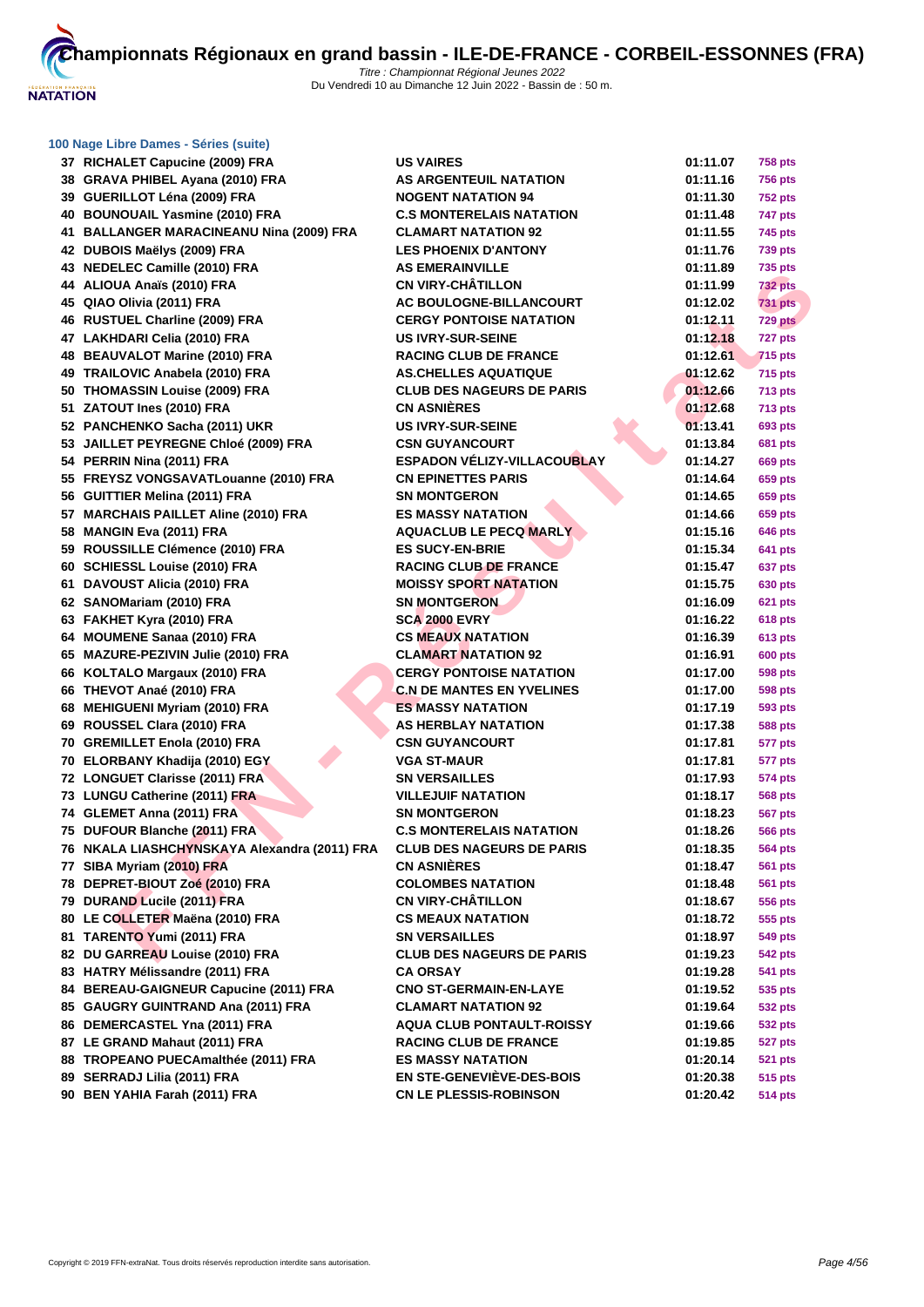

| 37 RICHALET Capucine (2009) FRA              | <b>US VAIRES</b>                          | 01:11.07 | <b>758 pts</b>     |
|----------------------------------------------|-------------------------------------------|----------|--------------------|
| 38 GRAVA PHIBEL Ayana (2010) FRA             | <b>AS ARGENTEUIL NATATION</b>             | 01:11.16 | <b>756 pts</b>     |
| 39 GUERILLOT Léna (2009) FRA                 | <b>NOGENT NATATION 94</b>                 | 01:11.30 | <b>752 pts</b>     |
| 40 BOUNOUAIL Yasmine (2010) FRA              | <b>C.S MONTERELAIS NATATION</b>           | 01:11.48 | 747 pts            |
| 41 BALLANGER MARACINEANU Nina (2009) FRA     | <b>CLAMART NATATION 92</b>                | 01:11.55 | 745 pts            |
| 42 DUBOIS Maëlys (2009) FRA                  | <b>LES PHOENIX D'ANTONY</b>               | 01:11.76 | 739 pts            |
| 43 NEDELEC Camille (2010) FRA                | <b>AS EMERAINVILLE</b>                    | 01:11.89 | 735 pts            |
| 44 ALIOUA Anaïs (2010) FRA                   | <b>CN VIRY-CHÂTILLON</b>                  | 01:11.99 | <b>732 pts</b>     |
| 45 QIAO Olivia (2011) FRA                    | AC BOULOGNE-BILLANCOURT                   | 01:12.02 | <b>731 pts</b>     |
| 46 RUSTUEL Charline (2009) FRA               | <b>CERGY PONTOISE NATATION</b>            | 01:12.11 | 729 pts            |
| 47 LAKHDARI Celia (2010) FRA                 | <b>US IVRY-SUR-SEINE</b>                  | 01:12.18 | 727 pts            |
| 48 BEAUVALOT Marine (2010) FRA               | <b>RACING CLUB DE FRANCE</b>              | 01:12.61 | <b>715 pts</b>     |
| 49 TRAILOVIC Anabela (2010) FRA              | <b>AS.CHELLES AQUATIQUE</b>               | 01:12.62 | 715 pts            |
| 50 THOMASSIN Louise (2009) FRA               | <b>CLUB DES NAGEURS DE PARIS</b>          | 01:12.66 | <b>713 pts</b>     |
| 51 ZATOUT Ines (2010) FRA                    | <b>CN ASNIÈRES</b>                        | 01:12.68 | <b>713 pts</b>     |
| 52 PANCHENKO Sacha (2011) UKR                | <b>US IVRY-SUR-SEINE</b>                  | 01:13.41 | 693 pts            |
| 53 JAILLET PEYREGNE Chloé (2009) FRA         | <b>CSN GUYANCOURT</b>                     | 01:13.84 | <b>681 pts</b>     |
| 54 PERRIN Nina (2011) FRA                    | <b>ESPADON VÉLIZY-VILLACOUBLAY</b>        | 01:14.27 | 669 pts            |
| 55 FREYSZ VONGSAVATLouanne (2010) FRA        | <b>CN EPINETTES PARIS</b>                 | 01:14.64 | 659 pts            |
| 56 GUITTIER Melina (2011) FRA                | <b>SN MONTGERON</b>                       | 01:14.65 | 659 pts            |
| 57 MARCHAIS PAILLET Aline (2010) FRA         | <b>ES MASSY NATATION</b>                  | 01:14.66 | 659 pts            |
| 58 MANGIN Eva (2011) FRA                     | <b>AQUACLUB LE PECQ MARLY</b>             | 01:15.16 | 646 pts            |
| 59 ROUSSILLE Clémence (2010) FRA             | <b>ES SUCY-EN-BRIE</b>                    | 01:15.34 | 641 pts            |
| 60 SCHIESSL Louise (2010) FRA                | <b>RACING CLUB DE FRANCE</b>              | 01:15.47 | 637 pts            |
| 61 DAVOUST Alicia (2010) FRA                 | <b>MOISSY SPORT NATATION</b>              | 01:15.75 | 630 pts            |
| 62 SANOMariam (2010) FRA                     | <b>SN MONTGERON</b>                       | 01:16.09 | <b>621 pts</b>     |
| 63 FAKHET Kyra (2010) FRA                    | <b>SCA 2000 EVRY</b>                      | 01:16.22 | 618 pts            |
| 64 MOUMENE Sanaa (2010) FRA                  | <b>CS MEAUX NATATION</b>                  | 01:16.39 | 613 pts            |
| 65 MAZURE-PEZIVIN Julie (2010) FRA           | <b>CLAMART NATATION 92</b>                | 01:16.91 | <b>600 pts</b>     |
| 66 KOLTALO Margaux (2010) FRA                | <b>CERGY PONTOISE NATATION</b>            | 01:17.00 | 598 pts            |
| 66 THEVOT Anaé (2010) FRA                    | <b>C.N DE MANTES EN YVELINES</b>          | 01:17.00 | 598 pts            |
| 68 MEHIGUENI Myriam (2010) FRA               | <b>ES MASSY NATATION</b>                  | 01:17.19 | 593 pts            |
| 69 ROUSSEL Clara (2010) FRA                  | AS HERBLAY NATATION                       | 01:17.38 | <b>588 pts</b>     |
| 70 GREMILLET Enola (2010) FRA                | <b>CSN GUYANCOURT</b>                     | 01:17.81 | 577 pts            |
| 70 ELORBANY Khadija (2010) EGY               | <b>VGA ST-MAUR</b>                        | 01:17.81 | 577 pts            |
| 72 LONGUET Clarisse (2011) FRA               | <b>SN VERSAILLES</b>                      | 01:17.93 | 574 pts            |
| 73 LUNGU Catherine (2011) FRA                | <b>VILLEJUIF NATATION</b>                 | 01:18.17 | 568 pts            |
| 74 GLEMET Anna (2011) FRA                    | <b>SN MONTGERON</b>                       | 01:18.23 | 567 pts            |
| 75 DUFOUR Blanche (2011) FRA                 | <b>C.S MONTERELAIS NATATION</b>           | 01:18.26 | <b>566 pts</b>     |
| 76 NKALA LIASHCHYNSKAYA Alexandra (2011) FRA | <b>CLUB DES NAGEURS DE PARIS</b>          | 01:18.35 | 564 pts            |
| 77 SIBA Myriam (2010) FRA                    | <b>CN ASNIÈRES</b>                        | 01:18.47 | 561 pts            |
| 78 DEPRET-BIOUT Zoé (2010) FRA               | <b>COLOMBES NATATION</b>                  | 01:18.48 | 561 pts            |
| 79 DURAND Lucile (2011) FRA                  | <b>CN VIRY-CHÂTILLON</b>                  | 01:18.67 | 556 pts            |
| 80 LE COLLETER Maëna (2010) FRA              | <b>CS MEAUX NATATION</b>                  | 01:18.72 | 555 pts            |
| 81 TARENTO Yumi (2011) FRA                   | <b>SN VERSAILLES</b>                      | 01:18.97 | 549 pts            |
| 82 DU GARREAU Louise (2010) FRA              | <b>CLUB DES NAGEURS DE PARIS</b>          | 01:19.23 | 542 pts            |
| 83 HATRY Mélissandre (2011) FRA              |                                           | 01:19.28 |                    |
| 84 BEREAU-GAIGNEUR Capucine (2011) FRA       | CA ORSAY<br><b>CNO ST-GERMAIN-EN-LAYE</b> | 01:19.52 | 541 pts<br>535 pts |
| 85 GAUGRY GUINTRAND Ana (2011) FRA           | <b>CLAMART NATATION 92</b>                | 01:19.64 |                    |
| 86 DEMERCASTEL Yna (2011) FRA                | <b>AQUA CLUB PONTAULT-ROISSY</b>          |          | 532 pts            |
| 87 LE GRAND Mahaut (2011) FRA                | <b>RACING CLUB DE FRANCE</b>              | 01:19.66 | 532 pts            |
|                                              | <b>ES MASSY NATATION</b>                  | 01:19.85 | <b>527 pts</b>     |
| 88 TROPEANO PUECAmalthée (2011) FRA          | <b>EN STE-GENEVIÈVE-DES-BOIS</b>          | 01:20.14 | <b>521 pts</b>     |
| 89 SERRADJ Lilia (2011) FRA                  |                                           | 01:20.38 | 515 pts            |
| 90 BEN YAHIA Farah (2011) FRA                | <b>CN LE PLESSIS-ROBINSON</b>             | 01:20.42 | 514 pts            |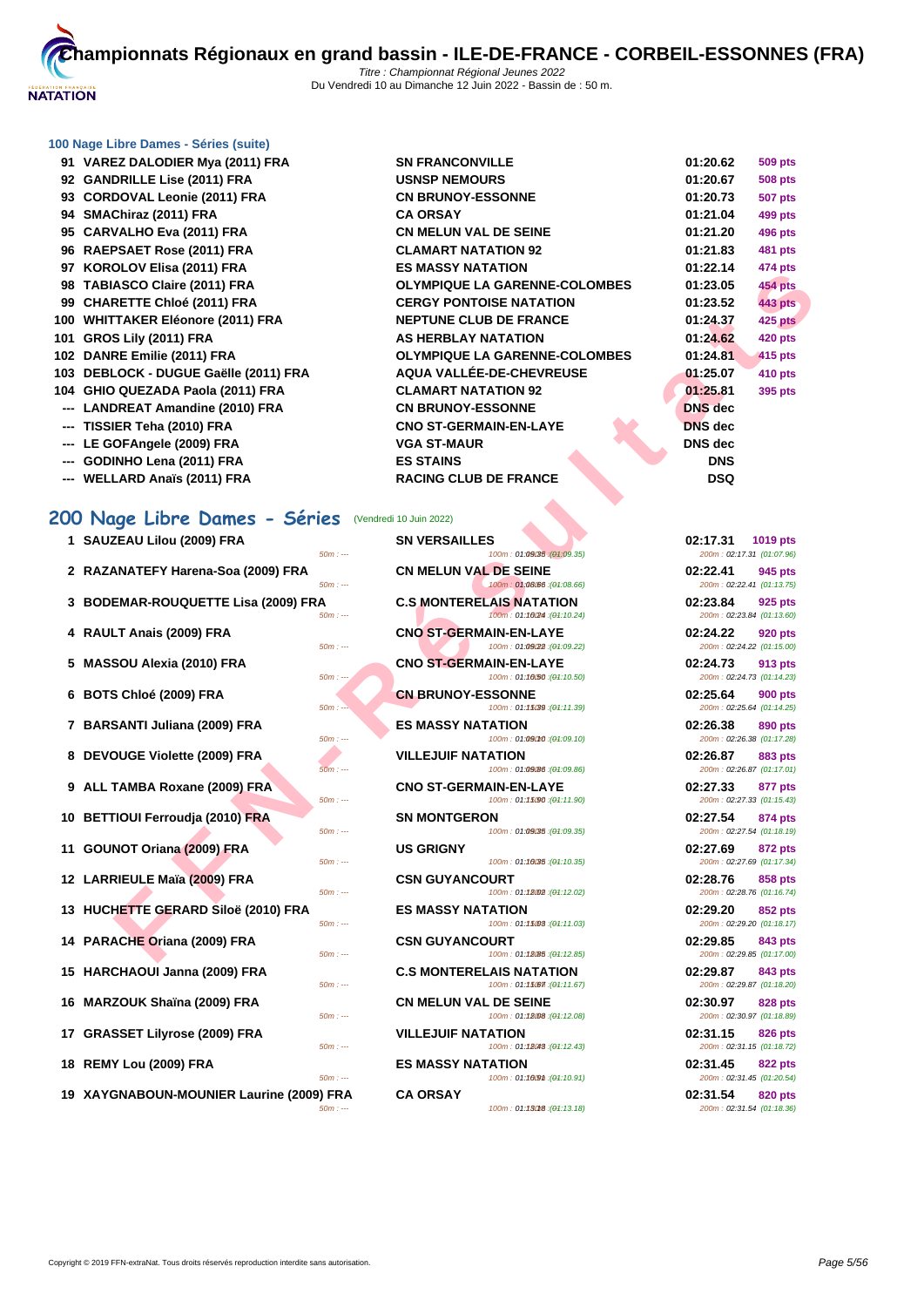

# **200 Nage Libre Dames - Séries** (Vendredi 10 Juin 2022)

- **1 SAUZEAU Lilou (2009) FRA**
- **2 RAZANATEFY Harena-Soa (2009) FRA**
- **3 BODEMAR-ROUQUETTE Lisa (2009) FRA**
- **4 RAULT Anais (2009) FRA CNO ST-GERMAIN-EN-LAYE 02:24.22 920 pts**
- **5 MASSOU Alexia (2010) FRA**
- **6 BOTS Chloé (2009) FRA**
- **7 BARSANTI Juliana (2009) FRA EQUATATION EQUATATION**
- **8 DEVOUGE Violette (2009) FRA**
- **9 ALL TAMBA Roxane (2009) FRA 60m cm**
- **10 BETTIOUI Ferroudja (2010) FRA**
- **11 <b>GOUNOT Oriana (2009) FRA BOWER**
- **12 LARRIEULE Maïa (2009) FRA**
- **13 HUCHETTE GERARD Siloë (2010) FRA**  $\frac{50m}{2}$
- **14 PARACHE Oriana (2009) FRA 60m c**
- **15 HARCHAOUI Janna (2009) FRA**
- **16 MARZOUK Shaïna (2009) FRA**  $\frac{50m}{100}$
- **17 GRASSET Lilyrose (2009) FRA**
- **18 REMY Lou (2009) FRA EXERCISE A ESCIPLE BOOM**
- **19 XAYGNABOUN-MOUNIER Laurine (2009) FRA**

| 31 VAREZ DALODIER MYA (ZUTI) FRA      | <b>JIN FRANCONVILLE</b>              | <b>VI.ZU.02</b> | ວບສ µເວ        |
|---------------------------------------|--------------------------------------|-----------------|----------------|
| 92 GANDRILLE Lise (2011) FRA          | <b>USNSP NEMOURS</b>                 | 01:20.67        | <b>508 pts</b> |
| 93 CORDOVAL Leonie (2011) FRA         | <b>CN BRUNOY-ESSONNE</b>             | 01:20.73        | <b>507 pts</b> |
| 94 SMAChiraz (2011) FRA               | <b>CA ORSAY</b>                      | 01:21.04        | 499 pts        |
| 95 CARVALHO Eva (2011) FRA            | <b>CN MELUN VAL DE SEINE</b>         | 01:21.20        | 496 pts        |
| 96 RAEPSAET Rose (2011) FRA           | <b>CLAMART NATATION 92</b>           | 01:21.83        | <b>481 pts</b> |
| 97 KOROLOV Elisa (2011) FRA           | <b>ES MASSY NATATION</b>             | 01:22.14        | 474 pts        |
| 98 TABIASCO Claire (2011) FRA         | <b>OLYMPIQUE LA GARENNE-COLOMBES</b> | 01:23.05        | 454 pts        |
| 99 CHARETTE Chloé (2011) FRA          | <b>CERGY PONTOISE NATATION</b>       | 01:23.52        | <b>443 pts</b> |
| 100 WHITTAKER Eléonore (2011) FRA     | <b>NEPTUNE CLUB DE FRANCE</b>        | 01:24.37        | 425 pts        |
| 101 GROS Lily (2011) FRA              | AS HERBLAY NATATION                  | 01:24.62        | <b>420 pts</b> |
| 102 DANRE Emilie (2011) FRA           | <b>OLYMPIQUE LA GARENNE-COLOMBES</b> | 01:24.81        | 415 pts        |
| 103 DEBLOCK - DUGUE Gaëlle (2011) FRA | AQUA VALLÉE-DE-CHEVREUSE             | 01:25.07        | 410 pts        |
| 104 GHIO QUEZADA Paola (2011) FRA     | <b>CLAMART NATATION 92</b>           | 01:25.81        | 395 pts        |
| --- LANDREAT Amandine (2010) FRA      | <b>CN BRUNOY-ESSONNE</b>             | <b>DNS</b> dec  |                |
| --- TISSIER Teha (2010) FRA           | <b>CNO ST-GERMAIN-EN-LAYE</b>        | <b>DNS</b> dec  |                |
| --- LE GOFAngele (2009) FRA           | <b>VGA ST-MAUR</b>                   | DNS dec         |                |
| --- GODINHO Lena (2011) FRA           | <b>ES STAINS</b>                     | <b>DNS</b>      |                |
| --- WELLARD Anaïs (2011) FRA          | <b>RACING CLUB DE FRANCE</b>         | <b>DSQ</b>      |                |
|                                       |                                      |                 |                |

| ULU Y LIISA (401 I) I IVA                             | LJ MAJJI NATATIVN                                              | ,,,,,,,,,,,<br>סוען <del>וי</del> ו <del>י</del>  |
|-------------------------------------------------------|----------------------------------------------------------------|---------------------------------------------------|
| ASCO Claire (2011) FRA                                | <b>OLYMPIQUE LA GARENNE-COLOMBES</b>                           | 01:23.05<br><b>454 pts</b>                        |
| RETTE Chloé (2011) FRA                                | <b>CERGY PONTOISE NATATION</b>                                 | 01:23.52<br><b>443 pts</b>                        |
| <b>TAKER Eléonore (2011) FRA</b>                      | <b>NEPTUNE CLUB DE FRANCE</b>                                  | 01:24.37<br><b>425 pts</b>                        |
| S Lily (2011) FRA                                     | AS HERBLAY NATATION                                            | 01:24.62<br><b>420 pts</b>                        |
| RE Emilie (2011) FRA                                  | <b>OLYMPIQUE LA GARENNE-COLOMBES</b>                           | 01:24.81<br>415 pts                               |
| LOCK - DUGUE Gaëlle (2011) FRA                        | AQUA VALLÉE-DE-CHEVREUSE                                       | 01:25.07<br>410 pts                               |
| ) QUEZADA Paola (2011) FRA                            | <b>CLAMART NATATION 92</b>                                     | 01:25.81<br>395 pts                               |
| DREAT Amandine (2010) FRA                             | <b>CN BRUNOY-ESSONNE</b>                                       | <b>DNS</b> dec                                    |
| IER Teha (2010) FRA                                   | <b>CNO ST-GERMAIN-EN-LAYE</b>                                  | <b>DNS</b> dec                                    |
| OFAngele (2009) FRA                                   | <b>VGA ST-MAUR</b>                                             | <b>DNS</b> dec                                    |
|                                                       | <b>ES STAINS</b>                                               | <b>DNS</b>                                        |
| INHO Lena (2011) FRA                                  | <b>RACING CLUB DE FRANCE</b>                                   | <b>DSQ</b>                                        |
| LARD Anaïs (2011) FRA                                 |                                                                |                                                   |
| ige Libre Dames - Séries                              | (Vendredi 10 Juin 2022)                                        |                                                   |
| ZEAU Lilou (2009) FRA<br>$50m: -$                     | <b>SN VERSAILLES</b><br>100m: 01:09(35 : (01:09.35)            | 02:17.31<br>1019 pts<br>200m: 02:17.31 (01:07.96) |
| ANATEFY Harena-Soa (2009) FRA                         | <b>CN MELUN VAL DE SEINE</b>                                   | 02:22.41<br>945 pts                               |
| $50m: -$<br>EMAR-ROUQUETTE Lisa (2009) FRA            | 100m: 01:08.66 : (01:08.66)<br><b>C.S MONTERELAIS NATATION</b> | 200m: 02:22.41 (01:13.75)<br>02:23.84<br>925 pts  |
| $50m: -$                                              | 100m: 01:1024 : (01:10.24)                                     | 200m: 02:23.84 (01:13.60)                         |
| LT Anais (2009) FRA<br>$50m: -$                       | <b>CNO ST-GERMAIN-EN-LAYE</b><br>100m: 01:09(22): (01:09.22)   | 02:24.22<br>920 pts<br>200m: 02:24.22 (01:15.00)  |
| SOU Alexia (2010) FRA<br>$50m: --$                    | <b>CNO ST-GERMAIN-EN-LAYE</b><br>100m: 01:10/50 : (01:10.50)   | 02:24.73<br>913 pts<br>200m: 02:24.73 (01:14.23)  |
| S Chloé (2009) FRA                                    | <b>CN BRUNOY-ESSONNE</b>                                       | 02:25.64<br><b>900 pts</b>                        |
| $50m: -$                                              | 100m: 01:15(39 : (01:11.39)                                    | 200m: 02:25.64 (01:14.25)                         |
| SANTI Juliana (2009) FRA<br>$50m: -$                  | <b>ES MASSY NATATION</b><br>100m: 01:09010 : (01:09.10)        | 02:26.38<br>890 pts<br>200m: 02:26.38 (01:17.28)  |
| <b>OUGE Violette (2009) FRA</b><br>$50m: -$           | <b>VILLEJUIF NATATION</b><br>100m: 01:09/86 : (01:09.86)       | 02:26.87<br>883 pts<br>200m: 02:26.87 (01:17.01)  |
| TAMBA Roxane (2009) FRA                               | <b>CNO ST-GERMAIN-EN-LAYE</b>                                  | 02:27.33<br>877 pts                               |
| $50m: -$<br><b>FIOUI Ferroudja (2010) FRA</b>         | 100m: 01:15090 : (04:11.90)<br><b>SN MONTGERON</b>             | 200m: 02:27.33 (01:15.43)<br>02:27.54<br>874 pts  |
| $50m: -$                                              | 100m: 01:09:35 : (01:09.35)                                    | 200m: 02:27.54 (01:18.19)                         |
| NOT Oriana (2009) FRA<br>$50m: -$                     | <b>US GRIGNY</b><br>100m: 01:10035 : (01:10.35)                | 02:27.69<br>872 pts<br>200m: 02:27.69 (01:17.34)  |
| RIEULE Maïa (2009) FRA                                | <b>CSN GUYANCOURT</b>                                          | 02:28.76<br>858 pts                               |
| $50m: -$                                              | 100m: 01:18002 : (01:12.02)                                    | 200m: 02:28.76 (01:16.74)                         |
| HETTE GERARD Siloë (2010) FRA                         | <b>ES MASSY NATATION</b>                                       | 02:29.20<br>852 pts                               |
| $50m: -$<br><b>ACHE Oriana (2009) FRA</b>             | 100m: 01:15008 : (04:11.03)                                    | 200m: 02:29.20 (01:18.17)                         |
| $50m: -$                                              | <b>CSN GUYANCOURT</b><br>100m: 01:18085 : (04:12.85)           | 02:29.85<br>843 pts<br>200m: 02:29.85 (01:17.00)  |
| CHAOUI Janna (2009) FRA                               | <b>C.S MONTERELAIS NATATION</b>                                | 02:29.87<br>843 pts                               |
| $50m: -$                                              | 100m: 01:15067 : (01:11.67)                                    | 200m: 02:29.87 (01:18.20)                         |
| ZOUK Shaïna (2009) FRA<br>$50m: -$                    | <b>CN MELUN VAL DE SEINE</b><br>100m: 01:18008 : (01:12.08)    | 02:30.97<br>828 pts<br>200m: 02:30.97 (01:18.89)  |
| SSET Lilyrose (2009) FRA                              | <b>VILLEJUIF NATATION</b>                                      | 02:31.15<br>826 pts                               |
| $50m: -$                                              | 100m: 01:18048 : (01:12.43)                                    | 200m: 02:31.15 (01:18.72)                         |
| Y Lou (2009) FRA                                      | <b>ES MASSY NATATION</b>                                       | 02:31.45<br>822 pts                               |
| $50m: -$                                              | 100m: 01:1609m: (04:10.91)                                     | 200m: 02:31.45 (01:20.54)                         |
| <b>GNABOUN-MOUNIER Laurine (2009) FRA</b><br>$50m: -$ | <b>CA ORSAY</b><br>100m: 01:13018 : (01:13.18)                 | 02:31.54<br>820 pts<br>200m: 02:31.54 (01:18.36)  |
|                                                       |                                                                |                                                   |

| 02:17.31 1019 pts<br>200m: 02:17.31 (01:07.96) |  |
|------------------------------------------------|--|
| 02:22.41 945 pts                               |  |
| 200m: 02:22.41 (01:13.75)                      |  |
| 02:23.84 925 pts<br>200m: 02:23.84 (01:13.60)  |  |
| 02:24.22 920 pts                               |  |
| 200m: 02:24.22 (01:15.00)<br>02:24.73 913 pts  |  |
| 200m: 02:24.73 (01:14.23)                      |  |
| 02:25.64 900 pts<br>200m: 02:25.64 (01:14.25)  |  |
| 02:26.38 890 pts                               |  |
| 200m: 02:26.38 (01:17.28)                      |  |
| 02:26.87 883 pts<br>200m: 02:26.87 (01:17.01)  |  |
| 02:27.33 877 pts                               |  |
| 200m: 02:27.33 (01:15.43)                      |  |
| 02:27.54 874 pts<br>200m: 02:27.54 (01:18.19)  |  |
| 02:27.69 872 pts                               |  |
| 200m: 02:27.69 (01:17.34)<br>02:28.76 858 pts  |  |
| 200m: 02:28.76 (01:16.74)                      |  |
| 02:29.20 852 pts<br>200m: 02:29.20 (01:18.17)  |  |
| 02:29.85 843 pts                               |  |
| 200m: 02:29.85 (01:17.00)                      |  |
| 02:29.87 843 pts<br>200m: 02:29.87 (01:18.20)  |  |
| 02:30.97 828 pts                               |  |
| 200m: 02:30.97 (01:18.89)<br>02:31.15 826 pts  |  |
| 200m: 02:31.15 (01:18.72)                      |  |
| 02:31.45 822 pts<br>200m: 02:31.45 (01:20.54)  |  |
| 02:31.54 820 pts                               |  |
| 200m: 02:31.54 (01:18.36)                      |  |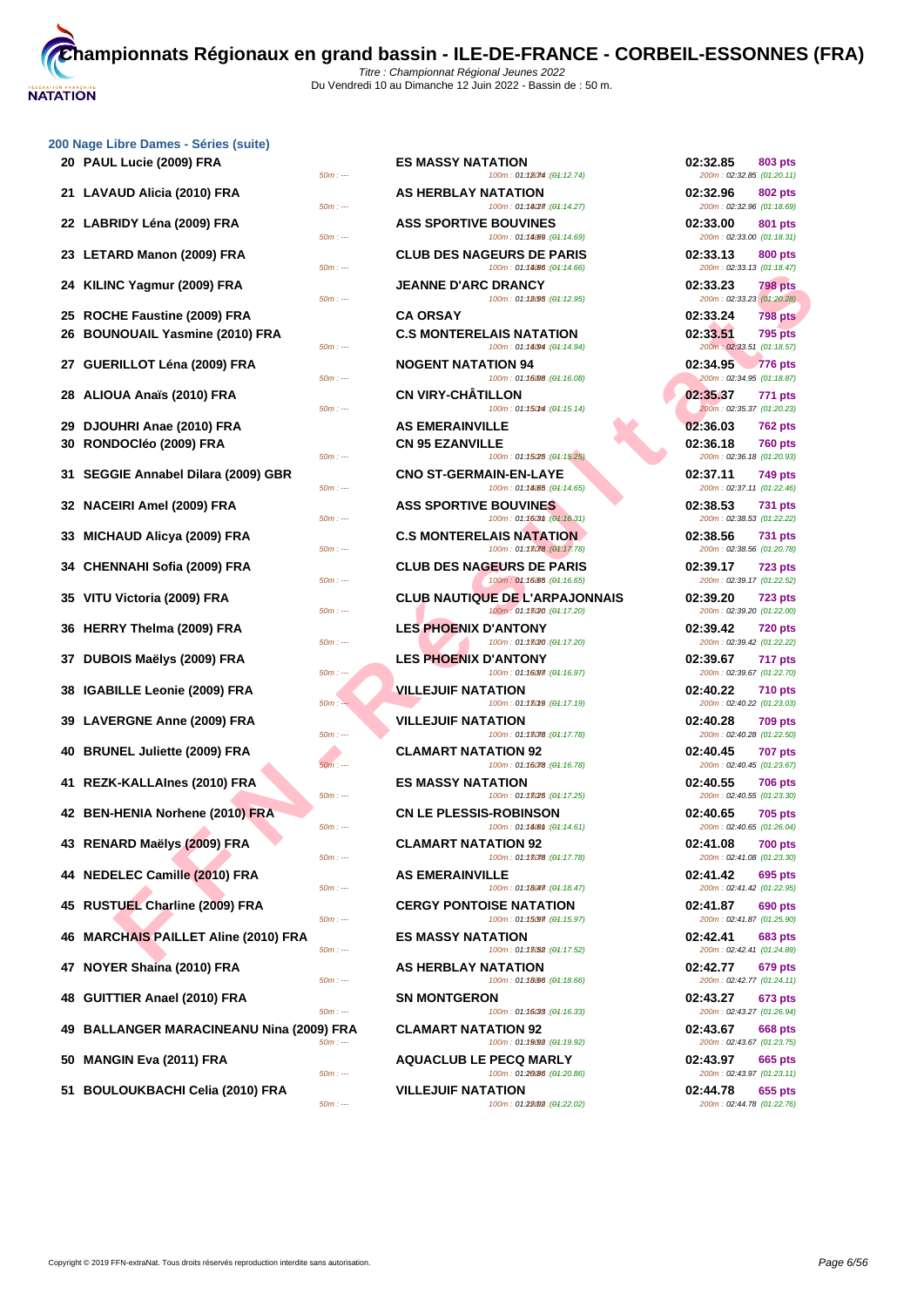

| 200 Nage Libre Dames - Séries (suite) |
|---------------------------------------|
| .                                     |

| 20 PAUL Lucie (2009) FRA<br>$50m: -$                   | <b>ES MASSY NATATION</b><br>100m: 01:18074 : (01:12.74)              | 02:32.85<br>803 pts<br>200m: 02:32.85 (01:20.11)        |
|--------------------------------------------------------|----------------------------------------------------------------------|---------------------------------------------------------|
| 21   LAVAUD Alicia (2010) FRA<br>$50m: -$              | <b>AS HERBLAY NATATION</b><br>100m: 01:14027 : (01:14.27)            | 02:32.96<br>802 pts<br>200m: 02:32.96 (01:18.69)        |
| 22 LABRIDY Léna (2009) FRA<br>$50m: -$                 | <b>ASS SPORTIVE BOUVINES</b><br>100m: 01:14.09 : (01:14.69)          | 02:33.00<br>801 pts<br>200m: 02:33.00 (01:18.31)        |
| 23 LETARD Manon (2009) FRA<br>$50m: -$                 | <b>CLUB DES NAGEURS DE PARIS</b><br>100m: 01:14.66 : (01:14.66)      | 02:33.13<br>800 pts<br>200m: 02:33.13 (01:18.47)        |
| 24 KILINC Yagmur (2009) FRA<br>$50m: -$                | <b>JEANNE D'ARC DRANCY</b><br>100m: 01:18095 : (01:12.95)            | 02:33.23<br>798 pts<br>200m: 02:33.23 (01:20.28)        |
| 25 ROCHE Faustine (2009) FRA                           | <b>CA ORSAY</b>                                                      | 02:33.24<br><b>798 pts</b>                              |
| 26 BOUNOUAIL Yasmine (2010) FRA                        | <b>C.S MONTERELAIS NATATION</b>                                      | 02:33.51<br><b>795 pts</b>                              |
| $50m: -$                                               | 100m: 01:18(94 : (01:14.94)                                          | 200m: 02:33.51 (01:18.57)                               |
| 27   GUERILLOT Léna (2009) FRA<br>$50m: -$             | <b>NOGENT NATATION 94</b><br>100m: 01:16008 : (01:16.08)             | 02:34.95<br><b>776 pts</b><br>200m: 02:34.95 (01:18.87) |
| 28   ALIOUA Anaïs (2010) FRA<br>$50m: -$               | <b>CN VIRY-CHATILLON</b><br>100m: 01:150ml: (01:15.14)               | 02:35.37<br>771 pts<br>200m: 02:35.37 (01:20.23)        |
| 29 DJOUHRI Anae (2010) FRA                             | <b>AS EMERAINVILLE</b>                                               | 02:36.03<br><b>762 pts</b>                              |
| 30 RONDOCIéo (2009) FRA<br>$50m: -$                    | <b>CN 95 EZANVILLE</b><br>100m: 01:15025 : (01:15.25)                | 02:36.18<br><b>760 pts</b><br>200m: 02:36.18 (01:20.93) |
| 31 SEGGIE Annabel Dilara (2009) GBR<br>$50m: -$        | <b>CNO ST-GERMAIN-EN-LAYE</b><br>100m: 01:14.65 : (01:14.65)         | 02:37.11<br>749 pts<br>200m: 02:37.11 (01:22.46)        |
| 32 NACEIRI Amel (2009) FRA<br>$50m: -$                 | <b>ASS SPORTIVE BOUVINES</b><br>100m: 01:1603 ti (04:16.31)          | 02:38.53<br><b>731 pts</b><br>200m: 02:38.53 (01:22.22) |
| 33  MICHAUD Alicya (2009) FRA<br>$50m: -$              | <b>C.S MONTERELAIS NATATION</b><br>100m: 01:13078 : (01:17.78)       | 02:38.56<br><b>731 pts</b><br>200m: 02:38.56 (01:20.78) |
| 34 CHENNAHI Sofia (2009) FRA<br>$50m: -$               | <b>CLUB DES NAGEURS DE PARIS</b><br>100m: 01:16065 : (01:16.65)      | 02:39.17<br><b>723 pts</b><br>200m: 02:39.17 (01:22.52) |
| 35 VITU Victoria (2009) FRA<br>$50m: -$                | <b>CLUB NAUTIQUE DE L'ARPAJONNAIS</b><br>100m: 01:13(20 : (01:17.20) | 02:39.20<br><b>723 pts</b><br>200m: 02:39.20 (01:22.00) |
| 36   HERRY Thelma (2009) FRA<br>$50m: -$               | <b>LES PHOENIX D'ANTONY</b><br>100m: 01:13(20: (01:17.20)            | 02:39.42<br><b>720 pts</b><br>200m: 02:39.42 (01:22.22) |
| 37 DUBOIS Maëlys (2009) FRA<br>$50m: -$                | <b>LES PHOENIX D'ANTONY</b><br>100m: 01:16.97 : (01:16.97)           | 02:39.67<br>717 pts<br>200m: 02:39.67 (01:22.70)        |
| 38 IGABILLE Leonie (2009) FRA<br>$50m: -$              | <b>VILLEJUIF NATATION</b><br>100m: 01:130f9 : (01:17.19)             | 02:40.22<br><b>710 pts</b><br>200m: 02:40.22 (01:23.03) |
| 39 LAVERGNE Anne (2009) FRA<br>$50m: -$                | <b>VILLEJUIF NATATION</b><br>100m: 01:13078 : (01:17.78)             | 02:40.28<br><b>709 pts</b><br>200m: 02:40.28 (01:22.50) |
| 40 BRUNEL Juliette (2009) FRA<br>$50m: -$              | <b>CLAMART NATATION 92</b><br>100m: 01:16078 : (01:16.78)            | 02:40.45<br><b>707 pts</b><br>200m: 02:40.45 (01:23.67) |
| 41 REZK-KALLAInes (2010) FRA<br>$50m: -$               | <b>ES MASSY NATATION</b><br>100m: 01:13(25 : (01:17.25)              | 02:40.55<br><b>706 pts</b><br>200m: 02:40.55 (01:23.30) |
| 42 BEN-HENIA Norhene (2010) FRA<br>$50m: -$            | <b>CN LE PLESSIS-ROBINSON</b><br>100m: 01:1406 ft : (01:14.61)       | 02:40.65<br><b>705 pts</b><br>200m: 02:40.65 (01:26.04) |
| 43 RENARD Maëlys (2009) FRA<br>$50m: -$                | <b>CLAMART NATATION 92</b><br>100m: 01:13078 : (01:17.78)            | 02:41.08<br><b>700 pts</b><br>200m: 02:41.08 (01:23.30) |
| 44 NEDELEC Camille (2010) FRA<br>$50m: -$              | <b>AS EMERAINVILLE</b><br>100m: 01:18047. (01:18.47)                 | 02:41.42<br>695 pts<br>200m: 02:41.42 (01:22.95)        |
| 45 RUSTUEL Charline (2009) FRA<br>$50m: -$             | <b>CERGY PONTOISE NATATION</b><br>100m: 01:15.97 : (01:15.97)        | 02:41.87<br>690 pts<br>200m: 02:41.87 (01:25.90)        |
| 46 MARCHAIS PAILLET Aline (2010) FRA<br>$50m: -$       | <b>ES MASSY NATATION</b><br>100m: 01:13(52): (01:17.52)              | 02:42.41<br><b>683 pts</b><br>200m: 02:42.41 (01:24.89) |
| 47 NOYER Shaina (2010) FRA<br>$50m: -$                 | AS HERBLAY NATATION<br>100m: 01:18.06 : (01:18.66)                   | 02:42.77<br>679 pts<br>200m: 02:42.77 (01:24.11)        |
| 48 GUITTIER Anael (2010) FRA<br>$50m: -$               | <b>SN MONTGERON</b><br>100m: 01:16033: (01:16.33)                    | 02:43.27<br>673 pts<br>200m: 02:43.27 (01:26.94)        |
| 49   BALLANGER MARACINEANU Nina (2009) FRA<br>$50m: -$ | <b>CLAMART NATATION 92</b><br>100m: 01:19.92 : (01:19.92)            | 02:43.67<br><b>668 pts</b><br>200m: 02:43.67 (01:23.75) |
| 50   MANGIN Eva (2011) FRA<br>$50m: -$                 | <b>AQUACLUB LE PECQ MARLY</b><br>100m: 01:20086 : (01:20.86)         | 02:43.97<br>665 pts<br>200m: 02:43.97 (01:23.11)        |
| 51 BOULOUKBACHI Celia (2010) FRA                       | <b>VILLEJUIF NATATION</b>                                            | 02:44.78<br>655 pts                                     |

| 50m : ---           | <b>ES MASSY NATATION</b>         | 100m: 01:180M : (01:12.74)                                           | 02:32.85<br>200m: 02:32.85 (01:20.11) | 803 pts        |
|---------------------|----------------------------------|----------------------------------------------------------------------|---------------------------------------|----------------|
| 50m : ---           | AS HERBLAY NATATION              | 100m: 01:18(27): (01:14.27)                                          | 02:32.96<br>200m: 02:32.96 (01:18.69) | 802 pts        |
| $50m: -$            | <b>ASS SPORTIVE BOUVINES</b>     | 100m: 01:14089 : (01:14.69)                                          | 02:33.00<br>200m: 02:33.00 (01:18.31) | 801 pts        |
| 50m : ---           | <b>CLUB DES NAGEURS DE PARIS</b> | 100m: 01:1406 : (01:14.66)                                           | 02:33.13<br>200m: 02:33.13 (01:18.47) | 800 pts        |
| 50m : ---           | <b>JEANNE D'ARC DRANCY</b>       | 100m: 01:18095 : (01:12.95)                                          | 02:33.23<br>200m: 02:33.23 (01:20.28) | 798 pts        |
|                     | <b>CA ORSAY</b>                  |                                                                      | 02:33.24                              | <b>798 pts</b> |
| 50m : ---           | <b>C.S MONTERELAIS NATATION</b>  | 100m: 01:18094 : (01:14.94)                                          | 02:33.51<br>200m: 02:33.51 (01:18.57) | <b>795 pts</b> |
| 50m : ---           | <b>NOGENT NATATION 94</b>        | 100m: 01:16008 : (01:16.08)                                          | 02:34.95<br>200m: 02:34.95 (01:18.87) | <b>776 pts</b> |
| 50m : ---           | <b>CN VIRY-CHATILLON</b>         | 100m: 01:150M : (01:15.14)                                           | 02:35.37<br>200m: 02:35.37 (01:20.23) | <b>771 pts</b> |
|                     | <b>AS EMERAINVILLE</b>           |                                                                      | 02:36.03                              | <b>762 pts</b> |
| 50m : ---           | <b>CN 95 EZANVILLE</b>           | 100m: 01:15025 : (01:15.25)                                          | 02:36.18<br>200m: 02:36.18 (01:20.93) | <b>760 pts</b> |
|                     | <b>CNO ST-GERMAIN-EN-LAYE</b>    |                                                                      | 02:37.11                              | <b>749 pts</b> |
| 50m : ---           | <b>ASS SPORTIVE BOUVINES</b>     | 100m: 01:14065 : (01:14.65)                                          | 200m: 02:37.11 (01:22.46)<br>02:38.53 | <b>731 pts</b> |
| $50m: -$            | <b>C.S MONTERELAIS NATATION</b>  | 100m: 01:1603m: (01:16.31)                                           | 200m: 02:38.53 (01:22.22)<br>02:38.56 | <b>731 pts</b> |
| 50m : ---           |                                  | 100m: 01:13078 : (01:17.78)                                          | 200m: 02:38.56 (01:20.78)             |                |
| 50m : ---           | <b>CLUB DES NAGEURS DE PARIS</b> | 100m: 01:16:65 : (01:16.65)                                          | 02:39.17<br>200m: 02:39.17 (01:22.52) | <b>723 pts</b> |
| 50m : ---           |                                  | <b>CLUB NAUTIQUE DE L'ARPAJONNAIS</b><br>100m: 01:13020 : (01:17.20) | 02:39.20<br>200m: 02:39.20 (01:22.00) | <b>723 pts</b> |
| 50m : ---           | <b>LES PHOENIX D'ANTONY</b>      | 100m: 01:13020 : (01:17.20)                                          | 02:39.42<br>200m: 02:39.42 (01:22.22) | <b>720 pts</b> |
| 50m : ---           | <b>LES PHOENIX D'ANTONY</b>      | 100m: 01:16097 : (04:16.97)                                          | 02:39.67<br>200m: 02:39.67 (01:22.70) | 717 pts        |
| $50m: -$            | <b>VILLEJUIF NATATION</b>        | 100m: 01:130f9 : (01:17.19)                                          | 02:40.22<br>200m: 02:40.22 (01:23.03) | <b>710 pts</b> |
| 50m : ---           | <b>VILLEJUIF NATATION</b>        | 100m: 01:13078 : (01:17.78)                                          | 02:40.28<br>200m: 02:40.28 (01:22.50) | <b>709 pts</b> |
| $50m: -$            | <b>CLAMART NATATION 92</b>       | 100m: 01:16078 : (01:16.78)                                          | 02:40.45<br>200m: 02:40.45 (01:23.67) | <b>707 pts</b> |
| $50m: -$            | <b>ES MASSY NATATION</b>         | 100m: 01:13(25 : (01:17.25)                                          | 02:40.55<br>200m: 02:40.55 (01:23.30) | <b>706 pts</b> |
| 50m : ---           | <b>CN LE PLESSIS-ROBINSON</b>    | 100m: 01:140m: (01:14.61)                                            | 02:40.65<br>200m: 02:40.65 (01:26.04) | <b>705 pts</b> |
| 50m : ---           | <b>CLAMART NATATION 92</b>       | 100m: 01:13078 : (01:17.78)                                          | 02:41.08<br>200m: 02:41.08 (01:23.30) | <b>700 pts</b> |
| 50m : ---           | <b>AS EMERAINVILLE</b>           | 100m: 01:18047. (01:18.47)                                           | 02:41.42<br>200m: 02:41.42 (01:22.95) | 695 pts        |
|                     | <b>CERGY PONTOISE NATATION</b>   |                                                                      | 02:41.87                              | 690 pts        |
| $50m: -$            | <b>ES MASSY NATATION</b>         | 100m: 01:15.97 : (01:15.97)                                          | 200m: 02:41.87 (01:25.90)<br>02:42.41 | 683 pts        |
| 50m : ---           | <b>AS HERBLAY NATATION</b>       | 100m: 01:13(52): (04:17.52)                                          | 200m: 02:42.41 (01:24.89)<br>02:42.77 | 679 pts        |
| 50m : ---           | <b>SN MONTGERON</b>              | 100m: 01:18.06 : (01:18.66)                                          | 200m: 02:42.77 (01:24.11)<br>02:43.27 | 673 pts        |
| $50m: -$            |                                  | 100m: 01:16033: (01:16.33)                                           | 200m: 02:43.27 (01:26.94)             |                |
| 9) FRA<br>50m : --- | <b>CLAMART NATATION 92</b>       | 100m: 01:19092 : (01:19.92)                                          | 02:43.67<br>200m: 02:43.67 (01:23.75) | 668 pts        |
| 50m : ---           | <b>AQUACLUB LE PECQ MARLY</b>    | 100m: 01:20086 : (01:20.86)                                          | 02:43.97<br>200m: 02:43.97 (01:23.11) | 665 pts        |
| 50m : ---           | <b>VILLEJUIF NATATION</b>        | 100m: 01:28002 : (04:22.02)                                          | 02:44.78<br>200m: 02:44.78 (01:22.76) | 655 pts        |
|                     |                                  |                                                                      |                                       |                |

| 02:32.85<br>200m: 02:32.85 (01:20.11) | 803 pts        |
|---------------------------------------|----------------|
| 02:32.96<br>200m: 02:32.96 (01:18.69) | 802 pts        |
| 02:33.00<br>200m: 02:33.00 (01:18.31) | 801 pts        |
| 02:33.13<br>200m: 02:33.13 (01:18.47) | <b>800 pts</b> |
| 02:33.23<br>200m: 02:33.23 (01:20.28) | 798 pts        |
| 02:33.24                              | <b>798 pts</b> |
| 02:33.51                              | 795 pts        |
| 200m: 02:33.51 (01:18.57)<br>02:34.95 | <b>776 pts</b> |
| 200m: 02:34.95 (01:18.87)             |                |
| 02:35.37<br>200m: 02:35.37 (01:20.23) | 771 pts        |
| 02:36.03                              | <b>762 pts</b> |
| 02:36.18<br>200m: 02:36.18 (01:20.93) | <b>760 pts</b> |
| 02:37.11<br>200m: 02:37.11 (01:22.46) | 749 pts        |
| 02:38.53<br>200m: 02:38.53 (01:22.22) | 731 pts        |
| 02:38.56<br>200m: 02:38.56 (01:20.78) | 731 pts        |
| 02:39.17<br>200m: 02:39.17 (01:22.52) | 723 pts        |
| 02:39.20<br>200m: 02:39.20 (01:22.00) | <b>723 pts</b> |
| 02:39.42<br>200m: 02:39.42 (01:22.22) | 720 pts        |
| 02:39.67<br>200m: 02:39.67 (01:22.70) | 717 pts        |
| 02:40.22<br>200m: 02:40.22 (01:23.03) | <b>710 pts</b> |
| 02:40.28<br>200m: 02:40.28 (01:22.50) | <b>709 pts</b> |
| 02:40.45<br>200m: 02:40.45 (01:23.67) | 707 pts        |
| 02:40.55<br>200m: 02:40.55 (01:23.30) | <b>706 pts</b> |
| 02:40.65<br>200m: 02:40.65 (01:26.04) | <b>705 pts</b> |
| 02:41.08<br>200m: 02:41.08 (01:23.30) | 700 pts        |
| 02:41.42<br>200m: 02:41.42 (01:22.95) | <b>695 pts</b> |
| 02:41.87<br>200m: 02:41.87 (01:25.90) | 690 pts        |
| 02:42.41<br>200m: 02:42.41 (01:24.89) | <b>683 pts</b> |
| 02:42.77<br>200m: 02:42.77 (01:24.11) | 679 pts        |
| 02:43.27<br>200m: 02:43.27 (01:26.94) | <b>673 pts</b> |
| 02:43.67<br>200m: 02:43.67 (01:23.75) | <b>668 pts</b> |
| 02:43.97<br>200m: 02:43.97 (01:23.11) | 665 pts        |
| 02:44.78<br>200m: 02:44.78 (01:22.76) | 655 pts        |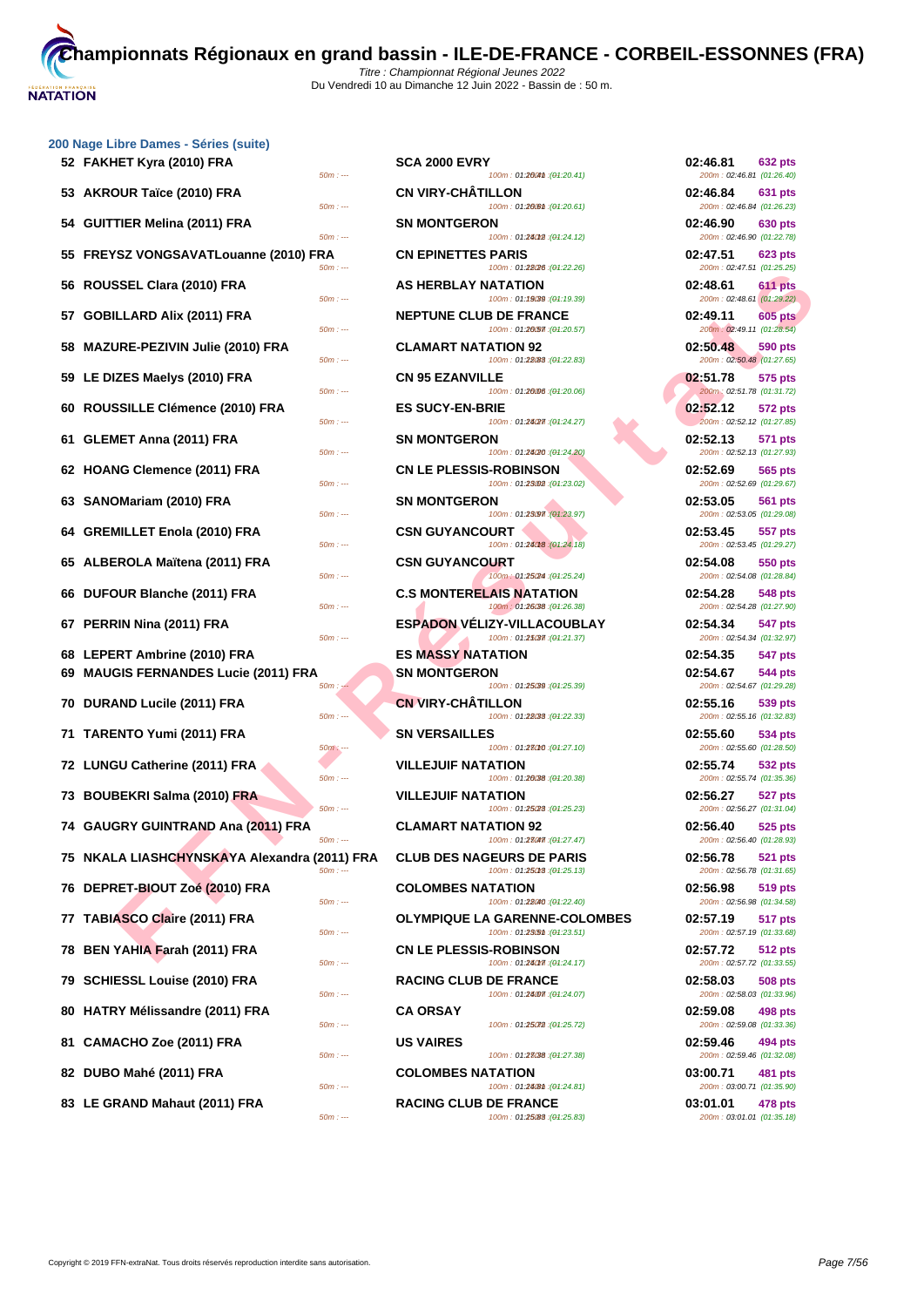| 52 FAKHET Kyra (2010) FRA<br>$50m: -$                      | <b>SCA 2000 EVRY</b><br>100m: 01:200m : (01:20.41)                | 02:46.81<br><b>632 pts</b><br>200m: 02:46.81 (01:26.40) |
|------------------------------------------------------------|-------------------------------------------------------------------|---------------------------------------------------------|
| 53 AKROUR Taïce (2010) FRA<br>$50m: -$                     | <b>CN VIRY-CHÂTILLON</b><br>100m: 01:200m : (01:20.61)            | 02:46.84<br>631 pts<br>200m: 02:46.84 (01:26.23)        |
| 54 GUITTIER Melina (2011) FRA<br>$50m: -$                  | <b>SN MONTGERON</b><br>100m: 01:24012 : (01:24.12)                | 02:46.90<br>630 pts<br>200m: 02:46.90 (01:22.78)        |
| 55 FREYSZ VONGSAVATLouanne (2010) FRA<br>$50m: -$          | <b>CN EPINETTES PARIS</b><br>100m: 01:28/26 : (01:22.26)          | 02:47.51<br><b>623 pts</b><br>200m: 02:47.51 (01:25.25) |
| 56 ROUSSEL Clara (2010) FRA<br>$50m: -$                    | AS HERBLAY NATATION<br>100m: 01:19039 : (01:19.39)                | 02:48.61<br><b>611 pts</b><br>200m: 02:48.61 (01:29.22) |
| 57 GOBILLARD Alix (2011) FRA<br>$50m: -$                   | <b>NEPTUNE CLUB DE FRANCE</b><br>100m: 01:20.57 : (01:20.57)      | 02:49.11<br><b>605 pts</b><br>200m: 02:49.11 (01:28.54) |
| 58 MAZURE-PEZIVIN Julie (2010) FRA<br>$50m: -$             | <b>CLAMART NATATION 92</b><br>100m: 01:28(88 : (04:22.83)         | 02:50.48<br>590 pts<br>200m: 02:50.48 (01:27.65)        |
| 59 LE DIZES Maelys (2010) FRA<br>$50m: -$                  | <b>CN 95 EZANVILLE</b><br>100m: 01:20006 : (01:20.06)             | 02:51.78<br>575 pts<br>200m: 02:51.78 (01:31.72)        |
| 60 ROUSSILLE Clémence (2010) FRA<br>$50m: -$               | <b>ES SUCY-EN-BRIE</b><br>100m: 01:24/27 : (01:24.27)             | 02:52.12<br>572 pts<br>200m: 02:52.12 (01:27.85)        |
| 61 GLEMET Anna (2011) FRA<br>$50m: -$                      | <b>SN MONTGERON</b><br>100m: 01:24/20 : (01:24.20)                | 02:52.13<br>571 pts<br>200m: 02:52.13 (01:27.93)        |
| 62 HOANG Clemence (2011) FRA<br>$50m: -$                   | <b>CN LE PLESSIS-ROBINSON</b><br>100m: 01:23002 : (01:23.02)      | 02:52.69<br>565 pts<br>200m: 02:52.69 (01:29.67)        |
| 63 SANOMariam (2010) FRA<br>$50m: -$                       | <b>SN MONTGERON</b><br>100m: 01:23097 : (01:23.97)                | 02:53.05<br>561 pts<br>200m: 02:53.05 (01:29.08)        |
| 64 GREMILLET Enola (2010) FRA<br>$50m: -$                  | <b>CSN GUYANCOURT</b><br>100m: 01:24018 : (01:24.18)              | 02:53.45<br>557 pts<br>200m: 02:53.45 (01:29.27)        |
| 65 ALBEROLA Maïtena (2011) FRA<br>$50m: -$                 | <b>CSN GUYANCOURT</b><br>100m: 01:250M : (01:25.24)               | 02:54.08<br>550 pts<br>200m: 02:54.08 (01:28.84)        |
| 66 DUFOUR Blanche (2011) FRA<br>$50m: -$                   | <b>C.S MONTERELAIS NATATION</b><br>100m: 01:26038 : (01:26.38)    | 02:54.28<br>548 pts<br>200m: 02:54.28 (01:27.90)        |
| 67 PERRIN Nina (2011) FRA<br>$50m: -$                      | <b>ESPADON VELIZY-VILLACOUBLAY</b><br>100m: 01:25037 : (01:21.37) | 02:54.34<br>547 pts<br>200m: 02:54.34 (01:32.97)        |
| 68 LEPERT Ambrine (2010) FRA                               | <b>ES MASSY NATATION</b>                                          | 02:54.35<br>547 pts                                     |
| 69 MAUGIS FERNANDES Lucie (2011) FRA                       | <b>SN MONTGERON</b>                                               | 02:54.67<br>544 pts                                     |
| $50m: -$                                                   | 100m: 01:25/39 : (01:25.39)                                       | 200m: 02:54.67 (01:29.28)                               |
| 70 DURAND Lucile (2011) FRA<br>$50m: -$                    | <b>CN VIRY-CHÂTILLON</b><br>100m: 01:28033: (01:22.33)            | 02:55.16<br>539 pts<br>200m: 02:55.16 (01:32.83)        |
| 71 TARENTO Yumi (2011) FRA<br>$50m: -$                     | <b>SN VERSAILLES</b><br>100m: 01:28010 : (01:27.10)               | 02:55.60<br>534 pts<br>200m: 02:55.60 (01:28.50)        |
| 72 LUNGU Catherine (2011) FRA<br>$50m: -$                  | <b>VILLEJUIF NATATION</b><br>100m: 01:26038 : (01:20.38)          | 02:55.74<br><b>532 pts</b><br>200m: 02:55.74 (01:35.36) |
| 73 BOUBEKRI Salma (2010) FRA<br>$50m: -$                   | <b>VILLEJUIF NATATION</b><br>100m: 01:25/28 : (01:25.23)          | 02:56.27<br><b>527 pts</b><br>200m: 02:56.27 (01:31.04) |
| 74 GAUGRY GUINTRAND Ana (2011) FRA<br>$50m: -$             | <b>CLAMART NATATION 92</b><br>100m: 01:28047 : (01:27.47)         | 02:56.40<br>525 pts<br>200m: 02:56.40 (01:28.93)        |
| 75   NKALA LIASHCHYNSKAYA Alexandra (2011) FRA<br>$50m: -$ | <b>CLUB DES NAGEURS DE PARIS</b><br>100m: 01:25018 : (01:25.13)   | 02:56.78<br><b>521 pts</b><br>200m: 02:56.78 (01:31.65) |
| 76 DEPRET-BIOUT Zoé (2010) FRA<br>$50m: -$                 | <b>COLOMBES NATATION</b><br>100m: 01:28040 : (01:22.40)           | 02:56.98<br>519 pts<br>200m: 02:56.98 (01:34.58)        |
| 77 TABIASCO Claire (2011) FRA<br>$50m: -$                  | OLYMPIQUE LA GARENNE-COLOMBES<br>100m: 01:23.51 : (01:23.51)      | 02:57.19<br>517 pts<br>200m: 02:57.19 (01:33.68)        |
| 78 BEN YAHIA Farah (2011) FRA<br>$50m: -$                  | <b>CN LE PLESSIS-ROBINSON</b><br>100m: 01:280m : (01:24.17)       | 02:57.72<br><b>512 pts</b><br>200m: 02:57.72 (01:33.55) |
| 79 SCHIESSL Louise (2010) FRA<br>$50m: -$                  | <b>RACING CLUB DE FRANCE</b><br>100m: 01:24.07 : (01:24.07)       | 02:58.03<br><b>508 pts</b><br>200m: 02:58.03 (01:33.96) |
| 80 HATRY Mélissandre (2011) FRA<br>$50m: -$                | CA ORSAY<br>100m: 01:25072 : (01:25.72)                           | 02:59.08<br>498 pts<br>200m: 02:59.08 (01:33.36)        |
| 81 CAMACHO Zoe (2011) FRA<br>$50m: -$                      | <b>US VAIRES</b><br>100m: 01:23038 : (04:27.38)                   | 02:59.46<br>494 pts<br>200m: 02:59.46 (01:32.08)        |
| 82 DUBO Mahé (2011) FRA<br>$50m: -$                        | <b>COLOMBES NATATION</b><br>100m: 01:24 (8th : (01:24.81)         | 03:00.71<br>481 pts<br>200m: 03:00.71 (01:35.90)        |
|                                                            |                                                                   |                                                         |

| 50m : ---             | <b>SCA 2000 EVRY</b>                            | 100m: 01:2004th: (01:20.41)                                          | 02:46.81<br>200m: 02:46.81 (01:26.40)                              | 632 pts            |
|-----------------------|-------------------------------------------------|----------------------------------------------------------------------|--------------------------------------------------------------------|--------------------|
| 50m : ---             | <b>CN VIRY-CHATILLON</b>                        | 100m: 01:200m : (01:20.61)                                           | 02:46.84<br>200m: 02:46.84 (01:26.23)                              | 631 pts            |
| $50m: -$              | <b>SN MONTGERON</b>                             | 100m: 01:24012 : (01:24.12)                                          | 02:46.90<br>200m: 02:46.90 (01:22.78)                              | 630 pts            |
| R۸<br>50m : ---       | <b>CN EPINETTES PARIS</b>                       | 100m: 01:28(26 : (01:22.26)                                          | 02:47.51<br>200m: 02:47.51 (01:25.25)                              | 623 pts            |
| $50m: -$              | <b>AS HERBLAY NATATION</b>                      | 100m: 01:19039 : (01:19.39)                                          | 02:48.61<br>200m: 02:48.61 (01:29.22)                              | 611 pts            |
| $50m: -$              | <b>NEPTUNE CLUB DE FRANCE</b>                   | 100m: 01:20.57 : (01:20.57)                                          | 02:49.11<br>200m: 02:49.11 (01:28.54)                              | 605 pts            |
| 50m : ---             | <b>CLAMART NATATION 92</b>                      | 100m: 01:28(88 : (01:22.83)                                          | 02:50.48<br>200m: 02:50.48 (01:27.65)                              | 590 pts            |
| 50m : ---             | <b>CN 95 EZANVILLE</b>                          | 100m: 01:20006 : (01:20.06)                                          | 02:51.78<br>200m: 02:51.78 (01:31.72)                              | 575 pts            |
| 50m : ---             | <b>ES SUCY-EN-BRIE</b>                          | 100m: 01:24/27 : (01:24.27)                                          | 02:52.12<br>200m: 02:52.12 (01:27.85)                              | 572 pts            |
| 50m : ---             | <b>SN MONTGERON</b>                             | 100m: 01:24/20 : (01:24.20)                                          | 02:52.13<br>200m: 02:52.13 (01:27.93)                              | <b>571 pts</b>     |
| 50m : ---             | <b>CN LE PLESSIS-ROBINSON</b>                   | 100m: 01:23002 : (01:23.02)                                          | 02:52.69<br>200m: 02:52.69 (01:29.67)                              | 565 pts            |
| 50m : ---             | <b>SN MONTGERON</b>                             | 100m: 01:23097 : (01:23.97)                                          | 02:53.05<br>200m: 02:53.05 (01:29.08)                              | <b>561 pts</b>     |
| 50m : ---             | <b>CSN GUYANCOURT</b>                           | 100m: 01:24018 : (01:24.18)                                          | 02:53.45<br>200m: 02:53.45 (01:29.27)                              | 557 pts            |
| 50m : ---             | <b>CSN GUYANCOURT</b>                           | 100m: 01:25/24 : (01:25.24)                                          | 02:54.08<br>200m: 02:54.08 (01:28.84)                              | 550 pts            |
| 50m : ---             |                                                 | <b>C.S MONTERELAIS NATATION</b><br>100m: 01:26038 : (01:26.38)       | 02:54.28<br>200m: 02:54.28 (01:27.90)                              | <b>548 pts</b>     |
| 50m : ---             |                                                 | <b>ESPADON VELIZY-VILLACOUBLAY</b><br>100m: 01:25037 : (01:21.37)    | 02:54.34<br>200m: 02:54.34 (01:32.97)                              | 547 pts            |
|                       | <b>ES MASSY NATATION</b><br><b>SN MONTGERON</b> |                                                                      | 02:54.35<br>02:54.67                                               | 547 pts<br>544 pts |
| 50m : ---             | <b>CN VIRY-CHATILLON</b>                        | 100m: 01:25039 : (01:25.39)                                          | 200m: 02:54.67 (01:29.28)<br>02:55.16                              | 539 pts            |
| 50m : ---             | <b>SN VERSAILLES</b>                            | 100m: 01:28033: (01:22.33)                                           | 200m: 02:55.16 (01:32.83)<br>02:55.60<br>200m: 02:55.60 (01:28.50) | 534 pts            |
| $50m: -$<br>50m : --- | <b>VILLEJUIF NATATION</b>                       | 100m: 01:28010 : (01:27.10)<br>100m: 01:20038 : (01:20.38)           | 02:55.74<br>200m: 02:55.74 (01:35.36)                              | 532 pts            |
| 50m : ---             | <b>VILLEJUIF NATATION</b>                       | 100m: 01:25/28 : (01:25.23)                                          | 02:56.27<br>200m: 02:56.27 (01:31.04)                              | 527 pts            |
| 50m : ---             | <b>CLAMART NATATION 92</b>                      | 100m: 01:28047. (01:27.47)                                           | 02:56.40<br>200m: 02:56.40 (01:28.93)                              | 525 pts            |
| 2011) FRA<br>$50m: -$ |                                                 | <b>CLUB DES NAGEURS DE PARIS</b><br>100m: 01:25018 : (01:25.13)      | 02:56.78<br>200m: 02:56.78 (01:31.65)                              | <b>521 pts</b>     |
| $50m: -$              | <b>COLOMBES NATATION</b>                        | 100m: 01:28040 : (01:22.40)                                          | 02:56.98<br>200m: 02:56.98 (01:34.58)                              | 519 pts            |
| 50m : ---             |                                                 | <b>OLYMPIQUE LA GARENNE-COLOMBES</b><br>100m: 01:23/5th : (01:23.51) | 02:57.19<br>200m: 02:57.19 (01:33.68)                              | 517 pts            |
| 50m : ---             | <b>CN LE PLESSIS-ROBINSON</b>                   | 100m: 01:24017 : (01:24.17)                                          | 02:57.72<br>200m: 02:57.72 (01:33.55)                              | 512 pts            |
| 50m : ---             | <b>RACING CLUB DE FRANCE</b>                    | 100m: 01:24.07 : (01:24.07)                                          | 02:58.03<br>200m: 02:58.03 (01:33.96)                              | 508 pts            |
| 50m : ---             | <b>CA ORSAY</b>                                 | 100m: 01:25072 : (01:25.72)                                          | 02:59.08<br>200m: 02:59.08 (01:33.36)                              | <b>498 pts</b>     |
| 50m : ---             | <b>US VAIRES</b>                                | 100m: 01:23038 : (01:27.38)                                          | 02:59.46<br>200m: 02:59.46 (01:32.08)                              | 494 pts            |
| 50m : ---             | <b>COLOMBES NATATION</b>                        | 100m: 01:2408 ft : (01:24.81)                                        | 03:00.71<br>200m: 03:00.71 (01:35.90)                              | 481 pts            |

**83 LE GRAND Mahaut (2011) FRA** *SOm***: .... <b>RACING CLUB DE FRANCE 03:01.01 07:35.18 03:01.01** *278 pts 800m*: **01:35.18 FACING CLUB DE FRANCE**<br>100m : 01:25.83 (01:25.83)

| 02:46.81                              | <b>632 pts</b>                                                           |
|---------------------------------------|--------------------------------------------------------------------------|
| 02:46.84<br>200m: 02:46.84 (01:26.23) | 200m: 02:46.81 (01:26.40)<br>631 pts                                     |
| 02:46.90                              | 630 pts<br>200m: 02:46.90 (01:22.78)                                     |
| 02:47.51                              | 623 pts<br>200m: 02:47.51 (01:25.25)                                     |
| 02:48.61<br>200m: 02:48.61 (01:29.22) | 611 pts                                                                  |
| 02:49.11                              | <b>605 pts</b>                                                           |
| 02:50.48                              | 200m: 02:49.11 (01:28.54)<br><b>590 pts</b><br>200m: 02:50.48 (01:27.65) |
| 02:51.78                              | 575 pts                                                                  |
| 200m: 02:51.78 (01:31.72)<br>02:52.12 | 572 pts<br>200m: 02:52.12 (01:27.85)                                     |
| 02:52.13                              | <b>571 pts</b>                                                           |
| 02:52.69<br>200m: 02:52.69 (01:29.67) | 200m: 02:52.13 (01:27.93)<br>565 pts                                     |
| 02:53.05<br>200m: 02:53.05 (01:29.08) | 561 pts                                                                  |
| 02:53.45<br>200m: 02:53.45 (01:29.27) | 557 pts                                                                  |
| 02:54.08<br>200m: 02:54.08 (01:28.84) | 550 pts                                                                  |
| 02:54.28<br>200m: 02:54.28 (01:27.90) | 548 pts                                                                  |
| 02:54.34                              | 547 pts<br>200m: 02:54.34 (01:32.97)                                     |
| 02:54.35                              | 547 pts                                                                  |
| 02:54.67                              | 544 pts<br>200m: 02:54.67 (01:29.28)                                     |
| 02:55.16                              | 539 pts<br>200m: 02:55.16 (01:32.83)                                     |
| 02:55.60<br>200m: 02:55.60 (01:28.50) | 534 pts                                                                  |
| 02:55.74                              | <b>532 pts</b><br>200m: 02:55.74 (01:35.36)                              |
| 02:56.27<br>200m: 02:56.27 (01:31.04) | 527 pts                                                                  |
| 02:56.40<br>200m: 02:56.40 (01:28.93) | $525$ pts                                                                |
| 02:56.78<br>200m: 02:56.78 (01:31.65) | 521 pts                                                                  |
| 02:56.98<br>200m: 02:56.98 (01:34.58) | <b>519 pts</b>                                                           |
| 02:57.19                              | 517 pts<br>200m: 02:57.19 (01:33.68)                                     |
| 02:57.72                              | 512 pts<br>200m: 02:57.72 (01:33.55)                                     |
| 02:58.03                              | 508 pts<br>200m: 02:58.03 (01:33.96)                                     |
| 02:59.08<br>200m: 02:59.08 (01:33.36) | 498 pts                                                                  |
| 02:59.46<br>200m: 02:59.46 (01:32.08) | <b>494 pts</b>                                                           |
| 03:00.71<br>200m: 03:00.71 (01:35.90) | 481 pts                                                                  |
| 03:01.01                              | 478 pts                                                                  |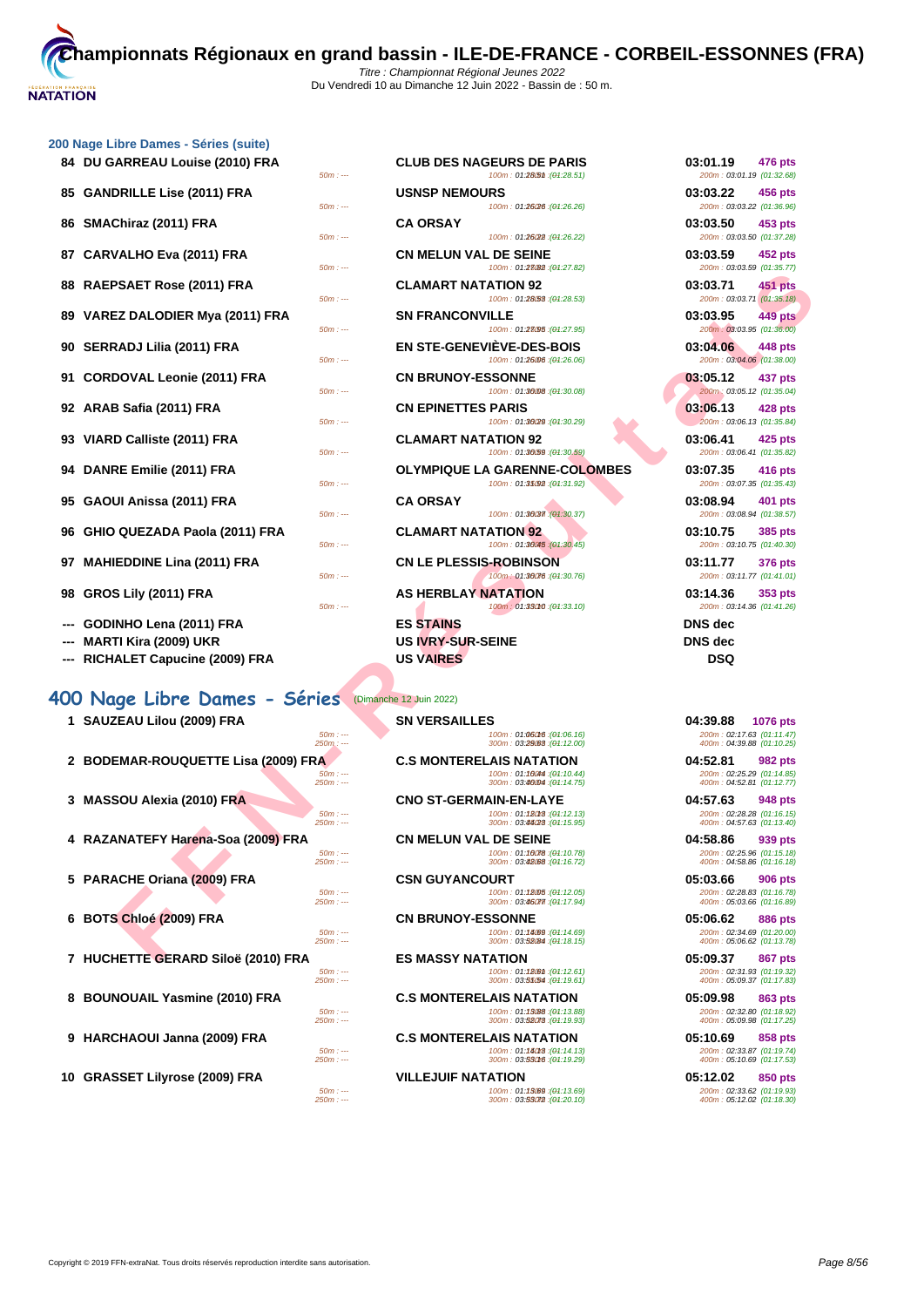| 200 Nage Libre Dames - Series (suite)                 |                                                                                                                        |                                                                                       |
|-------------------------------------------------------|------------------------------------------------------------------------------------------------------------------------|---------------------------------------------------------------------------------------|
| 84 DU GARREAU Louise (2010) FRA                       | <b>CLUB DES NAGEURS DE PARIS</b><br>100m: 01:28(5th: (01:28.51)<br>$50m: -$                                            | 03:01.19<br>476 pts<br>200m: 03:01.19 (01:32.68)                                      |
| <b>GANDRILLE Lise (2011) FRA</b><br>85                | <b>USNSP NEMOURS</b>                                                                                                   | 03:03.22<br>456 pts                                                                   |
|                                                       | 100m: 01:26/26 : (01:26.26)<br>$50m: -$                                                                                | 200m: 03:03.22 (01:36.96)                                                             |
| SMAChiraz (2011) FRA<br>86                            | <b>CA ORSAY</b><br>$50m: -$<br>100m: 01:26(22): (01:26.22)                                                             | 03:03.50<br>453 pts<br>200m: 03:03.50 (01:37.28)                                      |
| <b>CARVALHO Eva (2011) FRA</b><br>87                  | <b>CN MELUN VAL DE SEINE</b><br>100m: 01:23082 : (01:27.82)<br>$50m: -$                                                | 03:03.59<br>452 pts<br>200m: 03:03.59 (01:35.77)                                      |
| RAEPSAET Rose (2011) FRA<br>88                        | <b>CLAMART NATATION 92</b><br>100m: 01:28.53 : (01:28.53)<br>$50m: -$                                                  | 03:03.71<br>451 pts<br>200m: 03:03.71 (01:35.18)                                      |
| VAREZ DALODIER Mya (2011) FRA<br>89                   | <b>SN FRANCONVILLE</b><br>100m: 01:23095 : (01:27.95)<br>$50m: -$                                                      | 03:03.95<br>449 pts<br>200m: 03:03.95 (01:36.00)                                      |
| <b>SERRADJ Lilia (2011) FRA</b><br>90                 | <b>EN STE-GENEVIEVE-DES-BOIS</b><br>100m: 01:26006 : (01:26.06)<br>$50m: -$                                            | 03:04.06<br>448 pts<br>200m: 03:04.06 (01:38.00)                                      |
| <b>CORDOVAL Leonie (2011) FRA</b><br>91               | <b>CN BRUNOY-ESSONNE</b><br>100m: 01:36008 : (01:30.08)<br>$50m: -$                                                    | 03:05.12<br>437 pts<br>200m: 03:05.12 (01:35.04)                                      |
| ARAB Safia (2011) FRA<br>92                           | <b>CN EPINETTES PARIS</b>                                                                                              | 03:06.13<br>428 pts                                                                   |
| VIARD Calliste (2011) FRA<br>93                       | $50m: -$<br>100m: 01:36/29 : (01:30.29)<br><b>CLAMART NATATION 92</b>                                                  | 200m: 03:06.13 (01:35.84)<br>03:06.41<br>425 pts                                      |
| DANRE Emilie (2011) FRA<br>94                         | 100m: 01:36/59 : (04:30.59)<br>$50m: -$<br><b>OLYMPIQUE LA GARENNE-COLOMBES</b>                                        | 200m: 03:06.41 (01:35.82)<br>03:07.35<br>416 pts                                      |
| GAOUI Anissa (2011) FRA<br>95                         | 100m: 01:35092 : (04:31.92)<br>$50m: -$<br><b>CA ORSAY</b>                                                             | 200m: 03:07.35 (01:35.43)<br>03:08.94<br>401 pts                                      |
| GHIO QUEZADA Paola (2011) FRA<br>96                   | 100m: 01:36037 : (01:30.37)<br>$50m: -$<br><b>CLAMART NATATION 92</b>                                                  | 200m: 03:08.94 (01:38.57)<br>03:10.75<br>385 pts                                      |
| <b>MAHIEDDINE Lina (2011) FRA</b><br>97               | 100m: 01:36045 : (01:30.45)<br>$50m: -$<br><b>CN LE PLESSIS-ROBINSON</b>                                               | 200m: 03:10.75 (01:40.30)<br>03:11.77<br>376 pts                                      |
|                                                       | 100m: 01:30076 : (01:30.76)<br>$50m: -$                                                                                | 200m: 03:11.77 (01:41.01)                                                             |
| GROS Lily (2011) FRA<br>98                            | <b>AS HERBLAY NATATION</b><br>100m: 01:33010 : (01:33.10)<br>$50m: -$                                                  | 03:14.36<br>353 pts<br>200m: 03:14.36 (01:41.26)                                      |
| GODINHO Lena (2011) FRA                               | <b>ES STAINS</b>                                                                                                       | <b>DNS</b> dec                                                                        |
| MARTI Kira (2009) UKR                                 | <b>US IVRY-SUR-SEINE</b>                                                                                               | <b>DNS</b> dec                                                                        |
| <b>RICHALET Capucine (2009) FRA</b><br>---            | <b>US VAIRES</b>                                                                                                       | <b>DSQ</b>                                                                            |
|                                                       |                                                                                                                        |                                                                                       |
| 400 Nage Libre Dames - Séries (Dimanche 12 Juin 2022) |                                                                                                                        |                                                                                       |
| 1 SAUZEAU Lilou (2009) FRA                            | <b>SN VERSAILLES</b><br>$50m: -$<br>100m: 01:06016 : (01:06.16)<br>300m: 03:29:68 : (04:12.00)<br>$250m: -$            | 04:39.88<br><b>1076 pts</b><br>200m: 02:17.63 (01:11.47)<br>400m: 04:39.88 (01:10.25) |
| 2 BODEMAR-ROUQUETTE Lisa (2009) FRA                   | <b>C.S MONTERELAIS NATATION</b><br>100m: 01:10044 : (01:10.44)<br>$50m: -$<br>300m: 03:46004 : (04:14.75)<br>$250m: -$ | 04:52.81<br>982 pts<br>200m: 02:25.29 (01:14.85)<br>400m: 04:52.81 (01:12.77)         |
| 3 MASSOU Alexia (2010) FRA                            | <b>CNO ST-GERMAIN-EN-LAYE</b><br>100m: 01:18018 : (01:12.13)<br>$50m: -$                                               | 04:57.63<br>948 pts<br>200m: 02:28.28 (01:16.15)                                      |
| RAZANATEFY Harena-Soa (2009) FRA                      | 300m: 03:44/28 : (04:15.95)<br>$250m: -$<br><b>CN MELUN VAL DE SEINE</b><br>100m: 01:10078: (01:10.78)                 | 400m: 04:57.63 (01:13.40)<br>04:58.86<br>939 pts                                      |
|                                                       | $50m: -$<br>300m: 03:42088 : (04:16.72)<br>$250m: -$                                                                   | 200m: 02:25.96 (01:15.18)<br>400m: 04:58.86 (01:16.18)                                |
| 5 PARACHE Oriana (2009) FRA                           | <b>CSN GUYANCOURT</b><br>$50m: -$<br>100m: 01:18005 : (01:12.05)<br>300m: 03:46077 : (04:17.94)<br>$250m: -$           | 05:03.66<br><b>906 pts</b><br>200m: 02:28.83 (01:16.78)<br>400m: 05:03.66 (01:16.89)  |
| 6 BOTS Chloé (2009) FRA                               | <b>CN BRUNOY-ESSONNE</b>                                                                                               | 05:06.62<br>886 pts                                                                   |
|                                                       | $50m: -$<br>100m: 01:14089 : (01:14.69)<br>300m: 03:52084 : (04:18.15)<br>$250m: -$                                    | 200m: 02:34.69 (01:20.00)<br>400m: 05:06.62 (01:13.78)                                |
| 7 HUCHETTE GERARD Siloë (2010) FRA                    | <b>ES MASSY NATATION</b>                                                                                               | 05:09.37<br>867 pts                                                                   |

| 4 RAZANA IEFT Harena-S0a (2009) FRA |  |  |  |
|-------------------------------------|--|--|--|
|                                     |  |  |  |
|                                     |  |  |  |

- **6 BOTS Chloé (2009) FRA CN BRUNOY-ESSONNE 05:06.62 886 pts**
- 
- 
- **9 HARCHAOUI Janna (2009) FRA C.S MONTERELAIS NATATION 05:10.69 858 pts**

| 50m : --- | <b>CLUB DES NAGEURS DE PARIS</b><br>100m: 01:28(5th: (01:28.51)     | 03:01.19<br><b>476 pts</b><br>200m: 03:01.19 (01:32.68) |
|-----------|---------------------------------------------------------------------|---------------------------------------------------------|
| $50m: -$  | <b>USNSP NEMOURS</b><br>100m: 01:26/26 : (01:26.26)                 | 03:03.22<br>456 pts<br>200m: 03:03.22 (01:36.96)        |
| $50m: -$  | <b>CA ORSAY</b><br>100m: 01:26(22): (01:26.22)                      | 03:03.50<br>453 pts<br>200m: 03:03.50 (01:37.28)        |
| 50m : --- | <b>CN MELUN VAL DE SEINE</b><br>100m: 01:23082 : (04:27.82)         | 03:03.59<br><b>452 pts</b><br>200m: 03:03.59 (01:35.77) |
| 50m : --- | <b>CLAMART NATATION 92</b><br>100m: 01:28.53 : (04:28.53)           | 03:03.71<br>451 pts<br>200m: 03:03.71 (01:35.18)        |
| $50m: -$  | <b>SN FRANCONVILLE</b><br>100m: 01:28095 : (04:27.95)               | 03:03.95<br><b>449 pts</b><br>200m: 03:03.95 (01:36.00) |
| 50m : --- | EN STE-GENEVIÈVE-DES-BOIS<br>100m: 01:26006 : (01:26.06)            | 03:04.06<br>448 pts<br>200m: 03:04.06 (01:38.00)        |
| 50m : --- | <b>CN BRUNOY-ESSONNE</b><br>100m: 01:36008 : (01:30.08)             | 03:05.12<br>437 pts<br>200m: 03:05.12 (01:35.04)        |
| 50m : --- | <b>CN EPINETTES PARIS</b><br>100m: 01:36(29:(04:30.29)              | 03:06.13<br><b>428 pts</b><br>200m: 03:06.13 (01:35.84) |
| $50m: -$  | <b>CLAMART NATATION 92</b><br>100m: 01:30.59 : (01:30.59)           | 03:06.41<br>425 pts<br>200m: 03:06.41 (01:35.82)        |
| $50m: -$  | <b>OLYMPIQUE LA GARENNE-COLOMBES</b><br>100m: 01:35092 : (01:31.92) | 03:07.35<br>416 pts<br>200m: 03:07.35 (01:35.43)        |
| 50m : --- | <b>CA ORSAY</b><br>100m: 01:36037 : (01:30.37)                      | 03:08.94<br>401 pts<br>200m: 03:08.94 (01:38.57)        |
| 50m : --- | <b>CLAMART NATATION 92</b><br>100m: 01:36045 : (01:30.45)           | 03:10.75<br>385 pts<br>200m: 03:10.75 (01:40.30)        |
| $50m: -$  | <b>CN LE PLESSIS-ROBINSON</b><br>100m: 01:36076 : (01:30.76)        | 03:11.77<br><b>376 pts</b><br>200m: 03:11.77 (01:41.01) |
| 50m : --- | <b>AS HERBLAY NATATION</b><br>100m: 01:33010 : (01:33.10)           | 03:14.36<br>353 pts<br>200m: 03:14.36 (01:41.26)        |
|           | <b>ES STAINS</b><br><b>US IVRY-SUR-SEINE</b><br><b>US VAIRES</b>    | <b>DNS</b> dec<br><b>DNS</b> dec<br><b>DSQ</b>          |

| <b>I</b> SAUZEAU LIIUU (2003) FRA                  |                         | ON VEROAILLES                                             | V4.JJ.OO<br><b>TUTU PLS</b>                            |
|----------------------------------------------------|-------------------------|-----------------------------------------------------------|--------------------------------------------------------|
|                                                    | $50m: --$<br>$250m: -$  | 100m: 01:060M6:(04:06.16)<br>300m : 03.29663 : (04:12.00) | 200m: 02:17.63 (01:11.47)<br>400m: 04:39.88 (01:10.25) |
| 2 BODEMAR-ROUQUETTE Lisa (2009) FRA                |                         | <b>C.S MONTERELAIS NATATION</b>                           | 04:52.81<br>982 pts                                    |
|                                                    | $50m: --$<br>$250m: --$ | 100m: 01:16044:(04:10.44)<br>300m : 03.46094 : (04.14.75) | 200m: 02:25.29 (01:14.85)<br>400m: 04:52.81 (01:12.77) |
| 3 MASSOU Alexia (2010) FRA                         |                         | <b>CNO ST-GERMAIN-EN-LAYE</b>                             | 04:57.63<br>948 pts                                    |
|                                                    | $50m: -$<br>$250m: --$  | 100m: 01:12013:(04:12.13)<br>300m : 03.4423 : (04:15.95)  | 200m: 02:28.28 (01:16.15)<br>400m: 04:57.63 (01:13.40) |
| 4 RAZANATEFY Harena-Soa (2009) FRA                 |                         | <b>CN MELUN VAL DE SEINE</b>                              | 04:58.86<br>939 pts                                    |
|                                                    | $50m: --$<br>$250m: --$ | 100m: 01:16078:(04:10.78)<br>300m : 03.42668 : (04:16.72) | 200m: 02:25.96 (01:15.18)<br>400m: 04:58.86 (01:16.18) |
| 5 PARACHE Oriana (2009) FRA                        |                         | <b>CSN GUYANCOURT</b>                                     | 05:03.66<br><b>906 pts</b>                             |
|                                                    | $50m: -$<br>$250m: --$  | 100m: 01:12005:(04:12.05)<br>300m: 03.460m/(04.17.94)     | 200m: 02:28.83 (01:16.78)<br>400m: 05:03.66 (01:16.89) |
| $P^{\text{max}}$ $P^{\text{max}}$ $P^{\text{max}}$ |                         |                                                           | <br>$\sim$ $\sim$ $\sim$                               |

**7 HUCHETTE GERARD Siloë (2010) FRA ES MASSY NATATION 100m**: 01:12.61) **100m**: 01:12.61) **05:09.37 06:09.37 06:09.37 06:09.37 10:12.81 10:12.61 10:12.61 10:12.61 10:12.61 10:12.61 10:12.61 10:12** 50m : --- 100m : 01:12.6150m : --- (01:12.61) 200m : 02:31.93 (01:19.32) 250m : --- 300m : 03:51.54 350m : --- (01:19.61) 400m : 05:09.37 (01:17.83)

**8 BOUNOUAIL Yasmine (2010) FRA C.S MONTERELAIS NATATION 05:09.98 05:09.98 863 pts**<br> **8 07:15.82) 05:09.98 01:15.82) 10:09.18 <b>01:18.92) 10:09.18** <br> **8 01:17.25) 01:09.38 01:09.38 01:09.38 01:**  $\begin{array}{l} 50m: \cdots \\ 50m: \cdots \end{array} \qquad \qquad \begin{array}{l} 100m: \ \ 01:1\textbf{3.080} \ \textcolor{red}{:} (94:13.88) \ \textcolor{red}{:} (94:19.93) \ \textcolor{red}{:} (94:19.93) \ \textcolor{red}{:} (94:19.93) \ \textcolor{red}{:} (94:19.93) \ \textcolor{red}{:} (94:19.93) \ \textcolor{red}{:} (94:19.93) \ \textcolor{red}{:} (94:19.19.1) \ \$ 

50m : --- 100m : 01:14.1350m : --- (01:14.13) 200m : 02:33.87 (01:19.74) 250m : --- 300m : 03:53.16 350m : --- (01:19.29) 400m : 05:10.69 (01:17.53)

**10 GRASSET Lilyrose (2009) FRA VILLEJUIF NATATION 100m: 01:13.69 05:12.02 05:12.02 05:12.02 05:12.02 05:12.02 05:12.02 05:12.02 01:19.93)**<br> **250m: --- 250m: --- 250m: --- 250m: --- 250m: ---**50m : --- 100m : 01:13.6950m : --- (01:13.69) 200m : 02:33.62 (01:19.93) 250m : --- 300m : 03:53.72 350m : --- (01:20.10) 400m : 05:12.02 (01:18.30)

| 03.01.19 4/0 pts<br>200m: 03:01.19 (01:32.68) |         |
|-----------------------------------------------|---------|
| 03:03.22 456 pts<br>200m: 03:03.22 (01:36.96) |         |
| 03:03.50 453 pts<br>200m: 03:03.50 (01:37.28) |         |
| 03:03.59 452 pts<br>200m: 03:03.59 (01:35.77) |         |
| 03:03.71<br>200m: 03:03.71 (01:35.18)         | 451 pts |
| 03:03.95 449 pts<br>200m: 03:03.95 (01:36.00) |         |
| 03:04.06 448 pts<br>200m: 03:04.06 (01:38.00) |         |
| 03:05.12 437 pts<br>200m: 03:05.12 (01:35.04) |         |
| 03:06.13 428 pts<br>200m: 03:06.13 (01:35.84) |         |
| 03:06.41 425 pts<br>200m: 03:06.41 (01:35.82) |         |
| 03:07.35 416 pts<br>200m: 03:07.35 (01:35.43) |         |
| 03:08.94 401 pts<br>200m: 03:08.94 (01:38.57) |         |
| 03:10.75 385 pts<br>200m: 03:10.75 (01:40.30) |         |
| 03:11.77 376 pts<br>200m: 03:11.77 (01:41.01) |         |
| 03:14.36 353 pts<br>200m: 03:14.36 (01:41.26) |         |
| <b>DNS</b> dec<br>DNS dec                     |         |
| DSQ                                           |         |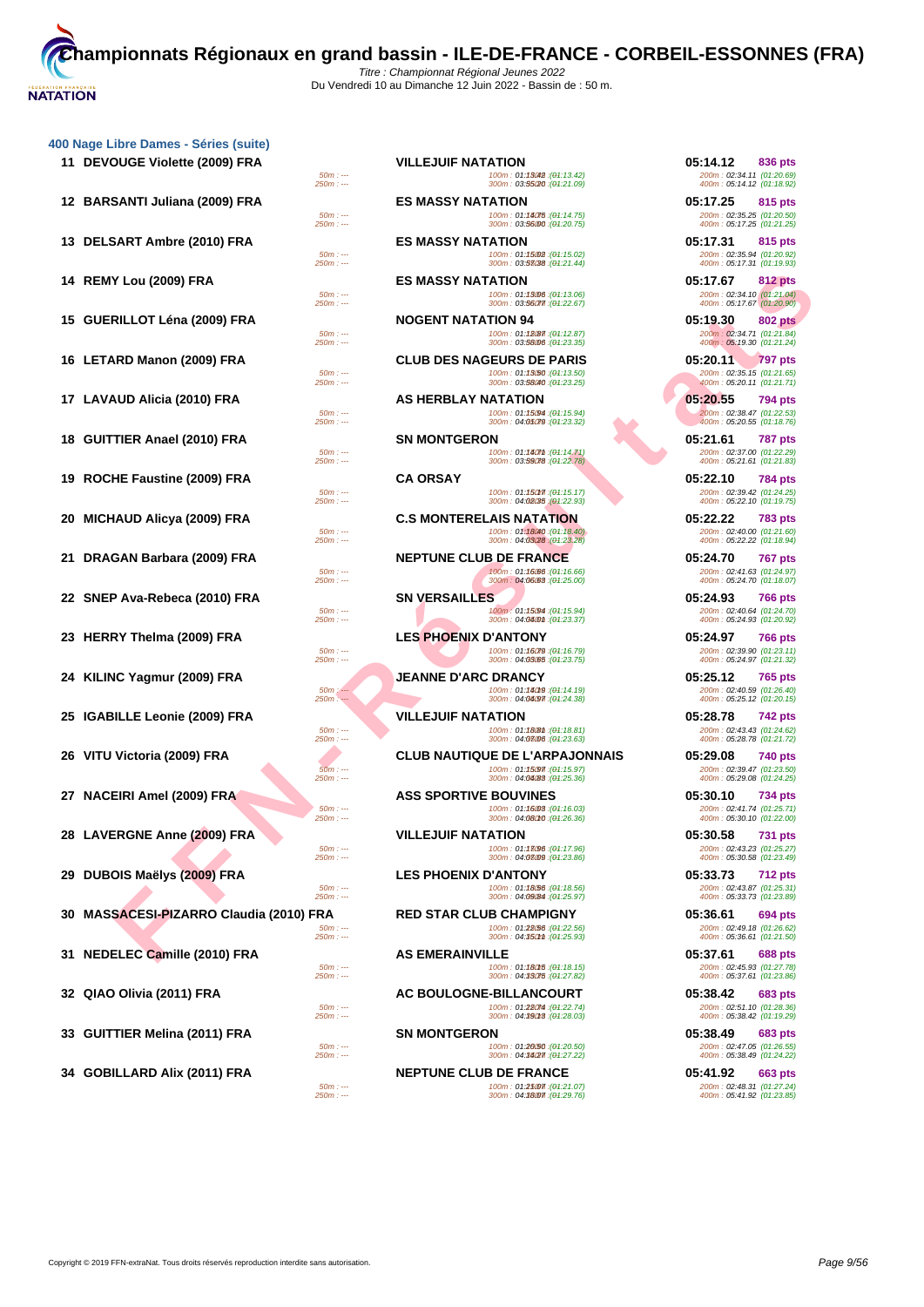|    | 400 Nage Libre Dames - Séries (suite)<br>11 DEVOUGE Violette (2009) FRA |                          | <b>VILLEJUIF NATATION</b>    |                                                                                                     | 05:14.12                                                           | 836 pts        |
|----|-------------------------------------------------------------------------|--------------------------|------------------------------|-----------------------------------------------------------------------------------------------------|--------------------------------------------------------------------|----------------|
|    |                                                                         | $50m: -$<br>$250m: -$    |                              | 100m: 01:13042 : (01:13.42)<br>300m: 03:55/20 : (04:21.09)                                          | 200m: 02:34.11 (01:20.69)<br>400m: 05:14.12 (01:18.92)             |                |
|    | 12 BARSANTI Juliana (2009) FRA                                          | $50m: -$<br>$250m: -$    | <b>ES MASSY NATATION</b>     | 100m: 01:18075 : (01:14.75)<br>300m: 03:56000 : (04:20.75)                                          | 05:17.25<br>200m: 02:35.25 (01:20.50)<br>400m: 05:17.25 (01:21.25) | 815 pts        |
|    | 13 DELSART Ambre (2010) FRA                                             | $50m: -$                 | <b>ES MASSY NATATION</b>     | 100m: 01:15002: (04:15.02)                                                                          | 05:17.31<br>200m: 02:35.94 (01:20.92)                              | 815 pts        |
|    | 14 REMY Lou (2009) FRA                                                  | $250m: -$<br>$50m: -$    | <b>ES MASSY NATATION</b>     | 300m: 03:53038 : (04:21.44)                                                                         | 400m: 05:17.31 (01:19.93)<br>05:17.67                              | 812 pts        |
|    | 15 GUERILLOT Léna (2009) FRA                                            | $250m: -$                | <b>NOGENT NATATION 94</b>    | 100m: 01:13006 : (01:13.06)<br>300m: 03:56077. (04:22.67)                                           | 200m: 02:34.10 (01:21.04)<br>400m: 05:17.67 (01:20.90)<br>05:19.30 | <b>802 pts</b> |
|    |                                                                         | $50m: -$<br>$250m: -$    |                              | 100m: 01:18087 : (01:12.87)<br>300m: 03:58006 : (04:23.35)                                          | 200m: 02:34.71 (01:21.84)<br>400m: 05:19.30 (01:21.24)             |                |
|    | 16 LETARD Manon (2009) FRA                                              | $50m: -$<br>$250m: -$    |                              | <b>CLUB DES NAGEURS DE PARIS</b><br>100m: 01:13.50 : (01:13.50)<br>300m: 03:58040 : (04:23.25)      | 05:20.11<br>200m: 02:35.15 (01:21.65)<br>400m: 05:20.11 (01:21.71) | 797 pts        |
|    | 17 LAVAUD Alicia (2010) FRA                                             | $50m: -$                 | AS HERBLAY NATATION          | 100m: 01:15094 : (01:15.94)                                                                         | 05:20.55<br>200m: 02:38.47 (01:22.53)                              | 794 pts        |
| 18 | <b>GUITTIER Anael (2010) FRA</b>                                        | $250m: -$<br>$50m: -$    | <b>SN MONTGERON</b>          | 300m: 04:05079 : (04:23.32)<br>100m: 01:180mm: (01:14.71)                                           | 400m: 05:20.55 (01:18.76)<br>05:21.61<br>200m: 02:37.00 (01:22.29) | 787 pts        |
|    |                                                                         | $250m: -$                |                              | 300m: 03:59078 : (01:22.78)                                                                         | 400m: 05:21.61 (01:21.83)                                          |                |
|    | 19 ROCHE Faustine (2009) FRA                                            | $50m: -$<br>$250m: -$    | <b>CA ORSAY</b>              | 100m: 01:150m7: (01:15.17)<br>300m: 04:02035 : (01:22.93)                                           | 05:22.10<br>200m: 02:39.42 (01:24.25)<br>400m: 05:22.10 (01:19.75) | 784 pts        |
| 20 | <b>MICHAUD Alicya (2009) FRA</b>                                        | $50m: -$                 |                              | <b>C.S MONTERELAIS NATATION</b><br>100m: 01:18040: (01:18.40)                                       | 05:22.22<br>200m: 02:40.00 (01:21.60)                              | 783 pts        |
| 21 | DRAGAN Barbara (2009) FRA                                               | $250m: -$                |                              | 300m: 04:03/28 : (01:23.28)<br><b>NEPTUNE CLUB DE FRANCE</b>                                        | 400m: 05:22.22 (01:18.94)<br>05:24.70                              | 767 pts        |
|    |                                                                         | $50m: -$<br>$250m: -$    |                              | 100m: 01:16:06 : (01:16.66)<br>300m: 04:06:03 : (01:25.00)                                          | 200m: 02:41.63 (01:24.97)<br>400m: 05:24.70 (01:18.07)             |                |
| 22 | SNEP Ava-Rebeca (2010) FRA                                              | $50m: -$<br>$250m: -$    | <b>SN VERSAILLES</b>         | 100m: 01:15094 : (01:15.94)<br>300m: 04:04:04:01: (04:23.37)                                        | 05:24.93<br>200m: 02:40.64 (01:24.70)<br>400m: 05:24.93 (01:20.92) | 766 pts        |
|    | 23 HERRY Thelma (2009) FRA                                              | $50m: -$                 | LES PHOENIX D'ANTONY         | 100m: 01:16079 : (01:16.79)                                                                         | 05:24.97<br>200m: 02:39.90 (01:23.11)                              | 766 pts        |
|    | 24 KILINC Yagmur (2009) FRA                                             | $250m: -$                | JEANNE D'ARC DRANCY          | 300m: 04:03.05 : (04:23.75)                                                                         | 400m: 05:24.97 (01:21.32)<br>05:25.12                              | 765 pts        |
|    |                                                                         | $50m$ : ---<br>$250m: -$ |                              | 100m: 01:18019 : (01:14.19)<br>300m: 04:04/97 : (04:24.38)                                          | 200m: 02:40.59 (01:26.40)<br>400m: 05:25.12 (01:20.15)             |                |
|    | 25 IGABILLE Leonie (2009) FRA                                           | $50m: -$<br>$250m: -$    | <b>VILLEJUIF NATATION</b>    | 100m: 01:180m: (01:18.81)<br>300m: 04:08006 : (04:23.63)                                            | 05:28.78<br>200m: 02:43.43 (01:24.62)<br>400m: 05:28.78 (01:21.72) | 742 pts        |
| 26 | VITU Victoria (2009) FRA                                                | $50m: -$<br>$250m: -$    |                              | <b>CLUB NAUTIQUE DE L'ARPAJONNAIS</b><br>100m: 01:15097 : (01:15.97)<br>300m: 04:04:88 : (04:25.36) | 05:29.08<br>200m: 02:39.47 (01:23.50)                              | 740 pts        |
|    | 27 NACEIRI Amel (2009) FRA                                              | $50m: -$                 | <b>ASS SPORTIVE BOUVINES</b> | 100m: 01:16008 : (04:16.03)                                                                         | 400m: 05:29.08 (01:24.25)<br>05:30.10<br>200m: 02:41.74 (01:25.71) | 734 pts        |
|    | 28 LAVERGNE Anne (2009) FRA                                             | 250m : ---               | <b>VILLEJUIF NATATION</b>    | 300m : 04:08010 :(04:26.36)                                                                         | 400m: 05:30.10 (01:22.00)<br>05:30.58                              | 731 pts        |
|    |                                                                         | $50m: -$<br>$250m: -$    |                              | 100m: 01:13096 : (01:17.96)<br>300m: 04:0809 : (04:23.86)                                           | 200m: 02:43.23 (01:25.27)<br>400m: 05:30.58 (01:23.49)             |                |
| 29 | DUBOIS Maëlys (2009) FRA                                                | $50m: -$<br>$250m: -$    | <b>LES PHOENIX D'ANTONY</b>  | 100m: 01:18(56 : (01:18.56)<br>300m: 04:09/84 : (01:25.97)                                          | 05:33.73<br>200m: 02:43.87 (01:25.31)<br>400m: 05:33.73 (01:23.89) | <b>712 pts</b> |
| 30 | <b>MASSACESI-PIZARRO Claudia (2010) FRA</b>                             | 50m : ---                |                              | <b>RED STAR CLUB CHAMPIGNY</b><br>100m: 01:28/56 : (01:22.56)                                       | 05:36.61<br>200m: 02:49.18 (01:26.62)                              | 694 pts        |
|    | 31 NEDELEC Camille (2010) FRA                                           | $250m: -$                | <b>AS EMERAINVILLE</b>       | 300m: 04:350mm : (04:25.93)                                                                         | 400m: 05:36.61 (01:21.50)<br>05:37.61                              | 688 pts        |
|    |                                                                         | $50m: -$<br>$250m: -$    |                              | 100m: 01:180f5 : (01:18.15)<br>300m: 04:33075 : (04:27.82)                                          | 200m: 02:45.93 (01:27.78)<br>400m: 05:37.61 (01:23.86)             |                |
| 32 | QIAO Olivia (2011) FRA                                                  | $50m: -$<br>$250m: -$    |                              | <b>AC BOULOGNE-BILLANCOURT</b><br>100m: 01:28074 : (01:22.74)                                       | 05:38.42<br>200m: 02:51.10 (01:28.36)                              | 683 pts        |
| 33 | <b>GUITTIER Melina (2011) FRA</b>                                       | $50m: -$                 | <b>SN MONTGERON</b>          | 300m: 04:39013 : (01:28.03)<br>100m: 01:26/50 : (01:20.50)                                          | 400m: 05:38.42 (01:19.29)<br>05:38.49<br>200m: 02:47.05 (01:26.55) | 683 pts        |
|    | 34 GOBILLARD Alix (2011) FRA                                            | $250m: -$                |                              | 300m: 04:34/27 : (04:27.22)<br><b>NEPTUNE CLUB DE FRANCE</b>                                        | 400m: 05:38.49 (01:24.22)<br>05:41.92                              | 663 pts        |
|    |                                                                         |                          |                              |                                                                                                     |                                                                    |                |

| ibre Dames - Séries (suite).      |                        |                                                                                 |                                                         |
|-----------------------------------|------------------------|---------------------------------------------------------------------------------|---------------------------------------------------------|
| <b>OUGE Violette (2009) FRA</b>   |                        | <b>VILLEJUIF NATATION</b>                                                       | 05:14.12<br>836 pts                                     |
|                                   | $50m: -$<br>$250m: -$  | (04:13.42): 100m: 01:13.000<br>300m: 03:55/20 : (04:21.09)                      | 200m: 02:34.11 (01:20.69)<br>400m: 05:14.12 (01:18.92)  |
|                                   |                        |                                                                                 |                                                         |
| SANTI Juliana (2009) FRA          | $50m: -$               | <b>ES MASSY NATATION</b><br>100m: 01:18075 : (01:14.75)                         | 05:17.25<br>815 pts<br>200m: 02:35.25 (01:20.50)        |
|                                   | $250m: -$              | 300m: 03:56000 : (04:20.75)                                                     | 400m: 05:17.25 (01:21.25)                               |
| SART Ambre (2010) FRA             |                        | <b>ES MASSY NATATION</b>                                                        | 05:17.31<br>815 pts                                     |
|                                   | $50m: -$<br>$250m: -$  | 100m: 01:15002 : (01:15.02)<br>300m: 03:58038 : (01:21.44)                      | 200m: 02:35.94 (01:20.92)<br>400m: 05:17.31 (01:19.93)  |
| Y Lou (2009) FRA                  |                        | <b>ES MASSY NATATION</b>                                                        | 05:17.67<br><b>812 pts</b>                              |
|                                   | $50m: -$               | 100m: 01:13006 : (01:13.06)                                                     | 200m: 02:34.10 (01:21.04)                               |
|                                   | $250m: -$              | 300m: 03:56077 : (04:22.67)                                                     | 400m: 05:17.67 (01:20.90)                               |
| RILLOT Léna (2009) FRA            |                        | <b>NOGENT NATATION 94</b>                                                       | 05:19.30<br><b>802 pts</b>                              |
|                                   | $50m: -$<br>$250m: -$  | 100m: 01:18087 : (01:12.87)<br>300m: 03:58006 : (04:23.35)                      | 200m: 02:34.71 (01:21.84)<br>400m: 05:19.30 (01:21.24)  |
| <b>ARD Manon (2009) FRA</b>       |                        | <b>CLUB DES NAGEURS DE PARIS</b>                                                | 05:20.11<br><b>797 pts</b>                              |
|                                   | $50m: -$               | 100m: 01:13.50 : (01:13.50)                                                     | 200m: 02:35.15 (01:21.65)                               |
|                                   | $250m: -$              | 300m: 03:58040 : (04:23.25)                                                     | 400m: 05:20.11 (01:21.71)                               |
| AUD Alicia (2010) FRA             | $50m: -$               | <b>AS HERBLAY NATATION</b><br>100m: 01:15094 : (01:15.94)                       | 05:20.55<br>794 pts<br>200m: 02:38.47 (01:22.53)        |
|                                   | $250m: -$              | 300m: 04:05079 : (01:23.32)                                                     | 400m: 05:20.55 (01:18.76)                               |
| TIER Anael (2010) FRA             |                        | <b>SN MONTGERON</b>                                                             | 05:21.61<br><b>787 pts</b>                              |
|                                   | $50m: -$<br>$250m: -$  | 100m: 01:180mm: (01:14.71)<br>300m: 03:59078 : (01:22.78)                       | 200m: 02:37.00 (01:22.29)<br>400m: 05:21.61 (01:21.83)  |
| HE Faustine (2009) FRA            | <b>CA ORSAY</b>        |                                                                                 | 05:22.10                                                |
|                                   | $50m: -$               | 100m: 01:150m7: (01:15.17)                                                      | <b>784 pts</b><br>200m: 02:39.42 (01:24.25)             |
|                                   | $250m: --$             | 300m: 04:02035;(01:22.93)                                                       | 400m: 05:22.10 (01:19.75)                               |
| IAUD Alicya (2009) FRA            |                        | <b>C.S MONTERELAIS NATATION</b>                                                 | 05:22.22<br><b>783 pts</b>                              |
|                                   | $50m: -$<br>$250m: -$  | 100m: 01:18040 : (01:18.40)<br>300m: 04:03/28 : (01:23.28)                      | 200m: 02:40.00 (01:21.60)<br>400m: 05:22.22 (01:18.94)  |
| GAN Barbara (2009) FRA            |                        | <b>NEPTUNE CLUB DE FRANCE</b>                                                   | 05:24.70<br><b>767 pts</b>                              |
|                                   | $50m: -$               | 100m: 01:16.66 : (01:16.66)                                                     | 200m: 02:41.63 (01:24.97)                               |
|                                   | $250m: -$              | 300m: 04:06/63 : (01:25.00)                                                     | 400m: 05:24.70 (01:18.07)                               |
| P Ava-Rebeca (2010) FRA           |                        | <b>SN VERSAILLES</b>                                                            | 05:24.93<br><b>766 pts</b>                              |
|                                   | $50m: -$<br>$250m: -$  | 100m: 01:15094 : (01:15.94)<br>300m: 04:040m : (04:23.37)                       | 200m: 02:40.64 (01:24.70)<br>400m: 05:24.93 (01:20.92)  |
| RY Thelma (2009) FRA              |                        | <b>LES PHOENIX D'ANTONY</b>                                                     | 05:24.97<br><b>766 pts</b>                              |
|                                   | $50m: -$<br>$250m: --$ | 100m: 01: <b>16079</b> : ( <del>0</del> 1:16.79)<br>300m: 04:03.05 : (04:23.75) | 200m: 02:39.90 (01:23.11)<br>400m: 05:24.97 (01:21.32)  |
|                                   |                        | <b>JEANNE D'ARC DRANCY</b>                                                      | 05:25.12                                                |
| IC Yagmur (2009) FRA              | $50m$ : ---            | 100m: 01:14019 : (01:14.19)                                                     | 765 pts<br>200m: 02:40.59 (01:26.40)                    |
|                                   | $250m: --$             | 300m: 04:04/977 : (01:24.38)                                                    | 400m: 05:25.12 (01:20.15)                               |
| <b>IILLE Leonie (2009) FRA</b>    |                        | <b>VILLEJUIF NATATION</b>                                                       | 05:28.78<br>742 pts                                     |
|                                   | $50m: -$<br>$250m: -$  | 100m: 01:1808m: (01:18.81)<br>300m: 04:08006 : (01:23.63)                       | 200m: 02:43.43 (01:24.62)<br>400m: 05:28.78 (01:21.72)  |
| Victoria (2009) FRA               |                        | <b>CLUB NAUTIQUE DE L'ARPAJONNAIS</b>                                           | 05:29.08<br>740 pts                                     |
|                                   | $50m: -$               | 100m: 01:15097 : (01:15.97)                                                     | 200m: 02:39.47 (01:23.50)                               |
|                                   | $250m: -$              | 300m: 04:04/88 : (01:25.36)                                                     | 400m: 05:29.08 (01:24.25)                               |
| EIRI Amel (2009) FRA              |                        | <b>ASS SPORTIVE BOUVINES</b>                                                    | 05:30.10<br>734 pts                                     |
|                                   | $50m: -$<br>$250m: --$ | 100m: 01:16008 : (01:16.03)<br>300m: 04:08010 : (01:26.36)                      | 200m: 02:41.74 (01:25.71)<br>400m: 05:30.10 (01:22.00)  |
| ERGNE Anne (2009) FRA             |                        | <b>VILLEJUIF NATATION</b>                                                       | 05:30.58<br><b>731 pts</b>                              |
|                                   | $50m: -$               | 100m: 01:13096 : (01:17.96)<br>300m: 04:0709 : (01:23.86)                       | 200m: 02:43.23 (01:25.27)                               |
|                                   | $250m: -$              |                                                                                 | 400m: 05:30.58 (01:23.49)                               |
| OIS Maëlys (2009) FRA             | $50m: -$               | <b>LES PHOENIX D'ANTONY</b><br>100m: 01:18/56 : (01:18.56)                      | 05:33.73<br><b>712 pts</b><br>200m: 02:43.87 (01:25.31) |
|                                   | $250m: -$              | 300m: 04:09084 : (01:25.97)                                                     | 400m: 05:33.73 (01:23.89)                               |
| SACESI-PIZARRO Claudia (2010) FRA |                        | <b>RED STAR CLUB CHAMPIGNY</b>                                                  | 05:36.61<br>694 pts                                     |
|                                   | $50m: -$<br>$250m: --$ | 100m: 01:28/56 : (01:22.56)<br>300m: 04:350mm : (01:25.93)                      | 200m: 02:49.18 (01:26.62)<br>400m: 05:36.61 (01:21.50)  |
| ELEC Camille (2010) FRA           |                        | <b>AS EMERAINVILLE</b>                                                          | 05:37.61<br><b>688 pts</b>                              |
|                                   | $50m: -$               | 100m: 01:180f5 : (01:18.15)                                                     | 200m: 02:45.93 (01:27.78)                               |
|                                   | $250m: --$             | 300m: 04:33075 : (01:27.82)                                                     | 400m: 05:37.61 (01:23.86)                               |
| <b>Olivia (2011) FRA</b>          |                        | <b>AC BOULOGNE-BILLANCOURT</b>                                                  | 05:38.42<br>683 pts                                     |
|                                   | $50m: -$<br>$250m: -$  | 100m: 01:28074 : (01:22.74)<br>300m: 04:39013 : (04:28.03)                      | 200m: 02:51.10 (01:28.36)<br>400m: 05:38.42 (01:19.29)  |
| 'TIER Melina (2011) FRA           |                        | <b>SN MONTGERON</b>                                                             | 05:38.49<br><b>683 pts</b>                              |
|                                   | $50m: -$               | 100m: 01: <b>26/50</b> : ( <del>0</del> 1:20.50)                                | 200m: 02:47.05 (01:26.55)                               |
|                                   | $250m: -$              | 300m: 04:34027.(04:27.22)                                                       | 400m: 05:38.49 (01:24.22)                               |

**30m : 341.92 Som : 30m : IODILAR CLUB DE FRANCE 100m : 01:2500 : 101:250 pts**<br>**300m : 04:3800 : (91:22.107) 101:250** <br>**300m : 04:3800 : (91:29.76) 101:250 400m : 05:41.92** (01:23.85) 50m : --- 100m : 01:21.07 150m : --- (01:21.07) 200m : 02:48.31 (01:27.24) 250m : --- 300m : 04:18.07 350m : --- (01:29.76) 400m : 05:41.92 (01:23.85)

 **BARSANTI Juliana (2009) FRA ES MASSY NATATION 05:17.25 815 pts DELSART Ambre (2010) FRA ES MASSY NATATION 05:17.31 815 pts REMY Lou (2009) FRA ES MASSY NATATION 05:17.67 812 pts 15 15 802 pts LETARD Manon (2009) FRA CLUB DES NAGEURS DE PARIS 05:20.11 797 pts 1794 pts GUITTIER Anael (2010) FRA SN MONTGERON 05:21.61 787 pts ROCHE Faustine (2009) FRA CA ORSAY 05:22.10 784 pts DRAGAN Barbara (2009) FRA NEPTUNE CLUB DE FRANCE 05:24.70 767 pts SNEP Ava-Rebeca (2010) FRA SN VERSAILLES 05:24.93 766 pts HERRY Thelma (2009) FRA LES PHOENIX D'ANTONY 05:24.97 766 pts KILINC Yagmur (2009) FRA JEANNE D'ARC DRANCY 05:25.12 765 pts IGABILLE Leonie (2009) FRA VILLEJUIF NATATION 05:28.78 742 pts NACEIRI Amel (2009) FRA ASS SPORTIVE BOUVINES 05:30.10 734 pts NEDELEC Camille (2010) FRA AS EMERAINVILLE 05:37.61 688 pts GUITTIER Melina (2011) FRA SN MONTGERON 05:38.49 683 pts**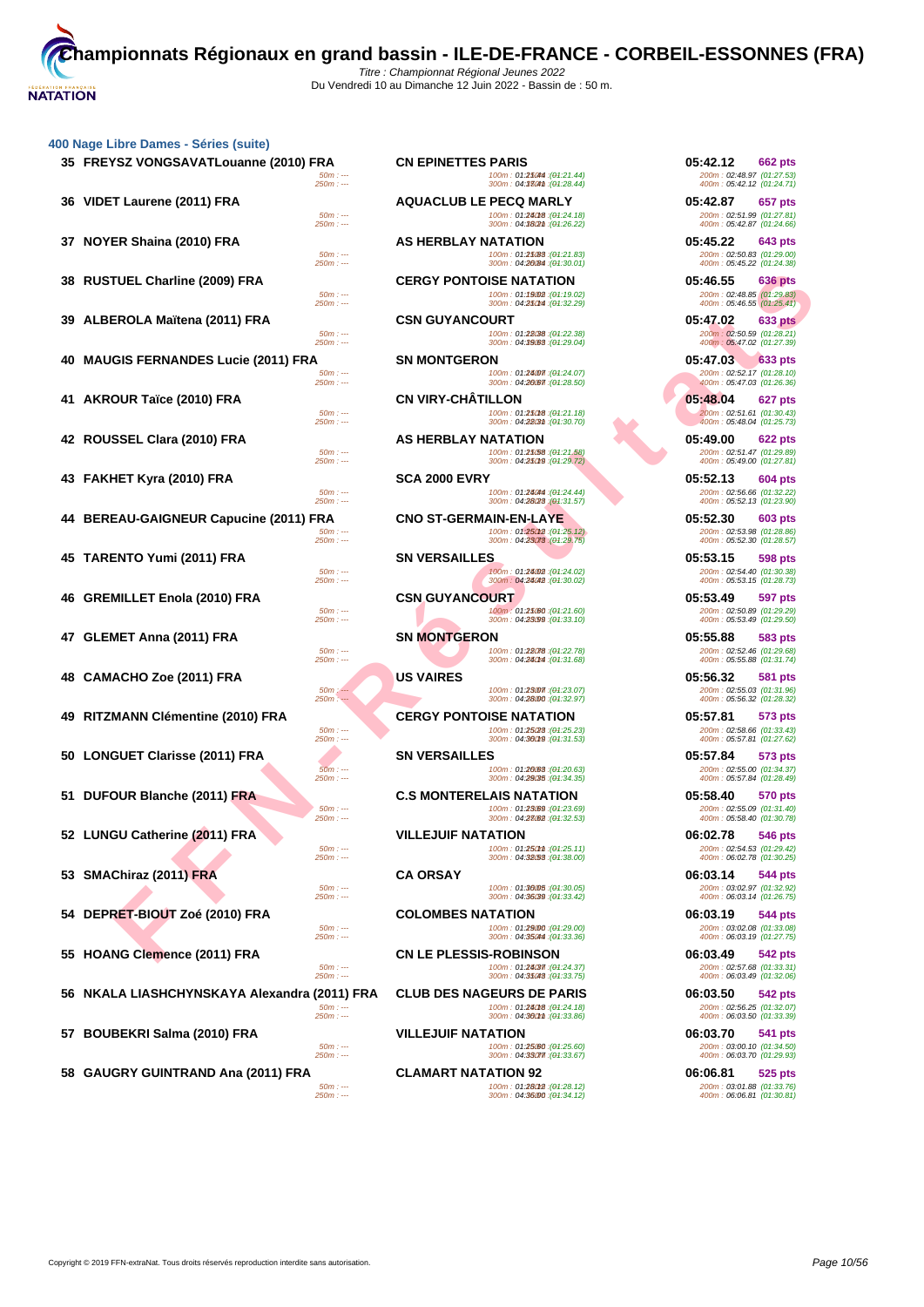|    | 35 FREYSZ VONGSAVATLouanne (2010) FRA<br>$50m: -$       | <b>CN EPINETTES PARIS</b><br>100m: 01:25044 : (01:21.44)                                    | 05:42.12<br>662 pts<br>200m: 02:48.97 (01:27.53)                              |
|----|---------------------------------------------------------|---------------------------------------------------------------------------------------------|-------------------------------------------------------------------------------|
|    | $250m: -$                                               | 300m: 04:3304m: (01:28.44)                                                                  | 400m: 05:42.12 (01:24.71)                                                     |
|    | 36 VIDET Laurene (2011) FRA<br>$50m: -$<br>$250m: -$    | <b>AQUACLUB LE PECQ MARLY</b><br>100m: 01:24018 : (01:24.18)<br>300m: 04:38(2m : (01:26.22) | 05:42.87<br>657 pts<br>200m: 02:51.99 (01:27.81)<br>400m: 05:42.87 (01:24.66) |
|    | 37 NOYER Shaina (2010) FRA                              | <b>AS HERBLAY NATATION</b>                                                                  | 05:45.22<br>643 pts                                                           |
|    | $50m: -$<br>$250m: -$                                   | 100m: 01:25(88 : (01:21.83)<br>300m: 04:20084 : (01:30.01)                                  | 200m: 02:50.83 (01:29.00)<br>400m: 05:45.22 (01:24.38)                        |
|    | 38 RUSTUEL Charline (2009) FRA<br>$50m: -$<br>$250m: -$ | <b>CERGY PONTOISE NATATION</b><br>100m: 01:19002 : (01:19.02)<br>300m: 04:250m : (04:32.29) | 05:46.55<br>636 pts<br>200m: 02:48.85 (01:29.83)<br>400m: 05:46.55 (01:25.41) |
|    | 39 ALBEROLA Maïtena (2011) FRA                          | <b>CSN GUYANCOURT</b>                                                                       | 05:47.02<br>633 pts                                                           |
|    | $50m: -$<br>$250m: -$                                   | 100m: 01:28038 : (01:22.38)<br>300m: 04:39.083 : (04:29.04)                                 | 200m: 02:50.59 (01:28.21)<br>400m: 05:47.02 (01:27.39)                        |
| 40 | <b>MAUGIS FERNANDES Lucie (2011) FRA</b>                | <b>SN MONTGERON</b>                                                                         | 05:47.03<br><b>633 pts</b>                                                    |
|    | $50m: -$<br>$250m: -$                                   | 100m: 01:24007 : (01:24.07)<br>300m: 04:26.67 : (01:28.50)                                  | 200m: 02:52.17 (01:28.10)<br>400m: 05:47.03 (01:26.36)                        |
|    | 41 AKROUR Taïce (2010) FRA                              | <b>CN VIRY-CHATILLON</b>                                                                    | 05:48.04<br>627 pts                                                           |
|    | $50m: -$<br>$250m: -$                                   | 100m: 01:250f8 : (01:21.18)<br>300m: 04:2803th: (04:30.70)                                  | 200m: 02:51.61 (01:30.43)<br>400m: 05:48.04 (01:25.73)                        |
|    | 42 ROUSSEL Clara (2010) FRA                             | AS HERBLAY NATATION                                                                         | 05:49.00<br>622 pts                                                           |
|    | $50m: -$<br>$250m: -$                                   | 100m: 01:25/58 : (01:21.58)<br>300m: 04:25019 : (01:29.72)                                  | 200m: 02:51.47 (01:29.89)<br>400m: 05:49.00 (01:27.81)                        |
|    | 43 FAKHET Kyra (2010) FRA                               | <b>SCA 2000 EVRY</b>                                                                        | 05:52.13<br>604 pts                                                           |
|    | $50m: -$<br>$250m: -$                                   | 100m: 01:28044 : (01:24.44)<br>300m: 04:28/28 (01:31.57)                                    | 200m: 02:56.66 (01:32.22)<br>400m: 05:52.13 (01:23.90)                        |
|    | 44 BEREAU-GAIGNEUR Capucine (2011) FRA                  | <b>CNO ST-GERMAIN-EN-LAYE</b>                                                               | 05:52.30<br>603 pts                                                           |
|    | $50m: -$<br>$250m: -$                                   | 100m: 01:25012 : (01:25.12)<br>300m: 04:23073 : (01:29.75)                                  | 200m: 02:53.98 (01:28.86)<br>400m: 05:52.30 (01:28.57)                        |
|    | 45 TARENTO Yumi (2011) FRA                              | <b>SN VERSAILLES</b>                                                                        | 05:53.15<br><b>598 pts</b>                                                    |
|    | $50m: -$<br>$250m: -$                                   | 100m: 01:24002 : (01:24.02)<br>300m: 04:24042 : (04:30.02)                                  | 200m: 02:54.40 (01:30.38)<br>400m: 05:53.15 (01:28.73)                        |
| 46 | <b>GREMILLET Enola (2010) FRA</b>                       | <b>CSN GUYANCOURT</b>                                                                       | 05:53.49<br>597 pts                                                           |
|    | $50m: -$<br>$250m: -$                                   | 100m: 01:25/60 : (01:21.60)<br>300m: 04:23099 : (04:33.10)                                  | 200m: 02:50.89 (01:29.29)<br>400m: 05:53.49 (01:29.50)                        |
|    | 47 GLEMET Anna (2011) FRA                               | <b>SN MONTGERON</b>                                                                         | 05:55.88<br>583 pts                                                           |
|    | $50m: -$<br>$250m: -$                                   | 100m: 01:28078 : (01:22.78)<br>300m: 04:240M : (01:31.68)                                   | 200m: 02:52.46 (01:29.68)<br>400m: 05:55.88 (01:31.74)                        |
| 48 | CAMACHO Zoe (2011) FRA                                  | <b>US VAIRES</b>                                                                            | 05:56.32<br>581 pts                                                           |
|    | $50m: -$<br>$250m: -$                                   | 100m: 01:23007 : (01:23.07)<br>300m: 04:28000 : (01:32.97)                                  | 200m: 02:55.03 (01:31.96)<br>400m: 05:56.32 (01:28.32)                        |
| 49 | RITZMANN Clémentine (2010) FRA                          | <b>CERGY PONTOISE NATATION</b>                                                              | 05:57.81<br>573 pts                                                           |
|    | $50m: -$<br>$250m: -$                                   | 100m: 01:25/28 : (01:25.23)<br>300m: 04:36019 : (04:31.53)                                  | 200m: 02:58.66 (01:33.43)<br>400m: 05:57.81 (01:27.62)                        |
|    | 50 LONGUET Clarisse (2011) FRA                          | <b>SN VERSAILLES</b>                                                                        | 05:57.84<br>573 pts                                                           |
|    | $50m: -$<br>$250m: -$                                   | 100m: 01:20083: (01:20.63)<br>300m: 04:29035 : (04:34.35)                                   | 200m: 02:55.00 (01:34.37)<br>400m: 05:57.84 (01:28.49)                        |
|    | 51 DUFOUR Blanche (2011) FRA                            | <b>C.S MONTERELAIS NATATION</b>                                                             | 05:58.40<br><b>570 pts</b>                                                    |
|    | $50m: -$<br>$250m: -$                                   | 100m: 01:23089 : (01:23.69)<br>300m: 04:28082 : (04:32.53)                                  | 200m: 02:55.09 (01:31.40)<br>400m: 05:58.40 (01:30.78)                        |
|    | 52 LUNGU Catherine (2011) FRA                           | <b>VILLEJUIF NATATION</b>                                                                   | 06:02.78<br>546 pts                                                           |
|    | $50m: -$<br>$250m: -$                                   | 100m: 01:250mm : (04:25.11)<br>300m: 04:38.53 : (04:38.00)                                  | 200m : 02:54.53 (01:29.42)<br>400m: 06:02.78 (01:30.25)                       |
|    | 53 SMAChiraz (2011) FRA                                 | <b>CA ORSAY</b>                                                                             | 06:03.14<br>544 pts                                                           |
|    | $50m: -$<br>$250m: -$                                   | 100m: 01:36005 : (01:30.05)<br>300m: 04:36039 : (01:33.42)                                  | 200m: 03:02.97 (01:32.92)<br>400m: 06:03.14 (01:26.75)                        |
| 54 | DEPRET-BIOUT Zoé (2010) FRA                             | <b>COLOMBES NATATION</b>                                                                    | 06:03.19<br><b>544 pts</b>                                                    |
|    | $50m: -$<br>$250m: -$                                   | $100m: 01:29.00$ : $(01:29.00)$<br>300m: 04:35044 : (01:33.36)                              | 200m: 03:02.08 (01:33.08)<br>400m: 06:03.19 (01:27.75)                        |
|    | 55 HOANG Clemence (2011) FRA                            | <b>CN LE PLESSIS-ROBINSON</b>                                                               | 06:03.49<br><b>542 pts</b>                                                    |
|    | $50m: -$<br>$250m: -$                                   | 100m: 01:24037 : (01:24.37)<br>300m: 04:35048: (01:33.75)                                   | 200m: 02:57.68 (01:33.31)<br>400m: 06:03.49 (01:32.06)                        |
|    | 56 NKALA LIASHCHYNSKAYA Alexandra (2011) FRA            | <b>CLUB DES NAGEURS DE PARIS</b>                                                            | 06:03.50<br>542 pts                                                           |
|    | $50m: -$<br>$250m: -$                                   | 100m: 01:24018 : (01:24.18)<br>300m: 04:360mm : (04:33.86)                                  | 200m: 02:56.25 (01:32.07)<br>400m: 06:03.50 (01:33.39)                        |
|    | 57 BOUBEKRI Salma (2010) FRA                            | <b>VILLEJUIF NATATION</b>                                                                   | 06:03.70<br>541 pts                                                           |
|    | $50m: -$<br>$250m: -$                                   | 100m: 01:25.60 : (01:25.60)<br>300m: 04:33077. (04:33.67)                                   | 200m: 03:00.10 (01:34.50)<br>400m: 06:03.70 (01:29.93)                        |
|    | 58 GAUGRY GUINTRAND Ana (2011) FRA                      | <b>CLAMART NATATION 92</b>                                                                  | 06:06.81<br>525 pts                                                           |
|    | $50m: -$<br>$250m: -$                                   | 100m: 01:28012 : (01:28.12)<br>300m: 04:36000 : (04:34.12)                                  | 200m: 03:01.88 (01:33.76)<br>400m: 06:06.81 (01:30.81)                        |

| ΒA                       | <b>CN EPINETTES PARIS</b>                                                       | 05:42.12<br>662 pts                                    |
|--------------------------|---------------------------------------------------------------------------------|--------------------------------------------------------|
| $50m: -$<br>$250m: -$    | 100m: 01:25044 : (01:21.44)<br>300m: 04:3304m: (01:28.44)                       | 200m: 02:48.97 (01:27.53)<br>400m: 05:42.12 (01:24.71) |
|                          | <b>AQUACLUB LE PECQ MARLY</b>                                                   | 05:42.87<br>657 pts                                    |
| $50m: -$<br>$250m: -$    | 100m: 01:24018 : (01:24.18)<br>300m: 04:38(2m : (01:26.22)                      | 200m: 02:51.99 (01:27.81)<br>400m: 05:42.87 (01:24.66) |
|                          | AS HERBLAY NATATION                                                             | 05:45.22<br>643 pts                                    |
| $50m: -$<br>250m : ---   | 100m: 01:25088 : (01:21.83)<br>300m: 04:20084 : (04:30.01)                      | 200m: 02:50.83 (01:29.00)<br>400m: 05:45.22 (01:24.38) |
|                          | <b>CERGY PONTOISE NATATION</b>                                                  | 05:46.55<br>636 pts                                    |
| $50m: -$<br>250m : ---   | 100m: 01:19002 : (01:19.02)<br>300m: 04:250M : (04:32.29)                       | 200m: 02:48.85 (01:29.83)<br>400m: 05:46.55 (01:25.41) |
| $50m: -$                 | <b>CSN GUYANCOURT</b><br>100m: 01:28038 : (01:22.38)                            | 05:47.02<br>633 pts<br>200m: 02:50.59 (01:28.21)       |
| 250m : ---               | 300m: 04:39/63 : (04:29.04)                                                     | 400m: 05:47.02 (01:27.39)                              |
| $50m: -$                 | <b>SN MONTGERON</b><br>100m: 01:24007 : (01:24.07)                              | 05:47.03<br>633 pts<br>200m: 02:52.17 (01:28.10)       |
| $250m: -$                | 300m: 04:20077 : (04:28.50)                                                     | 400m: 05:47.03 (01:26.36)                              |
| $50m: -$                 | <b>CN VIRY-CHATILLON</b><br>100m: 01:25018 : (01:21.18)                         | 05:48.04<br>627 pts<br>200m: 02:51.61 (01:30.43)       |
| 250m : ---               | 300m: 04:2803th: (04:30.70)                                                     | 400m: 05:48.04 (01:25.73)                              |
| $50m: -$                 | <b>AS HERBLAY NATATION</b><br>100m: 01: <b>25/58</b> : ( <del>01</del> :21.58)  | 05:49.00<br>622 pts<br>200m: 02:51.47 (01:29.89)       |
| $250m: -$                | 300m: 04:25019 : (01:29.72)                                                     | 400m: 05:49.00 (01:27.81)                              |
| $50m: -$                 | <b>SCA 2000 EVRY</b><br>100m: 01:24044 : (01:24.44)                             | 05:52.13<br>604 pts<br>200m: 02:56.66 (01:32.22)       |
| 250m : ---               | 300m: 04:28/28 : (01:31.57)                                                     | 400m: 05:52.13 (01:23.90)                              |
| ΈRΑ<br>$50m: -$          | <b>CNO ST-GERMAIN-EN-LAYE</b><br>100m: 01:25012 : (01:25.12)                    | 05:52.30<br>603 pts<br>200m: 02:53.98 (01:28.86)       |
| $250m: -$                | 300m: 04:23073 : (01:29.75)                                                     | 400m: 05:52.30 (01:28.57)                              |
| $50m: -$                 | <b>SN VERSAILLES</b><br>(04:24.02): 100m: 01: <b>24.02</b>                      | 05:53.15<br>598 pts<br>200m: 02:54.40 (01:30.38)       |
| 250m : ---               | 300m: 04:24042 : (04:30.02)                                                     | 400m: 05:53.15 (01:28.73)                              |
| $50m: -$                 | CSN GUYANCOURT<br>100m : 01 <b>:25/60</b> :( <del>01</del> :21.60)              | 05:53.49<br>597 pts<br>200m: 02:50.89 (01:29.29)       |
| $250m: -$                | 300m: 04:23099 : (04:33.10)<br><b>SN MONTGERON</b>                              | 400m: 05:53.49 (01:29.50)<br>05:55.88                  |
| $50m: -$                 | 100m: 01: <b>28078</b> : ( <del>0</del> 1:22.78)                                | 583 pts<br>200m: 02:52.46 (01:29.68)                   |
| 250m : ---               | 300m: 04:240M : (04:31.68)<br><b>US VAIRES</b>                                  | 400m: 05:55.88 (01:31.74)<br>05:56.32<br>581 pts       |
| $50m$ : ---<br>$250m: -$ | 100m: 01: <b>23.07</b> : ( <del>01</del> :23.07)<br>300m: 04:28000 : (04:32.97) | 200m: 02:55.03 (01:31.96)<br>400m: 05:56.32 (01:28.32) |
|                          | <b>CERGY PONTOISE NATATION</b>                                                  | 05:57.81<br>573 pts                                    |
| $50m: -$<br>250m : ---   | 100m: 01:25/28 : (01:25.23)<br>300m: 04:36019 : (04:31.53)                      | 200m: 02:58.66 (01:33.43)<br>400m: 05:57.81 (01:27.62) |
|                          | <b>SN VERSAILLES</b>                                                            | 05:57.84<br>573 pts                                    |
| $50m: -$<br>$250m: -$    | 100m: 01: <b>26.63</b> : ( <del>01</del> :20.63)<br>300m: 04:29/25 : (04:34.35) | 200m: 02:55.00 (01:34.37)<br>400m: 05:57.84 (01:28.49) |
|                          | <b>C.S MONTERELAIS NATATION</b>                                                 | 05:58.40<br>570 pts                                    |
| $50m: -$<br>250m : ---   | 100m: 01: <b>23.69</b> : ( <del>01</del> :23.69)<br>300m: 04:28.62 : (04:32.53) | 200m: 02:55.09 (01:31.40)<br>400m: 05:58.40 (01:30.78) |
|                          | <b>VILLEJUIF NATATION</b>                                                       | 06:02.78<br>546 pts                                    |
| $50m: -$<br>$250m: -$    | 100m: 01:250mm : (01:25.11)<br>300m : 04.3253 : (04.38.00)                      | 200m: 02:54.53 (01:29.42)<br>400m: 06:02.78 (01:30.25) |
|                          | <b>CA ORSAY</b>                                                                 | 06:03.14<br>544 pts                                    |
| $50m: -$<br>250m : ---   | 100m: 01:36005 : (01:30.05)<br>300m: 04:36039 : (04:33.42)                      | 200m: 03:02.97 (01:32.92)<br>400m: 06:03.14 (01:26.75) |
|                          | <b>COLOMBES NATATION</b>                                                        | 06:03.19<br>544 pts                                    |
| $50m: -$<br>$250m: -$    | 100m: 01:29.00 : (01:29.00)<br>300m : 04.35044 : (04.33.36)                     | 200m: 03:02.08 (01:33.08)<br>400m: 06:03.19 (01:27.75) |
|                          | <b>CN LE PLESSIS-ROBINSON</b>                                                   | 06:03.49<br>542 pts                                    |
| $50m: --$<br>$250m: -$   | 100m: 01:24037 : (01:24.37)<br>300m: 04:35048 : (04:33.75)                      | 200m: 02:57.68 (01:33.31)<br>400m: 06:03.49 (01:32.06) |
| (2011) FRA               | <b>CLUB DES NAGEURS DE PARIS</b>                                                | 06:03.50<br><b>542 pts</b>                             |
| $50m: -$<br>$250m: -$    | 100m: 01:24018 : (01:24.18)<br>300m: 04:360mm : (04:33.86)                      | 200m: 02:56.25 (01:32.07)<br>400m: 06:03.50 (01:33.39) |
|                          | <b>VILLEJUIF NATATION</b>                                                       | 06:03.70<br>541 pts                                    |
| $50m: --$<br>250m : ---  | 100m: 01:25.60 : (01:25.60)<br>300m: 04:33077. (04:33.67)                       | 200m: 03:00.10 (01:34.50)<br>400m: 06:03.70 (01:29.93) |
|                          | <b>CLAMART NATATION 92</b>                                                      | 06:06.81<br>525 pts                                    |
| $50m: -$<br>$250m: -$    | (04:28.12): 100m: 01: <b>28012</b><br>300m : 04.36000 : (04.34.12)              | 200m: 03:01.88 (01:33.76)<br>400m: 06:06.81 (01:30.81) |
|                          |                                                                                 |                                                        |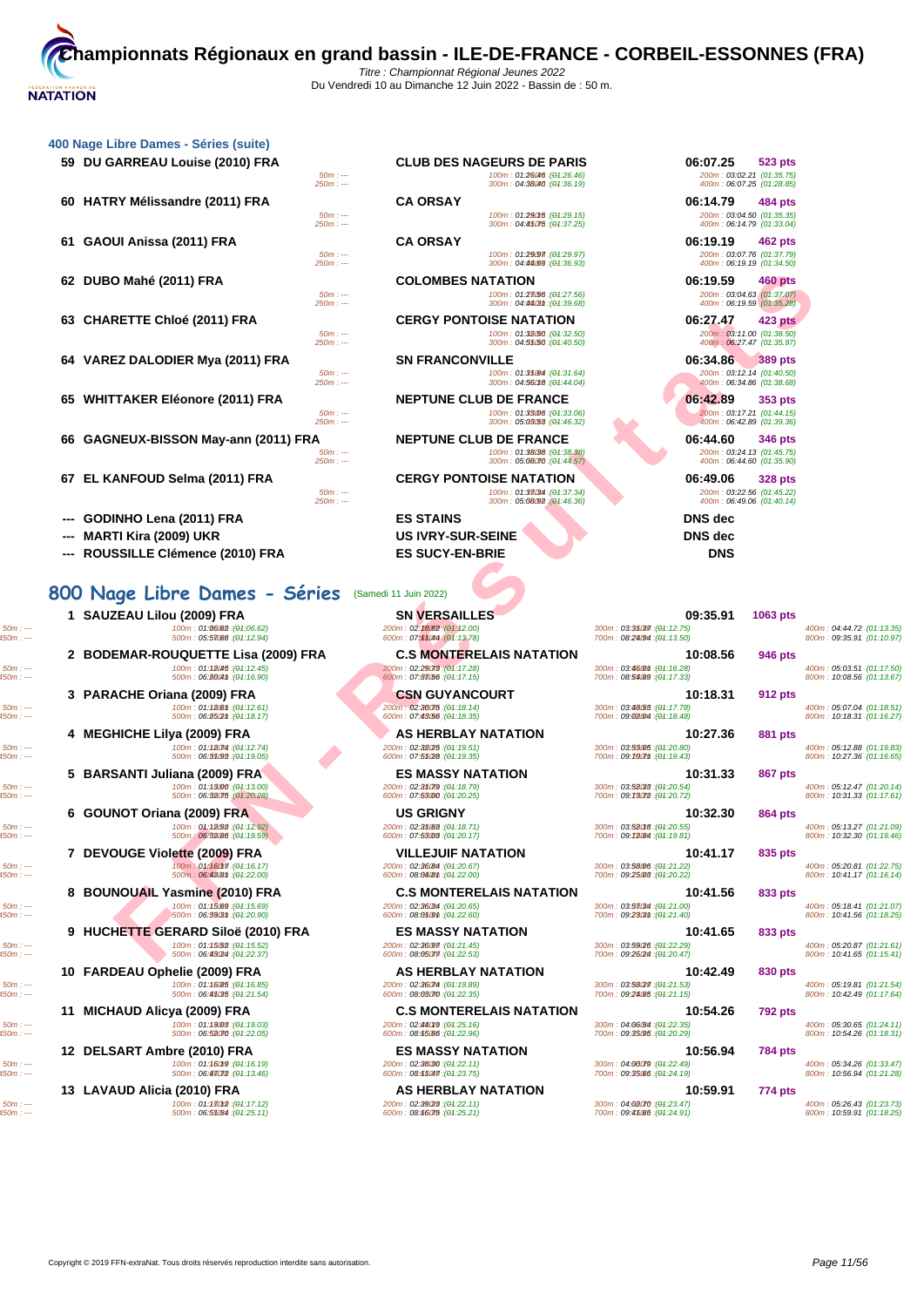| 400 Nage Libre Dames - Séries (suite) |                       |                                                                                                |                                                                                      |
|---------------------------------------|-----------------------|------------------------------------------------------------------------------------------------|--------------------------------------------------------------------------------------|
| 59 DU GARREAU Louise (2010) FRA       | $50m: -$<br>$250m: -$ | <b>CLUB DES NAGEURS DE PARIS</b><br>100m: 01:26046 : (01:26.46)<br>300m: 04:38040 : (04:36.19) | 06:07.25<br><b>523 pts</b><br>200m: 03:02.21 (01:35.75)<br>400m: 06:07.25 (01:28.85) |
| 60 HATRY Mélissandre (2011) FRA       | $50m: -$<br>$250m: -$ | <b>CA ORSAY</b><br>100m: 01:290f5 : (01:29.15)<br>300m: 04:45075 : (04:37.25)                  | 06:14.79<br><b>484 pts</b><br>200m: 03:04.50 (01:35.35)<br>400m: 06:14.79 (01:33.04) |
| 61 GAOUI Anissa (2011) FRA            | $50m: -$<br>$250m: -$ | <b>CA ORSAY</b><br>100m: 01:29097 : (04:29.97)<br>300m: 04:44089 : (04:36.93)                  | 06:19.19<br>462 pts<br>200m: 03:07.76 (01:37.79)<br>400m: 06:19.19 (01:34.50)        |
| 62 DUBO Mahé (2011) FRA               | $50m: -$<br>$250m: -$ | <b>COLOMBES NATATION</b><br>100m: 01:23/56 : (01:27.56)<br>300m: 04:4403m: (04:39.68)          | 06:19.59<br><b>460 pts</b><br>200m: 03:04.63 (01:37.07)<br>400m: 06:19.59 (01:35.28) |
| 63 CHARETTE Chloé (2011) FRA          | $50m: -$<br>$250m: -$ | <b>CERGY PONTOISE NATATION</b><br>100m: 01:32.50 : (04:32.50)<br>300m: 04:55050 : (04:40.50)   | 06:27.47<br>423 pts<br>200m: 03:11.00 (01:38.50)<br>400m: 06:27.47 (01:35.97)        |
| 64 VAREZ DALODIER Mya (2011) FRA      | $50m: -$<br>$250m: -$ | <b>SN FRANCONVILLE</b><br>100m: 01:35.64 : (01:31.64)<br>300m: 04:560f8 : (04:44.04)           | 06:34.86<br><b>389 pts</b><br>200m: 03:12.14 (01:40.50)<br>400m: 06:34.86 (01:38.68) |
| 65 WHITTAKER Eléonore (2011) FRA      | $50m: -$<br>$250m: -$ | <b>NEPTUNE CLUB DE FRANCE</b><br>100m: 01:33006 : (01:33.06)<br>300m: 05:03/53 : (04:46.32)    | 06:42.89<br>353 pts<br>200m: 03:17.21 (01:44.15)<br>400m: 06:42.89 (01:39.36)        |
| 66 GAGNEUX-BISSON May-ann (2011) FRA  | $50m: -$<br>$250m: -$ | <b>NEPTUNE CLUB DE FRANCE</b><br>100m: 01:38038 : (01:38.38)<br>300m: 05:08070 : (04:44.57)    | 06:44.60<br>346 pts<br>200m: 03:24.13 (01:45.75)<br>400m: 06:44.60 (01:35.90)        |
| 67 EL KANFOUD Selma (2011) FRA        | $50m: -$<br>$250m: -$ | <b>CERGY PONTOISE NATATION</b><br>100m: 01:38034 : (01:37.34)<br>300m: 05:08092 (04:46.36)     | 06:49.06<br><b>328 pts</b><br>200m: 03:22.56 (01:45.22)<br>400m: 06:49.06 (01:40.14) |
| GODINHO Lena (2011) FRA               |                       | <b>ES STAINS</b>                                                                               | DNS dec                                                                              |
| <b>MARTI Kira (2009) UKR</b>          |                       | <b>US IVRY-SUR-SEINE</b>                                                                       | DNS dec                                                                              |

**--- ROUSSILLE Clémence (2010) FRA ES SUCY-EN-BRIE DNS**

# **800 Nage Libre Dames - Séries** (Samedi 11 Juin 2022)

**1 SAUZEAU Lilou (2009) FRA SN VERSAILLES 09:35.91 1063 pts**

**2 BODEMAR-ROUQUETTE Lisa (2009) FRA C.S MONTERELAIS NATATION 10:08.56 946 pts 10:08.56 946 pts 200m**: 02:29 **10:08.56 104:16.28** 

**3 PARACHE Oriana (2009) FRA CSN GUYANCOURT 10:18.31 10:18.31 912 pts**<br> **3 100m** : 06:28021 (19:18.17) **200m** : 07:48056 (19:18.35) **10:18.31 10:18.31 10:18.31 10:18.31 10:18.31 10:18.31 10:18.31** 100m; → 100m; 01:180m; 01:180m; 01:180m; 02:300m; 02:300m; 02:300m; 02:300m; 02:300m; 03:300m; 03:3080m; 03:3080m; 03:3080m; 03:3080m; 03:3080m; 03:3080m; 03:08.00m; 03:08.00m; 03:08.00m; 03:08.00m; 03:08.00m; 03:08.00m;

**5 BARSANTI Juliana (2009) FRA ES MASSY NATATION 10:31.33 867 pts**<br> **100m** : 01:1900 (04:13.00)<br> **500m** : 06:3800 (04:20.25) **10: 10:31.33 10:31.33 867 pts**<br> **10:31.33 10:31.33 10:31.33 10:31.33 10:31** = 500m : — 100m : 05:12.47 (01:13.00m ; 09:300m ; 09:300m ; 09:300m ; 09:300m ; 09:300m ; 09:300m ; 09:300m ; 09:300m ; 09:300m ; 09:300m ; 09:300m ; 09:300m ; 09:300m ; 09:300m ; 09:300m ; 09:300m ; 09:300m ; 09:300m ; 0

**6 GOUNOT Oriana (2009) FRA US GRIGNY 10:32.30 10:32.30 864 pts**<br> **100m** : 04:12.92) **100m** : 06:32.06 (94:12.59) **10:32.30 10:32.30 10:32.30 10:32.30 10:32.30 10:32.30 10:32.30 10:32.30 10:32.30** 

50m : --- 100m : 01:16.1750m : --- (01:16.17) 200m : 02:36.84 250m : --- (01:20.67) 300m : 03:58.06 350m : --- (01:21.22) 400m : 05:20.81 (01:22.75) 450m : --- 500m : 06:42.81 550m : --- (01:22.00) 600m : 08:04.81 650m : --- (01:22.00) 700m : 09:25.03 70m : --- (01:20.22) 800m : 10:41.17 (01:16.14)

**9 HUCHETTE GERARD Siloë (2010) FRA ES MASSY NATATION 10:41.65 833 pts**<br> **100m** : 01:15650 (04:15.52)<br> **500m** : 06:**43024** (04:22.37) **100m** : 08:05077 (04:22.53) **100m** : 08:05077 (04:22.53) **100m** : 03:36024 (04: 500m : 400m : 05:20.87 (14:1.552) 200m : 05:20087 (04:22.53) 200m : 05:20037 (04:22.53) 300m : 05:300 - 300m : 05:300 = 300m : 05:300 = 300m : 05:200 = 300m : 05:200 = 300m : 05:200 = 300m : 05:200 = 300m : 05:200 = 300m

50m : --- 100m : 01:16.1950m : --- (01:16.19) 200m : 02:38.30 250m : --- (01:22.11) 300m : 04:00.79 350m : --- (01:22.49) 400m : 05:34.26 (01:33.47) 450m : --- 500m : 06:47.72 550m : --- (01:13.46) 600m : 08:11.47 650m : --- (01:23.75) 700m : 09:35.66 70m : --- (01:24.19) 800m : 10:56.94 (01:21.28)

**13 LAVAUD Alicia (2010) FRA AS HERBLAY NATATION 10:59.91 10:59.91 774 pts**<br> **13 LAVAUD Alicia (2010**  $\frac{100m : 01:1\,0209}{100m : 01:1\,000m : 00:000m : 00:000m : 00:0000m : 00:0000m : 00:00000}$ <br> **13 10:59.91 10** 50m : --- 100m : 01:17.1250m : --- (01:17.12) 200m : 02:39.23 250m : --- (01:22.11) 300m : 04:02.70 350m : --- (01:23.47) 400m : 05:26.43 (01:23.73) 450m : --- 500m : 06:51.5450m : --- (01:25.11) 600m : 08:16.75 650m : --- (01:25.21) 700m : 09:41.66 750m : --- (01:24.91) 800m : 10:59.91 (01:18.25)

**--- MARTI Kira (2009) UKR US IVRY-SUR-SEINE DNS dec**

50m : --- 100m : 01:06.62 150m : --- (01:06.62) 200m : 02:18.62 250m : --- (01:12.00) 300m : 03:31.3750m : --- (01:12.75) 400m : 04:44.72 (01:13.35) 450m : --- 500m : 05:57.6650m : --- (01:12.94) 600m : 07:11.44 650m : --- (01:13.78) 700m : 08:24.94 750m : --- (01:13.50) 800m : 09:35.91 (01:10.97)  $\text{500m: 100m: 011845,00117.50)} \begin{minipage}{0.13816 \textwidth} \centering \begin{tabular}{c} 1.3888 \textwidth} \centering \color{red}{\textbf{0.13816 \textwidth} \centering \color{red}{\textbf{0.13816 \textwidth} \centering \color{red}{\textbf{0.13816 \textwidth} \centering \color{green}{\textbf{0.13816 \textwidth} \centering \color{green}{\textbf{0.13816 \textwidth} \centering \color{green}{\textbf{0.13816 \textwidth} \centering \color{green}{\textbf$ 

**10 FARDEAU Ophelie (2009) FRA AS HERBLAY NATATION 10:42.49 830 pts**

**11 MICHAUD Alicya (2009) FRA C.S MONTERELAIS NATATION 10:54.26 10:54.26 792 pts**<br> **11 10:54.26 10:54.26 10:54.26 10:54.26 10:54.26 10:54.26 10:54.26 10:54.26 10:54.26 10:54.26 10:54.26 10** 

**EXE[R](http://www.ffnatation.fr/webffn/resultats.php?idact=nat&go=epr&idcpt=78673&idepr=5)CISITE CHORE CURRE SERVE DESSERVE DESSERVE DESSERVE DESSERVE DESSERVE DESSERVE DESSERVE DES CHORE DES SERVE DES CHORE DES CHORE DES CHORE DES CHORE DES CHORE DES CHORE DES CHORE DES CHORE DES CHORE DES CHORE DES CHO 4 MEGHICHE Lilya (2009) FRA AS HERBLAY NATATION 10:27.36 881 pts** 50m : --- 100m : 01:12.7450m : --- (01:12.74) 200m : 02:32.25 250m : --- (01:19.51) 300m : 03:53.05 350m : --- (01:20.80) 400m : 05:12.88 (01:19.83) 450m : --- 500m : 06:31.93 550m : --- (01:19.05) 600m : 07:51.28 650m : --- (01:19.35) 700m : 09:10.71 750m : --- (01:19.43) 800m : 10:27.36 (01:16.65) 50m : --- 100m : 01:12.9250m : --- (01:12.92) 200m : 02:31.63 250m : --- (01:18.71) 300m : 03:52.18 350m : --- (01:20.55) 400m : 05:13.27 (01:21.09) 450m : --- 500m : 06:32.86 550m : --- (01:19.59) 600m : 07:53.03 650m : --- (01:20.17) 700m : 09:12.84 750m : --- (01:19.81) 800m : 10:32.30 (01:19.46) **7 DEVOUGE Violette (2009) FRA VILLEJUIF NATATION 10:41.17 835 pts 8 BOUNOUAIL Yasmine (2010) FRA C.S MONTERELAIS NATATION 10:41.56 833 pts**<br> **100m** : 01:15689 (04:15.69) **10:41.56 833 pts 200m** : 02:36634 (04:20.65) **10:41 (04:20.65) 10:00m** : 03:37634 (04:21.40) **10:00:38** 500m : 400m : 05:18699 (94:1.569) 200m : 06:1869 (94:20.05) 200m : 06:28604 (94:22.00) 300m : 05:0804 (94:22.00) 400m : 05:08029 (94:21.00) 400m : 05:08.09 (94:21.00) 50:18.69 (94:21.00<br>(500m : 05:08.09.09 (94:20.90) 500 50m : --- 100m : 01:16.8550m : --- (01:16.85) 200m : 02:36.74 250m : --- (01:19.89) 300m : 03:58.27 350m : --- (01:21.53) 400m : 05:19.81 (01:21.54) 450m : --- 500m : 06:41.35 550m : --- (01:21.54) 600m : 08:03.70 650m : --- (01:22.35) 700m : 09:24.85 750m : --- (01:21.15) 800m : 10:42.49 (01:17.64) 50m : --- 100m : 01:19.0350m : --- (01:19.03) 200m : 02:44.19 250m : --- (01:25.16) 300m : 04:06.54 350m : --- (01:22.35) 400m : 05:30.65 (01:24.11) 450m : --- 500m : 06:52.7050m : --- (01:22.05) 600m : 08:15.66 60m : --- (01:22.96) 700m : 09:35.95 70m : --- (01:20.29) 800m : 10:54.26 (01:18.31) **12 DELSART Ambre (2010) FRA ES MASSY NATATION 10:56.94 10:56.94 784 pts**<br> **1200m** : 01:16019 (04:15.19)<br> **500m** : 06:45009 (04:23.49) **12:00 60:00 60:00 60:00 60:00 60:00 60:00 60:00 60:0**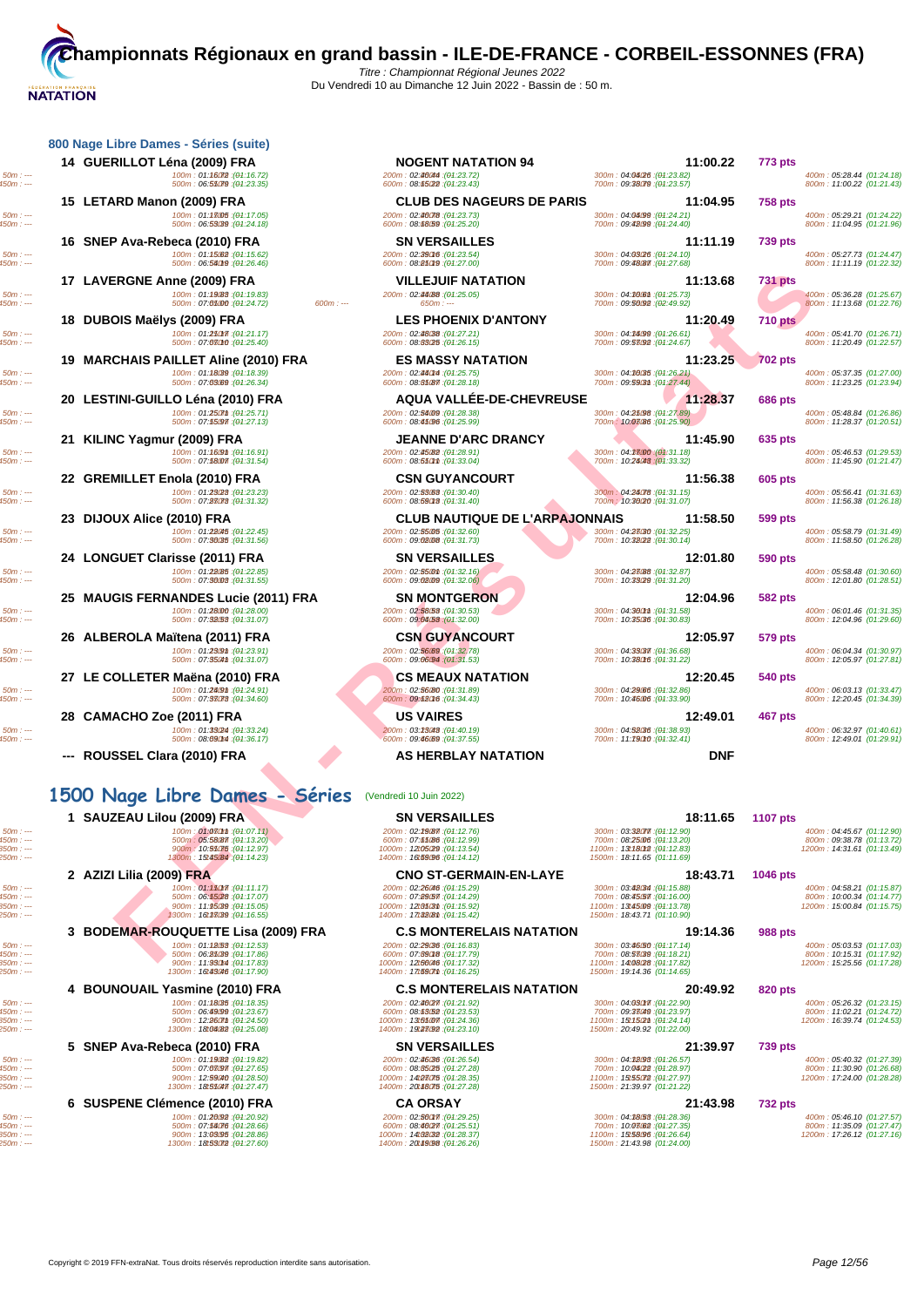| 400m: 05:28.44 (01:24.18)<br>800m: 11:00.22 (01:21.43)<br>400m: 05:29.21 (01:24.22)<br>800m: 11:04.95 (01:21.96)<br>400m: 05:27.73 (01:24.47)<br>800m: 11:11.19 (01:22.32)<br>400m: 05:36.28 (01:25.67)<br>800m: 11:13.68 (01:22.76)<br>400m: 05:41.70 (01:26.71)<br>800m: 11:20.49 (01:22.57) |
|------------------------------------------------------------------------------------------------------------------------------------------------------------------------------------------------------------------------------------------------------------------------------------------------|
|                                                                                                                                                                                                                                                                                                |
|                                                                                                                                                                                                                                                                                                |
|                                                                                                                                                                                                                                                                                                |
|                                                                                                                                                                                                                                                                                                |
|                                                                                                                                                                                                                                                                                                |
| 400m: 05:37.35 (01:27.00)                                                                                                                                                                                                                                                                      |
| 800m: 11:23.25 (01:23.94)                                                                                                                                                                                                                                                                      |
| 400m: 05:48.84 (01:26.86)<br>800m: 11:28.37 (01:20.51)                                                                                                                                                                                                                                         |
| 400m: 05:46.53 (01:29.53)<br>800m: 11:45.90 (01:21.47)                                                                                                                                                                                                                                         |
|                                                                                                                                                                                                                                                                                                |
| 400m: 05:56.41 (01:31.63)<br>800m: 11:56.38 (01:26.18)                                                                                                                                                                                                                                         |
| 400m: 05:58.79 (01:31.49)<br>800m: 11:58.50 (01:26.28)                                                                                                                                                                                                                                         |
|                                                                                                                                                                                                                                                                                                |
| 400m: 05:58.48 (01:30.60)<br>800m: 12:01.80 (01:28.51)                                                                                                                                                                                                                                         |
| 400m: 06:01.46 (01:31.35)<br>800m: 12:04.96 (01:29.60)                                                                                                                                                                                                                                         |
| 400m: 06:04.34 (01:30.97)<br>800m: 12:05.97 (01:27.81)                                                                                                                                                                                                                                         |
| 400m: 06:03.13 (01:33.47)<br>800m: 12:20.45 (01:34.39)                                                                                                                                                                                                                                         |
|                                                                                                                                                                                                                                                                                                |
| 400m: 06:32.97 (01:40.61)<br>800m: 12:49.01 (01:29.91)                                                                                                                                                                                                                                         |
|                                                                                                                                                                                                                                                                                                |
|                                                                                                                                                                                                                                                                                                |
|                                                                                                                                                                                                                                                                                                |
| 400m: 04:45.67 (01:12.90)<br>800m: 09:38.78 (01:13.72)<br>1200m: 14:31.61 (01:13.49)                                                                                                                                                                                                           |
|                                                                                                                                                                                                                                                                                                |

| 15 LETARD Manon (2009) FRA<br>100m: 01:18005 : (01:17.05)                                                                 | <b>CLUB DES NAGEURS DE PARIS</b><br>200m: 02:46078: (04:23.73)                                                                                | 11:04.95<br>300m: 04:04:99 : (01:24.21)                                                                                  | <b>758 pts</b>  | 400m: 05:29.21 (01:24.22)                                                            |
|---------------------------------------------------------------------------------------------------------------------------|-----------------------------------------------------------------------------------------------------------------------------------------------|--------------------------------------------------------------------------------------------------------------------------|-----------------|--------------------------------------------------------------------------------------|
| 500m: 06:53039 : (01:24.18)<br>16 SNEP Ava-Rebeca (2010) FRA                                                              | 600m: 08:68.59 : (04:25.20)<br><b>SN VERSAILLES</b>                                                                                           | 700m: 09:48099 : (01:24.40)<br>11:11.19                                                                                  | <b>739 pts</b>  | 800m: 11:04.95 (01:21.96)                                                            |
| 100m: 01:15.62 : (01:15.62)<br>500m: 06:56019 : (01:26.46)                                                                | 200m: 02:29016 : (04:23.54)<br>600m: 08:850f9 : (04:27.00)                                                                                    | 300m: 04:03/26 : (01:24.10)<br>700m: 09:48087 : (04:27.68)                                                               |                 | 400m: 05:27.73 (01:24.47)<br>800m: 11:11.19 (01:22.32)                               |
| 17 LAVERGNE Anne (2009) FRA                                                                                               | <b>VILLEJUIF NATATION</b>                                                                                                                     | 11:13.68                                                                                                                 | <b>731 pts</b>  |                                                                                      |
| 100m: 01:1988 : (01:19.83)<br>500m: 07:05000 : (01:24.72)<br>$600m: -$                                                    | 200m: 02:44088 : (04:25.05)<br>$650m: --$                                                                                                     | 300m: 04:36061 : (04:25.73)<br>700m: 09:56092 : (02:49.92)                                                               |                 | 400m: 05:36.28 (01:25.67)<br>800m: 11:13.68 (01:22.76)                               |
| 18 DUBOIS Maëlys (2009) FRA                                                                                               | <b>LES PHOENIX D'ANTONY</b>                                                                                                                   | 11:20.49                                                                                                                 | <b>710 pts</b>  |                                                                                      |
| 100m: 01:250m: (04:21.17)<br>500m: 07:08010 : (01:25.40)                                                                  | 200m: 02:48088 : (04:27.21)<br>600m: 08:83025 : (04:26.15)                                                                                    | 300m: 04:34099 : (01:26.61)<br>700m: 09:53092 : (01:24.67)                                                               |                 | 400m: 05:41.70 (01:26.71)<br>800m: 11:20.49 (01:22.57)                               |
| 19 MARCHAIS PAILLET Aline (2010) FRA<br>100m: 01:18039 : (01:18.39)                                                       | <b>ES MASSY NATATION</b><br>200m: 02:440M : (04:25.75)                                                                                        | 11:23.25<br>300m: 04:36035 : (01:26.21)                                                                                  | <b>702 pts</b>  | 400m: 05:37.35 (01:27.00)                                                            |
| 500m: 07:03089 : (01:26.34)                                                                                               | 600m: 08:85087 : (04:28.18)                                                                                                                   | 700m: 09:59031 : (01:27.44)                                                                                              |                 | 800m: 11:23.25 (01:23.94)                                                            |
| 20 LESTINI-GUILLO Léna (2010) FRA<br>100m: 01:250mm : (01:25.71)                                                          | <b>AQUA VALLEE-DE-CHEVREUSE</b><br>200m: 02:54009 : (04:28.38)                                                                                | 11:28.37<br>300m; 04:25:98 : (01:27.89)                                                                                  | <b>686 pts</b>  | 400m: 05:48.84 (01:26.86)                                                            |
| 500m: 07:55097 : (04:27.13)<br>21 KILINC Yagmur (2009) FRA                                                                | 600m: 08:45:96 : (04:25.99)<br><b>JEANNE D'ARC DRANCY</b>                                                                                     | 700m: 10:03:86 : (01:25.90)<br>11:45.90                                                                                  | 635 pts         | 800m: 11:28.37 (01:20.51)                                                            |
| 100m: 01:16.9m : (01:16.91)<br>500m: 07:58007 : (01:31.54)                                                                | 200m: 02:45082 : (04:28.91)<br>600m: 08.650m: (04.33.04)                                                                                      | 300m: 04:3800 : (01:31.18)<br>700m: 10:24048 : (01:33.32)                                                                |                 | 400m: 05:46.53 (01:29.53)<br>800m: 11:45.90 (01:21.47)                               |
| 22 GREMILLET Enola (2010) FRA                                                                                             | <b>CSN GUYANCOURT</b>                                                                                                                         | 11:56.38                                                                                                                 | <b>605 pts</b>  |                                                                                      |
| 100m: 01:23(28 : (01:23.23)<br>500m: 07:28073 : (01:31.32)                                                                | 200m: 02:53.63 : (04:30.40)<br>600m: 08:590f8 : (04:31.40)                                                                                    | 300m: 04:24078 : (04:31.15)<br>700m: 10:30(20 : (01:31.07)                                                               |                 | 400m: 05:56.41 (01:31.63)<br>800m: 11:56.38 (01:26.18)                               |
| 23 DIJOUX Alice (2010) FRA                                                                                                | <b>CLUB NAUTIQUE DE L'ARPAJONNAIS</b>                                                                                                         | 11:58.50                                                                                                                 | <b>599 pts</b>  |                                                                                      |
| 100m: 01:28045 : (01:22.45)<br>500m: 07:30035 : (01:31.56)                                                                | 200m: 02:55005 : (04:32.60)<br>600m: 09:02:08 : (04:31.73)                                                                                    | 300m: 04:28030 : (04:32.25)<br>700m: 10:38(22): (01:30.14)                                                               |                 | 400m: 05:58.79 (01:31.49)<br>800m: 11:58.50 (01:26.28)                               |
| 24 LONGUET Clarisse (2011) FRA                                                                                            | <b>SN VERSAILLES</b>                                                                                                                          | 12:01.80                                                                                                                 | <b>590 pts</b>  |                                                                                      |
| 100m: 01:28(85: (01:22.85)<br>500m: 07:36003 : (01:31.55)                                                                 | 200m: 02:5500m: (04:32.16)<br>600m: 09:02:09 : (04:32.06)                                                                                     | 300m: 04:23088 : (04:32.87)<br>700m: 10:33029 : (01:31.20)                                                               |                 | 400m: 05:58.48 (01:30.60)<br>800m: 12:01.80 (01:28.51)                               |
| 25 MAUGIS FERNANDES Lucie (2011) FRA<br>100m: 01:28000 : (01:28.00)                                                       | <b>SN MONTGERON</b><br>200m: 02:58:53 : (04:30.53)                                                                                            | 12:04.96<br>300m: 04:360m : (04:31.58)                                                                                   | 582 pts         | 400m: 06:01.46 (01:31.35)                                                            |
| 500m: 07:32.53 : (01:31.07)                                                                                               | 600m: $09.0453$ : $(04.32.00)$                                                                                                                | 700m: 10:35036 : (01:30.83)                                                                                              |                 | 800m: 12:04.96 (01:29.60)                                                            |
| 26 ALBEROLA Maïtena (2011) FRA<br>100m: 01:230m : (01:23.91)                                                              | <b>CSN GUYANCOURT</b><br>200m: 02:56:69 : (04:32.78)                                                                                          | 12:05.97<br>300m: 04:33037 : (04:36.68)                                                                                  | <b>579 pts</b>  | 400m: 06:04.34 (01:30.97)                                                            |
| 500m: 07:3504th : (01:31.07)<br>27 LE COLLETER Maëna (2010) FRA                                                           | 600m: 09:06094 : (04:31.53)<br><b>CS MEAUX NATATION</b>                                                                                       | 700m: 10:38016 : (01:31.22)<br>12:20.45                                                                                  | <b>540 pts</b>  | 800m: 12:05.97 (01:27.81)                                                            |
| 100m: 01:240th: (01:24.91)<br>500m: 07:38073 : (01:34.60)                                                                 | 200m: 02:56080 : (04:31.89)<br>600m: 09:680f6 : (04:34.43)                                                                                    | 300m: 04:29/86 : (04:32.86)<br>700m: 10:46006 : (01:33.90)                                                               |                 | 400m: 06:03.13 (01:33.47)<br>800m: 12:20.45 (01:34.39)                               |
| 28 CAMACHO Zoe (2011) FRA                                                                                                 | <b>US VAIRES</b>                                                                                                                              | 12:49.01                                                                                                                 | 467 pts         |                                                                                      |
| 100m: 01:33(24 : (01:33.24)<br>500m: 08:090M : (01:36.17)                                                                 | 200m: 03:23048 : (04:40.19)<br>600m: 09:46:69 : (04:37.55)                                                                                    | 300m: 04:52036 : (01:38.93)<br>700m: 11:79010 : (01:32.41)                                                               |                 | 400m: 06:32.97 (01:40.61)<br>800m: 12:49.01 (01:29.91)                               |
| ROUSSEL Clara (2010) FRA                                                                                                  | AS HERBLAY NATATION                                                                                                                           | <b>DNF</b>                                                                                                               |                 |                                                                                      |
| 1500 Nage Libre Dames - Séries                                                                                            | (Vendredi 10 Juin 2022)                                                                                                                       |                                                                                                                          |                 |                                                                                      |
| 1 SAUZEAU Lilou (2009) FRA                                                                                                | <b>SN VERSAILLES</b>                                                                                                                          | 18:11.65                                                                                                                 | <b>1107 pts</b> |                                                                                      |
| 100m : 01:080m : (01:07.11)<br>500m: 05:58087 : (01:13.20)<br>900m: 10:95075 : (01:12.97)<br>1300m: 15:45.84 : (01:14.23) | 200m: 02:29 (87 : (04:12.76)<br>600m: 07:65/86 : (04:12.99)<br>1000m: 12t05(29:(04:13.54)<br>1400m: 16t59.96 : (04:14.12)                     | 300m: 03:32077.(04:12.90)<br>700m: 08:25006 : (01:13.20)<br>1100m: 13t18012 : (01:12.83)<br>1500m: 18:11.65 (01:11.69)   |                 | 400m: 04:45.67 (01:12.90)<br>800m: 09:38.78 (01:13.72)<br>1200m: 14:31.61 (01:13.49) |
| 2 AZIZI Lilia (2009) FRA                                                                                                  | <b>CNO ST-GERMAIN-EN-LAYE</b>                                                                                                                 | 18:43.71                                                                                                                 | 1046 pts        |                                                                                      |
| 100m: 01:150177: (01:11.17)<br>500m: 06:55/28 : (01:17.07)<br>900m: 11:95039 : (01:15.05)<br>1300m: 16t33039 :(01:16.55)  | 200m: 02: <b>26i46</b> :( <del>01</del> :15.29)<br>600m: 07:89.57 : (04:14.29)<br>1000m: 12t8503th: (04:15.92)<br>1400m: 17t328th: (04:15.42) | 300m: 03:42034 : (01:15.88)<br>700m: 08:45.57 : (01:16.00)<br>1100m: 13t45009 : (01:13.78)<br>1500m: 18:43.71 (01:10.90) |                 | 400m: 04:58.21 (01:15.87)<br>800m: 10:00.34 (01:14.77)<br>1200m: 15:00.84 (01:15.75) |
| 3 BODEMAR-ROUQUETTE Lisa (2009) FRA                                                                                       | <b>C.S MONTERELAIS NATATION</b>                                                                                                               | 19:14.36                                                                                                                 | <b>988 pts</b>  |                                                                                      |
| 100m: 01:18(53: (01:12.53)<br>500m: 06:85089 : (01:17.86)<br>900m: 11:930M : (01:17.83)<br>1300m: 16t43046 : (01:17.90)   | 200m: 02:29036 : (04:16.83)<br>600m: 07:89018 : (04:17.79)<br>1000m: 12t56046 : (04:17.32)<br>1400m: 17t5907th: (04:16.25)                    | 300m: 03:46/50 : (01:17.14)<br>700m: 08:53039 : (01:18.21)<br>1100m: 14t08(28:(01:17.82)<br>1500m: 19:14.36 (01:14.65)   |                 | 400m: 05:03.53 (01:17.03)<br>800m: 10:15.31 (01:17.92)<br>1200m: 15:25.56 (01:17.28) |
| 4 BOUNOUAIL Yasmine (2010) FRA                                                                                            | <b>C.S MONTERELAIS NATATION</b>                                                                                                               | 20:49.92                                                                                                                 | <b>820 pts</b>  |                                                                                      |
| 100m: 01:18035 : (01:18.35)<br>500m: 06:49099 : (04:23.67)<br>900m : 12:260m : (04:24.50)<br>1300m: 18t04082 : (04:25.08) | 200m: 02:46077: (04:21.92)<br>600m: 08:63(52): (04:23.53)<br>1000m: 13t55@77:(04:24.36)<br>1400m: 19t23092 : (04:23.10)                       | 300m: 04:030m7: (04:22.90)<br>700m: 09:33049 : (01:23.97)<br>1100m: 15t15@m: (04:24.14)<br>1500m: 20:49.92 (01:22.00)    |                 | 400m: 05:26.32 (01:23.15)<br>800m: 11:02.21 (01:24.72)<br>1200m: 16:39.74 (01:24.53) |

1250m : --- 1300m : 1300m : 131.1900m : 131.1900m : 132.11.1892)<br>1450m : --- 1300m : 1200m : 1300m : 1300m : 1300m : 14:27.265)<br>1450m : --- 1300m : 1300m : 1300m : 1300m : 1300m : 1412.17 (1000m : 1412.1726)<br>1300m : 131.18

**5 SNEP Ava-Rebeca (2010) FRA SN VERSAILLES 200m**: 02:38038 (04:26.54) **200m**: 02:38038 (04:26.54) **200m**: 02:38038 (04:26.54) **200m**: 02:38038 (04:26.54) **200m**: 02:38038 (04:26.54) **300m**: 04:3803 (04:26.57) **400m** 50m : --- 100m : 01:19.8250m : --- (01:19.82) 200m : 02:46.36 250m : --- (01:26.54) 300m : 04:12.93 350m : --- (01:26.57) 400m : 05:40.32 (01:27.39) 450m : --- 500m : 07:07.97 550m : --- (01:27.65) 600m : 08:35.25 60m : --- (01:27.28) 700m : 10:04.22 750m : --- (01:28.97) 800m : 11:30.90 (01:26.68) 850m : --- 900m : 12:59.40 950m : --- (01:28.50) 1000m : 14:27.75 1050m : --- (01:28.35) 1100m : 15:55.72 110m : --- (01:27.97) 1200m : 17:24.00 (01:28.28)

|           | 6 SUSPENE Clémence (2010) FRA                    | <b>CA ORSAY</b>                                   | 21:43.98                                 | <b>732 pts</b>             |
|-----------|--------------------------------------------------|---------------------------------------------------|------------------------------------------|----------------------------|
| $50m: -$  | 100m: 01:26092 : (01:20.92)                      | 200m : 0 <b>2:560m</b> :( <del>01</del> :29.25)   | 300m: 04:38/58:(04:28.36)                | 400m: 05:46.10 (01:27.57)  |
| $450m: -$ | 500m: 07:54076 : (01:28.66)                      | 600m: <b>08:46027</b> 1:( <del>0</del> 1:25.51)   | 700m: 10:03062 : ( <del>0</del> 1:27.35) | 800m: 11:35.09 (01:27.47)  |
| $850m: -$ | 900m: 13: <b>93095</b> : ( <del>0</del> 1:28.86) | 1000m: 14t08032 : (04:28.37)                      | 1100m: 15t58096 : (01:26.64)             | 1200m: 17:26.12 (01:27.16) |
| $250m: -$ | 1300m: <b>18t55072</b> : ( <del>0</del> 1:27.60) | 1400m : <b>20149.98</b> : ( <del>0</del> 1:26.26) | 1500m: 21:43.98 (01:24.00)               |                            |
|           |                                                  |                                                   |                                          |                            |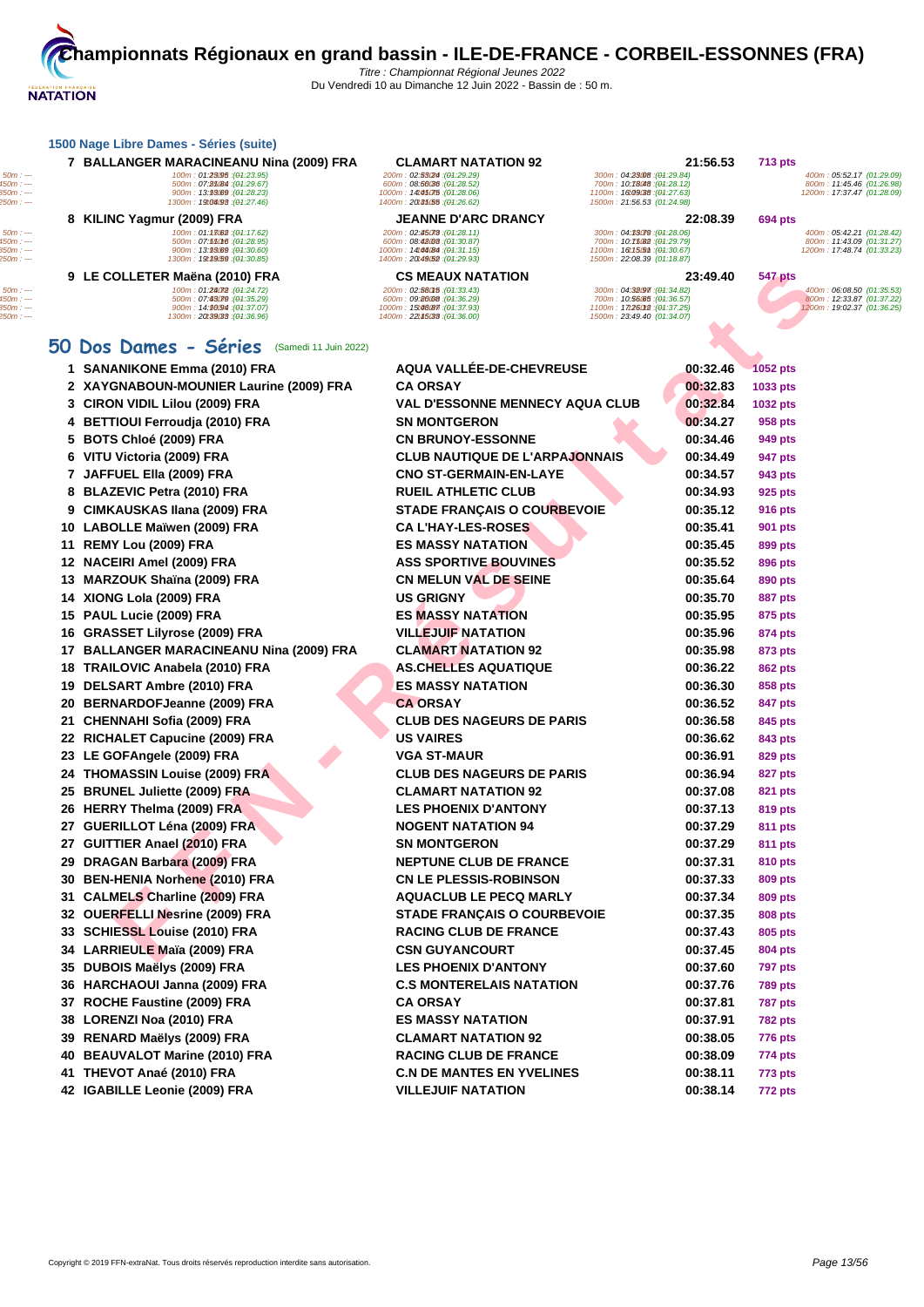|    | 7 BALLANGER MARACINEANU Nina (2009) FRA                                                                                   | <b>CLAMART NATATION 92</b>                                                                                                 |                                                                                                                          | 21:56.53             | <b>713 pts</b>            |                                                                                      |
|----|---------------------------------------------------------------------------------------------------------------------------|----------------------------------------------------------------------------------------------------------------------------|--------------------------------------------------------------------------------------------------------------------------|----------------------|---------------------------|--------------------------------------------------------------------------------------|
|    | 100m: 01:23095 : (01:23.95)<br>500m: 07:85/84 : (01:29.67)<br>900m : 13.9569 : (01.28.23)<br>1300m: 19t04093 : (01:27.46) | 200m: 02:53024 : (04:29.29)<br>600m: 08:56036 : (04:28.52)<br>1000m: 14t45075 : (04:28.06)<br>1400m: 20135.55 : (01:26.62) | 300m: 04:23008 : (01:29.84)<br>700m: 10:78048 : (01:28.12)<br>1100m: 16t09038: (01:27.63)<br>1500m: 21:56.53 (01:24.98)  |                      |                           | 400m: 05:52.17 (01:29.09)<br>800m: 11:45.46 (01:26.98)<br>1200m: 17:37.47 (01:28.09) |
|    | 8 KILINC Yagmur (2009) FRA                                                                                                | <b>JEANNE D'ARC DRANCY</b>                                                                                                 |                                                                                                                          | 22:08.39             | <b>694 pts</b>            |                                                                                      |
|    | 100m: 01:13082 : (01:17.62)<br>500m: 07:55016 : (01:28.95)<br>900m: 13:93.69 : (01:30.60)<br>1300m: 19t39(59 : (01:30.85) | 200m: 02:45078 : (04:28.11)<br>600m: 08:42003 : (04:30.87)<br>1000m: 14t46B4 : (04:31.15)<br>1400m: 20t49.52 : (04:29.93)  | 300m: 04:33079 : (01:28.06)<br>700m: 10:75082 : (01:29.79)<br>1100m: 16t15.5ml: (01:30.67)<br>1500m: 22:08.39 (01:18.87) |                      |                           | 400m: 05:42.21 (01:28.42)<br>800m: 11:43.09 (01:31.27)<br>1200m: 17:48.74 (01:33.23) |
|    | 9 LE COLLETER Maëna (2010) FRA                                                                                            | <b>CS MEAUX NATATION</b>                                                                                                   |                                                                                                                          | 23:49.40             | <b>547 pts</b>            |                                                                                      |
|    | 100m: 01:24072 : (01:24.72)<br>500m: 07:43079 : (01:35.29)<br>900m: 14:96/94 : (01:37.07)<br>1300m: 20139033 : (01:36.96) | 200m: 02:580f5: (04:33.43)<br>600m: 09:86008: (04:36.29)<br>1000m: 15t48(87 : (04:37.93)<br>1400m: 22t45033: (04:36.00)    | 300m: 04:32097 : (04:34.82)<br>700m: 10:56.65 : (01:36.57)<br>1100m: 17t260t2 : (01:37.25)<br>1500m: 23:49.40 (01:34.07) |                      |                           | 400m: 06:08.50 (01:35.53)<br>800m: 12:33.87 (01:37.22)<br>1200m: 19:02.37 (01:36.25) |
|    | 50 Dos Dames - Séries (Samedi 11 Juin 2022)                                                                               |                                                                                                                            |                                                                                                                          |                      |                           |                                                                                      |
|    | 1 SANANIKONE Emma (2010) FRA                                                                                              | AQUA VALLÉE-DE-CHEVREUSE                                                                                                   |                                                                                                                          | 00:32.46             | <b>1052 pts</b>           |                                                                                      |
|    | 2 XAYGNABOUN-MOUNIER Laurine (2009) FRA                                                                                   | <b>CA ORSAY</b>                                                                                                            |                                                                                                                          | 00:32.83             | 1033 pts                  |                                                                                      |
|    | 3 CIRON VIDIL Lilou (2009) FRA                                                                                            | <b>VAL D'ESSONNE MENNECY AQUA CLUB</b>                                                                                     |                                                                                                                          | 00:32.84             | 1032 pts                  |                                                                                      |
|    | 4 BETTIOUI Ferroudja (2010) FRA                                                                                           | <b>SN MONTGERON</b>                                                                                                        |                                                                                                                          | 00:34.27             | 958 pts                   |                                                                                      |
|    | 5 BOTS Chloé (2009) FRA                                                                                                   | <b>CN BRUNOY-ESSONNE</b>                                                                                                   |                                                                                                                          | 00:34.46             | 949 pts                   |                                                                                      |
|    | 6 VITU Victoria (2009) FRA                                                                                                | <b>CLUB NAUTIQUE DE L'ARPAJONNAIS</b>                                                                                      |                                                                                                                          | 00:34.49             | 947 pts                   |                                                                                      |
|    | 7 JAFFUEL Ella (2009) FRA                                                                                                 | <b>CNO ST-GERMAIN-EN-LAYE</b>                                                                                              |                                                                                                                          | 00:34.57             | 943 pts                   |                                                                                      |
|    | 8 BLAZEVIC Petra (2010) FRA                                                                                               | <b>RUEIL ATHLETIC CLUB</b>                                                                                                 |                                                                                                                          | 00:34.93             | 925 pts                   |                                                                                      |
|    | 9 CIMKAUSKAS Ilana (2009) FRA                                                                                             | <b>STADE FRANÇAIS O COURBEVOIE</b>                                                                                         |                                                                                                                          | 00:35.12             | <b>916 pts</b>            |                                                                                      |
|    | 10 LABOLLE Maïwen (2009) FRA                                                                                              | <b>CA L'HAY-LES-ROSES</b>                                                                                                  |                                                                                                                          | 00:35.41             | 901 pts                   |                                                                                      |
| 11 | REMY Lou (2009) FRA                                                                                                       | <b>ES MASSY NATATION</b>                                                                                                   |                                                                                                                          | 00:35.45             | 899 pts                   |                                                                                      |
|    | 12 NACEIRI Amel (2009) FRA                                                                                                | <b>ASS SPORTIVE BOUVINES</b>                                                                                               |                                                                                                                          | 00:35.52             | 896 pts                   |                                                                                      |
|    | 13 MARZOUK Shaïna (2009) FRA                                                                                              | <b>CN MELUN VAL DE SEINE</b>                                                                                               |                                                                                                                          | 00:35.64             | 890 pts                   |                                                                                      |
|    | 14 XIONG Lola (2009) FRA                                                                                                  | <b>US GRIGNY</b>                                                                                                           |                                                                                                                          | 00:35.70             | <b>887 pts</b>            |                                                                                      |
|    | 15 PAUL Lucie (2009) FRA                                                                                                  | <b>ES MASSY NATATION</b>                                                                                                   |                                                                                                                          | 00:35.95             | 875 pts                   |                                                                                      |
| 16 | <b>GRASSET Lilyrose (2009) FRA</b>                                                                                        | <b>VILLEJUIF NATATION</b>                                                                                                  |                                                                                                                          | 00:35.96             | 874 pts                   |                                                                                      |
| 17 | <b>BALLANGER MARACINEANU Nina (2009) FRA</b>                                                                              | <b>CLAMART NATATION 92</b>                                                                                                 |                                                                                                                          | 00:35.98             | 873 pts                   |                                                                                      |
|    | 18 TRAILOVIC Anabela (2010) FRA                                                                                           | <b>AS.CHELLES AQUATIQUE</b>                                                                                                |                                                                                                                          | 00:36.22             | 862 pts                   |                                                                                      |
| 19 | DELSART Ambre (2010) FRA                                                                                                  | <b>ES MASSY NATATION</b>                                                                                                   |                                                                                                                          | 00:36.30             | 858 pts                   |                                                                                      |
| 20 | <b>BERNARDOFJeanne (2009) FRA</b>                                                                                         | <b>CA ORSAY</b>                                                                                                            |                                                                                                                          | 00:36.52             | 847 pts                   |                                                                                      |
|    | 21 CHENNAHI Sofia (2009) FRA                                                                                              | <b>CLUB DES NAGEURS DE PARIS</b>                                                                                           |                                                                                                                          | 00:36.58             | 845 pts                   |                                                                                      |
|    | 22 RICHALET Capucine (2009) FRA                                                                                           | <b>US VAIRES</b>                                                                                                           |                                                                                                                          | 00:36.62             | 843 pts                   |                                                                                      |
|    | 23 LE GOFAngele (2009) FRA                                                                                                | <b>VGA ST-MAUR</b>                                                                                                         |                                                                                                                          | 00:36.91             | 829 pts                   |                                                                                      |
|    | 24 THOMASSIN Louise (2009) FRA                                                                                            | <b>CLUB DES NAGEURS DE PARIS</b>                                                                                           |                                                                                                                          | 00:36.94             | <b>827 pts</b>            |                                                                                      |
| 25 | <b>BRUNEL Juliette (2009) FRA</b>                                                                                         | <b>CLAMART NATATION 92</b>                                                                                                 |                                                                                                                          | 00:37.08             | 821 pts                   |                                                                                      |
|    | 26 HERRY Thelma (2009) FRA                                                                                                | <b>LES PHOENIX D'ANTONY</b>                                                                                                |                                                                                                                          | 00:37.13             | 819 pts                   |                                                                                      |
|    | 27 GUERILLOT Léna (2009) FRA<br>27 GUITTIER Anael (2010) FRA                                                              | <b>NOGENT NATATION 94</b>                                                                                                  |                                                                                                                          | 00:37.29<br>00:37.29 | 811 pts                   |                                                                                      |
|    | 29 DRAGAN Barbara (2009) FRA                                                                                              | <b>SN MONTGERON</b>                                                                                                        |                                                                                                                          |                      | 811 pts                   |                                                                                      |
|    | 30 BEN-HENIA Norhene (2010) FRA                                                                                           | <b>NEPTUNE CLUB DE FRANCE</b><br><b>CN LE PLESSIS-ROBINSON</b>                                                             |                                                                                                                          | 00:37.31<br>00:37.33 | 810 pts<br>809 pts        |                                                                                      |
|    | 31 CALMELS Charline (2009) FRA                                                                                            | <b>AQUACLUB LE PECQ MARLY</b>                                                                                              |                                                                                                                          | 00:37.34             |                           |                                                                                      |
|    | 32 OUERFELLI Nesrine (2009) FRA                                                                                           | <b>STADE FRANÇAIS O COURBEVOIE</b>                                                                                         |                                                                                                                          | 00:37.35             | 809 pts<br>808 pts        |                                                                                      |
|    | 33 SCHIESSL Louise (2010) FRA                                                                                             | <b>RACING CLUB DE FRANCE</b>                                                                                               |                                                                                                                          | 00:37.43             | 805 pts                   |                                                                                      |
|    | 34 LARRIEULE Maïa (2009) FRA                                                                                              | <b>CSN GUYANCOURT</b>                                                                                                      |                                                                                                                          | 00:37.45             | 804 pts                   |                                                                                      |
|    | 35 DUBOIS Maelys (2009) FRA                                                                                               | <b>LES PHOENIX D'ANTONY</b>                                                                                                |                                                                                                                          | 00:37.60             | <b>797 pts</b>            |                                                                                      |
|    | 36 HARCHAOUI Janna (2009) FRA                                                                                             | <b>C.S MONTERELAIS NATATION</b>                                                                                            |                                                                                                                          | 00:37.76             | <b>789 pts</b>            |                                                                                      |
|    | 37 ROCHE Faustine (2009) FRA                                                                                              | CA ORSAY                                                                                                                   |                                                                                                                          | 00:37.81             | <b>787 pts</b>            |                                                                                      |
|    | 38 LORENZI Noa (2010) FRA                                                                                                 | <b>ES MASSY NATATION</b>                                                                                                   |                                                                                                                          | 00:37.91             | <b>782 pts</b>            |                                                                                      |
|    | 39 RENARD Maëlys (2009) FRA                                                                                               | <b>CLAMART NATATION 92</b>                                                                                                 |                                                                                                                          | 00:38.05             |                           |                                                                                      |
|    | 40 BEAUVALOT Marine (2010) FRA                                                                                            | <b>RACING CLUB DE FRANCE</b>                                                                                               |                                                                                                                          | 00:38.09             | <b>776 pts</b><br>774 pts |                                                                                      |
|    | 41 THEVOT Anaé (2010) FRA                                                                                                 | <b>C.N DE MANTES EN YVELINES</b>                                                                                           |                                                                                                                          | 00:38.11             | 773 pts                   |                                                                                      |
|    |                                                                                                                           |                                                                                                                            |                                                                                                                          |                      |                           |                                                                                      |
|    | 42 IGABILLE Leonie (2009) FRA                                                                                             | <b>VILLEJUIF NATATION</b>                                                                                                  |                                                                                                                          | 00:38.14             | 772 pts                   |                                                                                      |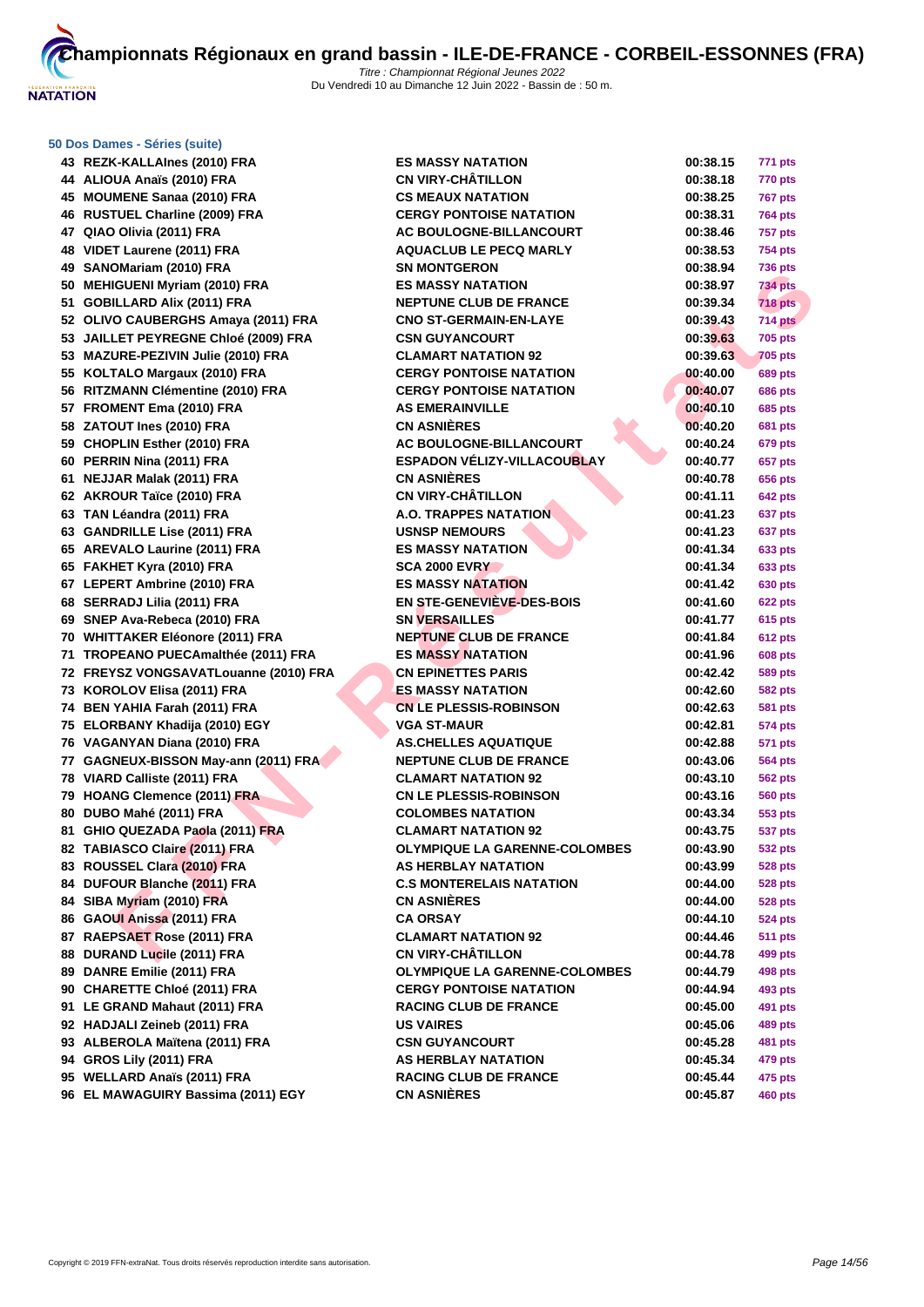

#### **[50 Dos D](http://www.ffnatation.fr/webffn/index.php)ames - Séries (suite)**

| 43 REZK-KALLAInes (2010) FRA          | <b>ES MASSY NATATION</b>             | 00:38.15 | 771 pts        |
|---------------------------------------|--------------------------------------|----------|----------------|
| 44 ALIOUA Anaïs (2010) FRA            | <b>CN VIRY-CHÂTILLON</b>             | 00:38.18 | <b>770 pts</b> |
| 45 MOUMENE Sanaa (2010) FRA           | <b>CS MEAUX NATATION</b>             | 00:38.25 | 767 pts        |
| 46 RUSTUEL Charline (2009) FRA        | <b>CERGY PONTOISE NATATION</b>       | 00:38.31 | <b>764 pts</b> |
| 47 QIAO Olivia (2011) FRA             | <b>AC BOULOGNE-BILLANCOURT</b>       | 00:38.46 | 757 pts        |
| 48 VIDET Laurene (2011) FRA           | <b>AQUACLUB LE PECQ MARLY</b>        | 00:38.53 | <b>754 pts</b> |
| 49 SANOMariam (2010) FRA              | <b>SN MONTGERON</b>                  | 00:38.94 | <b>736 pts</b> |
| 50 MEHIGUENI Myriam (2010) FRA        | <b>ES MASSY NATATION</b>             | 00:38.97 | 734 pts        |
| 51 GOBILLARD Alix (2011) FRA          | <b>NEPTUNE CLUB DE FRANCE</b>        | 00:39.34 | <b>718 pts</b> |
| 52 OLIVO CAUBERGHS Amaya (2011) FRA   | <b>CNO ST-GERMAIN-EN-LAYE</b>        | 00:39.43 | 714 pts        |
| 53 JAILLET PEYREGNE Chloé (2009) FRA  | <b>CSN GUYANCOURT</b>                | 00:39.63 | <b>705 pts</b> |
| 53 MAZURE-PEZIVIN Julie (2010) FRA    | <b>CLAMART NATATION 92</b>           | 00:39.63 | <b>705 pts</b> |
| 55 KOLTALO Margaux (2010) FRA         | <b>CERGY PONTOISE NATATION</b>       | 00:40.00 | <b>689 pts</b> |
| 56 RITZMANN Clémentine (2010) FRA     | <b>CERGY PONTOISE NATATION</b>       | 00:40.07 | <b>686 pts</b> |
| 57 FROMENT Ema (2010) FRA             | <b>AS EMERAINVILLE</b>               | 00:40.10 | <b>685 pts</b> |
| 58 ZATOUT Ines (2010) FRA             | <b>CN ASNIÈRES</b>                   | 00:40.20 | 681 pts        |
| 59 CHOPLIN Esther (2010) FRA          | AC BOULOGNE-BILLANCOURT              | 00:40.24 | <b>679 pts</b> |
| 60 PERRIN Nina (2011) FRA             | <b>ESPADON VÉLIZY-VILLACOUBLAY</b>   | 00:40.77 | 657 pts        |
| 61 NEJJAR Malak (2011) FRA            | <b>CN ASNIÈRES</b>                   | 00:40.78 | 656 pts        |
| 62 AKROUR Taïce (2010) FRA            | <b>CN VIRY-CHÂTILLON</b>             | 00:41.11 | <b>642 pts</b> |
| 63 TAN Léandra (2011) FRA             | <b>A.O. TRAPPES NATATION</b>         | 00:41.23 | 637 pts        |
| 63 GANDRILLE Lise (2011) FRA          | <b>USNSP NEMOURS</b>                 | 00:41.23 | 637 pts        |
| 65 AREVALO Laurine (2011) FRA         | <b>ES MASSY NATATION</b>             | 00:41.34 | 633 pts        |
| 65 FAKHET Kyra (2010) FRA             | <b>SCA 2000 EVRY</b>                 | 00:41.34 | <b>633 pts</b> |
| 67 LEPERT Ambrine (2010) FRA          | <b>ES MASSY NATATION</b>             | 00:41.42 | <b>630 pts</b> |
| 68 SERRADJ Lilia (2011) FRA           | <b>EN STE-GENEVIÈVE-DES-BOIS</b>     | 00:41.60 | 622 pts        |
| 69 SNEP Ava-Rebeca (2010) FRA         | <b>SN VERSAILLES</b>                 | 00:41.77 | 615 pts        |
| 70 WHITTAKER Eléonore (2011) FRA      | <b>NEPTUNE CLUB DE FRANCE</b>        | 00:41.84 | <b>612 pts</b> |
| 71 TROPEANO PUECAmalthée (2011) FRA   | <b>ES MASSY NATATION</b>             | 00:41.96 | <b>608 pts</b> |
| 72 FREYSZ VONGSAVATLouanne (2010) FRA | <b>CN EPINETTES PARIS</b>            | 00:42.42 | <b>589 pts</b> |
| 73 KOROLOV Elisa (2011) FRA           | ES MASSY NATATION                    | 00:42.60 | 582 pts        |
| 74 BEN YAHIA Farah (2011) FRA         | <b>CN LE PLESSIS-ROBINSON</b>        | 00:42.63 | 581 pts        |
| 75 ELORBANY Khadija (2010) EGY        | <b>VGA ST-MAUR</b>                   | 00:42.81 | 574 pts        |
| 76 VAGANYAN Diana (2010) FRA          | <b>AS.CHELLES AQUATIQUE</b>          | 00:42.88 | 571 pts        |
| 77 GAGNEUX-BISSON May-ann (2011) FRA  | <b>NEPTUNE CLUB DE FRANCE</b>        | 00:43.06 | 564 pts        |
| 78 VIARD Calliste (2011) FRA          | <b>CLAMART NATATION 92</b>           | 00:43.10 | 562 pts        |
| 79 HOANG Clemence (2011) FRA          | <b>CN LE PLESSIS-ROBINSON</b>        | 00:43.16 | 560 pts        |
| 80 DUBO Mahé (2011) FRA               | <b>COLOMBES NATATION</b>             | 00:43.34 | 553 pts        |
| 81 GHIO QUEZADA Paola (2011) FRA      | <b>CLAMART NATATION 92</b>           | 00:43.75 | <b>537 pts</b> |
| 82 TABIASCO Claire (2011) FRA         | <b>OLYMPIQUE LA GARENNE-COLOMBES</b> | 00:43.90 | <b>532 pts</b> |
| 83 ROUSSEL Clara (2010) FRA           | AS HERBLAY NATATION                  | 00:43.99 | 528 pts        |
| 84 DUFOUR Blanche (2011) FRA          | <b>C.S MONTERELAIS NATATION</b>      | 00:44.00 | 528 pts        |
| 84 SIBA Myriam (2010) FRA             | <b>CN ASNIÈRES</b>                   | 00:44.00 | 528 pts        |
| 86 GAOUI Anissa (2011) FRA            | CA ORSAY                             | 00:44.10 | 524 pts        |
| 87 RAEPSAET Rose (2011) FRA           | <b>CLAMART NATATION 92</b>           | 00:44.46 | <b>511 pts</b> |
| 88 DURAND Lucile (2011) FRA           | <b>CN VIRY-CHÂTILLON</b>             | 00:44.78 | <b>499 pts</b> |
| 89 DANRE Emilie (2011) FRA            | <b>OLYMPIQUE LA GARENNE-COLOMBES</b> | 00:44.79 | <b>498 pts</b> |
| 90 CHARETTE Chloé (2011) FRA          | <b>CERGY PONTOISE NATATION</b>       | 00:44.94 | 493 pts        |
| 91 LE GRAND Mahaut (2011) FRA         | <b>RACING CLUB DE FRANCE</b>         | 00:45.00 | 491 pts        |
| 92 HADJALI Zeineb (2011) FRA          | <b>US VAIRES</b>                     | 00:45.06 | <b>489 pts</b> |
| 93 ALBEROLA Maïtena (2011) FRA        | <b>CSN GUYANCOURT</b>                | 00:45.28 | <b>481 pts</b> |
| 94 GROS Lily (2011) FRA               | <b>AS HERBLAY NATATION</b>           | 00:45.34 | <b>479 pts</b> |
| 95 WELLARD Anaïs (2011) FRA           | <b>RACING CLUB DE FRANCE</b>         | 00:45.44 | 475 pts        |
| 96 EL MAWAGUIRY Bassima (2011) EGY    | <b>CN ASNIÈRES</b>                   | 00:45.87 | <b>460 pts</b> |

| <b>K-KALLAInes (2010) FRA</b>        | <b>ES MASSY NATATION</b>             | 00:38.15 | 771 pts        |
|--------------------------------------|--------------------------------------|----------|----------------|
| UA Anaïs (2010) FRA                  | CN VIRY-CHÂTILLON                    | 00:38.18 | 770 pts        |
| MENE Sanaa (2010) FRA                | <b>CS MEAUX NATATION</b>             | 00:38.25 | <b>767 pts</b> |
| TUEL Charline (2009) FRA             | <b>CERGY PONTOISE NATATION</b>       | 00:38.31 | <b>764 pts</b> |
| Olivia (2011) FRA                    | AC BOULOGNE-BILLANCOURT              | 00:38.46 | <b>757 pts</b> |
| T Laurene (2011) FRA                 | <b>AQUACLUB LE PECQ MARLY</b>        | 00:38.53 | <b>754 pts</b> |
| OMariam (2010) FRA                   | <b>SN MONTGERON</b>                  | 00:38.94 | <b>736 pts</b> |
| <b>IGUENI Myriam (2010) FRA</b>      | <b>ES MASSY NATATION</b>             | 00:38.97 | <b>734 pts</b> |
| ILLARD Alix (2011) FRA               | <b>NEPTUNE CLUB DE FRANCE</b>        | 00:39.34 | <b>718 pts</b> |
| O CAUBERGHS Amaya (2011) FRA         | <b>CNO ST-GERMAIN-EN-LAYE</b>        | 00:39.43 | <b>714 pts</b> |
| <b>LET PEYREGNE Chloé (2009) FRA</b> | <b>CSN GUYANCOURT</b>                | 00:39.63 | <b>705 pts</b> |
| URE-PEZIVIN Julie (2010) FRA         | <b>CLAMART NATATION 92</b>           | 00:39.63 | <b>705 pts</b> |
| TALO Margaux (2010) FRA              | <b>CERGY PONTOISE NATATION</b>       | 00:40.00 | <b>689 pts</b> |
| <b>MANN Clémentine (2010) FRA</b>    | <b>CERGY PONTOISE NATATION</b>       | 00:40.07 | <b>686 pts</b> |
| MENT Ema (2010) FRA                  | <b>AS EMERAINVILLE</b>               | 00:40.10 | <b>685 pts</b> |
| <b>DUT Ines (2010) FRA</b>           | <b>CN ASNIÈRES</b>                   | 00:40.20 | <b>681 pts</b> |
| PLIN Esther (2010) FRA               | AC BOULOGNE-BILLANCOURT              | 00:40.24 | <b>679 pts</b> |
| <b>RIN Nina (2011) FRA</b>           | <b>ESPADON VÉLIZY-VILLACOUBLAY</b>   | 00:40.77 | 657 pts        |
| IAR Malak (2011) FRA                 | <b>CN ASNIÈRES</b>                   | 00:40.78 | 656 pts        |
| OUR Taïce (2010) FRA                 | <b>CN VIRY-CHÂTILLON</b>             | 00:41.11 | <b>642 pts</b> |
| Léandra (2011) FRA                   | <b>A.O. TRAPPES NATATION</b>         | 00:41.23 | 637 pts        |
| <b>DRILLE Lise (2011) FRA</b>        | <b>USNSP NEMOURS</b>                 | 00:41.23 | 637 pts        |
| VALO Laurine (2011) FRA              | <b>ES MASSY NATATION</b>             | 00:41.34 | 633 pts        |
| HET Kyra (2010) FRA                  | <b>SCA 2000 EVRY</b>                 | 00:41.34 | <b>633 pts</b> |
| ERT Ambrine (2010) FRA               | <b>ES MASSY NATATION</b>             | 00:41.42 | <b>630 pts</b> |
| RADJ Lilia (2011) FRA                | EN STE-GENEVIÈVE-DES-BOIS            | 00:41.60 | <b>622 pts</b> |
| P Ava-Rebeca (2010) FRA              | <b>SN VERSAILLES</b>                 | 00:41.77 | 615 pts        |
| <b>TAKER Eléonore (2011) FRA</b>     | <b>NEPTUNE CLUB DE FRANCE</b>        | 00:41.84 | <b>612 pts</b> |
| PEANO PUECAmalthée (2011) FRA        | <b>ES MASSY NATATION</b>             | 00:41.96 | <b>608 pts</b> |
| YSZ VONGSAVATLouanne (2010) FRA      | <b>CN EPINETTES PARIS</b>            | 00:42.42 | 589 pts        |
| OLOV Elisa (2011) FRA                | ES MASSY NATATION                    | 00:42.60 | <b>582 pts</b> |
| YAHIA Farah (2011) FRA               | <b>CN LE PLESSIS-ROBINSON</b>        | 00:42.63 | <b>581 pts</b> |
| RBANY Khadija (2010) EGY             | <b>VGA ST-MAUR</b>                   | 00:42.81 | <b>574 pts</b> |
| ANYAN Diana (2010) FRA               | <b>AS.CHELLES AQUATIQUE</b>          | 00:42.88 | 571 pts        |
| NEUX-BISSON May-ann (2011) FRA       | <b>NEPTUNE CLUB DE FRANCE</b>        | 00:43.06 | 564 pts        |
| D Calliste (2011) FRA                | <b>CLAMART NATATION 92</b>           | 00:43.10 | <b>562 pts</b> |
| NG Clemence (2011) FRA               | <b>CN LE PLESSIS-ROBINSON</b>        | 00:43.16 | <b>560 pts</b> |
| O Mahé (2011) FRA                    | <b>COLOMBES NATATION</b>             | 00:43.34 | 553 pts        |
| O QUEZADA Paola (2011) FRA           | <b>CLAMART NATATION 92</b>           | 00:43.75 | 537 pts        |
| ASCO Claire (2011) FRA               | <b>OLYMPIQUE LA GARENNE-COLOMBES</b> | 00:43.90 | <b>532 pts</b> |
| SSEL Clara (2010) FRA                | <b>AS HERBLAY NATATION</b>           | 00:43.99 | <b>528 pts</b> |
| OUR Blanche (2011) FRA               | <b>C.S MONTERELAIS NATATION</b>      | 00:44.00 | <b>528 pts</b> |
| Myriam (2010) FRA                    | <b>CN ASNIERES</b>                   | 00:44.00 | <b>528 pts</b> |
| UI Anissa (2011) FRA                 | <b>CA ORSAY</b>                      | 00:44.10 | <b>524 pts</b> |
| PSAET Rose (2011) FRA                | <b>CLAMART NATATION 92</b>           | 00:44.46 | <b>511 pts</b> |
| AND Lucile (2011) FRA                | <b>CN VIRY-CHÂTILLON</b>             | 00:44.78 | 499 pts        |
| RE Emilie (2011) FRA                 | <b>OLYMPIQUE LA GARENNE-COLOMBES</b> | 00:44.79 | 498 pts        |
| <b>RETTE Chloé (2011) FRA</b>        | <b>CERGY PONTOISE NATATION</b>       | 00:44.94 | 493 pts        |
| RAND Mahaut (2011) FRA               | <b>RACING CLUB DE FRANCE</b>         | 00:45.00 | 491 pts        |
| JALI Zeineb (2011) FRA               | <b>US VAIRES</b>                     | 00:45.06 | 489 pts        |
| EROLA Maïtena (2011) FRA             | <b>CSN GUYANCOURT</b>                | 00:45.28 | <b>481 pts</b> |
| S Lily (2011) FRA                    | <b>AS HERBLAY NATATION</b>           | 00:45.34 | 479 pts        |
| LARD Anaïs (2011) FRA                | <b>RACING CLUB DE FRANCE</b>         | 00:45.44 | 475 pts        |
| <b>AWAGUIRY Bassima (2011) EGY</b>   | <b>CN ASNIÈRES</b>                   | 00:45.87 | <b>460 pts</b> |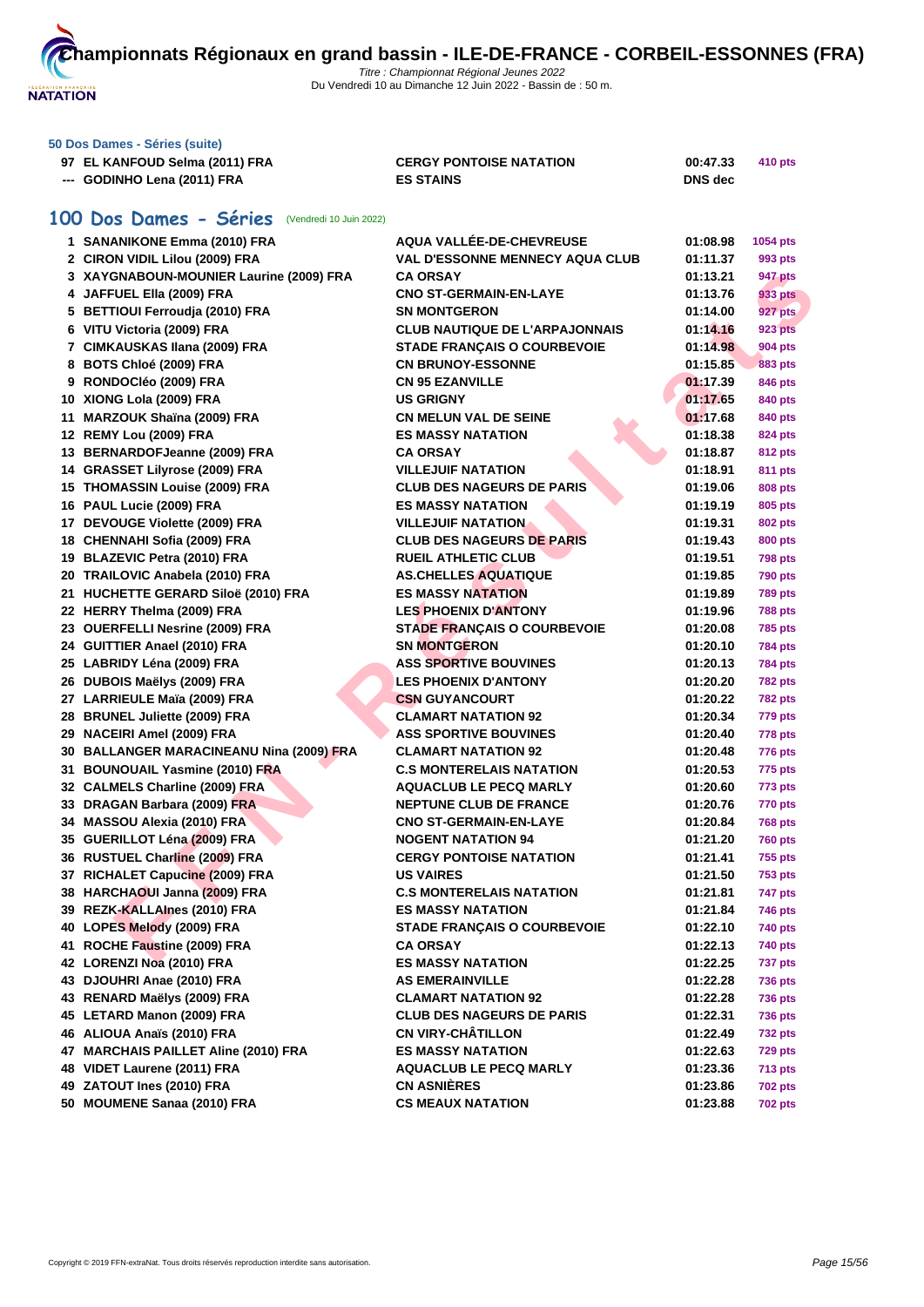

| 50 Dos Dames - Séries (suite)  |                                |                |         |
|--------------------------------|--------------------------------|----------------|---------|
| 97 EL KANFOUD Selma (2011) FRA | <b>CERGY PONTOISE NATATION</b> | 00:47.33       | 410 pts |
| --- GODINHO Lena (2011) FRA    | <b>ES STAINS</b>               | <b>DNS</b> dec |         |

# **100 Dos Dames - Séries** (Vendredi 10 Juin 2022)

| 1 SANANIKONE Emma (2010) FRA             | AQUA VALLÉE-DE-CHEVREUSE               | 01:08.98 | <b>1054 pts</b> |
|------------------------------------------|----------------------------------------|----------|-----------------|
| 2 CIRON VIDIL Lilou (2009) FRA           | <b>VAL D'ESSONNE MENNECY AQUA CLUB</b> | 01:11.37 | 993 pts         |
| 3 XAYGNABOUN-MOUNIER Laurine (2009) FRA  | <b>CA ORSAY</b>                        | 01:13.21 | 947 pts         |
| 4 JAFFUEL Ella (2009) FRA                | <b>CNO ST-GERMAIN-EN-LAYE</b>          | 01:13.76 | 933 pts         |
| 5 BETTIOUI Ferroudja (2010) FRA          | <b>SN MONTGERON</b>                    | 01:14.00 | <b>927 pts</b>  |
| 6 VITU Victoria (2009) FRA               | <b>CLUB NAUTIQUE DE L'ARPAJONNAIS</b>  | 01:14.16 | 923 pts         |
| 7 CIMKAUSKAS Ilana (2009) FRA            | <b>STADE FRANÇAIS O COURBEVOIE</b>     | 01:14.98 | 904 pts         |
| 8 BOTS Chloé (2009) FRA                  | <b>CN BRUNOY-ESSONNE</b>               | 01:15.85 | 883 pts         |
| 9 RONDOCIéo (2009) FRA                   | <b>CN 95 EZANVILLE</b>                 | 01:17.39 | 846 pts         |
| 10 XIONG Lola (2009) FRA                 | <b>US GRIGNY</b>                       | 01:17.65 | 840 pts         |
| 11 MARZOUK Shaïna (2009) FRA             | <b>CN MELUN VAL DE SEINE</b>           | 01:17.68 | 840 pts         |
| 12 REMY Lou (2009) FRA                   | <b>ES MASSY NATATION</b>               | 01:18.38 | 824 pts         |
| 13 BERNARDOFJeanne (2009) FRA            | <b>CA ORSAY</b>                        | 01:18.87 | <b>812 pts</b>  |
| 14 GRASSET Lilyrose (2009) FRA           | <b>VILLEJUIF NATATION</b>              | 01:18.91 | 811 pts         |
| 15 THOMASSIN Louise (2009) FRA           | <b>CLUB DES NAGEURS DE PARIS</b>       | 01:19.06 | 808 pts         |
| 16 PAUL Lucie (2009) FRA                 | <b>ES MASSY NATATION</b>               | 01:19.19 | 805 pts         |
| 17 DEVOUGE Violette (2009) FRA           | <b>VILLEJUIF NATATION</b>              | 01:19.31 | 802 pts         |
| 18 CHENNAHI Sofia (2009) FRA             | <b>CLUB DES NAGEURS DE PARIS</b>       | 01:19.43 | 800 pts         |
| 19 BLAZEVIC Petra (2010) FRA             | <b>RUEIL ATHLETIC CLUB</b>             | 01:19.51 | <b>798 pts</b>  |
| 20 TRAILOVIC Anabela (2010) FRA          | <b>AS.CHELLES AQUATIQUE</b>            | 01:19.85 | 790 pts         |
| 21 HUCHETTE GERARD Siloë (2010) FRA      | <b>ES MASSY NATATION</b>               | 01:19.89 | <b>789 pts</b>  |
| 22 HERRY Thelma (2009) FRA               | <b>LES PHOENIX D'ANTONY</b>            | 01:19.96 | 788 pts         |
| 23 OUERFELLI Nesrine (2009) FRA          | <b>STADE FRANÇAIS O COURBEVOIE</b>     | 01:20.08 |                 |
| 24 GUITTIER Anael (2010) FRA             | <b>SN MONTGERON</b>                    |          | <b>785 pts</b>  |
|                                          | <b>ASS SPORTIVE BOUVINES</b>           | 01:20.10 | 784 pts         |
| 25 LABRIDY Léna (2009) FRA               | <b>LES PHOENIX D'ANTONY</b>            | 01:20.13 | <b>784 pts</b>  |
| 26 DUBOIS Maëlys (2009) FRA              |                                        | 01:20.20 | 782 pts         |
| 27 LARRIEULE Maïa (2009) FRA             | <b>CSN GUYANCOURT</b>                  | 01:20.22 | <b>782 pts</b>  |
| 28 BRUNEL Juliette (2009) FRA            | <b>CLAMART NATATION 92</b>             | 01:20.34 | <b>779 pts</b>  |
| 29 NACEIRI Amel (2009) FRA               | <b>ASS SPORTIVE BOUVINES</b>           | 01:20.40 | 778 pts         |
| 30 BALLANGER MARACINEANU Nina (2009) FRA | <b>CLAMART NATATION 92</b>             | 01:20.48 | 776 pts         |
| 31 BOUNOUAIL Yasmine (2010) FRA          | <b>C.S MONTERELAIS NATATION</b>        | 01:20.53 | 775 pts         |
| 32 CALMELS Charline (2009) FRA           | <b>AQUACLUB LE PECQ MARLY</b>          | 01:20.60 | 773 pts         |
| 33 DRAGAN Barbara (2009) FRA             | <b>NEPTUNE CLUB DE FRANCE</b>          | 01:20.76 | 770 pts         |
| 34 MASSOU Alexia (2010) FRA              | <b>CNO ST-GERMAIN-EN-LAYE</b>          | 01:20.84 | <b>768 pts</b>  |
| 35 GUERILLOT Léna (2009) FRA             | <b>NOGENT NATATION 94</b>              | 01:21.20 | 760 pts         |
| 36 RUSTUEL Charline (2009) FRA           | <b>CERGY PONTOISE NATATION</b>         | 01:21.41 | 755 pts         |
| 37 RICHALET Capucine (2009) FRA          | <b>US VAIRES</b>                       | 01:21.50 | <b>753 pts</b>  |
| 38 HARCHAOUI Janna (2009) FRA            | <b>C.S MONTERELAIS NATATION</b>        | 01:21.81 | 747 pts         |
| 39 REZK-KALLAInes (2010) FRA             | <b>ES MASSY NATATION</b>               | 01:21.84 | 746 pts         |
| 40 LOPES Melody (2009) FRA               | STADE FRANÇAIS O COURBEVOIE            | 01:22.10 | 740 pts         |
| 41 ROCHE Faustine (2009) FRA             | <b>CA ORSAY</b>                        | 01:22.13 | 740 pts         |
| 42 LORENZI Noa (2010) FRA                | <b>ES MASSY NATATION</b>               | 01:22.25 | <b>737 pts</b>  |
| 43 DJOUHRI Anae (2010) FRA               | <b>AS EMERAINVILLE</b>                 | 01:22.28 | <b>736 pts</b>  |
| 43 RENARD Maëlys (2009) FRA              | <b>CLAMART NATATION 92</b>             | 01:22.28 | <b>736 pts</b>  |
| 45 LETARD Manon (2009) FRA               | <b>CLUB DES NAGEURS DE PARIS</b>       | 01:22.31 | <b>736 pts</b>  |
| 46 ALIOUA Anaïs (2010) FRA               | <b>CN VIRY-CHÂTILLON</b>               | 01:22.49 | <b>732 pts</b>  |
| 47 MARCHAIS PAILLET Aline (2010) FRA     | <b>ES MASSY NATATION</b>               | 01:22.63 | <b>729 pts</b>  |
| 48 VIDET Laurene (2011) FRA              | <b>AQUACLUB LE PECQ MARLY</b>          | 01:23.36 | <b>713 pts</b>  |
| 49 ZATOUT Ines (2010) FRA                | <b>CN ASNIÈRES</b>                     | 01:23.86 | <b>702 pts</b>  |
| 50 MOUMENE Sanaa (2010) FRA              | <b>CS MEAUX NATATION</b>               | 01:23.88 | <b>702 pts</b>  |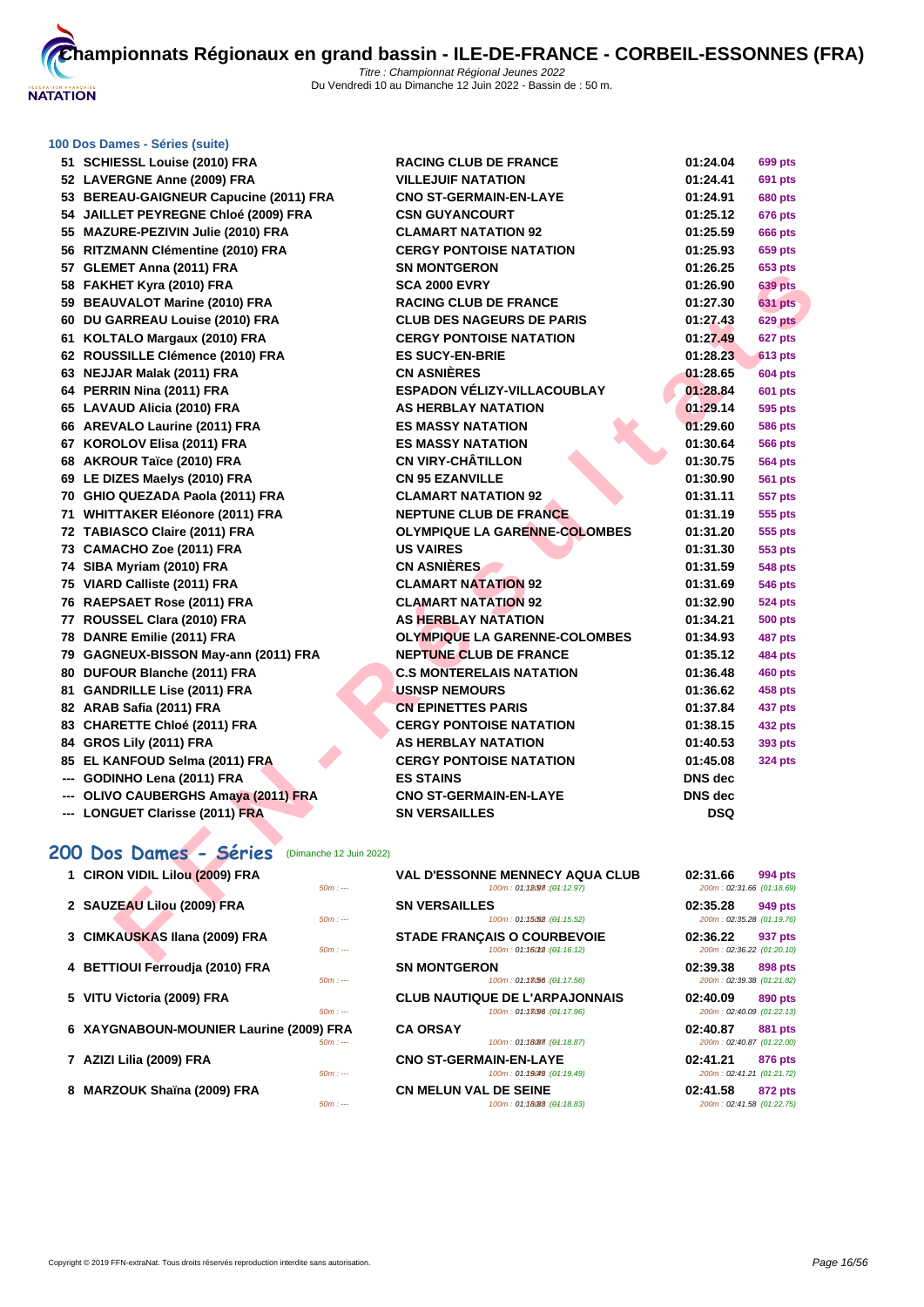

## **[100 Dos D](http://www.ffnatation.fr/webffn/index.php)ames - Séries (suite)**

| 51 SCHIESSL Louise (2010) FRA                  | <b>RACING CLUB DE FRANCE</b>                                          | 01:24.04                              | 699 pts        |
|------------------------------------------------|-----------------------------------------------------------------------|---------------------------------------|----------------|
| 52 LAVERGNE Anne (2009) FRA                    | <b>VILLEJUIF NATATION</b>                                             | 01:24.41                              | 691 pts        |
| 53 BEREAU-GAIGNEUR Capucine (2011) FRA         | <b>CNO ST-GERMAIN-EN-LAYE</b>                                         | 01:24.91                              | 680 pts        |
| 54 JAILLET PEYREGNE Chloé (2009) FRA           | <b>CSN GUYANCOURT</b>                                                 | 01:25.12                              | 676 pts        |
| 55 MAZURE-PEZIVIN Julie (2010) FRA             | <b>CLAMART NATATION 92</b>                                            | 01:25.59                              | <b>666 pts</b> |
| 56 RITZMANN Clémentine (2010) FRA              | <b>CERGY PONTOISE NATATION</b>                                        | 01:25.93                              | 659 pts        |
| 57 GLEMET Anna (2011) FRA                      | <b>SN MONTGERON</b>                                                   | 01:26.25                              | 653 pts        |
| 58 FAKHET Kyra (2010) FRA                      | <b>SCA 2000 EVRY</b>                                                  | 01:26.90                              | <b>639 pts</b> |
| 59 BEAUVALOT Marine (2010) FRA                 | <b>RACING CLUB DE FRANCE</b>                                          | 01:27.30                              | <b>631 pts</b> |
| 60 DU GARREAU Louise (2010) FRA                | <b>CLUB DES NAGEURS DE PARIS</b>                                      | 01:27.43                              | 629 pts        |
| 61 KOLTALO Margaux (2010) FRA                  | <b>CERGY PONTOISE NATATION</b>                                        | 01:27.49                              | 627 pts        |
| 62 ROUSSILLE Clémence (2010) FRA               | <b>ES SUCY-EN-BRIE</b>                                                | 01:28.23                              | 613 pts        |
| 63 NEJJAR Malak (2011) FRA                     | <b>CN ASNIÈRES</b>                                                    | 01:28.65                              | <b>604 pts</b> |
| 64 PERRIN Nina (2011) FRA                      | <b>ESPADON VÉLIZY-VILLACOUBLAY</b>                                    | 01:28.84                              | 601 pts        |
| 65 LAVAUD Alicia (2010) FRA                    | <b>AS HERBLAY NATATION</b>                                            | 01:29.14                              | <b>595 pts</b> |
| 66 AREVALO Laurine (2011) FRA                  | <b>ES MASSY NATATION</b>                                              | 01:29.60                              | 586 pts        |
| 67 KOROLOV Elisa (2011) FRA                    | <b>ES MASSY NATATION</b>                                              | 01:30.64                              | <b>566 pts</b> |
| 68 AKROUR Taïce (2010) FRA                     | <b>CN VIRY-CHÂTILLON</b>                                              | 01:30.75                              | 564 pts        |
| 69 LE DIZES Maelys (2010) FRA                  | <b>CN 95 EZANVILLE</b>                                                | 01:30.90                              | <b>561 pts</b> |
| 70 GHIO QUEZADA Paola (2011) FRA               | <b>CLAMART NATATION 92</b>                                            | 01:31.11                              | 557 pts        |
| 71 WHITTAKER Eléonore (2011) FRA               | <b>NEPTUNE CLUB DE FRANCE</b>                                         | 01:31.19                              | 555 pts        |
| 72 TABIASCO Claire (2011) FRA                  | <b>OLYMPIQUE LA GARENNE-COLOMBES</b>                                  | 01:31.20                              | 555 pts        |
| 73 CAMACHO Zoe (2011) FRA                      | <b>US VAIRES</b>                                                      | 01:31.30                              | 553 pts        |
| 74 SIBA Myriam (2010) FRA                      | <b>CN ASNIÈRES</b>                                                    | 01:31.59                              | 548 pts        |
| 75 VIARD Calliste (2011) FRA                   | <b>CLAMART NATATION 92</b>                                            | 01:31.69                              | <b>546 pts</b> |
| 76 RAEPSAET Rose (2011) FRA                    | <b>CLAMART NATATION 92</b>                                            | 01:32.90                              | 524 pts        |
| 77 ROUSSEL Clara (2010) FRA                    | <b>AS HERBLAY NATATION</b>                                            | 01:34.21                              | <b>500 pts</b> |
| 78 DANRE Emilie (2011) FRA                     | <b>OLYMPIQUE LA GARENNE-COLOMBES</b>                                  | 01:34.93                              | 487 pts        |
| 79 GAGNEUX-BISSON May-ann (2011) FRA           | <b>NEPTUNE CLUB DE FRANCE</b>                                         | 01:35.12                              | 484 pts        |
| 80 DUFOUR Blanche (2011) FRA                   | <b>C.S MONTERELAIS NATATION</b>                                       | 01:36.48                              | 460 pts        |
| 81 GANDRILLE Lise (2011) FRA                   | <b>USNSP NEMOURS</b>                                                  | 01:36.62                              | 458 pts        |
| 82 ARAB Safia (2011) FRA                       | <b>CN EPINETTES PARIS</b>                                             | 01:37.84                              | 437 pts        |
| 83 CHARETTE Chloé (2011) FRA                   | <b>CERGY PONTOISE NATATION</b>                                        | 01:38.15                              | <b>432 pts</b> |
| 84 GROS Lily (2011) FRA                        | <b>AS HERBLAY NATATION</b>                                            | 01:40.53                              | 393 pts        |
| 85 EL KANFOUD Selma (2011) FRA                 | <b>CERGY PONTOISE NATATION</b>                                        | 01:45.08                              | <b>324 pts</b> |
| --- GODINHO Lena (2011) FRA                    | <b>ES STAINS</b>                                                      | <b>DNS</b> dec                        |                |
| --- OLIVO CAUBERGHS Amaya (2011) FRA           | <b>CNO ST-GERMAIN-EN-LAYE</b>                                         | <b>DNS</b> dec                        |                |
| --- LONGUET Clarisse (2011) FRA                | <b>SN VERSAILLES</b>                                                  | <b>DSQ</b>                            |                |
|                                                |                                                                       |                                       |                |
| 200 Dos Dames - Séries (Dimanche 12 Juin 2022) |                                                                       |                                       |                |
| 1 CIRON VIDIL Lilou (2009) FRA<br>$50m: -$     | <b>VAL D'ESSONNE MENNECY AQUA CLUB</b><br>100m: 01:12.97 : (04:12.97) | 02:31.66<br>200m: 02:31.66 (01:18.69) | 994 pts        |
| 2 SAUZEAU Lilou (2009) FRA<br>$50m: -$         | <b>SN VERSAILLES</b><br>100m: 01:15.52 : (01:15.52)                   | 02:35.28<br>200m: 02:35.28 (01:19.76) | 949 pts        |
| 3 CIMKAUSKAS Ilana (2009) FRA<br>$50m: -$      | <b>STADE FRANÇAIS O COURBEVOIE</b><br>100m: 01:16012 : (01:16.12)     | 02:36.22<br>200m: 02:36.22 (01:20.10) | 937 pts        |
|                                                |                                                                       |                                       |                |

# **200 Dos Dames - Séries** (Dimanche 12 Juin 2022)

| 1 CIRON VIDIL Lilou (2009) FRA          | $50m: --$ | <b>VAL D'ESSONNE MENNECY AQUA CLUB</b><br>100m: 01:12097: (04:12.97) | 02:31.66<br>200m: 02:31.66 (01:18.69) | 994 pts        |
|-----------------------------------------|-----------|----------------------------------------------------------------------|---------------------------------------|----------------|
| 2 SAUZEAU Lilou (2009) FRA              | $50m: --$ | <b>SN VERSAILLES</b><br>100m: 01:1552: (04:15.52)                    | 02:35.28<br>200m: 02:35.28 (01:19.76) | 949 pts        |
| 3 CIMKAUSKAS Ilana (2009) FRA           | $50m: --$ | <b>STADE FRANCAIS O COURBEVOIE</b><br>100m: 01:160M2:(04:16.12)      | 02:36.22<br>200m: 02:36.22 (01:20.10) | 937 pts        |
| 4 BETTIOUI Ferroudja (2010) FRA         | $50m: -$  | <b>SN MONTGERON</b><br>100m: 01:18056:(04:17.56)                     | 02:39.38<br>200m: 02:39.38 (01:21.82) | 898 pts        |
| 5 VITU Victoria (2009) FRA              | $50m: --$ | <b>CLUB NAUTIQUE DE L'ARPAJONNAIS</b><br>100m: 01:18096 : (01:17.96) | 02:40.09<br>200m: 02:40.09 (01:22.13) | 890 pts        |
| 6 XAYGNABOUN-MOUNIER Laurine (2009) FRA | $50m: -$  | <b>CA ORSAY</b><br>100m: 01:18087 : (01:18.87)                       | 02:40.87<br>200m: 02:40.87 (01:22.00) | 881 pts        |
| 7 AZIZI Lilia (2009) FRA                | $50m: --$ | <b>CNO ST-GERMAIN-EN-LAYE</b><br>100m: 01:19049 : (04:19.49)         | 02:41.21<br>200m: 02:41.21 (01:21.72) | 876 pts        |
| 8 MARZOUK Shaïna (2009) FRA             | $50m: -$  | <b>CN MELUN VAL DE SEINE</b><br>100m: 01:180B3:(04:18.83)            | 02:41.58<br>200m: 02:41.58 (01:22.75) | <b>872 pts</b> |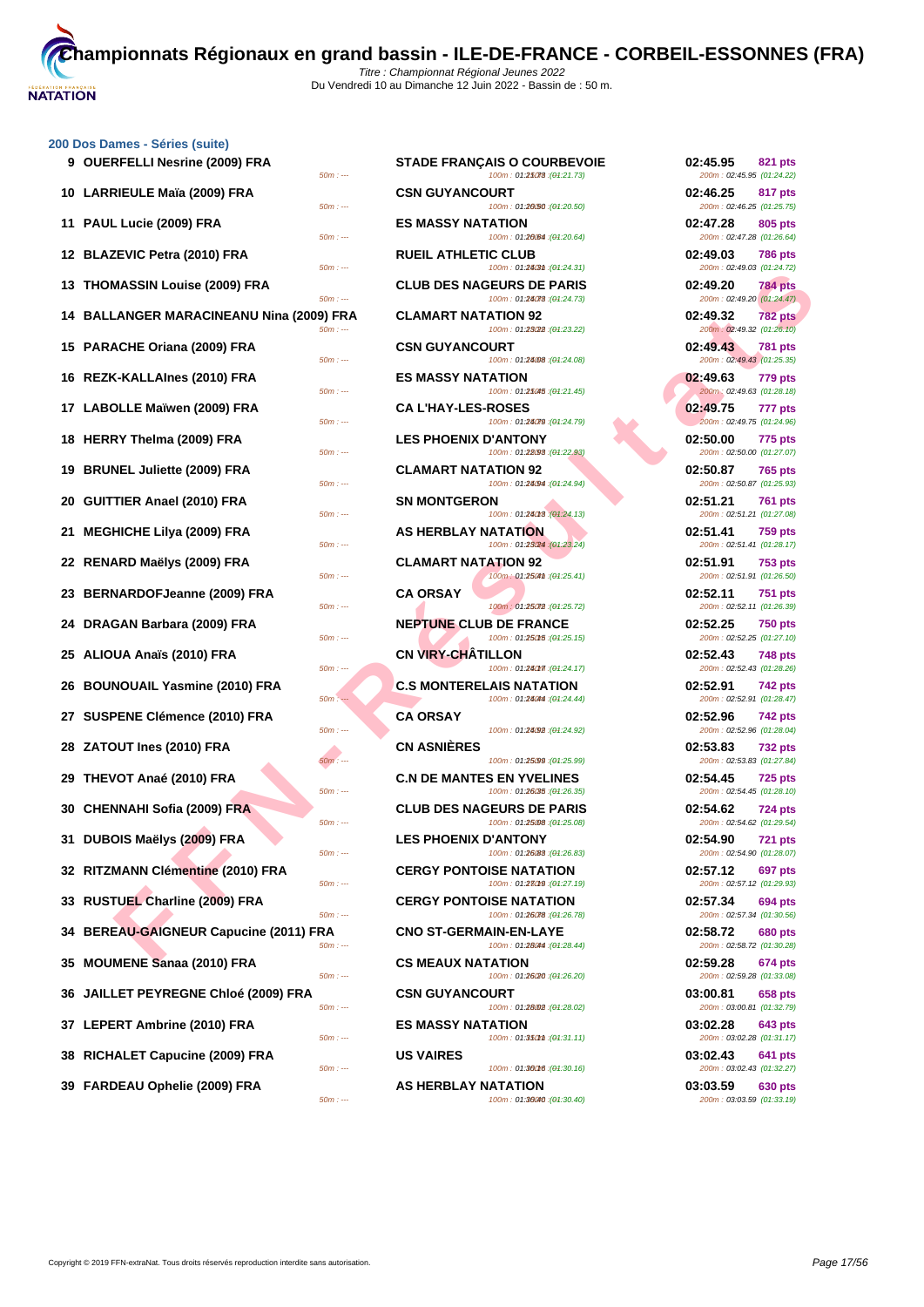

# **[200 Dos D](http://www.ffnatation.fr/webffn/index.php)ames - Séries (suite) 9 OUERFELLI Nesrine (2009) FRA STADE FRANÇAIS O COURBEVOIE 02:45.95 821 pts 10 LARRIEULE Maïa (2009) FRA**  $\frac{50m}{100}$ **11 PAUL Lucie (2009) FRA EXECUTE 11 BOWLER 12 BLAZEVIC Petra (2010) FRA 13 THOMASSIN Louise (2009) FRA**  $\frac{50m}{2}$ **14 BALLANGER MARACINEANU Nina (2009) FRA 15 PARACHE Oriana (2009) FRA 60m cm 16 REZK-KALLAInes (2010) FRA ES MASSY NATATION 02:49.63 779 pts 17 LABOLLE Maïwen (2009) FRA**  $\frac{50m \div 4}{50m \div 4}$ **18 HERRY Thelma (2009) FRA 19 BRUNEL Juliette (2009) FRA**  $\frac{50m}{100}$ **20 GUITTIER Anael (2010) FRA 21 MEGHICHE Lilya (2009) FRA**  $\frac{50m}{41}$ **22 RENARD Maëlys (2009) FRA CLAMART NATATION 92 02:51.91 753 pts 23 BERNARDOFJeanne (2009) FRA**  $\frac{50m}{11}$ **24 DRAGAN Barbara (2009) FRA**  $\frac{50m}{100}$ **25 ALIOUA Anaïs (2010) FRA** *SOm*:--**26 BOUNOUAIL Yasmine (2010) FRA 27 SUSPENE Clémence (2010) FRA 28 ZATOUT Ines (2010) FRA 29 THEVOT Anaé (2010) FRA C.N DE MANTES EN YVELINES 02:54.45 725 pts 30 CHENNAHI Sofia (2009) FRA** 50min **31 DUBOIS Maëlys (2009) FRA LES PHONOIS 50m 32 RITZMANN Clémentine (2010) FRA CONTOUR BONTON 33 RUSTUEL Charline (2009) FRA 34 BEREAU-GAIGNEUR Capucine (2011) FRA 35 MOUMENE Sanaa (2010) FRA 36 JAILLET PEYREGNE Chloé (2009) FRA**  $\frac{50m}{1000}$ **37 LEPERT Ambrine (2010) FRA 60m n 38** RICHALET Capucine (2009) FRA **1999 BTS 39 FARDEAU Ophelie (2009) FRA** 50mins

| RFELLI Nesrine (2009) FRA<br>$50m: -$          | <b>STADE FRANÇAIS O COURBEVOIE</b><br>100m: 01:25078 : (01:21.73) | 02:45.95<br>821 pts<br>200m: 02:45.95 (01:24.22)        |
|------------------------------------------------|-------------------------------------------------------------------|---------------------------------------------------------|
| RIEULE Maïa (2009) FRA                         | <b>CSN GUYANCOURT</b>                                             | 02:46.25<br>817 pts                                     |
| $50m: -$<br>L Lucie (2009) FRA                 | 100m: 01:20.50 : (01:20.50)<br><b>ES MASSY NATATION</b>           | 200m: 02:46.25 (01:25.75)<br>02:47.28<br>805 pts        |
| $50m: -$<br>ZEVIC Petra (2010) FRA             | 100m: 01:20064 : (01:20.64)<br><b>RUEIL ATHLETIC CLUB</b>         | 200m: 02:47.28 (01:26.64)<br>02:49.03<br><b>786 pts</b> |
| $50m: -$<br><b>MASSIN Louise (2009) FRA</b>    | 100m: 01:24(3th : (01:24.31)<br><b>CLUB DES NAGEURS DE PARIS</b>  | 200m: 02:49.03 (01:24.72)<br>02:49.20<br><b>784 pts</b> |
| $50m: -$<br>LANGER MARACINEANU Nina (2009) FRA | 100m: 01:24078 : (01:24.73)<br><b>CLAMART NATATION 92</b>         | 200m: 02:49.20 (01:24.47)<br>02:49.32<br><b>782 pts</b> |
| $50m: -$<br>ACHE Oriana (2009) FRA             | 100m: 01:23022 : (01:23.22)<br><b>CSN GUYANCOURT</b>              | 200m: 02:49.32 (01:26.10)<br>02:49.43<br><b>781 pts</b> |
| $50m: -$<br><b>K-KALLAInes (2010) FRA</b>      | 100m: 01:24.08 : (01:24.08)<br><b>ES MASSY NATATION</b>           | 200m: 02:49.43 (01:25.35)<br>02:49.63<br><b>779 pts</b> |
| $50m: -$<br>OLLE Maïwen (2009) FRA             | 100m: 01:25045 : (01:21.45)<br><b>CA L'HAY-LES-ROSES</b>          | 200m: 02:49.63 (01:28.18)<br>02:49.75<br>777 pts        |
| $50m: -$<br>RY Thelma (2009) FRA               | 100m: 01:24079 : (01:24.79)<br><b>LES PHOENIX D'ANTONY</b>        | 200m: 02:49.75 (01:24.96)<br>02:50.00<br><b>775 pts</b> |
| $50m: -$<br>NEL Juliette (2009) FRA            | 100m: 01:28/98 : (01:22.93)<br><b>CLAMART NATATION 92</b>         | 200m: 02:50.00 (01:27.07)<br>02:50.87<br><b>765 pts</b> |
| $50m: -$<br>TIER Anael (2010) FRA              | 100m: 01:24094 : (01:24.94)<br><b>SN MONTGERON</b>                | 200m: 02:50.87 (01:25.93)<br>02:51.21                   |
| $50m: -$                                       | 100m: 01:24018 : (01:24.13)                                       | 761 pts<br>200m: 02:51.21 (01:27.08)                    |
| HICHE Lilya (2009) FRA<br>$50m: -$             | <b>AS HERBLAY NATATION</b><br>100m: 01:23/24 : (01:23.24)         | 02:51.41<br><b>759 pts</b><br>200m: 02:51.41 (01:28.17) |
| ARD Maëlys (2009) FRA<br>$50m: -$              | <b>CLAMART NATATION 92</b><br>100m: 01:2504th : (01:25.41)        | 02:51.91<br><b>753 pts</b><br>200m: 02:51.91 (01:26.50) |
| NARDOFJeanne (2009) FRA<br>$50m: -$            | <b>CA ORSAY</b><br>100m: 01:25072 : (01:25.72)                    | 02:52.11<br><b>751 pts</b><br>200m: 02:52.11 (01:26.39) |
| GAN Barbara (2009) FRA<br>$50m: -$             | <b>NEPTUNE CLUB DE FRANCE</b><br>100m: 01:250f5 : (01:25.15)      | 02:52.25<br><b>750 pts</b><br>200m: 02:52.25 (01:27.10) |
| UA Anaïs (2010) FRA<br>$50m: -$                | <b>CN VIRY-CHATILLON</b><br>100m: 01:240m : (01:24.17)            | 02:52.43<br><b>748 pts</b><br>200m: 02:52.43 (01:28.26) |
| NOUAIL Yasmine (2010) FRA<br>$50m: -$          | <b>C.S MONTERELAIS NATATION</b><br>100m: 01:28044 : (01:24.44)    | 02:52.91<br><b>742 pts</b><br>200m: 02:52.91 (01:28.47) |
| PENE Clémence (2010) FRA<br>$50m: -$           | <b>CA ORSAY</b><br>100m: 01:24.92 : (01:24.92)                    | 02:52.96<br><b>742 pts</b><br>200m: 02:52.96 (01:28.04) |
| <b>DUT Ines (2010) FRA</b>                     | <b>CN ASNIERES</b>                                                | 02:53.83<br><b>732 pts</b>                              |
| $50m: -$<br>/OT Anaé (2010) FRA                | 100m: 01:25.99 : (01:25.99)<br><b>C.N DE MANTES EN YVELINES</b>   | 200m: 02:53.83 (01:27.84)<br>02:54.45<br><b>725 pts</b> |
| $50m: -$<br>NNAHI Sofia (2009) FRA             | 100m: 01:26/35 : (01:26.35)<br><b>CLUB DES NAGEURS DE PARIS</b>   | 200m: 02:54.45 (01:28.10)<br>02:54.62<br><b>724 pts</b> |
| $50m: -$<br>OIS Maëlys (2009) FRA              | 100m: 01:25.08 : (01:25.08)<br><b>LES PHOENIX D'ANTONY</b>        | 200m: 02:54.62 (01:29.54)<br>02:54.90<br><b>721 pts</b> |
| $50m: -$<br>MANN Clémentine (2010) FRA         | 100m: 01:26088: (01:26.83)<br><b>CERGY PONTOISE NATATION</b>      | 200m: 02:54.90 (01:28.07)<br>02:57.12<br>697 pts        |
| $50m: -$<br>TUEL Charline (2009) FRA           | 100m: 01:280f9 : (01:27.19)<br><b>CERGY PONTOISE NATATION</b>     | 200m: 02:57.12 (01:29.93)<br>02:57.34<br>694 pts        |
| $50m: -$<br>EAU-GAIGNEUR Capucine (2011) FRA   | 100m: 01:26078 : (01:26.78)<br><b>CNO ST-GERMAIN-EN-LAYE</b>      | 200m: 02:57.34 (01:30.56)<br>02:58.72<br><b>680 pts</b> |
| $50m: -$                                       | 100m: 01:28044 : (01:28.44)                                       | 200m: 02:58.72 (01:30.28)                               |
| <b>MENE Sanaa (2010) FRA</b><br>$50m: -$       | <b>CS MEAUX NATATION</b><br>100m: 01:26/20 : (01:26.20)           | 02:59.28<br><b>674 pts</b><br>200m: 02:59.28 (01:33.08) |
| LET PEYREGNE Chloé (2009) FRA<br>$50m: -$      | <b>CSN GUYANCOURT</b><br>100m: 01:28002 : (01:28.02)              | 03:00.81<br>658 pts<br>200m: 03:00.81 (01:32.79)        |
| ERT Ambrine (2010) FRA<br>$50m: -$             | <b>ES MASSY NATATION</b><br>100m: 01:350mm : (01:31.11)           | 03:02.28<br>643 pts<br>200m: 03:02.28 (01:31.17)        |
| IALET Capucine (2009) FRA<br>$50m: -$          | <b>US VAIRES</b><br>100m: 01:36016 : (01:30.16)                   | 03:02.43<br>641 pts<br>200m: 03:02.43 (01:32.27)        |
| <b>DEAU Ophelie (2009) FRA</b><br>$50m: -$     | <b>AS HERBLAY NATATION</b><br>100m: 01:36040 : (04:30.40)         | 03:03.59<br>630 pts<br>200m: 03:03.59 (01:33.19)        |
|                                                |                                                                   |                                                         |

| 02:45.95<br>200m: 02:45.95 (01:24.22)                              | 821 pts        |
|--------------------------------------------------------------------|----------------|
| 02:46.25<br>200m: 02:46.25 (01:25.75)                              | 817 pts        |
| 02:47.28<br>200m: 02:47.28 (01:26.64)                              | 805 pts        |
| 02:49.03<br>200m: 02:49.03 (01:24.72)                              | <b>786 pts</b> |
| 02:49.20<br>200m: 02:49.20 (01:24.47)                              | <b>784 pts</b> |
| 02:49.32                                                           | <b>782 pts</b> |
| 200m: 02:49.32 (01:26.10)<br>02:49.43<br>200m: 02:49.43 (01:25.35) | 781 pts        |
| 02:49.63                                                           | 779 pts        |
| 200m: 02:49.63 (01:28.18)<br>02:49.75                              | 777 pts        |
| 200m: 02:49.75 (01:24.96)                                          |                |
| 02:50.00<br>200m: 02:50.00 (01:27.07)                              | 775 pts        |
| 02:50.87<br>200m: 02:50.87 (01:25.93)                              | <b>765 pts</b> |
| 02:51.21<br>200m: 02:51.21 (01:27.08)                              | <b>761 pts</b> |
| 02:51.41<br>200m: 02:51.41 (01:28.17)                              | <b>759 pts</b> |
| 02:51.91<br>200m: 02:51.91 (01:26.50)                              | <b>753 pts</b> |
| 02:52.11<br>200m: 02:52.11 (01:26.39)                              | 751 pts        |
| 02:52.25<br>200m: 02:52.25 (01:27.10)                              | <b>750 pts</b> |
| 02:52.43<br>200m: 02:52.43 (01:28.26)                              | <b>748 pts</b> |
| 02:52.91<br>200m: 02:52.91 (01:28.47)                              | 742 pts        |
| 02:52.96<br>200m: 02:52.96 (01:28.04)                              | 742 pts        |
| 02:53.83<br>200m: 02:53.83 (01:27.84)                              | 732 pts        |
| 02:54.45<br>200m: 02:54.45 (01:28.10)                              | <b>725 pts</b> |
| 02:54.62<br>200m: 02:54.62 (01:29.54)                              | 724 pts        |
| 02:54.90<br>200m: 02:54.90 (01:28.07)                              | 721 pts        |
| 02:57.12<br>200m: 02:57.12 (01:29.93)                              | 697 pts        |
| 02:57.34<br>200m: 02:57.34 (01:30.56)                              | <b>694 pts</b> |
| 02:58.72<br>200m: 02:58.72 (01:30.28)                              | <b>680 pts</b> |
| 02:59.28<br>200m: 02:59.28 (01:33.08)                              | 674 pts        |
| 03:00.81<br>200m: 03:00.81 (01:32.79)                              | <b>658 pts</b> |
| 03:02.28<br>200m: 03:02.28 (01:31.17)                              | <b>643 pts</b> |
| 03:02.43<br>200m: 03:02.43 (01:32.27)                              | <b>641 pts</b> |
| 03:03.59<br>200m: 03:03.59 (01:33.19)                              | 630 pts        |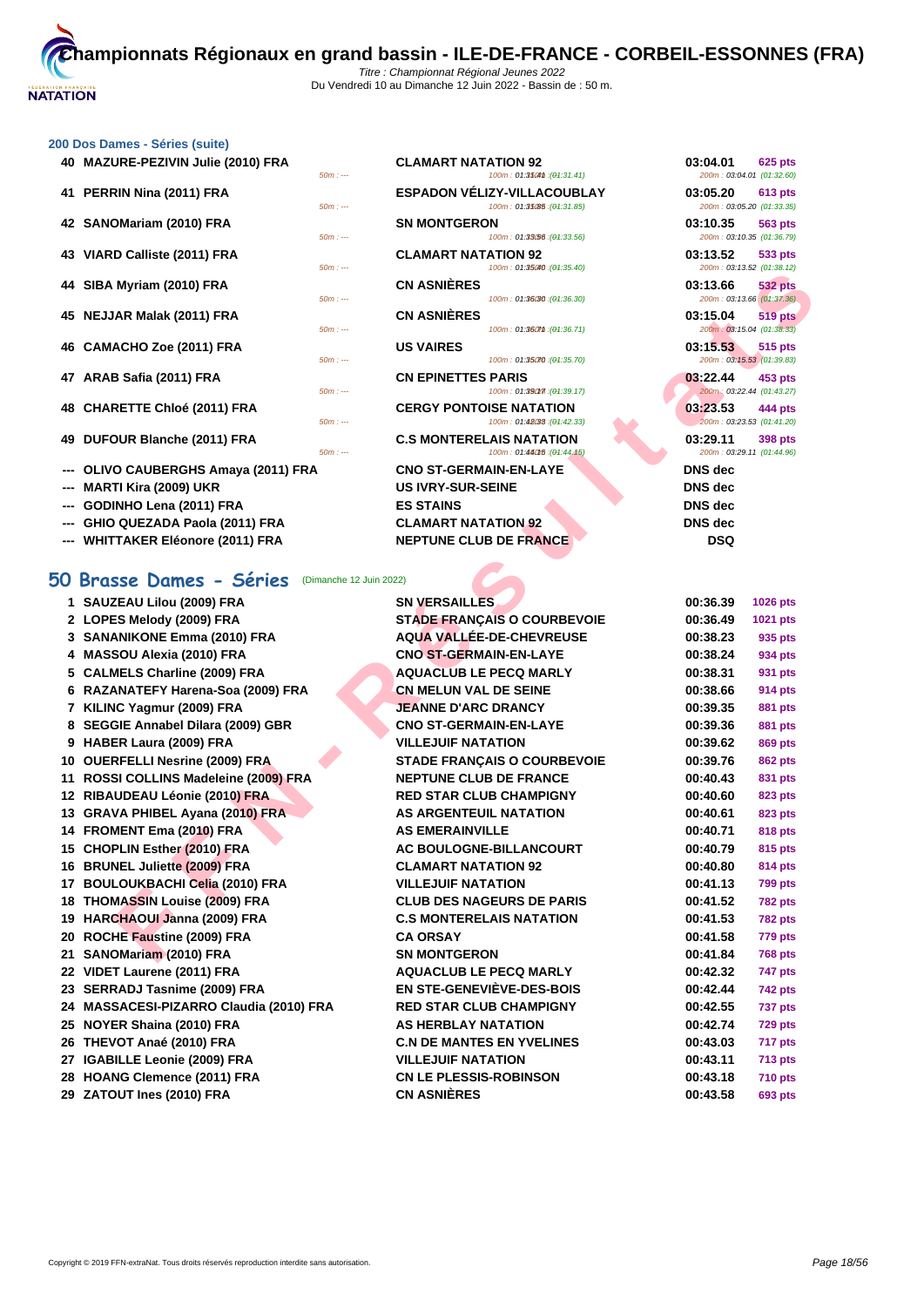### **[200 Dos D](http://www.ffnatation.fr/webffn/index.php)ames - Séries (suite)**

| 40 MAZURE-PEZIVIN Julie (2010) FRA   | $50m: --$ | <b>CLAMART NATATION 92</b><br>100m: 01:3504m: (01:31.41)          | 03:04.01<br><b>625 pts</b><br>200m: 03:04.01 (01:32.60) |
|--------------------------------------|-----------|-------------------------------------------------------------------|---------------------------------------------------------|
| 41 PERRIN Nina (2011) FRA            | $50m: --$ | <b>ESPADON VÉLIZY-VILLACOUBLAY</b><br>100m: 01:35085 : (04:31.85) | 03:05.20<br><b>613 pts</b><br>200m: 03:05.20 (01:33.35) |
| 42 SANOMariam (2010) FRA             | $50m: --$ | <b>SN MONTGERON</b><br>100m: 01:33.56 : (04:33.56)                | 03:10.35<br><b>563 pts</b><br>200m: 03:10.35 (01:36.79) |
| 43 VIARD Calliste (2011) FRA         | $50m: -$  | <b>CLAMART NATATION 92</b><br>100m: 01:35040 : (01:35.40)         | 03:13.52<br>533 pts<br>200m: 03:13.52 (01:38.12)        |
| 44 SIBA Myriam (2010) FRA            | $50m: --$ | <b>CN ASNIÈRES</b><br>100m: 01:36030 : (04:36.30)                 | 03:13.66<br><b>532 pts</b><br>200m: 03:13.66 (01:37.36) |
| 45 NEJJAR Malak (2011) FRA           | $50m: --$ | <b>CN ASNIÈRES</b><br>100m: 01:360mm: (01:36.71)                  | 03:15.04<br><b>519 pts</b><br>200m: 03:15.04 (01:38.33) |
| 46 CAMACHO Zoe (2011) FRA            | $50m: -$  | <b>US VAIRES</b><br>100m: 01:35070 : (01:35.70)                   | 03:15.53<br>515 pts<br>200m: 03:15.53 (01:39.83)        |
| 47 ARAB Safia (2011) FRA             | $50m: -$  | <b>CN EPINETTES PARIS</b><br>100m: 01:390f7 : (01:39.17)          | 03:22.44<br>453 pts<br>200m: 03:22.44 (01:43.27)        |
| 48 CHARETTE Chloé (2011) FRA         | $50m: --$ | <b>CERGY PONTOISE NATATION</b><br>100m: 01:48088 : (01:42.33)     | 03:23.53<br>444 pts<br>200m: 03:23.53 (01:41.20)        |
| 49 DUFOUR Blanche (2011) FRA         | $50m: -$  | <b>C.S MONTERELAIS NATATION</b><br>100m: 01:460f5 : (01:44.15)    | 03:29.11<br>398 pts<br>200m: 03:29.11 (01:44.96)        |
| --- OLIVO CAUBERGHS Amaya (2011) FRA |           | <b>CNO ST-GERMAIN-EN-LAYE</b>                                     | <b>DNS</b> dec                                          |
| --- MARTI Kira (2009) UKR            |           | <b>US IVRY-SUR-SEINE</b>                                          | <b>DNS</b> dec                                          |
| $0.00111101 - 0.00111001$            |           | $\sim$<br><b>FO OTABIO</b>                                        | <b>BAIR J.J.</b>                                        |

- **--- GODINHO Lena (2011) FRA**
- **--- GHIO QUEZADA Paola (2011) FRA CLAMART NATATION 92**
- **--- WHITTAKER Eléonore (2011) FRA NEPTUNE CLUB DE FRANCE**

# **50 Brasse Dames - Séries** (Dimanche 12 Juin 2022)

|    | U Drusse Dumes - Series (Dimanche     |
|----|---------------------------------------|
|    | 1 SAUZEAU Lilou (2009) FRA            |
|    | 2 LOPES Melody (2009) FRA             |
|    | 3 SANANIKONE Emma (2010) FRA          |
| 4  | MASSOU Alexia (2010) FRA              |
| 5  | <b>CALMELS Charline (2009) FRA</b>    |
| 6. | RAZANATEFY Harena-Soa (2009) FRA      |
|    | 7 KILINC Yagmur (2009) FRA            |
| 8  | SEGGIE Annabel Dilara (2009) GBR      |
|    | 9 HABER Laura (2009) FRA              |
| 10 | <b>OUERFELLI Nesrine (2009) FRA</b>   |
|    | 11 ROSSI COLLINS Madeleine (2009) FRA |
| 12 | RIBAUDEAU Léonie (2010) FRA           |
| 13 | <b>GRAVA PHIBEL Ayana (2010) FRA</b>  |
| 14 | FROMENT Ema (2010) FRA                |
| 15 | <b>CHOPLIN Esther (2010) FRA</b>      |
| 16 | <b>BRUNEL Juliette (2009) FRA</b>     |
|    | 17 BOULOUKBACHI Celia (2010) FRA      |
|    | 18 THOMASSIN Louise (2009) FRA        |
|    | 19 HARCHAOUI Janna (2009) FRA         |
| 20 | ROCHE Faustine (2009) FRA             |
| 21 | SANOMariam (2010) FRA                 |
|    | 22 VIDET Laurene (2011) FRA           |
| 23 | <b>SERRADJ Tasnime (2009) FRA</b>     |
| 24 | MASSACESI-PIZARRO Claudia (2010) FRA  |
| 25 | <b>NOYER Shaina (2010) FRA</b>        |
| 26 | THEVOT Anaé (2010) FRA                |
| 27 | <b>IGABILLE Leonie (2009) FRA</b>     |
| 28 | <b>HOANG Clemence (2011) FRA</b>      |
| 29 | ZATOUT Ines (2010) FRA                |
|    |                                       |

| $50m: -$ | <b>CLAMART NATATION 92</b><br>100m: 01:350m: (01:31.41)                       | 03:04.01<br><b>625 pts</b><br>200m: 03:04.01 (01:32.60) |
|----------|-------------------------------------------------------------------------------|---------------------------------------------------------|
| $50m: -$ | <b>ESPADON VÉLIZY-VILLACOUBLAY</b><br>100m: 01:35(85 : (01:31.85)             | 03:05.20<br><b>613 pts</b><br>200m: 03:05.20 (01:33.35) |
| $50m: -$ | <b>SN MONTGERON</b><br>100m: 01:33.56 : (01:33.56)                            | 03:10.35<br>563 pts<br>200m: 03:10.35 (01:36.79)        |
| $50m: -$ | <b>CLAMART NATATION 92</b><br>100m: 01:35040 : (04:35.40)                     | 03:13.52<br>533 pts<br>200m: 03:13.52 (01:38.12)        |
| $50m: -$ | <b>CN ASNIÈRES</b><br>100m: 01:36030 : (04:36.30)                             | 03:13.66<br><b>532 pts</b><br>200m: 03:13.66 (01:37.36) |
| $50m: -$ | <b>CN ASNIÈRES</b><br>100m: 01:360mm: (04:36.71)                              | 03:15.04<br><b>519 pts</b><br>200m: 03:15.04 (01:38.33) |
| $50m: -$ | <b>US VAIRES</b><br>100m: 01:35070 : (04:35.70)                               | 03:15.53<br><b>515 pts</b><br>200m: 03:15.53 (01:39.83) |
| $50m: -$ | <b>CN EPINETTES PARIS</b><br>100m: 01:390f7 : (04:39.17)                      | 03:22.44<br>453 pts<br>200m: 03:22.44 (01:43.27)        |
| $50m: -$ | <b>CERGY PONTOISE NATATION</b><br>100m: 01:48088 : (04:42.33)                 | 03.23.53<br>444 pts<br>200m: 03:23.53 (01:41.20)        |
| $50m: -$ | <b>C.S MONTERELAIS NATATION</b><br>100m: 01:460f5 : (01:44.15)                | 03:29.11<br>398 pts<br>200m: 03:29.11 (01:44.96)        |
|          | <b>CNO ST-GERMAIN-EN-LAYE</b><br><b>US IVRY-SUR-SEINE</b><br><b>ES STAINS</b> | <b>DNS</b> dec<br>DNS dec<br><b>DNS</b> dec             |
|          | CLAMADT NATATION 02                                                           | <b>DNIC doo</b>                                         |

Myriam (2010) FRA - CLAIMART MATAION 22<br>
EAR Malak (2011) FRA - CLAIMART SCHOOLOGE MATAION 2015.504 - 20213.41<br>
ACHO ZOO (2011) FRA - CLAIMART THE PARKS<br>
B Salia (2011) FRA - CLAIMART THE PARKS<br>
B Salia (2011) FRA - CLAIMA **12 SN VERSAILLES 22 IBC STADE FRANÇAIS O COURBEVOIE 3 SANANIKONE Emma (2010) FRA AQUA VALLÉE-DE-CHEVREUSE 00:38.23 935 pts**  $CNO$  **ST-GERMAIN-EN-LAYE 5 CALMELS Charline (2009) FRA AQUACLUB LE PECQ MARLY 00:38.31 931 pts 6** CN MELUN VAL DE SEINE **JEANNE D'ARC DRANCY**  $$ **9** YILLEJUIF NATATION **10 OUERFELLI Nesrine (2009) FRA STADE FRANÇAIS O COURBEVOIE 00:39.76 862 pts 111 ROSSI PROPERED IN EPTUNE CLUB DE FRANCE 12 RED STAR CLUB CHAMPIGNY 13 AS ARGENTEUIL NATATION 143 EMERAINVILLE 15 AC BOULOGNE-BILLANCOURT 16 BRUNEL AREA TELAMART NATATION 92 17** BULLEJUIF NATATION **18 IONAGEURS DE PARIS 19 IG.S MONTERELAIS NATATION 20 ROCHE Faustine (2009) FRA CA ORSAY 00:41.58 779 pts 251 MONTGERON 22 AQUACLUB LE PECQ MARLY 23 SERRADJ Tasnime (2009) FRA EN STE-GENEVIÈVE-DES-BOIS 00:42.44 742 pts 24 RED STAR CLUB CHAMPIGNY 25 HERBLAY NATATION 26 INDE MANTES EN YVELINES 27 IGABILLE Leonie (2009) FRA VILLEJUIF NATATION 00:43.11 713 pts 28 CN LE PLESSIS-ROBINSON 00:43.18 710 pts 29 ZATOUT Ines (2010) FRA CN ASNIÈRES 00:43.58 693 pts**

| 03:04.01             |                                             |
|----------------------|---------------------------------------------|
|                      | 625 pts                                     |
| 03:05.20             | 200m: 03:04.01 (01:32.60)<br><b>613 pts</b> |
| 03:10.35             | 200m: 03:05.20 (01:33.35)<br>563 pts        |
|                      | 200m: 03:10.35 (01:36.79)                   |
| 03:13.52             | 533 pts<br>200m: 03:13.52 (01:38.12)        |
| 03:13.66             | <b>532 pts</b>                              |
|                      | 200m: 03:13.66 (01:37.36)                   |
| 03:15.04             | 519 pts<br>200m: 03:15.04 (01:38.33)        |
| 03:15.53             | <b>515 pts</b>                              |
| 03:22.44             | 200m: 03:15.53 (01:39.83)<br>453 pts        |
|                      | 200m: 03:22.44 (01:43.27)                   |
| 03:23.53             | 444 pts                                     |
| 03:29.11             | 200m: 03:23.53 (01:41.20)<br>398 pts        |
| ł                    | 200m: 03:29.11 (01:44.96)                   |
| DNS dec              |                                             |
| DNS dec              |                                             |
| DNS dec<br>DNS dec   |                                             |
| DSQ                  |                                             |
|                      |                                             |
|                      |                                             |
| 00:36.39             | 1026 pts                                    |
| 00:36.49             | 1021 pts                                    |
|                      |                                             |
| 00:38.23             | 935 pts                                     |
| 00:38.24             | 934 pts                                     |
| 00:38.31             | 931 pts                                     |
| 00:38.66             | 914 pts                                     |
| 00:39.35<br>00:39.36 | 881 pts                                     |
| 00:39.62             | <b>881 pts</b><br><b>869 pts</b>            |
| 00:39.76             | 862 pts                                     |
| 00:40.43             | 831 pts                                     |
| 00:40.60             | 823 pts                                     |
| 00:40.61             | 823 pts                                     |
| 00:40.71             | 818 pts                                     |
| 00:40.79<br>00:40.80 | 815 pts                                     |
| 00:41.13             | <b>814 pts</b><br><b>799 pts</b>            |
| 00:41.52             | <b>782 pts</b>                              |
| 00:41.53             | 782 pts                                     |
| 00:41.58             | 779 pts                                     |
| 00:41.84             | <b>768 pts</b>                              |
| 00:42.32             | 747 pts                                     |
| 00:42.44<br>00:42.55 | 742 pts                                     |
| 00:42.74             | 737 pts<br>729 pts                          |
| 00:43.03             | 717 pts                                     |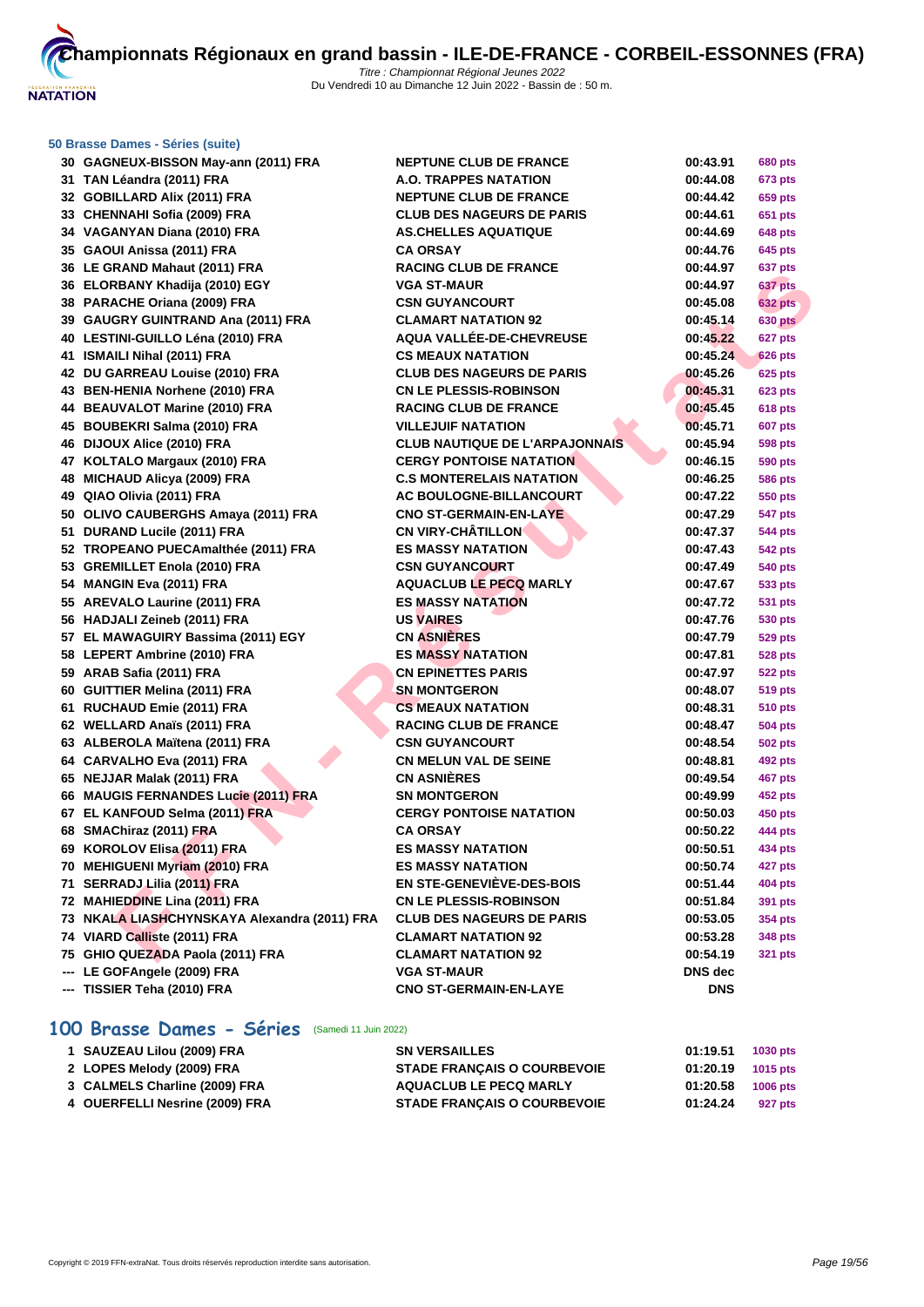

|     | 30 GAGNEUX-BISSON May-ann (2011) FRA         | <b>NEPTUNE CLUB DE FRANCE</b>         | 00:43.91   | 680 pts        |
|-----|----------------------------------------------|---------------------------------------|------------|----------------|
|     | 31 TAN Léandra (2011) FRA                    | <b>A.O. TRAPPES NATATION</b>          | 00:44.08   | 673 pts        |
|     | 32 GOBILLARD Alix (2011) FRA                 | <b>NEPTUNE CLUB DE FRANCE</b>         | 00:44.42   | 659 pts        |
|     | 33 CHENNAHI Sofia (2009) FRA                 | <b>CLUB DES NAGEURS DE PARIS</b>      | 00:44.61   | 651 pts        |
|     | 34 VAGANYAN Diana (2010) FRA                 | <b>AS.CHELLES AQUATIQUE</b>           | 00:44.69   | 648 pts        |
|     | 35 GAOUI Anissa (2011) FRA                   | <b>CA ORSAY</b>                       | 00:44.76   | 645 pts        |
|     | 36 LE GRAND Mahaut (2011) FRA                | <b>RACING CLUB DE FRANCE</b>          | 00:44.97   | 637 pts        |
|     | 36 ELORBANY Khadija (2010) EGY               | VGA ST-MAUR                           | 00:44.97   | 637 pts        |
|     | 38 PARACHE Oriana (2009) FRA                 | <b>CSN GUYANCOURT</b>                 | 00:45.08   | <b>632 pts</b> |
|     | 39 GAUGRY GUINTRAND Ana (2011) FRA           | <b>CLAMART NATATION 92</b>            | 00:45.14   | <b>630 pts</b> |
|     | 40 LESTINI-GUILLO Léna (2010) FRA            | <b>AQUA VALLÉE-DE-CHEVREUSE</b>       | 00:45.22   | 627 pts        |
|     | 41 ISMAILI Nihal (2011) FRA                  | <b>CS MEAUX NATATION</b>              | 00:45.24   | <b>626 pts</b> |
|     | 42 DU GARREAU Louise (2010) FRA              | <b>CLUB DES NAGEURS DE PARIS</b>      | 00:45.26   | <b>625 pts</b> |
|     | 43 BEN-HENIA Norhene (2010) FRA              | <b>CN LE PLESSIS-ROBINSON</b>         | 00:45.31   | 623 pts        |
|     | 44 BEAUVALOT Marine (2010) FRA               | <b>RACING CLUB DE FRANCE</b>          | 00:45.45   | <b>618 pts</b> |
|     | 45 BOUBEKRI Salma (2010) FRA                 | <b>VILLEJUIF NATATION</b>             | 00:45.71   | 607 pts        |
|     | 46 DIJOUX Alice (2010) FRA                   | <b>CLUB NAUTIQUE DE L'ARPAJONNAIS</b> | 00:45.94   | 598 pts        |
|     | 47 KOLTALO Margaux (2010) FRA                | <b>CERGY PONTOISE NATATION</b>        | 00:46.15   | 590 pts        |
|     | 48 MICHAUD Alicya (2009) FRA                 | <b>C.S MONTERELAIS NATATION</b>       | 00:46.25   | 586 pts        |
|     | 49 QIAO Olivia (2011) FRA                    | <b>AC BOULOGNE-BILLANCOURT</b>        | 00:47.22   | 550 pts        |
|     | 50 OLIVO CAUBERGHS Amaya (2011) FRA          | <b>CNO ST-GERMAIN-EN-LAYE</b>         | 00:47.29   | 547 pts        |
|     | 51 DURAND Lucile (2011) FRA                  | <b>CN VIRY-CHÂTILLON</b>              | 00:47.37   | 544 pts        |
|     | 52 TROPEANO PUECAmalthée (2011) FRA          | <b>ES MASSY NATATION</b>              | 00:47.43   | 542 pts        |
|     | 53 GREMILLET Enola (2010) FRA                | <b>CSN GUYANCOURT</b>                 | 00:47.49   | 540 pts        |
|     | 54 MANGIN Eva (2011) FRA                     | <b>AQUACLUB LE PECQ MARLY</b>         | 00:47.67   | 533 pts        |
|     | 55 AREVALO Laurine (2011) FRA                | <b>ES MASSY NATATION</b>              | 00:47.72   | 531 pts        |
|     | 56 HADJALI Zeineb (2011) FRA                 | <b>US VAIRES</b>                      | 00:47.76   | 530 pts        |
|     | 57 EL MAWAGUIRY Bassima (2011) EGY           | <b>CN ASNIERES</b>                    | 00:47.79   | 529 pts        |
|     | 58 LEPERT Ambrine (2010) FRA                 | <b>ES MASSY NATATION</b>              | 00:47.81   | 528 pts        |
|     | 59 ARAB Safia (2011) FRA                     | <b>CN EPINETTES PARIS</b>             | 00:47.97   | 522 pts        |
|     | 60 GUITTIER Melina (2011) FRA                | <b>SN MONTGERON</b>                   | 00:48.07   | 519 pts        |
|     | 61 RUCHAUD Emie (2011) FRA                   | <b>CS MEAUX NATATION</b>              | 00:48.31   | 510 pts        |
|     | 62 WELLARD Anaïs (2011) FRA                  | <b>RACING CLUB DE FRANCE</b>          | 00:48.47   | 504 pts        |
|     | 63 ALBEROLA Maïtena (2011) FRA               | <b>CSN GUYANCOURT</b>                 | 00:48.54   | 502 pts        |
|     | 64 CARVALHO Eva (2011) FRA                   | <b>CN MELUN VAL DE SEINE</b>          | 00:48.81   | 492 pts        |
|     | 65 NEJJAR Malak (2011) FRA                   | <b>CN ASNIÈRES</b>                    | 00:49.54   | 467 pts        |
|     | 66 MAUGIS FERNANDES Lucie (2011) FRA         | <b>SN MONTGERON</b>                   | 00:49.99   | 452 pts        |
|     | 67 EL KANFOUD Selma (2011) FRA               | <b>CERGY PONTOISE NATATION</b>        | 00:50.03   | <b>450 pts</b> |
|     | 68 SMAChiraz (2011) FRA                      | <b>CA ORSAY</b>                       | 00:50.22   | 444 pts        |
|     | 69 KOROLOV Elisa (2011) FRA                  | <b>ES MASSY NATATION</b>              | 00:50.51   | 434 pts        |
|     | 70 MEHIGUENI Myriam (2010) FRA               | <b>ES MASSY NATATION</b>              | 00:50.74   | 427 pts        |
|     | 71 SERRADJ Lilia (2011) FRA                  | <b>EN STE-GENEVIÈVE-DES-BOIS</b>      | 00:51.44   | <b>404 pts</b> |
|     | 72 MAHIEDDINE Lina (2011) FRA                | <b>CN LE PLESSIS-ROBINSON</b>         | 00:51.84   | 391 pts        |
|     | 73 NKALA LIASHCHYNSKAYA Alexandra (2011) FRA | <b>CLUB DES NAGEURS DE PARIS</b>      | 00:53.05   | 354 pts        |
|     | 74 VIARD Calliste (2011) FRA                 | <b>CLAMART NATATION 92</b>            | 00:53.28   | 348 pts        |
|     | 75 GHIO QUEZADA Paola (2011) FRA             | <b>CLAMART NATATION 92</b>            | 00:54.19   | 321 pts        |
| --- | LE GOFAngele (2009) FRA                      | VGA ST-MAUR                           | DNS dec    |                |
|     | --- TISSIER Teha (2010) FRA                  | <b>CNO ST-GERMAIN-EN-LAYE</b>         | <b>DNS</b> |                |

# **100 Brasse Dames - Séries** (Samedi 11 Juin 2022)

| 1 SAUZEAU Lilou (2009) FRA     | <b>SN VERSAILLES</b>               | 01:19.51 | <b>1030 pts</b> |
|--------------------------------|------------------------------------|----------|-----------------|
| 2 LOPES Melody (2009) FRA      | <b>STADE FRANÇAIS O COURBEVOIE</b> | 01:20.19 | 1015 pts        |
| 3 CALMELS Charline (2009) FRA  | <b>AQUACLUB LE PECQ MARLY</b>      | 01:20.58 | <b>1006 pts</b> |
| 4 OUERFELLI Nesrine (2009) FRA | <b>STADE FRANÇAIS O COURBEVOIE</b> | 01:24.24 | 927 pts         |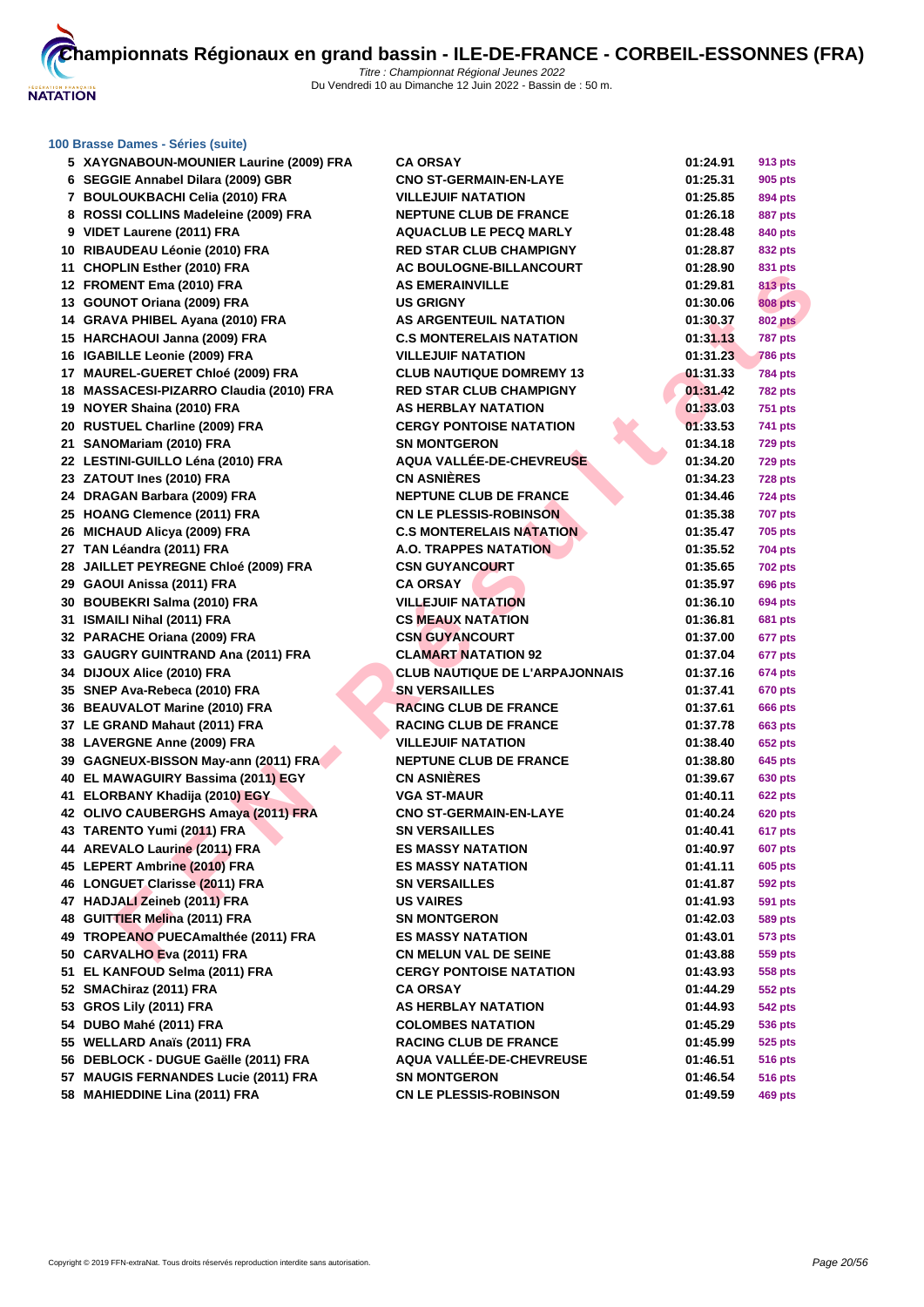

| 5 XAYGNABOUN-MOUNIER Laurine (2009) FRA                        | <b>CA ORSAY</b>                         | 01:24.91             | <b>913 pts</b>     |
|----------------------------------------------------------------|-----------------------------------------|----------------------|--------------------|
| 6 SEGGIE Annabel Dilara (2009) GBR                             | <b>CNO ST-GERMAIN-EN-LAYE</b>           | 01:25.31             | 905 pts            |
| 7 BOULOUKBACHI Celia (2010) FRA                                | <b>VILLEJUIF NATATION</b>               | 01:25.85             | 894 pts            |
| 8 ROSSI COLLINS Madeleine (2009) FRA                           | <b>NEPTUNE CLUB DE FRANCE</b>           | 01:26.18             | 887 pts            |
| 9 VIDET Laurene (2011) FRA                                     | <b>AQUACLUB LE PECQ MARLY</b>           | 01:28.48             | 840 pts            |
| 10 RIBAUDEAU Léonie (2010) FRA                                 | <b>RED STAR CLUB CHAMPIGNY</b>          | 01:28.87             | 832 pts            |
| 11 CHOPLIN Esther (2010) FRA                                   | AC BOULOGNE-BILLANCOURT                 | 01:28.90             | 831 pts            |
| 12 FROMENT Ema (2010) FRA                                      | <b>AS EMERAINVILLE</b>                  | 01:29.81             | <b>813 pts</b>     |
| 13 GOUNOT Oriana (2009) FRA                                    | <b>US GRIGNY</b>                        | 01:30.06             | <b>808 pts</b>     |
| 14 GRAVA PHIBEL Ayana (2010) FRA                               | AS ARGENTEUIL NATATION                  | 01:30.37             | <b>802 pts</b>     |
| 15 HARCHAOUI Janna (2009) FRA                                  | <b>C.S MONTERELAIS NATATION</b>         | 01:31.13             | <b>787 pts</b>     |
| 16 IGABILLE Leonie (2009) FRA                                  | <b>VILLEJUIF NATATION</b>               | 01:31.23             | <b>786 pts</b>     |
| 17 MAUREL-GUERET Chloé (2009) FRA                              | <b>CLUB NAUTIQUE DOMREMY 13</b>         | 01:31.33             | <b>784 pts</b>     |
| 18 MASSACESI-PIZARRO Claudia (2010) FRA                        | <b>RED STAR CLUB CHAMPIGNY</b>          | 01:31.42             | <b>782 pts</b>     |
| 19 NOYER Shaina (2010) FRA                                     | <b>AS HERBLAY NATATION</b>              | 01:33.03             | <b>751 pts</b>     |
| 20 RUSTUEL Charline (2009) FRA                                 | <b>CERGY PONTOISE NATATION</b>          | 01:33.53             | 741 pts            |
| 21 SANOMariam (2010) FRA                                       | <b>SN MONTGERON</b>                     | 01:34.18             | <b>729 pts</b>     |
| 22 LESTINI-GUILLO Léna (2010) FRA                              | AQUA VALLÉE-DE-CHEVREUSE                | 01:34.20             | <b>729 pts</b>     |
| 23 ZATOUT Ines (2010) FRA                                      | <b>CN ASNIÈRES</b>                      | 01:34.23             | <b>728 pts</b>     |
| 24 DRAGAN Barbara (2009) FRA                                   | <b>NEPTUNE CLUB DE FRANCE</b>           | 01:34.46             | <b>724 pts</b>     |
| 25 HOANG Clemence (2011) FRA                                   | <b>CN LE PLESSIS-ROBINSON</b>           | 01:35.38             | <b>707 pts</b>     |
| 26 MICHAUD Alicya (2009) FRA                                   | <b>C.S MONTERELAIS NATATION</b>         | 01:35.47             | 705 pts            |
| 27 TAN Léandra (2011) FRA                                      | A.O. TRAPPES NATATION                   | 01:35.52             | 704 pts            |
| 28 JAILLET PEYREGNE Chloé (2009) FRA                           | <b>CSN GUYANCOURT</b>                   | 01:35.65             | <b>702 pts</b>     |
| 29 GAOUI Anissa (2011) FRA                                     | <b>CA ORSAY</b>                         | 01:35.97             | <b>696 pts</b>     |
| 30 BOUBEKRI Salma (2010) FRA                                   | <b>VILLEJUIF NATATION</b>               | 01:36.10             | 694 pts            |
| 31 ISMAILI Nihal (2011) FRA                                    | <b>CS MEAUX NATATION</b>                | 01:36.81             | <b>681 pts</b>     |
| 32 PARACHE Oriana (2009) FRA                                   | <b>CSN GUYANCOURT</b>                   | 01:37.00             | 677 pts            |
| 33 GAUGRY GUINTRAND Ana (2011) FRA                             | <b>CLAMART NATATION 92</b>              | 01:37.04             | 677 pts            |
| 34 DIJOUX Alice (2010) FRA                                     | <b>CLUB NAUTIQUE DE L'ARPAJONNAIS</b>   | 01:37.16             | 674 pts            |
| 35 SNEP Ava-Rebeca (2010) FRA                                  | <b>SN VERSAILLES</b>                    | 01:37.41             | <b>670 pts</b>     |
| 36 BEAUVALOT Marine (2010) FRA                                 | <b>RACING CLUB DE FRANCE</b>            | 01:37.61             | <b>666 pts</b>     |
| 37 LE GRAND Mahaut (2011) FRA                                  | <b>RACING CLUB DE FRANCE</b>            | 01:37.78             | 663 pts            |
| 38 LAVERGNE Anne (2009) FRA                                    | <b>VILLEJUIF NATATION</b>               | 01:38.40             | 652 pts            |
| 39 GAGNEUX-BISSON May-ann (2011) FRA                           | <b>NEPTUNE CLUB DE FRANCE</b>           | 01:38.80             | 645 pts            |
| 40 EL MAWAGUIRY Bassima (2011) EGY                             | <b>CN ASNIERES</b>                      | 01:39.67             | <b>630 pts</b>     |
| 41 ELORBANY Khadija (2010) EGY                                 | <b>VGA ST-MAUR</b>                      | 01:40.11             | <b>622 pts</b>     |
| 42 OLIVO CAUBERGHS Amaya (2011) FRA                            | <b>CNO ST-GERMAIN-EN-LAYE</b>           | 01:40.24             | <b>620 pts</b>     |
| 43 TARENTO Yumi (2011) FRA                                     | <b>SN VERSAILLES</b>                    | 01:40.41             | 617 pts            |
| 44 AREVALO Laurine (2011) FRA                                  | <b>ES MASSY NATATION</b>                | 01:40.97             | <b>607 pts</b>     |
| 45 LEPERT Ambrine (2010) FRA                                   | <b>ES MASSY NATATION</b>                | 01:41.11             | 605 pts            |
| 46 LONGUET Clarisse (2011) FRA<br>47 HADJALI Zeineb (2011) FRA | <b>SN VERSAILLES</b>                    | 01:41.87             | 592 pts            |
| 48 GUITTIER Melina (2011) FRA                                  | <b>US VAIRES</b><br><b>SN MONTGERON</b> | 01:41.93             | 591 pts<br>589 pts |
| 49 TROPEANO PUECAmalthée (2011) FRA                            | <b>ES MASSY NATATION</b>                | 01:42.03<br>01:43.01 |                    |
| 50 CARVALHO Eva (2011) FRA                                     | <b>CN MELUN VAL DE SEINE</b>            | 01:43.88             | 573 pts<br>559 pts |
| 51 EL KANFOUD Selma (2011) FRA                                 | <b>CERGY PONTOISE NATATION</b>          | 01:43.93             | 558 pts            |
| 52 SMAChiraz (2011) FRA                                        | <b>CA ORSAY</b>                         | 01:44.29             | 552 pts            |
| 53 GROS Lily (2011) FRA                                        | AS HERBLAY NATATION                     | 01:44.93             | 542 pts            |
| 54 DUBO Mahé (2011) FRA                                        | <b>COLOMBES NATATION</b>                | 01:45.29             | 536 pts            |
| 55 WELLARD Anaïs (2011) FRA                                    | <b>RACING CLUB DE FRANCE</b>            | 01:45.99             | 525 pts            |
| 56 DEBLOCK - DUGUE Gaëlle (2011) FRA                           | <b>AQUA VALLÉE-DE-CHEVREUSE</b>         | 01:46.51             | <b>516 pts</b>     |
| 57 MAUGIS FERNANDES Lucie (2011) FRA                           | <b>SN MONTGERON</b>                     | 01:46.54             | <b>516 pts</b>     |
| 58 MAHIEDDINE Lina (2011) FRA                                  | <b>CN LE PLESSIS-ROBINSON</b>           | 01:49.59             | 469 pts            |
|                                                                |                                         |                      |                    |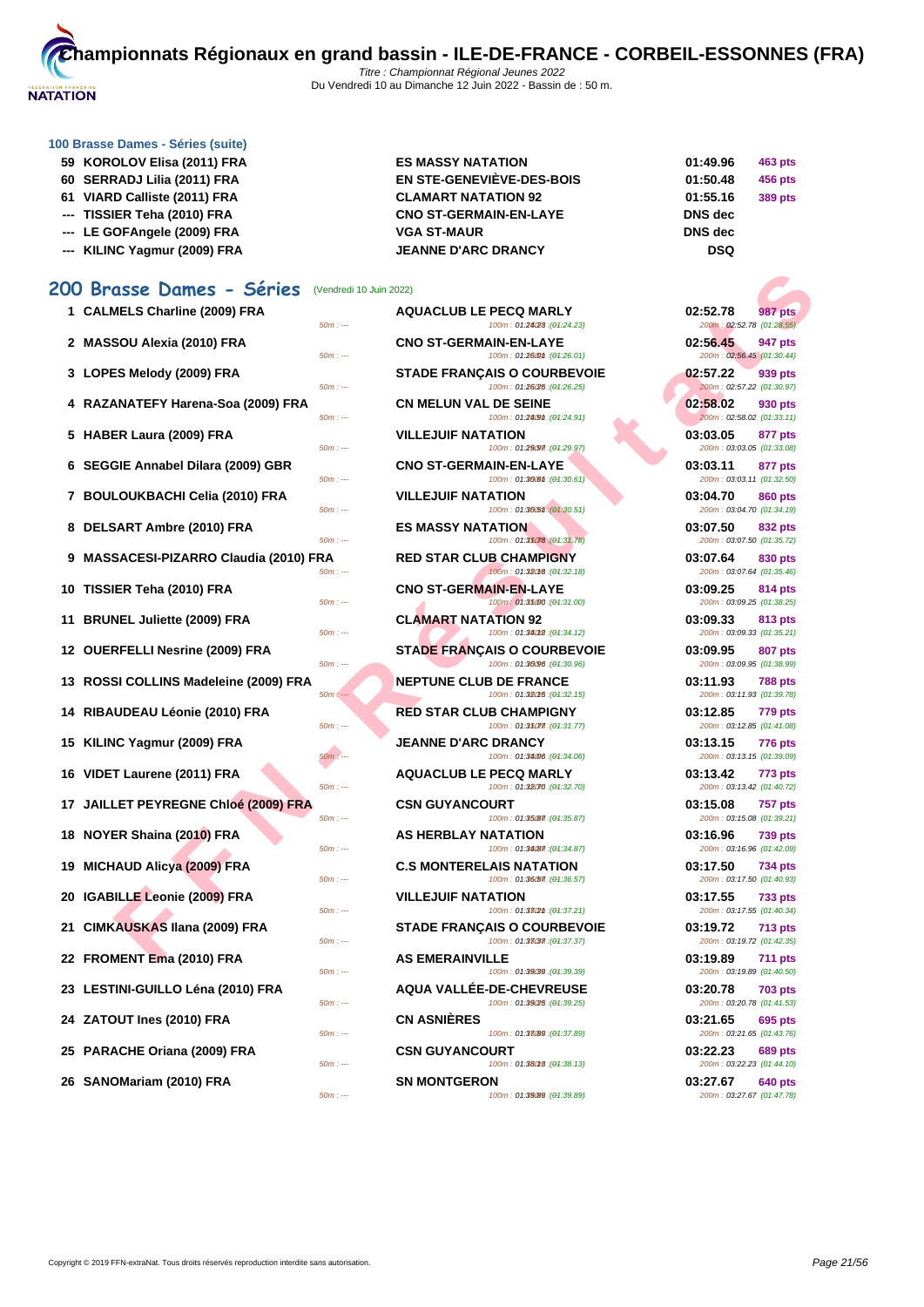

- **59 KOROLOV Elisa (2011) FRA ES MASSY NATATION 01:49.96 463 pts**
- **60 SERRADJ Lilia (2011) FRA EN STE-GENEVIÈVE-DES-BOIS 01:50.48 456 pts**
- **61 VIARD Calliste (2011) FRA CLAMART NATATION 92 01:55.16 389 pts**
- **--- TISSIER Teha (2010) FRA CNO ST-GERMAIN-EN-LAYE DNS dec**
- --- **LE GOFAngele (2009) FRA D D D D D D D D D**
- **--- KILINC Yagmur (2009) FRA JEANNE D'ARC DRANCY DSQ**

# **200 Brasse Dames - Séries** (Vendredi 10 Juin 2022)

- **1 CALMELS Charline (2009) FRA**  $\frac{50m}{100}$
- **2 MASSOU Alexia (2010) FRA**  $\frac{50m \div m}{2}$
- 
- **4 RAZANATEFY Harena-Soa (2009) FRA**  $\frac{50m}{100}$
- **5 HABER Laura (2009) FRA**
- **6 SEGGIE Annabel Dilara (2009) GBR**
- **7** BOULOUKBACHI Celia (2010) FRA<br>**SOM**
- **8 DELSART Ambre (2010) FRA**  $\frac{50m}{500}$
- **9 MASSACESI-PIZARRO Claudia (2010) FRA**
- **10 TISSIER Teha (2010) FRA**  $\frac{50m}{25}$
- **11 BRUNEL Juliette (2009) FRA**
- 
- **13** ROSSI COLLINS Madeleine (2009) FRA
- **14 RIBAUDEAU Léonie (2010) FRA**  $\frac{50m}{v}$
- **15 KILINC Yagmur (2009) FRA**  $\frac{50m}{15}$
- **16 VIDET Laurene (2011) FRA**
- **17 JAILLET PEYREGNE Chloé (2009) FRA**
- **18 NOYER Shaina (2010) FRA BIGGS BIGGS**
- **19 MICHAUD Alicya (2009) FRA CONTER**
- **20 IGABILLE Leonie (2009) FRA** *Som*: --
- 
- **22 FROMENT Ema (2010) FRA**  $\frac{50m}{100}$
- **23 LESTINI-GUILLO Léna (2010) FRA**  $\frac{50m}{100}$
- **24 ZATOUT Ines (2010) FRA CN ASNIÈRES 03:21.65 695 pts**
- **25 PARACHE Oriana (2009) FRA** 689 **cm** and 500 per set
- **26 SANOMariam (2010) FRA**

| 1 CALMELS Charline (2009) FRA<br>$50m: -$          | <b>AQUACLUB LE PECQ MARLY</b><br>100m: 01:24/28 : (01:24.23)      | 02:52.78<br><b>987 pts</b><br>200m: 02:52.78 (01:28.55) |
|----------------------------------------------------|-------------------------------------------------------------------|---------------------------------------------------------|
| 2 MASSOU Alexia (2010) FRA<br>$50m: -$             | <b>CNO ST-GERMAIN-EN-LAYE</b><br>100m: 01:260m : (01:26.01)       | 02:56.45<br>947 pts<br>200m: 02:56.45 (01:30.44)        |
| 3 LOPES Melody (2009) FRA<br>$50m: -$              | <b>STADE FRANÇAIS O COURBEVOIE</b><br>100m: 01:26/25 : (01:26.25) | 02:57.22<br>939 pts<br>200m: 02:57.22 (01:30.97)        |
| 4 RAZANATEFY Harena-Soa (2009) FRA<br>$50m: -$     | <b>CN MELUN VAL DE SEINE</b><br>100m: 01:24.9th : (01:24.91)      | 02:58.02<br>930 pts<br>200m: 02:58.02 (01:33.11)        |
| 5 HABER Laura (2009) FRA<br>$50m: -$               | <b>VILLEJUIF NATATION</b><br>100m: 01:29097 : (01:29.97)          | 03:03.05<br>877 pts<br>200m: 03:03.05 (01:33.08)        |
| 6 SEGGIE Annabel Dilara (2009) GBR<br>$50m: -$     | <b>CNO ST-GERMAIN-EN-LAYE</b><br>100m: 01:300m : (01:30.61)       | 03:03.11<br>877 pts<br>200m: 03:03.11 (01:32.50)        |
| 7 BOULOUKBACHI Celia (2010) FRA<br>$50m: -$        | <b>VILLEJUIF NATATION</b><br>100m: 01:30.51 : (01:30.51)          | 03:04.70<br><b>860 pts</b><br>200m: 03:04.70 (01:34.19) |
| 8 DELSART Ambre (2010) FRA<br>$50m: -$             | <b>ES MASSY NATATION</b><br>100m: 01:35078 (01:31.78)             | 03:07.50<br>832 pts<br>200m: 03:07.50 (01:35.72)        |
| 9 MASSACESI-PIZARRO Claudia (2010) FRA<br>$50m: -$ | <b>RED STAR CLUB CHAMPIGNY</b><br>100m: 01:38018 : (01:32.18)     | 03:07.64<br>830 pts<br>200m: 03:07.64 (01:35.46)        |
| 10 TISSIER Teha (2010) FRA<br>$50m: -$             | <b>CNO ST-GERMAIN-EN-LAYE</b><br>100m: 01:35000 : (01:31.00)      | 03:09.25<br>814 pts<br>200m: 03:09.25 (01:38.25)        |
| 11 BRUNEL Juliette (2009) FRA<br>$50m: -$          | <b>CLAMART NATATION 92</b><br>100m: 01:34012 : (01:34.12)         | 03:09.33<br>813 pts<br>200m: 03:09.33 (01:35.21)        |
| 12 OUERFELLI Nesrine (2009) FRA<br>$50m: -$        | <b>STADE FRANÇAIS O COURBEVOIE</b><br>100m: 01:30/96 : (01:30.96) | 03:09.95<br><b>807 pts</b><br>200m: 03:09.95 (01:38.99) |
| 13 ROSSI COLLINS Madeleine (2009) FRA<br>$50m: -$  | <b>NEPTUNE CLUB DE FRANCE</b><br>100m: 01:380f5 : (01:32.15)      | 03:11.93<br><b>788 pts</b><br>200m: 03:11.93 (01:39.78) |
| 14 RIBAUDEAU Léonie (2010) FRA<br>$50m: -$         | <b>RED STAR CLUB CHAMPIGNY</b><br>100m: 01:35077. (04:31.77)      | 03:12.85<br><b>779 pts</b><br>200m: 03:12.85 (01:41.08) |
| 15 KILINC Yagmur (2009) FRA<br>50m : ---           | <b>JEANNE D'ARC DRANCY</b><br>100m: 01:34.06 : (01:34.06)         | 03:13.15<br>776 pts<br>200m: 03:13.15 (01:39.09)        |
| 16 VIDET Laurene (2011) FRA<br>$50m: -$            | <b>AQUACLUB LE PECQ MARLY</b><br>100m: 01:32.70 : (01:32.70)      | 03:13.42<br>773 pts<br>200m: 03:13.42 (01:40.72)        |
| 17 JAILLET PEYREGNE Chloé (2009) FRA<br>$50m: -$   | <b>CSN GUYANCOURT</b><br>100m: 01:35/87 : (01:35.87)              | 03:15.08<br><b>757 pts</b><br>200m: 03:15.08 (01:39.21) |
| 18 NOYER Shaina (2010) FRA<br>$50m: -$             | <b>AS HERBLAY NATATION</b><br>100m: 01:34/87 : (01:34.87)         | 03:16.96<br><b>739 pts</b><br>200m: 03:16.96 (01:42.09) |
| 19 MICHAUD Alicya (2009) FRA<br>$50m: -$           | <b>C.S MONTERELAIS NATATION</b><br>100m: 01:36.57 : (01:36.57)    | 03:17.50<br>734 pts<br>200m: 03:17.50 (01:40.93)        |
| 20 IGABILLE Leonie (2009) FRA<br>$50m: -$          | <b>VILLEJUIF NATATION</b><br>100m: 01:332m : (01:37.21)           | 03:17.55<br><b>733 pts</b><br>200m: 03:17.55 (01:40.34) |
| 21 CIMKAUSKAS Ilana (2009) FRA<br>$50m: -$         | <b>STADE FRANCAIS O COURBEVOIE</b><br>100m: 01:38(37.37)          | 03:19.72<br><b>713 pts</b><br>200m: 03:19.72 (01:42.35) |
| 22 FROMENT Ema (2010) FRA<br>$50m: -$              | <b>AS EMERAINVILLE</b><br>100m: 01:39(39 : (01:39.39)             | 03:19.89<br><b>711 pts</b><br>200m: 03:19.89 (01:40.50) |
| 23 LESTINI-GUILLO Léna (2010) FRA<br>$50m: -$      | <b>AQUA VALLEE-DE-CHEVREUSE</b><br>100m: 01:39/25 : (01:39.25)    | 03:20.78<br><b>703 pts</b><br>200m: 03:20.78 (01:41.53) |
| 24 ZATOUT Ines (2010) FRA<br>$50m: -$              | <b>CN ASNIERES</b><br>100m: 01:33(89 : (01:37.89)                 | 03:21.65<br>695 pts<br>200m: 03:21.65 (01:43.76)        |
| 25 PARACHE Oriana (2009) FRA<br>$50m: -$           | <b>CSN GUYANCOURT</b><br>100m: 01:38013 : (01:38.13)              | 03:22.23<br><b>689 pts</b><br>200m: 03:22.23 (01:44.10) |
| 26 SANOMariam (2010) FRA<br>$50m: -$               | <b>SN MONTGERON</b><br>100m: 01:39(89 : (01:39.89)                | 03:27.67<br>640 pts<br>200m: 03:27.67 (01:47.78)        |
|                                                    |                                                                   |                                                         |

| 1:49.96 | 463 pts        |
|---------|----------------|
| 1:50.48 | 456 pts        |
| 1:55.16 | <b>389 pts</b> |
| ≀NS dec |                |
| ≀NS dec |                |
| ---     |                |

| 02:52.78<br>200m: 02:52.78 (01:28.55) | 987 pts        |
|---------------------------------------|----------------|
| 02:56.45<br>200m: 02:56.45 (01:30.44) | 947 pts        |
| 02:57.22<br>200m: 02:57.22 (01:30.97) | 939 pts        |
| 02:58.02<br>200m: 02:58.02 (01:33.11) | 930 pts        |
| 03:03.05<br>200m: 03:03.05 (01:33.08) | 877 pts        |
| 03:03.11<br>200m: 03:03.11 (01:32.50) | 877 pts        |
| 03:04.70<br>200m: 03:04.70 (01:34.19) | <b>860 pts</b> |
| 03:07.50<br>200m: 03:07.50 (01:35.72) | 832 pts        |
| 03:07.64<br>200m: 03:07.64 (01:35.46) | 830 pts        |
| 03:09.25<br>200m: 03:09.25 (01:38.25) | 814 pts        |
| 03:09.33<br>200m: 03:09.33 (01:35.21) | 813 pts        |
| 03:09.95<br>200m: 03:09.95 (01:38.99) | 807 pts        |
| 03:11.93<br>200m: 03:11.93 (01:39.78) | <b>788 pts</b> |
| 03:12.85<br>200m: 03:12.85 (01:41.08) | 779 pts        |
| 03:13.15<br>200m: 03:13.15 (01:39.09) | 776 pts        |
| 03:13.42<br>200m: 03:13.42 (01:40.72) | 773 pts        |
| 03:15.08<br>200m: 03:15.08 (01:39.21) | <b>757 pts</b> |
| 03:16.96<br>200m: 03:16.96 (01:42.09) | <b>739 pts</b> |
| 03:17.50<br>200m: 03:17.50 (01:40.93) | <b>734 pts</b> |
| 03:17.55<br>200m: 03:17.55 (01:40.34) | <b>733 pts</b> |
| 03:19.72<br>200m: 03:19.72 (01:42.35) | <b>713 pts</b> |
| 03:19.89<br>200m: 03:19.89 (01:40.50) | <b>711 pts</b> |
| 03:20.78<br>200m: 03:20.78 (01:41.53) | <b>703 pts</b> |
| 03:21.65<br>200m: 03:21.65 (01:43.76) | 695 pts        |
| 03:22.23<br>200m: 03:22.23 (01:44.10) | <b>689 pts</b> |
| 03:27.67<br>200m: 03:27.67 (01:47.78) | 640 pts        |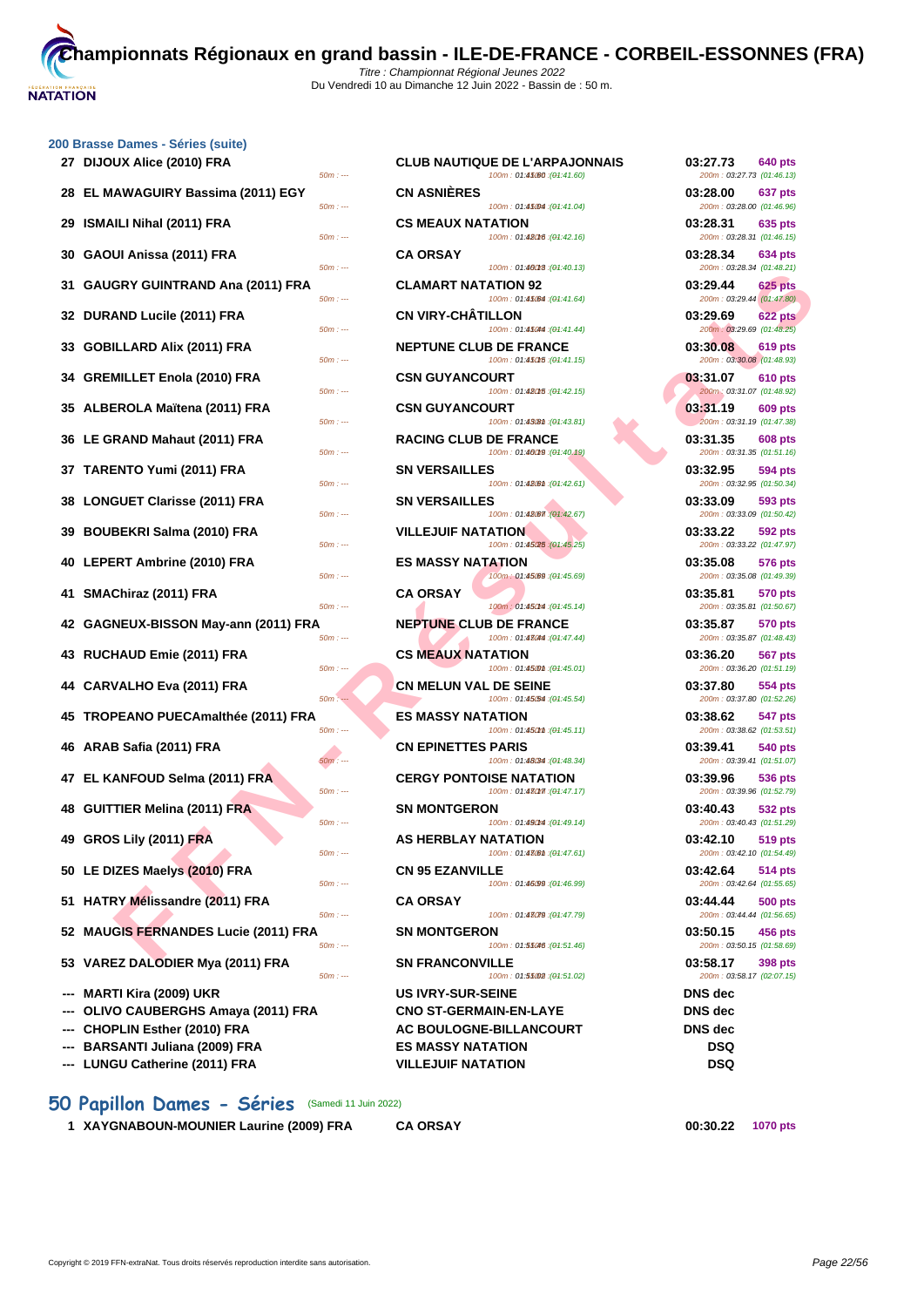| 27 DIJOUX Alice (2010) FRA           | <b>CLUB NAUTIQUE DE L'ARPAJONNAIS</b><br>100m: 01:45/60 : (01:41.60)<br>$50m: -$              | 03:27.73<br>640 pts<br>200m: 03:27.73 (01:46.13)        |
|--------------------------------------|-----------------------------------------------------------------------------------------------|---------------------------------------------------------|
| 28 EL MAWAGUIRY Bassima (2011) EGY   | <b>CN ASNIÈRES</b><br>100m: 01:45004 : (01:41.04)<br>$50m: -$                                 | 03:28.00<br>637 pts<br>200m: 03:28.00 (01:46.96)        |
| 29 ISMAILI Nihal (2011) FRA          | <b>CS MEAUX NATATION</b><br>100m: 01:480f6 : (01:42.16)<br>$50m: -$                           | 03:28.31<br>635 pts<br>200m: 03:28.31 (01:46.15)        |
| 30   GAOUI Anissa (2011) FRA         | <b>CA ORSAY</b><br>100m: 01:46018 : (01:40.13)<br>$50m: -$                                    | 03:28.34<br>634 pts<br>200m: 03:28.34 (01:48.21)        |
| 31 GAUGRY GUINTRAND Ana (2011) FRA   | <b>CLAMART NATATION 92</b><br>100m: 01:45/64 : (01:41.64)<br>$50m: -$                         | 03:29.44<br><b>625 pts</b><br>200m: 03:29.44 (01:47.80) |
| 32 DURAND Lucile (2011) FRA          | <b>CN VIRY-CHATILLON</b><br>100m: 01:45044 : (01:41.44)<br>$50m: -$                           | 03:29.69<br>622 pts<br>200m: 03:29.69 (01:48.25)        |
| 33 GOBILLARD Alix (2011) FRA         | <b>NEPTUNE CLUB DE FRANCE</b><br>$50m: -$<br>100m: 01:450f5 : (01:41.15)                      | 03:30.08<br>619 pts<br>200m: 03:30.08 (01:48.93)        |
| 34 GREMILLET Enola (2010) FRA        | <b>CSN GUYANCOURT</b><br>100m: 01:480f5 : (01:42.15)<br>$50m: -$                              | 03:31.07<br><b>610 pts</b><br>200m: 03:31.07 (01:48.92) |
| 35 ALBEROLA Maïtena (2011) FRA       | <b>CSN GUYANCOURT</b><br>$50m: -$<br>100m: 01:4308th: (01:43.81)                              | 03:31.19<br><b>609 pts</b><br>200m: 03:31.19 (01:47.38) |
| 36 LE GRAND Mahaut (2011) FRA        | <b>RACING CLUB DE FRANCE</b><br>100m: 01:46019 : (01:40.19)<br>$50m: -$                       | 03:31.35<br><b>608 pts</b><br>200m: 03:31.35 (01:51.16) |
| 37 TARENTO Yumi (2011) FRA           | <b>SN VERSAILLES</b><br>100m: 01:48 (01:42.61)<br>$50m: -$                                    | 03:32.95<br>594 pts<br>200m: 03:32.95 (01:50.34)        |
| 38 LONGUET Clarisse (2011) FRA       | <b>SN VERSAILLES</b><br>100m: 01:48.67 (01:42.67)<br>$50m: -$                                 | 03:33.09<br>593 pts<br>200m: 03:33.09 (01:50.42)        |
| 39 BOUBEKRI Salma (2010) FRA         | <b>VILLEJUIF NATATION</b><br>100m: 01:45/25 : (01:45.25)<br>$50m: -$                          | 03:33.22<br>592 pts<br>200m: 03:33.22 (01:47.97)        |
| 40 LEPERT Ambrine (2010) FRA         | <b>ES MASSY NATATION</b><br>100m: 01:45.69 : (01:45.69)<br>$50m: -$                           | 03:35.08<br>576 pts<br>200m: 03:35.08 (01:49.39)        |
| 41 SMAChiraz (2011) FRA              | <b>CA ORSAY</b><br>100m: 01:450m4 : (01:45.14)<br>$50m: -$                                    | 03:35.81<br><b>570 pts</b><br>200m: 03:35.81 (01:50.67) |
| 42 GAGNEUX-BISSON May-ann (2011) FRA | <b>NEPTUNE CLUB DE FRANCE</b><br>100m: 01:43044 : (01:47.44)<br>$50m: -$                      | 03:35.87<br>570 pts<br>200m: 03:35.87 (01:48.43)        |
| 43 RUCHAUD Emie (2011) FRA           | <b>CS MEAUX NATATION</b><br>100m: 01:450m: (01:45.01)<br>$50m: -$                             | 03:36.20<br>567 pts<br>200m: 03:36.20 (01:51.19)        |
| 44 CARVALHO Eva (2011) FRA           | <b>CN MELUN VAL DE SEINE</b><br>$50m: -$<br>100m: 01:45.54 : (01:45.54)                       | 03:37.80<br>554 pts<br>200m: 03:37.80 (01:52.26)        |
| 45 TROPEANO PUECAmalthée (2011) FRA  | <b>ES MASSY NATATION</b><br>$50m: -$<br>100m: 01:450mm : (04:45.11)                           | 03:38.62<br>547 pts<br>200m: 03:38.62 (01:53.51)        |
| 46 ARAB Safia (2011) FRA             | <b>CN EPINETTES PARIS</b><br>100m: 01:48(34 : (01:48.34)<br>$50m: -$                          | 03:39.41<br>540 pts<br>200m: 03:39.41 (01:51.07)        |
| 47 EL KANFOUD Selma (2011) FRA       | <b>CERGY PONTOISE NATATION</b><br>100m: 01:480m : (01:47.17)<br>$50m: -$                      | 03:39.96<br>536 pts<br>200m: 03:39.96 (01:52.79)        |
| 48 GUITTIER Melina (2011) FRA        | <b>SN MONTGERON</b><br>$50m: -$<br>100m: 01:490ml: (01:49.14)                                 | 03:40.43<br>532 pts<br>200m: 03:40.43 (01:51.29)        |
| 49 GROS Lily (2011) FRA              | <b>AS HERBLAY NATATION</b><br>100m: 01:430m: (01:47.61)<br>$50m: -$                           | 03:42.10<br>519 pts<br>200m: 03:42.10 (01:54.49)        |
| 50 LE DIZES Maelys (2010) FRA        | <b>CN 95 EZANVILLE</b><br>100m: 01:46.99 : (01:46.99)<br>$50m: -$                             | 03:42.64<br>514 pts<br>200m: 03:42.64 (01:55.65)        |
| 51 HATRY Mélissandre (2011) FRA      | <b>CA ORSAY</b><br>$50m: -$                                                                   | 03:44.44<br>500 pts<br>200m: 03:44.44 (01:56.65)        |
| 52 MAUGIS FERNANDES Lucie (2011) FRA | 100m: 01:43079 : (01:47.79)<br><b>SN MONTGERON</b><br>100m: 01:55046 : (01:51.46)<br>$50m: -$ | 03:50.15<br>456 pts<br>200m: 03:50.15 (01:58.69)        |
| 53 VAREZ DALODIER Mya (2011) FRA     | <b>SN FRANCONVILLE</b><br>$50m: -$<br>100m: 01:55002 : (01:51.02)                             | 03:58.17<br>398 pts<br>200m: 03:58.17 (02:07.15)        |
| --- MARTI Kira (2009) UKR            | <b>US IVRY-SUR-SEINE</b>                                                                      | <b>DNS</b> dec                                          |
| OLIVO CAUBERGHS Amaya (2011) FRA     | <b>CNO ST-GERMAIN-EN-LAYE</b>                                                                 | <b>DNS</b> dec                                          |
|                                      |                                                                                               |                                                         |

- 
- 
- **--- LUNGU Catherine (2011) FRA VILLEJUIF NATATION DSQ**

# 50m : --- 100m : 01:40013 (01:40.13) 200m : 03:28.34 (01:48.21)  $500m$  :  $01:45044$   $(04:41.44)$   $(100m)$   $(03:29.69)$   $(01:48.25)$  $500$  :  $0.142016$   $(91.42.15)$   $(11.42.15)$   $(11.42.15)$   $(11.42.15)$   $(11.42.15)$   $(11.42.15)$   $(11.42.15)$   $(11.42.15)$   $(11.42.15)$   $(11.42.15)$   $(11.42.15)$   $(11.42.15)$   $(11.42.15)$   $(11.42.15)$   $(11.42.15)$   $(11.42$  $100m : 01:43.8m : (01:43.81)$  $500 \div 100 \div 100 \div 101.400 \times 101.400 \times 101.400 \times 101.51.16$ 50m : --- 100m : 01:42.67 100m : 01:42.67 150m : 03:33.09 (01:50.42) 200m : 03:33.09 (01:50.42) **4 LES MASSY NATATION 03:35.08 576 pts 41 CA ORSAY CA ORSAY 100m**: 01:45014 (04:45.14) **03:35.81 03:35.81 01:50.67 422 CLUB DE FRANCE 03:35.87 570 pts**<br>  $\frac{100m: 01:48044:(94:47.44)}{200m: 03:35.87 \times 01:48.43}$ **433 <b>RUCHAUX NATATION 100m**: **01:45.000 CS MEAUX NATATION 100m**: **01:45.01 COM 03:36.20 01:51.19 444 CARVAL DE SEINE 100m**: 01:4564 (44:45.54) **03:37.80 03:37.80 554 pts**  $100m : 01:45.54 \cdot (04:45.54)$ **45 CS MASSY NATATION 100m**: **01:450m** (**01:45.11**) **1200m 03:38.62 547 pts 46 CN EPINETTES PARIS 100m**: 01:48094 (04:48.34) **03:39.41 01:51.07 03:39.41 01:51.07 478 CERGY PONTOISE NATATION 100m**: **01:480m** (**01:47.17 CERGY PONTOISE NATATION 03:39.96 01:52.79 481 MONTGERON 03:40.43 532 pts**<br> **480m** : 01:4804 (04:49.14) **03:40.43 632 pts 48 HERBLAY NATATION 03:42.10 519 pts**<br> **100m**: 01:4760m (04:47.61) **03:42.10 200m: 03:42.10 01:54.49** for a set of the control of the control of the control of the control of the control of the control of the control of the control of the control of the control of the control of the control of the control of the control of  $5 - -$  100m : 01:55.002 (04:51.02) **--- MARTI Kira (2009) UKR US IVRY-SUR-SEINE DNS dec**  $CNO ST-GERMAIN-EN-LAYE$  DNS dec **--- CHOPLIN Esther (2010) FRA AC BOULOGNE-BILLANCOURT DNS dec --- BARSANTI Juliana (2009) FRA ES MASSY NATATION DSQ**

# **50 Papillon Dames - Séries** (Samedi 11 Juin 2022)

**1 XAYGNABOUN-MOUNIER Laurine (2009) FRA CA ORSAY 00:30.22 1070 pts**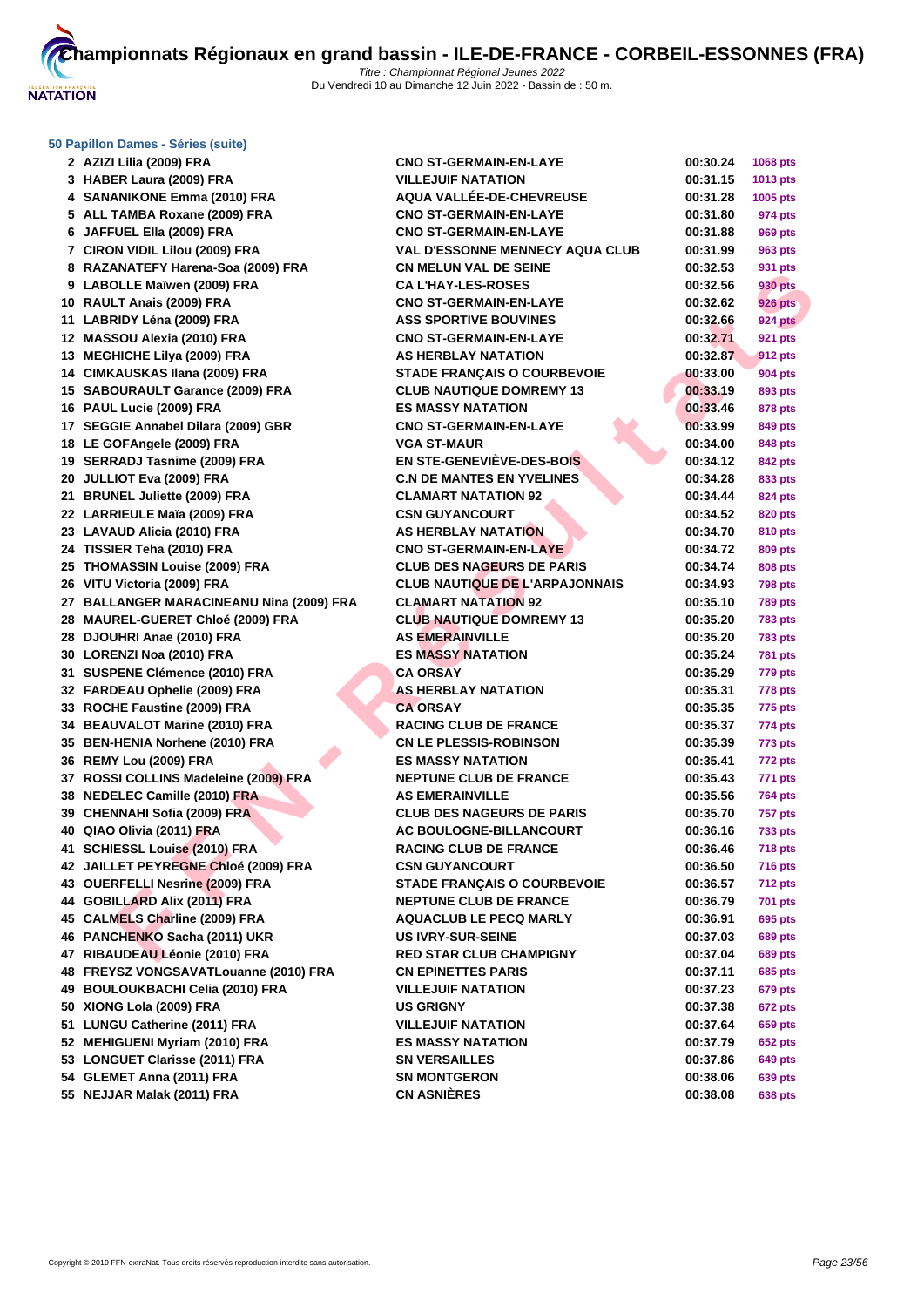

| 2 AZIZI Lilia (2009) FRA                 | <b>CNO ST-GERMAIN-EN-LAYE</b>          | 00:30.24 | 1068 pts       |
|------------------------------------------|----------------------------------------|----------|----------------|
| 3 HABER Laura (2009) FRA                 | <b>VILLEJUIF NATATION</b>              | 00:31.15 | 1013 pts       |
| 4 SANANIKONE Emma (2010) FRA             | <b>AQUA VALLEE-DE-CHEVREUSE</b>        | 00:31.28 | 1005 pts       |
| 5 ALL TAMBA Roxane (2009) FRA            | <b>CNO ST-GERMAIN-EN-LAYE</b>          | 00:31.80 | 974 pts        |
| 6 JAFFUEL Ella (2009) FRA                | <b>CNO ST-GERMAIN-EN-LAYE</b>          | 00:31.88 | 969 pts        |
| 7 CIRON VIDIL Lilou (2009) FRA           | <b>VAL D'ESSONNE MENNECY AQUA CLUB</b> | 00:31.99 | 963 pts        |
| 8 RAZANATEFY Harena-Soa (2009) FRA       | <b>CN MELUN VAL DE SEINE</b>           | 00:32.53 | 931 pts        |
| 9 LABOLLE Maïwen (2009) FRA              | <b>CA L'HAY-LES-ROSES</b>              | 00:32.56 | 930 pts        |
| 10 RAULT Anais (2009) FRA                | <b>CNO ST-GERMAIN-EN-LAYE</b>          | 00:32.62 | <b>926 pts</b> |
| 11 LABRIDY Léna (2009) FRA               | <b>ASS SPORTIVE BOUVINES</b>           | 00:32.66 | <b>924 pts</b> |
| 12 MASSOU Alexia (2010) FRA              | <b>CNO ST-GERMAIN-EN-LAYE</b>          | 00:32.71 | 921 pts        |
| 13 MEGHICHE Lilya (2009) FRA             | <b>AS HERBLAY NATATION</b>             | 00:32.87 | 912 pts        |
| 14 CIMKAUSKAS Ilana (2009) FRA           | <b>STADE FRANÇAIS O COURBEVOIE</b>     | 00:33.00 | 904 pts        |
| 15 SABOURAULT Garance (2009) FRA         | <b>CLUB NAUTIQUE DOMREMY 13</b>        | 00:33.19 | 893 pts        |
| 16 PAUL Lucie (2009) FRA                 | <b>ES MASSY NATATION</b>               | 00:33.46 | 878 pts        |
| 17 SEGGIE Annabel Dilara (2009) GBR      | <b>CNO ST-GERMAIN-EN-LAYE</b>          | 00:33.99 | 849 pts        |
| 18 LE GOFAngele (2009) FRA               | <b>VGA ST-MAUR</b>                     | 00:34.00 | 848 pts        |
| 19 SERRADJ Tasnime (2009) FRA            | EN STE-GENEVIÈVE-DES-BOIS              | 00:34.12 | 842 pts        |
| 20 JULLIOT Eva (2009) FRA                | <b>C.N DE MANTES EN YVELINES</b>       | 00:34.28 | 833 pts        |
| 21 BRUNEL Juliette (2009) FRA            | <b>CLAMART NATATION 92</b>             | 00:34.44 | 824 pts        |
| 22 LARRIEULE Maïa (2009) FRA             | <b>CSN GUYANCOURT</b>                  | 00:34.52 | 820 pts        |
| 23 LAVAUD Alicia (2010) FRA              | AS HERBLAY NATATION                    | 00:34.70 | 810 pts        |
| 24 TISSIER Teha (2010) FRA               | <b>CNO ST-GERMAIN-EN-LAYE</b>          | 00:34.72 | 809 pts        |
| 25 THOMASSIN Louise (2009) FRA           | <b>CLUB DES NAGEURS DE PARIS</b>       | 00:34.74 | 808 pts        |
| 26 VITU Victoria (2009) FRA              | <b>CLUB NAUTIQUE DE L'ARPAJONNAIS</b>  | 00:34.93 | <b>798 pts</b> |
| 27 BALLANGER MARACINEANU Nina (2009) FRA | <b>CLAMART NATATION 92</b>             | 00:35.10 | <b>789 pts</b> |
| 28 MAUREL-GUERET Chloé (2009) FRA        | <b>CLUB NAUTIQUE DOMREMY 13</b>        | 00:35.20 | <b>783 pts</b> |
| 28 DJOUHRI Anae (2010) FRA               | <b>AS EMERAINVILLE</b>                 | 00:35.20 | <b>783 pts</b> |
| 30 LORENZI Noa (2010) FRA                | <b>ES MASSY NATATION</b>               | 00:35.24 | <b>781 pts</b> |
| 31 SUSPENE Clémence (2010) FRA           | <b>CA ORSAY</b>                        | 00:35.29 | 779 pts        |
| 32 FARDEAU Ophelie (2009) FRA            | AS HERBLAY NATATION                    | 00:35.31 | <b>778 pts</b> |
| 33 ROCHE Faustine (2009) FRA             | <b>CA ORSAY</b>                        | 00:35.35 | 775 pts        |
| 34 BEAUVALOT Marine (2010) FRA           | <b>RACING CLUB DE FRANCE</b>           | 00:35.37 | 774 pts        |
| 35 BEN-HENIA Norhene (2010) FRA          | <b>CN LE PLESSIS-ROBINSON</b>          | 00:35.39 | 773 pts        |
| 36 REMY Lou (2009) FRA                   | <b>ES MASSY NATATION</b>               | 00:35.41 | 772 pts        |
| 37 ROSSI COLLINS Madeleine (2009) FRA    | <b>NEPTUNE CLUB DE FRANCE</b>          | 00:35.43 | 771 pts        |
| 38 NEDELEC Camille (2010) FRA            | <b>AS EMERAINVILLE</b>                 | 00:35.56 | <b>764 pts</b> |
| 39 CHENNAHI Sofia (2009) FRA             | <b>CLUB DES NAGEURS DE PARIS</b>       | 00:35.70 | <b>757 pts</b> |
| 40 QIAO Olivia (2011) FRA                | AC BOULOGNE-BILLANCOURT                | 00:36.16 | 733 pts        |
| 41 SCHIESSL Louise (2010) FRA            | <b>RACING CLUB DE FRANCE</b>           | 00:36.46 | <b>718 pts</b> |
| 42 JAILLET PEYREGNE Chloé (2009) FRA     | <b>CSN GUYANCOURT</b>                  | 00:36.50 | <b>716 pts</b> |
| 43 OUERFELLI Nesrine (2009) FRA          | <b>STADE FRANÇAIS O COURBEVOIE</b>     | 00:36.57 | <b>712 pts</b> |
| 44 GOBILLARD Alix (2011) FRA             | <b>NEPTUNE CLUB DE FRANCE</b>          | 00:36.79 | 701 pts        |
| 45 CALMELS Charline (2009) FRA           | <b>AQUACLUB LE PECQ MARLY</b>          | 00:36.91 | 695 pts        |
| 46 PANCHENKO Sacha (2011) UKR            | <b>US IVRY-SUR-SEINE</b>               | 00:37.03 | 689 pts        |
| 47 RIBAUDEAU Léonie (2010) FRA           | <b>RED STAR CLUB CHAMPIGNY</b>         | 00:37.04 | 689 pts        |
| 48 FREYSZ VONGSAVATLouanne (2010) FRA    | <b>CN EPINETTES PARIS</b>              | 00:37.11 | 685 pts        |
| 49 BOULOUKBACHI Celia (2010) FRA         | <b>VILLEJUIF NATATION</b>              | 00:37.23 | 679 pts        |
| 50 XIONG Lola (2009) FRA                 | <b>US GRIGNY</b>                       | 00:37.38 | 672 pts        |
| 51 LUNGU Catherine (2011) FRA            | <b>VILLEJUIF NATATION</b>              | 00:37.64 | 659 pts        |
| 52 MEHIGUENI Myriam (2010) FRA           | <b>ES MASSY NATATION</b>               | 00:37.79 | 652 pts        |
| 53 LONGUET Clarisse (2011) FRA           | <b>SN VERSAILLES</b>                   | 00:37.86 | 649 pts        |
| 54 GLEMET Anna (2011) FRA                | <b>SN MONTGERON</b>                    | 00:38.06 | 639 pts        |
| 55 NEJJAR Malak (2011) FRA               | <b>CN ASNIÈRES</b>                     | 00:38.08 | 638 pts        |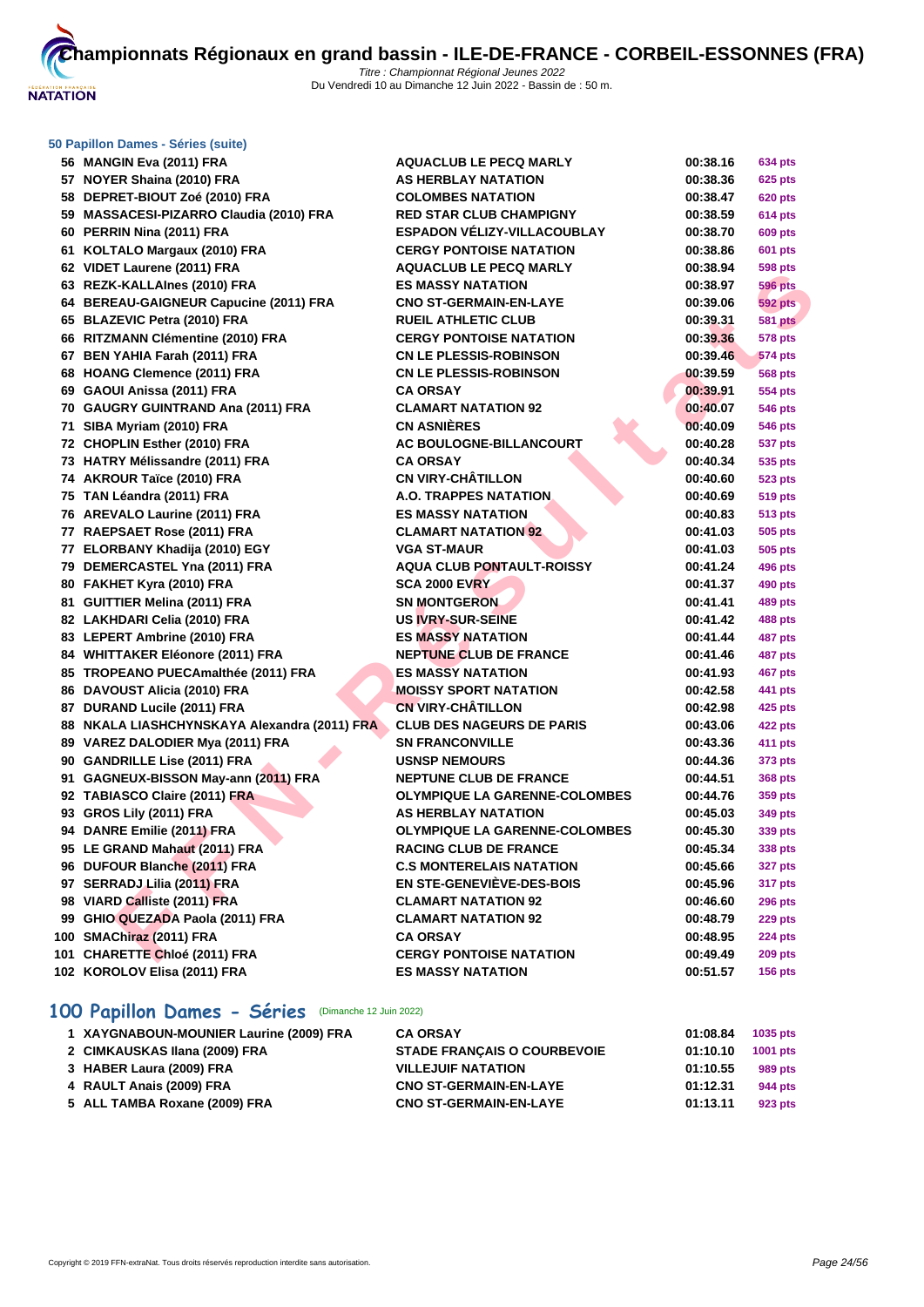

| 56 MANGIN Eva (2011) FRA                     | <b>AQUACLUB LE PECQ MARLY</b>        | 00:38.16 | 634 pts        |
|----------------------------------------------|--------------------------------------|----------|----------------|
| 57 NOYER Shaina (2010) FRA                   | <b>AS HERBLAY NATATION</b>           | 00:38.36 | 625 pts        |
| 58 DEPRET-BIOUT Zoé (2010) FRA               | <b>COLOMBES NATATION</b>             | 00:38.47 | 620 pts        |
| 59 MASSACESI-PIZARRO Claudia (2010) FRA      | <b>RED STAR CLUB CHAMPIGNY</b>       | 00:38.59 | 614 pts        |
| 60 PERRIN Nina (2011) FRA                    | <b>ESPADON VELIZY-VILLACOUBLAY</b>   | 00:38.70 | 609 pts        |
| 61 KOLTALO Margaux (2010) FRA                | <b>CERGY PONTOISE NATATION</b>       | 00:38.86 | 601 pts        |
| 62 VIDET Laurene (2011) FRA                  | <b>AQUACLUB LE PECQ MARLY</b>        | 00:38.94 | 598 pts        |
| 63 REZK-KALLAInes (2010) FRA                 | <b>ES MASSY NATATION</b>             | 00:38.97 | 596 pts        |
| 64 BEREAU-GAIGNEUR Capucine (2011) FRA       | <b>CNO ST-GERMAIN-EN-LAYE</b>        | 00:39.06 | <b>592 pts</b> |
| 65 BLAZEVIC Petra (2010) FRA                 | <b>RUEIL ATHLETIC CLUB</b>           | 00:39.31 | <b>581 pts</b> |
| 66 RITZMANN Clémentine (2010) FRA            | <b>CERGY PONTOISE NATATION</b>       | 00:39.36 | 578 pts        |
| 67 BEN YAHIA Farah (2011) FRA                | <b>CN LE PLESSIS-ROBINSON</b>        | 00:39.46 | <b>574 pts</b> |
| 68 HOANG Clemence (2011) FRA                 | <b>CN LE PLESSIS-ROBINSON</b>        | 00:39.59 | 568 pts        |
| 69 GAOUI Anissa (2011) FRA                   | <b>CA ORSAY</b>                      | 00:39.91 | <b>554 pts</b> |
| 70 GAUGRY GUINTRAND Ana (2011) FRA           | <b>CLAMART NATATION 92</b>           | 00:40.07 | 546 pts        |
| 71 SIBA Myriam (2010) FRA                    | <b>CN ASNIÈRES</b>                   | 00:40.09 | 546 pts        |
| 72 CHOPLIN Esther (2010) FRA                 | <b>AC BOULOGNE-BILLANCOURT</b>       | 00:40.28 | 537 pts        |
| 73 HATRY Mélissandre (2011) FRA              | <b>CA ORSAY</b>                      | 00:40.34 | 535 pts        |
| 74 AKROUR Taïce (2010) FRA                   | <b>CN VIRY-CHÂTILLON</b>             | 00:40.60 | 523 pts        |
| 75 TAN Léandra (2011) FRA                    | <b>A.O. TRAPPES NATATION</b>         | 00:40.69 | 519 pts        |
| 76 AREVALO Laurine (2011) FRA                | <b>ES MASSY NATATION</b>             | 00:40.83 | 513 pts        |
| 77 RAEPSAET Rose (2011) FRA                  | <b>CLAMART NATATION 92</b>           | 00:41.03 | 505 pts        |
| 77 ELORBANY Khadija (2010) EGY               | <b>VGA ST-MAUR</b>                   | 00:41.03 | 505 pts        |
| 79 DEMERCASTEL Yna (2011) FRA                | <b>AQUA CLUB PONTAULT-ROISSY</b>     | 00:41.24 | 496 pts        |
| 80 FAKHET Kyra (2010) FRA                    | <b>SCA 2000 EVRY</b>                 | 00:41.37 | 490 pts        |
| 81 GUITTIER Melina (2011) FRA                | <b>SN MONTGERON</b>                  | 00:41.41 | 489 pts        |
| 82 LAKHDARI Celia (2010) FRA                 | <b>US IVRY-SUR-SEINE</b>             | 00:41.42 | 488 pts        |
| 83 LEPERT Ambrine (2010) FRA                 | <b>ES MASSY NATATION</b>             | 00:41.44 | 487 pts        |
| 84 WHITTAKER Eléonore (2011) FRA             | <b>NEPTUNE CLUB DE FRANCE</b>        | 00:41.46 | <b>487 pts</b> |
| 85 TROPEANO PUECAmalthée (2011) FRA          | <b>ES MASSY NATATION</b>             | 00:41.93 | 467 pts        |
| 86 DAVOUST Alicia (2010) FRA                 | <b>MOISSY SPORT NATATION</b>         | 00:42.58 | 441 pts        |
| 87 DURAND Lucile (2011) FRA                  | <b>CN VIRY-CHÂTILLON</b>             | 00:42.98 | 425 pts        |
| 88 NKALA LIASHCHYNSKAYA Alexandra (2011) FRA | <b>CLUB DES NAGEURS DE PARIS</b>     | 00:43.06 | 422 pts        |
| 89 VAREZ DALODIER Mya (2011) FRA             | <b>SN FRANCONVILLE</b>               | 00:43.36 | 411 pts        |
| 90 GANDRILLE Lise (2011) FRA                 | <b>USNSP NEMOURS</b>                 | 00:44.36 | 373 pts        |
| 91 GAGNEUX-BISSON May-ann (2011) FRA         | NEPTUNE CLUB DE FRANCE               | 00:44.51 | 368 pts        |
| 92 TABIASCO Claire (2011) FRA                | <b>OLYMPIQUE LA GARENNE-COLOMBES</b> | 00:44.76 | 359 pts        |
| 93 GROS Lily (2011) FRA                      | <b>AS HERBLAY NATATION</b>           | 00:45.03 | 349 pts        |
| 94 DANRE Emilie (2011) FRA                   | <b>OLYMPIQUE LA GARENNE-COLOMBES</b> | 00:45.30 | 339 pts        |
| 95 LE GRAND Mahaut (2011) FRA                | <b>RACING CLUB DE FRANCE</b>         | 00:45.34 | 338 pts        |
| 96 DUFOUR Blanche (2011) FRA                 | <b>C.S MONTERELAIS NATATION</b>      | 00:45.66 | <b>327 pts</b> |
| 97 SERRADJ Lilia (2011) FRA                  | EN STE-GENEVIEVE-DES-BOIS            | 00:45.96 | 317 pts        |
| 98 VIARD Calliste (2011) FRA                 | <b>CLAMART NATATION 92</b>           | 00:46.60 | <b>296 pts</b> |
| 99 GHIO QUEZADA Paola (2011) FRA             | <b>CLAMART NATATION 92</b>           | 00:48.79 | <b>229 pts</b> |
| 100 SMAChiraz (2011) FRA                     | <b>CA ORSAY</b>                      | 00:48.95 | <b>224 pts</b> |
| 101 CHARETTE Chloé (2011) FRA                | <b>CERGY PONTOISE NATATION</b>       | 00:49.49 | 209 pts        |
| 102 KOROLOV Elisa (2011) FRA                 | <b>ES MASSY NATATION</b>             | 00:51.57 | <b>156 pts</b> |
|                                              |                                      |          |                |
|                                              |                                      |          |                |

# **100 Papillon Dames - Séries** (Dimanche 12 Juin 2022)

| 1 XAYGNABOUN-MOUNIER Laurine (2009) FRA | <b>CA ORSAY</b>                    | 01:08.84 | 1035 pts |
|-----------------------------------------|------------------------------------|----------|----------|
| 2 CIMKAUSKAS Ilana (2009) FRA           | <b>STADE FRANCAIS O COURBEVOIE</b> | 01:10.10 | 1001 pts |
| 3 HABER Laura (2009) FRA                | <b>VILLEJUIF NATATION</b>          | 01:10.55 | 989 pts  |
| 4 RAULT Anais (2009) FRA                | <b>CNO ST-GERMAIN-EN-LAYE</b>      | 01:12.31 | 944 pts  |
| 5 ALL TAMBA Roxane (2009) FRA           | <b>CNO ST-GERMAIN-EN-LAYE</b>      | 01:13.11 | 923 pts  |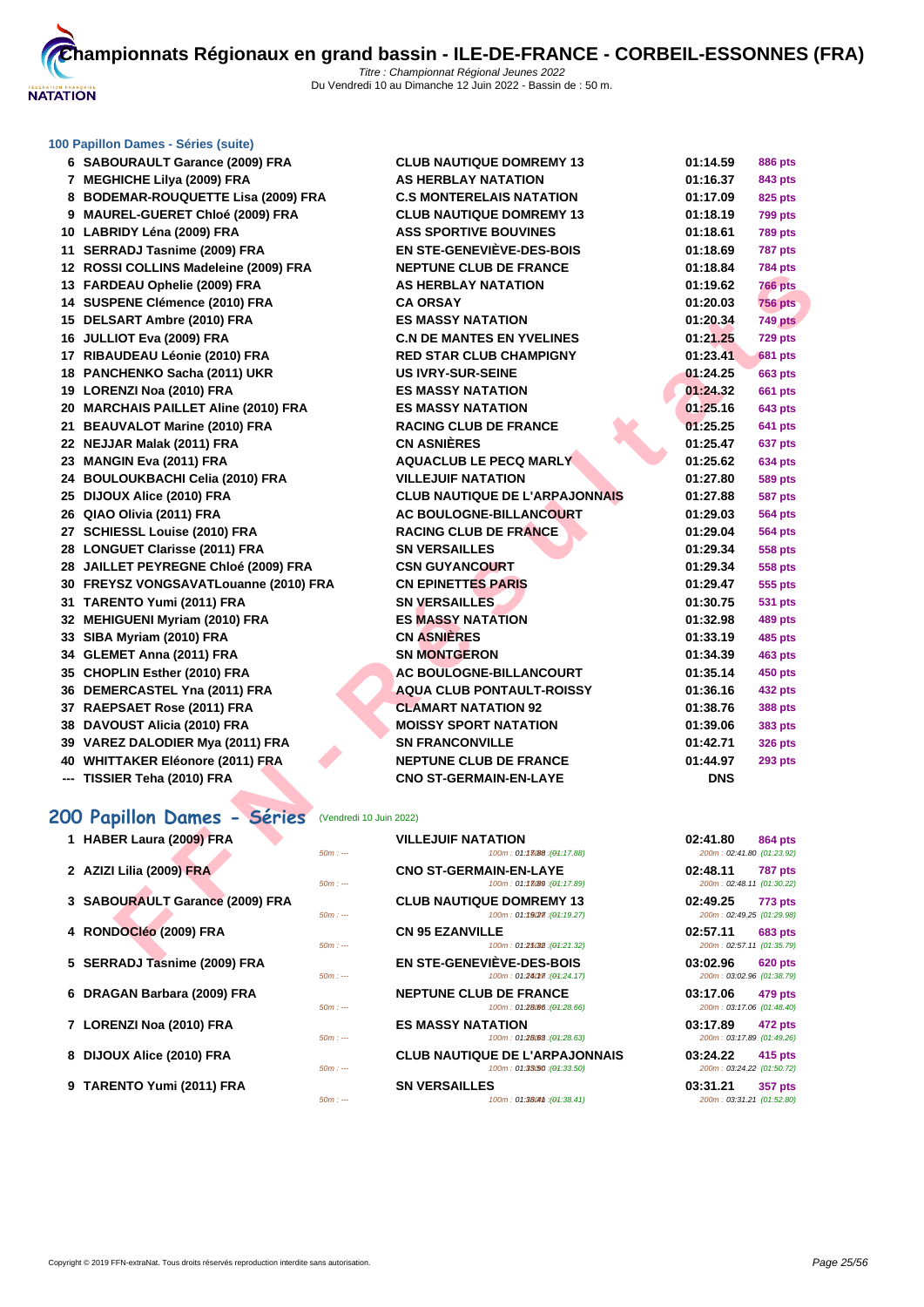

| 6 SABOURAULT Garance (2009) FRA                              | <b>CLUB NAUTIQUE DOMREMY 13</b>                              | 01:14.59                              | <b>886 pts</b>  |
|--------------------------------------------------------------|--------------------------------------------------------------|---------------------------------------|-----------------|
| 7 MEGHICHE Lilya (2009) FRA                                  | <b>AS HERBLAY NATATION</b>                                   | 01:16.37                              | 843 pts         |
| 8 BODEMAR-ROUQUETTE Lisa (2009) FRA                          | <b>C.S MONTERELAIS NATATION</b>                              | 01:17.09                              | 825 pts         |
| 9 MAUREL-GUERET Chloé (2009) FRA                             | <b>CLUB NAUTIQUE DOMREMY 13</b>                              | 01:18.19                              | <b>799 pts</b>  |
| 10 LABRIDY Léna (2009) FRA                                   | <b>ASS SPORTIVE BOUVINES</b>                                 | 01:18.61                              | <b>789 pts</b>  |
| 11 SERRADJ Tasnime (2009) FRA                                | <b>EN STE-GENEVIÈVE-DES-BOIS</b>                             | 01:18.69                              | <b>787 pts</b>  |
| 12 ROSSI COLLINS Madeleine (2009) FRA                        | <b>NEPTUNE CLUB DE FRANCE</b>                                | 01:18.84                              | <b>784 pts</b>  |
| 13 FARDEAU Ophelie (2009) FRA                                | <b>AS HERBLAY NATATION</b>                                   | 01:19.62                              | <b>766 pts</b>  |
| 14 SUSPENE Clémence (2010) FRA                               | <b>CA ORSAY</b>                                              | 01:20.03                              | <b>756 pts</b>  |
| 15 DELSART Ambre (2010) FRA                                  | <b>ES MASSY NATATION</b>                                     | 01:20.34                              | 749 pts         |
| 16 JULLIOT Eva (2009) FRA                                    | <b>C.N DE MANTES EN YVELINES</b>                             | 01:21.25                              | 729 pts         |
| 17 RIBAUDEAU Léonie (2010) FRA                               | <b>RED STAR CLUB CHAMPIGNY</b>                               | 01:23.41                              | <b>681 pts</b>  |
| 18 PANCHENKO Sacha (2011) UKR                                | <b>US IVRY-SUR-SEINE</b>                                     | 01:24.25                              | <b>663 pts</b>  |
| 19 LORENZI Noa (2010) FRA                                    | <b>ES MASSY NATATION</b>                                     | 01:24.32                              | <b>661 pts</b>  |
| 20 MARCHAIS PAILLET Aline (2010) FRA                         | <b>ES MASSY NATATION</b>                                     | 01:25.16                              | <b>643 pts</b>  |
| 21 BEAUVALOT Marine (2010) FRA                               | <b>RACING CLUB DE FRANCE</b>                                 | 01:25.25                              | <b>641 pts</b>  |
| 22 NEJJAR Malak (2011) FRA                                   | <b>CN ASNIÈRES</b>                                           | 01:25.47                              | 637 pts         |
| 23 MANGIN Eva (2011) FRA                                     | <b>AQUACLUB LE PECQ MARLY</b>                                | 01:25.62                              | <b>634 pts</b>  |
| 24 BOULOUKBACHI Celia (2010) FRA                             | <b>VILLEJUIF NATATION</b>                                    | 01:27.80                              | <b>589 pts</b>  |
| 25 DIJOUX Alice (2010) FRA                                   | <b>CLUB NAUTIQUE DE L'ARPAJONNAIS</b>                        | 01:27.88                              | <b>587 pts</b>  |
| 26 QIAO Olivia (2011) FRA                                    | AC BOULOGNE-BILLANCOURT                                      | 01:29.03                              | <b>564 pts</b>  |
| 27 SCHIESSL Louise (2010) FRA                                | <b>RACING CLUB DE FRANCE</b>                                 | 01:29.04                              | <b>564 pts</b>  |
| 28 LONGUET Clarisse (2011) FRA                               | <b>SN VERSAILLES</b>                                         | 01:29.34                              | <b>558 pts</b>  |
| 28 JAILLET PEYREGNE Chloé (2009) FRA                         | <b>CSN GUYANCOURT</b>                                        | 01:29.34                              | <b>558 pts</b>  |
| 30 FREYSZ VONGSAVATLouanne (2010) FRA                        | <b>CN EPINETTES PARIS</b>                                    | 01:29.47                              | 555 pts         |
| 31 TARENTO Yumi (2011) FRA                                   | <b>SN VERSAILLES</b>                                         | 01:30.75                              | <b>531 pts</b>  |
| 32 MEHIGUENI Myriam (2010) FRA                               | <b>ES MASSY NATATION</b>                                     | 01:32.98                              | <b>489 pts</b>  |
| 33 SIBA Myriam (2010) FRA                                    | <b>CN ASNIERES</b>                                           | 01:33.19                              | <b>485 pts</b>  |
| 34 GLEMET Anna (2011) FRA                                    | <b>SN MONTGERON</b>                                          | 01:34.39                              | <b>463 pts</b>  |
| 35 CHOPLIN Esther (2010) FRA                                 | AC BOULOGNE-BILLANCOURT                                      | 01:35.14                              | 450 pts         |
| 36 DEMERCASTEL Yna (2011) FRA                                | AQUA CLUB PONTAULT-ROISSY                                    | 01:36.16                              | 432 pts         |
| 37 RAEPSAET Rose (2011) FRA                                  | <b>CLAMART NATATION 92</b>                                   | 01:38.76                              | <b>388 pts</b>  |
| 38 DAVOUST Alicia (2010) FRA                                 | <b>MOISSY SPORT NATATION</b>                                 | 01:39.06                              | <b>383 pts</b>  |
| 39 VAREZ DALODIER Mya (2011) FRA                             | <b>SN FRANCONVILLE</b>                                       | 01:42.71                              | <b>326 pts</b>  |
| 40 WHITTAKER Eléonore (2011) FRA                             | <b>NEPTUNE CLUB DE FRANCE</b>                                | 01:44.97                              | 293 pts         |
| --- TISSIER Teha (2010) FRA                                  | <b>CNO ST-GERMAIN-EN-LAYE</b>                                | <b>DNS</b>                            |                 |
|                                                              |                                                              |                                       |                 |
| <b>00 Papillon Dames - Séries</b><br>(Vendredi 10 Juin 2022) |                                                              |                                       |                 |
| 1 HABER Laura (2009) FRA<br>$50m: -$                         | <b>VILLEJUIF NATATION</b><br>100m: 01:13088 : (04:17.88)     | 02:41.80<br>200m: 02:41.80 (01:23.92) | <b>864 pts</b>  |
| 2 AZIZI Lilia (2009) FRA<br>$50m: -$                         | <b>CNO ST-GERMAIN-EN-LAYE</b><br>100m: 01:13089 : (01:17.89) | 02:48.11<br>200m: 02:48.11 (01:30.22) | <b>787 pts</b>  |
| 3 SABOURAULT Garance (2009) FRA                              | <b>CLUB NAUTIQUE DOMREMY 13</b>                              | 02:49.25                              | <b>773 pts</b>  |
| $50m: -$                                                     | 100m: 01:19(27): (01:19.27)                                  | 200m: 02:49.25 (01:29.98)             |                 |
| 4 RONDOCIéo (2009) FRA                                       | <b>CN 95 EZANVILLE</b>                                       | 02:57.11                              | <b>683 pts</b>  |
| $50m: -$                                                     | 100m: 01:25032 : (01:21.32)<br>EN OTE OFNEVIÈVE DES DOIS     | 200m: 02:57.11 (01:35.79)<br>0.0000   | $0.00 \pm 0.00$ |

# **200 Papillon Dames - Séries** (Vendredi 10 Juin 2022)

| 1 HABER Laura (2009) FRA        |          | <b>VILLEJUIF NATATION</b>                                           | 02:41.80<br><b>864 pts</b>                       |
|---------------------------------|----------|---------------------------------------------------------------------|--------------------------------------------------|
|                                 | $50m: -$ | 100m: 01:13088 : (01:17.88)                                         | 200m: 02:41.80 (01:23.92)                        |
| 2 AZIZI Lilia (2009) FRA        | $50m: -$ | <b>CNO ST-GERMAIN-EN-LAYE</b><br>$100m: 01:1\,8089:(04:17.89)$      | 02:48.11<br>787 pts<br>200m: 02:48.11 (01:30.22) |
| 3 SABOURAULT Garance (2009) FRA | $50m: -$ | <b>CLUB NAUTIQUE DOMREMY 13</b><br>100m: 01:19277:(04:19.27)        | 02:49.25<br>773 pts<br>200m: 02:49.25 (01:29.98) |
| 4 RONDOCIÉO (2009) FRA          | $50m: -$ | <b>CN 95 EZANVILLE</b><br>100m: 01:25032:(04:21.32)                 | 02:57.11<br>683 pts<br>200m: 02:57.11 (01:35.79) |
| 5 SERRADJ Tasnime (2009) FRA    | $50m: -$ | <b>EN STE-GENEVIÈVE-DES-BOIS</b><br>100m: 01:240m: (04:24.17)       | 03:02.96<br>620 pts<br>200m: 03:02.96 (01:38.79) |
| 6 DRAGAN Barbara (2009) FRA     | $50m: -$ | <b>NEPTUNE CLUB DE FRANCE</b><br>$100m: 01:28.66$ ; ( $04:28.66$ )  | 03:17.06<br>479 pts<br>200m: 03:17.06 (01:48.40) |
| 7 LORENZI Noa (2010) FRA        | $50m: -$ | <b>ES MASSY NATATION</b><br>$100m: 01:28.63$ : (04:28.63)           | 03:17.89<br>472 pts<br>200m: 03:17.89 (01:49.26) |
| 8 DIJOUX Alice (2010) FRA       | $50m: -$ | <b>CLUB NAUTIQUE DE L'ARPAJONNAIS</b><br>100m: 01:33(50:(04:33.50)) | 03:24.22<br>415 pts<br>200m: 03:24.22 (01:50.72) |
| 9 TARENTO Yumi (2011) FRA       | $50m: -$ | <b>SN VERSAILLES</b><br>100m: 01:3804th : (01:38.41)                | 03:31.21<br>357 pts<br>200m: 03:31.21 (01:52.80) |
|                                 |          |                                                                     |                                                  |

| 02:41.80                  | 864 pts        |
|---------------------------|----------------|
| 200m: 02:41.80 (01:23.92) |                |
| 02:48.11                  | 787 pts        |
| 200m: 02:48.11 (01:30.22) |                |
| 02:49.25                  | <b>773 pts</b> |
| 200m: 02:49.25 (01:29.98) |                |
| 02:57.11 683 pts          |                |
| 200m: 02:57.11 (01:35.79) |                |
| 03:02.96 620 pts          |                |
| 200m: 03:02.96 (01:38.79) |                |
| 03:17.06 479 pts          |                |
| 200m: 03:17.06 (01:48.40) |                |
| 03:17.89 472 pts          |                |
| 200m: 03:17.89 (01:49.26) |                |
| 03:24.22 415 pts          |                |
| 200m: 03:24.22 (01:50.72) |                |
|                           |                |
| 03:31.21 357 pts          |                |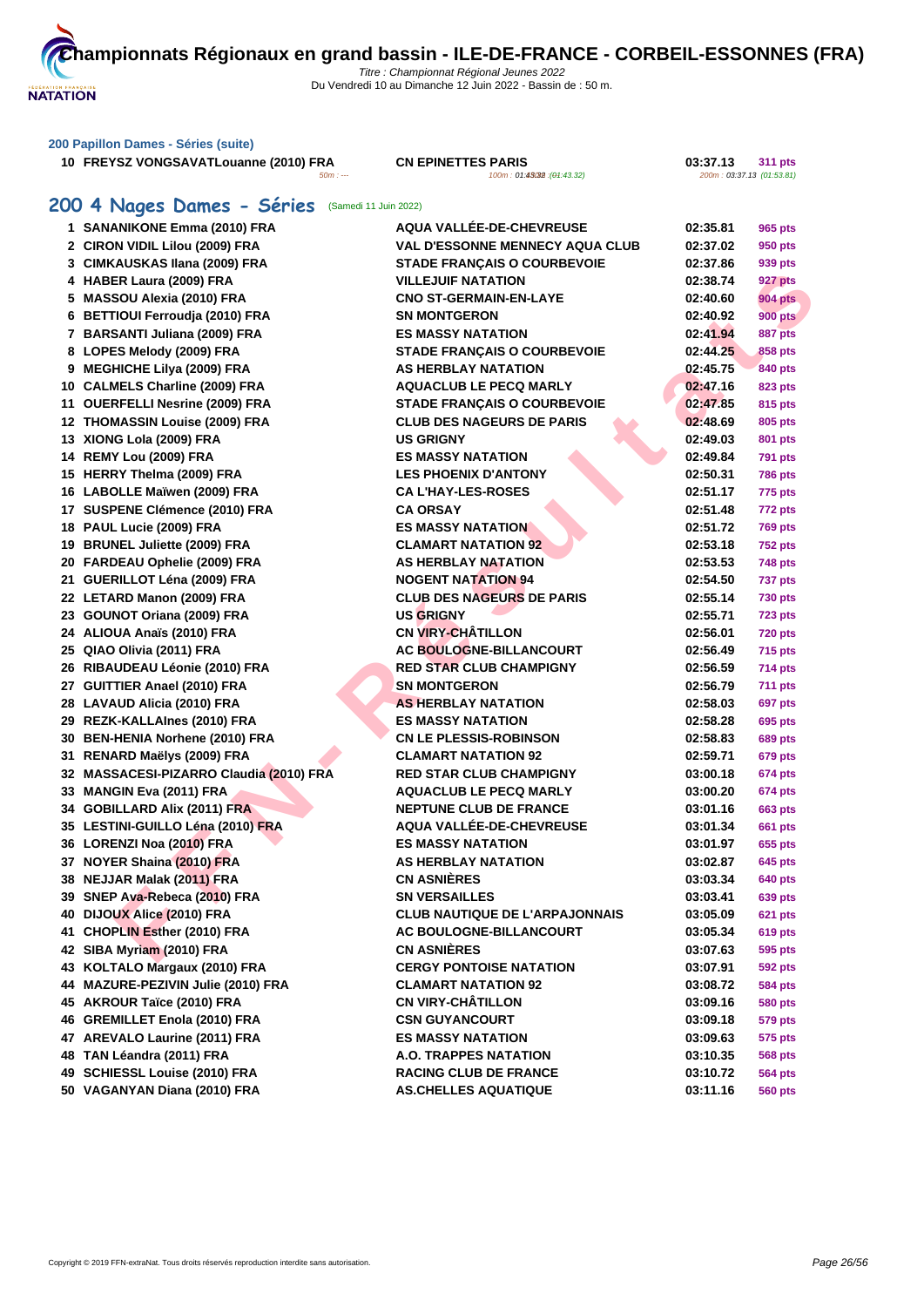

**FREYSZ VONGSAVATLouanne (2010) FRA CN EPINETTES PARIS 100m** : 01:45

**5 PARIS**<br>100m : 01:43.32 (01:43.32) **03:37.13** 200m : 03:37.13 (01:53.61)

# **200 4 Nages Dames - Séries** (Samedi 11 Juin 2022)

| 1 SANANIKONE Emma (2010) FRA            | <b>AQUA VALLÉE-DE-CHEVREUSE</b>                        | 02:35.81 | 965 pts        |
|-----------------------------------------|--------------------------------------------------------|----------|----------------|
| 2 CIRON VIDIL Lilou (2009) FRA          | <b>VAL D'ESSONNE MENNECY AQUA CLUB</b>                 | 02:37.02 | 950 pts        |
| 3 CIMKAUSKAS Ilana (2009) FRA           | <b>STADE FRANÇAIS O COURBEVOIE</b>                     | 02:37.86 | 939 pts        |
| 4 HABER Laura (2009) FRA                | <b>VILLEJUIF NATATION</b>                              | 02:38.74 | 927 pts        |
| 5 MASSOU Alexia (2010) FRA              | <b>CNO ST-GERMAIN-EN-LAYE</b>                          | 02:40.60 | <b>904 pts</b> |
| 6 BETTIOUI Ferroudja (2010) FRA         | <b>SN MONTGERON</b>                                    | 02:40.92 | <b>900 pts</b> |
| 7 BARSANTI Juliana (2009) FRA           | <b>ES MASSY NATATION</b>                               | 02:41.94 | 887 pts        |
| 8 LOPES Melody (2009) FRA               | <b>STADE FRANÇAIS O COURBEVOIE</b>                     | 02:44.25 | 858 pts        |
| 9 MEGHICHE Lilya (2009) FRA             | AS HERBLAY NATATION                                    | 02:45.75 | 840 pts        |
| 10 CALMELS Charline (2009) FRA          | <b>AQUACLUB LE PECQ MARLY</b>                          | 02:47.16 | 823 pts        |
| 11 OUERFELLI Nesrine (2009) FRA         | <b>STADE FRANÇAIS O COURBEVOIE</b>                     | 02:47.85 | 815 pts        |
| 12 THOMASSIN Louise (2009) FRA          | <b>CLUB DES NAGEURS DE PARIS</b>                       | 02:48.69 | 805 pts        |
| 13 XIONG Lola (2009) FRA                | <b>US GRIGNY</b>                                       | 02:49.03 | 801 pts        |
| 14 REMY Lou (2009) FRA                  | <b>ES MASSY NATATION</b>                               | 02:49.84 | 791 pts        |
| 15 HERRY Thelma (2009) FRA              | <b>LES PHOENIX D'ANTONY</b>                            | 02:50.31 | <b>786 pts</b> |
| 16 LABOLLE Maïwen (2009) FRA            | <b>CA L'HAY-LES-ROSES</b>                              | 02:51.17 | 775 pts        |
| 17 SUSPENE Clémence (2010) FRA          | <b>CA ORSAY</b>                                        | 02:51.48 | <b>772 pts</b> |
| 18 PAUL Lucie (2009) FRA                | <b>ES MASSY NATATION</b>                               | 02:51.72 | <b>769 pts</b> |
| 19 BRUNEL Juliette (2009) FRA           | <b>CLAMART NATATION 92</b>                             | 02:53.18 | <b>752 pts</b> |
| 20 FARDEAU Ophelie (2009) FRA           | <b>AS HERBLAY NATATION</b>                             | 02:53.53 | 748 pts        |
| 21 GUERILLOT Léna (2009) FRA            | <b>NOGENT NATATION 94</b>                              | 02:54.50 | 737 pts        |
| 22 LETARD Manon (2009) FRA              | <b>CLUB DES NAGEURS DE PARIS</b>                       | 02:55.14 | 730 pts        |
| 23 GOUNOT Oriana (2009) FRA             | <b>US GRIGNY</b>                                       | 02:55.71 | <b>723 pts</b> |
| 24 ALIOUA Anaïs (2010) FRA              | <b>CN VIRY-CHÂTILLON</b>                               | 02:56.01 | <b>720 pts</b> |
| 25 QIAO Olivia (2011) FRA               | AC BOULOGNE-BILLANCOURT                                | 02:56.49 | 715 pts        |
| 26 RIBAUDEAU Léonie (2010) FRA          | <b>RED STAR CLUB CHAMPIGNY</b>                         | 02:56.59 | 714 pts        |
| 27 GUITTIER Anael (2010) FRA            | <b>SN MONTGERON</b>                                    | 02:56.79 | <b>711 pts</b> |
| 28 LAVAUD Alicia (2010) FRA             | <b>AS HERBLAY NATATION</b>                             | 02:58.03 | 697 pts        |
| 29 REZK-KALLAInes (2010) FRA            | <b>ES MASSY NATATION</b>                               | 02:58.28 | 695 pts        |
| 30 BEN-HENIA Norhene (2010) FRA         | <b>CN LE PLESSIS-ROBINSON</b>                          | 02:58.83 | 689 pts        |
| 31 RENARD Maëlys (2009) FRA             | <b>CLAMART NATATION 92</b>                             | 02:59.71 | <b>679 pts</b> |
| 32 MASSACESI-PIZARRO Claudia (2010) FRA | <b>RED STAR CLUB CHAMPIGNY</b>                         | 03:00.18 | <b>674 pts</b> |
| 33 MANGIN Eva (2011) FRA                | <b>AQUACLUB LE PECQ MARLY</b>                          | 03:00.20 | <b>674 pts</b> |
| 34 GOBILLARD Alix (2011) FRA            | <b>NEPTUNE CLUB DE FRANCE</b>                          | 03:01.16 | 663 pts        |
| 35 LESTINI-GUILLO Léna (2010) FRA       | AQUA VALLÉE-DE-CHEVREUSE                               |          |                |
|                                         |                                                        | 03:01.34 | <b>661 pts</b> |
| 36 LORENZI Noa (2010) FRA               | <b>ES MASSY NATATION</b><br><b>AS HERBLAY NATATION</b> | 03:01.97 | 655 pts        |
| 37 NOYER Shaina (2010) FRA              | <b>CN ASNIÈRES</b>                                     | 03:02.87 | 645 pts        |
| 38 NEJJAR Malak (2011) FRA              |                                                        | 03:03.34 | 640 pts        |
| 39 SNEP Ava-Rebeca (2010) FRA           | <b>SN VERSAILLES</b>                                   | 03:03.41 | <b>639 pts</b> |
| 40 DIJOUX Alice (2010) FRA              | <b>CLUB NAUTIQUE DE L'ARPAJONNAIS</b>                  | 03:05.09 | <b>621 pts</b> |
| 41 CHOPLIN Esther (2010) FRA            | AC BOULOGNE-BILLANCOURT                                | 03:05.34 | <b>619 pts</b> |
| 42 SIBA Myriam (2010) FRA               | <b>CN ASNIÈRES</b>                                     | 03:07.63 | 595 pts        |
| 43 KOLTALO Margaux (2010) FRA           | <b>CERGY PONTOISE NATATION</b>                         | 03:07.91 | 592 pts        |
| 44 MAZURE-PEZIVIN Julie (2010) FRA      | <b>CLAMART NATATION 92</b>                             | 03:08.72 | <b>584 pts</b> |
| 45 AKROUR Taïce (2010) FRA              | <b>CN VIRY-CHÂTILLON</b>                               | 03:09.16 | <b>580 pts</b> |
| 46 GREMILLET Enola (2010) FRA           | <b>CSN GUYANCOURT</b>                                  | 03:09.18 | <b>579 pts</b> |
| 47 AREVALO Laurine (2011) FRA           | <b>ES MASSY NATATION</b>                               | 03:09.63 | 575 pts        |
| 48 TAN Léandra (2011) FRA               | <b>A.O. TRAPPES NATATION</b>                           | 03:10.35 | <b>568 pts</b> |
| 49 SCHIESSL Louise (2010) FRA           | <b>RACING CLUB DE FRANCE</b>                           | 03:10.72 | <b>564 pts</b> |
| 50 VAGANYAN Diana (2010) FRA            | <b>AS.CHELLES AQUATIQUE</b>                            | 03:11.16 | <b>560 pts</b> |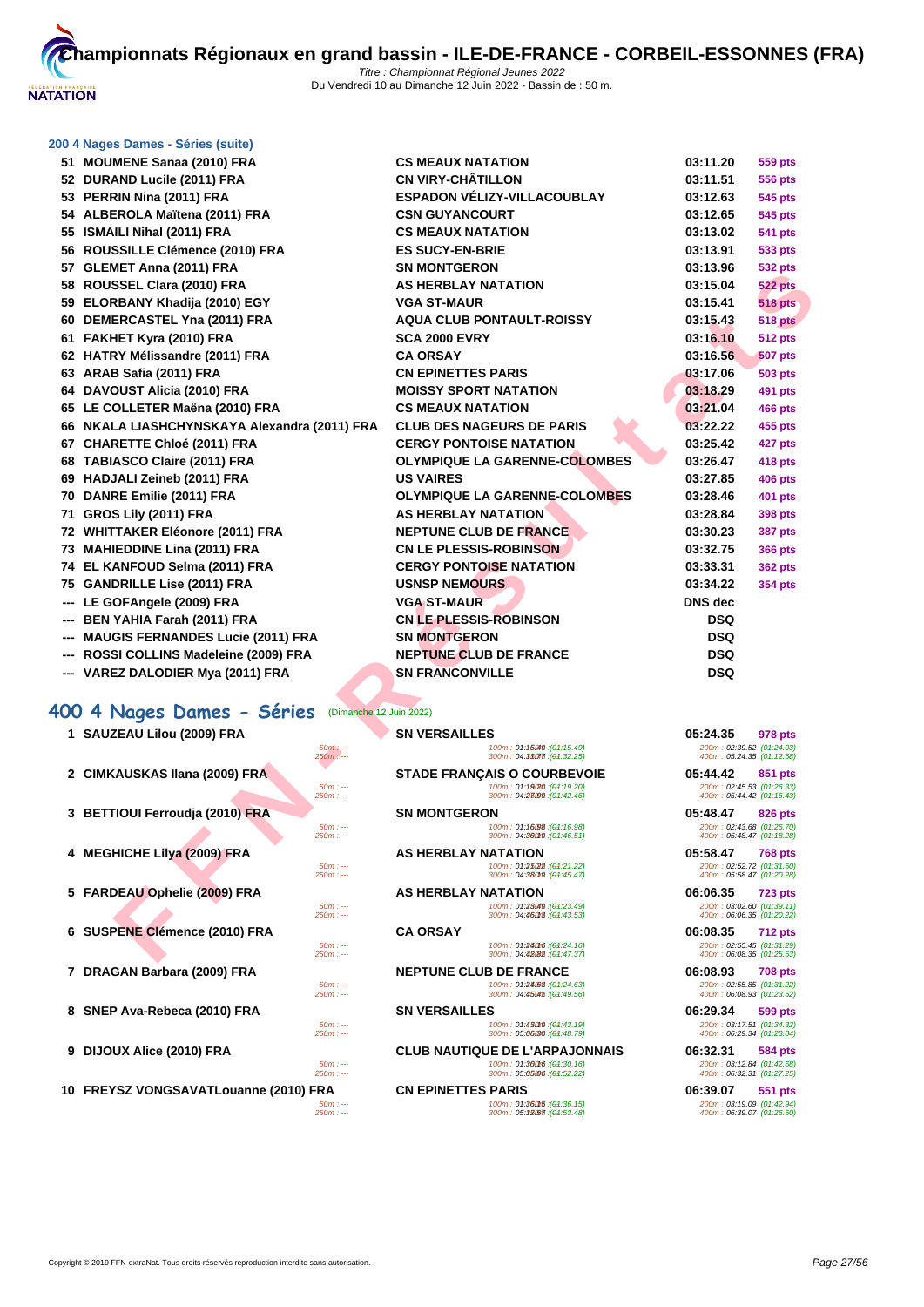

#### **[200 4 Nag](http://www.ffnatation.fr/webffn/index.php)es Dames - Séries (suite)**

|   | 51 MOUMENE Sanaa (2010) FRA                           | <b>CS MEAUX NATATION</b>                                   | 03:11.20                                               | 559 pts        |
|---|-------------------------------------------------------|------------------------------------------------------------|--------------------------------------------------------|----------------|
|   | 52 DURAND Lucile (2011) FRA                           | <b>CN VIRY-CHÂTILLON</b>                                   | 03:11.51                                               | <b>556 pts</b> |
|   | 53 PERRIN Nina (2011) FRA                             | ESPADON VÉLIZY-VILLACOUBLAY                                | 03:12.63                                               | 545 pts        |
|   | 54 ALBEROLA Maïtena (2011) FRA                        | <b>CSN GUYANCOURT</b>                                      | 03:12.65                                               | <b>545 pts</b> |
|   | 55 ISMAILI Nihal (2011) FRA                           | <b>CS MEAUX NATATION</b>                                   | 03:13.02                                               | 541 pts        |
|   | 56 ROUSSILLE Clémence (2010) FRA                      | <b>ES SUCY-EN-BRIE</b>                                     | 03:13.91                                               | 533 pts        |
|   | 57 GLEMET Anna (2011) FRA                             | <b>SN MONTGERON</b>                                        | 03:13.96                                               | <b>532 pts</b> |
|   | 58 ROUSSEL Clara (2010) FRA                           | <b>AS HERBLAY NATATION</b>                                 | 03:15.04                                               | <b>522 pts</b> |
|   | 59 ELORBANY Khadija (2010) EGY                        | <b>VGA ST-MAUR</b>                                         | 03:15.41                                               | <b>518 pts</b> |
|   | 60 DEMERCASTEL Yna (2011) FRA                         | <b>AQUA CLUB PONTAULT-ROISSY</b>                           | 03:15.43                                               | <b>518 pts</b> |
|   | 61 FAKHET Kyra (2010) FRA                             | <b>SCA 2000 EVRY</b>                                       | 03:16.10                                               | <b>512 pts</b> |
|   | 62 HATRY Mélissandre (2011) FRA                       | <b>CA ORSAY</b>                                            | 03:16.56                                               | <b>507 pts</b> |
|   | 63 ARAB Safia (2011) FRA                              | <b>CN EPINETTES PARIS</b>                                  | 03:17.06                                               | 503 pts        |
|   | 64 DAVOUST Alicia (2010) FRA                          | <b>MOISSY SPORT NATATION</b>                               | 03:18.29                                               | 491 pts        |
|   | 65 LE COLLETER Maëna (2010) FRA                       | <b>CS MEAUX NATATION</b>                                   | 03:21.04                                               | 466 pts        |
|   | 66 NKALA LIASHCHYNSKAYA Alexandra (2011) FRA          | <b>CLUB DES NAGEURS DE PARIS</b>                           | 03:22.22                                               | 455 pts        |
|   | 67 CHARETTE Chloé (2011) FRA                          | <b>CERGY PONTOISE NATATION</b>                             | 03:25.42                                               | 427 pts        |
|   | 68 TABIASCO Claire (2011) FRA                         | <b>OLYMPIQUE LA GARENNE-COLOMBES</b>                       | 03:26.47                                               | 418 pts        |
|   | 69 HADJALI Zeineb (2011) FRA                          | <b>US VAIRES</b>                                           | 03:27.85                                               | 406 pts        |
|   | 70 DANRE Emilie (2011) FRA                            | <b>OLYMPIQUE LA GARENNE-COLOMBES</b>                       | 03:28.46                                               | 401 pts        |
|   | 71 GROS Lily (2011) FRA                               | <b>AS HERBLAY NATATION</b>                                 | 03:28.84                                               | <b>398 pts</b> |
|   | 72 WHITTAKER Eléonore (2011) FRA                      | <b>NEPTUNE CLUB DE FRANCE</b>                              | 03:30.23                                               | <b>387 pts</b> |
|   | 73 MAHIEDDINE Lina (2011) FRA                         | <b>CN LE PLESSIS-ROBINSON</b>                              | 03:32.75                                               | <b>366 pts</b> |
|   | 74 EL KANFOUD Selma (2011) FRA                        | <b>CERGY PONTOISE NATATION</b>                             | 03:33.31                                               | <b>362 pts</b> |
|   | 75 GANDRILLE Lise (2011) FRA                          | <b>USNSP NEMOURS</b>                                       | 03:34.22                                               | <b>354 pts</b> |
|   | --- LE GOFAngele (2009) FRA                           | <b>VGA ST-MAUR</b>                                         | <b>DNS</b> dec                                         |                |
|   | <b>BEN YAHIA Farah (2011) FRA</b>                     | <b>CN LE PLESSIS-ROBINSON</b>                              | <b>DSQ</b>                                             |                |
|   | <b>MAUGIS FERNANDES Lucie (2011) FRA</b>              | <b>SN MONTGERON</b>                                        | <b>DSQ</b>                                             |                |
|   | --- ROSSI COLLINS Madeleine (2009) FRA                | <b>NEPTUNE CLUB DE FRANCE</b>                              | <b>DSQ</b>                                             |                |
|   | --- VAREZ DALODIER Mya (2011) FRA                     | <b>SN FRANCONVILLE</b>                                     | <b>DSQ</b>                                             |                |
|   | 400 4 Nages Dames - Séries<br>(Dimanche 12 Juin 2022) |                                                            |                                                        |                |
|   | 1 SAUZEAU Lilou (2009) FRA                            | <b>SN VERSAILLES</b>                                       | 05:24.35                                               | 978 pts        |
|   | $50m: -$<br>250m: ---                                 | 100m: 01:15049 : (04:15.49)<br>300m: 04:35077 (04:32.25)   | 200m: 02:39.52 (01:24.03)<br>400m: 05:24.35 (01:12.58) |                |
|   | 2 CIMKAUSKAS Ilana (2009) FRA                         | <b>STADE FRANÇAIS O COURBEVOIE</b>                         | 05:44.42                                               | 851 pts        |
|   | $50m: -$<br>$250m: -$                                 | 100m: 01:1920 : (01:19.20)<br>300m: 04:28099 : (04:42.46)  | 200m: 02:45.53 (01:26.33)<br>400m: 05:44.42 (01:16.43) |                |
|   | 3 BETTIOUI Ferroudja (2010) FRA                       | SN MONTGERON                                               | 05:48.47                                               |                |
|   | $50m: -$                                              | 100m: 01:16.98 : (01:16.98)                                | 200m: 02:43.68 (01:26.70)                              | 826 pts        |
|   | $250m: -$                                             | 300m: 04:36019 : (04:46.51)                                | 400m: 05:48.47 (01:18.28)                              |                |
| 4 | <b>MEGHICHE Lilya (2009) FRA</b><br>$50m: -$          | <b>AS HERBLAY NATATION</b><br>100m: 01:25(22): (04:21.22)  | 05:58.47                                               | <b>768 pts</b> |
|   | 250m : ---                                            | 300m: 04:380f9 : (04:45.47)                                | 200m: 02:52.72 (01:31.50)<br>400m: 05:58.47 (01:20.28) |                |
|   | 5 FARDEAU Ophelie (2009) FRA                          | <b>AS HERBLAY NATATION</b>                                 | 06:06.35                                               | <b>723 pts</b> |
|   | $50m: -$<br>$250m: -$                                 | 100m: 01:23049 : (01:23.49)<br>300m: 04:46018 : (04:43.53) | 200m: 03:02.60 (01:39.11)<br>400m: 06:06.35 (01:20.22) |                |
| 6 | <b>SUSPENE Clémence (2010) FRA</b>                    | <b>CA ORSAY</b>                                            | 06:08.35                                               | <b>712 pts</b> |
|   | $50m: -$                                              | 100m: 01:24016 : (01:24.16)                                | 200m: 02:55.45 (01:31.29)                              |                |
|   | $250m: -$                                             | 300m: 04:48082 : (04:47.37)                                | 400m: 06:08.35 (01:25.53)                              |                |

# **400 4 Nages Dames - Séries** (Dimanche 12 Juin 2022)

- 
- 
- 
- 
- 
- 
- **7 DRAGAN Barbara (2009) FRA NEPTUNE CLUB DE FRANCE 06:08.93 708 pts**
- 
- -
- 

50m : --- 100m : 01:24.63 150m : --- (01:24.63) 200m : 02:55.85 (01:31.22) 250m : --- 300m : 04:45.41 30m : --- (01:49.56) 400m : 06:08.93 (01:23.52)

**8 SNEP Ava-Rebeca (2010) FRA** 500 **SN VERSAILLES SN 100m**: 01:49(14:43.19) **06:29.34 599 pts**<br>
200m : 01:49(14:43.19) **100m** : 01:49(14:43.19) **100m** : 01:49(14:48.79) **100m** : 05:06(20.34 **01:23.04 101:33.04 10** 50m : --- 100m : 01:43.19 150m : --- (01:43.19) 200m : 03:17.51 (01:34.32) 250m : --- 300m : 05:06.30 350m : --- (01:48.79) 400m : 06:29.34 (01:23.04)

**9 DIJOUX Alice (2010) FRA CLUB NAUTIQUE DE L'ARPAJONNAIS 06:32.31 584 pts**<br>  $\frac{50m}{250m}$  **CLUB NAUTIQUE DE L'ARPAJONNAIS 06:32.31 06:32.31 200m**: 03:42.68]<br>  $\frac{250m}{300m}$ : 05:05:06:06:06:09:32.22) **101:2** 50m : --- 100m : 01:30.16 150m : --- (01:30.16) 200m : 03:12.84 (01:42.68) 250m : --- 300m : 05:05.06 30m : --- (01:52.22) 400m : 06:32.31 (01:27.25)

**10 FREYSZ VONGSAVATLouanne (2010) FRA CN EPINETTES PARIS 06:39.07 551 pts** 50m : --- 100m : 01:36.15 150m : --- (01:36.15) 200m : 03:19.09 (01:42.94) 250m : --- 300m : 05:12.57 350m : --- (01:53.48) 400m : 06:39.07 (01:26.50)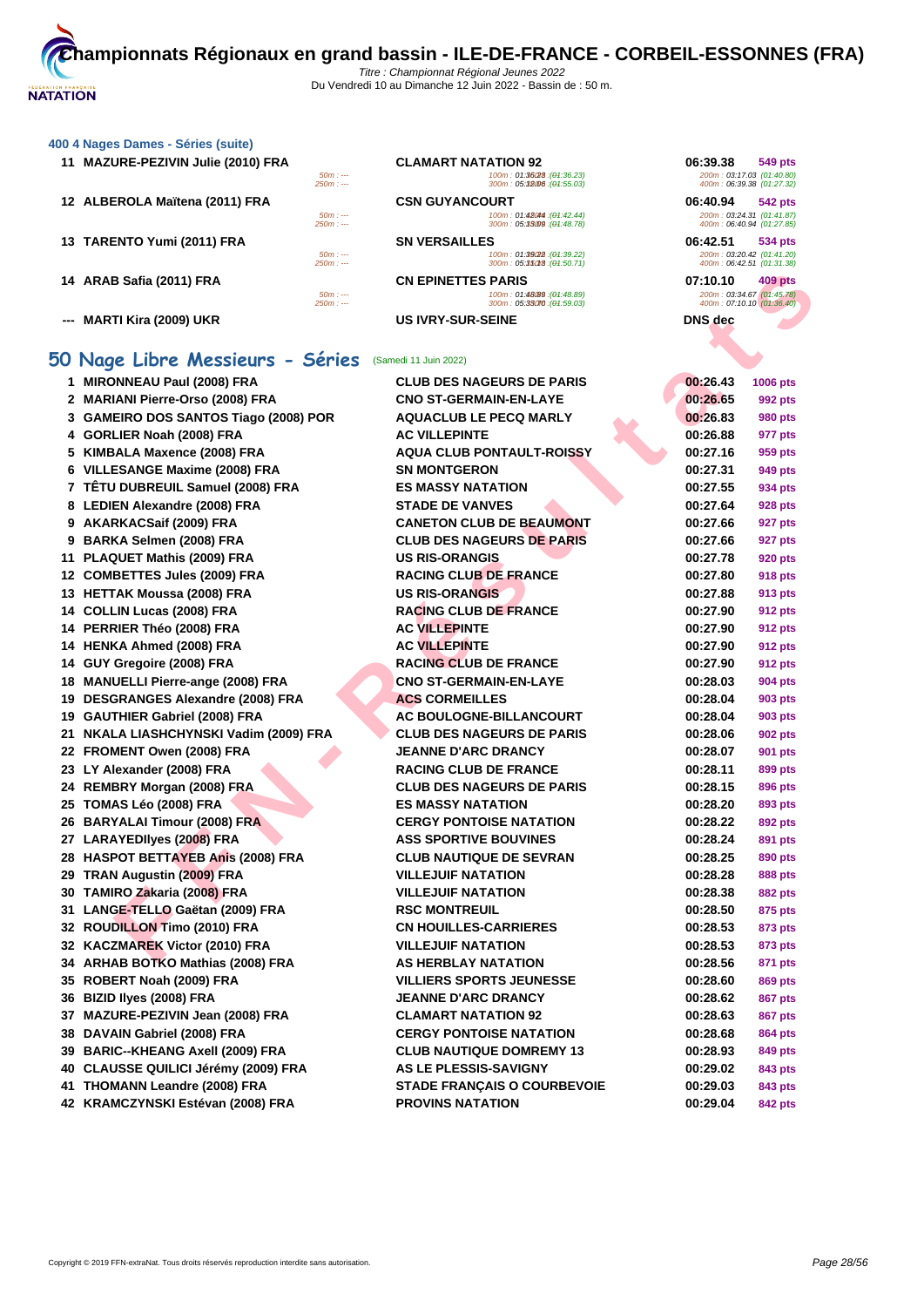#### **[400 4 Nag](http://www.ffnatation.fr/webffn/index.php)es Dames - Séries (suite)**

| 11 MAZURE-PEZIVIN Julie (2010) FRA |                        | <b>CLAMART NATATION 92</b>                                 | 06:39.38<br><b>549 pts</b>                             |  |
|------------------------------------|------------------------|------------------------------------------------------------|--------------------------------------------------------|--|
|                                    | $50m: --$<br>$250m: -$ | 100m: 01:36028 : (01:36.23)<br>300m: 05:32006 : (04:55.03) | 200m: 03:17.03 (01:40.80)<br>400m: 06:39.38 (01:27.32) |  |
| 12 ALBEROLA Maïtena (2011) FRA     |                        | <b>CSN GUYANCOURT</b>                                      | 06:40.94<br><b>542 pts</b>                             |  |
|                                    | $50m: --$<br>$250m: -$ | 100m: 01:480m : (01:42.44)<br>300m: 05:33099: (04:48.78)   | 200m: 03:24.31 (01:41.87)<br>400m: 06:40.94 (01:27.85) |  |
| 13 TARENTO Yumi (2011) FRA         |                        | <b>SN VERSAILLES</b>                                       | 06:42.51<br>534 pts                                    |  |
|                                    | $50m: --$<br>$250m: -$ | 100m: 01:39(22): (04:39.22)<br>300m: 05:35013: (04:50.71)  | 200m: 03:20.42 (01:41.20)<br>400m: 06:42.51 (01:31.38) |  |
| 14 ARAB Safia (2011) FRA           |                        | <b>CN EPINETTES PARIS</b>                                  | 07:10.10<br>409 pts                                    |  |
|                                    | $50m: -$<br>$250m: -$  | 100m: 01:48(89 : (01:48.89)<br>300m: 05:33070 : (04:59.03) | 200m: 03:34.67 (01:45.78)<br>400m: 07:10.10 (01:36.40) |  |
| --- MARTI Kira (2009) UKR          |                        | <b>US IVRY-SUR-SEINE</b>                                   | <b>DNS</b> dec                                         |  |

# **50 Nage Libre Messieurs - Séries** (Samedi 11 Juin 2022)

| 14 ARAB Safia (2011) FRA<br>$50m: -$<br>$250m: -$  | <b>CN EPINETTES PARIS</b><br>100m: 01:48(89 : (01:48.89)<br>300m: 05:33070 : (04:59.03) | 07:10.10<br>409 pts<br>200m: 03:34.67 (01:45.78)<br>400m: 07:10.10 (01:36.40) |
|----------------------------------------------------|-----------------------------------------------------------------------------------------|-------------------------------------------------------------------------------|
| --- MARTI Kira (2009) UKR                          | <b>US IVRY-SUR-SEINE</b>                                                                | DNS dec                                                                       |
| iO Nage Libre Messieurs - Séries                   | (Samedi 11 Juin 2022)                                                                   |                                                                               |
| 1 MIRONNEAU Paul (2008) FRA                        | <b>CLUB DES NAGEURS DE PARIS</b>                                                        | 00:26.43<br>1006 pts                                                          |
| 2 MARIANI Pierre-Orso (2008) FRA                   | <b>CNO ST-GERMAIN-EN-LAYE</b>                                                           | 00:26.65<br>992 pts                                                           |
| 3 GAMEIRO DOS SANTOS Tiago (2008) POR              | <b>AQUACLUB LE PECQ MARLY</b>                                                           | 00:26.83<br>980 pts                                                           |
| 4 GORLIER Noah (2008) FRA                          | <b>AC VILLEPINTE</b>                                                                    | 00:26.88<br>977 pts                                                           |
| 5 KIMBALA Maxence (2008) FRA                       | <b>AQUA CLUB PONTAULT-ROISSY</b>                                                        | 00:27.16<br>959 pts                                                           |
| 6 VILLESANGE Maxime (2008) FRA                     | <b>SN MONTGERON</b>                                                                     | 00:27.31<br>949 pts                                                           |
| 7 TÊTU DUBREUIL Samuel (2008) FRA                  | <b>ES MASSY NATATION</b>                                                                | 00:27.55<br>934 pts                                                           |
| 8 LEDIEN Alexandre (2008) FRA                      | <b>STADE DE VANVES</b>                                                                  | 00:27.64<br>928 pts                                                           |
| 9 AKARKACSaif (2009) FRA                           | <b>CANETON CLUB DE BEAUMONT</b>                                                         | 00:27.66<br>927 pts                                                           |
| 9 BARKA Selmen (2008) FRA                          | <b>CLUB DES NAGEURS DE PARIS</b>                                                        | 00:27.66<br>927 pts                                                           |
| 11 PLAQUET Mathis (2009) FRA                       | <b>US RIS-ORANGIS</b>                                                                   | 00:27.78<br>920 pts                                                           |
| 12 COMBETTES Jules (2009) FRA                      | <b>RACING CLUB DE FRANCE</b>                                                            | 00:27.80<br><b>918 pts</b>                                                    |
| 13 HETTAK Moussa (2008) FRA                        | <b>US RIS-ORANGIS</b>                                                                   | 00:27.88<br>913 pts                                                           |
| 14 COLLIN Lucas (2008) FRA                         | <b>RACING CLUB DE FRANCE</b>                                                            | 00:27.90<br><b>912 pts</b>                                                    |
| 14 PERRIER Théo (2008) FRA                         | <b>AC VILLEPINTE</b>                                                                    | 00:27.90<br>912 pts                                                           |
| 14 HENKA Ahmed (2008) FRA                          | <b>AC VILLEPINTE</b>                                                                    | 00:27.90<br><b>912 pts</b>                                                    |
| 14 GUY Gregoire (2008) FRA                         | <b>RACING CLUB DE FRANCE</b>                                                            | 00:27.90<br>912 pts                                                           |
| 18 MANUELLI Pierre-ange (2008) FRA                 | <b>CNO ST-GERMAIN-EN-LAYE</b>                                                           | 00:28.03<br>904 pts                                                           |
| 19 DESGRANGES Alexandre (2008) FRA                 | <b>ACS CORMEILLES</b>                                                                   | 00:28.04<br>903 pts                                                           |
| 19 GAUTHIER Gabriel (2008) FRA                     | AC BOULOGNE-BILLANCOURT                                                                 | 00:28.04<br>903 pts                                                           |
| 21 NKALA LIASHCHYNSKI Vadim (2009) FRA             | <b>CLUB DES NAGEURS DE PARIS</b>                                                        | 00:28.06<br>902 pts                                                           |
| 22 FROMENT Owen (2008) FRA                         | <b>JEANNE D'ARC DRANCY</b>                                                              | 00:28.07<br>901 pts                                                           |
| 23 LY Alexander (2008) FRA                         | <b>RACING CLUB DE FRANCE</b>                                                            | 00:28.11<br>899 pts                                                           |
| 24 REMBRY Morgan (2008) FRA                        | <b>CLUB DES NAGEURS DE PARIS</b>                                                        | 00:28.15<br>896 pts                                                           |
| 25 TOMAS Léo (2008) FRA                            | <b>ES MASSY NATATION</b>                                                                | 00:28.20<br>893 pts                                                           |
| 26 BARYALAI Timour (2008) FRA                      | <b>CERGY PONTOISE NATATION</b>                                                          | 00:28.22<br>892 pts                                                           |
| 27 LARAYEDIIyes (2008) FRA                         | <b>ASS SPORTIVE BOUVINES</b>                                                            | 00:28.24<br>891 pts                                                           |
| 28 HASPOT BETTAYEB Anis (2008) FRA                 | <b>CLUB NAUTIQUE DE SEVRAN</b>                                                          | 00:28.25<br>890 pts                                                           |
| 29 TRAN Augustin (2009) FRA                        | <b>VILLEJUIF NATATION</b>                                                               | 00:28.28<br>888 pts                                                           |
| 30 TAMIRO Zakaria (2008) FRA                       | <b>VILLEJUIF NATATION</b>                                                               | 00:28.38<br>882 pts                                                           |
| 31 LANGE-TELLO Gaëtan (2009) FRA                   | <b>RSC MONTREUIL</b>                                                                    | 00:28.50<br>875 pts                                                           |
| 32 ROUDILLON Timo (2010) FRA                       | <b>CN HOUILLES-CARRIERES</b>                                                            | 00:28.53<br>873 pts                                                           |
| 32 KACZMAREK Victor (2010) FRA                     | <b>VILLEJUIF NATATION</b>                                                               | 00:28.53<br>873 pts                                                           |
| 34 ARHAB BOTKO Mathias (2008) FRA                  | AS HERBLAY NATATION                                                                     | 00:28.56<br>871 pts                                                           |
| 35 ROBERT Noah (2009) FRA                          | <b>VILLIERS SPORTS JEUNESSE</b>                                                         | 00:28.60<br><b>869 pts</b>                                                    |
| 36 BIZID Ilyes (2008) FRA                          | <b>JEANNE D'ARC DRANCY</b>                                                              | 00:28.62<br>867 pts                                                           |
| 37 MAZURE-PEZIVIN Jean (2008) FRA                  | <b>CLAMART NATATION 92</b>                                                              | 00:28.63<br><b>867 pts</b>                                                    |
| 38 DAVAIN Gabriel (2008) FRA                       | <b>CERGY PONTOISE NATATION</b>                                                          | 00:28.68<br>864 pts                                                           |
| 39 BARIC--KHEANG Axell (2009) FRA                  | <b>CLUB NAUTIQUE DOMREMY 13</b>                                                         | 00:28.93<br>849 pts                                                           |
| 40 CLAUSSE QUILICI Jérémy (2009) FRA               | <b>AS LE PLESSIS-SAVIGNY</b>                                                            | 00:29.02<br>843 pts                                                           |
| 41 THOMANN Leandre (2008) FRA                      | <b>STADE FRANÇAIS O COURBEVOIE</b>                                                      | 00:29.03<br>843 pts                                                           |
| $T = 1107311011$ $T = 111111$ $T = 100001$ $T = 1$ | <b>BBAUBIO HATATION</b>                                                                 |                                                                               |

|                       | <b>CLAMART NATATION 92</b>                                 | 06:39.38<br>549 pts                                    |
|-----------------------|------------------------------------------------------------|--------------------------------------------------------|
| $50m: -$<br>$250m: -$ | 100m: 01:36/28 : (01:36.23)<br>300m: 05:32006 : (04:55.03) | 200m: 03:17.03 (01:40.80)<br>400m: 06:39.38 (01:27.32) |
|                       | <b>CSN GUYANCOURT</b>                                      | 06:40.94<br>542 pts                                    |
| $50m: -$<br>$250m: -$ | 100m: 01:48044 : (01:42.44)<br>300m: 05:3309 : (04:48.78)  | 200m: 03:24.31 (01:41.87)<br>400m: 06:40.94 (01:27.85) |
|                       | <b>SN VERSAILLES</b>                                       | 06:42.51<br>534 pts                                    |
| $50m: -$<br>$250m: -$ | 100m: 01:39(22): (01:39.22)<br>300m: 05:35013 : (04:50.71) | 200m: 03:20.42 (01:41.20)<br>400m: 06:42.51 (01:31.38) |
|                       | <b>CN EPINETTES PARIS</b>                                  | 07:10.10<br>409 pts                                    |
| $50m: -$<br>$250m: -$ | 100m: 01:48(89 : (01:48.89)<br>300m: 05:33070 : (04:59.03) | 200m: 03:34.67 (01:45.78)<br>400m: 07:10.10 (01:36.40) |
|                       | <b>US IVRY-SUR-SEINE</b>                                   | DNS dec                                                |
|                       |                                                            |                                                        |

| 06:39.38<br>200m: 03:17.03 (01:40.80)<br>400m: 06:39.38 (01:27.32) | 549 pts        |
|--------------------------------------------------------------------|----------------|
| 06:40.94<br>200m: 03:24.31 (01:41.87)<br>400m: 06:40.94 (01:27.85) | 542 pts        |
| 06:42.51<br>200m: 03:20.42 (01:41.20)<br>400m: 06:42.51 (01:31.38) | <b>534 pts</b> |
| 07:10.10<br>200m: 03:34.67 (01:45.78)                              | 409 pts        |
| 400m: 07:10.10 (01:36.40)<br>DNS dec                               |                |

| 00:26.43               | 1006 pts             |
|------------------------|----------------------|
| 00:26.65               | 992 pts              |
| 00:26.83               | 980 pts              |
| 00:26.88               | 977 pts              |
| 00:27.16<br>Ì          | 959 pts              |
| 00:27.31               | 949 pts              |
| 00:27.55               | 934 pts              |
| 00:27.64               | <b>928 pts</b>       |
| 00:27.66               | 927 pts              |
| 00:27.66               | 927 pts              |
| 00:27.78               | 920 pts              |
| 00:27.80               | 918 pts              |
| 00:27.88               | 913 pts              |
| 00:27.90               | 912 pts              |
| 00:27.90               | 912 pts              |
| 00:27.90               | 912 pts              |
| 00:27.90               | 912 pts              |
| 00:28.03               | 904 pts              |
| 00:28.04               | 903 pts              |
| 00:28.04               | 903 pts              |
| 00:28.06               | 902 pts              |
| 00:28.07               | 901 pts              |
| 00:28.11               | 899 pts              |
| 00:28.15               | 896 pts              |
| 00:28.20               | 893 pts              |
| 00:28.22               | 892 pts              |
| 00:28.24               | 891 pts              |
| 00:28.25               | 890 pts              |
| 00:28.28               | 888 pts              |
| 00:28.38               | 882 pts              |
| 00:28.50               | <b>875 pts</b>       |
| 00:28.53               | 873 pts              |
| 00:28.53               | <b>873 pts</b>       |
| 00:28.56               | 871 pts              |
| 00:28.60               | 869 pts              |
| 00:28.62               | 867 pts              |
| 00:28.63               | 867 pts              |
| 00:28.68               | 864 pts              |
| 00:28.93               | 849 pts              |
| 00:29.02<br>00:29.03   | 843 pts              |
| <u>በበ•ጋባ በ<i>ለ</i></u> | 843 pts<br>$842$ nte |
|                        |                      |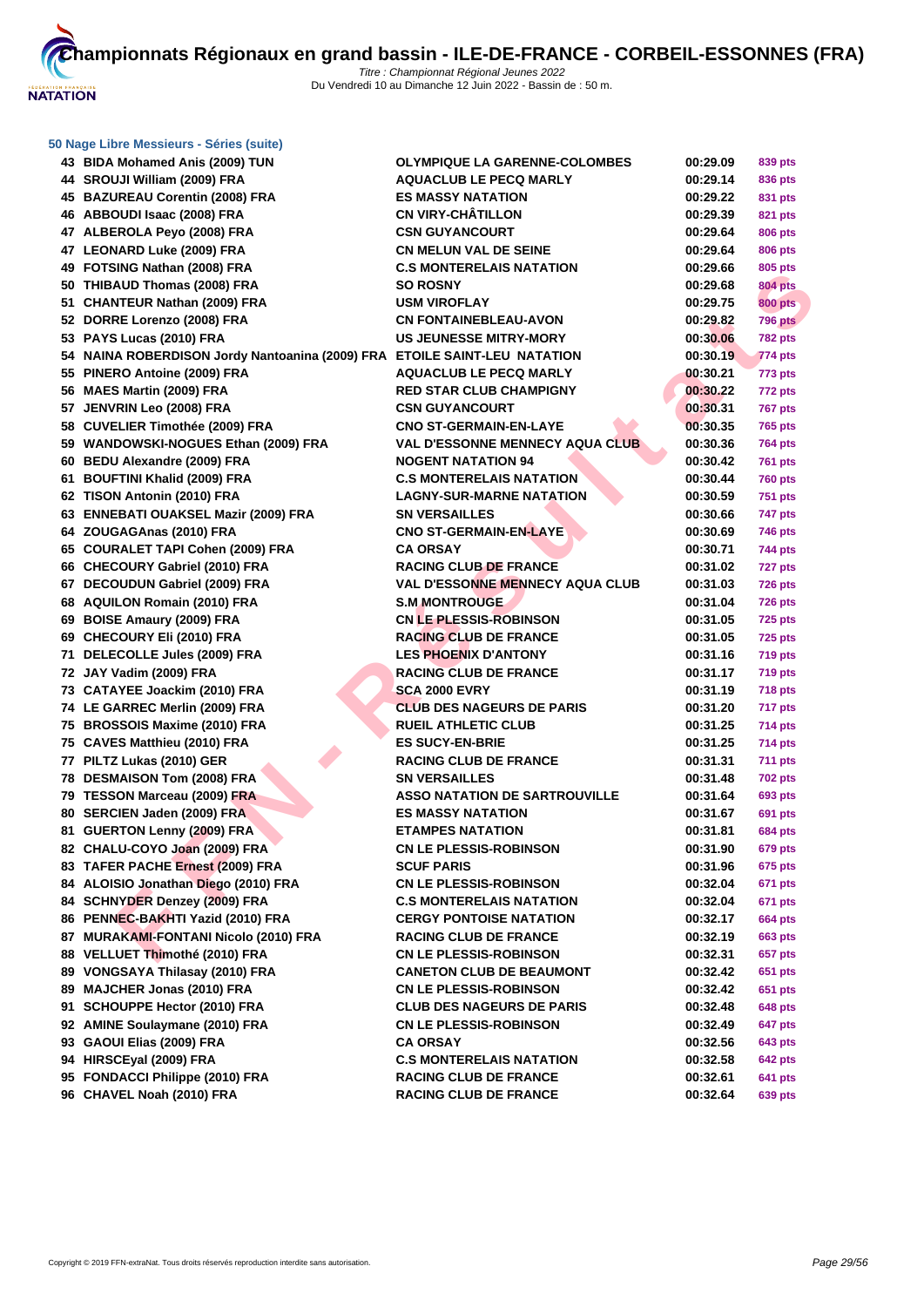| 43 BIDA Mohamed Anis (2009) TUN                                           | <b>OLYMPIQUE LA GARENNE-COLOMBES</b>   | 00:29.09 | 839 pts        |
|---------------------------------------------------------------------------|----------------------------------------|----------|----------------|
| 44 SROUJI William (2009) FRA                                              | <b>AQUACLUB LE PECQ MARLY</b>          | 00:29.14 | 836 pts        |
| 45 BAZUREAU Corentin (2008) FRA                                           | <b>ES MASSY NATATION</b>               | 00:29.22 | 831 pts        |
| 46 ABBOUDI Isaac (2008) FRA                                               | <b>CN VIRY-CHATILLON</b>               | 00:29.39 | 821 pts        |
| 47 ALBEROLA Peyo (2008) FRA                                               | <b>CSN GUYANCOURT</b>                  | 00:29.64 | 806 pts        |
| 47 LEONARD Luke (2009) FRA                                                | <b>CN MELUN VAL DE SEINE</b>           | 00:29.64 | 806 pts        |
| 49 FOTSING Nathan (2008) FRA                                              | <b>C.S MONTERELAIS NATATION</b>        | 00:29.66 | 805 pts        |
| 50 THIBAUD Thomas (2008) FRA                                              | <b>SO ROSNY</b>                        | 00:29.68 | <b>804 pts</b> |
| 51 CHANTEUR Nathan (2009) FRA                                             | <b>USM VIROFLAY</b>                    | 00:29.75 | <b>800 pts</b> |
| 52 DORRE Lorenzo (2008) FRA                                               | <b>CN FONTAINEBLEAU-AVON</b>           | 00:29.82 | 796 pts        |
| 53 PAYS Lucas (2010) FRA                                                  | <b>US JEUNESSE MITRY-MORY</b>          | 00:30.06 | <b>782 pts</b> |
| 54 NAINA ROBERDISON Jordy Nantoanina (2009) FRA ETOILE SAINT-LEU NATATION |                                        | 00:30.19 | 774 pts        |
| 55 PINERO Antoine (2009) FRA                                              | <b>AQUACLUB LE PECQ MARLY</b>          | 00:30.21 | 773 pts        |
| 56 MAES Martin (2009) FRA                                                 | <b>RED STAR CLUB CHAMPIGNY</b>         | 00:30.22 | <b>772 pts</b> |
| 57 JENVRIN Leo (2008) FRA                                                 | <b>CSN GUYANCOURT</b>                  | 00:30.31 | <b>767 pts</b> |
| 58 CUVELIER Timothée (2009) FRA                                           | <b>CNO ST-GERMAIN-EN-LAYE</b>          | 00:30.35 | 765 pts        |
| 59 WANDOWSKI-NOGUES Ethan (2009) FRA                                      | <b>VAL D'ESSONNE MENNECY AQUA CLUB</b> | 00:30.36 | <b>764 pts</b> |
| 60 BEDU Alexandre (2009) FRA                                              | <b>NOGENT NATATION 94</b>              | 00:30.42 | 761 pts        |
| 61 BOUFTINI Khalid (2009) FRA                                             | <b>C.S MONTERELAIS NATATION</b>        | 00:30.44 | <b>760 pts</b> |
| 62 TISON Antonin (2010) FRA                                               | <b>LAGNY-SUR-MARNE NATATION</b>        | 00:30.59 | <b>751 pts</b> |
| 63 ENNEBATI OUAKSEL Mazir (2009) FRA                                      | <b>SN VERSAILLES</b>                   | 00:30.66 | 747 pts        |
| 64 ZOUGAGAnas (2010) FRA                                                  | <b>CNO ST-GERMAIN-EN-LAYE</b>          | 00:30.69 | 746 pts        |
| 65 COURALET TAPI Cohen (2009) FRA                                         | <b>CA ORSAY</b>                        | 00:30.71 | 744 pts        |
| 66 CHECOURY Gabriel (2010) FRA                                            | <b>RACING CLUB DE FRANCE</b>           | 00:31.02 | 727 pts        |
| 67 DECOUDUN Gabriel (2009) FRA                                            | <b>VAL D'ESSONNE MENNECY AQUA CLUB</b> | 00:31.03 | <b>726 pts</b> |
| 68 AQUILON Romain (2010) FRA                                              | <b>S.M MONTROUGE</b>                   |          |                |
|                                                                           |                                        | 00:31.04 | <b>726 pts</b> |
| 69 BOISE Amaury (2009) FRA                                                | <b>CN LE PLESSIS-ROBINSON</b>          | 00:31.05 | <b>725 pts</b> |
| 69 CHECOURY Eli (2010) FRA                                                | <b>RACING CLUB DE FRANCE</b>           | 00:31.05 | <b>725 pts</b> |
| 71 DELECOLLE Jules (2009) FRA                                             | <b>LES PHOENIX D'ANTONY</b>            | 00:31.16 | <b>719 pts</b> |
| 72 JAY Vadim (2009) FRA                                                   | <b>RACING CLUB DE FRANCE</b>           | 00:31.17 | <b>719 pts</b> |
| 73 CATAYEE Joackim (2010) FRA                                             | <b>SCA 2000 EVRY</b>                   | 00:31.19 | <b>718 pts</b> |
| 74 LE GARREC Merlin (2009) FRA                                            | <b>CLUB DES NAGEURS DE PARIS</b>       | 00:31.20 | 717 pts        |
| 75 BROSSOIS Maxime (2010) FRA                                             | <b>RUEIL ATHLETIC CLUB</b>             | 00:31.25 | 714 pts        |
| 75 CAVES Matthieu (2010) FRA                                              | <b>ES SUCY-EN-BRIE</b>                 | 00:31.25 | 714 pts        |
| 77 PILTZ Lukas (2010) GER                                                 | <b>RACING CLUB DE FRANCE</b>           | 00:31.31 | 711 pts        |
| 78 DESMAISON Tom (2008) FRA                                               | <b>SN VERSAILLES</b>                   | 00:31.48 | <b>702 pts</b> |
| 79 TESSON Marceau (2009) FRA                                              | <b>ASSO NATATION DE SARTROUVILLE</b>   | 00:31.64 | 693 pts        |
| 80 SERCIEN Jaden (2009) FRA                                               | <b>ES MASSY NATATION</b>               | 00:31.67 | 691 pts        |
| 81 GUERTON Lenny (2009) FRA                                               | <b>ETAMPES NATATION</b>                | 00:31.81 | 684 pts        |
| 82 CHALU-COYO Joan (2009) FRA                                             | <b>CN LE PLESSIS-ROBINSON</b>          | 00:31.90 | 679 pts        |
| 83 TAFER PACHE Ernest (2009) FRA                                          | <b>SCUF PARIS</b>                      | 00:31.96 | 675 pts        |
| 84 ALOISIO Jonathan Diego (2010) FRA                                      | <b>CN LE PLESSIS-ROBINSON</b>          | 00:32.04 | 671 pts        |
| 84 SCHNYDER Denzey (2009) FRA                                             | <b>C.S MONTERELAIS NATATION</b>        | 00:32.04 | 671 pts        |
| 86 PENNEC-BAKHTI Yazid (2010) FRA                                         | <b>CERGY PONTOISE NATATION</b>         | 00:32.17 | 664 pts        |
| 87 MURAKAMI-FONTANI Nicolo (2010) FRA                                     | <b>RACING CLUB DE FRANCE</b>           | 00:32.19 | 663 pts        |
| 88 VELLUET Thimothé (2010) FRA                                            | <b>CN LE PLESSIS-ROBINSON</b>          | 00:32.31 | 657 pts        |
| 89 VONGSAYA Thilasay (2010) FRA                                           | <b>CANETON CLUB DE BEAUMONT</b>        | 00:32.42 | 651 pts        |
| 89 MAJCHER Jonas (2010) FRA                                               | <b>CN LE PLESSIS-ROBINSON</b>          | 00:32.42 | 651 pts        |
| 91 SCHOUPPE Hector (2010) FRA                                             | <b>CLUB DES NAGEURS DE PARIS</b>       | 00:32.48 | <b>648 pts</b> |
| 92 AMINE Soulaymane (2010) FRA                                            | <b>CN LE PLESSIS-ROBINSON</b>          | 00:32.49 | 647 pts        |
| 93 GAOUI Elias (2009) FRA                                                 | <b>CA ORSAY</b>                        | 00:32.56 | 643 pts        |
| 94 HIRSCEyal (2009) FRA                                                   | <b>C.S MONTERELAIS NATATION</b>        | 00:32.58 | <b>642 pts</b> |
| 95 FONDACCI Philippe (2010) FRA                                           | <b>RACING CLUB DE FRANCE</b>           | 00:32.61 | 641 pts        |
| 96 CHAVEL Noah (2010) FRA                                                 | <b>RACING CLUB DE FRANCE</b>           | 00:32.64 | 639 pts        |
|                                                                           |                                        |          |                |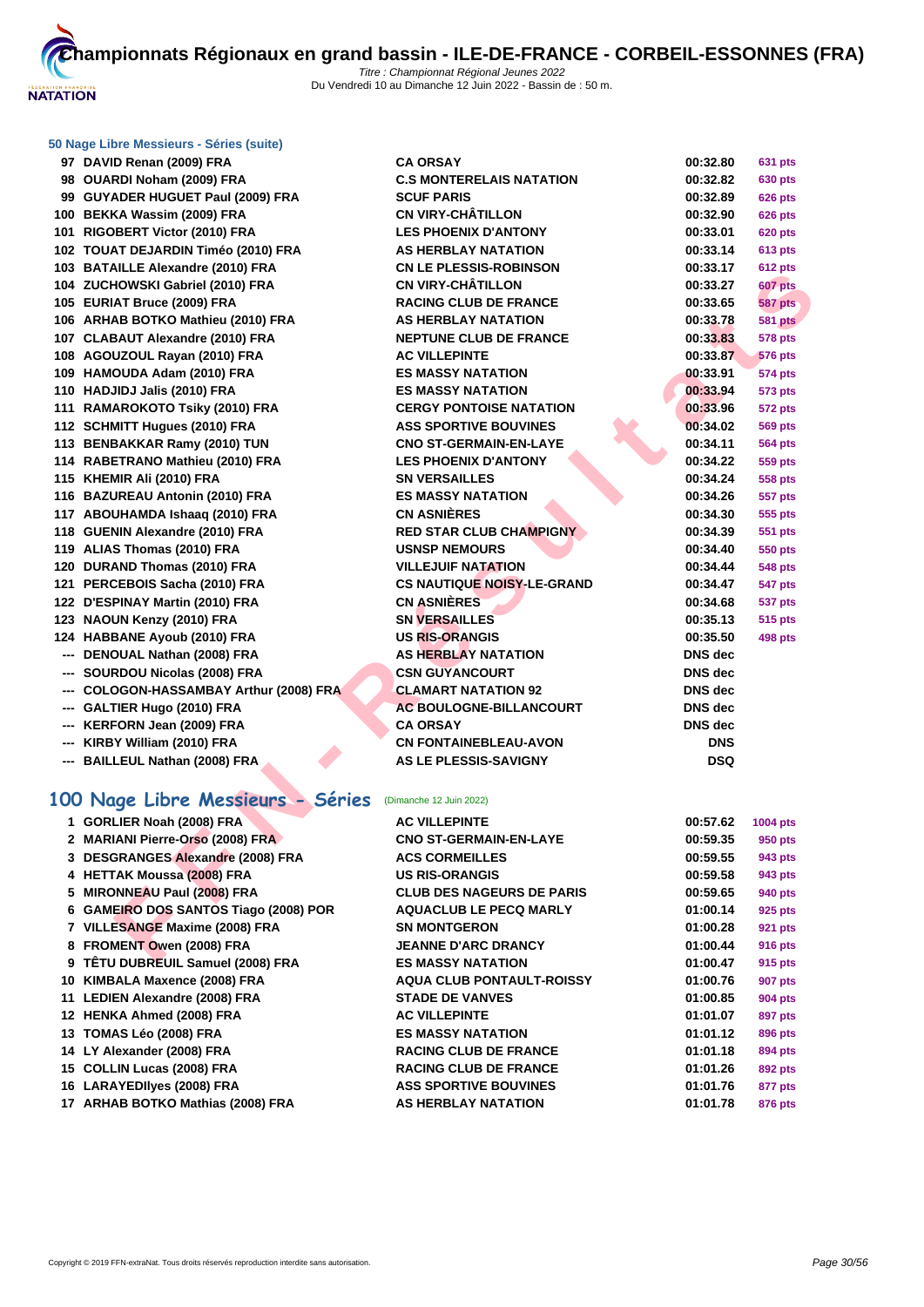

### **[50 Nage L](http://www.ffnatation.fr/webffn/index.php)ibre Messieurs - Séries (suite)**

| 97 DAVID Renan (2009) FRA                                 | <b>CA ORSAY</b>                   | 00:32.80       | 631 pts        |  |
|-----------------------------------------------------------|-----------------------------------|----------------|----------------|--|
| 98 OUARDI Noham (2009) FRA                                | <b>C.S MONTERELAIS NATATION</b>   | 00:32.82       | 630 pts        |  |
| 99 GUYADER HUGUET Paul (2009) FRA                         | <b>SCUF PARIS</b>                 | 00:32.89       | <b>626 pts</b> |  |
| 100 BEKKA Wassim (2009) FRA                               | <b>CN VIRY-CHÂTILLON</b>          | 00:32.90       | <b>626 pts</b> |  |
| 101 RIGOBERT Victor (2010) FRA                            | <b>LES PHOENIX D'ANTONY</b>       | 00:33.01       | <b>620 pts</b> |  |
| 102 TOUAT DEJARDIN Timéo (2010) FRA                       | <b>AS HERBLAY NATATION</b>        | 00:33.14       | <b>613 pts</b> |  |
| 103 BATAILLE Alexandre (2010) FRA                         | <b>CN LE PLESSIS-ROBINSON</b>     | 00:33.17       | <b>612 pts</b> |  |
| 104 ZUCHOWSKI Gabriel (2010) FRA                          | <b>CN VIRY-CHÂTILLON</b>          | 00:33.27       | <b>607 pts</b> |  |
| 105 EURIAT Bruce (2009) FRA                               | <b>RACING CLUB DE FRANCE</b>      | 00:33.65       | 587 pts        |  |
| 106 ARHAB BOTKO Mathieu (2010) FRA                        | <b>AS HERBLAY NATATION</b>        | 00:33.78       | <b>581 pts</b> |  |
| 107 CLABAUT Alexandre (2010) FRA                          | <b>NEPTUNE CLUB DE FRANCE</b>     | 00:33.83       | <b>578 pts</b> |  |
| 108 AGOUZOUL Rayan (2010) FRA                             | <b>AC VILLEPINTE</b>              | 00:33.87       | <b>576 pts</b> |  |
| 109 HAMOUDA Adam (2010) FRA                               | <b>ES MASSY NATATION</b>          | 00:33.91       | <b>574 pts</b> |  |
| 110 HADJIDJ Jalis (2010) FRA                              | <b>ES MASSY NATATION</b>          | 00:33.94       | <b>573 pts</b> |  |
| 111 RAMAROKOTO Tsiky (2010) FRA                           | <b>CERGY PONTOISE NATATION</b>    | 00:33.96       | 572 pts        |  |
| 112 SCHMITT Hugues (2010) FRA                             | <b>ASS SPORTIVE BOUVINES</b>      | 00:34.02       | <b>569 pts</b> |  |
| 113 BENBAKKAR Ramy (2010) TUN                             | <b>CNO ST-GERMAIN-EN-LAYE</b>     | 00:34.11       | <b>564 pts</b> |  |
| 114 RABETRANO Mathieu (2010) FRA                          | <b>LES PHOENIX D'ANTONY</b>       | 00:34.22       | <b>559 pts</b> |  |
| 115 KHEMIR Ali (2010) FRA                                 | <b>SN VERSAILLES</b>              | 00:34.24       | <b>558 pts</b> |  |
| 116 BAZUREAU Antonin (2010) FRA                           | <b>ES MASSY NATATION</b>          | 00:34.26       | <b>557 pts</b> |  |
| 117 ABOUHAMDA Ishaaq (2010) FRA                           | <b>CN ASNIÈRES</b>                | 00:34.30       | 555 pts        |  |
| 118 GUENIN Alexandre (2010) FRA                           | <b>RED STAR CLUB CHAMPIGNY</b>    | 00:34.39       | 551 pts        |  |
| 119 ALIAS Thomas (2010) FRA                               | <b>USNSP NEMOURS</b>              | 00:34.40       | 550 pts        |  |
| 120 DURAND Thomas (2010) FRA                              | <b>VILLEJUIF NATATION</b>         | 00:34.44       | <b>548 pts</b> |  |
| 121 PERCEBOIS Sacha (2010) FRA                            | <b>CS NAUTIQUE NOISY-LE-GRAND</b> | 00:34.47       | <b>547 pts</b> |  |
| 122 D'ESPINAY Martin (2010) FRA                           | <b>CN ASNIÈRES</b>                | 00:34.68       | <b>537 pts</b> |  |
| 123 NAOUN Kenzy (2010) FRA                                | <b>SN VERSAILLES</b>              | 00:35.13       | 515 pts        |  |
| 124 HABBANE Ayoub (2010) FRA                              | <b>US RIS-ORANGIS</b>             | 00:35.50       | 498 pts        |  |
| --- DENOUAL Nathan (2008) FRA                             | <b>AS HERBLAY NATATION</b>        | <b>DNS</b> dec |                |  |
| --- SOURDOU Nicolas (2008) FRA                            | <b>CSN GUYANCOURT</b>             | <b>DNS</b> dec |                |  |
| --- COLOGON-HASSAMBAY Arthur (2008) FRA                   | <b>CLAMART NATATION 92</b>        | <b>DNS</b> dec |                |  |
| --- GALTIER Hugo (2010) FRA                               | <b>AC BOULOGNE-BILLANCOURT</b>    | <b>DNS</b> dec |                |  |
| --- KERFORN Jean (2009) FRA                               | <b>CA ORSAY</b>                   | <b>DNS</b> dec |                |  |
| --- KIRBY William (2010) FRA                              | <b>CN FONTAINEBLEAU-AVON</b>      | <b>DNS</b>     |                |  |
| --- BAILLEUL Nathan (2008) FRA                            | <b>AS LE PLESSIS-SAVIGNY</b>      | <b>DSQ</b>     |                |  |
|                                                           |                                   |                |                |  |
| 100 Nage Libre Messieurs - Séries (Dimanche 12 Juin 2022) |                                   |                |                |  |
| 1 GORLIER Noah (2008) FRA                                 | <b>AC VILLEPINTE</b>              | 00:57.62       | 1004 pts       |  |
| 2 MARIANI Pierre-Orso (2008) FRA                          | <b>CNO ST-GERMAIN-EN-LAYE</b>     | 00:59.35       | 950 pts        |  |
| 3 DESGRANGES Alexandre (2008) FRA                         | <b>ACS CORMEILLES</b>             | 00:59.55       | <b>943 pts</b> |  |
| 4 HETTAK Moussa (2008) FRA                                | <b>US RIS-ORANGIS</b>             | 00:59.58       | 943 pts        |  |
| 5 MIRONNEAU Paul (2008) FRA                               | <b>CLUB DES NAGEURS DE PARIS</b>  | 00:59.65       | 940 pts        |  |
| 6 GAMEIRO DOS SANTOS Tiago (2008) POR                     | <b>AQUACLUB LE PECQ MARLY</b>     | 01:00.14       | 925 pts        |  |
| 7 VILLESANGE Maxime (2008) FRA                            | <b>SN MONTGERON</b>               | 01:00.28       | 921 pts        |  |
| 8 FROMENT Owen (2008) FRA                                 | <b>JEANNE D'ARC DRANCY</b>        | 01:00.44       | <b>916 pts</b> |  |
| $\alpha$ $\tau$ îtu buddeul Camual (2000) EDA             | <b>FO MACOV MATATION</b>          | 04.00.47       | $0.45 - 0.4$   |  |

# **100 Nage Libre Messieurs - Séries** (Dimanche 12 Juin 2022)

| 1 GORLIER Noah (2008) FRA             | <b>AC VILLEPINTE</b>             | 00:57.62 | 1004 pts       |
|---------------------------------------|----------------------------------|----------|----------------|
| 2 MARIANI Pierre-Orso (2008) FRA      | <b>CNO ST-GERMAIN-EN-LAYE</b>    | 00:59.35 | 950 pts        |
| 3 DESGRANGES Alexandre (2008) FRA     | <b>ACS CORMEILLES</b>            | 00:59.55 | 943 pts        |
| 4 HETTAK Moussa (2008) FRA            | <b>US RIS-ORANGIS</b>            | 00:59.58 | 943 pts        |
| 5 MIRONNEAU Paul (2008) FRA           | <b>CLUB DES NAGEURS DE PARIS</b> | 00:59.65 | 940 pts        |
| 6 GAMEIRO DOS SANTOS Tiago (2008) POR | <b>AQUACLUB LE PECQ MARLY</b>    | 01:00.14 | 925 pts        |
| 7 VILLESANGE Maxime (2008) FRA        | <b>SN MONTGERON</b>              | 01:00.28 | <b>921 pts</b> |
| 8 FROMENT Owen (2008) FRA             | <b>JEANNE D'ARC DRANCY</b>       | 01:00.44 | <b>916 pts</b> |
| 9 TÊTU DUBREUIL Samuel (2008) FRA     | <b>ES MASSY NATATION</b>         | 01:00.47 | 915 pts        |
| 10 KIMBALA Maxence (2008) FRA         | <b>AQUA CLUB PONTAULT-ROISSY</b> | 01:00.76 | 907 pts        |
| 11 LEDIEN Alexandre (2008) FRA        | <b>STADE DE VANVES</b>           | 01:00.85 | 904 pts        |
| 12 HENKA Ahmed (2008) FRA             | <b>AC VILLEPINTE</b>             | 01:01.07 | 897 pts        |
| 13 TOMAS Léo (2008) FRA               | <b>ES MASSY NATATION</b>         | 01:01.12 | 896 pts        |
| 14 LY Alexander (2008) FRA            | <b>RACING CLUB DE FRANCE</b>     | 01:01.18 | 894 pts        |
| 15 COLLIN Lucas (2008) FRA            | <b>RACING CLUB DE FRANCE</b>     | 01:01.26 | 892 pts        |
| 16 LARAYEDIIyes (2008) FRA            | <b>ASS SPORTIVE BOUVINES</b>     | 01:01.76 | 877 pts        |
| 17 ARHAB BOTKO Mathias (2008) FRA     | AS HERBLAY NATATION              | 01:01.78 | <b>876 pts</b> |
|                                       |                                  |          |                |

| 00:33.27       | 607 pts        |
|----------------|----------------|
| 00:33.65       | <b>587 pts</b> |
| 00:33.78       | <b>581 pts</b> |
| 00:33.83       | 578 pts        |
| 00:33.87       | <b>576 pts</b> |
| 00:33.91       | 574 pts        |
| 00:33.94       | 573 pts        |
| 00:33.96       | <b>572 pts</b> |
| 00:34.02       | 569 pts        |
| 00:34.11       | <b>564 pts</b> |
| 00:34.22       | 559 pts        |
| 00:34.24       | 558 pts        |
| 00:34.26       | <b>557 pts</b> |
| 00:34.30       | 555 pts        |
| 00:34.39       | 551 pts        |
| 00:34.40       | <b>550 pts</b> |
| 00:34.44       | <b>548 pts</b> |
| 00:34.47       | 547 pts        |
| 00:34.68       | 537 pts        |
| 00:35.13       | 515 pts        |
| 00:35.50       | 498 pts        |
| DNS dec        |                |
| DNS dec        |                |
| <b>DNS</b> dec |                |
| <b>DNS</b> dec |                |
| DNS dec        |                |
| <b>DNS</b>     |                |
| DSQ            |                |
|                |                |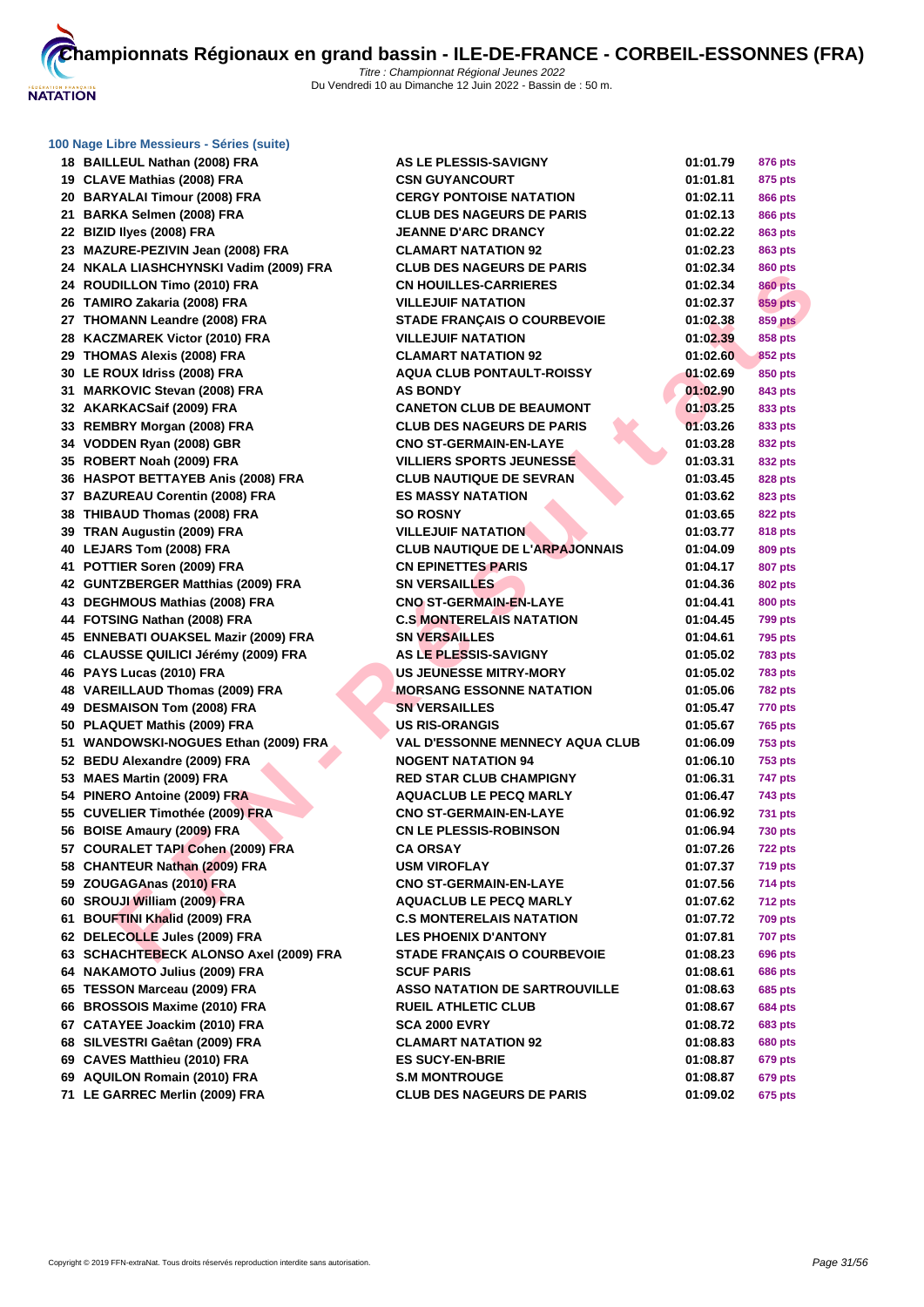

| 18 BAILLEUL Nathan (2008) FRA          | <b>AS LE PLESSIS-SAVIGNY</b>           | 01:01.79 | 876 pts        |
|----------------------------------------|----------------------------------------|----------|----------------|
| 19 CLAVE Mathias (2008) FRA            | <b>CSN GUYANCOURT</b>                  | 01:01.81 | 875 pts        |
| 20 BARYALAI Timour (2008) FRA          | <b>CERGY PONTOISE NATATION</b>         | 01:02.11 | <b>866 pts</b> |
| 21 BARKA Selmen (2008) FRA             | <b>CLUB DES NAGEURS DE PARIS</b>       | 01:02.13 | <b>866 pts</b> |
| 22 BIZID liyes (2008) FRA              | <b>JEANNE D'ARC DRANCY</b>             | 01:02.22 | 863 pts        |
| 23 MAZURE-PEZIVIN Jean (2008) FRA      | <b>CLAMART NATATION 92</b>             | 01:02.23 | 863 pts        |
| 24 NKALA LIASHCHYNSKI Vadim (2009) FRA | <b>CLUB DES NAGEURS DE PARIS</b>       | 01:02.34 | 860 pts        |
| 24 ROUDILLON Timo (2010) FRA           | <b>CN HOUILLES-CARRIERES</b>           | 01:02.34 | <b>860 pts</b> |
| 26 TAMIRO Zakaria (2008) FRA           | <b>VILLEJUIF NATATION</b>              | 01:02.37 | 859 pts        |
| 27 THOMANN Leandre (2008) FRA          | <b>STADE FRANÇAIS O COURBEVOIE</b>     | 01:02.38 | <b>859 pts</b> |
| 28 KACZMAREK Victor (2010) FRA         | <b>VILLEJUIF NATATION</b>              | 01:02.39 | 858 pts        |
| 29 THOMAS Alexis (2008) FRA            | <b>CLAMART NATATION 92</b>             | 01:02.60 | <b>852 pts</b> |
| 30 LE ROUX Idriss (2008) FRA           | <b>AQUA CLUB PONTAULT-ROISSY</b>       | 01:02.69 | 850 pts        |
| 31 MARKOVIC Stevan (2008) FRA          | <b>AS BONDY</b>                        | 01:02.90 | 843 pts        |
| 32 AKARKACSaif (2009) FRA              | <b>CANETON CLUB DE BEAUMONT</b>        | 01:03.25 | 833 pts        |
| 33 REMBRY Morgan (2008) FRA            | <b>CLUB DES NAGEURS DE PARIS</b>       | 01:03.26 | 833 pts        |
| 34 VODDEN Ryan (2008) GBR              | <b>CNO ST-GERMAIN-EN-LAYE</b>          | 01:03.28 | 832 pts        |
| 35 ROBERT Noah (2009) FRA              | <b>VILLIERS SPORTS JEUNESSE</b>        | 01:03.31 | 832 pts        |
| 36 HASPOT BETTAYEB Anis (2008) FRA     | <b>CLUB NAUTIQUE DE SEVRAN</b>         | 01:03.45 | 828 pts        |
| 37 BAZUREAU Corentin (2008) FRA        | <b>ES MASSY NATATION</b>               | 01:03.62 | 823 pts        |
| 38 THIBAUD Thomas (2008) FRA           | <b>SO ROSNY</b>                        | 01:03.65 | 822 pts        |
| 39 TRAN Augustin (2009) FRA            | <b>VILLEJUIF NATATION</b>              | 01:03.77 | <b>818 pts</b> |
| 40 LEJARS Tom (2008) FRA               | <b>CLUB NAUTIQUE DE L'ARPAJONNAIS</b>  | 01:04.09 | 809 pts        |
| 41 POTTIER Soren (2009) FRA            | <b>CN EPINETTES PARIS</b>              | 01:04.17 | 807 pts        |
| 42 GUNTZBERGER Matthias (2009) FRA     | <b>SN VERSAILLES</b>                   | 01:04.36 | 802 pts        |
| 43 DEGHMOUS Mathias (2008) FRA         | <b>CNO ST-GERMAIN-EN-LAYE</b>          | 01:04.41 | 800 pts        |
| 44 FOTSING Nathan (2008) FRA           | <b>C.S MONTERELAIS NATATION</b>        | 01:04.45 | <b>799 pts</b> |
| 45 ENNEBATI OUAKSEL Mazir (2009) FRA   | <b>SN VERSAILLES</b>                   | 01:04.61 | <b>795 pts</b> |
| 46 CLAUSSE QUILICI Jérémy (2009) FRA   | AS LE PLESSIS-SAVIGNY                  | 01:05.02 | <b>783 pts</b> |
| 46 PAYS Lucas (2010) FRA               | <b>US JEUNESSE MITRY-MORY</b>          | 01:05.02 | <b>783 pts</b> |
| 48 VAREILLAUD Thomas (2009) FRA        | <b>MORSANG ESSONNE NATATION</b>        | 01:05.06 | <b>782 pts</b> |
| 49 DESMAISON Tom (2008) FRA            | <b>SN VERSAILLES</b>                   | 01:05.47 | <b>770 pts</b> |
| 50 PLAQUET Mathis (2009) FRA           | <b>US RIS-ORANGIS</b>                  | 01:05.67 | 765 pts        |
| 51 WANDOWSKI-NOGUES Ethan (2009) FRA   | <b>VAL D'ESSONNE MENNECY AQUA CLUB</b> | 01:06.09 | <b>753 pts</b> |
| 52 BEDU Alexandre (2009) FRA           | <b>NOGENT NATATION 94</b>              | 01:06.10 | <b>753 pts</b> |
| 53 MAES Martin (2009) FRA              | <b>RED STAR CLUB CHAMPIGNY</b>         | 01:06.31 | 747 pts        |
| 54 PINERO Antoine (2009) FRA           | <b>AQUACLUB LE PECQ MARLY</b>          | 01:06.47 | 743 pts        |
| 55 CUVELIER Timothée (2009) FRA        | <b>CNO ST-GERMAIN-EN-LAYE</b>          | 01:06.92 | <b>731 pts</b> |
| 56 BOISE Amaury (2009) FRA             | <b>CN LE PLESSIS-ROBINSON</b>          | 01:06.94 | <b>730 pts</b> |
| 57 COURALET TAPI Cohen (2009) FRA      | CA ORSAY                               | 01:07.26 | <b>722 pts</b> |
| 58 CHANTEUR Nathan (2009) FRA          | <b>USM VIROFLAY</b>                    | 01:07.37 | <b>719 pts</b> |
| 59 ZOUGAGAnas (2010) FRA               | <b>CNO ST-GERMAIN-EN-LAYE</b>          | 01:07.56 | 714 pts        |
| 60 SROUJI William (2009) FRA           | <b>AQUACLUB LE PECQ MARLY</b>          | 01:07.62 | <b>712 pts</b> |
| 61 BOUFTINI Khalid (2009) FRA          | <b>C.S MONTERELAIS NATATION</b>        | 01:07.72 | <b>709 pts</b> |
| 62 DELECOLLE Jules (2009) FRA          | <b>LES PHOENIX D'ANTONY</b>            | 01:07.81 | <b>707 pts</b> |
| 63 SCHACHTEBECK ALONSO Axel (2009) FRA | STADE FRANÇAIS O COURBEVOIE            | 01:08.23 | 696 pts        |
| 64 NAKAMOTO Julius (2009) FRA          | <b>SCUF PARIS</b>                      | 01:08.61 | <b>686 pts</b> |
| 65 TESSON Marceau (2009) FRA           | <b>ASSO NATATION DE SARTROUVILLE</b>   | 01:08.63 | 685 pts        |
| 66 BROSSOIS Maxime (2010) FRA          | <b>RUEIL ATHLETIC CLUB</b>             | 01:08.67 | <b>684 pts</b> |
| 67 CATAYEE Joackim (2010) FRA          | SCA 2000 EVRY                          | 01:08.72 | 683 pts        |
| 68 SILVESTRI Gaêtan (2009) FRA         | <b>CLAMART NATATION 92</b>             | 01:08.83 | <b>680 pts</b> |
| 69 CAVES Matthieu (2010) FRA           | <b>ES SUCY-EN-BRIE</b>                 | 01:08.87 | 679 pts        |
| 69 AQUILON Romain (2010) FRA           | <b>S.M MONTROUGE</b>                   | 01:08.87 | 679 pts        |
| 71 LE GARREC Merlin (2009) FRA         | <b>CLUB DES NAGEURS DE PARIS</b>       | 01:09.02 | 675 pts        |
|                                        |                                        |          |                |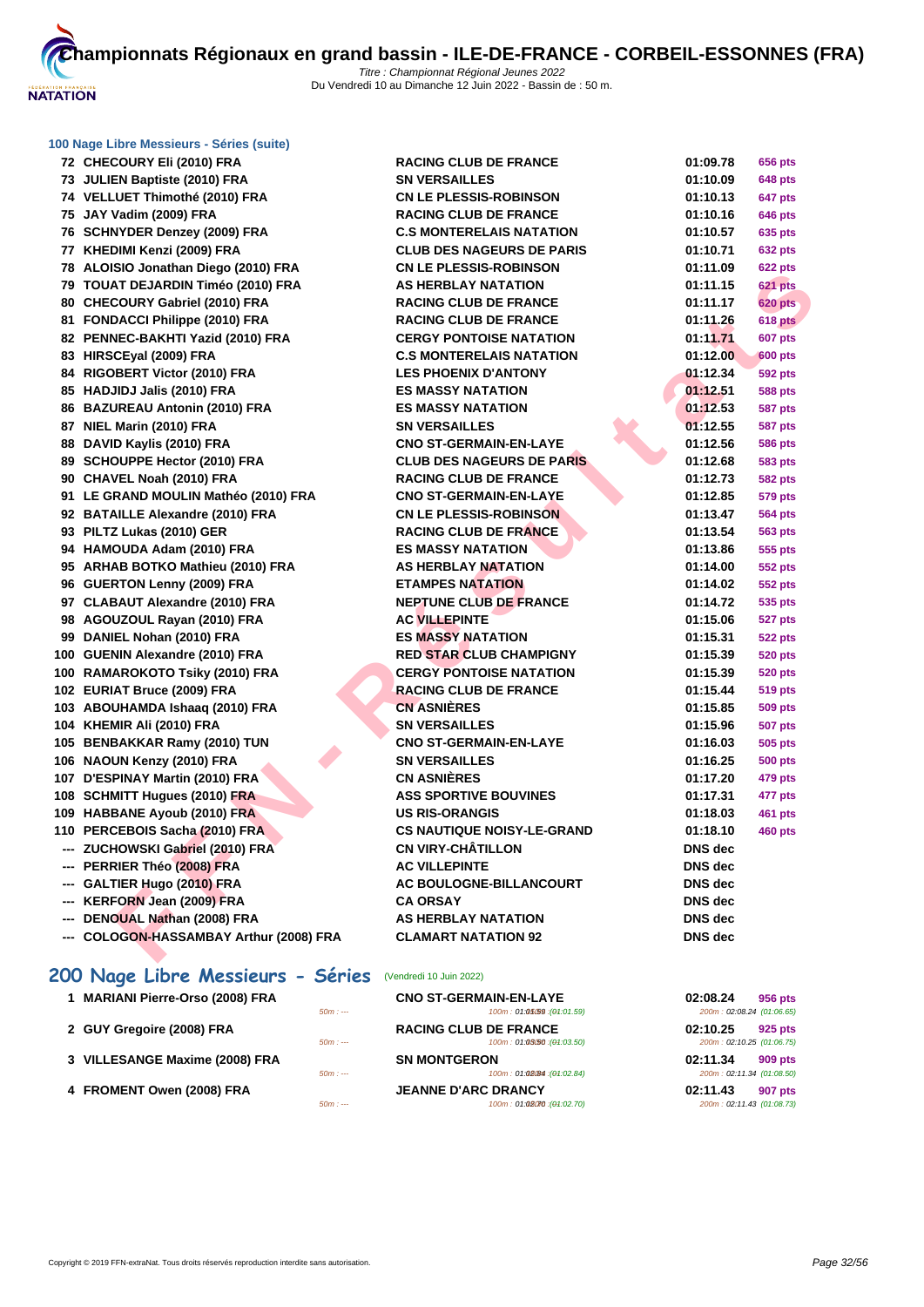

| 72 CHECOURY Eli (2010) FRA              | <b>RACING CLUB DE FRANCE</b>      | 01:09.78       | 656 pts        |
|-----------------------------------------|-----------------------------------|----------------|----------------|
| 73 JULIEN Baptiste (2010) FRA           | <b>SN VERSAILLES</b>              | 01:10.09       | <b>648 pts</b> |
| 74 VELLUET Thimothé (2010) FRA          | <b>CN LE PLESSIS-ROBINSON</b>     | 01:10.13       | 647 pts        |
| 75 JAY Vadim (2009) FRA                 | <b>RACING CLUB DE FRANCE</b>      | 01:10.16       | 646 pts        |
| 76 SCHNYDER Denzey (2009) FRA           | <b>C.S MONTERELAIS NATATION</b>   | 01:10.57       | 635 pts        |
| 77 KHEDIMI Kenzi (2009) FRA             | <b>CLUB DES NAGEURS DE PARIS</b>  | 01:10.71       | 632 pts        |
| 78 ALOISIO Jonathan Diego (2010) FRA    | <b>CN LE PLESSIS-ROBINSON</b>     | 01:11.09       | <b>622 pts</b> |
| 79 TOUAT DEJARDIN Timéo (2010) FRA      | <b>AS HERBLAY NATATION</b>        | 01:11.15       | <b>621 pts</b> |
| 80 CHECOURY Gabriel (2010) FRA          | <b>RACING CLUB DE FRANCE</b>      | 01:11.17       | <b>620 pts</b> |
| 81 FONDACCI Philippe (2010) FRA         | <b>RACING CLUB DE FRANCE</b>      | 01:11.26       | <b>618 pts</b> |
| 82 PENNEC-BAKHTI Yazid (2010) FRA       | <b>CERGY PONTOISE NATATION</b>    | 01:11.71       | <b>607 pts</b> |
| 83 HIRSCEyal (2009) FRA                 | <b>C.S MONTERELAIS NATATION</b>   | 01:12.00       | <b>600 pts</b> |
| 84 RIGOBERT Victor (2010) FRA           | <b>LES PHOENIX D'ANTONY</b>       | 01:12.34       | 592 pts        |
| 85 HADJIDJ Jalis (2010) FRA             | <b>ES MASSY NATATION</b>          | 01:12.51       | <b>588 pts</b> |
| 86 BAZUREAU Antonin (2010) FRA          | <b>ES MASSY NATATION</b>          | 01:12.53       | <b>587 pts</b> |
| 87 NIEL Marin (2010) FRA                | <b>SN VERSAILLES</b>              | 01:12.55       | 587 pts        |
| 88 DAVID Kaylis (2010) FRA              | <b>CNO ST-GERMAIN-EN-LAYE</b>     | 01:12.56       | 586 pts        |
| 89 SCHOUPPE Hector (2010) FRA           | <b>CLUB DES NAGEURS DE PARIS</b>  | 01:12.68       | 583 pts        |
| 90 CHAVEL Noah (2010) FRA               | <b>RACING CLUB DE FRANCE</b>      | 01:12.73       | 582 pts        |
| 91 LE GRAND MOULIN Mathéo (2010) FRA    | <b>CNO ST-GERMAIN-EN-LAYE</b>     | 01:12.85       | 579 pts        |
| 92 BATAILLE Alexandre (2010) FRA        | <b>CN LE PLESSIS-ROBINSON</b>     | 01:13.47       | 564 pts        |
| 93 PILTZ Lukas (2010) GER               | <b>RACING CLUB DE FRANCE</b>      | 01:13.54       | 563 pts        |
| 94 HAMOUDA Adam (2010) FRA              | <b>ES MASSY NATATION</b>          | 01:13.86       | 555 pts        |
| 95 ARHAB BOTKO Mathieu (2010) FRA       | <b>AS HERBLAY NATATION</b>        | 01:14.00       | 552 pts        |
| 96 GUERTON Lenny (2009) FRA             | <b>ETAMPES NATATION</b>           | 01:14.02       | 552 pts        |
| 97 CLABAUT Alexandre (2010) FRA         | <b>NEPTUNE CLUB DE FRANCE</b>     | 01:14.72       | 535 pts        |
| 98 AGOUZOUL Rayan (2010) FRA            | <b>AC VILLEPINTE</b>              | 01:15.06       | 527 pts        |
| 99 DANIEL Nohan (2010) FRA              | <b>ES MASSY NATATION</b>          | 01:15.31       | <b>522 pts</b> |
| 100 GUENIN Alexandre (2010) FRA         | <b>RED STAR CLUB CHAMPIGNY</b>    | 01:15.39       | <b>520 pts</b> |
| 100 RAMAROKOTO Tsiky (2010) FRA         | <b>CERGY PONTOISE NATATION</b>    | 01:15.39       | 520 pts        |
| 102 EURIAT Bruce (2009) FRA             | <b>RACING CLUB DE FRANCE</b>      | 01:15.44       | 519 pts        |
| 103 ABOUHAMDA Ishaaq (2010) FRA         | <b>CN ASNIÈRES</b>                | 01:15.85       | 509 pts        |
| 104 KHEMIR Ali (2010) FRA               | <b>SN VERSAILLES</b>              | 01:15.96       | <b>507 pts</b> |
| 105 BENBAKKAR Ramy (2010) TUN           | <b>CNO ST-GERMAIN-EN-LAYE</b>     | 01:16.03       | 505 pts        |
| 106 NAOUN Kenzy (2010) FRA              | <b>SN VERSAILLES</b>              | 01:16.25       | 500 pts        |
| 107 D'ESPINAY Martin (2010) FRA         | <b>CN ASNIÈRES</b>                | 01:17.20       | 479 pts        |
| 108 SCHMITT Hugues (2010) FRA           | <b>ASS SPORTIVE BOUVINES</b>      | 01:17.31       | 477 pts        |
| 109 HABBANE Ayoub (2010) FRA            | <b>US RIS-ORANGIS</b>             | 01:18.03       | 461 pts        |
| 110 PERCEBOIS Sacha (2010) FRA          | <b>CS NAUTIQUE NOISY-LE-GRAND</b> | 01:18.10       | <b>460 pts</b> |
| --- ZUCHOWSKI Gabriel (2010) FRA        | <b>CN VIRY-CHÂTILLON</b>          | DNS dec        |                |
| --- PERRIER Théo (2008) FRA             | <b>AC VILLEPINTE</b>              | DNS dec        |                |
| --- GALTIER Hugo (2010) FRA             | <b>AC BOULOGNE-BILLANCOURT</b>    | <b>DNS</b> dec |                |
| --- KERFORN Jean (2009) FRA             | <b>CA ORSAY</b>                   | <b>DNS</b> dec |                |
| --- DENOUAL Nathan (2008) FRA           | <b>AS HERBLAY NATATION</b>        | <b>DNS</b> dec |                |
| --- COLOGON-HASSAMBAY Arthur (2008) FRA | <b>CLAMART NATATION 92</b>        | DNS dec        |                |
|                                         |                                   |                |                |
| 200 Nage Libre Messieurs - Séries       | (Vendredi 10 Juin 2022)           |                |                |
| 1 MARIANI Pierre-Orso (2008) FRA        | <b>CNO ST-GERMAIN-EN-LAYE</b>     | 02:08.24       | 956 pts        |

| 1 MARIANI Pierre-Orso (2008) FRA |          | <b>CNO ST-GERMAIN-EN-LAYE</b> | 02:08.24                  | 956 pts        |
|----------------------------------|----------|-------------------------------|---------------------------|----------------|
|                                  | $50m: -$ | 100m: 01:05:59 : (01:01.59)   | 200m: 02:08.24 (01:06.65) |                |
| 2 GUY Gregoire (2008) FRA        |          | <b>RACING CLUB DE FRANCE</b>  | 02:10.25                  | 925 pts        |
|                                  | $50m: -$ | 100m: 01:03:50:(04:03.50)     | 200m: 02:10.25 (01:06.75) |                |
| 3 VILLESANGE Maxime (2008) FRA   |          | <b>SN MONTGERON</b>           | 02:11.34                  | 909 pts        |
|                                  | $50m: -$ | 100m: 01:02.84 : (01:02.84)   | 200m: 02:11.34 (01:08.50) |                |
| 4 FROMENT Owen (2008) FRA        |          | <b>JEANNE D'ARC DRANCY</b>    | 02:11.43                  | <b>907 pts</b> |
|                                  | $50m: -$ | 100m: 01:02.70 : (01:02.70)   | 200m: 02:11.43 (01:08.73) |                |
|                                  |          |                               |                           |                |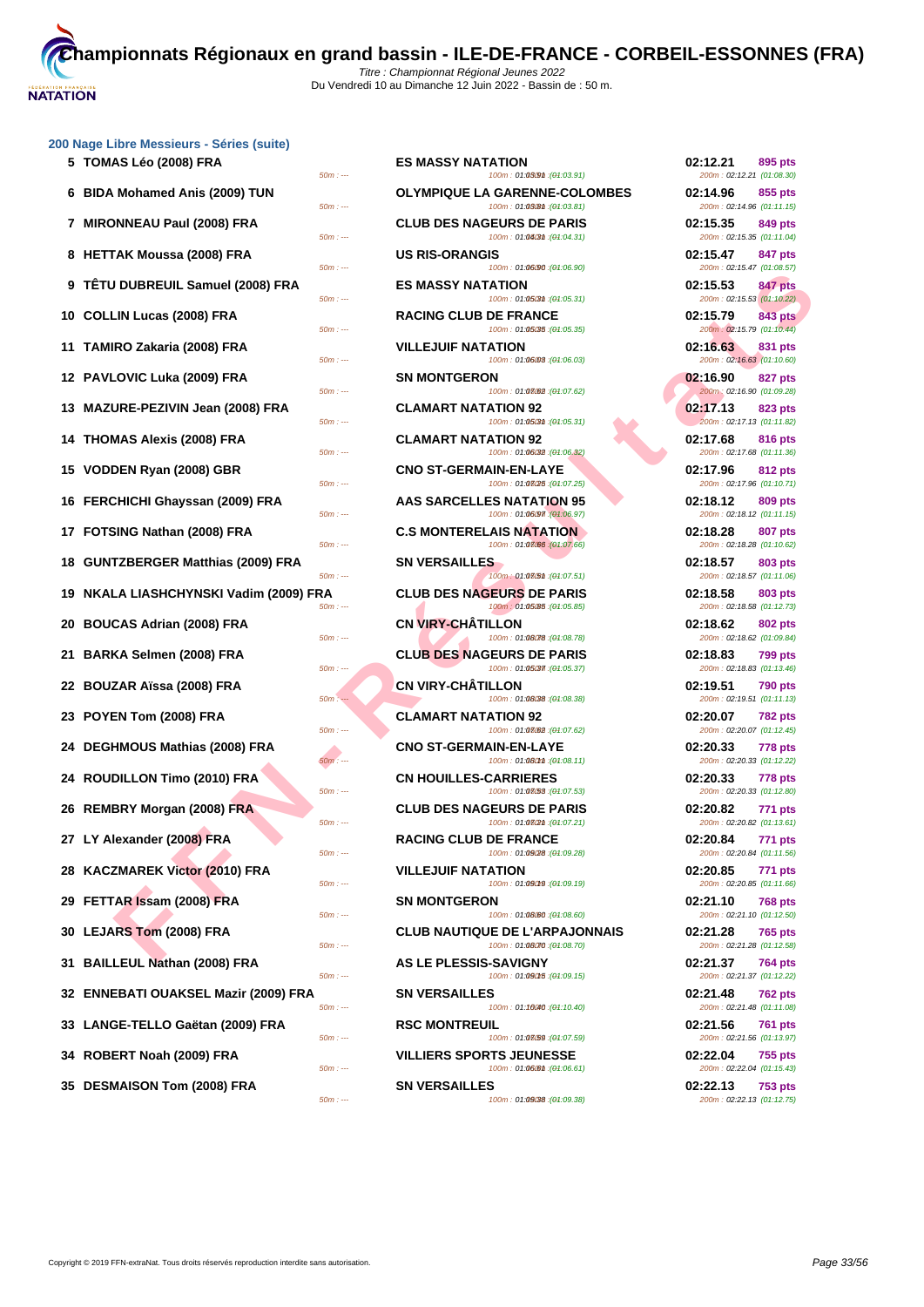

| 5 TOMAS Leo (2008) FRA                 | <b>ES MASSY NATATION</b><br>100m: 01:030m : (01:03.91)<br>$50m: -$                                                    | 02:12.21<br>895 pts<br>200m: 02:12.21 (01:08.30)                              |
|----------------------------------------|-----------------------------------------------------------------------------------------------------------------------|-------------------------------------------------------------------------------|
| 6 BIDA Mohamed Anis (2009) TUN         | <b>OLYMPIQUE LA GARENNE-COLOMBES</b><br>100m: 01:03 (04:03.81)<br>$50m: -$                                            | 02:14.96<br>855 pts<br>200m: 02:14.96 (01:11.15)                              |
| 7 MIRONNEAU Paul (2008) FRA            | <b>CLUB DES NAGEURS DE PARIS</b><br>100m: 01:04/3th: (01:04.31)<br>$50m: -$                                           | 02:15.35<br>849 pts<br>200m: 02:15.35 (01:11.04)                              |
| 8 HETTAK Moussa (2008) FRA             | <b>US RIS-ORANGIS</b><br>100m: 01:06/90 : (01:06.90)<br>$50m: -$                                                      | 02:15.47<br>847 pts<br>200m: 02:15.47 (01:08.57)                              |
| 9 TÊTU DUBREUIL Samuel (2008) FRA      | <b>ES MASSY NATATION</b><br>100m: 01:05/3th: (01:05.31)<br>$50m: -$                                                   | 02:15.53<br>847 pts<br>200m: 02:15.53 (01:10.22)                              |
| 10 COLLIN Lucas (2008) FRA             | <b>RACING CLUB DE FRANCE</b><br>100m: 01:05/35 :(01:05.35)<br>$50m: -$                                                | 02:15.79<br>843 pts<br>200m: 02:15.79 (01:10.44)                              |
| 11 TAMIRO Zakaria (2008) FRA           | <b>VILLEJUIF NATATION</b><br>100m: 01:06:08 : (01:06.03)<br>$50m: -$                                                  | 02:16.63<br>831 pts<br>200m: 02:16.63 (01:10.60)                              |
| 12 PAVLOVIC Luka (2009) FRA            | <b>SN MONTGERON</b>                                                                                                   | 02:16.90<br>827 pts<br>200m: 02:16.90 (01:09.28)                              |
| 13 MAZURE-PEZIVIN Jean (2008) FRA      | 100m: 01:08082 : (01:07.62)<br>$50m: -$<br><b>CLAMART NATATION 92</b><br>100m: 01:05/3th: (01:05.31)<br>$50m: -$      | 02:17.13<br>823 pts                                                           |
| 14 THOMAS Alexis (2008) FRA            | <b>CLAMART NATATION 92</b><br>$50m: -$                                                                                | 200m: 02:17.13 (01:11.82)<br>02:17.68<br>816 pts                              |
| 15 VODDEN Ryan (2008) GBR              | 100m: 01:06/32 : (01:06.32)<br><b>CNO ST-GERMAIN-EN-LAYE</b><br>100m: 01:08/25 : (01:07.25)<br>$50m: -$               | 200m: 02:17.68 (01:11.36)<br>02:17.96<br>812 pts<br>200m: 02:17.96 (01:10.71) |
| 16 FERCHICHI Ghayssan (2009) FRA       | AAS SARCELLES NATATION 95                                                                                             | 02:18.12<br>809 pts<br>200m: 02:18.12 (01:11.15)                              |
| 17 FOTSING Nathan (2008) FRA           | 100m: 01:06/97 : (01:06.97)<br>$50m: -$<br><b>C.S MONTERELAIS NATATION</b><br>100m: 01:08/66 : (01:07.66)<br>$50m: -$ | 02:18.28<br>807 pts<br>200m: 02:18.28 (01:10.62)                              |
| 18 GUNTZBERGER Matthias (2009) FRA     | <b>SN VERSAILLES</b><br>100m: 01:08(5th: (01:07.51)<br>$50m: -$                                                       | 02:18.57<br><b>803 pts</b><br>200m: 02:18.57 (01:11.06)                       |
| 19 NKALA LIASHCHYNSKI Vadim (2009) FRA | <b>CLUB DES NAGEURS DE PARIS</b><br>100m: 01:05.85 : (01:05.85)<br>$50m: -$                                           | 02:18.58<br>803 pts<br>200m: 02:18.58 (01:12.73)                              |
| 20 BOUCAS Adrian (2008) FRA            | <b>CN VIRY-CHATILLON</b><br>100m: 01:08078 : (01:08.78)<br>$50m: -$                                                   | 02:18.62<br>802 pts<br>200m: 02:18.62 (01:09.84)                              |
| 21 BARKA Selmen (2008) FRA             | <b>CLUB DES NAGEURS DE PARIS</b><br>100m: 01:05/37 : (01:05.37)<br>$50m: -$                                           | 02:18.83<br>799 pts<br>200m: 02:18.83 (01:13.46)                              |
| 22 BOUZAR Aïssa (2008) FRA             | <b>CN VIRY-CHATILLON</b><br>100m: 01:08/38 : (01:08.38)<br>$50m: -$                                                   | 02:19.51<br><b>790 pts</b><br>200m: 02:19.51 (01:11.13)                       |
| 23 POYEN Tom (2008) FRA                | <b>CLAMART NATATION 92</b><br>100m: 01:08.62 : (01:07.62)<br>$50m: -$                                                 | 02:20.07<br>782 pts<br>200m: 02:20.07 (01:12.45)                              |
| 24 DEGHMOUS Mathias (2008) FRA         | <b>CNO ST-GERMAIN-EN-LAYE</b><br>100m: 01:080mm : (01:08.11)<br>$50m: -$                                              | 02:20.33<br>778 pts<br>200m: 02:20.33 (01:12.22)                              |
| 24 ROUDILLON Timo (2010) FRA           | <b>CN HOUILLES-CARRIERES</b><br>$50m: -$<br>100m: 01:08/53 : (01:07.53)                                               | 02:20.33<br>778 pts<br>200m: 02:20.33 (01:12.80)                              |
| 26 REMBRY Morgan (2008) FRA            | <b>CLUB DES NAGEURS DE PARIS</b><br>100m: 01:08(2th: (01:07.21)<br>$50m: -$                                           | 02:20.82<br>771 pts<br>200m: 02:20.82 (01:13.61)                              |
| 27 LY Alexander (2008) FRA             | <b>RACING CLUB DE FRANCE</b><br>$50m: -$<br>100m: 01:09/28 : (01:09.28)                                               | 02:20.84<br><b>771 pts</b><br>200m: 02:20.84 (01:11.56)                       |
| 28 KACZMAREK Victor (2010) FRA         | <b>VILLEJUIF NATATION</b><br>100m: 01:09019 : (01:09.19)<br>$50m: -$                                                  | 02:20.85<br>771 pts<br>200m: 02:20.85 (01:11.66)                              |
| 29 FETTAR Issam (2008) FRA             | <b>SN MONTGERON</b><br>100m: 01:08.60 : (01:08.60)<br>$50m: -$                                                        | 02:21.10<br><b>768 pts</b><br>200m: 02:21.10 (01:12.50)                       |
| 30 LEJARS Tom (2008) FRA               | <b>CLUB NAUTIQUE DE L'ARPAJONNAIS</b><br>100m: 01:08070 : (01:08.70)<br>$50m: -$                                      | 02:21.28<br><b>765 pts</b><br>200m: 02:21.28 (01:12.58)                       |
| 31 BAILLEUL Nathan (2008) FRA          | AS LE PLESSIS-SAVIGNY<br>$50m: -$<br>100m: 01:09015 : (01:09.15)                                                      | 02:21.37<br>764 pts<br>200m: 02:21.37 (01:12.22)                              |
| 32 ENNEBATI OUAKSEL Mazir (2009) FRA   | <b>SN VERSAILLES</b><br>100m: 01:10040 : (01:10.40)<br>$50m: -$                                                       | 02:21.48<br><b>762 pts</b><br>200m: 02:21.48 (01:11.08)                       |
| 33 LANGE-TELLO Gaëtan (2009) FRA       | <b>RSC MONTREUIL</b><br>100m: 01:03(59 : (01:07.59)<br>$50m: -$                                                       | 02:21.56<br><b>761 pts</b><br>200m: 02:21.56 (01:13.97)                       |
| 34 ROBERT Noah (2009) FRA              | <b>VILLIERS SPORTS JEUNESSE</b><br>$50m: -$<br>100m: 01:06 (01:06.61)                                                 | 02:22.04<br>755 pts<br>200m: 02:22.04 (01:15.43)                              |
| 35 DESMAISON Tom (2008) FRA            | <b>SN VERSAILLES</b><br>$50m: -$<br>100m: 01:09088 : (01:09.38)                                                       | 02:22.13<br><b>753 pts</b><br>200m: 02:22.13 (01:12.75)                       |
|                                        |                                                                                                                       |                                                                               |

| 5 TOMAS Léo (2008) FRA<br>$50m: -$                  | <b>ES MASSY NATATION</b><br>100m: 01:030m : (01:03.91)               | 02:12.21<br>895 pts<br>200m: 02:12.21 (01:08.30)        |
|-----------------------------------------------------|----------------------------------------------------------------------|---------------------------------------------------------|
| 6 BIDA Mohamed Anis (2009) TUN<br>$50m: -$          | <b>OLYMPIQUE LA GARENNE-COLOMBES</b><br>100m: 01:03 @m : (04:03.81)  | 02:14.96<br>855 pts<br>200m: 02:14.96 (01:11.15)        |
| 7 MIRONNEAU Paul (2008) FRA<br>$50m: -$             | <b>CLUB DES NAGEURS DE PARIS</b><br>100m: 01:04/3th: (01:04.31)      | 02:15.35<br>849 pts<br>200m: 02:15.35 (01:11.04)        |
| 8 HETTAK Moussa (2008) FRA<br>$50m: -$              | <b>US RIS-ORANGIS</b><br>100m: 01:06/90 : (01:06.90)                 | 02:15.47<br>847 pts<br>200m: 02:15.47 (01:08.57)        |
| 9 TËTU DUBREUIL Samuel (2008) FRA<br>$50m: -$       | <b>ES MASSY NATATION</b><br>100m: 01:05/3th: (01:05.31)              | 02:15.53<br>847 pts<br>200m: 02:15.53 (01:10.22)        |
| 0 COLLIN Lucas (2008) FRA<br>$50m: -$               | <b>RACING CLUB DE FRANCE</b><br>100m: 01:05/35 : (01:05.35)          | 02:15.79<br>843 pts<br>200m: 02:15.79 (01:10.44)        |
| 1 TAMIRO Zakaria (2008) FRA<br>$50m: -$             | <b>VILLEJUIF NATATION</b><br>100m: 01:06:08 : (01:06.03)             | 02:16.63<br>831 pts<br>200m: 02:16.63 (01:10.60)        |
| 2 PAVLOVIC Luka (2009) FRA<br>$50m: -$              | <b>SN MONTGERON</b><br>100m: 01:08/62 : (01:07.62)                   | 02:16.90<br>827 pts<br>200m: 02:16.90 (01:09.28)        |
| 3   MAZURE-PEZIVIN Jean (2008) FRA                  | <b>CLAMART NATATION 92</b>                                           | 02:17.13<br>823 pts                                     |
| $50m: -$<br>4 THOMAS Alexis (2008) FRA              | 100m: 01:05/3th: (01:05.31)<br><b>CLAMART NATATION 92</b>            | 200m: 02:17.13 (01:11.82)<br>02:17.68<br>816 pts        |
| $50m: -$<br>5 VODDEN Ryan (2008) GBR                | 100m: 01:06/32 : (01:06.32)<br><b>CNO ST-GERMAIN-EN-LAYE</b>         | 200m: 02:17.68 (01:11.36)<br>02:17.96<br>812 pts        |
| $50m: -$<br>6 FERCHICHI Ghayssan (2009) FRA         | 100m: 01:08/25 : (01:07.25)<br><b>AAS SARCELLES NATATION 95</b>      | 200m: 02:17.96 (01:10.71)<br>02:18.12<br>809 pts        |
| $50m: -$<br>7 FOTSING Nathan (2008) FRA             | 100m: 01:06/97 : (01:06.97)<br><b>C.S MONTERELAIS NATATION</b>       | 200m: 02:18.12 (01:11.15)<br>02:18.28<br>807 pts        |
| $50m: -$<br>8 GUNTZBERGER Matthias (2009) FRA       | 100m: 01:08/66 : (01:07.66)<br><b>SN VERSAILLES</b>                  | 200m: 02:18.28 (01:10.62)<br>02:18.57<br>803 pts        |
| $50m: -$<br>9   NKALA LIASHCHYNSKI Vadim (2009) FRA | 100m: 01:08(5th: (01:07.51)<br><b>CLUB DES NAGEURS DE PARIS</b>      | 200m: 02:18.57 (01:11.06)<br>02:18.58<br>803 pts        |
| $50m: -$<br>0 BOUCAS Adrian (2008) FRA              | 100m: 01:05.85 : (01:05.85)<br><b>CN VIRY-CHATILLON</b>              | 200m: 02:18.58 (01:12.73)<br>02:18.62<br>802 pts        |
| $50m: -$<br>1   BARKA Selmen (2008) FRA             | 100m: 01:08078 : (01:08.78)<br><b>CLUB DES NAGEURS DE PARIS</b>      | 200m: 02:18.62 (01:09.84)<br>02:18.83<br>799 pts        |
| $50m: -$<br>2   BOUZAR Aïssa (2008) FRA             | 100m: 01:05/37 : (01:05.37)<br><b>CN VIRY-CHÂTILLON</b>              | 200m: 02:18.83 (01:13.46)<br>02:19.51<br>790 pts        |
| $50m: -$<br>3 POYEN Tom (2008) FRA                  | 100m: 01:08/38 : (01:08.38)<br><b>CLAMART NATATION 92</b>            | 200m: 02:19.51 (01:11.13)<br>02:20.07<br><b>782 pts</b> |
| $50m: -$<br>4 DEGHMOUS Mathias (2008) FRA           | 100m: 01:08.62 : (01:07.62)<br><b>CNO ST-GERMAIN-EN-LAYE</b>         | 200m: 02:20.07 (01:12.45)<br>02:20.33<br><b>778 pts</b> |
| $50m: -$<br>4 ROUDILLON Timo (2010) FRA             | 100m: 01:080mm : (01:08.11)<br><b>CN HOUILLES-CARRIERES</b>          | 200m: 02:20.33 (01:12.22)<br>02:20.33<br><b>778 pts</b> |
| $50m: -$<br>6 REMBRY Morgan (2008) FRA              | 100m: 01:08/53 : (01:07.53)<br><b>CLUB DES NAGEURS DE PARIS</b>      | 200m: 02:20.33 (01:12.80)<br>02:20.82<br>771 pts        |
| $50m: -$<br>7 LY Alexander (2008) FRA               | 100m: 01:08(2th: (01:07.21)<br><b>RACING CLUB DE FRANCE</b>          | 200m: 02:20.82 (01:13.61)<br>02:20.84<br>771 pts        |
| $50m: -$<br>8 KACZMAREK Victor (2010) FRA           | 100m: 01:09/28 : (01:09.28)<br><b>VILLEJUIF NATATION</b>             | 200m: 02:20.84 (01:11.56)<br>02:20.85<br>771 pts        |
| $50m: -$<br>9 FETTAR Issam (2008) FRA               | 100m: 01:09019 : (01:09.19)<br><b>SN MONTGERON</b>                   | 200m: 02:20.85 (01:11.66)<br>02:21.10<br>768 pts        |
| $50m: -$<br>0 LEJARS Tom (2008) FRA                 | 100m: 01:08.60 : (01:08.60)<br><b>CLUB NAUTIQUE DE L'ARPAJONNAIS</b> | 200m: 02:21.10 (01:12.50)<br>02:21.28<br><b>765 pts</b> |
| $50m: -$<br>1 BAILLEUL Nathan (2008) FRA            | 100m: 01:08070 : (01:08.70)<br><b>AS LE PLESSIS-SAVIGNY</b>          | 200m: 02:21.28 (01:12.58)<br>02:21.37<br><b>764 pts</b> |
| $50m: -$<br>2 ENNEBATI OUAKSEL Mazir (2009) FRA     | 100m: 01:090f5 : (01:09.15)<br><b>SN VERSAILLES</b>                  | 200m: 02:21.37 (01:12.22)<br>02:21.48<br>762 pts        |
| $50m: -$<br>3 LANGE-TELLO Gaëtan (2009) FRA         | 100m: 01:10040 : (01:10.40)<br><b>RSC MONTREUIL</b>                  | 200m: 02:21.48 (01:11.08)<br>02:21.56<br>761 pts        |
| $50m: -$<br>4 ROBERT Noah (2009) FRA                | 100m: 01:08/59 : (01:07.59)<br><b>VILLIERS SPORTS JEUNESSE</b>       | 200m: 02:21.56 (01:13.97)<br>02:22.04<br>755 pts        |
| $50m: -$<br>5 DESMAISON Tom (2008) FRA              | 100m: 01:06.61 : (01:06.61)<br><b>SN VERSAILLES</b>                  | 200m: 02:22.04 (01:15.43)<br>02:22.13<br><b>753 pts</b> |
| $50m: -$                                            | 100m: 01:09:38 : (01:09.38)                                          | 200m: 02:22.13 (01:12.75)                               |

| 02:12.21<br>200m: 02:12.21 (01:08.30)  | 895 pts        |
|----------------------------------------|----------------|
| 02:14.96<br>200m: 02:14.96 (01:11.15)  | 855 pts        |
| 02:15.35<br>200m: 02:15.35 (01:11.04)  | 849 pts        |
| 02:15.47<br>200m: 02:15.47 (01:08.57)  | <b>847 pts</b> |
| 02:15.53<br>200m: 02:15.53 (01:10.22)  | 847 pts        |
| 02:15.79                               | <b>843 pts</b> |
| 200m: 02:15.79 (01:10.44)<br>02:16.63  | 831 pts        |
| 200m: 02:16.63 (01:10.60)<br>02:16.90  | 827 pts        |
| 200m: 02:16.90 (01:09.28)<br>02:17.13  |                |
| 200m: 02:17.13 (01:11.82)              | 823 pts        |
| 02:17.68<br>200m: 02:17.68 (01:11.36)  | 816 pts        |
| 02:17.96<br>200m: 02:17.96 (01:10.71)  | 812 pts        |
| 02:18.12<br>200m: 02:18.12 (01:11.15)  | 809 pts        |
| 02:18.28                               | 807 pts        |
| 200m: 02:18.28 (01:10.62)<br>02:18.57  | 803 pts        |
| 200m: 02:18.57 (01:11.06)<br>02:18.58  | 803 pts        |
| 200m: 02:18.58 (01:12.73)<br>02:18.62  | <b>802 pts</b> |
| 200m: 02:18.62 (01:09.84)<br>02:18.83  | 799 pts        |
| 200m: 02:18.83 (01:13.46)<br>02:19.51  |                |
| 200m: 02:19.51 (01:11.13)              | <b>790 pts</b> |
| 02:20.07<br>200m: 02:20.07 (01:12.45)  | 782 pts        |
| 02:20.33<br>200m: 02:20.33 (01:12.22)  | 778 pts        |
| 02:20.33<br>200m: 02:20.33 (01:12.80)  | 778 pts        |
| 02:20.82                               | 771 pts        |
| 200m: 02:20.82 (01:13.61)<br>02:20.84  | 771 pts        |
| 200m : 02:20.84 (01:11.56)<br>02:20.85 | <b>771 pts</b> |
| 200m: 02:20.85 (01:11.66)<br>02:21.10  | <b>768 pts</b> |
| 200m: 02:21.10 (01:12.50)<br>02:21.28  | <b>765 pts</b> |
| 200m: 02:21.28 (01:12.58)<br>02:21.37  | 764 pts        |
| 200m: 02:21.37 (01:12.22)<br>02:21.48  | <b>762 pts</b> |
| 200m: 02:21.48 (01:11.08)<br>02:21.56  | <b>761 pts</b> |
| 200m: 02:21.56 (01:13.97)<br>02:22.04  |                |
| 200m: 02:22.04 (01:15.43)              | 755 pts        |
| 02:22.13<br>200m: 02:22.13 (01:12.75)  | <b>753 pts</b> |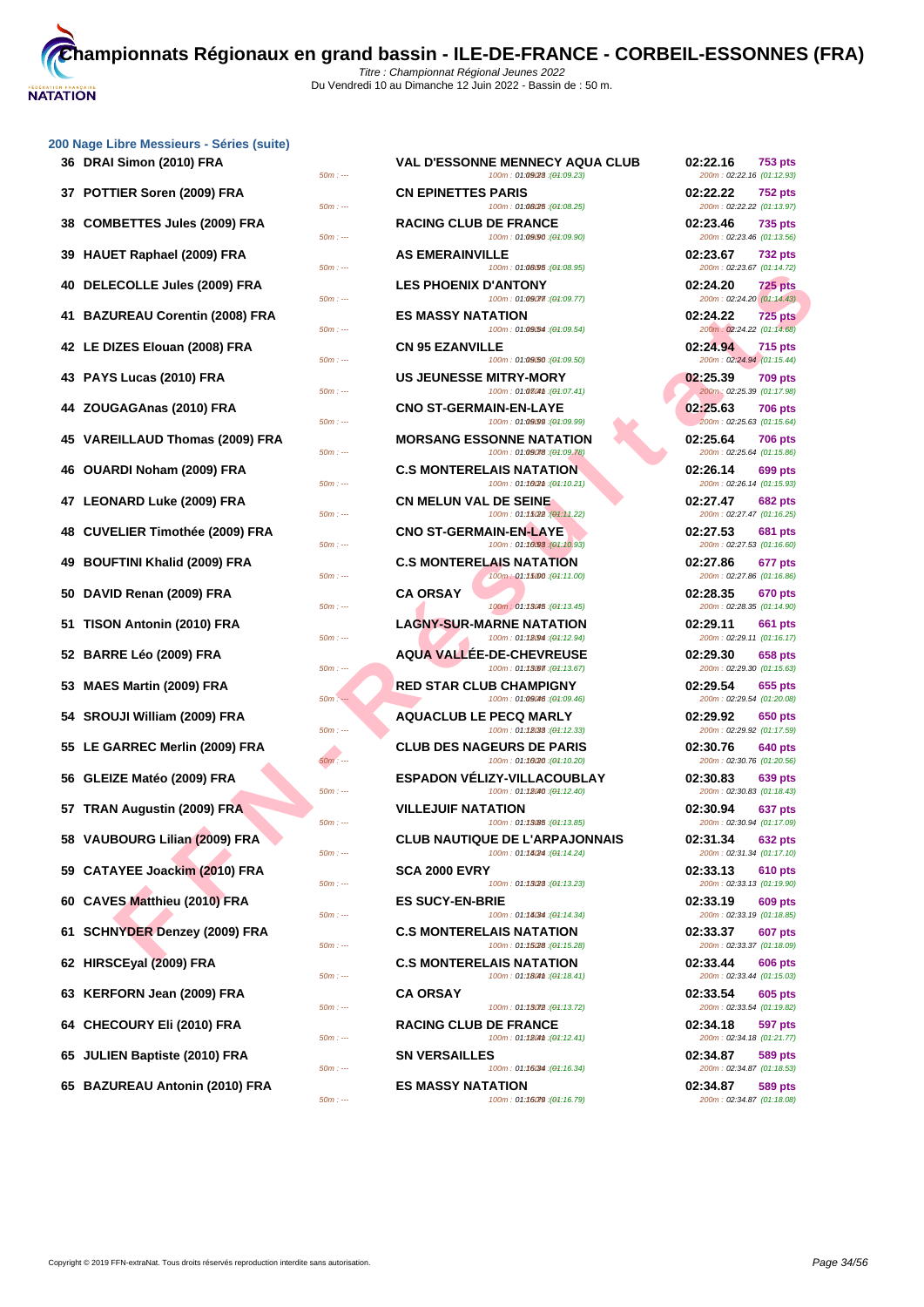|                                 | $50m: -$ |
|---------------------------------|----------|
| 37 POTTIER Soren (2009) FRA     | $50m: -$ |
| 38 COMBETTES Jules (2009) FRA   | $50m: -$ |
| 39 HAUET Raphael (2009) FRA     | $50m: -$ |
| 40 DELECOLLE Jules (2009) FRA   | $50m: -$ |
| 41 BAZUREAU Corentin (2008) FRA | $50m: -$ |
| 42 LE DIZES Elouan (2008) FRA   | $50m: -$ |
| 43 PAYS Lucas (2010) FRA        | $50m: -$ |
| 44 ZOUGAGAnas (2010) FRA        | $50m: -$ |
| 45 VAREILLAUD Thomas (2009) FRA | $50m: -$ |
| 46 OUARDI Noham (2009) FRA      | $50m: -$ |
| 47 LEONARD Luke (2009) FRA      | $50m: -$ |
| 48 CUVELIER Timothée (2009) FRA | $50m: -$ |
| 49 BOUFTINI Khalid (2009) FRA   | $50m: -$ |
| 50 DAVID Renan (2009) FRA       | $50m: -$ |
| 51 TISON Antonin (2010) FRA     | $50m: -$ |
| 52 BARRE Léo (2009) FRA         | $50m: -$ |
| 53 MAES Martin (2009) FRA       | $50m: -$ |
| 54 SROUJI William (2009) FRA    | $50m: -$ |
| 55 LE GARREC Merlin (2009) FRA  | $50m: -$ |
| 56 GLEIZE Matéo (2009) FRA      | $50m: -$ |
| 57 TRAN Augustin (2009) FRA     | $50m: -$ |
| 58 VAUBOURG Lilian (2009) FRA   | $50m: -$ |
| 59 CATAYEE Joackim (2010) FRA   | $50m: -$ |
| 60 CAVES Matthieu (2010) FRA    | $50m: -$ |
| 61 SCHNYDER Denzey (2009) FRA   | $50m: -$ |
| 62 HIRSCEyal (2009) FRA         | $50m: -$ |
| 63 KERFORN Jean (2009) FRA      | $50m: -$ |
| 64 CHECOURY Eli (2010) FRA      | $50m: -$ |
| 65 JULIEN Baptiste (2010) FRA   | $50m: -$ |
| 65 BAZUREAU Antonin (2010) FRA  | $50m: -$ |

| 36 DRAI Simon (2010) FRA        | $50m: -$             |                                  | <b>VAL D'ESSONNE MENNECY AQUA CLUB</b><br>100m: 01:09/28 : (01:09.23)                               | 02:22.16<br>200m: 02:22.16 (01:12.93)                              | <b>753 pts</b> |
|---------------------------------|----------------------|----------------------------------|-----------------------------------------------------------------------------------------------------|--------------------------------------------------------------------|----------------|
| 37 POTTIER Soren (2009) FRA     | $50m: -$             | <b>CN EPINETTES PARIS</b>        | 100m: 01:08/25 : (01:08.25)                                                                         | 02:22.22<br>200m: 02:22.22 (01:13.97)                              | <b>752 pts</b> |
| 38 COMBETTES Jules (2009) FRA   | $50m: -$             | <b>RACING CLUB DE FRANCE</b>     | 100m: 01:09/90 : (01:09.90)                                                                         | 02:23.46<br>200m: 02:23.46 (01:13.56)                              | 735 pts        |
| 39 HAUET Raphael (2009) FRA     | $50m: -$             | <b>AS EMERAINVILLE</b>           | 100m: 01:08/95 : (01:08.95)                                                                         | 02:23.67<br>200m: 02:23.67 (01:14.72)                              | <b>732 pts</b> |
| 40 DELECOLLE Jules (2009) FRA   | $50m: -$             | <b>LES PHOENIX D'ANTONY</b>      | 100m: 01:09077. (01:09.77)                                                                          | 02:24.20<br>200m: 02:24.20 (01:14.43)                              | <b>725 pts</b> |
| 41 BAZUREAU Corentin (2008) FRA | $50m: -$             | <b>ES MASSY NATATION</b>         | 100m: 01:09/54 : (01:09.54)                                                                         | 02:24.22<br>200m: 02:24.22 (01:14.68)                              | <b>725 pts</b> |
| 42 LE DIZES Elouan (2008) FRA   | $50m: -$             | <b>CN 95 EZANVILLE</b>           | 100m: 01:09/50 : (01:09.50)                                                                         | 02:24.94<br>200m: 02:24.94 (01:15.44)                              | <b>715 pts</b> |
| 43 PAYS Lucas (2010) FRA        | $50m: -$             | <b>US JEUNESSE MITRY-MORY</b>    | 100m: 01:0804th : (01:07.41)                                                                        | 02:25.39<br>200m: 02:25.39 (01:17.98)                              | <b>709 pts</b> |
| 44 ZOUGAGAnas (2010) FRA        | $50m: -$             | <b>CNO ST-GERMAIN-EN-LAYE</b>    | 100m: 01:09/99 : (01:09.99)                                                                         | 02:25.63<br>200m: 02:25.63 (01:15.64)                              | <b>706 pts</b> |
| 45 VAREILLAUD Thomas (2009) FRA | $50m: -$             |                                  | <b>MORSANG ESSONNE NATATION</b><br>100m: 01:09078 : (01:09.78)                                      | 02:25.64<br>200m: 02:25.64 (01:15.86)                              | <b>706 pts</b> |
| 46 OUARDI Noham (2009) FRA      | $50m: -$             | <b>C.S MONTERELAIS NATATION</b>  | 100m: 01:160m : (01:10.21)                                                                          | 02:26.14<br>200m: 02:26.14 (01:15.93)                              | 699 pts        |
| 47 LEONARD Luke (2009) FRA      | $50m: -$             | <b>CN MELUN VAL DE SEINE</b>     | 100m: 01:15(22):(01:11.22)                                                                          | 02:27.47<br>200m: 02:27.47 (01:16.25)                              | <b>682 pts</b> |
| 48 CUVELIER Timothée (2009) FRA | $50m: -$             | <b>CNO ST-GERMAIN-EN-LAYE</b>    | 100m: 01:10.93 : (01:10.93)                                                                         | 02:27.53<br>200m: 02:27.53 (01:16.60)                              | <b>681 pts</b> |
| 49 BOUFTINI Khalid (2009) FRA   | $50m: -$             | <b>C.S MONTERELAIS NATATION</b>  | 100m: 01:15000 : (01:11.00)                                                                         | 02:27.86<br>200m: 02:27.86 (01:16.86)                              | 677 pts        |
| 50 DAVID Renan (2009) FRA       | $50m: -$             | <b>CA ORSAY</b>                  | (04:13.45): 100m: 01:13045                                                                          | 02:28.35<br>200m: 02:28.35 (01:14.90)                              | <b>670 pts</b> |
| 51 TISON Antonin (2010) FRA     | $50m: -$             | <b>LAGNY-SUR-MARNE NATATION</b>  | 100m: 01:12.94 : (01:12.94)                                                                         | 02:29.11<br>200m: 02:29.11 (01:16.17)                              | 661 pts        |
| 52 BARRE Léo (2009) FRA         | $50m: -$             |                                  | <b>AQUA VALLEE-DE-CHEVREUSE</b><br>100m: 01:13.67 : (01:13.67)                                      | 02:29.30<br>200m: 02:29.30 (01:15.63)                              | 658 pts        |
| 53 MAES Martin (2009) FRA       | $50m:$ $-$           | <b>RED STAR CLUB CHAMPIGNY</b>   | 100m: 01:09046 : (01:09.46)                                                                         | 02:29.54<br>200m: 02:29.54 (01:20.08)                              | 655 pts        |
| 54 SROUJI William (2009) FRA    | $50m: -$             | <b>AQUACLUB LE PECQ MARLY</b>    | 100m: 01:18033: (01:12.33)                                                                          | 02:29.92<br>200m: 02:29.92 (01:17.59)                              | 650 pts        |
| 55 LE GARREC Merlin (2009) FRA  |                      | <b>CLUB DES NAGEURS DE PARIS</b> |                                                                                                     | 02:30.76                                                           | 640 pts        |
| 56 GLEIZE Matéo (2009) FRA      | $50m: -$             |                                  | 100m: 01:10/20 :(01:10.20)<br><b>ESPADON VELIZY-VILLACOUBLAY</b>                                    | 200m: 02:30.76 (01:20.56)<br>02:30.83<br>200m: 02:30.83 (01:18.43) | 639 pts        |
| 57 TRAN Augustin (2009) FRA     | $50m: -$             | <b>VILLEJUIF NATATION</b>        | 100m: 01:18040 : (01:12.40)                                                                         | 02:30.94                                                           | 637 pts        |
| 58 VAUBOURG Lilian (2009) FRA   | $50m: -$             |                                  | 100m: 01:13.85 : (01:13.85)<br><b>CLUB NAUTIQUE DE L'ARPAJONNAIS</b><br>100m: 01:14/24 : (01:14.24) | 200m: 02:30.94 (01:17.09)<br>02:31.34                              | <b>632 pts</b> |
| 59 CATAYEE Joackim (2010) FRA   | $50m: -$<br>$50m: -$ | <b>SCA 2000 EVRY</b>             | 100m: 01:13/28 : (01:13.23)                                                                         | 200m: 02:31.34 (01:17.10)<br>02:33.13<br>200m: 02:33.13 (01:19.90) | 610 pts        |
| 60 CAVES Matthieu (2010) FRA    | $50m: -$             | <b>ES SUCY-EN-BRIE</b>           |                                                                                                     | 02:33.19                                                           | 609 pts        |
| 61 SCHNYDER Denzey (2009) FRA   |                      | <b>C.S MONTERELAIS NATATION</b>  | 100m: 01:18034 : (04:14.34)<br>100m: 01:15028 : (01:15.28)                                          | 200m: 02:33.19 (01:18.85)<br>02:33.37<br>200m: 02:33.37 (01:18.09) | 607 pts        |
| 62 HIRSCEyal (2009) FRA         | $50m: -$             | <b>C.S MONTERELAIS NATATION</b>  |                                                                                                     | 02:33.44                                                           | 606 pts        |
| 63 KERFORN Jean (2009) FRA      | $50m: -$             | <b>CA ORSAY</b>                  | 100m: 01:180m : (01:18.41)                                                                          | 200m: 02:33.44 (01:15.03)<br>02:33.54                              | 605 pts        |
| 64 CHECOURY Eli (2010) FRA      | $50m: -$             | <b>RACING CLUB DE FRANCE</b>     | 100m: 01:13072 : (01:13.72)                                                                         | 200m: 02:33.54 (01:19.82)<br>02:34.18                              | 597 pts        |
| 65 JULIEN Baptiste (2010) FRA   | $50m: -$             | <b>SN VERSAILLES</b>             | 100m: 01:180m : (01:12.41)                                                                          | 200m: 02:34.18 (01:21.77)<br>02:34.87                              | 589 pts        |
| 65 BAZUREAU Antonin (2010) FRA  | $50m: -$<br>$50m: -$ | <b>ES MASSY NATATION</b>         | 100m: 01:16034 : (01:16.34)<br>100m: 01:16079 : (01:16.79)                                          | 200m: 02:34.87 (01:18.53)<br>02:34.87<br>200m: 02:34.87 (01:18.08) | 589 pts        |

| 02:22.16<br><b>753 pts</b><br>200m: 02:22.16 (01:12.93) |
|---------------------------------------------------------|
| 02:22.22<br>752 pts<br>200m: 02:22.22 (01:13.97)        |
| 02:23.46<br><b>735 pts</b><br>200m: 02:23.46 (01:13.56) |
| 02:23.67<br><b>732 pts</b><br>200m: 02:23.67 (01:14.72) |
| 02:24.20<br>$725$ pts<br>200m: 02:24.20 (01:14.43)      |
| 02:24.22<br><b>725 pts</b>                              |
| 200m: 02:24.22 (01:14.68)<br>02:24.94<br><b>715 pts</b> |
| 200m: 02:24.94 (01:15.44)<br>02:25.39<br><b>709 pts</b> |
| 200m: 02:25.39 (01:17.98)<br>02:25.63<br><b>706 pts</b> |
| 200m: 02:25.63 (01:15.64)<br>02:25.64<br><b>706 pts</b> |
| 200m: 02:25.64 (01:15.86)<br>02:26.14<br><b>699 pts</b> |
| 200m: 02:26.14 (01:15.93)                               |
| 02:27.47<br><b>682 pts</b><br>200m: 02:27.47 (01:16.25) |
| 02:27.53<br><b>681 pts</b><br>200m: 02:27.53 (01:16.60) |
| 02:27.86<br>677 pts<br>200m: 02:27.86 (01:16.86)        |
| 02:28.35<br><b>670 pts</b><br>200m: 02:28.35 (01:14.90) |
| 02:29.11<br><b>661 pts</b><br>200m: 02:29.11 (01:16.17) |
| 02:29.30<br>658 pts<br>200m: 02:29.30 (01:15.63)        |
| 02:29.54<br>655 pts<br>200m: 02:29.54 (01:20.08)        |
| 02:29.92<br><b>650 pts</b>                              |
| 200m: 02:29.92 (01:17.59)<br>02:30.76<br>640 pts        |
| 200m: 02:30.76 (01:20.56)<br>02:30.83<br>639 pts        |
| 200m: 02:30.83 (01:18.43)<br>02:30.94<br>637 pts        |
| 200m: 02:30.94 (01:17.09)<br>02:31.34<br><b>632 pts</b> |
| 200m: 02:31.34 (01:17.10)<br>02:33.13<br><b>610 pts</b> |
| 200m: 02:33.13 (01:19.90)<br>02:33.19<br><b>609 pts</b> |
| 200m: 02:33.19 (01:18.85)<br>02:33.37<br>607 pts        |
| 200m: 02:33.37 (01:18.09)                               |
| 02:33.44<br>606 pts<br>200m: 02:33.44 (01:15.03)        |
| 02:33.54<br><b>605 pts</b><br>200m: 02:33.54 (01:19.82) |
| 02:34.18<br>597 pts<br>200m: 02:34.18 (01:21.77)        |
| 02:34.87<br>589 pts<br>200m: 02:34.87 (01:18.53)        |
| 02:34.87<br>589 pts<br>200m: 02:34.87 (01:18.08)        |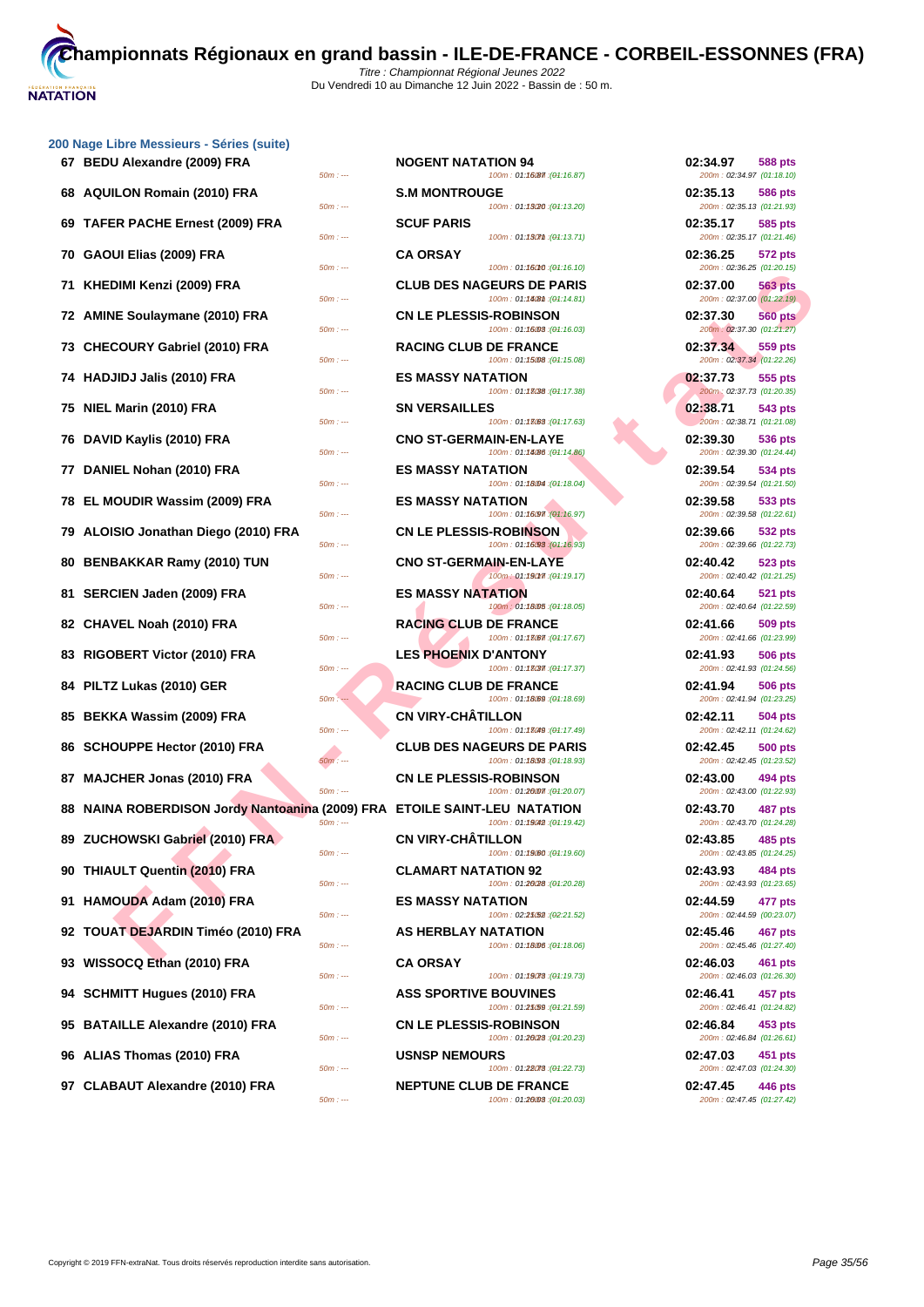

|                                                                           | $50m: -$   |                               | 100m: 01:16087 : (01:16.87)                                     | 200m: 02:34.97 (01:18.10)             |                |
|---------------------------------------------------------------------------|------------|-------------------------------|-----------------------------------------------------------------|---------------------------------------|----------------|
| 68 AQUILON Romain (2010) FRA                                              | $50m: -$   | <b>S.M MONTROUGE</b>          | 100m: 01:13(20: (01:13.20)                                      | 02:35.13<br>200m: 02:35.13 (01:21.93) | 586 pts        |
| 69 TAFER PACHE Ernest (2009) FRA                                          | $50m: -$   | <b>SCUF PARIS</b>             | 100m: 01:130mm : (01:13.71)                                     | 02:35.17<br>200m: 02:35.17 (01:21.46) | 585 pts        |
| 70 GAOUI Elias (2009) FRA                                                 | $50m: -$   | <b>CA ORSAY</b>               | 100m: 01:16010 : (01:16.10)                                     | 02:36.25<br>200m: 02:36.25 (01:20.15) | 572 pts        |
| 71 KHEDIMI Kenzi (2009) FRA                                               | $50m: -$   |                               | <b>CLUB DES NAGEURS DE PARIS</b><br>100m: 01:1408m: (01:14.81)  | 02:37.00<br>200m: 02:37.00 (01:22.19) | 563 pts        |
| 72 AMINE Soulaymane (2010) FRA                                            | $50m: -$   | <b>CN LE PLESSIS-ROBINSON</b> | 100m: 01:16008 : (01:16.03)                                     | 02:37.30<br>200m: 02:37.30 (01:21.27) | <b>560 pts</b> |
| 73 CHECOURY Gabriel (2010) FRA                                            |            | <b>RACING CLUB DE FRANCE</b>  |                                                                 | 02:37.34                              | 559 pts        |
| 74 HADJIDJ Jalis (2010) FRA                                               | $50m: -$   | <b>ES MASSY NATATION</b>      | 100m: 01:15008 : (01:15.08)                                     | 200m: 02:37.34 (01:22.26)<br>02:37.73 | 555 pts        |
| 75 NIEL Marin (2010) FRA                                                  | $50m: -$   | <b>SN VERSAILLES</b>          | 100m: 01:13038 : (01:17.38)                                     | 200m: 02:37.73 (01:20.35)<br>02:38.71 | 543 pts        |
| 76 DAVID Kaylis (2010) FRA                                                | $50m: -$   | <b>CNO ST-GERMAIN-EN-LAYE</b> | 100m: 01:13083 : (01:17.63)                                     | 200m: 02:38.71 (01:21.08)<br>02:39.30 | 536 pts        |
| 77 DANIEL Nohan (2010) FRA                                                | $50m: -$   | <b>ES MASSY NATATION</b>      | 100m: 01:14/86 : (01:14.86)                                     | 200m: 02:39.30 (01:24.44)<br>02:39.54 | 534 pts        |
| 78 EL MOUDIR Wassim (2009) FRA                                            | $50m: -$   | <b>ES MASSY NATATION</b>      | 100m: 01:18004 : (01:18.04)                                     | 200m: 02:39.54 (01:21.50)<br>02:39.58 | 533 pts        |
| 79 ALOISIO Jonathan Diego (2010) FRA                                      | $50m: -$   | <b>CN LE PLESSIS-ROBINSON</b> | 100m: 01:16097 (01:16.97)                                       | 200m: 02:39.58 (01:22.61)<br>02:39.66 | 532 pts        |
| 80 BENBAKKAR Ramy (2010) TUN                                              | $50m: -$   | <b>CNO ST-GERMAIN-EN-LAYE</b> | 100m: 01:16/98 : (01:16.93)                                     | 200m: 02:39.66 (01:22.73)<br>02:40.42 | 523 pts        |
| 81 SERCIEN Jaden (2009) FRA                                               | $50m: -$   | <b>ES MASSY NATATION</b>      | 100m: 01:190m7: (01:19.17)                                      | 200m: 02:40.42 (01:21.25)<br>02:40.64 | 521 pts        |
| 82 CHAVEL Noah (2010) FRA                                                 | $50m: -$   | <b>RACING CLUB DE FRANCE</b>  | 100m: 01:18005 : (01:18.05)                                     | 200m: 02:40.64 (01:22.59)<br>02:41.66 | 509 pts        |
| 83 RIGOBERT Victor (2010) FRA                                             | $50m: -$   | <b>LES PHOENIX D'ANTONY</b>   | 100m: 01:18067 : (01:17.67)                                     | 200m: 02:41.66 (01:23.99)<br>02:41.93 | 506 pts        |
| 84 PILTZ Lukas (2010) GER                                                 | $50m: -$   | <b>RACING CLUB DE FRANCE</b>  | 100m: 01:18037 : (01:17.37)                                     | 200m: 02:41.93 (01:24.56)<br>02:41.94 | 506 pts        |
| 85 BEKKA Wassim (2009) FRA                                                | $50m:$ $-$ | <b>CN VIRY-CHATILLON</b>      | 100m: 01:18.69 : (01:18.69)                                     | 200m: 02:41.94 (01:23.25)<br>02:42.11 | 504 pts        |
| 86 SCHOUPPE Hector (2010) FRA                                             | $50m: -$   |                               | 100m: 01:13049 : (01:17.49)<br><b>CLUB DES NAGEURS DE PARIS</b> | 200m: 02:42.11 (01:24.62)<br>02:42.45 | <b>500 pts</b> |
| 87 MAJCHER Jonas (2010) FRA                                               | $50m: -$   | <b>CN LE PLESSIS-ROBINSON</b> | 100m: 01:18093 : (01:18.93)                                     | 200m: 02:42.45 (01:23.52)<br>02:43.00 | 494 pts        |
| 88 NAINA ROBERDISON Jordy Nantoanina (2009) FRA ETOILE SAINT-LEU NATATION | $50m: -$   |                               | 100m: 01:2007 : (01:20.07)                                      | 200m: 02:43.00 (01:22.93)<br>02:43.70 | 487 pts        |
| 89 ZUCHOWSKI Gabriel (2010) FRA                                           | $50m: -$   | <b>CN VIRY-CHÂTILLON</b>      | 100m: 01:19042 : (01:19.42)                                     | 200m: 02:43.70 (01:24.28)<br>02:43.85 | 485 pts        |
| 90 THIAULT Quentin (2010) FRA                                             | $50m: -$   | <b>CLAMART NATATION 92</b>    | 100m: 01:19080 : (01:19.60)                                     | 200m: 02:43.85 (01:24.25)<br>02:43.93 | <b>484 pts</b> |
| 91 HAMOUDA Adam (2010) FRA                                                | $50m: -$   | <b>ES MASSY NATATION</b>      | 100m: 01:2028 : (01:20.28)                                      | 200m: 02:43.93 (01:23.65)<br>02:44.59 | 477 pts        |
| 92 TOUAT DEJARDIN Timéo (2010) FRA                                        | $50m: -$   | <b>AS HERBLAY NATATION</b>    | 100m: 02:25(52): (02:21.52)                                     | 200m: 02:44.59 (00:23.07)<br>02:45.46 | 467 pts        |
| 93 WISSOCQ Ethan (2010) FRA                                               | $50m: -$   | <b>CA ORSAY</b>               | 100m: 01:18006 : (01:18.06)                                     | 200m: 02:45.46 (01:27.40)<br>02:46.03 | 461 pts        |
| 94 SCHMITT Hugues (2010) FRA                                              | $50m: -$   | <b>ASS SPORTIVE BOUVINES</b>  | 100m: 01:19078 : (01:19.73)                                     | 200m: 02:46.03 (01:26.30)<br>02:46.41 | 457 pts        |
| 95 BATAILLE Alexandre (2010) FRA                                          | $50m: -$   | <b>CN LE PLESSIS-ROBINSON</b> | 100m: 01:25/59 : (01:21.59)                                     | 200m: 02:46.41 (01:24.82)<br>02:46.84 | 453 pts        |
| 96 ALIAS Thomas (2010) FRA                                                | $50m: -$   | <b>USNSP NEMOURS</b>          | 100m: 01:26/28 : (01:20.23)                                     | 200m: 02:46.84 (01:26.61)<br>02:47.03 | 451 pts        |
|                                                                           | $50m: -$   |                               | 100m: 01:28078 : (01:22.73)                                     | 200m: 02:47.03 (01:24.30)             |                |

| <u>JU NAYG LIDIG MGSSIGUI S - OGI IGS (SUILG)</u>                                     |                                                                                             |                                                                               |
|---------------------------------------------------------------------------------------|---------------------------------------------------------------------------------------------|-------------------------------------------------------------------------------|
| 67 BEDU Alexandre (2009) FRA<br>$50m: -$                                              | <b>NOGENT NATATION 94</b><br>100m: 01:16087 : (01:16.87)                                    | 02:34.97<br>588 pts<br>200m: 02:34.97 (01:18.10)                              |
| 68 AQUILON Romain (2010) FRA<br>$50m: -$                                              | <b>S.M MONTROUGE</b><br>100m: 01:13/20 : (01:13.20)                                         | 02:35.13<br><b>586 pts</b><br>200m: 02:35.13 (01:21.93)                       |
| 69 TAFER PACHE Ernest (2009) FRA<br>$50m: -$                                          | <b>SCUF PARIS</b><br>100m: 01:130mm : (01:13.71)                                            | 02:35.17<br>585 pts<br>200m: 02:35.17 (01:21.46)                              |
| 70 GAOUI Elias (2009) FRA<br>$50m: -$                                                 | <b>CA ORSAY</b><br>100m: 01:16010 : (01:16.10)                                              | 02:36.25<br><b>572 pts</b><br>200m: 02:36.25 (01:20.15)                       |
| 71 KHEDIMI Kenzi (2009) FRA                                                           | <b>CLUB DES NAGEURS DE PARIS</b>                                                            | 02:37.00<br><b>563 pts</b>                                                    |
| $50m: -$<br>72 AMINE Soulaymane (2010) FRA                                            | 100m: 01:1408 ft : (01:14.81)<br><b>CN LE PLESSIS-ROBINSON</b>                              | 200m: 02:37.00 (01:22.19)<br>02:37.30<br><b>560 pts</b>                       |
| $50m: -$<br>73 CHECOURY Gabriel (2010) FRA                                            | 100m: 01:16008 : (01:16.03)<br><b>RACING CLUB DE FRANCE</b>                                 | 200m: 02:37.30 (01:21.27)<br>02:37.34<br>559 pts                              |
| $50m: -$<br>74 HADJIDJ Jalis (2010) FRA                                               | 100m: 01:15008 : (01:15.08)<br><b>ES MASSY NATATION</b>                                     | 200m: 02:37.34 (01:22.26)<br>02:37.73<br>555 pts                              |
| $50m: -$<br>75 NIEL Marin (2010) FRA                                                  | 100m: 01:13038 : (01:17.38)<br><b>SN VERSAILLES</b>                                         | 200m: 02:37.73 (01:20.35)<br>02:38.71<br>543 pts                              |
| $50m: -$<br>76 DAVID Kaylis (2010) FRA                                                | 100m: 01:13083 : (01:17.63)<br><b>CNO ST-GERMAIN-EN-LAYE</b>                                | 200m: 02:38.71 (01:21.08)<br>02:39.30<br>536 pts                              |
| $50m: -$<br>77 DANIEL Nohan (2010) FRA                                                | 100m: 01:14/86 : (01:14.86)<br><b>ES MASSY NATATION</b>                                     | 200m: 02:39.30 (01:24.44)<br>02:39.54<br>534 pts                              |
| $50m: -$<br>78 EL MOUDIR Wassim (2009) FRA                                            | 100m: 01:18004 : (01:18.04)<br><b>ES MASSY NATATION</b>                                     | 200m: 02:39.54 (01:21.50)<br>02:39.58<br>533 pts                              |
| $50m: -$<br>79 ALOISIO Jonathan Diego (2010) FRA                                      | 100m: 01:16097 (01:16.97)<br><b>CN LE PLESSIS-ROBINSON</b>                                  | 200m: 02:39.58 (01:22.61)<br>02:39.66<br>532 pts                              |
| $50m: -$<br>80 BENBAKKAR Ramy (2010) TUN                                              | 100m: 01:16/98 : (01:16.93)<br><b>CNO ST-GERMAIN-EN-LAYE</b>                                | 200m: 02:39.66 (01:22.73)<br>02:40.42<br>523 pts                              |
| $50m: -$<br>81 SERCIEN Jaden (2009) FRA                                               | 100m: 01:190m : (01:19.17)<br><b>ES MASSY NATATION</b>                                      | 200m: 02:40.42 (01:21.25)<br>02:40.64<br><b>521 pts</b>                       |
| $50m: -$<br>82 CHAVEL Noah (2010) FRA                                                 | 100m: 01:18005 : (01:18.05)<br><b>RACING CLUB DE FRANCE</b>                                 | 200m: 02:40.64 (01:22.59)<br>02:41.66<br>509 pts                              |
| $50m: -$<br>83 RIGOBERT Victor (2010) FRA                                             | 100m: 01:18067 : (01:17.67)<br><b>LES PHOENIX D'ANTONY</b>                                  | 200m: 02:41.66 (01:23.99)<br>02:41.93<br>506 pts                              |
| 50m : ---<br>84 PILTZ Lukas (2010) GER                                                | 100m: 01:18037 : (01:17.37)<br><b>RACING CLUB DE FRANCE</b>                                 | 200m: 02:41.93 (01:24.56)<br>02:41.94<br><b>506 pts</b>                       |
| $50m: -$<br>85 BEKKA Wassim (2009) FRA                                                | 100m: 01:18.69 : (01:18.69)<br><b>CN VIRY-CHATILLON</b>                                     | 200m: 02:41.94 (01:23.25)<br>02:42.11<br>504 pts                              |
| $50m: -$<br>86 SCHOUPPE Hector (2010) FRA                                             | 100m: 01:13049 : (01:17.49)<br><b>CLUB DES NAGEURS DE PARIS</b>                             | 200m: 02:42.11 (01:24.62)<br>02:42.45<br><b>500 pts</b>                       |
| $50m: -$<br>87 MAJCHER Jonas (2010) FRA                                               | 100m: 01:18093 : (01:18.93)<br><b>CN LE PLESSIS-ROBINSON</b>                                | 200m: 02:42.45 (01:23.52)<br>02:43.00<br>494 pts                              |
| $50m: -$<br>88 NAINA ROBERDISON Jordy Nantoanina (2009) FRA ETOILE SAINT-LEU NATATION | 100m: 01:2007. (01:20.07)                                                                   | 200m: 02:43.00 (01:22.93)<br>02:43.70<br><b>487 pts</b>                       |
| $50m: -$<br>89 ZUCHOWSKI Gabriel (2010) FRA                                           | 100m: 01:19042 : (01:19.42)<br><b>CN VIRY-CHATILLON</b>                                     | 200m: 02:43.70 (01:24.28)<br>02:43.85<br>485 pts                              |
| $50m: -$<br>90 THIAULT Quentin (2010) FRA                                             | 100m: 01:19.60 : (01:19.60)<br><b>CLAMART NATATION 92</b>                                   | 200m: 02:43.85 (01:24.25)<br>02:43.93<br>484 pts                              |
| $50m: -$<br>91 HAMOUDA Adam (2010) FRA                                                | 100m: 01:20/28 : (01:20.28)<br><b>ES MASSY NATATION</b>                                     | 200m: 02:43.93 (01:23.65)<br>02:44.59<br>477 pts                              |
| $50m: -$<br>92 TOUAT DEJARDIN Timéo (2010) FRA                                        | 100m: 02:25052 : (02:21.52)<br>AS HERBLAY NATATION                                          | 200m: 02:44.59 (00:23.07)<br>02:45.46<br>467 pts                              |
| $50m: -$<br>93 WISSOCQ Ethan (2010) FRA                                               | 100m: 01:18006 : (01:18.06)<br><b>CA ORSAY</b>                                              | 200m: 02:45.46 (01:27.40)<br>02:46.03<br><b>461 pts</b>                       |
| $50m: -$<br>94 SCHMITT Hugues (2010) FRA                                              | 100m: 01:19078 : (01:19.73)<br><b>ASS SPORTIVE BOUVINES</b>                                 | 200m: 02:46.03 (01:26.30)<br>02:46.41<br>457 pts                              |
| $50m: -$<br>95 BATAILLE Alexandre (2010) FRA                                          | 100m: 01:25/59 : (01:21.59)<br><b>CN LE PLESSIS-ROBINSON</b>                                | 200m: 02:46.41 (01:24.82)<br>02:46.84<br>453 pts                              |
| $50m: -$<br>96 ALIAS Thomas (2010) FRA                                                | 100m: 01:2028 : (01:20.23)<br><b>USNSP NEMOURS</b>                                          | 200m: 02:46.84 (01:26.61)<br>02:47.03<br>451 pts                              |
| $50m: -$<br>97 CLABAUT Alexandre (2010) FRA<br>$50m: -$                               | 100m: 01:28078 : (01:22.73)<br><b>NEPTUNE CLUB DE FRANCE</b><br>100m: 01:26008 : (01:20.03) | 200m: 02:47.03 (01:24.30)<br>02:47.45<br>446 pts<br>200m: 02:47.45 (01:27.42) |

| 200m: 02:34.97 (01:18.10)             | יע טנ                 |
|---------------------------------------|-----------------------|
| 02:35.13<br>200m: 02:35.13 (01:21.93) | 586 pts               |
| 02:35.17<br>200m: 02:35.17 (01:21.46) | <b>585 pts</b>        |
| 02:36.25<br>200m: 02:36.25 (01:20.15) | 572 pts               |
| 02:37.00<br>200m: 02:37.00 (01:22.19) | 563 pts               |
| 02:37.30                              | <b>560 pts</b>        |
| 200m: 02:37.30 (01:21.27)             |                       |
| 02:37.34<br>200m: 02:37.34 (01:22.26) | 559 pts               |
| 02:37.73<br>200m: 02:37.73 (01:20.35) | 555 pts               |
| 02:38.71                              | 543 pts               |
| 200m: 02:38.71<br>02:39.30            | (01:21.08)<br>536 pts |
| 200m: 02:39.30 (01:24.44)             |                       |
| 02:39.54<br>200m: 02:39.54 (01:21.50) | 534 pts               |
| 02:39.58<br>200m: 02:39.58 (01:22.61) | 533 pts               |
| 02:39.66<br>200m: 02:39.66 (01:22.73) | 532 pts               |
| 02:40.42<br>200m: 02:40.42 (01:21.25) | 523 pts               |
| 02:40.64<br>200m: 02:40.64 (01:22.59) | 521 pts               |
| 02:41.66                              | <b>509 pts</b>        |
| 200m: 02:41.66 (01:23.99)<br>02:41.93 | 506 pts               |
| 200m: 02:41.93 (01:24.56)<br>02:41.94 | 506 pts               |
| 200m: 02:41.94 (01:23.25)<br>02:42.11 | <b>504 pts</b>        |
| 200m: 02:42.11 (01:24.62)<br>02:42.45 | 500 pts               |
| 200m: 02:42.45 (01:23.52)             |                       |
| 02:43.00<br>200m: 02:43.00 (01:22.93) | <b>494 pts</b>        |
| 02:43.70<br>200m: 02:43.70 (01:24.28) | 487 pts               |
| 02:43.85<br>200m: 02:43.85 (01:24.25) | <b>485 pts</b>        |
| 02:43.93                              | <b>484 pts</b>        |
| 200m: 02:43.93 (01:23.65)<br>02:44.59 | 477 pts               |
| 200m: 02:44.59 (00:23.07)<br>02:45.46 | <b>467 pts</b>        |
| 200m: 02:45.46 (01:27.40)<br>02:46.03 | <b>461 pts</b>        |
| 200m: 02:46.03 (01:26.30)<br>02:46.41 | 457 pts               |
| 200m: 02:46.41 (01:24.82)             |                       |
| 02:46.84<br>200m: 02:46.84 (01:26.61) | 453 pts               |
| 02:47.03<br>200m: 02:47.03 (01:24.30) | <b>451 pts</b>        |
| 02:47.45<br>200m: 02:47.45 (01:27.42) | <b>446 pts</b>        |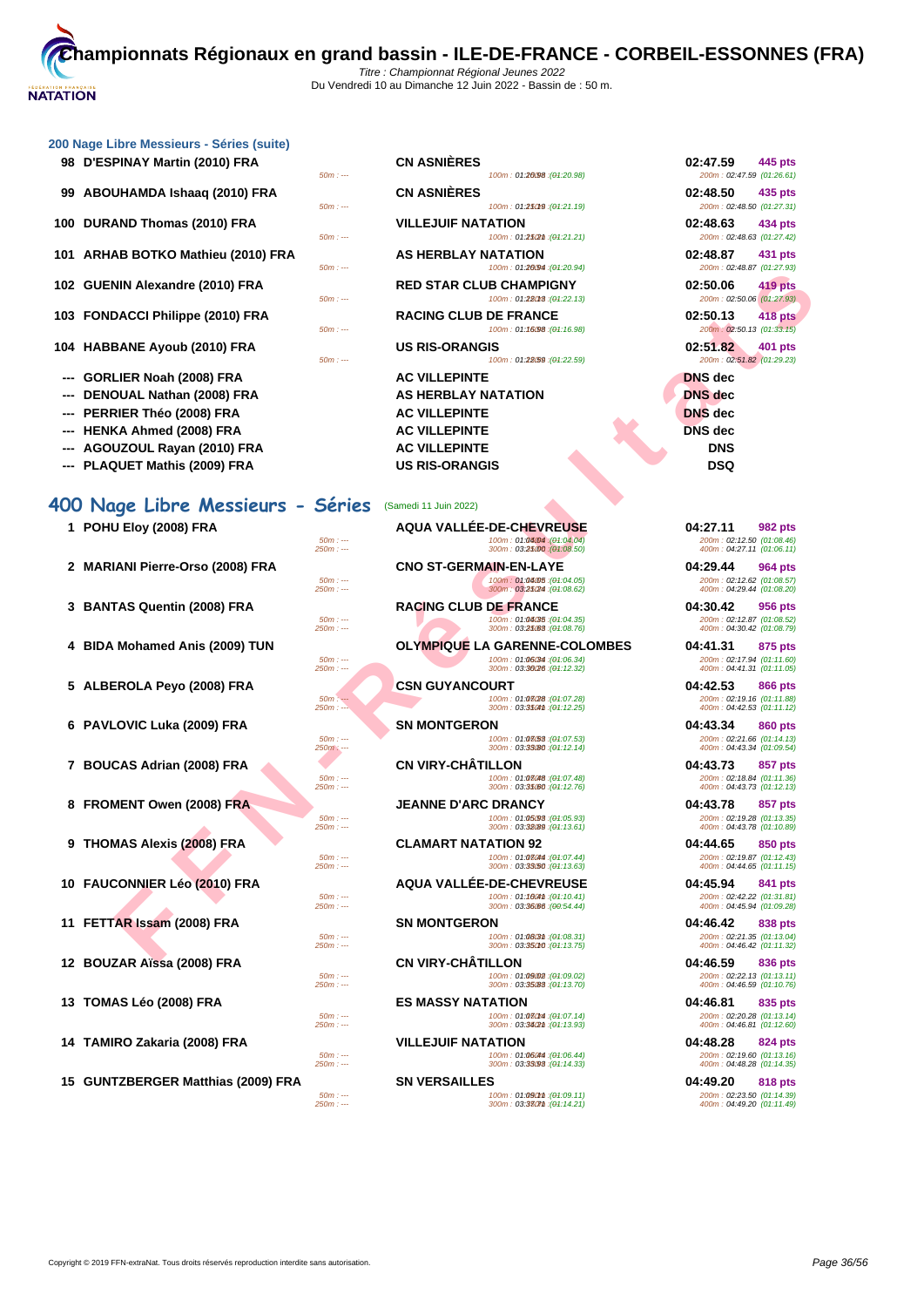| 98 D'ESPINAY Martin (2010) FRA | <b>CN ASNIÈRES</b> | 02:47.59 | 445 pts |
|--------------------------------|--------------------|----------|---------|
|--------------------------------|--------------------|----------|---------|

**99 ABOUHAMDA Ishaaq (2010) FRA** 

**100 DURAND Thomas (2010) FRA**  $\frac{50m}{4}$ 

**101 ARHAB BOTKO Mathieu (2010) FRA** 

- **103 FONDACCI Philippe (2010) FRA**
- **104 HABBANE Ayoub (2010) FRA**  $\frac{50m}{21}$
- **--- GORLIER Noah (2008) FRA**
- **--- DENOUAL Nathan (2008) FRA**
- **--- PERRIER Théo (2008) FRA**
- **--- HENKA Ahmed (2008) FRA**
- -- **AGOUZOUL Rayan (2010) FRA AC VILLEPINTE**
- -- **PLAQUET Mathis (2009) FRA** US RIS-ORANGIS

# **400 Nage Libre Messieurs - Séries** (Samedi 11 Juin 2022)

- 
- 
- 
- 
- 
- 
- 
- 
- 

**15 GUNTZBERGER Matthias (2009) FRA SN VERSAILLES 04:49.20 818 pts**

|          | <b>CN ASNIÈRES</b>                                            | 02:47.59<br>445 pts                                     |
|----------|---------------------------------------------------------------|---------------------------------------------------------|
| $50m: -$ | 100m: 01:26098 : (04:20.98)                                   | 200m: 02:47.59 (01:26.61)                               |
|          | <b>CN ASNIÈRES</b>                                            | 02:48.50<br>435 pts                                     |
| $50m: -$ | 100m: 01:25019 : (04:21.19)                                   | 200m: 02:48.50 (01:27.31)                               |
| $50m: -$ | <b>VILLEJUIF NATATION</b><br>100m: 01:252m:(04:21.21)         | 02:48.63<br>434 pts<br>200m: 02:48.63 (01:27.42)        |
| $50m: -$ | <b>AS HERBLAY NATATION</b><br>100m: 01:20094 : (01:20.94)     | 02:48.87<br>431 pts<br>200m: 02:48.87 (01:27.93)        |
| $50m: -$ | <b>RED STAR CLUB CHAMPIGNY</b><br>100m: 01:28018 : (01:22.13) | 02:50.06<br>419 pts<br>200m: 02:50.06 (01:27.93)        |
| $50m: -$ | <b>RACING CLUB DE FRANCE</b><br>100m: 01:16098 : (01:16.98)   | 02:50.13<br><b>418 pts</b><br>200m: 02:50.13 (01:33.15) |
| $50m: -$ | <b>US RIS-ORANGIS</b><br>100m: 01:28.59 : (01:22.59)          | 02:51.82<br>401 pts<br>200m: 02:51.82 (01:29.23)        |
|          | <b>AC VILLEPINTE</b>                                          | <b>DNS</b> dec                                          |
|          | <b>AS HERBLAY NATATION</b>                                    | <b>DNS</b> dec                                          |
|          | <b>AC VILLEPINTE</b>                                          | <b>DNS</b> dec                                          |
|          | <b>AC VILLEPINTE</b>                                          | <b>DNS</b> dec                                          |

|                                  | $50000 - 7$           | $10011.$ $01.4037.$ $101.20.37$                               | LUUIII. UZ. 70.01 101.21.301                            |
|----------------------------------|-----------------------|---------------------------------------------------------------|---------------------------------------------------------|
| 02 GUENIN Alexandre (2010) FRA   | $50m: -$              | <b>RED STAR CLUB CHAMPIGNY</b><br>100m: 01:28018 : (01:22.13) | 02:50.06<br>419 pts<br>200m: 02:50.06 (01:27.93)        |
| 03 FONDACCI Philippe (2010) FRA  | $50m: -$              | <b>RACING CLUB DE FRANCE</b><br>100m: 01:16.98 : (01:16.98)   | 02:50.13<br><b>418 pts</b><br>200m: 02:50.13 (01:33.15) |
| 04 HABBANE Ayoub (2010) FRA      | $50m: -$              | <b>US RIS-ORANGIS</b><br>100m: 01:28(59 : (01:22.59)          | 02:51.82<br>401 pts<br>200m: 02:51.82 (01:29.23)        |
| GORLIER Noah (2008) FRA          |                       | <b>AC VILLEPINTE</b>                                          | <b>DNS</b> dec                                          |
| DENOUAL Nathan (2008) FRA        |                       | <b>AS HERBLAY NATATION</b>                                    | <b>DNS</b> dec                                          |
| PERRIER Théo (2008) FRA          |                       | <b>AC VILLEPINTE</b>                                          | <b>DNS</b> dec                                          |
| <b>HENKA Ahmed (2008) FRA</b>    |                       | <b>AC VILLEPINTE</b>                                          | <b>DNS</b> dec                                          |
| AGOUZOUL Rayan (2010) FRA        |                       | <b>AC VILLEPINTE</b>                                          | <b>DNS</b>                                              |
| PLAQUET Mathis (2009) FRA        |                       | <b>US RIS-ORANGIS</b>                                         | <b>DSQ</b>                                              |
| 00 Nage Libre Messieurs - Séries |                       | (Samedi 11 Juin 2022)                                         |                                                         |
| 1 POHU Eloy (2008) FRA           |                       | <b>AQUA VALLÉE-DE-CHEVREUSE</b>                               | 04:27.11<br>982 pts                                     |
|                                  | $50m: -$<br>$250m: -$ | 100m: 01:04:04 : (01:04.04)<br>300m: 03:25:00 : (01:08.50)    | 200m: 02:12.50 (01:08.46)<br>400m: 04:27.11 (01:06.11)  |
| 2 MARIANI Pierre-Orso (2008) FRA |                       | <b>CNO ST-GERMAIN-EN-LAYE</b>                                 | 04:29.44<br>964 pts                                     |
|                                  | $50m: -$<br>$250m: -$ | 100m: 01:04.05 : (01:04.05)<br>300m: 03:25/24 : (01:08.62)    | 200m: 02:12.62 (01:08.57)<br>400m: 04:29.44 (01:08.20)  |
| 3 BANTAS Quentin (2008) FRA      |                       | <b>RACING CLUB DE FRANCE</b>                                  | 04:30.42<br>956 pts                                     |
|                                  | $50m: -$<br>$250m: -$ | 100m: 01:04/35 : (01:04.35)<br>300m: 03:25:68 : (04:08.76)    | 200m: 02:12.87 (01:08.52)<br>400m: 04:30.42 (01:08.79)  |
| 4 BIDA Mohamed Anis (2009) TUN   |                       | <b>OLYMPIQUE LA GARENNE-COLOMBES</b>                          | 04:41.31<br>875 pts                                     |
|                                  | $50m: -$<br>$250m: -$ | (04:06.34): 100m: 01:06.34<br>300m: 03:36/26 : (04:12.32)     | 200m: 02:17.94 (01:11.60)<br>400m: 04:41.31 (01:11.05)  |
| 5 ALBEROLA Peyo (2008) FRA       |                       | <b>CSN GUYANCOURT</b>                                         | 04:42.53<br>866 pts                                     |
|                                  | $50m: -$<br>$250m: -$ | 100m: 01:03(28 : (01:07.28)<br>300m: 03:3504th: (04:12.25)    | 200m: 02:19.16 (01:11.88)<br>400m: 04:42.53 (01:11.12)  |
| 6 PAVLOVIC Luka (2009) FRA       |                       | <b>SN MONTGERON</b>                                           | 04:43.34<br>860 pts                                     |
|                                  | $50m: -$<br>$250m: -$ | 100m: 01:08/53 : (01:07.53)<br>300m: 03:33080 : (04:12.14)    | 200m: 02:21.66 (01:14.13)<br>400m: 04:43.34 (01:09.54)  |
| 7 BOUCAS Adrian (2008) FRA       |                       | <b>CN VIRY-CHATILLON</b>                                      | 04:43.73<br>857 pts                                     |
|                                  | $50m: -$              | 100m: 01:08048 : (01:07.48)<br>300m: 03:35000 : (04:12.76)    | 200m: 02:18.84 (01:11.36)                               |
| 8 FROMENT Owen (2008) FRA        | $250m: -$             | <b>JEANNE D'ARC DRANCY</b>                                    | 400m: 04:43.73 (01:12.13)<br>04:43.78<br>857 pts        |
|                                  | $50m: -$              | 100m: 01:05.98 : (01:05.93)                                   | 200m: 02:19.28 (01:13.35)                               |
|                                  | $250m: -$             | 300m: 03:32089 : (04:13.61)                                   | 400m: 04:43.78 (01:10.89)                               |
| 9 THOMAS Alexis (2008) FRA       | $50m: -$              | <b>CLAMART NATATION 92</b><br>100m: 01:08044 : (01:07.44)     | 04:44.65<br>850 pts<br>200m: 02:19.87 (01:12.43)        |
|                                  | $250m: -$             | 300m: 03:33/50 : (04:13.63)                                   | 400m: 04:44.65 (01:11.15)                               |
| 10 FAUCONNIER Léo (2010) FRA     |                       | <b>AQUA VALLÉE-DE-CHEVREUSE</b>                               | 04:45.94<br>841 pts                                     |
|                                  | $50m: -$<br>$250m: -$ | 100m: 01:160m : (01:10.41)<br>300m: 03:36.66 : (00:54.44)     | 200m: 02:42.22 (01:31.81)<br>400m: 04:45.94 (01:09.28)  |
| 11 FETTAR Issam (2008) FRA       |                       | <b>SN MONTGERON</b>                                           | 04:46.42<br>838 pts                                     |
|                                  | $50m: -$<br>$250m: -$ | 100m: 01:08(3th: (01:08.31)<br>300m: 03:35010 : (04:13.75)    | 200m: 02:21.35 (01:13.04)<br>400m: 04:46.42 (01:11.32)  |
| 12 BOUZAR Aïssa (2008) FRA       |                       | <b>CN VIRY-CHÂTILLON</b>                                      | 04:46.59<br>836 pts                                     |
|                                  | $50m: -$              | 100m: 01:09.02 : (01:09.02)                                   | 200m: 02:22.13 (01:13.11)                               |
|                                  | $250m: -$             | 300m: 03:35/88 : (04:13.70)                                   | 400m: 04:46.59 (01:10.76)                               |

**13 TOMAS Léo (2008) FRA ES MASSY NATATION 04:46.81 835 pts** 50m : ---<br>100m : 01:**07**.01:07.14 150m : 03:3**4**/28 (04:13.93)<br>250m : 03:3**4/2**m : (04:13.93)

**14 TAMIRO Zakaria (2008) FRA VILLEJUIF NATATION 100m: 01:06644 14:06.44 04:48.28 04:48.28 04:48.28 01:13.16**<br>
260m: --- 250m: --- 250m: --- 250m: -- 250m: -- 250m: -- 250m: -- 250m: -- 250m: -- 250m: -- 25 50m : --- 100m : 01:06.44 150m : --- (01:06.44) 200m : 02:19.60 (01:13.16) 250m : --- 300m : 03:33.9350m : --- (01:14.33) 400m : 04:48.28 (01:14.35)

50m : --- 100m : 01:09.11 150m : --- (01:09.11) 200m : 02:23.50 (01:14.39) 250m : --- 300m : 03:37.7150m : --- (01:14.21) 400m : 04:49.20 (01:11.49)

| 02:47.59                                                           |                |
|--------------------------------------------------------------------|----------------|
| 200m: 02:47.59 (01:26.61)                                          | 445 pts        |
| 02:48.50<br>200m: 02:48.50 (01:27.31)                              | 435 pts        |
| 02:48.63<br>200m: 02:48.63 (01:27.42)                              | 434 pts        |
| 02:48.87<br>200m: 02:48.87 (01:27.93)                              | 431 pts        |
| 02:50.06<br>200m: 02:50.06 (01:27.93                               | <b>419 pts</b> |
| 02:50.13<br>200m: 02:50.13 (01:33.15)                              | <b>418 pts</b> |
| 02:51.82<br>200m: 02:51.82 (01:29.23)                              | 401 pts        |
| <b>DNS</b> dec                                                     |                |
| l<br><b>DNS</b> dec                                                |                |
| <b>DNS</b> dec                                                     |                |
| <b>DNS</b> dec                                                     |                |
| <b>DNS</b><br>DSQ                                                  |                |
|                                                                    |                |
| 04:27.11                                                           | 982 pts        |
| 200m: 02:12.50 (01:08.46)<br>400m: 04:27.11 (01:06.11)             |                |
| 04:29.44                                                           | <b>964 pts</b> |
| 200m: 02:12.62 (01:08.57)<br>400m: 04:29.44 (01:08.20)<br>04:30.42 | 956 pts        |
| 200m: 02:12.87 (01:08.52)<br>400m: 04:30.42 (01:08.79)<br>04:41.31 | 875 pts        |

200m : 02:20.28 (01:13.14)<br>400m : 04:46.81 (01:12.60)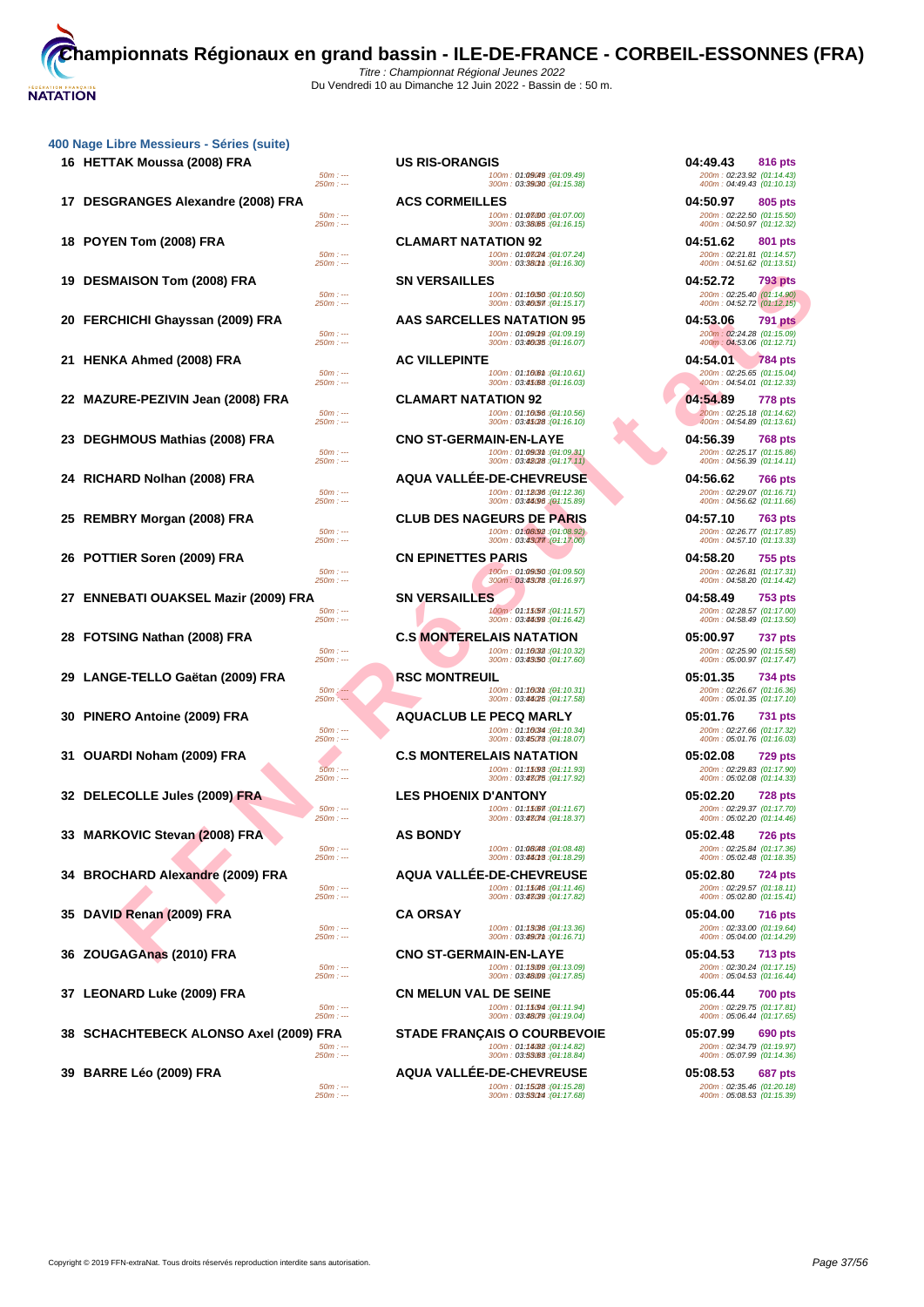| 400 Nage Libre Messieurs - Séries (suite) |  |  |
|-------------------------------------------|--|--|
|-------------------------------------------|--|--|

|     | 16 HETTAK Moussa (2008) FRA                |                          | <b>US RIS-ORANGIS</b>         |                                                                                 | 04:49.43                                               | 816 pts        |
|-----|--------------------------------------------|--------------------------|-------------------------------|---------------------------------------------------------------------------------|--------------------------------------------------------|----------------|
|     |                                            | $50m: -$<br>$250m: -$    |                               | 100m: 01:09049 : (01:09.49)<br>300m: 03:39/30 : (04:15.38)                      | 200m: 02:23.92 (01:14.43)<br>400m: 04:49.43 (01:10.13) |                |
|     |                                            |                          |                               |                                                                                 |                                                        |                |
|     | 17 DESGRANGES Alexandre (2008) FRA         | $50m: -$                 | <b>ACS CORMEILLES</b>         | 100m: 01:08/00 : (01:07.00)                                                     | 04:50.97<br>200m: 02:22.50 (01:15.50)                  | 805 pts        |
|     |                                            | 250m : ---               |                               | 300m: 03:38.65 : (04:16.15)                                                     | 400m: 04:50.97 (01:12.32)                              |                |
|     | 18 POYEN Tom (2008) FRA                    |                          | <b>CLAMART NATATION 92</b>    |                                                                                 | 04:51.62                                               | 801 pts        |
|     |                                            | $50m: -$                 |                               | 100m: 01:03/24 : (01:07.24)                                                     | 200m: 02:21.81 (01:14.57)                              |                |
|     |                                            | 250m : ---               |                               | 300m: 03:380mm: (04:16.30)                                                      | 400m: 04:51.62 (01:13.51)                              |                |
| 19  | <b>DESMAISON Tom (2008) FRA</b>            |                          | <b>SN VERSAILLES</b>          |                                                                                 | 04:52.72                                               | 793 pts        |
|     |                                            | $50m: -$<br>$250m: -$    |                               | 100m: 01:10.50 : (01:10.50)<br>300m: 03:40.57 : (04:15.17)                      | 200m: 02:25.40 (01:14.90)<br>400m: 04:52.72 (01:12.15) |                |
|     | 20 FERCHICHI Ghayssan (2009) FRA           |                          |                               | AAS SARCELLES NATATION 95                                                       | 04:53.06                                               | <b>791 pts</b> |
|     |                                            | $50m: -$                 |                               | 100m: 01:09019 : (01:09.19)                                                     | 200m: 02:24.28 (01:15.09)                              |                |
|     |                                            | $250m: -$                |                               | 300m: 03:46035 : (04:16.07)                                                     | 400m: 04:53.06 (01:12.71)                              |                |
|     | 21 HENKA Ahmed (2008) FRA                  |                          | <b>AC VILLEPINTE</b>          |                                                                                 | 04:54.01                                               | <b>784 pts</b> |
|     |                                            | $50m: -$                 |                               | 100m: 01:100m : (04:10.61)<br>300m: 03:45/68 : (04:16.03)                       | 200m: 02:25.65 (01:15.04)<br>400m: 04:54.01 (01:12.33) |                |
|     |                                            | $250m: -$                |                               |                                                                                 |                                                        |                |
|     | 22 MAZURE-PEZIVIN Jean (2008) FRA          |                          | <b>CLAMART NATATION 92</b>    |                                                                                 | 04:54.89                                               | <b>778 pts</b> |
|     |                                            | $50m: -$<br>$250m: -$    |                               | 100m: 01:10/56 : (01:10.56)<br>300m: 03:45/28 : (04:16.10)                      | 200m: 02:25.18 (01:14.62)<br>400m: 04:54.89 (01:13.61) |                |
|     | DEGHMOUS Mathias (2008) FRA                |                          | <b>CNO ST-GERMAIN-EN-LAYE</b> |                                                                                 | 04:56.39                                               | <b>768 pts</b> |
|     |                                            | $50m: -$                 |                               | 100m: 01:09(3th: (01:09.31)                                                     | 200m: 02:25.17 (01:15.86)                              |                |
|     |                                            | $250m: -$                |                               | 300m: 03:48028 : (01:17.11)                                                     | 400m: 04:56.39 (01:14.11)                              |                |
| 24  | RICHARD Nolhan (2008) FRA                  |                          |                               | <b>AQUA VALLEE-DE-CHEVREUSE</b>                                                 | 04:56.62                                               | <b>766 pts</b> |
|     |                                            | $50m: -$<br>$250m: -$    |                               | 100m: 01:12036 : (01:12.36)<br>300m: 03:44096 (01:15.89)                        | 200m: 02:29.07 (01:16.71)<br>400m: 04:56.62 (01:11.66) |                |
| 25  | REMBRY Morgan (2008) FRA                   |                          |                               | <b>CLUB DES NAGEURS DE PARIS</b>                                                | 04:57.10                                               |                |
|     |                                            | $50m: -$                 |                               | 100m: 01:08.92 : (01:08.92)                                                     | 200m: 02:26.77 (01:17.85)                              | <b>763 pts</b> |
|     |                                            | $250m: -$                |                               | 300m: 03:43077 (04:17.00)                                                       | 400m: 04:57.10 (01:13.33)                              |                |
| 26. | <b>POTTIER Soren (2009) FRA</b>            |                          | <b>CN EPINETTES PARIS</b>     |                                                                                 | 04:58.20                                               | 755 pts        |
|     |                                            | $50m: -$                 |                               | 100m: 01:09.50 : (01:09.50)                                                     | 200m: 02:26.81 (01:17.31)                              |                |
|     |                                            | 250m : ---               |                               | 300m: 03:43078 : (01:16.97)                                                     | 400m: 04:58.20 (01:14.42)                              |                |
| 27  | <b>ENNEBATI OUAKSEL Mazir (2009) FRA</b>   |                          | <b>SN VERSAILLES</b>          |                                                                                 | 04:58.49                                               | 753 pts        |
|     |                                            | $50m: -$<br>$250m: -$    |                               | 100m: 01:15/577: (01:11.57)<br>300m: 03:44099 : (04:16.42)                      | 200m: 02:28.57 (01:17.00)<br>400m: 04:58.49 (01:13.50) |                |
| 28  | <b>FOTSING Nathan (2008) FRA</b>           |                          |                               | <b>C.S MONTERELAIS NATATION</b>                                                 | 05:00.97                                               | <b>737 pts</b> |
|     |                                            | $50m: -$                 |                               | (04:10.32): 100m: 01:16032                                                      | 200m: 02:25.90 (01:15.58)                              |                |
|     |                                            | $250m: -$                |                               | 300m: 03: <b>43/50</b> :( <del>01</del> :17.60)                                 | 400m: 05:00.97 (01:17.47)                              |                |
| 29  | LANGE-TELLO Gaëtan (2009) FRA              |                          | <b>RSC MONTREUIL</b>          |                                                                                 | 05:01.35                                               | 734 pts        |
|     |                                            | $50m$ : ---<br>$250m: -$ |                               | 100m: 01:1603m: (01:10.31)<br>300m: 03:44/25 : (04:17.58)                       | 200m: 02:26.67 (01:16.36)<br>400m: 05:01.35 (01:17.10) |                |
|     | 30 PINERO Antoine (2009) FRA               |                          | <b>AQUACLUB LE PECQ MARLY</b> |                                                                                 | 05:01.76                                               | 731 pts        |
|     |                                            | $50m: -$                 |                               | 100m: 01:16034 : (01:10.34)                                                     | 200m: 02:27.66 (01:17.32)                              |                |
|     |                                            | $250m: -$                |                               | 300m: 03:45078 : (04:18.07)                                                     | 400m: 05:01.76 (01:16.03)                              |                |
| 31. | <b>OUARDI Noham (2009) FRA</b>             |                          |                               | <b>C.S MONTERELAIS NATATION</b>                                                 | 05:02.08                                               | <b>729 pts</b> |
|     |                                            | $50m: -$<br>$250m: -$    |                               | 100m: 01:15098 : (01:11.93)<br>300m: 03:43075 : (04:17.92)                      | 200m: 02:29.83 (01:17.90)<br>400m: 05:02.08 (01:14.33) |                |
|     |                                            |                          |                               |                                                                                 |                                                        |                |
|     | 32   DELECOLLE Jules (2009) FRA            | $50m: -$                 | <b>LES PHOENIX D'ANTONY</b>   | 100m: 01:15077: (01:11.67)                                                      | 05:02.20<br>200m: 02:29.37 (01:17.70)                  | <b>728 pts</b> |
|     |                                            | $250m: -$                |                               | 300m: 03:43074 : (01:18.37)                                                     | 400m: 05:02.20 (01:14.46)                              |                |
|     | 33 MARKOVIC Stevan (2008) FRA              |                          | <b>AS BONDY</b>               |                                                                                 | 05:02.48                                               | <b>726 pts</b> |
|     |                                            | $50m: -$                 |                               | 100m: 01:08048 : (01:08.48)                                                     | 200m: 02:25.84 (01:17.36)                              |                |
|     |                                            | 250m : ---               |                               | 300m : 03: <b>44013</b> :( <del>0</del> 1:18.29)                                | 400m: 05:02.48 (01:18.35)                              |                |
|     | 34 BROCHARD Alexandre (2009) FRA           |                          |                               | <b>AQUA VALLEE-DE-CHEVREUSE</b>                                                 | 05:02.80                                               | <b>724 pts</b> |
|     |                                            | $50m: -$<br>$250m: -$    |                               | 100m: 01:15046 : (01:11.46)<br>300m: 03:43089 : (01:17.82)                      | 200m: 02:29.57 (01:18.11)<br>400m: 05:02.80 (01:15.41) |                |
| 35  | DAVID Renan (2009) FRA                     |                          | <b>CA ORSAY</b>               |                                                                                 | 05:04.00                                               | <b>716 pts</b> |
|     |                                            | $50m: -$                 |                               | 100m: 01:13086 : (01:13.36)                                                     | 200m: 02:33.00 (01:19.64)                              |                |
|     |                                            | $250m: -$                |                               | 300m: 03:4907m: (04:16.71)                                                      | 400m: 05:04.00 (01:14.29)                              |                |
| 36  | ZOUGAGAnas (2010) FRA                      |                          | <b>CNO ST-GERMAIN-EN-LAYE</b> |                                                                                 | 05:04.53                                               | 713 pts        |
|     |                                            | $50m: -$<br>$250m: --$   |                               | 100m: 01:13009 : (01:13.09)<br>300m: 03: <b>48.09</b> : ( <del>0</del> 1:17.85) | 200m: 02:30.24 (01:17.15)<br>400m: 05:04.53 (01:16.44) |                |
|     |                                            |                          |                               |                                                                                 |                                                        |                |
|     | 37 LEONARD Luke (2009) FRA                 | $50m: -$                 | <b>CN MELUN VAL DE SEINE</b>  | 100m: 01:15094 : (04:11.94)                                                     | 05:06.44<br>200m: 02:29.75 (01:17.81)                  | <b>700 pts</b> |
|     |                                            | $250m: --$               |                               | 300m: 03:48079 : (04:19.04)                                                     | 400m: 05:06.44 (01:17.65)                              |                |
| 38  | <b>SCHACHTEBECK ALONSO Axel (2009) FRA</b> |                          |                               | <b>STADE FRANÇAIS O COURBEVOIE</b>                                              | 05:07.99                                               | 690 pts        |
|     |                                            | $50m: -$                 |                               | 100m: 01:14082 : (01:14.82)                                                     | 200m: 02:34.79 (01:19.97)                              |                |
|     |                                            | 250m : ---               |                               | 300m: 03:53.63 : (01:18.84)                                                     | 400m: 05:07.99 (01:14.36)                              |                |
|     | 39 BARRE Léo (2009) FRA                    |                          |                               | <b>AQUA VALLEE-DE-CHEVREUSE</b>                                                 | 05:08.53                                               | 687 pts        |
|     |                                            | $50m: -$                 |                               | 100m: 01:15028 : (01:15.28)                                                     | 200m: 02:35.46 (01:20.18)                              |                |

| $50m: -$                 | <b>US RIS-ORANGIS</b><br>100m: 01:09(49 : (01:09.49)                                        | 04:49.43<br>816 pts<br>200m: 02:23.92 (01:14.43)                  |
|--------------------------|---------------------------------------------------------------------------------------------|-------------------------------------------------------------------|
| 250m : ---               | 300m: 03:39030 : (01:15.38)                                                                 | 400m: 04:49.43 (01:10.13)                                         |
| $50m: -$                 | <b>ACS CORMEILLES</b><br>100m: 01:08/00 : (01:07.00)                                        | 04:50.97<br>805 pts<br>200m: 02:22.50 (01:15.50)                  |
| 250m : ---               | 300m: 03:38.65 : (04:16.15)                                                                 | 400m: 04:50.97 (01:12.32)                                         |
| $50m: -$                 | <b>CLAMART NATATION 92</b><br>100m: 01:08(24 : (01:07.24)                                   | 04:51.62<br>801 pts                                               |
| 250m : ---               | 300m: 03:380mm : (04:16.30)                                                                 | 200m: 02:21.81 (01:14.57)<br>400m: 04:51.62 (01:13.51)            |
|                          | <b>SN VERSAILLES</b>                                                                        | 04:52.72<br>793 pts                                               |
| $50m: -$<br>250m : ---   | 100m: 01:10/50 : (01:10.50)<br>300m: 03:46/57 : (04:15.17)                                  | 200m: 02:25.40 (01:14.90)<br>400m: 04:52.72 (01:12.15)            |
|                          | AAS SARCELLES NATATION 95                                                                   | 04:53.06<br>791 pts                                               |
| $50m: -$<br>250m : ---   | 100m: 01:09019 : (01:09.19)<br>300m: 03:46035 : (04:16.07)                                  | 200m: 02:24.28 (01:15.09)<br>400m: 04:53.06 (01:12.71)            |
|                          | <b>AC VILLEPINTE</b>                                                                        | 04:54.01<br><b>784 pts</b>                                        |
| $50m: -$<br>250m : ---   | 100m: 01:1000m: (01:10.61)<br>300m: 03:45/68 : (04:16.03)                                   | 200m: 02:25.65 (01:15.04)<br>400m: 04:54.01 (01:12.33)            |
|                          | <b>CLAMART NATATION 92</b>                                                                  | 04:54.89<br><b>778 pts</b>                                        |
| $50m: -$<br>$250m: -$    | 100m: 01:10:56 : (01:10.56)<br>300m: 03:45/28 : (04:16.10)                                  | 200m: 02:25.18 (01:14.62)                                         |
|                          | <b>CNO ST-GERMAIN-EN-LAYE</b>                                                               | 400m: 04:54.89 (01:13.61)<br>04:56.39<br><b>768 pts</b>           |
| $50m: -$                 | 100m: 01:09(3th : (01:09.31)                                                                | 200m: 02:25.17 (01:15.86)                                         |
| $250m: -$                | 300m: 03:42028 : (04:17.11)                                                                 | 400m: 04:56.39 (01:14.11)                                         |
| $50m: -$                 | <b>AQUA VALLEE-DE-CHEVREUSE</b><br>100m: 01: <b>18086</b> : ( <del>01</del> :12.36)         | 04:56.62<br><b>766 pts</b><br>200m: 02:29.07 (01:16.71)           |
| $250m: -$                | 300m: 03:44096 (01:15.89)                                                                   | 400m: 04:56.62 (01:11.66)                                         |
| $50m: -$                 | <b>CLUB DES NAGEURS DE PARIS</b><br>100m: 01:08.92 : (01:08.92)                             | 04:57.10<br>763 pts<br>200m: 02:26.77 (01:17.85)                  |
| 250m : ---               | 300m: 03:43077.(01:17.00)                                                                   | 400m: 04:57.10 (01:13.33)                                         |
|                          | <b>CN EPINETTES PARIS</b>                                                                   | 04:58.20<br>755 pts                                               |
| $50m: -$<br>$250m: -$    | 100m: 01:09/50 : (01:09.50)<br>300m: 03:43078 : (04:16.97)                                  | 200m: 02:26.81 (01:17.31)<br>400m: 04:58.20 (01:14.42)            |
|                          | <b>SN VERSAILLES</b>                                                                        | 04:58.49<br>753 pts                                               |
| $50m: -$<br>250m : ---   | 100m: <b>01:15/57</b> 1:( <del>01</del> :11.57)<br>300m: 03:44099 : (04:16.42)              | 200m: 02:28.57 (01:17.00)<br>400m: 04:58.49 (01:13.50)            |
|                          | <b>C.S MONTERELAIS NATATION</b>                                                             | 05:00.97<br>737 pts                                               |
| $50m: -$<br>$250m: -$    | 100m: 01:10032 : (01:10.32)<br>300m: 03:43/50 : (04:17.60)                                  | 200m: 02:25.90 (01:15.58)<br>400m: 05:00.97 (01:17.47)            |
|                          | <b>RSC MONTREUIL</b>                                                                        | 05:01.35<br>734 pts                                               |
| $50m$ : ---<br>$250m: -$ | (04:10.31): 100m: 01:1003m<br>300m: 03:44/25 : (04:17.58)                                   | 200m: 02:26.67 (01:16.36)<br>400m: 05:01.35 (01:17.10)            |
|                          | <b>AQUACLUB LE PECQ MARLY</b>                                                               | 05:01.76<br><b>731 pts</b>                                        |
| $50m: -$<br>250m : ---   | 100m: 01:16034 : (01:10.34)<br>300m: 03:45078 : (04:18.07)                                  | 200m: 02:27.66 (01:17.32)<br>400m: 05:01.76 (01:16.03)            |
|                          | <b>C.S MONTERELAIS NATATION</b>                                                             |                                                                   |
| $50m: -$                 |                                                                                             |                                                                   |
|                          | 100m: 01:15098 : (04:11.93)                                                                 | 05:02.08<br><b>729 pts</b><br>200m: 02:29.83 (01:17.90)           |
| 250m : ---               | 300m: 03:48075 : (04:17.92)                                                                 | 400m: 05:02.08 (01:14.33)                                         |
| $50m: -$                 | <b>LES PHOENIX D'ANTONY</b><br>100m: 01:150677: (04:11.67)                                  | 05:02.20<br><b>728 pts</b><br>200m: 02:29.37 (01:17.70)           |
| $250m: -$                | 300m: 03.430M : (04:18.37)                                                                  | 400m: 05:02.20 (01:14.46)                                         |
| $50m: -$                 | <b>AS BONDY</b><br>100m: 01: <b>08048</b> :( <del>0</del> 1:08.48)                          | 05:02.48<br><b>726 pts</b><br>200m : 02:25.84 (01:17.36)          |
| 250m : ---               | 300m: 03:44018 : (04:18.29)                                                                 | 400m: 05:02.48 (01:18.35)                                         |
|                          | <b>AQUA VALLÉE-DE-CHEVREUSE</b>                                                             | 05:02.80<br><b>724 pts</b>                                        |
| $50m: -$<br>$250m: -$    | 100m: 01:15046 : (01:11.46)<br>300m: 03:43039 : (04:17.82)                                  | 200m: 02:29.57 (01:18.11)<br>400m: 05:02.80 (01:15.41)            |
|                          | <b>CA ORSAY</b>                                                                             | 05:04.00<br><b>716 pts</b>                                        |
| $50m: -$<br>250m : ---   | 100m: 01: <b>13036</b> : ( <del>01</del> :13.36)<br>300m: 03:490mm: (04:16.71)              | 200m: 02:33.00 (01:19.64)<br>400m: 05:04.00 (01:14.29)            |
|                          | <b>CNO ST-GERMAIN-EN-LAYE</b>                                                               | 05:04.53<br>713 pts                                               |
| $50m: -$<br>$250m: -$    | 100m: 01:13009 : (01:13.09)<br>300m: 03:4809 : (04:17.85)                                   | 200m: 02:30.24 (01:17.15)<br>400m: 05:04.53 (01:16.44)            |
|                          | <b>CN MELUN VAL DE SEINE</b>                                                                | 05:06.44<br><b>700 pts</b>                                        |
| $50m: -$                 | 100m: 01:15094 : (01:11.94)<br>300m: 03:48079 : (04:19.04)                                  | 200m: 02:29.75 (01:17.81)<br>400m: 05:06.44 (01:17.65)            |
| 250m : ---<br><b>FRA</b> | <b>STADE FRANÇAIS O COURBEVOIE</b>                                                          | 05:07.99<br>690 pts                                               |
| $50m: -$<br>250m : ---   | 100m: 01:14082 : (01:14.82)                                                                 | 200m: 02:34.79 (01:19.97)                                         |
|                          | 300m: 03:55063 : (04:18.84)                                                                 | 400m: 05:07.99 (01:14.36)<br>05:08.53                             |
| $50m: -$<br>$250m: -$    | <b>AQUA VALLÉE-DE-CHEVREUSE</b><br>100m: 01:15028: (01:15.28)<br>300m: 03:530M : (04:17.68) | 687 pts<br>200m: 02:35.46 (01:20.18)<br>400m: 05:08.53 (01:15.39) |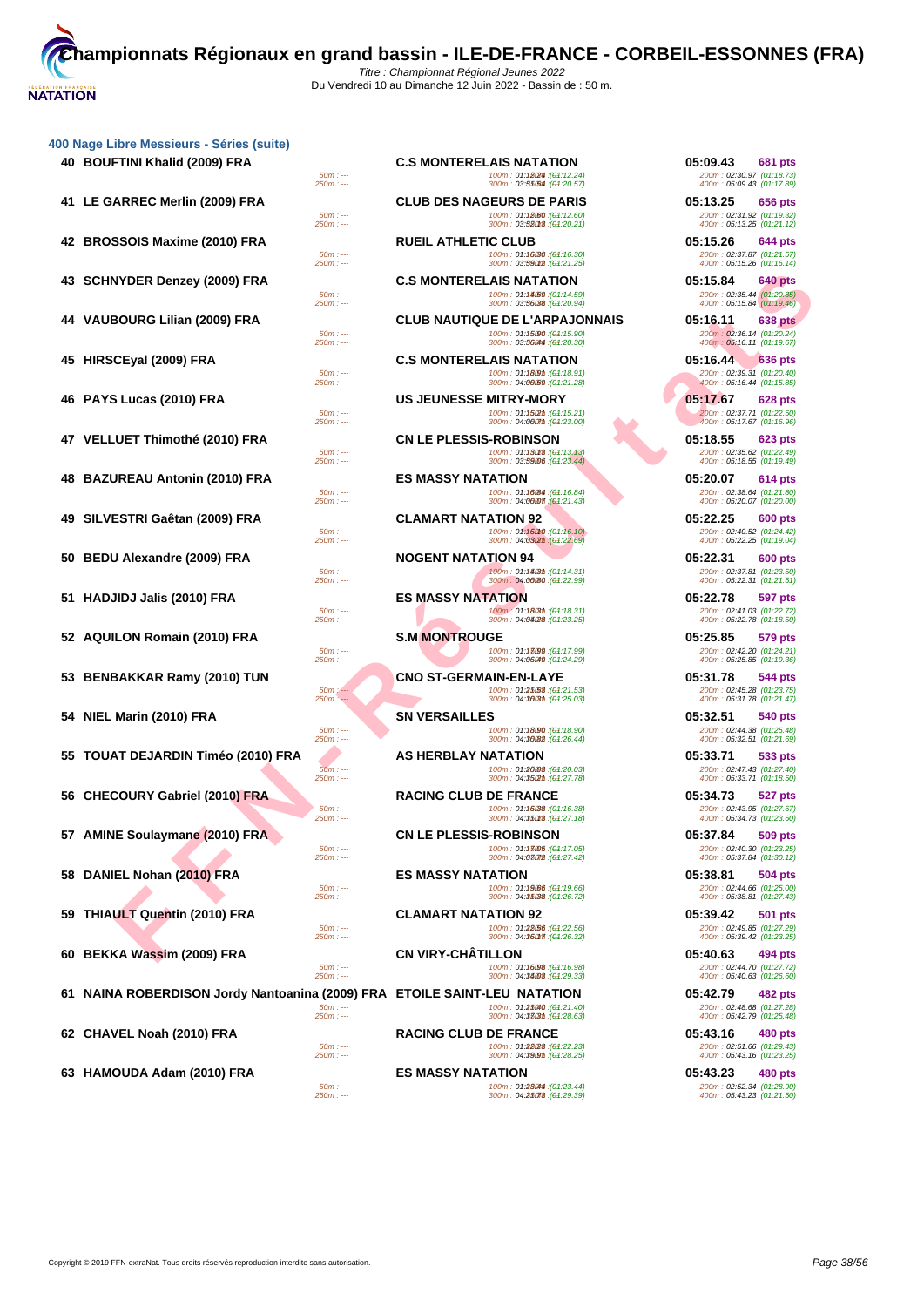|  | 400 Nage Libre Messieurs - Séries (suite) |  |  |
|--|-------------------------------------------|--|--|
|  |                                           |  |  |

| 40 BOUFTINI Khalid (2009) FRA        |                                   |
|--------------------------------------|-----------------------------------|
| 41 LE GARREC Merlin (2009) FRA       | 25<br>25                          |
| 42 BROSSOIS Maxime (2010) FRA        | ś                                 |
| 43 SCHNYDER Denzey (2009) FRA        | 25                                |
| 44 VAUBOURG Lilian (2009) FRA        | 25                                |
| 45 HIRSCEyal (2009) FRA              | 25                                |
| 46 PAYS Lucas (2010) FRA             | 25                                |
| 47 VELLUET Thimothé (2010) FRA       | $2\overline{S}$                   |
| 48 BAZUREAU Antonin (2010) FRA       | 25<br>$\frac{1}{25}$              |
| 49 SILVESTRI Gaêtan (2009) FRA       |                                   |
| 50 BEDU Alexandre (2009) FRA         | 25<br>ś                           |
| 51 HADJIDJ Jalis (2010) FRA          | 25                                |
| 52 AQUILON Romain (2010) FRA         | 25<br>$\frac{1}{25}$              |
| 53 BENBAKKAR Ramy (2010) TUN         |                                   |
| 54 NIEL Marin (2010) FRA             | 25<br>$\frac{1}{25}$              |
| 55 TOUAT DEJARDIN Timéo (2010) FRA   |                                   |
| 56 CHECOURY Gabriel (2010) FRA       | $\overline{2}$                    |
| 57 AMINE Soulaymane (2010) FRA       | $2\overline{S}$<br>$\frac{1}{25}$ |
| 58 DANIEL Nohan (2010) FRA           |                                   |
| 59 THIAULT Quentin (2010) FRA        | $2\overline{S}$                   |
| 60 BEKKA Wassim (2009) FRA           | $2\overline{S}$<br>$\frac{3}{25}$ |
| 61 NAINA ROBERDISON Jordy Nantoanina |                                   |
| 62 CHAVEL Noah (2010) FRA            | 25                                |
| 63 HAMOUDA Adam (2010) FRA           | 25                                |

| ibre Messieurs - Séries (suite)                                        |                        |                                                                                |                                                        |
|------------------------------------------------------------------------|------------------------|--------------------------------------------------------------------------------|--------------------------------------------------------|
| FTINI Khalid (2009) FRA                                                |                        | <b>C.S MONTERELAIS NATATION</b>                                                | 05:09.43<br>681 pts                                    |
|                                                                        | $50m: -$<br>$250m: -$  | 100m: 01:180M: (04:12.24)<br>300m: 03:55/54 : (01:20.57)                       | 200m: 02:30.97 (01:18.73)<br>400m: 05:09.43 (01:17.89) |
| ARREC Merlin (2009) FRA                                                |                        | <b>CLUB DES NAGEURS DE PARIS</b>                                               | 05:13.25<br>656 pts                                    |
|                                                                        | $50m: -$<br>$250m: -$  | 100m: 01:18060 : (04:12.60)<br>300m: 03:52013 : (01:20.21)                     | 200m: 02:31.92 (01:19.32)<br>400m: 05:13.25 (01:21.12) |
| SSOIS Maxime (2010) FRA                                                |                        | <b>RUEIL ATHLETIC CLUB</b>                                                     | 05:15.26<br>644 pts                                    |
|                                                                        | $50m: -$<br>$250m: -$  | 100m: 01: <b>16/30</b> :( <del>0</del> 1:16.30)<br>300m: 03:59012 : (04:21.25) | 200m: 02:37.87 (01:21.57)<br>400m: 05:15.26 (01:16.14) |
| NYDER Denzey (2009) FRA                                                |                        | <b>C.S MONTERELAIS NATATION</b>                                                | 05:15.84<br>640 pts                                    |
|                                                                        | $50m: -$<br>$250m: -$  | 100m: 01:14(59 : (01:14.59)<br>300m: 03:56088 : (01:20.94)                     | 200m: 02:35.44 (01:20.85)<br>400m: 05:15.84 (01:19.46) |
| BOURG Lilian (2009) FRA                                                |                        | <b>CLUB NAUTIQUE DE L'ARPAJONNAIS</b>                                          | 05:16.11<br><b>638 pts</b>                             |
|                                                                        | $50m: -$<br>$250m: -$  | 100m: 01:15090 : (01:15.90)<br>300m: 03:560m : (04:20.30)                      | 200m: 02:36.14 (01:20.24)<br>400m: 05:16.11 (01:19.67) |
| <b>CEyal (2009) FRA</b>                                                |                        | <b>C.S MONTERELAIS NATATION</b>                                                | 05:16.44<br><b>636 pts</b>                             |
|                                                                        | $50m: -$               | 100m: 01:1809m: (01:18.91)                                                     | 200m: 02:39.31 (01:20.40)                              |
|                                                                        | $250m: -$              | 300m: 04:00:59 : (04:21.28)                                                    | 400m: 05:16.44 (01:15.85)                              |
| S Lucas (2010) FRA                                                     | $50m: -$               | <b>US JEUNESSE MITRY-MORY</b><br>100m: 01:1502m: (01:15.21)                    | 05:17.67<br>628 pts<br>200m: 02:37.71 (01:22.50)       |
|                                                                        | $250m: -$              | 300m: 04:0007m: (01:23.00)                                                     | 400m: 05:17.67 (01:16.96)                              |
| .UET Thimothé (2010) FRA                                               | $50m: -$               | <b>CN LE PLESSIS-ROBINSON</b><br>100m: 01:13013:(01:13.13)                     | 05:18.55<br>623 pts<br>200m: 02:35.62 (01:22.49)       |
|                                                                        | $250m: -$              | 300m: 03:59006 : (01:23.44)                                                    | 400m: 05:18.55 (01:19.49)                              |
| JREAU Antonin (2010) FRA                                               |                        | <b>ES MASSY NATATION</b>                                                       | 05:20.07<br>614 pts                                    |
|                                                                        | $50m: -$<br>$250m: -$  | 100m: 01:16 (84 : (01:16.84)<br>300m: 04:00007 (01:21.43)                      | 200m: 02:38.64 (01:21.80)<br>400m: 05:20.07 (01:20.00) |
| ESTRI Gaêtan (2009) FRA                                                |                        | <b>CLAMART NATATION 92</b>                                                     | 05:22.25<br>600 pts                                    |
|                                                                        | $50m: -$<br>$250m: -$  | 100m: 01:16010 : (01:16.10)<br>300m: 04:03/2m : (01:22.69)                     | 200m: 02:40.52 (01:24.42)<br>400m: 05:22.25 (01:19.04) |
| U Alexandre (2009) FRA                                                 |                        | <b>NOGENT NATATION 94</b>                                                      | 05:22.31<br>600 pts                                    |
|                                                                        | $50m: -$<br>$250m: -$  | 100m: 01:14(3th: (01:14.31)<br>300m: 04:00080: (01:22.99)                      | 200m: 02:37.81 (01:23.50)<br>400m: 05:22.31 (01:21.51) |
| JIDJ Jalis (2010) FRA                                                  |                        | <b>ES MASSY NATATION</b>                                                       | 05:22.78<br>597 pts                                    |
|                                                                        | $50m: -$<br>$250m: -$  | 100m: 01:1803m: (04:18.31)<br>300m: 04:04/28 : (01:23.25)                      | 200m: 02:41.03 (01:22.72)<br>400m: 05:22.78 (01:18.50) |
| ILON Romain (2010) FRA                                                 |                        | <b>S.M MONTROUGE</b>                                                           | 05:25.85<br>579 pts                                    |
|                                                                        | $50m: -$               | 100m: 01:13099 : (01:17.99)                                                    | 200m: 02:42.20 (01:24.21)                              |
|                                                                        | $250m: -$              | 300m: 04:06049: (01:24.29)                                                     | 400m: 05:25.85 (01:19.36)                              |
| BAKKAR Ramy (2010) TUN                                                 | $50m$ $\sim$           | <b>CNO ST-GERMAIN-EN-LAYE</b><br>100m: 01:25/58 : (01:21.53)                   | 05:31.78<br>544 pts<br>200m: 02:45.28 (01:23.75)       |
|                                                                        | $250m: -$              | 300m: 04:3603m: (04:25.03)                                                     | 400m: 05:31.78 (01:21.47)                              |
| Marin (2010) FRA                                                       | $50m: -$               | <b>SN VERSAILLES</b><br>100m: 01:18090 : (01:18.90)                            | 05:32.51<br>540 pts<br>200m: 02:44.38 (01:25.48)       |
|                                                                        | $250m: -$              | 300m: 04:30082 : (01:26.44)                                                    | 400m: 05:32.51 (01:21.69)                              |
| AT DEJARDIN Timéo (2010) FRA                                           |                        | AS HERBLAY NATATION                                                            | 05:33.71<br>533 pts                                    |
|                                                                        | $50m: -$<br>$250m: -$  | 100m: 01:20003: (01:20.03)<br>300m: 04:35(2m : (04:27.78)                      | 200m: 02:47.43 (01:27.40)<br>400m: 05:33.71 (01:18.50) |
| COURY Gabriel (2010) FRA                                               |                        | <b>RACING CLUB DE FRANCE</b>                                                   | 05:34.73<br><b>527 pts</b>                             |
|                                                                        | $50m: -$<br>$250m: -$  | 100m: 01:16088 : (04:16.38)<br>300m: 04:35018:(01:27.18)                       | 200m: 02:43.95 (01:27.57)<br>400m: 05:34.73 (01:23.60) |
| <b>IE Soulaymane (2010) FRA</b>                                        |                        | <b>CN LE PLESSIS-ROBINSON</b>                                                  | 509 pts<br>05.37.84                                    |
|                                                                        | $50m: -$<br>$250m: -$  | 100m: 01:18005 : (01:17.05)<br>300m: 04:03072 : (01:27.42)                     | 200m: 02:40.30 (01:23.25)<br>400m: 05:37.84 (01:30.12) |
| IEL Nohan (2010) FRA                                                   |                        | <b>ES MASSY NATATION</b>                                                       | 05:38.81<br>504 pts                                    |
|                                                                        | $50m: --$<br>$250m: -$ | 100m: 01:19/66 : (01:19.66)<br>300m: 04:35088 : (04:26.72)                     | 200m: 02:44.66 (01:25.00)<br>400m: 05:38.81 (01:27.43) |
| ULT Quentin (2010) FRA                                                 |                        | <b>CLAMART NATATION 92</b>                                                     | 05:39.42<br>501 pts                                    |
|                                                                        | $50m: -$               | 100m: 01:28/56 : (01:22.56)                                                    | 200m: 02:49.85 (01:27.29)                              |
|                                                                        | 250m : ---             | 300m: 04:360m7: (04:26.32)<br><b>CN VIRY-CHÂTILLON</b>                         | 400m: 05:39.42 (01:23.25)                              |
| KA Wassim (2009) FRA                                                   | $50m: -$               | 100m: 01:16098 : (01:16.98)                                                    | 05:40.63<br>494 pts<br>200m: 02:44.70 (01:27.72)       |
|                                                                        | $250m: -$              | 300m: 04:34008:(04:29.33)                                                      | 400m: 05:40.63 (01:26.60)                              |
| IA ROBERDISON Jordy Nantoanina (2009) FRA   ETOILE SAINT-LEU  NATATION | $50m: -$               | 100m: 01:25040 : (01:21.40)                                                    | 05:42.79<br>482 pts<br>200m: 02:48.68 (01:27.28)       |
|                                                                        | $250m: -$              | 300m: 04:33(3th: (01:28.63)                                                    | 400m: 05:42.79 (01:25.48)                              |
| VEL Noah (2010) FRA                                                    |                        | <b>RACING CLUB DE FRANCE</b>                                                   | 05:43.16<br>480 pts                                    |
|                                                                        | $50m: -$<br>$250m: -$  | 100m: 01:28/28 : (01:22.23)<br>300m: 04:3909m: (04:28.25)                      | 200m: 02:51.66 (01:29.43)<br>400m: 05:43.16 (01:23.25) |
| OUDA Adam (2010) FRA                                                   |                        | <b>ES MASSY NATATION</b>                                                       | 05:43.23<br>480 pts                                    |
|                                                                        | $50m: -$<br>$250m: -$  | 100m: 01:23044 : (01:23.44)<br>300m: 04:25078 : (01:29.39)                     | 200m: 02:52.34 (01:28.90)<br>400m: 05:43.23 (01:21.50) |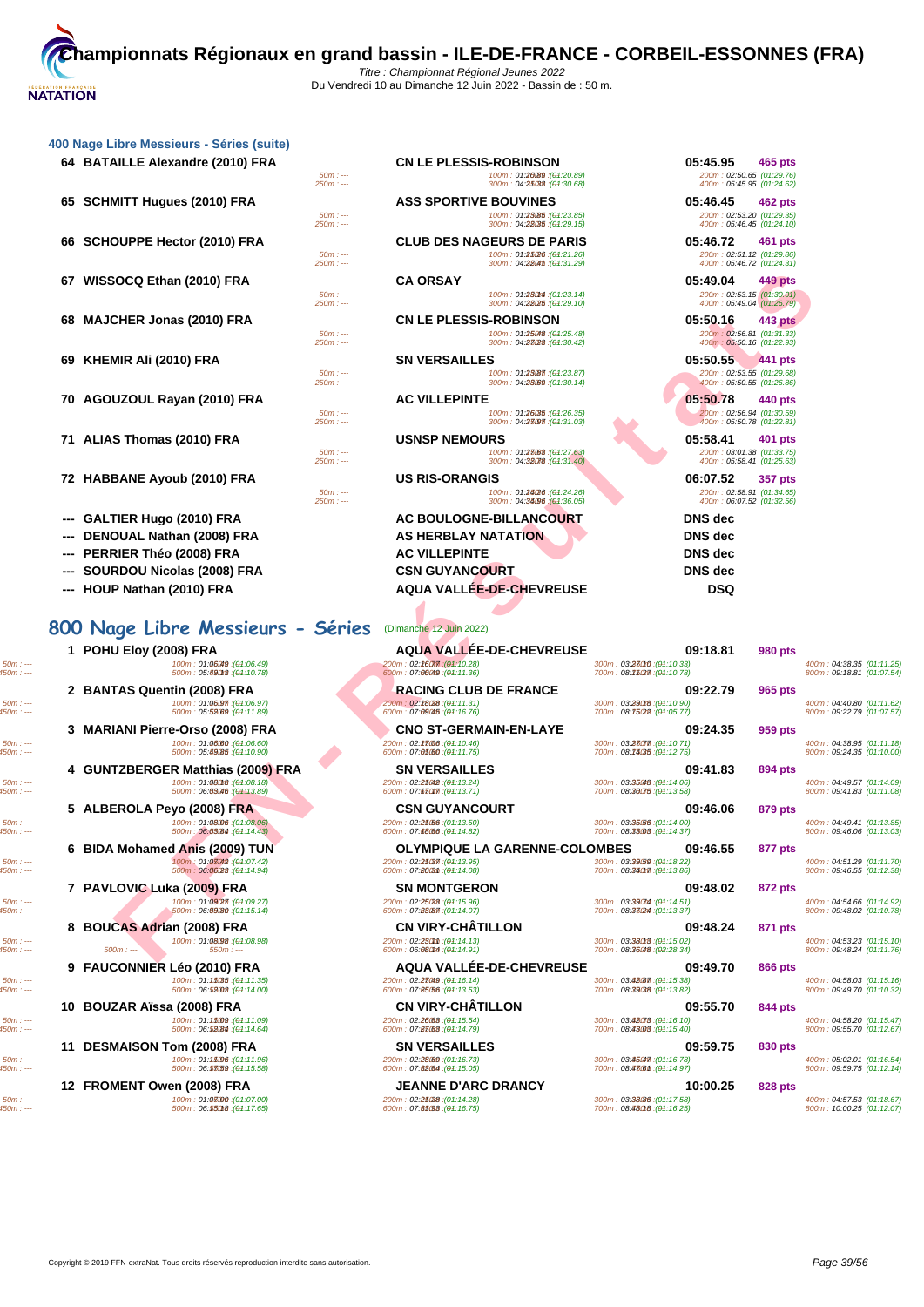|     | 400 Nage Libre Messieurs - Séries (suite) |                       |                                                                                             |                                                                               |
|-----|-------------------------------------------|-----------------------|---------------------------------------------------------------------------------------------|-------------------------------------------------------------------------------|
|     | 64 BATAILLE Alexandre (2010) FRA          | $50m: -$<br>$250m: -$ | <b>CN LE PLESSIS-ROBINSON</b><br>100m: 01:20089 : (01:20.89)<br>300m: 04:25033 : (04:30.68) | 05:45.95<br>465 pts<br>200m: 02:50.65 (01:29.76)<br>400m: 05:45.95 (01:24.62) |
|     | 65 SCHMITT Hugues (2010) FRA              |                       | <b>ASS SPORTIVE BOUVINES</b>                                                                | 05:46.45<br>462 pts                                                           |
|     |                                           | $50m: -$<br>$250m: -$ | 100m: 01:23085 : (04:23.85)<br>300m: 04:28035 : (04:29.15)                                  | 200m: 02:53.20 (01:29.35)<br>400m: 05:46.45 (01:24.10)                        |
|     | 66 SCHOUPPE Hector (2010) FRA             |                       | <b>CLUB DES NAGEURS DE PARIS</b>                                                            | 05:46.72<br>461 pts                                                           |
|     |                                           | $50m: -$<br>$250m: -$ | 100m: 01:25/26 : (04:21.26)<br>300m: 04:280m: (04:31.29)                                    | 200m: 02:51.12 (01:29.86)<br>400m: 05:46.72 (01:24.31)                        |
| 67  | WISSOCQ Ethan (2010) FRA                  |                       | <b>CA ORSAY</b>                                                                             | 05:49.04<br>449 pts                                                           |
|     |                                           | $50m: -$<br>$250m: -$ | 100m: 01:230M : (01:23.14)<br>300m: 04:28(25 : (04:29.10)                                   | 200m: 02:53.15 (01:30.01)<br>400m: 05:49.04 (01:26.79)                        |
|     | 68 MAJCHER Jonas (2010) FRA               |                       | <b>CN LE PLESSIS-ROBINSON</b>                                                               | 05:50.16<br>443 pts                                                           |
|     |                                           | $50m: -$<br>$250m: -$ | 100m: 01:25048 : (01:25.48)<br>300m: 04:23028 : (04:30.42)                                  | 200m: 02:56.81 (01:31.33)<br>400m: 05:50.16 (01:22.93)                        |
|     | 69 KHEMIR Ali (2010) FRA                  |                       | <b>SN VERSAILLES</b>                                                                        | 05:50.55<br>441 pts                                                           |
|     |                                           | $50m: -$<br>$250m: -$ | 100m: 01:23087 : (04:23.87)<br>300m: 04:23089 : (04:30.14)                                  | 200m: 02:53.55 (01:29.68)<br>400m: 05:50.55 (01:26.86)                        |
|     | 70 AGOUZOUL Rayan (2010) FRA              |                       | <b>AC VILLEPINTE</b>                                                                        | 05:50.78<br>440 pts                                                           |
|     |                                           | $50m: -$<br>$250m: -$ | 100m: 01:26085 : (01:26.35)<br>300m: 04:23097 : (04:31.03)                                  | 200m: 02:56.94 (01:30.59)<br>400m: 05:50.78 (01:22.81)                        |
|     | 71 ALIAS Thomas (2010) FRA                |                       | <b>USNSP NEMOURS</b>                                                                        | 05:58.41<br>401 pts                                                           |
|     |                                           | $50m: -$<br>$250m: -$ | 100m: 01:23088 : (01:27.63)<br>300m: 04:32078 : (04:31.40)                                  | 200m: 03:01.38 (01:33.75)<br>400m: 05:58.41 (01:25.63)                        |
|     | 72 HABBANE Ayoub (2010) FRA               |                       | <b>US RIS-ORANGIS</b>                                                                       | 06:07.52<br><b>357 pts</b>                                                    |
|     |                                           | $50m: -$<br>$250m: -$ | 100m: 01:24/26 : (01:24.26)<br>300m: 04:34096 (04:36.05)                                    | 200m: 02:58.91 (01:34.65)<br>400m: 06:07.52 (01:32.56)                        |
| --- | GALTIER Hugo (2010) FRA                   |                       | AC BOULOGNE-BILLANCOURT                                                                     | DNS dec                                                                       |
|     | DENOUAL Nathan (2008) FRA                 |                       | <b>AS HERBLAY NATATION</b>                                                                  | <b>DNS</b> dec                                                                |
|     | PERRIER Théo (2008) FRA                   |                       | <b>AC VILLEPINTE</b>                                                                        | <b>DNS</b> dec                                                                |
|     |                                           |                       |                                                                                             | ---- -                                                                        |

- **--- SOURDOU Nicolas (2008) FRA**
- **--- HOUP Nathan (2010) FRA AQUA VALLÉE-DE-CHEVREUSE DSQ**

# **800 Nage Libre Messieurs - Séries** (Dimanche 12 Juin 2022)

**1 POHU Eloy (2008) FRA AQUA VALLÉE-DE-CHEVREUSE 09:18.81 99:18.81 99:18.81 99:18.81 99:18.81 99:18.81 99:18.81 99:18.81 99:18.81 99:19.99 pts 99:19.81 99:19.99 pts 99:19.79 pts 99:19.** 

 $\texttt{50m}:--- \texttt{50m}:04:57.53 \textbf{ (01:18.67)} \begin{minipage}{0.9\textwidth} \begin{minipage}{0.9\textwidth} \begin{minipage}{0.9\textwidth} \begin{minipage}{0.9\textwidth} \begin{minipage}{0.9\textwidth} \begin{minipage}{0.9\textwidth} \begin{minipage}{0.9\textwidth} \begin{minipage}{0.9\textwidth} \begin{minipage}{0.9\textwidth} \begin{minipage}{0.9\textwidth} \begin{minipage}{0.9\textwidth} \begin{minipage}{0.9\textwidth} \begin{minipage}{0.9\textwidth$ 

| inie Messiedis - oelies (suite)                                                           |                                                                                               |                                                                                          |                     |
|-------------------------------------------------------------------------------------------|-----------------------------------------------------------------------------------------------|------------------------------------------------------------------------------------------|---------------------|
| AILLE Alexandre (2010) FRA                                                                | <b>CN LE PLESSIS-ROBINSON</b>                                                                 | 05:45.95<br>465 pts                                                                      |                     |
| $50m: -$<br>$250m: -$                                                                     | 100m: 01:20089 : (01:20.89)<br>300m: 04:25033 : (01:30.68)                                    | 200m: 02:50.65 (01:29.76)<br>400m: 05:45.95 (01:24.62)                                   |                     |
| MITT Hugues (2010) FRA<br>$50m: -$<br>$250m: -$                                           | <b>ASS SPORTIVE BOUVINES</b><br>100m: 01:23(85 : (01:23.85)<br>300m: 04:28035 : (04:29.15)    | 05:46.45<br>462 pts<br>200m: 02:53.20 (01:29.35)<br>400m: 05:46.45 (01:24.10)            |                     |
| <b>OUPPE Hector (2010) FRA</b><br>$50m: -$<br>$250m: -$                                   | <b>CLUB DES NAGEURS DE PARIS</b><br>100m: 01:25/26 : (01:21.26)<br>300m: 04:280m : (04:31.29) | 05:46.72<br>461 pts<br>200m: 02:51.12 (01:29.86)<br>400m: 05:46.72 (01:24.31)            |                     |
| SOCQ Ethan (2010) FRA<br>$50m: -$                                                         | <b>CA ORSAY</b><br>100m: 01:230m : (01:23.14)                                                 | 05:49.04<br>449 pts<br>200m: 02:53.15 (01:30.01)                                         |                     |
| $250m: -$<br>CHER Jonas (2010) FRA                                                        | 300m: 04:28/25 : (04:29.10)<br><b>CN LE PLESSIS-ROBINSON</b>                                  | 400m: 05:49.04 (01:26.79)<br>05:50.16<br>443 pts                                         |                     |
| $50m: -$<br>$250m: -$                                                                     | 100m: 01:25048 : (01:25.48)<br>300m: 04:23028 : (04:30.42)                                    | 200m: 02:56.81 (01:31.33)<br>400m: 05:50.16 (01:22.93)                                   |                     |
| MIR Ali (2010) FRA<br>$50m: -$                                                            | <b>SN VERSAILLES</b><br>100m: 01:23087 : (01:23.87)                                           | 05:50.55<br>441 pts<br>200m: 02:53.55 (01:29.68)                                         |                     |
| $250m: -$<br>UZOUL Rayan (2010) FRA<br>$50m: -$                                           | 300m: 04:23.69 : (01:30.14)<br><b>AC VILLEPINTE</b><br>100m: 01:26035: (01:26.35)             | 400m: 05:50.55 (01:26.86)<br>05:50.78<br>440 pts<br>200m: 02:56.94 (01:30.59)            |                     |
| $250m: -$                                                                                 | 300m: 04:28097 : (04:31.03)                                                                   | 400m: 05:50.78 (01:22.81)                                                                |                     |
| S Thomas (2010) FRA<br>$50m: -$<br>$250m: -$                                              | <b>USNSP NEMOURS</b><br>100m: 01:23083 : (01:27.63)<br>300m: 04:38078 : (04:31.40)            | 05:58.41<br>401 pts<br>200m: 03:01.38 (01:33.75)<br>400m: 05:58.41 (01:25.63)            |                     |
| BANE Ayoub (2010) FRA<br>$50m: -$                                                         | <b>US RIS-ORANGIS</b><br>100m: 01:24/26 : (01:24.26)                                          | 06:07.52<br>357 pts<br>200m: 02:58.91 (01:34.65)                                         |                     |
| $250m: -$                                                                                 | 300m: 04:34/96 (01:36.05)                                                                     | 400m: 06:07.52 (01:32.56)                                                                |                     |
| TIER Hugo (2010) FRA                                                                      | <b>AC BOULOGNE-BILLANCOURT</b>                                                                | <b>DNS</b> dec                                                                           |                     |
| OUAL Nathan (2008) FRA                                                                    | <b>AS HERBLAY NATATION</b>                                                                    | <b>DNS</b> dec                                                                           |                     |
| RIER Théo (2008) FRA                                                                      | <b>AC VILLEPINTE</b>                                                                          | <b>DNS</b> dec                                                                           |                     |
| RDOU Nicolas (2008) FRA                                                                   | <b>CSN GUYANCOURT</b>                                                                         | <b>DNS</b> dec                                                                           |                     |
| P Nathan (2010) FRA                                                                       | <b>AQUA VALLÉE-DE-CHEVREUSE</b>                                                               | <b>DSQ</b>                                                                               |                     |
|                                                                                           |                                                                                               |                                                                                          |                     |
| ige Libre Messieurs - Séries                                                              | (Dimanche 12 Juin 2022)                                                                       |                                                                                          |                     |
| <b>U Eloy (2008) FRA</b><br>100m: 01:06049 : (01:06.49)<br>500m: 05.49018 : (01:10.78)    | <b>AQUA VALLEE-DE-CHEVREUSE</b><br>200m: 02:26077 : (04:10.28)<br>600m: 07:00049 : (04:11.36) | 09:18.81<br><b>980 pts</b><br>300m: 03:280r0 : (01:10.33)<br>700m: 08:75(27): (04:10.78) | 400m: l<br>800m: 0  |
| TAS Quentin (2008) FRA<br>100m: 01:06.97 : (01:06.97)                                     | <b>RACING CLUB DE FRANCE</b><br>200m: 02:28/28 : (04:11.31)                                   | 09:22.79<br>965 pts<br>300m: 03:29018 : (01:10.90)                                       | 400m: l             |
| 500m: 05:52.69 : (01:11.89)                                                               | 600m: 07:09045 : (04:16.76)                                                                   | 700m: 08:75022 : (04:05.77)                                                              | 800m : t            |
| IANI Pierre-Orso (2008) FRA<br>100m: 01:06:60 : (01:06.60)<br>500m: 05:49(85 : (04:10.90) | <b>CNO ST-GERMAIN-EN-LAYE</b><br>(04:10.46): 200m: 02:28@6<br>600m: 07:05:00 : (04:11.75)     | 09:24.35<br>959 pts<br>300m: 03:28077 : (01:10.71)<br>700m: 08: 14085 : (01:12.75)       | 400m: l<br>800m : t |
| TZBERGER Matthias (2009) FRA<br>100m: 01:08018 : (01:08.18)                               | <b>SN VERSAILLES</b><br>200m: 02:25042 : (04:13.24)                                           | 09:41.83<br>894 pts<br>300m: 03:35048 : (01:14.06)                                       | 400m: l             |
| 500m: 06:03046 : (01:13.89)                                                               | 600m: 07:68017. (04:13.71)                                                                    | 700m: 08:30075 : (04:13.58)                                                              | 800m : t            |
| EROLA Peyo (2008) FRA<br>100m: 01:08/06 : (01:08.06)<br>500m: 06:03084 : (01:14.43)       | <b>CSN GUYANCOURT</b><br>200m: 02:25/56 : (04:13.50)<br>600m: 07:68.66 : (04:14.82)           | 09:46.06<br>879 pts<br>300m: 03:35/56 : (01:14.00)<br>700m: 08:33008 : (04:14.37)        | 400m:0<br>800m: 0   |
| Mohamed Anis (2009) TUN                                                                   | OLYMPIQUE LA GARENNE-COLOMBES                                                                 | 09:46.55<br>877 pts                                                                      |                     |
| 100m: 01:08042 : (01:07.42)<br>500m: 06:06/28 : (01:14.94)                                | 200m: 02:25037 : (04:13.95)<br>600m: 07:8603m: (04:14.08)                                     | 300m: 03:39/59 : (01:18.22)<br>700m: 08:34017 : (04:13.86)                               | 400m : t<br>800m: 0 |
| LOVIC Luka (2009) FRA<br>100m: 01:09(27): (01:09.27)<br>500m : 06:09080 : (04:15.14)      | <b>SN MONTGERON</b><br>200m: 02:25(28:(04:15.96)<br>600m: 07:83/87 : (04:14.07)               | 09:48.02<br>872 pts<br>300m: 03:39074 : (01:14.51)<br>700m: 08:33024 : (01:13.37)        | 400m : t<br>800m: 0 |
| CAS Adrian (2008) FRA<br>100m: 01:08098 : (01:08.98)                                      | <b>CN VIRY-CHATILLON</b><br>200m: 02:230mm : (04:14.13)                                       | 09:48.24<br>871 pts<br>300m: 03:38018 : (01:15.02)                                       | 400m : t            |
| : 0m<br>$550m: -$                                                                         | 600m: 06:080M : (01:14.91)                                                                    | 700m: 08:36048 : (02:28.34)                                                              | 800m: 0             |

 $\textit{50m}: \textit{---}\qquad \textit{50m}: 04.38.35 \text{ (01:11.25)}\\ \textit{500m}: 05.490 \text{ (01:10.76)}\\ \textit{500m}: 07.490 \text{ (01:11.76)}\\ \textit{500m}: 07.490 \text{ (01:11.77)}\\ \textit{500m}: 09.75.80 \text{ (01:11.78)}\\ \textit{500m}: 09.75.80 \text{ (01:11.79)}\\ \textit{500m}: 09.75.80 \$ **2 BANTAS Quentin (2008) FRA RACING CLUB DE FRANCE 09:22.79 99.22.79 966 pts 964.01.897 965 pts 966 97.9828 965 pts 966 97.9828 965 pts 966 97.9828 965 pts 966 965 pts 966 965 pts**  $\texttt{400m: 01.06097. (04:10.87)} \\\texttt{500m: 00.55000: 00:11.62)} \\\texttt{500m: 00.78000: 00.78000: 00.78000: 00.78000: 00.78000: 00.78000: 00.78000: 00.78000: 00.78000: 00.78000: 00.78000: 00.78000: 00.78000: 00.78000: 00.78000:$ **3 MARIANI Pierre-Orso (2008) FRA CNO ST-GERMAIN-EN-LAYE 09:24.35 99:24.35 99:24.35 99:24.35 99:24.35 99:24.35 99:24.35 99:24.35 99:24.35 99:24.35 99:24.35 99:2500 99:00 99:2500 99:2500**  $\texttt{50m:}\dots \texttt{50m:}\dots \texttt{600m:01:06080} \textbf{00m:02:00m:02:00m:02:00m:02:00m:03:00m:03:00m:03:00m:03:00m:03:00m:03:00m:03:00m:03:00m:03:00m:03:00m:03:00m:03:00m:03:00m:03:00m:03:00m:03:00m:03:00m:03:00m:03:00m:03:00m:03:00m$ **4 GUNTZBERGER Matthias (2009) FRA SN VERSAILLES 09:41.83 899411.83 899411.83 899411.83 899411.83 899411.83 899411.83 899411.83 899411.83 899411.83 899411.83 899411.83 899411.83 899411.83**  $\texttt{50m:}\dots \texttt{50m:}\dots \texttt{60m:00449.57 (01:14.09)} \\\texttt{500m:0069000 (01:13.89)} \\\texttt{50m:}\dots \texttt{60m:07:86000 (01:13.71)} \\\texttt{600m:07:86000 (01:13.71)} \\\texttt{60m:07:86000 (01:13.71)} \\\texttt{60m:08:86000 (01:13.89)} \\\texttt{60m:09:41.83 (01:11.08)} \$ **5 ALBEROLA Peyo (2008) FRA CSN GUYANCOURT 09:46.06 09:46.06 819 pts CSN GUYANCOURT 09:46.06 879 pts 200m**: 02:25668 (04:14.02) **100m**: 02:25668 (04:14.02) **600m**: 02:25668 (04:14.02) **600m**: 07:6808 (04:  $\texttt{50m:}\dots \\ \texttt{50m:}\dots \\ \texttt{60m:}\dots \\ \texttt{600m:}\dots \\ \texttt{600m:}\dots \\ \texttt{600m:}\dots \\ \texttt{600m:}\dots \\ \texttt{600m:}\dots \\ \texttt{600m:}\dots \\ \texttt{600m:}\dots \\ \texttt{600m:}\dots \\ \texttt{600m:}\dots \\ \texttt{600m:}\dots \\ \texttt{600m:}\dots \\ \texttt{600m:}\dots \\ \texttt{60m:}\dots \\ \texttt{60m:}\dots \\ \texttt{60m:}\dots \\ \texttt{60m:}\dots$ **6 BIDA Mohamed Anis (2009) TUN OLYMPIQUE LA GARENNE-COLOMBES 09:46.55 89869** (94:18.25)<br> **6 87869 87869 87869 87869 87869 88969 8900m 878698 8900m 878698 8900m 87869 88969 89:14.3.86**  $\texttt{50m}: \texttt{---} \qquad \qquad \texttt{400m}: \texttt{04:51.29} \qquad \qquad \texttt{171.70} \qquad \qquad \texttt{200m}: \texttt{02:25037}: \texttt{04:13.95} \qquad \qquad \texttt{200m}: \texttt{02:25037}: \texttt{04:13.95} \qquad \qquad \texttt{300m}: \texttt{03:3907}: \texttt{04:14.22} \qquad \qquad \texttt{04:14.23} \qquad \qquad \texttt{050m}: \texttt{0$ **7 PAVLOVIC Luka (2009) FRA SN MONTGERON 09:48.02 872 <b>872 pts**<br> **100m** : 01:0927 (94:05.22) **820 pts 872 pts 872 pts 872 pts 872 pts 872 pts 872 pts 88.02 890 pts 872 pts 88.02 890 pts 872** 50m : --- 100m : 01:09.27 150m : --- (01:09.27) 200m : 02:25.230m : --- (01:15.96) 300m : 03:39.7450m : --- (01:14.51) 400m : 04:54.66 (01:14.92) 450m : --- 500m : 06:09.80 550m : --- (01:15.14) 600m : 07:23.87 650m : --- (01:14.07) 700m : 08:37.24 750m : --- (01:13.37) 800m : 09:48.02 (01:10.78) **8 BOUCAS Adrian (2008) FRA CN VIRY-CHÂTILLON 09:48.24 09:48.24 871 pts 09:48.24 870 pts 09:48.24 871 pts 100m** : **01:08:08 (44:16.02) 870 pts 101:16.02 871 pts 101:16.02 871 pps 101:16.02**  $\textit{50m}: \text{---} \quad \textit{500m}: 01:0808: (01:08.98) \quad \textit{600m}: 01:0808: (01:08.98) \quad \textit{600m}: 02:2808: (01:19.19) \quad \textit{600m}: 03:0808: (01:19.19) \quad \textit{600m}: 03:0808: (02:28.34) \quad \textit{600m}: 04:08.28: (01:19.19) \quad \textit{600m}: 03:0808: (02:28$ **9 FAUCONNIER Léo (2010) FRA AQUA VALLÉE-DE-CHEVREUSE 09:49.70 89:49.70 866 pts 866 pts 866 pts 866 pts 866 pts 866 pts 866 pts 866 pts 866 pts 866 pts 866 pts 866 pts 866 pts 866 pts**  $\texttt{50m:}\dots \\ \texttt{50m:}\dots \\ \texttt{60m:00:10000} \texttt{000m:00:0000} \texttt{000m:00:0000} \texttt{000m:00:28648} \texttt{000m:00:28648} \texttt{000m:00:28648} \texttt{000m:00:0000} \texttt{000m:00:00:00:0000} \texttt{000m:00:0000} \texttt{000m:00:0000} \texttt{000m:00:0000} \text$ **10 BOUZAR Aïssa (2008) FRA CN VIRY-CHÂTILLON 09:55.70 89:55.70 89:55.70 844 pts**<br> **200m**: **02:26:68** (94:15.54) **800m**: 03:32:07: **844 pps 844 pps 844 pps 844 pps 844 pps 844 pps 844 pps 844 pps** 50m : --- 100m : 01:11.0950m : --- (01:11.09) 200m : 02:26.6350m : --- (01:15.54) 300m : 03:42.73 350m : --- (01:16.10) 400m : 04:58.20 (01:15.47) 450m : --- 500m : 06:12.84 550m : --- (01:14.64) 600m : 07:27.63 650m : --- (01:14.79) 700m : 08:43.03 750m : --- (01:15.40) 800m : 09:55.70 (01:12.67) **11 DESMAISON Tom (2008) FRA SN VERSAILLES 09:59.75 811 DESMAISON Tom**: 01:159.9.75<br> **100m**: 01:15.99 **830 pts** (94:11.96) **830 pts 830 pts 830 pts 830 pts 830 pts 830 pts 830 pts 830 pts 830 pts**  $\texttt{50m:}\dots \\ \texttt{50m:}\dots \\ \texttt{500m:}\texttt{005:05:05:00} \\ \texttt{500m:}\texttt{006:05:05:00} \\ \texttt{500m:07:008:00} \\ \texttt{50m:07:08:08} \\ \texttt{60m:07:08:08:0} \\ \texttt{600m:07:08:08:0} \\ \texttt{600m:07:08:08:0} \\ \texttt{60m:07:08:08:0} \\ \texttt{60m:07:08:08:0} \\ \texttt{$ **12 FROMENT Owen (2008) FRA JEANNE D'ARC DRANCY 10:00.25**<br> **12 10:00 10:00.25 800m 10:00.25 828 pts**<br> **800m 8286 personal come of the set of the set of the set of the set of the set of the set of the set** 

| 05:45.95 465 pts                                       |                |
|--------------------------------------------------------|----------------|
| 200m: 02:50.65 (01:29.76)                              |                |
| 400m: 05:45.95 (01:24.62)                              |                |
| 05:46.45                                               | 462 pts        |
| 200m: 02:53.20 (01:29.35)                              |                |
| 400m: 05:46.45 (01:24.10)                              |                |
| 05:46.72 461 pts                                       |                |
| 200m: 02:51.12 (01:29.86)<br>400m: 05:46.72 (01:24.31) |                |
|                                                        |                |
| 05:49.04                                               | <b>449 pts</b> |
| 200m: 02:53.15 (01:30.01)<br>400m: 05:49.04 (01:26.79) |                |
|                                                        |                |
| 05:50.16                                               | 443 pts        |
| 200m: 02:56.81 (01:31.33)<br>400m: 05:50.16 (01:22.93) |                |
|                                                        |                |
| 05:50.55<br>200m: 02:53.55 (01:29.68)                  | 441 pts        |
| 400m: 05:50.55 (01:26.86)                              |                |
| 05:50.78                                               | 440 pts        |
| 200m: 02:56.94 (01:30.59)                              |                |
| 400m: 05:50.78 (01:22.81)                              |                |
| 05:58.41                                               | 401 pts        |
| 200m: 03:01.38 (01:33.75)                              |                |
| 400m: 05:58.41 (01:25.63)                              |                |
| 06:07.52                                               | 357 pts        |
| 200m: 02:58.91 (01:34.65)                              |                |
| 400m: 06:07.52 (01:32.56)                              |                |
| <b>DNS</b> dec                                         |                |
| <b>DNS</b> dec                                         |                |
| <b>DNS</b> dec                                         |                |
|                                                        |                |
| <b>DNS dec</b>                                         |                |
| חפח                                                    |                |

| 980 pts        |                                                        |
|----------------|--------------------------------------------------------|
|                | 400m: 04:38.35 (01:11.25)<br>800m: 09:18.81 (01:07.54) |
| 965 pts        |                                                        |
|                | 400m: 04:40.80 (01:11.62)<br>800m: 09:22.79 (01:07.57) |
| 959 pts        |                                                        |
|                | 400m: 04:38.95 (01:11.18)<br>800m: 09:24.35 (01:10.00) |
| <b>894 pts</b> |                                                        |
|                | 400m: 04:49.57 (01:14.09)                              |
|                | 800m: 09:41.83 (01:11.08)                              |
| 879 pts        |                                                        |
|                | 400m: 04:49.41 (01:13.85)<br>800m: 09:46.06 (01:13.03) |
| 877 pts        |                                                        |
|                | 400m: 04:51.29 (01:11.70)<br>800m: 09:46.55 (01:12.38) |
|                |                                                        |
| 872 pts        | 400m: 04:54.66 (01:14.92)                              |
|                | 800m: 09:48.02 (01:10.78)                              |
| 871 pts        |                                                        |
|                | 400m: 04:53.23 (01:15.10)<br>800m: 09:48.24 (01:11.76) |
| 866 pts        |                                                        |
|                | 400m: 04:58.03 (01:15.16)                              |
|                | 800m: 09:49.70 (01:10.32)                              |
| <b>844 pts</b> | 400m: 04:58.20 (01:15.47)                              |
|                | 800m: 09:55.70 (01:12.67)                              |
| 830 pts        |                                                        |
|                | 400m: 05:02.01 (01:16.54)<br>800m: 09:59.75 (01:12.14) |
| 828 pts        |                                                        |
|                | 400m: 04:57.53 (01:18.67)                              |
|                | 800m: 10:00.25 (01:12.07)                              |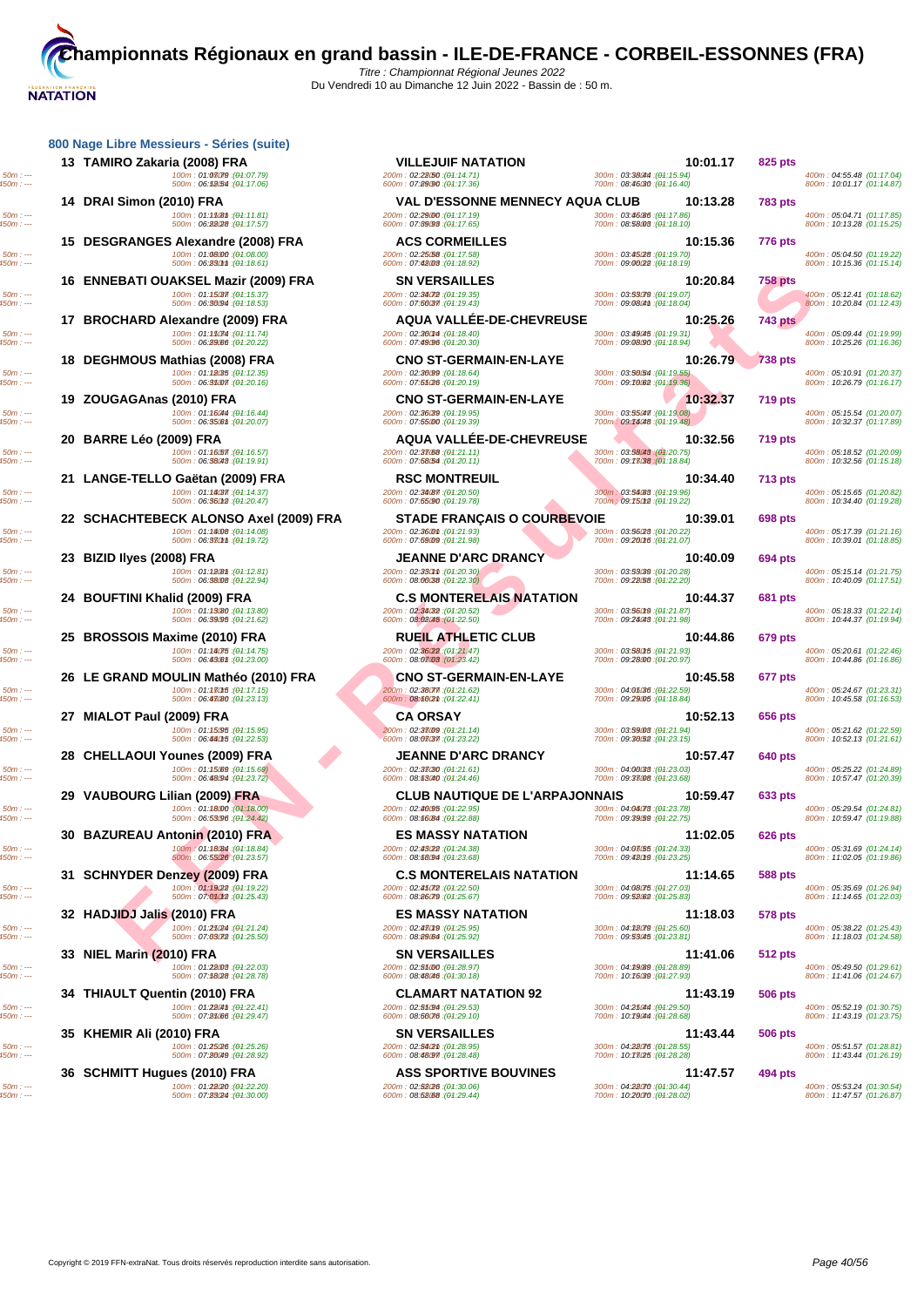# **NATATION**

| 50m : -- <mark>-</mark><br>50m : --- |  |
|--------------------------------------|--|
| 50m : -- <mark>-</mark><br>50m : --- |  |
| 50m : -- <mark>-</mark><br>50m : --- |  |
| 50m : ---<br>50m : ---               |  |
| 50m : ---<br>50m : ---               |  |
| 50m : -- <mark>-</mark><br>50m : --- |  |
| 50m : ---<br>50m : ---               |  |
| 50m : -- <mark>-</mark><br>50m : --- |  |
| 50m : ---<br>50m : ---               |  |
| 50m : ---<br>50m : ---               |  |
| 50m : -- <mark>-</mark><br>50m : --- |  |
| 50m : ---<br>50m : ---               |  |
| 50m : ---<br>50m : ---               |  |
| 50m : ---<br>50m : ---               |  |
| 50m : -- <mark>-</mark><br>50m : --- |  |
| 50m : -- <mark>-</mark><br>50m : --- |  |
| 50m : ---<br>50m : ---               |  |
| : 50m<br>: 50m                       |  |
| ة<br>ئ                               |  |
| 50m :<br>50m :                       |  |

**14 DRAI Simon (2010) FRA VAL D'ESSONNE MENNECY AQUA CLUB 10:13.28 783 pts** 450m : --- 500m : 06:22.28 550m : --- (01:17.57) 600m : 07:39.93 650m : --- (01:17.65) 700m : 08:58.03 750m : --- (01:18.10) 800m : 10:13.28 (01:15.25) **15 DESGRANGES Alexandre (2008) FRA ACS CORMEILLES 10:15.36 776 pts 16 ENNEBATI OUAKSEL Mazir (2009) FRA SN VERSAILLES 10:20.84 758 pts 17 BROCHARD Alexandre (2009) FRA AQUA VALLÉE-DE-CHEVREUSE 10:25.26 743 pts** 450m : --- 500m : 06:29.66 550m : --- (01:20.22) 600m : 07:49.96 650m : --- (01:20.30) 700m : 09:08.90 750m : --- (01:18.94) 800m : 10:25.26 (01:16.36) **18 DEGHMOUS Mathias (2008) FRA CNO ST-GERMAIN-EN-LAYE 10:26.79 738 pts** 50m : --- 100m : 01:12.3550m : --- (01:12.35) 200m : 02:30.99 250m : --- (01:18.64) 300m : 03:50.54 350m : --- (01:19.55) 400m : 05:10.91 (01:20.37) 450m : --- 500m : 06:31.07 550m : --- (01:20.16) 600m : 07:51.26 650m : --- (01:20.19) 700m : 09:10.62 750m : --- (01:19.36) 800m : 10:26.79 (01:16.17) **19 ZOUGAGAnas (2010) FRA CNO ST-GERMAIN-EN-LAYE 10:32.37 719 pts**  $\texttt{50m:}\dots \texttt{50m:}\dots \texttt{60m:00:16044} \texttt{00m:01:16044} \texttt{01:16.44}) \\\texttt{50m:}\dots \texttt{60m:02:3608} \texttt{60m:02:3608} \texttt{60m:03:5606} \texttt{61:19.95} \texttt{01:19.96} \texttt{01:19.7608} \texttt{01:19.97} \texttt{01:19.97} \texttt{02:19.98} \texttt{02:19.99} \$ **20 BARRE Léo (2009) FRA AQUA VALLÉE-DE-CHEVREUSE 10:32.56 719 pts**  $450m$  : ---  $500m$  :  $06: $86043$   $(94:19.91)$   $600m$  :  $07:58054$   $(94:20.11)$   $700m$  :  $09:77036$   $(94:18.84)$   $800m$  :  $10:32.56$   $(01:15.18)$$ **21 LANGE-TELLO Gaëtan (2009) FRA RSC MONTREUIL 10:34.40 713 pts**  $450m$  : ---  $500m$  :  $06.360M$   $(94.20.47)$   $600m$  :  $07.55090$   $(94.19.78)$   $700m$   $09.750M$   $(94.19.22)$   $800m$  :  $10.34.40$   $(01.19.28)$ **22 SCHACHTEBECK ALONSO Axel (2009) FRA STADE FRANÇAIS O COURBEVOIE 10:39.01 698 pts 23 BIZID Ilyes (2008) FRA JEANNE D'ARC DRANCY 10:40.09 694 pts**  $50m : \dots$   $500m : 01:12081 : (91:12.81)$   $500m : 01:33041 : (91:21.75)$   $500m : 01:370m : 027681 : (91:21.75)$   $500m : 01:370m : 01:300m : (91:21.75)$   $500m : 01:370m : 01:300m : (91:21.75)$   $500m : 01:370m : (91:21.75)$   $500m : 01:370m : (91:21.$  $450m$  : ---  $500m$  :  $06:38008$   $(94.22.94)$   $600m$  :  $08:06038$   $(94.22.30)$   $700m$  :  $09.22058$   $(94.22.20)$   $800m$  :  $10:40.09$   $(01:17.51)$ **24 BOUFTINI Khalid (2009) FRA C.S MONTERELAIS NATATION 10:44.37 681 pts** 450m : --- 500m : 06:39.95 550m : --- (01:21.62) 600m : 08:02.45 650m : --- (01:22.50) 700m : 09:24.43 750m : --- (01:21.98) 800m : 10:44.37 (01:19.94) **25 BROSSOIS Maxime (2010) FRA RUEIL ATHLETIC CLUB 10:44.86 679 pts**

**[800 Nage](http://www.ffnatation.fr/webffn/index.php) Libre Messieurs - Séries (suite)**

**26 LE GRAND MOULIN Mathéo (2010) FRA CNO ST-GERMAIN-EN-LAYE 10:45.58 677 pts** 450m : --- 500m : 06:47.80 550m : --- (01:23.13) 600m : 08:10.21 650m : --- (01:22.41) 700m : 09:29.05 750m : --- (01:18.84) 800m : 10:45.58 (01:16.53)

**36 SCHMITT Hugues (2010) FRA ASS SPORTIVE BOUVINES 11:47.57 194** pts **11:47.57 494 pts 100m**: 01:2820:0 (04:22.20) 50m : --- 100m : 01:22.20 150m : --- (01:22.20) 200m : 02:52.26 250m : --- (01:30.06) 300m : 04:22.70 350m : --- (01:30.44) 400m : 05:53.24 (01:30.54) 450m : --- 500m : 07:23.24 550m : --- (01:30.00) 600m : 08:52.68 650m : --- (01:29.44) 700m : 10:20.70 750m : --- (01:28.02) 800m : 11:47.57 (01:26.87)

ERATIONATIE. HE UASSESS ARE DESCRIPTION ON A COUR MATERIAL ESTE DE TRANSPORTER DE CONTENENT DE CONTENENT DE CONTENENT DE CONTENENT DE CONTENENT DE CONTENET DE CONTENET DE CONTENET DE CONTENET DE CONTENET DE CONTENET DE CON **13 TAMIRO Zakaria (2008) FRA VILLEJUIF NATATION 10:01.17 10:01.17 825 pts**<br> **13 100m**: 01:03.38044 (94:15.94)<br> **13 10:01.17 18:3804** (94:17.06) **10:03.3804** (94:17.06) **10:07.2809** (94:17.36) **10:01.17 1** 50m : --- 100m : 01:07.79 150m : --- (01:07.79) 200m : 02:22.5050m : --- (01:14.71) 300m : 03:38.4450m : --- (01:15.94) 400m : 04:55.48 (01:17.04) 450m : --- 500m : 06:12.54 550m : --- (01:17.06) 600m : 07:29.90 650m : --- (01:17.36) 700m : 08:46.30 750m : --- (01:16.40) 800m : 10:01.17 (01:14.87) 50m : --- 100m : 01:11.8150m : --- (01:11.81) 200m : 02:29.0050m : --- (01:17.19) 300m : 03:46.86 350m : --- (01:17.86) 400m : 05:04.71 (01:17.85) 50m : --- 100m : 01:08.00 150m : --- (01:08.00) 200m : 02:25.580m : --- (01:17.58) 300m : 03:45.28 30m : --- (01:19.70) 400m : 05:04.50 (01:19.22)  $\frac{100 \text{m} \cdot 01.15 \cancel{371}}{500 \text{m} \cdot 0.512.41} \cdot \frac{(01.15 \cancel{371}}{100 \text{m} \cdot 0.512.41} \cdot \frac{(01.15 \cancel{371}}{100 \text{m} \cdot 0.512.41} \cdot \frac{(01.15 \cancel{371}}{100 \text{m} \cdot 0.512.41} \cdot \frac{(01.15 \cancel{371}}{100 \text{m} \cdot 0.512.41} \cdot \frac{(01.15 \cancel{371}}{100$  $\frac{100 \text{ m} \cdot 01 \cdot 150 \text{ m} \cdot (94 \cdot 11.74)}{400 \text{ m} \cdot 0.509 \cdot 44 \cdot (01 \cdot 19.99)} \times \frac{200 \text{ m} \cdot 02 \cdot 360 \text{ m} \cdot (94 \cdot 18.40)}{500 \text{ m} \cdot 0.000 \text{ m} \cdot 0.000 \text{ m} \cdot 0.000 \text{ m} \cdot 0.000} \times \frac{100 \text{ m} \cdot 0.000 \text{ m} \cdot 0.000 \text{ m} \cdot 0$  $\begin{array}{l} \textbf{10m : 01:1657 (91:16.57)}\\ \textbf{500m : 02:3768 (91:20.17)}\\ \textbf{500m : 03:5868 (91:20.75)}\\ \textbf{600m : 04:18.57} \end{array} \qquad \begin{array}{l} \textbf{200m : 02:3868 (91:20.75)}\\ \textbf{500m : 03:5868 (91:20.75)}\\ \textbf{600m : 04:18.84)}\\ \textbf{700m : 09:77638 (9$  $\frac{100m}{100m} \cdot \frac{0.14837}{0.000m} \cdot \frac{0.94837}{0.000m} \cdot \frac{0.23487}{0.000m} \cdot \frac{0.945183 \cdot (91 \cdot 20.50)}{0.000m} \cdot \frac{0.35488 \cdot (91 \cdot 19.96)}{0.000m} \cdot \frac{0.0000m}{0.000m} \cdot \frac{0.0000m}{0.000m} \cdot \frac{0.00000m}{0.0000m} \cdot \frac{0.000000m}{0$  $\begin{array}{r} \hline 100m : \mathbf{0114} \mathbf{008} \ \mathbf{091} \ \mathbf{010} \ \mathbf{011} \ \mathbf{010} \ \mathbf{011} \ \mathbf{011} \ \mathbf{011} \ \mathbf{012} \ \mathbf{013} \ \mathbf{013} \ \mathbf{014} \ \mathbf{013} \ \mathbf{013} \ \mathbf{014} \ \mathbf{013} \ \mathbf{013} \ \mathbf{014} \ \mathbf{013} \ \mathbf{014} \ \mathbf{013} \ \mathbf{01$  $\frac{100m}{100m} \cdot \frac{10130B}{100m} \cdot \frac{(91.21.87)}{100m} \cdot \frac{10130B}{100m} \cdot \frac{10130B}{100m} \cdot \frac{10130B}{100m} \cdot \frac{10130B}{100m} \cdot \frac{10130B}{100m} \cdot \frac{10130B}{100m} \cdot \frac{10130B}{100m} \cdot \frac{10130B}{100m} \cdot \frac{10130B}{100m} \cdot \frac{10130B}{100m}$  $100m : 01:14.75 \tag{94.21.93} 100m : 01:14.75 \tag{94.21.95} 100m : 02:36.22 \cdot (04:21.47)$  $\frac{100 \text{ m} \cdot 01 \cdot 17.05}{600 \text{ m} \cdot 04.05 \cdot 04.05 \cdot 04.05 \cdot 04.05 \cdot 04.05 \cdot 04.05 \cdot 04.05 \cdot 04.05 \cdot 04.05 \cdot 04.05 \cdot 04.05 \cdot 04.05 \cdot 04.05 \cdot 04.05 \cdot 04.05 \cdot 04.05 \cdot 04.05 \cdot 04.05 \cdot 04.05 \cdot 04.05 \cdot 04.05 \cdot 04.05 \cdot 04.05 \cdot$ **27 MIALOT Paul (2009) FRA CA ORSAY 10:52.13 656 pts**  $\begin{array}{l|l} \hline 100m : 01:15.095 \cdot (04:15.95) \cr \hline \end{array} \hspace{1.5cm} \begin{array}{l} \hline \end{array} \hspace{1.5cm} \hline \end{array} \hspace{1.5cm} \begin{array}{l} \hline \end{array} \hspace{1.5cm} \hline \end{array} \hspace{1.5cm} \begin{array}{l} \hline \end{array} \hspace{1.5cm} \begin{array}{l} \hline \end{array} \hspace{1.5cm} \begin{array}{l} \hline \end{array} \hspace{1.5cm} \hline \end{array}$ **28 CHELLAOUI Younes (2009) FRA JEANNE D'ARC DRANCY 10:57.47 640 pts**  $100m : 01:15.699$   $100m : 01:15.699$   $100m : 06:89.994 \ (94:23.72)$   $500m : 06:89.994 \ (94:23.72)$   $500m : 06:89.994 \ (94:23.72)$   $500m : 06:89.994 \ (94:23.68)$ **29 VAUBOURG Lilian (2009) FRA CLUB NAUTIQUE DE L'ARPAJONNAIS 10:59.47 633 pts**  $\begin{array}{l} 100m: \textbf{01:18.00} \end{array} \begin{array}{c} 200m: \textbf{02:8085:(04:22.95) } \end{array} \begin{array}{c} 200m: \textbf{02:8085:(04:22.95) } \end{array} \begin{array}{c} 200m: \textbf{03:95067:(04:23.78) } \end{array} \begin{array}{c} 300m: \textbf{04:08478:(04:23.78) } \end{array} \begin{array}{c} 300m: \textbf{05:95067:(0$ 450m : --- 500m : 06:53.9650m : --- (01:24.42) 600m : 08:16.84 650m : --- (01:22.88) 700m : 09:39.59 750m : --- (01:22.75) 800m : 10:59.47 (01:19.88) **30 BAZUREAU Antonin (2010) FRA ES MASSY NATATION 11:02.05 626 pts**  $\frac{100}{100}$ : 01:18.84 (91:18.84)  $200$  : 02:33.22 (91:24.38)  $49$ :24.38)  $30$  : 03:35.69 (01:24.14)  $30$  : 03:35.69 (01:24.14)  $40$  : 05:31.69 (01:24.14)  $60$  : 05:31.69 (01:24.14)  $60$  : 05:31.69 (01:19.86)  $60$  : 01:0 **31 SCHNYDER Denzey (2009) FRA C.S MONTERELAIS NATATION 11:14.65 11:14.65 588 pts**<br> **11:14.65 100m**: 01:1922 (04:19.22)<br> **500m**: 07:03:02 **11:14.65 10:125.43 10:125.43 10:02:05:00** (04:25.67) **10:05:00:00** 500m : 400m : 05:35.69 (14:19:28) {14:19:29} {14:25,49} {14:25,59} {14:25,59} {16:27,03} {16:359} {14:25,69} {16:359} {14:25,69} {16:359} {16:359} {16:359} {16:359} {16:359} {16:359} {16:359} {16:359} {16:359} {16:359} {1 **32 HADJIDJ Jalis (2010) FRA ES MASSY NATATION 11:18.03 578 pts** 50m : --- 100m : 01:21.24 150m : --- (01:21.24) 200m : 02:47.19 250m : --- (01:25.95) 300m : 04:12.79 350m : --- (01:25.60) 400m : 05:38.22 (01:25.43) 450m : --- 500m : 07:03.72 550m : --- (01:25.50) 600m : 08:29.64 650m : --- (01:25.92) 700m : 09:53.45 750m : --- (01:23.81) 800m : 11:18.03 (01:24.58) **33 NIEL Marin (2010) FRA SN VERSAILLES 11:41.06 11:41.06 512 pts 11:41.06 512 pts 11:41.06 512 pts** 50m : --- 100m : 01:22.03 150m : --- (01:22.03) 200m : 02:51.00 250m : --- (01:28.97) 300m : 04:19.89 350m : --- (01:28.89) 400m : 05:49.50 (01:29.61) 450m : --- 500m : 07:18.28 550m : --- (01:28.78) 600m : 08:48.46 650m : --- (01:30.18) 700m : 10:16.39 750m : --- (01:27.93) 800m : 11:41.06 (01:24.67) **34 THIAULT Quentin (2010) FRA CLAMART NATATION 92 11:43.19 11:43.19 506 pts**<br> **11:43.19 11:43.19 11:43.19 500m**: 01:28.41)<br> **500m**: 07:28.69 **500m**: 09:28.47 **12:39.47 12:39.47 12:39.10 12:39.10 12** 50m : --- 100m : 01:22.41 150m : --- (01:22.41) 200m : 02:51.94 250m : --- (01:29.53) 300m : 04:21.44 350m : --- (01:29.50) 400m : 05:52.19 (01:30.75) 450m : --- 500m : 07:21.66 550m : --- (01:29.47) 600m : 08:50.76 650m : --- (01:29.10) 700m : 10:19.44 750m : --- (01:28.68) 800m : 11:43.19 (01:23.75) **35 KHEMIR Ali (2010) FRA SN VERSAILLES 11:43.44 506 pts** 50m : --- 100m : 01:25.26 10m : --- (01:25.26) 200m : 02:54.21 250m : --- (01:28.95) 300m : 04:22.76 350m : --- (01:28.55) 400m : 05:51.57 (01:28.81) 450m : --- 500m : 07:20.49 550m : --- (01:28.92) 600m : 08:48.97 650m : --- (01:28.48) 700m : 10:17.25 750m : --- (01:28.28) 800m : 11:43.44 (01:26.19)

300m : <mark>03:53079</mark> :(04:19.07)<br>700m : 09:08041 :(04:18.04) (300m : **04:03:55** (04:24.33) 700m : **04:03:55** 

400m : 05:04.50 (01:19.22)<br>800m : 10:15.36 (01:15.14) 400m : 05:17.39 (01:21.16)<br>800m : 10:39.01 (01:18.85) 400m : 05:20.61 (01:22.46)<br>800m : 10:44.86 (01:16.86) 400m : 05:21.62 (01:22.59)<br>800m : 10:52.13 (01:21.61) 400m : 05:25.22 (01:24.89)<br>800m : 10:57.47 (01:20.39)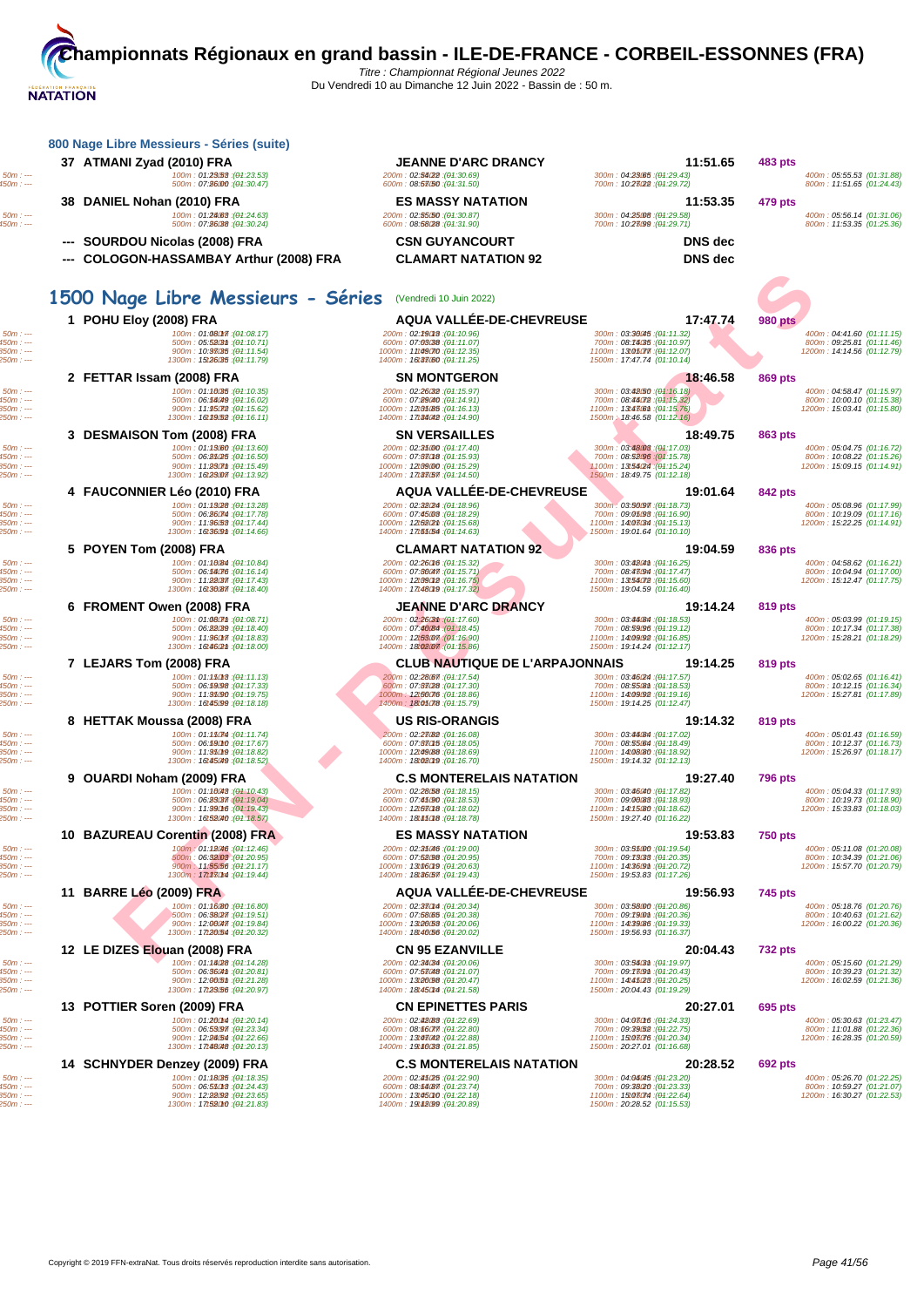| 800 Nage Libre Messieurs - Séries (suite)                                                                                                                   |                                                                                                                                                                     |                                                                                                                                                           |                                                                                                        |
|-------------------------------------------------------------------------------------------------------------------------------------------------------------|---------------------------------------------------------------------------------------------------------------------------------------------------------------------|-----------------------------------------------------------------------------------------------------------------------------------------------------------|--------------------------------------------------------------------------------------------------------|
| 37 ATMANI Zyad (2010) FRA<br>100m: 01:23(53): (01:23.53)<br>500m: 07:26000 : (01:30.47)                                                                     | <b>JEANNE D'ARC DRANCY</b><br>200m: 02:54(22): (04:30.69)<br>600m: 08:53050 : (04:31.50)                                                                            | 11:51.65<br>300m: 04:23.65 : (04:29.43)<br>700m: 10:23022 : (01:29.72)                                                                                    | 483 pts<br>400m: 05:55.53 (01:31.88)<br>800m: 11:51.65 (01:24.43)                                      |
| 38 DANIEL Nohan (2010) FRA<br>100m: 01:24.63 : (01:24.63)<br>500m: 07:26038 : (04:30.24)                                                                    | <b>ES MASSY NATATION</b><br>200m: 02:55/50 : (04:30.87)<br>600m: 08:58028 : (04:31.90)                                                                              | 11:53.35<br>300m: 04:25008: (01:29.58)<br>700m: 10:23099 : (01:29.71)                                                                                     | 479 pts<br>400m: 05:56.14 (01:31.06)<br>800m: 11:53.35 (01:25.36)                                      |
| --- SOURDOU Nicolas (2008) FRA<br>--- COLOGON-HASSAMBAY Arthur (2008) FRA                                                                                   | <b>CSN GUYANCOURT</b><br><b>CLAMART NATATION 92</b>                                                                                                                 | <b>DNS</b> dec<br><b>DNS</b> dec                                                                                                                          |                                                                                                        |
| 1500 Nage Libre Messieurs - Séries (Vendredi 10 Juin 2022)                                                                                                  |                                                                                                                                                                     |                                                                                                                                                           |                                                                                                        |
| 1 POHU Eloy (2008) FRA<br>100m: 01:08017 : (01:08.17)<br>500m: 05:5203th: (01:10.71)<br>900m: 10:98035: (01:11.54)<br>1300m: 15t26035 : (04:11.79)          | <b>AQUA VALLEE-DE-CHEVREUSE</b><br>200m: 02:29018: (04:10.96)<br>600m: 07:03038 : (04:11.07)<br>1000m: 11149070: (04:12.35)<br>1400m: 16t33.60 : (04:11.25)         | 17:47.74<br>300m: 03:36045 : (04:11.32)<br>700m: 08:74035 : (04:10.97)<br>1100m: 13t050mm: (04:12.07)<br>1500m: 17:47.74 (01:10.14)                       | <b>980 pts</b><br>400m: 04:41.60 (01:11.15)<br>800m: 09:25.81 (01:11.46)<br>1200m: 14:14.56 (01:12.79) |
| 2 FETTAR Issam (2008) FRA<br>100m: 01:16035 : (01:10.35)<br>500m: 06:56049 : (01:16.02)<br>900m: 11:95072 : (01:15.62)<br>1300m: 16t39(52): (01:16.11)      | <b>SN MONTGERON</b><br>200m: 02:26032 : (04:15.97)<br>600m: 07:89040 : (04:14.91)<br>1000m: 12185.85 : (04:16.13)<br>1400m: 17t35042 : (04:14.90)                   | 18:46.58<br>300m : 03.42560 : (01.16.18)<br>700m: 08:44072 : (01:15.32)<br>1100m: 13t4306m: (01:15.76)<br>1500m; 18:46.58 (01:12.16)                      | 869 pts<br>400m: 04:58.47 (01:15.97)<br>800m: 10:00.10 (01:15.38)<br>1200m: 15:03.41 (01:15.80)        |
| 3 DESMAISON Tom (2008) FRA<br>100m: 01:13080 : (01:13.60)<br>500m : 06:35(25:(04:16.50))<br>900m: 11:280mm : (01:15.49)<br>1300m: 16t23007 : (01:13.92)     | <b>SN VERSAILLES</b><br>200m: 02:35000 : (04:17.40)<br>600m: 07:88018 : (04:15.93)<br>1000m: 12189000 : (04:15.29)<br>1400m: 17:33(57. : (04:14.50)                 | 18:49.75<br>300m: 03:4808 : (01:17.03)<br>700m: 08:52096 : (01:15.78)<br>1100m : 1315424 : (04:15.24)<br>1500m: 18:49.75 (01:12.18)                       | 863 pts<br>400m: 05:04.75 (01:16.72)<br>800m: 10:08.22 (01:15.26)<br>1200m: 15:09.15 (01:14.91)        |
| 4 FAUCONNIER Léo (2010) FRA<br>100m: 01:13/28 : (01:13.28)<br>500m: 06:26074 : (04:17.78)<br>900m: 11:96.53 : (01:17.44)<br>1300m: 16t36@m: (04:14.66)      | <b>AQUA VALLÉE-DE-CHEVREUSE</b><br>200m: 02:38024 : (04:18.96)<br>600m: 07:45:03 : (04:18.29)<br>1000m: 12t58(2m : (04:15.68)<br>1400m: 17t55(54 : (01:14.63)       | 19:01.64<br>300m: 03:56097 : (04:18.73)<br>700m: 09:05:98 : (01:16.90)<br>1100m: 14t03034 : (01:15.13)<br>1500m: 19:01.64 (01:10.10)                      | 842 pts<br>400m: 05:08.96 (01:17.99)<br>800m: 10:19.09 (01:17.16)<br>1200m: 15:22.25 (01:14.91)        |
| 5 POYEN Tom (2008) FRA<br>100m: 01:10084 : (01:10.84)<br>500m: 06:56076 : (01:16.14)<br>900m: 11:22037 : (01:17.43)<br>1300m: 16t36087 : (01:18.40)         | <b>CLAMART NATATION 92</b><br>200m: 02:260f6 : (04:15.32)<br>600m: 07:86047 (04:15.71)<br>1000m: 12t890t2 : (04:16.75)<br>1400m: 17t480t9: (04:17.32)               | 19:04.59<br>300m: 03:4264m : (04:16.25)<br>700m: 08:48094 : (01:17.47)<br>1100m: 13t54072 : (01:15.60)<br>1500m: 19:04.59 (01:16.40)                      | 836 pts<br>400m: 04:58.62 (01:16.21)<br>800m: 10:04.94 (01:17.00)<br>1200m: 15:12.47 (01:17.75)        |
| 6 FROMENT Owen (2008) FRA<br>100m: 01:080mm: (01:08.71)<br>500m: 06:22039 : (01:18.40)<br>900m: 11:96017 : (01:18.83)<br>1300m: 16t46(2m : (01:18.00)       | <b>JEANNE D'ARC DRANCY</b><br>200m: 02:2603m : (04:17.60)<br>600m: 07:40084 : (01:18.45)<br>1000m: 12t53.07 (04:16.90)<br>1400m: 18:02.07 (01:15.86)                | 19:14.24<br>300m: 03:44084 : (01:18.53)<br>700m: 08:59096 : (01:19.12)<br>1100m: 14t09092 : (01:16.85)<br>1500m: 19:14.24 (01:12.17)                      | 819 pts<br>400m: 05:03.99 (01:19.15)<br>800m: 10:17.34 (01:17.38)<br>1200m: 15:28.21 (01:18.29)        |
| 7 LEJARS Tom (2008) FRA<br>100m: 01:15013 : (01:11.13)<br>500m: 06:59098 : (01:17.33)<br>900m: 11:95090: (01:19.75)<br>1300m: 16t45099 : (01:18.18)         | <b>CLUB NAUTIQUE DE L'ARPAJONNAIS</b><br>200m: 02:28067 : (04:17.54)<br>600m: 07:83(28 : (04:17.30)<br>1000m: 12t56076 : (04:18.86)<br>1400m: 18:05078 : (04:15.79) | 19:14.25<br>300m: 03:46024 : (01:17.57)<br>700m: 08:5508m : (04:18.53)<br>1100m: 14t09092 : (01:19.16)<br>1500m: 19:14.25 (01:12.47)                      | 819 pts<br>400m: 05:02.65 (01:16.41)<br>800m: 10:12.15 (01:16.34)<br>1200m: 15:27.81 (01:17.89)        |
| 8 HETTAK Moussa (2008) FRA<br>100m: 01:150mm : (01:11.74)<br>500m: 06:59010 : (01:17.67)<br>900m : 11:95009 : (01:18.82)<br>1300m: 16t45049 : (01:18.52)    | <b>US RIS-ORANGIS</b><br>200m: 02:28(82):(04:16.08)<br>600m: 07:880f5 : (04:18.05)<br>1000m: 12t49(88 : (04:18.69)<br>1400m: 18:02019 : (04:16.70)                  | 19:14.32<br>300m: 03:44084 : (01:17.02)<br>700m: 08:55.64 : (01:18.49)<br>1100m: 14t0880 : (01:18.92)<br>1500m: 19:14.32 (01:12.13)                       | 819 pts<br>400m: 05:01.43 (01:16.59)<br>800m: 10:12.37 (01:16.73)<br>1200m: 15:26.97 (01:18.17)        |
| 9 OUARDI Noham (2009) FRA<br>100m: 01:16048 : (01:10.43)<br>500m: 06:23037 (01:19.04)<br>900m: 11:99016 : (01:19.43)<br>1300m: 16t52040 (01:18.57)          | <b>C.S MONTERELAIS NATATION</b><br>200m: 02:28:58 : (04:18.15)<br>600m: 07:45090 : (04:18.53)<br>1000m: 12t530t8 : (04:18.02)<br>1400m: 18t450t8 : (04:18.78)       | 19:27.40<br>300m: 03:46040 : (01:17.82)<br>700m: 09:00088 : (01:18.93)<br>1100m: 14t15080: (01:18.62)<br>1500m: 19:27.40 (01:16.22)                       | <b>796 pts</b><br>400m: 05:04.33 (01:17.93)<br>800m: 10:19.73 (01:18.90)<br>1200m: 15:33.83 (01:18.03) |
| 10 BAZUREAU Corentin (2008) FRA<br>100m: 01:12046 : (01:12.46)<br>500m: 06:3203 : (01:20.95)<br>900m: 11:55.56 : (01:21.17)<br>1300m: 17t330t4 : (01:19.44) | <b>ES MASSY NATATION</b><br>200m: 02:35046 : (04:19.00)<br>600m: 07:52098 : (04:20.95)<br>1000m: 13t060t9:(04:20.63)<br>1400m: 18:36.57 : (04:19.43)                | 19:53.83<br>300m : 03.55000 : (04.19.54)<br>700m: 09: <b>7338</b> : ( <del>0</del> 1:20.35)<br>1100m: 14t36(9th: (01:20.72)<br>1500m: 19:53.83 (01:17.26) | <b>750 pts</b><br>400m: 05:11.08 (01:20.08)<br>800m: 10:34.39 (01:21.06)<br>1200m: 15:57.70 (01:20.79) |
| 11 BARRE Léo (2009) FRA<br>100m: 01:1680 : (01:16.80)<br>500m: 06:38027 : (04:19.51)<br>900m: 12:000477: (01:19.84)<br>1300m: 17t26.54 : (01:20.32)         | <b>AQUA VALLEE-DE-CHEVREUSE</b><br>200m: 02:380M : (04:20.34)<br>600m: 07:58065 : (04:20.38)<br>1000m: 13t26.53 : (04:20.06)<br>1400m: 18t46056 : (04:20.02)        | 19:56.93<br>300m: 03:58000 : (01:20.86)<br>700m: 09:790m : (01:20.36)<br>1100m: 14t39.86 : (01:19.33)<br>1500m: 19:56.93 (01:16.37)                       | 745 pts<br>400m: 05:18.76 (01:20.76)<br>800m: 10:40.63 (01:21.62)<br>1200m: 16:00.22 (01:20.36)        |
| 12 LE DIZES Elouan (2008) FRA<br>100m: 01:14028 : (01:14.28)<br>500m: 06:3604th : (04:20.81)<br>900m: 12:0005m: (01:21.28)<br>1300m: 17t23056 : (01:20.97)  | <b>CN 95 EZANVILLE</b><br>200m: 02:34034 : (04:20.06)<br>600m: 07:53048 : (04:21.07)<br>1000m: 13t26098: (04:20.47)<br>1400m: 18t450t4 : (04:21.58)                 | 20:04.43<br>300m: 03:54031 : (01:19.97)<br>700m: 09:180m: (04:20.43)<br>1100m: 14t45028: (01:20.25)<br>1500m: 20:04.43 (01:19.29)                         | <b>732 pts</b><br>400m: 05:15.60 (01:21.29)<br>800m: 10:39.23 (01:21.32)<br>1200m: 16:02.59 (01:21.36) |
| 13 POTTIER Soren (2009) FRA<br>100m: 01:200m : (01:20.14)<br>500m : 06:53097 : (04:23.34)<br>900m : 12:94.54 : (01:22.66)<br>1300m: 17t48048 : (01:20.13)   | <b>CN EPINETTES PARIS</b><br>200m: 02:42(88;(04:22.69)<br>600m: 08:66077 : (04:22.80)<br>1000m: 13:43042 : (04:22.88)<br>1400m: 19t46038: (04:21.85)                | 20:27.01<br>300m: 04:080f6 : (04:24.33)<br>700m: 09:39.52 : (04:22.75)<br>1100m: 15t03076 : (01:20.34)<br>1500m: 20:27.01 (01:16.68)                      | 695 pts<br>400m: 05:30.63 (01:23.47)<br>800m: 11:01.88 (01:22.36)<br>1200m: 16:28.35 (01:20.59)        |
| 14 SCHNYDER Denzey (2009) FRA<br>100m: 01:18035 : (01:18.35)<br>500m: 06:55013 : (01:24.43)<br>900m: 12:98092 : (01:23.65)<br>1300m: 17t580t0 : (01:21.83)  | <b>C.S MONTERELAIS NATATION</b><br>200m: 02:45025: (04:22.90)<br>600m: 08:64087 : (04:23.74)<br>1000m: 13:45010 : (04:22.18)<br>1400m: 19t48099: (04:20.89)         | 20:28.52<br>300m: 04:06045 : (01:23.20)<br>700m: 09:38/20 : (01:23.33)<br>1100m: 15t03074 : (01:22.64)<br>1500m: 20:28.52 (01:15.53)                      | <b>692 pts</b><br>400m: 05:26.70 (01:22.25)<br>800m: 10:59.27 (01:21.07)<br>1200m: 16:30.27 (01:22.53) |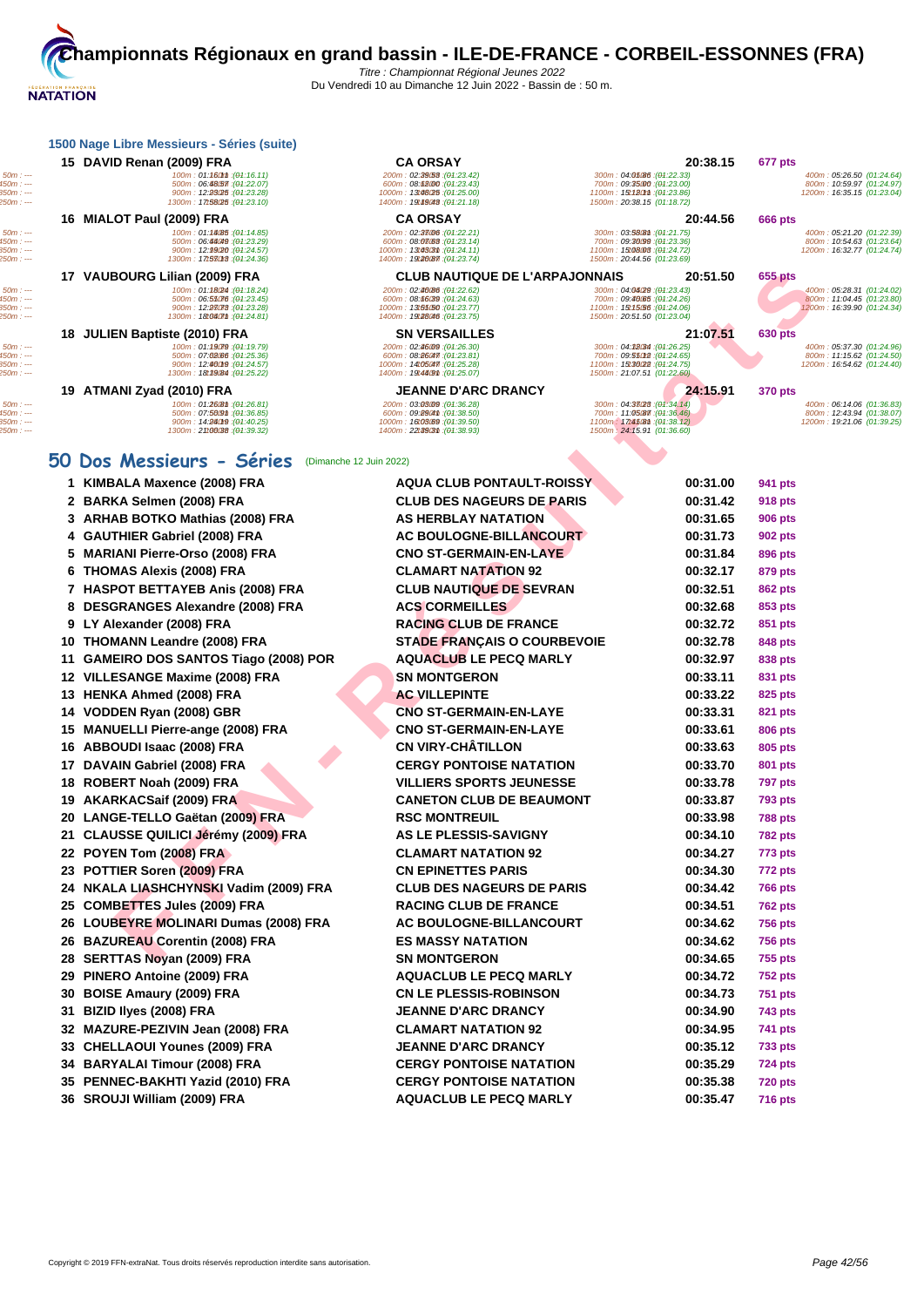|            | <b>1500 Nage Libre Messieurs - Series (Suite)</b> |                                  |                                                  |                            |
|------------|---------------------------------------------------|----------------------------------|--------------------------------------------------|----------------------------|
|            | 15 DAVID Renan (2009) FRA                         | <b>CA ORSAY</b>                  | 20:38.15                                         | 677 pts                    |
| $50m: --$  | 100m: 01:160m:(04:16.11)                          | 200m: 02:29:53: (04:23.42)       | 300m : 04.05086 : (04.22.33)                     | 400m: 05:26.50 (01:24.64)  |
| 450m : --- | 500m:06.4857(04.22.07)                            | 600m: 08:68000: (04:23.43)       | 700m: 09: <b>35.00</b> : ( <del>0</del> 1:23.00) | 800m: 10:59.97 (01:24.97)  |
| $850m: -$  | 900m: 12:23025: (01:23.28)                        | 1000m: 13:48025: (04:25.00)      | 1100m: 15t120mm: (01:23.86)                      | 1200m: 16:35.15 (01:23.04) |
| $250m: --$ | 1300m: <b>17t58025</b> : ( <del>01</del> :23.10)  | 1400m: 19t49048: (04:21.18)      | 1500m: 20:38.15 (01:18.72)                       |                            |
|            | 16 MIALOT Paul (2009) FRA                         | <b>CA ORSAY</b>                  | 20:44.56                                         | 666 pts                    |
| $50m: --$  | 100m: 01:14085 : (01:14.85)                       | 200m: 02:38006:(04:22.21)        | 300m: 03:58081 : (04:21.75)                      | 400m: 05:21.20 (01:22.39)  |
| $450m: -$  | 500m: 06:44049: (01:23.29)                        | 600m: 08:03:03 (04:23.14)        | 700m: 09:36099 : (01:23.36)                      | 800m: 10:54.63 (01:23.64)  |
| 850m : --- | 900m : 12.9920 : (04.24.57)                       | 1000m: 13t4303m: (04:24.11)      | 1100m: 15t08.008 : (01:24.72)                    | 1200m: 16:32.77 (01:24.74) |
| 250m : --- | 1300m: 17t530t3: (01:24.36)                       | 1400m: 19120087 : (01:23.74)     | 1500m: 20:44.56 (01:23.69)                       |                            |
|            | $17.3110001000111$ (0000) FD A                    | ALUB MALITIAUF BE LIABBA JAMMAIA | <b>00 FA FA</b>                                  | <b>APP LET</b>             |

# **50 Dos /**

|                                                    | 17 VAUBOURG Lilian (2009) FRA                                                                                            | <b>CLUB NAUTIQUE DE L'ARPAJONNAIS</b>                                                                                      | 20:51.50                                                                                                                 | 655 pts                                                                              |
|----------------------------------------------------|--------------------------------------------------------------------------------------------------------------------------|----------------------------------------------------------------------------------------------------------------------------|--------------------------------------------------------------------------------------------------------------------------|--------------------------------------------------------------------------------------|
| $50m: -$<br>$450m: --$<br>850m : ---<br>250m : --- | 100m: 01:1824 : (01:18.24)<br>500m: 06:55076 : (01:23.45)<br>900m: 12:93078 : (01:23.28)<br>1300m: 18t040mm : (01:24.81) | 200m: 02:40:86 : (04:22.62)<br>600m: 08:66039 : (04:24.63)<br>1000m: 13t55(50:(04:23.77)<br>1400m: 19t28046 : (04:23.75)   | 300m: 04:04/29 : (01:23.43)<br>700m: 09:46065 : (01:24.26)<br>1100m: 15t15.56 : (01:24.06)<br>1500m: 20:51.50 (01:23.04) | 400m: 05:28.31 (01:24.02)<br>800m: 11:04.45 (01:23.80)<br>1200m: 16:39.90 (01:24.34) |
|                                                    | 18 JULIEN Baptiste (2010) FRA                                                                                            | <b>SN VERSAILLES</b>                                                                                                       | 21:07.51                                                                                                                 | <b>630 pts</b>                                                                       |
| $50m: -$<br>450m : ---<br>850m : ---<br>$250m: -$  | 100m: 01:19079 : (01:19.79)<br>500m: 07:02:06 : (01:25.36)<br>900m: 12:00019: (01:24.57)<br>1300m: 18t39.84 : (01:25.22) | 200m: 02:46:09 : (04:26.30)<br>600m: 08:860477: (04:23.81)<br>1000m: 14t05047 : (01:25.28)<br>1400m: 19t48(9th: (04:25.07) | 300m: 04:38034 : (01:26.25)<br>700m: 09:55012 : (01:24.65)<br>1100m: 15t36022 : (01:24.75)<br>1500m: 21:07.51 (01:22.60) | 400m: 05:37.30 (01:24.96)<br>800m: 11:15.62 (01:24.50)<br>1200m: 16:54.62 (01:24.40) |
|                                                    | 19 ATMANI Zyad (2010) FRA                                                                                                | <b>JEANNE D'ARC DRANCY</b>                                                                                                 | 24:15.91                                                                                                                 | <b>370 pts</b>                                                                       |
| $50m: -$<br>450m : ---<br>$850m: -$<br>$250m: -$   | 100m: 01:26 Bm: (01:26.81)<br>500m: 07:5609m: (01:36.85)<br>900m: 14:96019 : (01:40.25)<br>1300m: 21100038: (01:39.32)   | 200m: 03:03:09 : (04:36.28)<br>600m: 09:8904th : (04:38.50)<br>1000m: 16t03.69 : (04:39.50)<br>1400m: 22t39t3m: (04:38.93) | 300m: 04:33028: (01:34.14)<br>700m; 11:05087 : (04:36.46)<br>1100m: 17t45@n : (01:38.12)<br>1500m: 24:15.91 (01:36.60)   | 400m: 06:14.06 (01:36.83)<br>800m: 12:43.94 (01:38.07)<br>1200m: 19:21.06 (01:39.25) |
|                                                    | 50 Dos Messieurs - Séries<br>(Dimanche 12 Juin 2022)                                                                     |                                                                                                                            |                                                                                                                          |                                                                                      |
|                                                    | 1 KIMBALA Maxence (2008) FRA                                                                                             | <b>AQUA CLUB PONTAULT-ROISSY</b>                                                                                           | 00:31.00                                                                                                                 | 941 pts                                                                              |
|                                                    | 2 BARKA Selmen (2008) FRA                                                                                                | <b>CLUB DES NAGEURS DE PARIS</b>                                                                                           | 00:31.42                                                                                                                 | <b>918 pts</b>                                                                       |
|                                                    | 3 ARHAB BOTKO Mathias (2008) FRA                                                                                         | <b>AS HERBLAY NATATION</b>                                                                                                 | 00:31.65                                                                                                                 | <b>906 pts</b>                                                                       |
|                                                    | 4 GAUTHIER Gabriel (2008) FRA                                                                                            | <b>AC BOULOGNE-BILLANCOURT</b>                                                                                             | 00:31.73                                                                                                                 | 902 pts                                                                              |
|                                                    | 5 MARIANI Pierre-Orso (2008) FRA                                                                                         | <b>CNO ST-GERMAIN-EN-LAYE</b>                                                                                              | 00:31.84                                                                                                                 | 896 pts                                                                              |
|                                                    | <b>THOMAS Alexis (2008) FRA</b><br>6                                                                                     | <b>CLAMART NATATION 92</b>                                                                                                 | 00:32.17                                                                                                                 | 879 pts                                                                              |
|                                                    | 7 HASPOT BETTAYEB Anis (2008) FRA                                                                                        | <b>CLUB NAUTIQUE DE SEVRAN</b>                                                                                             | 00:32.51                                                                                                                 | <b>862 pts</b>                                                                       |
|                                                    | 8 DESGRANGES Alexandre (2008) FRA                                                                                        | <b>ACS CORMEILLES</b>                                                                                                      | 00:32.68                                                                                                                 | 853 pts                                                                              |
|                                                    | 9 LY Alexander (2008) FRA                                                                                                | <b>RACING CLUB DE FRANCE</b>                                                                                               | 00:32.72                                                                                                                 | 851 pts                                                                              |
|                                                    | 10 THOMANN Leandre (2008) FRA                                                                                            | <b>STADE FRANÇAIS O COURBEVOIE</b>                                                                                         | 00:32.78                                                                                                                 | 848 pts                                                                              |
| 11                                                 | <b>GAMEIRO DOS SANTOS Tiago (2008) POR</b>                                                                               | <b>AQUACLUB LE PECQ MARLY</b>                                                                                              | 00:32.97                                                                                                                 | 838 pts                                                                              |
|                                                    | 12 VILLESANGE Maxime (2008) FRA                                                                                          | <b>SN MONTGERON</b>                                                                                                        | 00:33.11                                                                                                                 | 831 pts                                                                              |
|                                                    | 13 HENKA Ahmed (2008) FRA                                                                                                | <b>AC VILLEPINTE</b>                                                                                                       | 00:33.22                                                                                                                 | 825 pts                                                                              |
| 14                                                 | VODDEN Ryan (2008) GBR                                                                                                   | <b>CNO ST-GERMAIN-EN-LAYE</b>                                                                                              | 00:33.31                                                                                                                 | 821 pts                                                                              |
| 15                                                 | <b>MANUELLI Pierre-ange (2008) FRA</b>                                                                                   | <b>CNO ST-GERMAIN-EN-LAYE</b>                                                                                              | 00:33.61                                                                                                                 | 806 pts                                                                              |
| 16                                                 | ABBOUDI Isaac (2008) FRA                                                                                                 | <b>CN VIRY-CHÂTILLON</b>                                                                                                   | 00:33.63                                                                                                                 | 805 pts                                                                              |
| 17                                                 | DAVAIN Gabriel (2008) FRA                                                                                                | <b>CERGY PONTOISE NATATION</b>                                                                                             | 00:33.70                                                                                                                 | 801 pts                                                                              |
| 18                                                 | ROBERT Noah (2009) FRA                                                                                                   | <b>VILLIERS SPORTS JEUNESSE</b>                                                                                            | 00:33.78                                                                                                                 | <b>797 pts</b>                                                                       |
|                                                    | 19 AKARKACSaif (2009) FRA                                                                                                | <b>CANETON CLUB DE BEAUMONT</b>                                                                                            | 00:33.87                                                                                                                 | <b>793 pts</b>                                                                       |
| 20                                                 | LANGE-TELLO Gaëtan (2009) FRA                                                                                            | <b>RSC MONTREUIL</b>                                                                                                       | 00:33.98                                                                                                                 | <b>788 pts</b>                                                                       |
| 21                                                 | <b>CLAUSSE QUILICI Jérémy (2009) FRA</b>                                                                                 | <b>AS LE PLESSIS-SAVIGNY</b>                                                                                               | 00:34.10                                                                                                                 | <b>782 pts</b>                                                                       |
| 22                                                 | POYEN Tom (2008) FRA                                                                                                     | <b>CLAMART NATATION 92</b>                                                                                                 | 00:34.27                                                                                                                 | 773 pts                                                                              |
| 23                                                 | POTTIER Soren (2009) FRA                                                                                                 | <b>CN EPINETTES PARIS</b>                                                                                                  | 00:34.30                                                                                                                 | <b>772 pts</b>                                                                       |
|                                                    | 24 NKALA LIASHCHYNSKI Vadim (2009) FRA                                                                                   | <b>CLUB DES NAGEURS DE PARIS</b>                                                                                           | 00:34.42                                                                                                                 | <b>766 pts</b>                                                                       |
| 25                                                 | <b>COMBETTES Jules (2009) FRA</b>                                                                                        | <b>RACING CLUB DE FRANCE</b>                                                                                               | 00:34.51                                                                                                                 | <b>762 pts</b>                                                                       |
|                                                    | 26 LOUBEYRE MOLINARI Dumas (2008) FRA                                                                                    | AC BOULOGNE-BILLANCOURT                                                                                                    | 00:34.62                                                                                                                 | <b>756 pts</b>                                                                       |
|                                                    | 26 BAZUREAU Corentin (2008) FRA                                                                                          | <b>ES MASSY NATATION</b>                                                                                                   | 00:34.62                                                                                                                 | <b>756 pts</b>                                                                       |
|                                                    | 28 SERTTAS Novan (2009) FRA                                                                                              | <b>SN MONTGERON</b>                                                                                                        | 00:34.65                                                                                                                 | <b>755 pts</b>                                                                       |

- 
- **POTTIER Soren (2009) FRA CN EPINETTES PARIS 00:34.30 772 pts**
- **NKALA LIASHCHYNSKI Vadim (2009) FRA CLUB DES NAGEURS DE PARIS 00:34.42 766 pts COMBETTES Jules (2009) FRA RACING CLUB DE FRANCE 00:34.51 762 pts**
- **LOUBEYRE MOLINARI Dumas (2008) FRA AC BOULOGNE-BILLANCOURT 00:34.62 756 pts**
- **BAZUREAU Corentin (2008) FRA ES MASSY NATATION 00:34.62 756 pts**
- **SERTTAS Noyan (2009) FRA SN MONTGERON 00:34.65 755 pts**
- **PINERO Antoine (2009) FRA AQUACLUB LE PECQ MARLY 00:34.72 752 pts**
- **BOISE Amaury (2009) FRA CN LE PLESSIS-ROBINSON 00:34.73 751 pts**
- **BIZID Ilyes (2008) FRA JEANNE D'ARC DRANCY 00:34.90 743 pts**
- **MAZURE-PEZIVIN Jean (2008) FRA CLAMART NATATION 92 00:34.95 741 pts**
- **CHELLAOUI Younes (2009) FRA JEANNE D'ARC DRANCY 00:35.12 733 pts**
- **BARYALAI Timour (2008) FRA CERGY PONTOISE NATATION 00:35.29 724 pts**
- **PENNEC-BAKHTI Yazid (2010) FRA CERGY PONTOISE NATATION 00:35.38 720 pts**
- **SROUJI William (2009) FRA AQUACLUB LE PECQ MARLY 00:35.47 716 pts**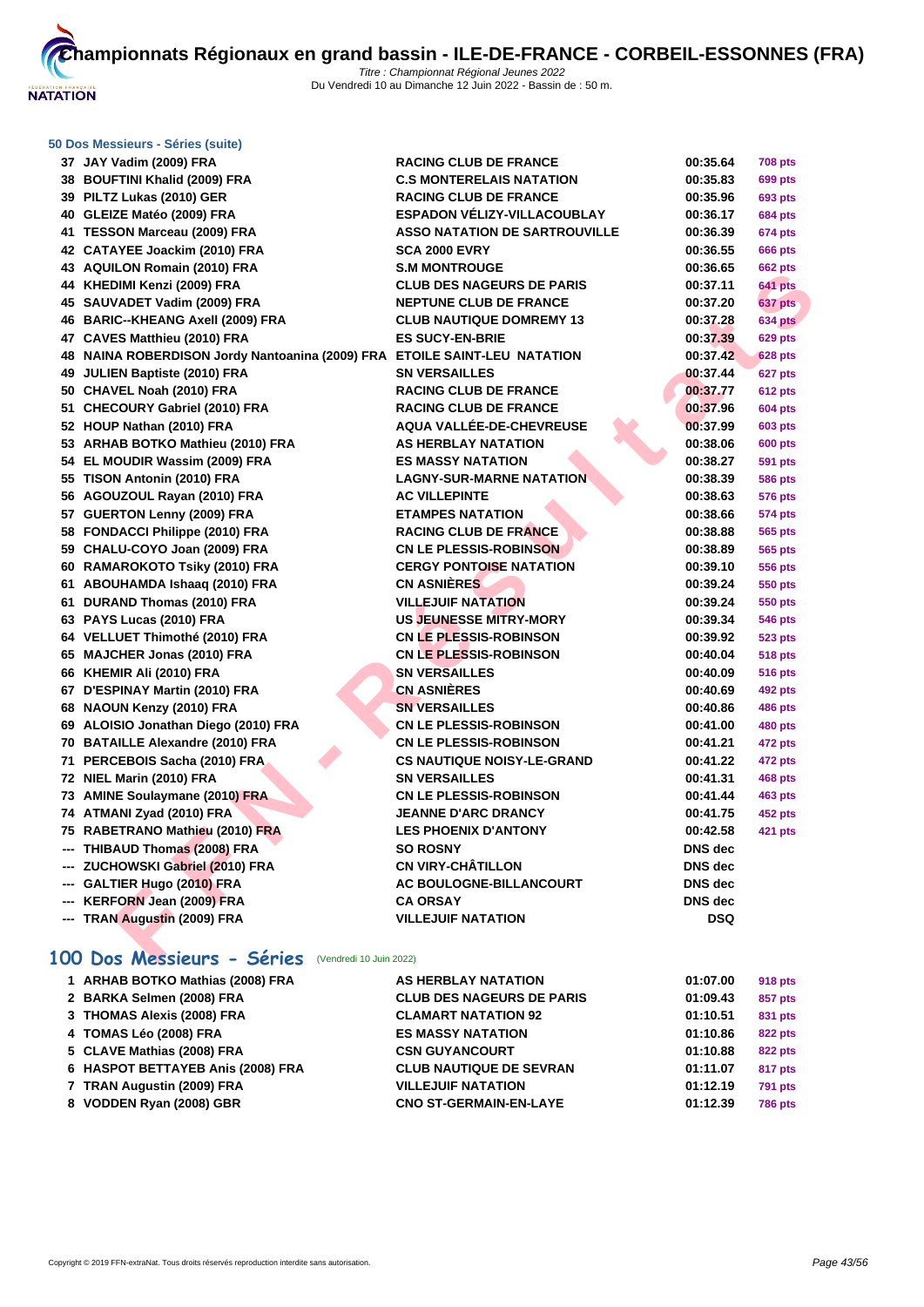

| 50 Dos Messieurs - Séries (suite)                                         |                                      |                |                |
|---------------------------------------------------------------------------|--------------------------------------|----------------|----------------|
| 37 JAY Vadim (2009) FRA                                                   | <b>RACING CLUB DE FRANCE</b>         | 00:35.64       | <b>708 pts</b> |
| 38 BOUFTINI Khalid (2009) FRA                                             | <b>C.S MONTERELAIS NATATION</b>      | 00:35.83       | 699 pts        |
| 39 PILTZ Lukas (2010) GER                                                 | <b>RACING CLUB DE FRANCE</b>         | 00:35.96       | 693 pts        |
| 40 GLEIZE Matéo (2009) FRA                                                | <b>ESPADON VÉLIZY-VILLACOUBLAY</b>   | 00:36.17       | <b>684 pts</b> |
| 41 TESSON Marceau (2009) FRA                                              | <b>ASSO NATATION DE SARTROUVILLE</b> | 00:36.39       | 674 pts        |
| 42 CATAYEE Joackim (2010) FRA                                             | <b>SCA 2000 EVRY</b>                 | 00:36.55       | 666 pts        |
| 43 AQUILON Romain (2010) FRA                                              | <b>S.M MONTROUGE</b>                 | 00:36.65       | 662 pts        |
| 44 KHEDIMI Kenzi (2009) FRA                                               | <b>CLUB DES NAGEURS DE PARIS</b>     | 00:37.11       | <b>641 pts</b> |
| 45 SAUVADET Vadim (2009) FRA                                              | <b>NEPTUNE CLUB DE FRANCE</b>        | 00:37.20       | 637 pts        |
| 46 BARIC--KHEANG Axell (2009) FRA                                         | <b>CLUB NAUTIQUE DOMREMY 13</b>      | 00:37.28       | <b>634 pts</b> |
| 47 CAVES Matthieu (2010) FRA                                              | <b>ES SUCY-EN-BRIE</b>               | 00:37.39       | <b>629 pts</b> |
| 48 NAINA ROBERDISON Jordy Nantoanina (2009) FRA ETOILE SAINT-LEU NATATION |                                      | 00:37.42       | <b>628 pts</b> |
| 49 JULIEN Baptiste (2010) FRA                                             | <b>SN VERSAILLES</b>                 | 00:37.44       | 627 pts        |
| 50 CHAVEL Noah (2010) FRA                                                 | <b>RACING CLUB DE FRANCE</b>         | 00:37.77       | <b>612 pts</b> |
| 51 CHECOURY Gabriel (2010) FRA                                            | <b>RACING CLUB DE FRANCE</b>         | 00:37.96       | <b>604 pts</b> |
| 52 HOUP Nathan (2010) FRA                                                 | AQUA VALLÉE-DE-CHEVREUSE             | 00:37.99       | 603 pts        |
| 53 ARHAB BOTKO Mathieu (2010) FRA                                         | <b>AS HERBLAY NATATION</b>           | 00:38.06       | <b>600 pts</b> |
| 54 EL MOUDIR Wassim (2009) FRA                                            | <b>ES MASSY NATATION</b>             | 00:38.27       | 591 pts        |
| 55 TISON Antonin (2010) FRA                                               | <b>LAGNY-SUR-MARNE NATATION</b>      | 00:38.39       | 586 pts        |
| 56 AGOUZOUL Rayan (2010) FRA                                              | <b>AC VILLEPINTE</b>                 | 00:38.63       | 576 pts        |
| 57 GUERTON Lenny (2009) FRA                                               | <b>ETAMPES NATATION</b>              | 00:38.66       | 574 pts        |
| 58 FONDACCI Philippe (2010) FRA                                           | <b>RACING CLUB DE FRANCE</b>         | 00:38.88       | 565 pts        |
| 59 CHALU-COYO Joan (2009) FRA                                             | <b>CN LE PLESSIS-ROBINSON</b>        | 00:38.89       | 565 pts        |
| 60 RAMAROKOTO Tsiky (2010) FRA                                            | <b>CERGY PONTOISE NATATION</b>       | 00:39.10       | 556 pts        |
| 61 ABOUHAMDA Ishaaq (2010) FRA                                            | <b>CN ASNIÈRES</b>                   | 00:39.24       | 550 pts        |
| 61 DURAND Thomas (2010) FRA                                               | <b>VILLEJUIF NATATION</b>            | 00:39.24       | 550 pts        |
| 63 PAYS Lucas (2010) FRA                                                  | <b>US JEUNESSE MITRY-MORY</b>        | 00:39.34       | 546 pts        |
| 64 VELLUET Thimothé (2010) FRA                                            | <b>CN LE PLESSIS-ROBINSON</b>        | 00:39.92       | 523 pts        |
| 65 MAJCHER Jonas (2010) FRA                                               | <b>CN LE PLESSIS-ROBINSON</b>        | 00:40.04       | <b>518 pts</b> |
| 66 KHEMIR Ali (2010) FRA                                                  | <b>SN VERSAILLES</b>                 | 00:40.09       | 516 pts        |
| 67 D'ESPINAY Martin (2010) FRA                                            | <b>CN ASNIERES</b>                   | 00:40.69       | 492 pts        |
| 68 NAOUN Kenzy (2010) FRA                                                 | <b>SN VERSAILLES</b>                 | 00:40.86       | 486 pts        |
| 69 ALOISIO Jonathan Diego (2010) FRA                                      | <b>CN LE PLESSIS-ROBINSON</b>        | 00:41.00       | 480 pts        |
| 70 BATAILLE Alexandre (2010) FRA                                          | <b>CN LE PLESSIS-ROBINSON</b>        | 00:41.21       | 472 pts        |
| 71 PERCEBOIS Sacha (2010) FRA                                             | <b>CS NAUTIQUE NOISY-LE-GRAND</b>    | 00:41.22       | 472 pts        |
| 72 NIEL Marin (2010) FRA                                                  | <b>SN VERSAILLES</b>                 | 00:41.31       | 468 pts        |
| 73 AMINE Soulaymane (2010) FRA                                            | <b>CN LE PLESSIS-ROBINSON</b>        | 00:41.44       | 463 pts        |
| 74 ATMANI Zyad (2010) FRA                                                 | <b>JEANNE D'ARC DRANCY</b>           | 00:41.75       | <b>452 pts</b> |
| 75 RABETRANO Mathieu (2010) FRA                                           | <b>LES PHOENIX D'ANTONY</b>          | 00:42.58       | 421 pts        |
| --- THIBAUD Thomas (2008) FRA                                             | <b>SO ROSNY</b>                      | <b>DNS</b> dec |                |
| --- ZUCHOWSKI Gabriel (2010) FRA                                          | <b>CN VIRY-CHÂTILLON</b>             | <b>DNS</b> dec |                |
| --- GALTIER Hugo (2010) FRA                                               | AC BOULOGNE-BILLANCOURT              | <b>DNS</b> dec |                |
| --- KERFORN Jean (2009) FRA                                               | <b>CA ORSAY</b>                      | <b>DNS</b> dec |                |
| --- TRAN Augustin (2009) FRA                                              | <b>VILLEJUIF NATATION</b>            | <b>DSQ</b>     |                |
| 100 Dos Messieurs - Séries (Vendredi 10 Juin 2022)                        |                                      |                |                |

# **100 Dos Messieurs - Séries** (Vendredi 10 Juin 2022)

| 1 ARHAB BOTKO Mathias (2008) FRA  | AS HERBLAY NATATION              | 01:07.00 | 918 pts        |
|-----------------------------------|----------------------------------|----------|----------------|
| 2 BARKA Selmen (2008) FRA         | <b>CLUB DES NAGEURS DE PARIS</b> | 01:09.43 | 857 pts        |
| 3 THOMAS Alexis (2008) FRA        | <b>CLAMART NATATION 92</b>       | 01:10.51 | 831 pts        |
| 4 TOMAS Léo (2008) FRA            | <b>ES MASSY NATATION</b>         | 01:10.86 | 822 pts        |
| 5 CLAVE Mathias (2008) FRA        | <b>CSN GUYANCOURT</b>            | 01:10.88 | 822 pts        |
| 6 HASPOT BETTAYEB Anis (2008) FRA | <b>CLUB NAUTIQUE DE SEVRAN</b>   | 01:11.07 | 817 pts        |
| 7 TRAN Augustin (2009) FRA        | <b>VILLEJUIF NATATION</b>        | 01:12.19 | <b>791 pts</b> |
| 8 VODDEN Ryan (2008) GBR          | <b>CNO ST-GERMAIN-EN-LAYE</b>    | 01:12.39 | <b>786 pts</b> |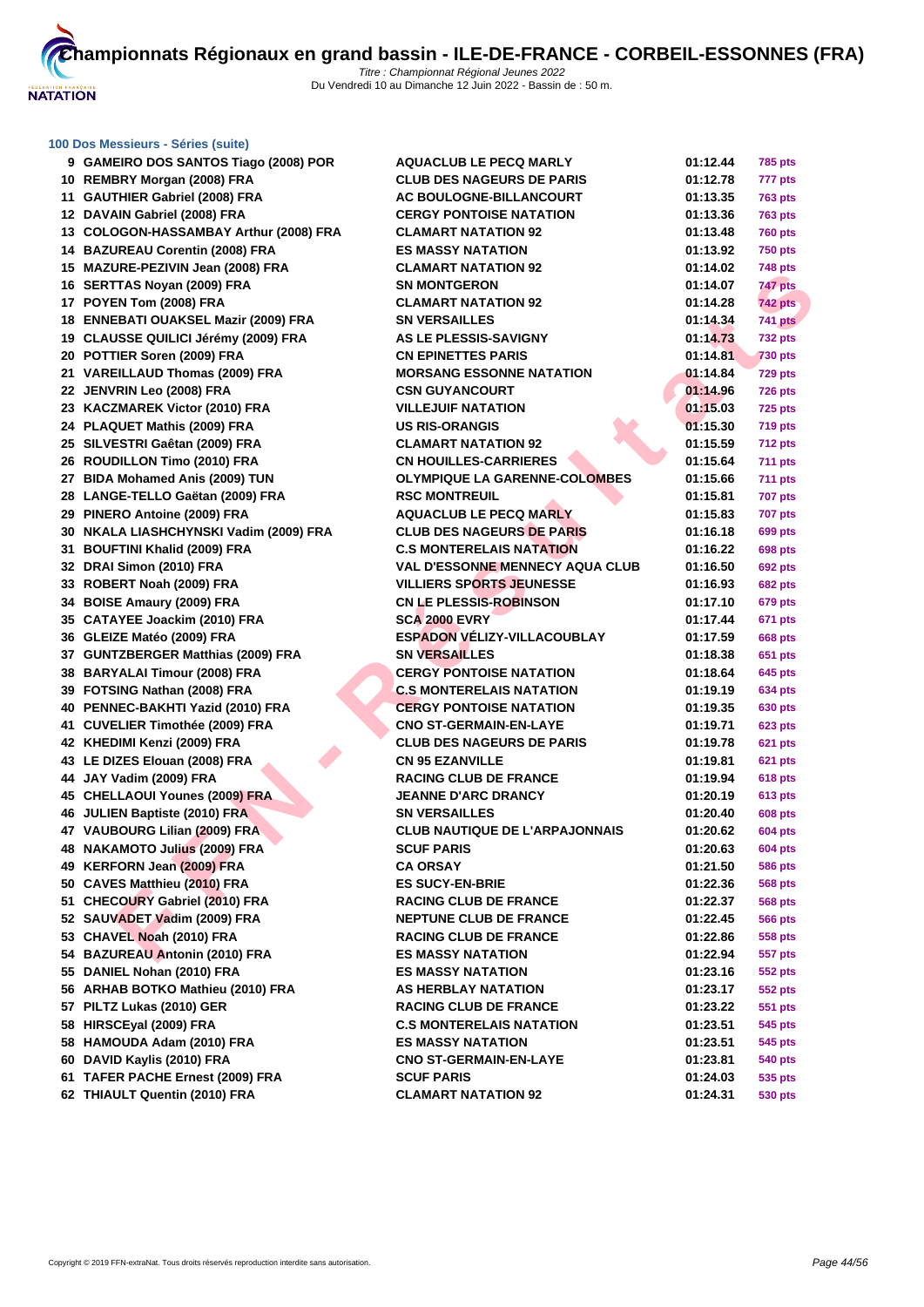

# **[100 Dos M](http://www.ffnatation.fr/webffn/index.php)essieurs - Séries (suite)**

| 9 GAMEIRO DOS SANTOS Tiago (2008) POR                             | <b>AQUACLUB LE PECQ MARLY</b>                   | 01:12.44 | <b>785 pts</b> |
|-------------------------------------------------------------------|-------------------------------------------------|----------|----------------|
| 10 REMBRY Morgan (2008) FRA                                       | <b>CLUB DES NAGEURS DE PARIS</b>                | 01:12.78 | 777 pts        |
| 11 GAUTHIER Gabriel (2008) FRA                                    | AC BOULOGNE-BILLANCOURT                         | 01:13.35 | <b>763 pts</b> |
| 12 DAVAIN Gabriel (2008) FRA                                      | <b>CERGY PONTOISE NATATION</b>                  | 01:13.36 | <b>763 pts</b> |
| 13 COLOGON-HASSAMBAY Arthur (2008) FRA                            | <b>CLAMART NATATION 92</b>                      | 01:13.48 | <b>760 pts</b> |
| 14 BAZUREAU Corentin (2008) FRA                                   | <b>ES MASSY NATATION</b>                        | 01:13.92 | <b>750 pts</b> |
| 15 MAZURE-PEZIVIN Jean (2008) FRA                                 | <b>CLAMART NATATION 92</b>                      | 01:14.02 | 748 pts        |
| 16 SERTTAS Noyan (2009) FRA                                       | <b>SN MONTGERON</b>                             | 01:14.07 | 747 pts        |
| 17 POYEN Tom (2008) FRA                                           | <b>CLAMART NATATION 92</b>                      | 01:14.28 | <b>742 pts</b> |
| 18 ENNEBATI OUAKSEL Mazir (2009) FRA                              | <b>SN VERSAILLES</b>                            | 01:14.34 | <b>741 pts</b> |
| 19 CLAUSSE QUILICI Jérémy (2009) FRA                              | <b>AS LE PLESSIS-SAVIGNY</b>                    | 01:14.73 | <b>732 pts</b> |
| 20 POTTIER Soren (2009) FRA                                       | <b>CN EPINETTES PARIS</b>                       | 01:14.81 | <b>730 pts</b> |
| 21 VAREILLAUD Thomas (2009) FRA                                   | <b>MORSANG ESSONNE NATATION</b>                 | 01:14.84 | 729 pts        |
| 22 JENVRIN Leo (2008) FRA                                         | <b>CSN GUYANCOURT</b>                           | 01:14.96 | <b>726 pts</b> |
| 23 KACZMAREK Victor (2010) FRA                                    | <b>VILLEJUIF NATATION</b>                       | 01:15.03 | <b>725 pts</b> |
| 24 PLAQUET Mathis (2009) FRA                                      | <b>US RIS-ORANGIS</b>                           | 01:15.30 | <b>719 pts</b> |
| 25 SILVESTRI Gaêtan (2009) FRA                                    | <b>CLAMART NATATION 92</b>                      | 01:15.59 | 712 pts        |
| 26 ROUDILLON Timo (2010) FRA                                      | <b>CN HOUILLES-CARRIERES</b>                    | 01:15.64 | <b>711 pts</b> |
| 27 BIDA Mohamed Anis (2009) TUN                                   | <b>OLYMPIQUE LA GARENNE-COLOMBES</b>            | 01:15.66 | 711 pts        |
| 28 LANGE-TELLO Gaëtan (2009) FRA                                  | <b>RSC MONTREUIL</b>                            | 01:15.81 | <b>707 pts</b> |
| 29 PINERO Antoine (2009) FRA                                      | <b>AQUACLUB LE PECQ MARLY</b>                   | 01:15.83 | <b>707 pts</b> |
| 30 NKALA LIASHCHYNSKI Vadim (2009) FRA                            | <b>CLUB DES NAGEURS DE PARIS</b>                | 01:16.18 | 699 pts        |
| 31 BOUFTINI Khalid (2009) FRA                                     | <b>C.S MONTERELAIS NATATION</b>                 | 01:16.22 | 698 pts        |
| 32 DRAI Simon (2010) FRA                                          | <b>VAL D'ESSONNE MENNECY AQUA CLUB</b>          | 01:16.50 | 692 pts        |
| 33 ROBERT Noah (2009) FRA                                         | <b>VILLIERS SPORTS JEUNESSE</b>                 | 01:16.93 | <b>682 pts</b> |
| 34 BOISE Amaury (2009) FRA                                        | <b>CN LE PLESSIS-ROBINSON</b>                   | 01:17.10 | 679 pts        |
| 35 CATAYEE Joackim (2010) FRA                                     | <b>SCA 2000 EVRY</b>                            | 01:17.44 | 671 pts        |
| 36 GLEIZE Matéo (2009) FRA                                        | <b>ESPADON VÉLIZY-VILLACOUBLAY</b>              | 01:17.59 | <b>668 pts</b> |
| 37 GUNTZBERGER Matthias (2009) FRA                                | <b>SN VERSAILLES</b>                            | 01:18.38 | 651 pts        |
| 38 BARYALAI Timour (2008) FRA                                     | <b>CERGY PONTOISE NATATION</b>                  | 01:18.64 | 645 pts        |
| 39 FOTSING Nathan (2008) FRA                                      | <b>C.S MONTERELAIS NATATION</b>                 | 01:19.19 | 634 pts        |
| 40 PENNEC-BAKHTI Yazid (2010) FRA                                 | <b>CERGY PONTOISE NATATION</b>                  | 01:19.35 | 630 pts        |
| 41 CUVELIER Timothée (2009) FRA                                   | <b>CNO ST-GERMAIN-EN-LAYE</b>                   | 01:19.71 | <b>623 pts</b> |
| 42 KHEDIMI Kenzi (2009) FRA                                       | <b>CLUB DES NAGEURS DE PARIS</b>                | 01:19.78 | <b>621 pts</b> |
| 43 LE DIZES Elouan (2008) FRA                                     | <b>CN 95 EZANVILLE</b>                          | 01:19.81 | 621 pts        |
| 44 JAY Vadim (2009) FRA                                           | <b>RACING CLUB DE FRANCE</b>                    | 01:19.94 | <b>618 pts</b> |
| 45 CHELLAOUI Younes (2009) FRA                                    | <b>JEANNE D'ARC DRANCY</b>                      | 01:20.19 | <b>613 pts</b> |
| 46 JULIEN Baptiste (2010) FRA                                     | <b>SN VERSAILLES</b>                            | 01:20.40 | <b>608 pts</b> |
| 47 VAUBOURG Lilian (2009) FRA                                     | <b>CLUB NAUTIQUE DE L'ARPAJONNAIS</b>           | 01:20.62 | <b>604 pts</b> |
| 48 NAKAMOTO Julius (2009) FRA                                     | <b>SCUF PARIS</b>                               | 01:20.63 | <b>604 pts</b> |
| 49 KERFORN Jean (2009) FRA                                        | CA ORSAY                                        | 01:21.50 | <b>586 pts</b> |
| 50 CAVES Matthieu (2010) FRA                                      | <b>ES SUCY-EN-BRIE</b>                          | 01:22.36 | <b>568 pts</b> |
| 51 CHECOURY Gabriel (2010) FRA                                    | <b>RACING CLUB DE FRANCE</b>                    | 01:22.37 | <b>568 pts</b> |
| 52 SAUVADET Vadim (2009) FRA                                      | <b>NEPTUNE CLUB DE FRANCE</b>                   | 01:22.45 | <b>566 pts</b> |
| 53 CHAVEL Noah (2010) FRA                                         | <b>RACING CLUB DE FRANCE</b>                    | 01:22.86 | 558 pts        |
| 54 BAZUREAU Antonin (2010) FRA                                    | <b>ES MASSY NATATION</b>                        | 01:22.94 | 557 pts        |
| 55 DANIEL Nohan (2010) FRA                                        | <b>ES MASSY NATATION</b>                        | 01:23.16 | 552 pts        |
| 56 ARHAB BOTKO Mathieu (2010) FRA                                 | AS HERBLAY NATATION                             | 01:23.17 | 552 pts        |
| 57 PILTZ Lukas (2010) GER                                         | <b>RACING CLUB DE FRANCE</b>                    | 01:23.22 | 551 pts        |
| 58 HIRSCEyal (2009) FRA                                           | <b>C.S MONTERELAIS NATATION</b>                 | 01:23.51 | 545 pts        |
| 58 HAMOUDA Adam (2010) FRA                                        | <b>ES MASSY NATATION</b>                        | 01:23.51 | 545 pts        |
| 60 DAVID Kaylis (2010) FRA                                        | <b>CNO ST-GERMAIN-EN-LAYE</b>                   | 01:23.81 | 540 pts        |
| 61 TAFER PACHE Ernest (2009) FRA<br>62 THIAULT Quentin (2010) FRA | <b>SCUF PARIS</b><br><b>CLAMART NATATION 92</b> | 01:24.03 | 535 pts        |
|                                                                   |                                                 | 01:24.31 | 530 pts        |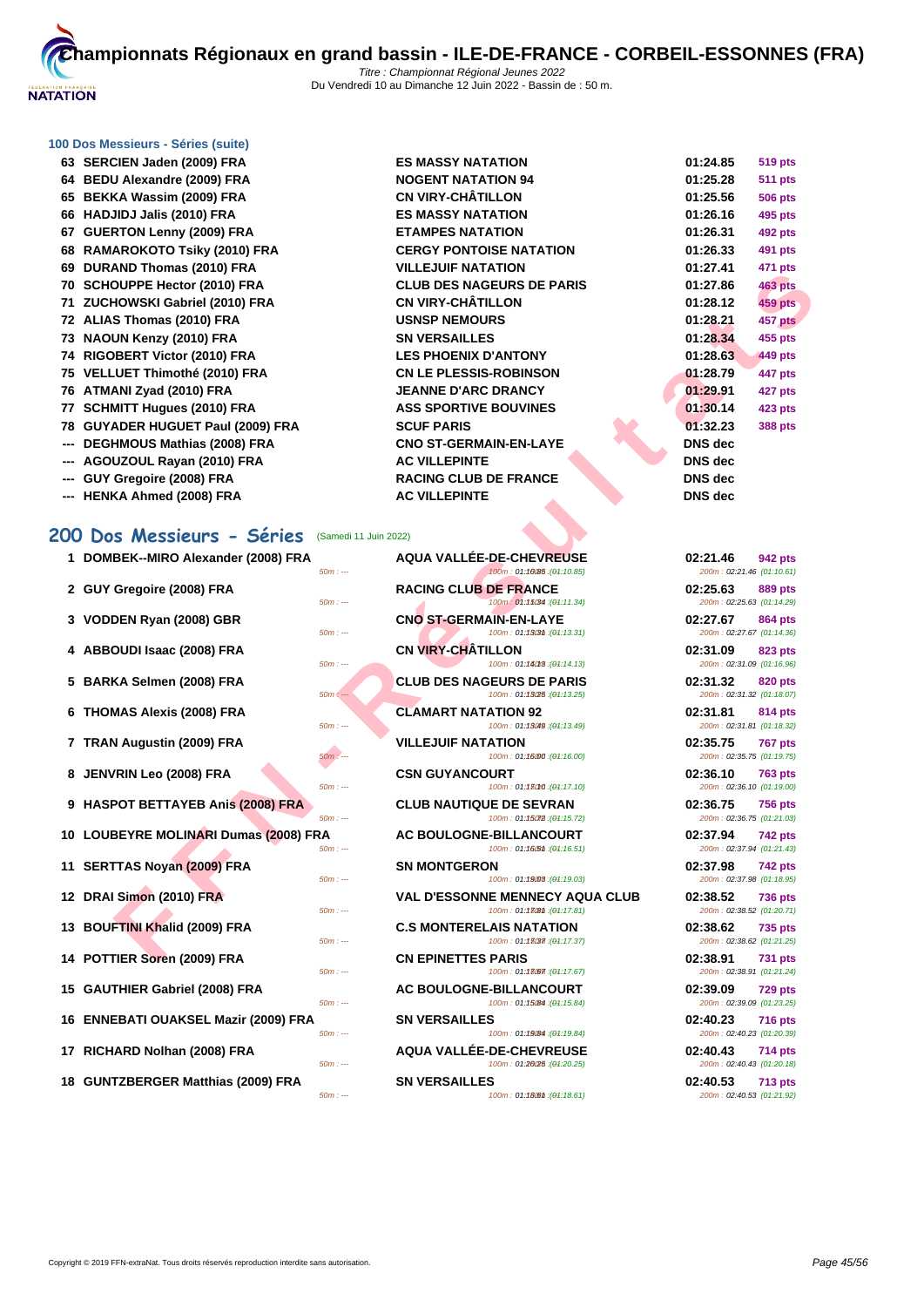

# **[100 Dos M](http://www.ffnatation.fr/webffn/index.php)essieurs - Séries (suite)**

**--- DEGHMOUS Mathias (2008) FRA CNO ST-GERMAIN-EN-LAYE DNS dec --- AGOUZOUL Rayan (2010) FRA AC VILLEPINTE DNS dec --- GUY Gregoire (2008) FRA RACING CLUB DE FRANCE DNS dec --- HENKA Ahmed (2008) FRA AC VILLEPINTE** 

|  |  |  |  |  | 200 Dos Messieurs - Séries (Samedi 11 Juin 2022) |
|--|--|--|--|--|--------------------------------------------------|
|--|--|--|--|--|--------------------------------------------------|

| 1 DOMBEK--MIRO Alexander (2008) FRA   | $50m: --$ | <b>AQUA VALLÉE-DE-CHEVREUSE</b><br>100m: 01:10085 : (01:10.85)        | 02:21.46<br>200m: 02:21.46 (01:10.61) | <b>942 pts</b> |
|---------------------------------------|-----------|-----------------------------------------------------------------------|---------------------------------------|----------------|
| 2 GUY Gregoire (2008) FRA             | $50m: -$  | <b>RACING CLUB DE FRANCE</b><br>100m: 01:15034 : (01:11.34)           | 02:25.63<br>200m: 02:25.63 (01:14.29) | <b>889 pts</b> |
| 3 VODDEN Ryan (2008) GBR              | $50m: -$  | <b>CNO ST-GERMAIN-EN-LAYE</b><br>100m: 01:1303 th : (04:13.31)        | 02:27.67<br>200m: 02:27.67 (01:14.36) | <b>864 pts</b> |
| 4 ABBOUDI Isaac (2008) FRA            | $50m: -$  | <b>CN VIRY-CHATILLON</b><br>100m: 01:14018 : (01:14.13)               | 02:31.09<br>200m: 02:31.09 (01:16.96) | <b>823 pts</b> |
| 5 BARKA Selmen (2008) FRA             | $50m: -$  | <b>CLUB DES NAGEURS DE PARIS</b><br>100m: 01:13025 : (04:13.25)       | 02:31.32<br>200m: 02:31.32 (01:18.07) | <b>820 pts</b> |
| 6 THOMAS Alexis (2008) FRA            | $50m: -$  | <b>CLAMART NATATION 92</b><br>100m: 01:13049 : (01:13.49)             | 02:31.81<br>200m: 02:31.81 (01:18.32) | <b>814 pts</b> |
| 7 TRAN Augustin (2009) FRA            | $50m: -$  | <b>VILLEJUIF NATATION</b><br>100m: 01:16000 : (04:16.00)              | 02:35.75<br>200m: 02:35.75 (01:19.75) | <b>767 pts</b> |
| 8 JENVRIN Leo (2008) FRA              | $50m: -$  | <b>CSN GUYANCOURT</b><br>100m: 01:18010 : (04:17.10)                  | 02:36.10<br>200m: 02:36.10 (01:19.00) | <b>763 pts</b> |
| 9 HASPOT BETTAYEB Anis (2008) FRA     | $50m: -$  | <b>CLUB NAUTIQUE DE SEVRAN</b><br>100m: 01:15072 : (01:15.72)         | 02:36.75<br>200m: 02:36.75 (01:21.03) | <b>756 pts</b> |
| 10 LOUBEYRE MOLINARI Dumas (2008) FRA | $50m: --$ | AC BOULOGNE-BILLANCOURT<br>100m: 01:16.51 : (01:16.51)                | 02:37.94<br>200m: 02:37.94 (01:21.43) | <b>742 pts</b> |
| 11 SERTTAS Noyan (2009) FRA           | $50m: -$  | <b>SN MONTGERON</b><br>100m: 01:19008 : (01:19.03)                    | 02:37.98<br>200m: 02:37.98 (01:18.95) | <b>742 pts</b> |
| 12 DRAI Simon (2010) FRA              | $50m: -$  | <b>VAL D'ESSONNE MENNECY AQUA CLUB</b><br>100m: 01:13(8th: (01:17.81) | 02:38.52<br>200m: 02:38.52 (01:20.71) | <b>736 pts</b> |
| 13 BOUFTINI Khalid (2009) FRA         | $50m: -$  | <b>C.S MONTERELAIS NATATION</b><br>100m: 01:13037 : (01:17.37)        | 02:38.62<br>200m: 02:38.62 (01:21.25) | <b>735 pts</b> |
| 14 POTTIER Soren (2009) FRA           | $50m: -$  | <b>CN EPINETTES PARIS</b><br>100m: 01:13067 : (01:17.67)              | 02:38.91<br>200m: 02:38.91 (01:21.24) | <b>731 pts</b> |
| 15 GAUTHIER Gabriel (2008) FRA        | $50m: -$  | AC BOULOGNE-BILLANCOURT<br>100m: 01:15 (84 : (01:15.84)               | 02:39.09<br>200m: 02:39.09 (01:23.25) | 729 pts        |
| 16 ENNEBATI OUAKSEL Mazir (2009) FRA  | $50m: --$ | <b>SN VERSAILLES</b><br>100m: 01:1984 : (01:19.84)                    | 02:40.23<br>200m: 02:40.23 (01:20.39) | <b>716 pts</b> |
| 17 RICHARD Nolhan (2008) FRA          | $50m: -$  | AQUA VALLÉE-DE-CHEVREUSE<br>100m: 01:20(25: (01:20.25)                | 02:40.43<br>200m: 02:40.43 (01:20.18) | <b>714 pts</b> |
| 18 GUNTZBERGER Matthias (2009) FRA    |           | <b>SN VERSAILLES</b>                                                  | 02:40.53                              | <b>713 pts</b> |

| 63 SERCIEN Jaden (2009) FRA       | <b>ES MASSY NATATION</b>         | 01:24.85       | <b>519 pts</b> |
|-----------------------------------|----------------------------------|----------------|----------------|
| 64 BEDU Alexandre (2009) FRA      | <b>NOGENT NATATION 94</b>        | 01:25.28       | <b>511 pts</b> |
| 65 BEKKA Wassim (2009) FRA        | <b>CN VIRY-CHÂTILLON</b>         | 01:25.56       | <b>506 pts</b> |
| 66 HADJIDJ Jalis (2010) FRA       | <b>ES MASSY NATATION</b>         | 01:26.16       | 495 pts        |
| 67 GUERTON Lenny (2009) FRA       | <b>ETAMPES NATATION</b>          | 01:26.31       | <b>492 pts</b> |
| 68 RAMAROKOTO Tsiky (2010) FRA    | <b>CERGY PONTOISE NATATION</b>   | 01:26.33       | 491 pts        |
| 69 DURAND Thomas (2010) FRA       | <b>VILLEJUIF NATATION</b>        | 01:27.41       | 471 pts        |
| 70 SCHOUPPE Hector (2010) FRA     | <b>CLUB DES NAGEURS DE PARIS</b> | 01:27.86       | <b>463 pts</b> |
| 71 ZUCHOWSKI Gabriel (2010) FRA   | <b>CN VIRY-CHÂTILLON</b>         | 01:28.12       | <b>459 pts</b> |
| 72 ALIAS Thomas (2010) FRA        | <b>USNSP NEMOURS</b>             | 01:28.21       | 457 pts        |
| 73 NAOUN Kenzy (2010) FRA         | <b>SN VERSAILLES</b>             | 01:28.34       | 455 pts        |
| 74 RIGOBERT Victor (2010) FRA     | <b>LES PHOENIX D'ANTONY</b>      | 01:28.63       | 449 pts        |
| 75 VELLUET Thimothé (2010) FRA    | <b>CN LE PLESSIS-ROBINSON</b>    | 01:28.79       | 447 pts        |
| 76 ATMANI Zyad (2010) FRA         | <b>JEANNE D'ARC DRANCY</b>       | 01:29.91       | 427 pts        |
| 77 SCHMITT Hugues (2010) FRA      | <b>ASS SPORTIVE BOUVINES</b>     | 01:30.14       | <b>423 pts</b> |
| 78 GUYADER HUGUET Paul (2009) FRA | <b>SCUF PARIS</b>                | 01:32.23       | 388 pts        |
| --- DEGHMOUS Mathias (2008) FRA   | <b>CNO ST-GERMAIN-EN-LAYE</b>    | <b>DNS</b> dec |                |
| --- AGOUZOUL Rayan (2010) FRA     | <b>AC VILLEPINTE</b>             | DNS dec        |                |
| --- GUY Gregoire (2008) FRA       | <b>RACING CLUB DE FRANCE</b>     | DNS dec        |                |
| --- HENKA Ahmed (2008) FRA        | <b>AC VILLEPINTE</b>             | <b>DNS</b> dec |                |

| האו דערונט ובאווטוור שווה                       | LJUI NAIAIUI                                                                  | <u>su hr</u>                                            |
|-------------------------------------------------|-------------------------------------------------------------------------------|---------------------------------------------------------|
| <b>OUPPE Hector (2010) FRA</b>                  | <b>CLUB DES NAGEURS DE PARIS</b>                                              | 01:27.86<br><b>463 pts</b>                              |
| HOWSKI Gabriel (2010) FRA                       | <b>CN VIRY-CHÂTILLON</b>                                                      | 01:28.12<br><b>459 pts</b>                              |
| S Thomas (2010) FRA                             | <b>USNSP NEMOURS</b>                                                          | 01:28.21<br>457 pts                                     |
| UN Kenzy (2010) FRA                             | <b>SN VERSAILLES</b>                                                          | 01:28.34<br>455 pts                                     |
| <b>BERT Victor (2010) FRA</b>                   | <b>LES PHOENIX D'ANTONY</b>                                                   | 01:28.63<br>449 pts                                     |
| UET Thimothé (2010) FRA                         | <b>CN LE PLESSIS-ROBINSON</b>                                                 | 01:28.79<br>447 pts                                     |
| ANI Zyad (2010) FRA                             | <b>JEANNE D'ARC DRANCY</b>                                                    | 01:29.91<br>427 pts                                     |
| <b>MITT Hugues (2010) FRA</b>                   | <b>ASS SPORTIVE BOUVINES</b>                                                  | 01:30.14<br>423 pts                                     |
| ADER HUGUET Paul (2009) FRA                     | <b>SCUF PARIS</b>                                                             | 01:32.23<br><b>388 pts</b>                              |
| HMOUS Mathias (2008) FRA                        | <b>CNO ST-GERMAIN-EN-LAYE</b>                                                 | <b>DNS</b> dec                                          |
| UZOUL Rayan (2010) FRA                          | <b>AC VILLEPINTE</b>                                                          | <b>DNS</b> dec                                          |
| Gregoire (2008) FRA                             | <b>RACING CLUB DE FRANCE</b>                                                  | DNS dec                                                 |
| KA Ahmed (2008) FRA                             | <b>AC VILLEPINTE</b>                                                          | <b>DNS</b> dec                                          |
| s Messieurs - Séries                            | (Samedi 11 Juin 2022)                                                         |                                                         |
| BEK--MIRO Alexander (2008) FRA<br>$50m: -$      | <b>AQUA VALLEE-DE-CHEVREUSE</b><br>100m: 01:10085 : (01:10.85)                | 02:21.46<br>942 pts<br>200m: 02:21.46 (01:10.61)        |
| Gregoire (2008) FRA<br>$50m: -$                 | <b>RACING CLUB DE FRANCE</b><br>100m: 01:15034 : (01:11.34)                   | 02:25.63<br>889 pts<br>200m: 02:25.63 (01:14.29)        |
| DEN Ryan (2008) GBR<br>$50m: -$                 | <b>CNO ST-GERMAIN-EN-LAYE</b><br>100m: 01:13031: (01:13.31)                   | 02:27.67<br>864 pts<br>200m: 02:27.67 (01:14.36)        |
| OUDI Isaac (2008) FRA<br>$50m: -$               | <b>CN VIRY-CHÂTILLON</b><br>100m: 01:14018 : (01:14.13)                       | 02:31.09<br>823 pts<br>200m: 02:31.09 (01:16.96)        |
| KA Selmen (2008) FRA<br>$50m: -$                | <b>CLUB DES NAGEURS DE PARIS</b><br>100m: 01:13025 : (01:13.25)               | 02:31.32<br>820 pts<br>200m: 02:31.32 (01:18.07)        |
| MAS Alexis (2008) FRA<br>$50m: -$               | <b>CLAMART NATATION 92</b><br>100m: 01:13049 : (01:13.49)                     | 02:31.81<br>814 pts<br>200m: 02:31.81 (01:18.32)        |
| <b>N Augustin (2009) FRA</b><br>$50m: -$        | <b>VILLEJUIF NATATION</b><br>100m: 01:16000 : (01:16.00)                      | 02:35.75<br><b>767 pts</b><br>200m: 02:35.75 (01:19.75) |
| /RIN Leo (2008) FRA<br>$50m: -$                 | <b>CSN GUYANCOURT</b><br>100m: 01:18010 : (01:17.10)                          | 02:36.10<br><b>763 pts</b><br>200m: 02:36.10 (01:19.00) |
| <b>POT BETTAYEB Anis (2008) FRA</b><br>$50m: -$ | <b>CLUB NAUTIQUE DE SEVRAN</b><br>100m: 01:15072 : (01:15.72)                 | 02:36.75<br><b>756 pts</b><br>200m: 02:36.75 (01:21.03) |
| BEYRE MOLINARI Dumas (2008) FRA<br>$50m: -$     | <b>AC BOULOGNE-BILLANCOURT</b><br>100m: 01:16051 : (01:16.51)                 | 02:37.94<br><b>742 pts</b><br>200m: 02:37.94 (01:21.43) |
| <b>FTAS Noyan (2009) FRA</b><br>$50m: -$        | <b>SN MONTGERON</b><br>100m: 01:19008 : (01:19.03)                            | 02:37.98<br><b>742 pts</b><br>200m: 02:37.98 (01:18.95) |
| Simon (2010) FRA<br>$50m: -$                    | <b>VAL D'ESSONNE MENNECY AQUA CLUB</b><br>100m: 01:13(8th : (01:17.81)        | 02:38.52<br><b>736 pts</b><br>200m: 02:38.52 (01:20.71) |
| FTINI Khalid (2009) FRA<br>$50m: -$             | <b>C.S MONTERELAIS NATATION</b><br>100m: 01:13(37): (04:17.37)                | 02:38.62<br><b>735 pts</b><br>200m: 02:38.62 (01:21.25) |
| <b>FIER Soren (2009) FRA</b><br>$50m: -$        | <b>CN EPINETTES PARIS</b><br>100m: 01: <b>13.67</b> : ( <del>01</del> :17.67) | 02:38.91<br><b>731 pts</b><br>200m: 02:38.91 (01:21.24) |
| THIER Gabriel (2008) FRA<br>$50m: -$            | <b>AC BOULOGNE-BILLANCOURT</b><br>100m: 01:15 (01:15.84)                      | 02:39.09<br><b>729 pts</b><br>200m: 02:39.09 (01:23.25) |
| EBATI OUAKSEL Mazir (2009) FRA<br>$50m: -$      | <b>SN VERSAILLES</b><br>100m: 01:1984 : (01:19.84)                            | 02:40.23<br><b>716 pts</b><br>200m: 02:40.23 (01:20.39) |
| IARD Nolhan (2008) FRA<br>$50m: -$              | <b>AQUA VALLEE-DE-CHEVREUSE</b><br>(04:20.25): 100m: 01:20.25                 | 02:40.43<br>714 pts<br>200m: 02:40.43 (01:20.18)        |
| TZBERGER Matthias (2009) FRA                    | <b>SN VERSAILLES</b>                                                          | 02:40.53<br><b>713 pts</b>                              |
| $50m: -$                                        | 100m: 01:1800m: (01:18.61)                                                    | 200m: 02:40.53 (01:21.92)                               |

| 02:21.46 942 pts                              |
|-----------------------------------------------|
| 200m: 02:21.46 (01:10.61)                     |
| 02:25.63 889 pts                              |
| 200m: 02:25.63 (01:14.29)                     |
| 02:27.67 864 pts<br>200m: 02:27.67 (01:14.36) |
| 02:31.09<br>823 pts                           |
| 200m: 02:31.09 (01:16.96)                     |
| 02:31.32<br>820 pts                           |
| 200m: 02:31.32 (01:18.07)                     |
| 02:31.81 814 pts                              |
| 200m: 02:31.81 (01:18.32)                     |
| 02:35.75 767 pts                              |
| 200m: 02:35.75 (01:19.75)                     |
| 02:36.10<br><b>763 pts</b>                    |
| 200m: 02:36.10 (01:19.00)                     |
| 02:36.75<br><b>756 pts</b>                    |
| 200m: 02:36.75 (01:21.03)                     |
| 02:37.94<br>742 pts                           |
|                                               |
| 200m: 02:37.94 (01:21.43)                     |
| 02:37.98 742 pts                              |
| 200m: 02:37.98 (01:18.95)                     |
| 02:38.52 736 pts                              |
| 200m: 02:38.52 (01:20.71)                     |
| 02:38.62<br><b>735 pts</b>                    |
| 200m: 02:38.62 (01:21.25)                     |
| 02:38.91 731 pts                              |
| 200m: 02:38.91 (01:21.24)                     |
| 02:39.09 729 pts                              |
| 200m: 02:39.09 (01:23.25)                     |
| 02:40.23 716 pts<br>200m: 02:40.23 (01:20.39) |
|                                               |
| 02:40.43 714 pts<br>200m: 02:40.43 (01:20.18) |
| 02:40.53 713 pts                              |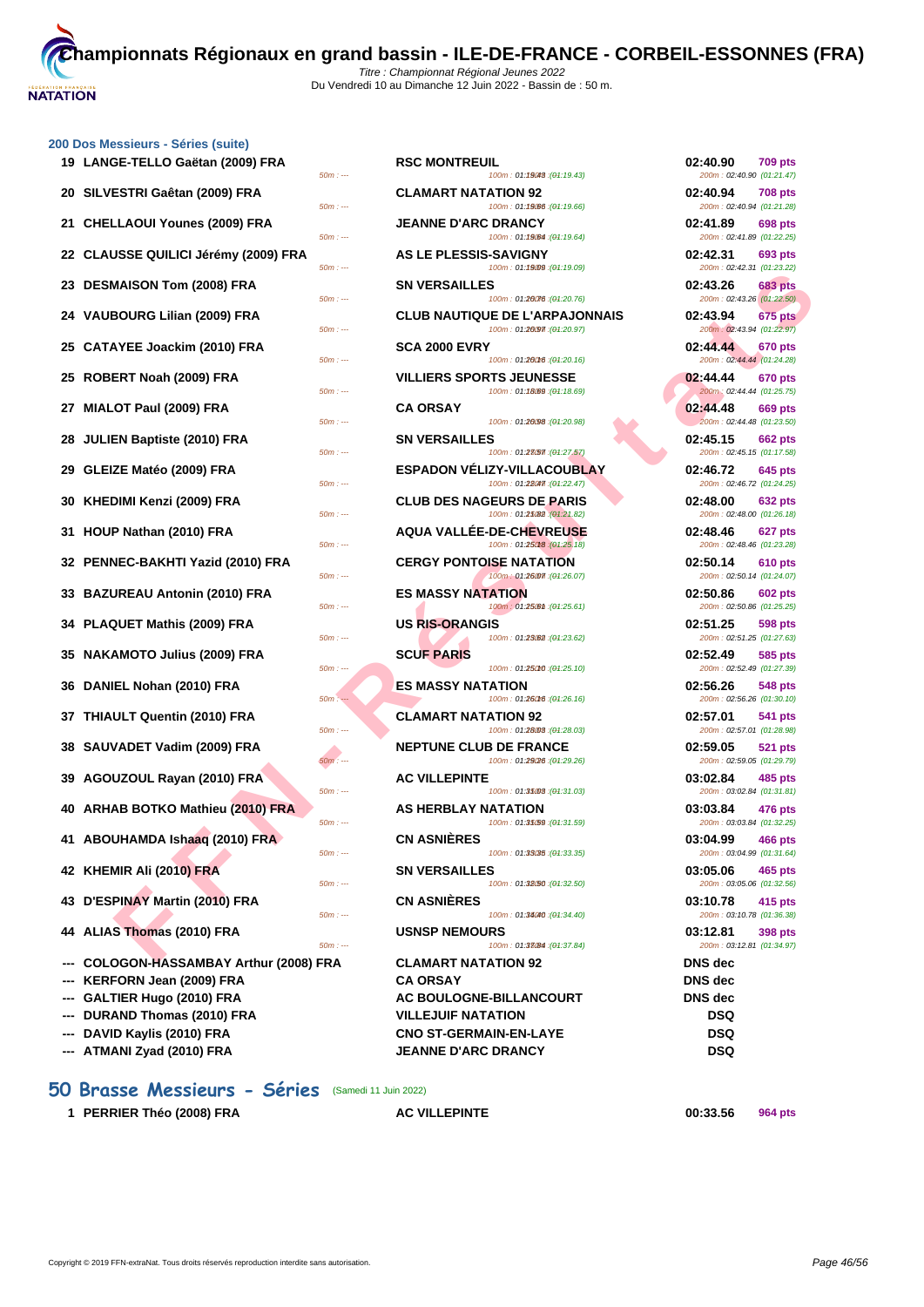### **[200 Dos M](http://www.ffnatation.fr/webffn/index.php)essieurs - Séries (suite)**

| 19 LANGE-TELLO Gaëtan (2009) FRA        | $50m: -$             | <b>RSC MONTREUIL</b>            | 100m: 01:19048 : (01:19.43)                                                                  | 02:40.90<br>200m: 02:40.90 (01:21.47)                              | <b>709 pts</b> |
|-----------------------------------------|----------------------|---------------------------------|----------------------------------------------------------------------------------------------|--------------------------------------------------------------------|----------------|
| 20 SILVESTRI Gaêtan (2009) FRA          | $50m: -$             | <b>CLAMART NATATION 92</b>      | 100m: 01:19.06 : (01:19.66)                                                                  | 02:40.94<br>200m: 02:40.94 (01:21.28)                              | <b>708 pts</b> |
| 21 CHELLAOUI Younes (2009) FRA          | $50m: -$             | JEANNE D'ARC DRANCY             | 100m: 01:19.64 : (01:19.64)                                                                  | 02:41.89<br>200m: 02:41.89 (01:22.25)                              | 698 pts        |
| 22 CLAUSSE QUILICI Jérémy (2009) FRA    | $50m: -$             | <b>AS LE PLESSIS-SAVIGNY</b>    | 100m: 01:19009 : (01:19.09)                                                                  | 02:42.31<br>200m: 02:42.31 (01:23.22)                              | 693 pts        |
| 23 DESMAISON Tom (2008) FRA             | $50m: -$             | <b>SN VERSAILLES</b>            | 100m: 01:20076 : (01:20.76)                                                                  | 02:43.26<br>200m: 02:43.26 (01:22.50)                              | 683 pts        |
| 24 VAUBOURG Lilian (2009) FRA           | $50m: -$             |                                 | <b>CLUB NAUTIQUE DE L'ARPAJONNAIS</b><br>100m: 01:20097 : (01:20.97)                         | 02:43.94<br>200m: 02:43.94 (01:22.97)                              | <b>675 pts</b> |
| 25 CATAYEE Joackim (2010) FRA           |                      | <b>SCA 2000 EVRY</b>            |                                                                                              | 02:44.44<br>200m: 02:44.44 (01:24.28)                              | 670 pts        |
| 25 ROBERT Noah (2009) FRA               | $50m: -$             | <b>VILLIERS SPORTS JEUNESSE</b> | 100m: 01:20016 : (01:20.16)                                                                  | 02:44.44                                                           | 670 pts        |
| 27 MIALOT Paul (2009) FRA               | $50m: -$             | CA ORSAY                        | 100m: 01:18.69 : (01:18.69)                                                                  | 200m: 02:44.44 (01:25.75)<br>02:44.48                              | 669 pts        |
| 28 JULIEN Baptiste (2010) FRA           | $50m: -$             | <b>SN VERSAILLES</b>            | 100m: 01:20098 : (01:20.98)                                                                  | 200m: 02:44.48 (01:23.50)<br>02:45.15                              | <b>662 pts</b> |
| 29 GLEIZE Matéo (2009) FRA              | $50m: -$             |                                 | 100m: 01:23657 : (01:27.57)<br><b>ESPADON VELIZY-VILLACOUBLAY</b>                            | 200m: 02:45.15 (01:17.58)<br>02:46.72                              | <b>645 pts</b> |
| 30 KHEDIMI Kenzi (2009) FRA             | $50m: -$             |                                 | 100m: 01:28047 : (01:22.47)<br><b>CLUB DES NAGEURS DE PARIS</b><br>100m: 01:25082 (01:21.82) | 200m: 02:46.72 (01:24.25)<br>02:48.00<br>200m: 02:48.00 (01:26.18) | 632 pts        |
| 31 HOUP Nathan (2010) FRA               | $50m: -$<br>$50m: -$ |                                 | AQUA VALLÉE-DE-CHEVREUSE<br>100m: 01:25018 : (01:25.18)                                      | 02:48.46<br>200m: 02:48.46 (01:23.28)                              | 627 pts        |
| 32 PENNEC-BAKHTI Yazid (2010) FRA       | $50m: -$             | <b>CERGY PONTOISE NATATION</b>  | 100m: 01:26007 : (01:26.07)                                                                  | 02:50.14<br>200m: 02:50.14 (01:24.07)                              | <b>610 pts</b> |
| 33 BAZUREAU Antonin (2010) FRA          | $50m: -$             | <b>ES MASSY NATATION</b>        | 100m: 01:25.61 : (01:25.61)                                                                  | 02:50.86<br>200m: 02:50.86 (01:25.25)                              | 602 pts        |
| 34 PLAQUET Mathis (2009) FRA            | 50m : ---            | <b>US RIS-ORANGIS</b>           | 100m: 01:23.62 : (01:23.62)                                                                  | 02:51.25<br>200m: 02:51.25 (01:27.63)                              | 598 pts        |
| 35 NAKAMOTO Julius (2009) FRA           | $50m: -$             | <b>SCUF PARIS</b>               | 100m: 01:25010 : (01:25.10)                                                                  | 02:52.49<br>200m: 02:52.49 (01:27.39)                              | 585 pts        |
| 36 DANIEL Nohan (2010) FRA              | $50m: -$             | <b>ES MASSY NATATION</b>        | 100m: 01:260f6 : (01:26.16)                                                                  | 02:56.26<br>200m: 02:56.26 (01:30.10)                              | 548 pts        |
| 37 THIAULT Quentin (2010) FRA           | $50m: -$             | <b>CLAMART NATATION 92</b>      | 100m: 01:28.03 : (01:28.03)                                                                  | 02:57.01<br>200m: 02:57.01 (01:28.98)                              | 541 pts        |
| 38 SAUVADET Vadim (2009) FRA            | $50m: -$             | <b>NEPTUNE CLUB DE FRANCE</b>   | 100m: 01:29/26 : (01:29.26)                                                                  | 02:59.05<br>200m: 02:59.05 (01:29.79)                              | <b>521 pts</b> |
| 39 AGOUZOUL Rayan (2010) FRA            | $50m: -$             | <b>AC VILLEPINTE</b>            | 100m: 01:35008 : (01:31.03)                                                                  | 03:02.84<br>200m: 03:02.84 (01:31.81)                              | 485 pts        |
| 40 ARHAB BOTKO Mathieu (2010) FRA       | $50m: -$             | AS HERBLAY NATATION             | 100m: 01:35/59 : (01:31.59)                                                                  | 03:03.84<br>200m: 03:03.84 (01:32.25)                              | 476 pts        |
| 41 ABOUHAMDA Ishaaq (2010) FRA          | $50m: -$             | <b>CN ASNIÈRES</b>              | 100m: 01:33035 : (01:33.35)                                                                  | 03:04.99<br>200m: 03:04.99 (01:31.64)                              | 466 pts        |
| 42 KHEMIR Ali (2010) FRA                | $50m: -$             | <b>SN VERSAILLES</b>            | 100m: 01:32.50 : (01:32.50)                                                                  | 03:05.06<br>200m: 03:05.06 (01:32.56)                              | 465 pts        |
| 43 D'ESPINAY Martin (2010) FRA          | $50m: -$             | <b>CN ASNIERES</b>              | 100m: 01:34040 : (01:34.40)                                                                  | 03:10.78<br>200m: 03:10.78 (01:36.38)                              | 415 pts        |
| 44 ALIAS Thomas (2010) FRA              | $50m: -$             | <b>USNSP NEMOURS</b>            | 100m: 01:33(84): (01:37.84)                                                                  | 03:12.81<br>200m: 03:12.81 (01:34.97)                              | 398 pts        |
| --- COLOGON-HASSAMBAY Arthur (2008) FRA |                      | <b>CLAMART NATATION 92</b>      |                                                                                              | <b>DNS</b> dec                                                     |                |
| --- KERFORN Jean (2009) FRA             |                      | CA ORSAY                        |                                                                                              | <b>DNS</b> dec                                                     |                |
| --- GALTIER Hugo (2010) FRA             |                      |                                 | <b>AC BOULOGNE-BILLANCOURT</b>                                                               | <b>DNS</b> dec                                                     |                |
| --- DURAND Thomas (2010) FRA            |                      | <b>VILLEJUIF NATATION</b>       |                                                                                              | DSQ                                                                |                |
| --- DAVID Kaylis (2010) FRA             |                      | <b>CNO ST-GERMAIN-EN-LAYE</b>   |                                                                                              | DSQ                                                                |                |
|                                         |                      |                                 |                                                                                              |                                                                    |                |

-- **ATMANI Zyad (2010) FRA** JEANNE D'ARC DRANCY

## **50 Brasse Messieurs - Séries** (Samedi 11 Juin 2022)

**1 PERRIER Théo (2008) FRA AC VILLEPINTE 00:33.56 964 pts**

**FANDA TOM (2009) FRA**<br>
ESOURG LIllinn (2009) FRA CLUB RAUTIQUE DE L'ARRANDONAIS 22:43.26<br>
EST Noon (2009) FRA CLUB RAUTIQUE DE L'ARRANDONAIS 22:43.24<br>
EST Noon (2009) FRA CLUB RAUTIQUE DE L'ARRANDONAIS 22:43.24<br>
CLUB RAU 100m : 01:19043 : (01:19.43) **20 CLAMART NATATION 92** *CLAMART NATATION* 100m : 01:1906 : (01:19.66) **2009) JEANNE D'ARC DRANCY 2009** 100m : 01:19084 : (01:19.64) **22 IE PLESSIS-SAVIGNY** 50m : --- 100m : 01:19.0950m : --- (01:19.09) 200m : 02:42.31 (01:23.22) **23 DESMAISON Tom (2008) FRA SN VERSAILLES 02:43.26 683 pts** 100m : 01:26076 : (01:20.76) **24 CLUB NAUTIQUE DE L'ARPAJONNAIS**  $50m$  : ---  $100m$  : 01:20.97) 2012 20:97 **25 CATAYEE Joackim (2010) FRA SCA 2000 EVRY 02:44.44 670 pts** 100m : 01:26016 : (01:20.16) **25 ROBERT Noah (2009) FRA VILLIERS SPORTS JEUNESSE 02:44.44 670 pts** 50m : --- (01:18.69) 200m : 01:18.6950m : --- $50m$  : ---  $100m$  :  $01:26098$  ( $04:20.98$ ) **28 IULIES**  $50m$  :  $- 100m$  :  $01:27.57$ ) **29 ESPADON VÉLIZY-VILLACOUBLAY 100m**: 01:**22.47 645** 100m : 01:22047 : (01:22.47) **30 KHEDIMI Kenzi (2009) FRA CLUB DES NAGEURS DE PARIS 02:48.00 632 pts**  $50m : -100m : 01:25.82 : (01:21.82)$ **40UA VALLÉE-DE-CHEVREUSE**<br><sup>500m : ---</sub> **100m** : 01:2500 per care **100m** : 01:2500 per care **des 26.48**</sup> 100m : 01:25018 : (01:25.18) **32 BERGY PONTOISE NATATION**  $50m : -100m : 01:26.07$  (01:26.07) **53 BALL BES MASSY NATATION 60m**:  $\cdot$  **f**  $100m$  : 01:25.61 : (01:25.61) **103 RIS-ORANGIS**  $100m : 01:23.62$   $(04:23.62)$  $50m : -100m : 01:25C10 : (04:25.10)$ **50m**  $100m : 01:26008 :04:26.16$ **CLAMART NATATION 92**  $50m : -100m : 01:28.003$  (01:28.03) **388 <b>SAULADE CLUB DE FRANCE**<br>**308 <b>100 102:59.05 102:59**  $100m : 01:29006 : (01:29.26)$ **39 AC VILLEPINTE**  $50m$  : ---  $100m$  : 01:35003 ( $\theta$ 1:31.03) **400 AS HERBLAY NATATION**<br>**400 + 04:34,598**  $100m : 01:35/59 : (04:31.59)$ **41 ABOUHAMDA Ishaaq (2010) FRA CN ASNIÈRES 03:04.99 466 pts** 50m : --- 100m : 01:33.35 150m : --- (01:33.35) **50m** :  $\cdot$  **425 <b>ALI (2010) 425 <b>425 PM 405** 100m : 01:32.50 : (01:32.50) 50m : --- 100m : 01:34.40 (01:34.40) **4000 BNSP NEMOURS** 100m : 01:33084 : (01:37.84)  $-$  **FRA CLAMART NATATION 92**  $AC$  **BOULOGNE-BILLANCOURT**  $VILLEJUIF NATATION$  $CNO ST-GERMAIN-EN-LAYE$ 

| 02:40.90           | <b>709 pts</b><br>200m: 02:40.90 (01:21.47) |
|--------------------|---------------------------------------------|
| 02:40.94           | <b>708 pts</b><br>200m: 02:40.94 (01:21.28) |
| 02:41.89           | 698 pts<br>200m: 02:41.89 (01:22.25)        |
| 02:42.31           | 693 pts<br>200m: 02:42.31 (01:23.22)        |
| 02:43.26           | <b>683 pts</b><br>200m: 02:43.26 (01:22.50) |
| 02:43.94           | <b>675 pts</b><br>200m: 02:43.94 (01:22.97) |
| 02:44.44           | <b>670 pts</b><br>200m: 02:44.44 (01:24.28) |
| 02:44.44           | <b>670 pts</b>                              |
| 02:44.48           | 200m: 02:44.44 (01:25.75)<br><b>669 pts</b> |
| 02:45.15           | 200m: 02:44.48 (01:23.50)<br><b>662 pts</b> |
| 02:46.72           | 200m: 02:45.15 (01:17.58)<br>645 pts        |
| 02:48.00           | 200m: 02:46.72 (01:24.25)<br>632 pts        |
| 02:48.46           | 200m: 02:48.00 (01:26.18)<br>627 pts        |
| 02:50.14           | 200m: 02:48.46 (01:23.28)<br><b>610 pts</b> |
| 02:50.86           | 200m: 02:50.14 (01:24.07)<br><b>602 pts</b> |
| 02:51.25           | 200m: 02:50.86 (01:25.25)<br>598 pts        |
| 02:52.49           | 200m: 02:51.25 (01:27.63)<br>585 pts        |
| 02:56.26           | 200m: 02:52.49 (01:27.39)<br>548 pts        |
|                    | 200m: 02:56.26 (01:30.10)                   |
| 02:57.01           | 541 pts<br>200m: 02:57.01 (01:28.98)        |
| 02:59.05           | 521 pts<br>200m: 02:59.05 (01:29.79)        |
| 03:02.84           | 485 pts<br>200m: 03:02.84 (01:31.81)        |
| 03:03.84           | 476 pts<br>200m: 03:03.84 (01:32.25)        |
| 03:04.99           | <b>466 pts</b><br>200m: 03:04.99 (01:31.64) |
| 03:05.06           | 465 pts<br>200m: 03:05.06 (01:32.56)        |
| 03:10.78           | 415 pts<br>200m: 03:10.78 (01:36.38)        |
| 03:12.81           | 398 pts<br>200m: 03:12.81 (01:34.97)        |
| DNS dec<br>DNS dec |                                             |
| <b>DNS</b> dec     |                                             |
| DSQ<br>DSQ         |                                             |
| DSQ                |                                             |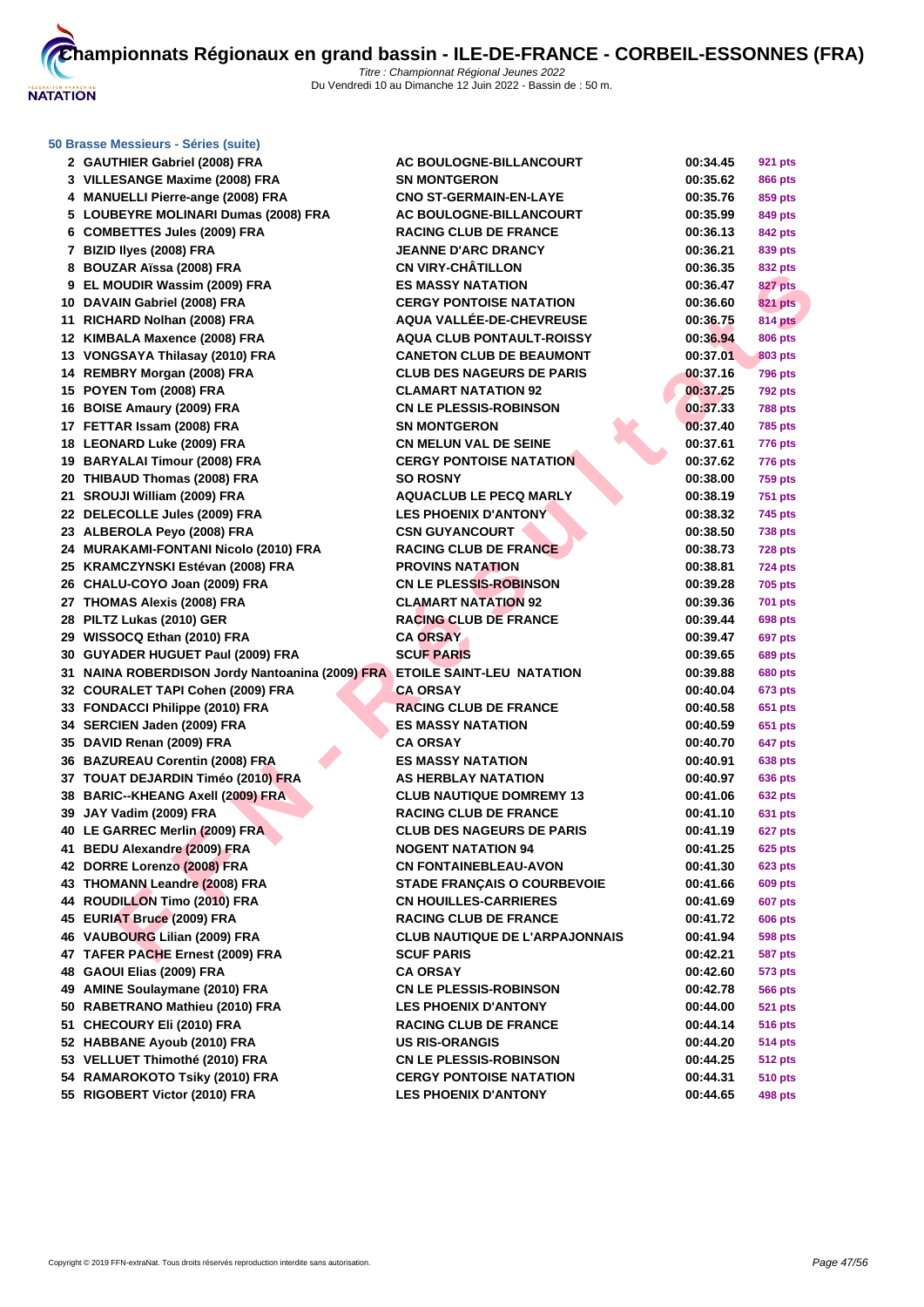

#### **[50 Brasse](http://www.ffnatation.fr/webffn/index.php) Messieurs - Séries (suite)**

| 2 GAUTHIER Gabriel (2008) FRA                                             | <b>AC BOULOGNE-BILLANCOURT</b>                                  | 00:34.45             | <b>921 pts</b>                   |
|---------------------------------------------------------------------------|-----------------------------------------------------------------|----------------------|----------------------------------|
| 3 VILLESANGE Maxime (2008) FRA                                            | <b>SN MONTGERON</b>                                             | 00:35.62             | <b>866 pts</b>                   |
| 4 MANUELLI Pierre-ange (2008) FRA                                         | <b>CNO ST-GERMAIN-EN-LAYE</b>                                   | 00:35.76             | 859 pts                          |
| 5 LOUBEYRE MOLINARI Dumas (2008) FRA                                      | <b>AC BOULOGNE-BILLANCOURT</b>                                  | 00:35.99             | 849 pts                          |
| 6 COMBETTES Jules (2009) FRA                                              | <b>RACING CLUB DE FRANCE</b>                                    | 00:36.13             | 842 pts                          |
| 7 BIZID Ilyes (2008) FRA                                                  | <b>JEANNE D'ARC DRANCY</b>                                      | 00:36.21             | 839 pts                          |
| 8 BOUZAR Aïssa (2008) FRA                                                 | <b>CN VIRY-CHÂTILLON</b>                                        | 00:36.35             | 832 pts                          |
| 9 EL MOUDIR Wassim (2009) FRA                                             | <b>ES MASSY NATATION</b>                                        | 00:36.47             | 827 pts                          |
| 10 DAVAIN Gabriel (2008) FRA                                              | <b>CERGY PONTOISE NATATION</b>                                  | 00:36.60             | <b>821 pts</b>                   |
| 11 RICHARD Nolhan (2008) FRA                                              | AQUA VALLÉE-DE-CHEVREUSE                                        | 00:36.75             | <b>814 pts</b>                   |
| 12 KIMBALA Maxence (2008) FRA                                             | <b>AQUA CLUB PONTAULT-ROISSY</b>                                | 00:36.94             | <b>806 pts</b>                   |
| 13 VONGSAYA Thilasay (2010) FRA                                           | <b>CANETON CLUB DE BEAUMONT</b>                                 | 00:37.01             | 803 pts                          |
| 14 REMBRY Morgan (2008) FRA                                               | <b>CLUB DES NAGEURS DE PARIS</b>                                | 00:37.16             | <b>796 pts</b>                   |
| 15 POYEN Tom (2008) FRA                                                   | <b>CLAMART NATATION 92</b>                                      | 00:37.25             | <b>792 pts</b>                   |
| 16 BOISE Amaury (2009) FRA                                                | <b>CN LE PLESSIS-ROBINSON</b>                                   | 00:37.33             | <b>788 pts</b>                   |
| 17 FETTAR Issam (2008) FRA                                                | <b>SN MONTGERON</b>                                             | 00:37.40             | <b>785 pts</b>                   |
| 18 LEONARD Luke (2009) FRA                                                | <b>CN MELUN VAL DE SEINE</b>                                    | 00:37.61             | <b>776 pts</b>                   |
| 19 BARYALAI Timour (2008) FRA                                             | <b>CERGY PONTOISE NATATION</b>                                  | 00:37.62             | <b>776 pts</b>                   |
| 20 THIBAUD Thomas (2008) FRA                                              | <b>SO ROSNY</b>                                                 | 00:38.00             | <b>759 pts</b>                   |
| 21 SROUJI William (2009) FRA                                              | <b>AQUACLUB LE PECQ MARLY</b>                                   | 00:38.19             | <b>751 pts</b>                   |
| 22 DELECOLLE Jules (2009) FRA                                             | <b>LES PHOENIX D'ANTONY</b>                                     | 00:38.32             | <b>745 pts</b>                   |
| 23 ALBEROLA Peyo (2008) FRA                                               | <b>CSN GUYANCOURT</b>                                           | 00:38.50             | <b>738 pts</b>                   |
| 24 MURAKAMI-FONTANI Nicolo (2010) FRA                                     | <b>RACING CLUB DE FRANCE</b>                                    | 00:38.73             | <b>728 pts</b>                   |
| 25 KRAMCZYNSKI Estévan (2008) FRA                                         | <b>PROVINS NATATION</b>                                         | 00:38.81             | <b>724 pts</b>                   |
| 26 CHALU-COYO Joan (2009) FRA                                             | <b>CN LE PLESSIS-ROBINSON</b>                                   | 00:39.28             | <b>705 pts</b>                   |
| 27 THOMAS Alexis (2008) FRA                                               | <b>CLAMART NATATION 92</b>                                      | 00:39.36             | <b>701 pts</b>                   |
| 28 PILTZ Lukas (2010) GER                                                 | <b>RACING CLUB DE FRANCE</b>                                    | 00:39.44             | 698 pts                          |
| 29 WISSOCQ Ethan (2010) FRA                                               | <b>CA ORSAY</b>                                                 | 00:39.47             | <b>697 pts</b>                   |
| 30 GUYADER HUGUET Paul (2009) FRA                                         | <b>SCUF PARIS</b>                                               | 00:39.65             | <b>689 pts</b>                   |
| 31 NAINA ROBERDISON Jordy Nantoanina (2009) FRA ETOILE SAINT-LEU NATATION |                                                                 | 00:39.88             | <b>680 pts</b>                   |
| 32 COURALET TAPI Cohen (2009) FRA                                         | <b>CA ORSAY</b>                                                 | 00:40.04             | 673 pts                          |
| 33 FONDACCI Philippe (2010) FRA                                           | <b>RACING CLUB DE FRANCE</b>                                    | 00:40.58             | 651 pts                          |
| 34 SERCIEN Jaden (2009) FRA                                               | <b>ES MASSY NATATION</b>                                        | 00:40.59             | 651 pts                          |
| 35 DAVID Renan (2009) FRA                                                 | <b>CA ORSAY</b>                                                 | 00:40.70             | 647 pts                          |
| 36 BAZUREAU Corentin (2008) FRA                                           | <b>ES MASSY NATATION</b>                                        | 00:40.91             | 638 pts                          |
| 37   TOUAT DEJARDIN Timéo (2010) FRA                                      | <b>AS HERBLAY NATATION</b>                                      | 00:40.97             | <b>636 pts</b>                   |
| 38 BARIC--KHEANG Axell (2009) FRA                                         | <b>CLUB NAUTIQUE DOMREMY 13</b>                                 | 00:41.06             | <b>632 pts</b>                   |
| 39 JAY Vadim (2009) FRA                                                   | <b>RACING CLUB DE FRANCE</b>                                    | 00:41.10             | 631 pts                          |
| 40 LE GARREC Merlin (2009) FRA                                            | <b>CLUB DES NAGEURS DE PARIS</b>                                | 00:41.19             | <b>627 pts</b>                   |
| 41 BEDU Alexandre (2009) FRA                                              | <b>NOGENT NATATION 94</b>                                       | 00:41.25             | <b>625 pts</b>                   |
| 42 DORRE Lorenzo (2008) FRA                                               | <b>CN FONTAINEBLEAU-AVON</b>                                    | 00:41.30             | <b>623 pts</b>                   |
| 43 THOMANN Leandre (2008) FRA                                             | <b>STADE FRANCAIS O COURBEVOIE</b>                              | 00:41.66             | 609 pts                          |
| 44 ROUDILLON Timo (2010) FRA                                              | <b>CN HOUILLES-CARRIERES</b>                                    | 00:41.69             | <b>607 pts</b>                   |
| 45 EURIAT Bruce (2009) FRA                                                | <b>RACING CLUB DE FRANCE</b>                                    | 00:41.72             | <b>606 pts</b>                   |
| 46 VAUBOURG Lilian (2009) FRA                                             | <b>CLUB NAUTIQUE DE L'ARPAJONNAIS</b>                           | 00:41.94             | <b>598 pts</b>                   |
| 47 TAFER PACHE Ernest (2009) FRA                                          | <b>SCUF PARIS</b>                                               | 00:42.21             | <b>587 pts</b>                   |
| 48 GAOUI Elias (2009) FRA                                                 | <b>CA ORSAY</b>                                                 | 00:42.60             | 573 pts                          |
| 49 AMINE Soulaymane (2010) FRA                                            | <b>CN LE PLESSIS-ROBINSON</b>                                   | 00:42.78             | 566 pts                          |
| 50 RABETRANO Mathieu (2010) FRA                                           | <b>LES PHOENIX D'ANTONY</b>                                     | 00:44.00             | <b>521 pts</b>                   |
| 51 CHECOURY Eli (2010) FRA                                                | <b>RACING CLUB DE FRANCE</b>                                    | 00:44.14             | <b>516 pts</b>                   |
| 52 HABBANE Ayoub (2010) FRA                                               | <b>US RIS-ORANGIS</b>                                           | 00:44.20             | <b>514 pts</b>                   |
| 53 VELLUET Thimothé (2010) FRA<br>54 RAMAROKOTO Tsiky (2010) FRA          | <b>CN LE PLESSIS-ROBINSON</b><br><b>CERGY PONTOISE NATATION</b> | 00:44.25<br>00:44.31 | <b>512 pts</b><br><b>510 pts</b> |
|                                                                           |                                                                 |                      |                                  |
| 55 RIGOBERT Victor (2010) FRA                                             | <b>LES PHOENIX D'ANTONY</b>                                     | 00:44.65             | 498 pts                          |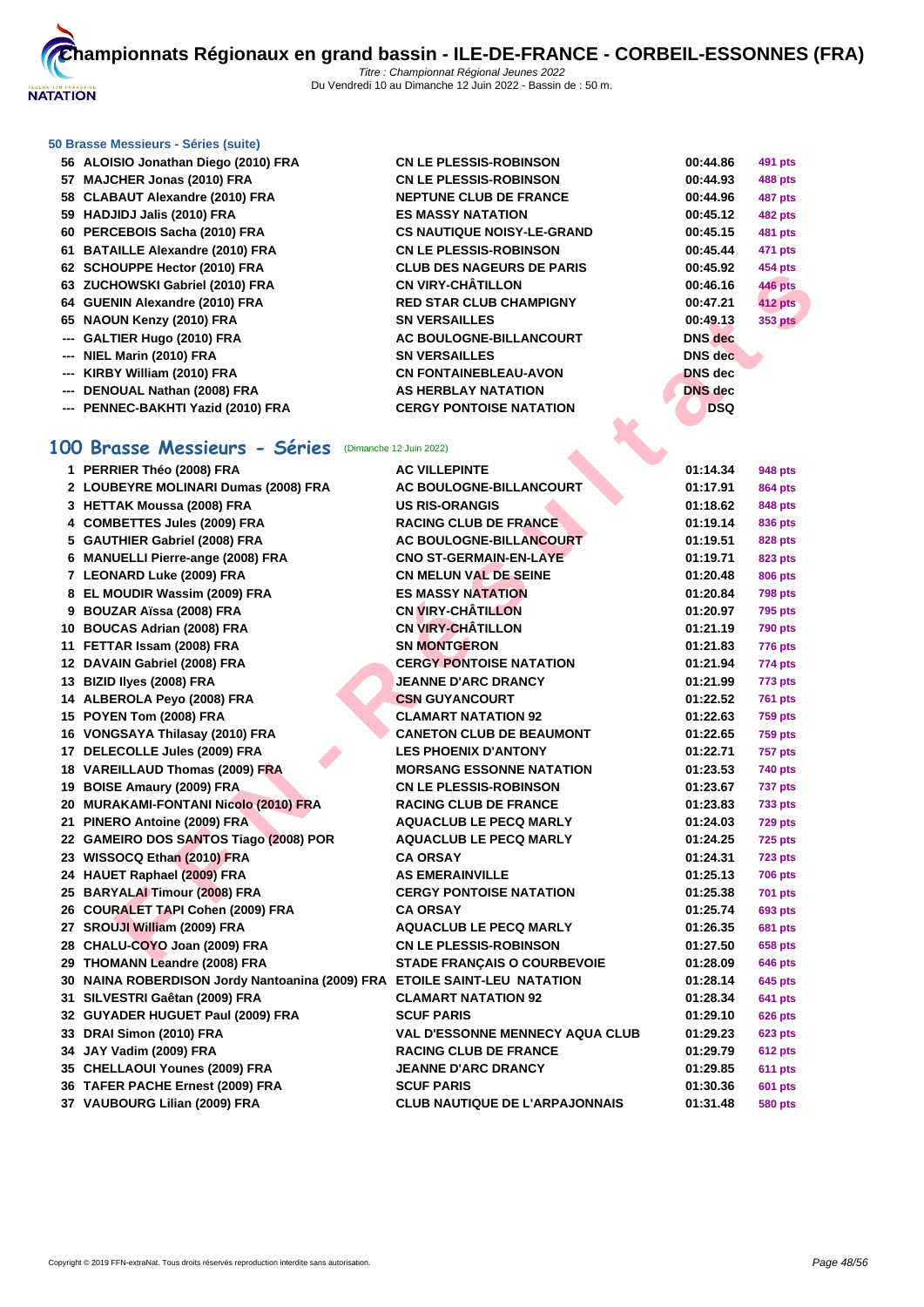

### **[50 Brasse](http://www.ffnatation.fr/webffn/index.php) Messieurs - Séries (suite)**

- **ALOISIO Jonathan Diego (2010) FRA CN LE PLESSIS-ROBINSON 00:44.86 491 pts**
- **MAJCHER Jonas (2010) FRA CN LE PLESSIS-ROBINSON 00:44.93 488 pts**
- **CLABAUT Alexandre (2010) FRA NEPTUNE CLUB DE FRANCE 00:44.96 487 pts**
- **HADJIDJ Jalis (2010) FRA ES MASSY NATATION 00:45.12 482 pts**
- **PERCEBOIS Sacha (2010) FRA CS NAUTIQUE NOISY-LE-GRAND 00:45.15 481 pts**
- **BATAILLE Alexandre (2010) FRA CN LE PLESSIS-ROBINSON 00:45.44 471 pts**
- **SCHOUPPE Hector (2010) FRA CLUB DES NAGEURS DE PARIS 00:45.92 454 pts**
- **ZUCHOWSKI Gabriel (2010) FRA CN VIRY-CHÂTILLON 00:46.16 446 pts**
- **GUENIN Alexandre (2010) FRA RED STAR CLUB CHAMPIGNY 00:47.21 412 pts**
- **NAOUN Kenzy (2010) FRA SN VERSAILLES 00:49.13 353 pts**
- **--- GALTIER Hugo (2010) FRA AC BOULOGNE-BILLANCOURT DNS dec**
- **--- NIEL Marin (2010) FRA SN VERSAILLES DNS dec**
- **--- KIRBY William (2010) FRA CN FONTAINEBLEAU-AVON DNS dec**
- **--- DENOUAL Nathan (2008) FRA AS HERBLAY NATATION DNS dec**
- **--- PENNEC-BAKHTI Yazid (2010) FRA CERGY PONTOISE NATATION DSQ**

# **100 Brasse Messieurs - Séries** (Dimanche 12 Juin 2022)

| 02 SUIDUITE HEUDI (2010) INA                                              | UD DEJ NAGEURJ DE I ARIJ               |                | אוץ דעד        |
|---------------------------------------------------------------------------|----------------------------------------|----------------|----------------|
| 63 ZUCHOWSKI Gabriel (2010) FRA                                           | <b>CN VIRY-CHÂTILLON</b>               | 00:46.16       | <b>446 pts</b> |
| 64 GUENIN Alexandre (2010) FRA                                            | <b>RED STAR CLUB CHAMPIGNY</b>         | 00:47.21       | <b>412 pts</b> |
| 65 NAOUN Kenzy (2010) FRA                                                 | <b>SN VERSAILLES</b>                   | 00:49.13       | <b>353 pts</b> |
| --- GALTIER Hugo (2010) FRA                                               | AC BOULOGNE-BILLANCOURT                | <b>DNS</b> dec |                |
| --- NIEL Marin (2010) FRA                                                 | <b>SN VERSAILLES</b>                   | <b>DNS</b> dec |                |
| --- KIRBY William (2010) FRA                                              | <b>CN FONTAINEBLEAU-AVON</b>           | <b>DNS</b> dec |                |
| DENOUAL Nathan (2008) FRA                                                 | AS HERBLAY NATATION                    | <b>DNS</b> dec |                |
| PENNEC-BAKHTI Yazid (2010) FRA                                            | <b>CERGY PONTOISE NATATION</b>         | <b>DSQ</b>     |                |
|                                                                           |                                        |                |                |
| 00 Brasse Messieurs - Séries (Dimanche 12 Juin 2022)                      |                                        |                |                |
| 1 PERRIER Théo (2008) FRA                                                 | <b>AC VILLEPINTE</b>                   | 01:14.34       | 948 pts        |
| 2 LOUBEYRE MOLINARI Dumas (2008) FRA                                      | AC BOULOGNE-BILLANCOURT                | 01:17.91       | 864 pts        |
| 3 HETTAK Moussa (2008) FRA                                                | <b>US RIS-ORANGIS</b>                  | 01:18.62       | 848 pts        |
| 4 COMBETTES Jules (2009) FRA                                              | <b>RACING CLUB DE FRANCE</b>           | 01:19.14       | 836 pts        |
| 5 GAUTHIER Gabriel (2008) FRA                                             | AC BOULOGNE-BILLANCOURT                | 01:19.51       | 828 pts        |
| 6 MANUELLI Pierre-ange (2008) FRA                                         | <b>CNO ST-GERMAIN-EN-LAYE</b>          | 01:19.71       | 823 pts        |
| 7 LEONARD Luke (2009) FRA                                                 | <b>CN MELUN VAL DE SEINE</b>           | 01:20.48       | <b>806 pts</b> |
| 8 EL MOUDIR Wassim (2009) FRA                                             | <b>ES MASSY NATATION</b>               | 01:20.84       | <b>798 pts</b> |
| 9 BOUZAR Aïssa (2008) FRA                                                 | <b>CN VIRY-CHÂTILLON</b>               | 01:20.97       | <b>795 pts</b> |
| 10 BOUCAS Adrian (2008) FRA                                               | <b>CN VIRY-CHÂTILLON</b>               | 01:21.19       | <b>790 pts</b> |
| 11 FETTAR Issam (2008) FRA                                                | <b>SN MONTGERON</b>                    | 01:21.83       | 776 pts        |
| 12 DAVAIN Gabriel (2008) FRA                                              | <b>CERGY PONTOISE NATATION</b>         | 01:21.94       | 774 pts        |
| 13 BIZID Ilyes (2008) FRA                                                 | <b>JEANNE D'ARC DRANCY</b>             | 01:21.99       | 773 pts        |
| 14 ALBEROLA Peyo (2008) FRA                                               | <b>CSN GUYANCOURT</b>                  | 01:22.52       | <b>761 pts</b> |
| 15 POYEN Tom (2008) FRA                                                   | <b>CLAMART NATATION 92</b>             | 01:22.63       | <b>759 pts</b> |
| 16 VONGSAYA Thilasay (2010) FRA                                           | <b>CANETON CLUB DE BEAUMONT</b>        | 01:22.65       | <b>759 pts</b> |
| 17 DELECOLLE Jules (2009) FRA                                             | <b>LES PHOENIX D'ANTONY</b>            | 01:22.71       | <b>757 pts</b> |
| 18 VAREILLAUD Thomas (2009) FRA                                           | <b>MORSANG ESSONNE NATATION</b>        | 01:23.53       | 740 pts        |
| 19 BOISE Amaury (2009) FRA                                                | <b>CN LE PLESSIS-ROBINSON</b>          | 01:23.67       | <b>737 pts</b> |
| 20 MURAKAMI-FONTANI Nicolo (2010) FRA                                     | <b>RACING CLUB DE FRANCE</b>           | 01:23.83       | 733 pts        |
| 21 PINERO Antoine (2009) FRA                                              | <b>AQUACLUB LE PECQ MARLY</b>          | 01:24.03       | <b>729 pts</b> |
| 22 GAMEIRO DOS SANTOS Tiago (2008) POR                                    | <b>AQUACLUB LE PECQ MARLY</b>          | 01:24.25       | <b>725 pts</b> |
| 23 WISSOCQ Ethan (2010) FRA                                               | <b>CA ORSAY</b>                        | 01:24.31       | <b>723 pts</b> |
| 24 HAUET Raphael (2009) FRA                                               | <b>AS EMERAINVILLE</b>                 | 01:25.13       | <b>706 pts</b> |
| 25 BARYALAI Timour (2008) FRA                                             | <b>CERGY PONTOISE NATATION</b>         | 01:25.38       | <b>701 pts</b> |
| 26 COURALET TAPI Cohen (2009) FRA                                         | <b>CA ORSAY</b>                        | 01:25.74       | 693 pts        |
| 27 SROUJI William (2009) FRA                                              | <b>AQUACLUB LE PECQ MARLY</b>          | 01:26.35       | <b>681 pts</b> |
| 28 CHALU-COYO Joan (2009) FRA                                             | <b>CN LE PLESSIS-ROBINSON</b>          | 01:27.50       | 658 pts        |
| 29 THOMANN Leandre (2008) FRA                                             | <b>STADE FRANÇAIS O COURBEVOIE</b>     | 01:28.09       | 646 pts        |
| 30 NAINA ROBERDISON Jordy Nantoanina (2009) FRA ETOILE SAINT-LEU NATATION |                                        | 01:28.14       | 645 pts        |
| 31 SILVESTRI Gaêtan (2009) FRA                                            | <b>CLAMART NATATION 92</b>             | 01:28.34       | 641 pts        |
| 32 GUYADER HUGUET Paul (2009) FRA                                         | <b>SCUF PARIS</b>                      | 01:29.10       | <b>626 pts</b> |
| 33 DRAI Simon (2010) FRA                                                  | <b>VAL D'ESSONNE MENNECY AQUA CLUB</b> | 01:29.23       | <b>623 pts</b> |
| 34 JAY Vadim (2009) FRA                                                   | <b>RACING CLUB DE FRANCE</b>           | 01:29.79       | <b>612 pts</b> |
| 35 CHELLAOUI Younes (2009) FRA                                            | <b>JEANNE D'ARC DRANCY</b>             | 01:29.85       | 611 pts        |
| 36 TAFER PACHE Ernest (2009) FRA                                          | <b>SCUF PARIS</b>                      | 01:30.36       | 601 pts        |
| 37 VAUBOURG Lilian (2009) FRA                                             | <b>CLUB NAUTIQUE DE L'ARPAJONNAIS</b>  | 01:31.48       | 580 pts        |
|                                                                           |                                        |                |                |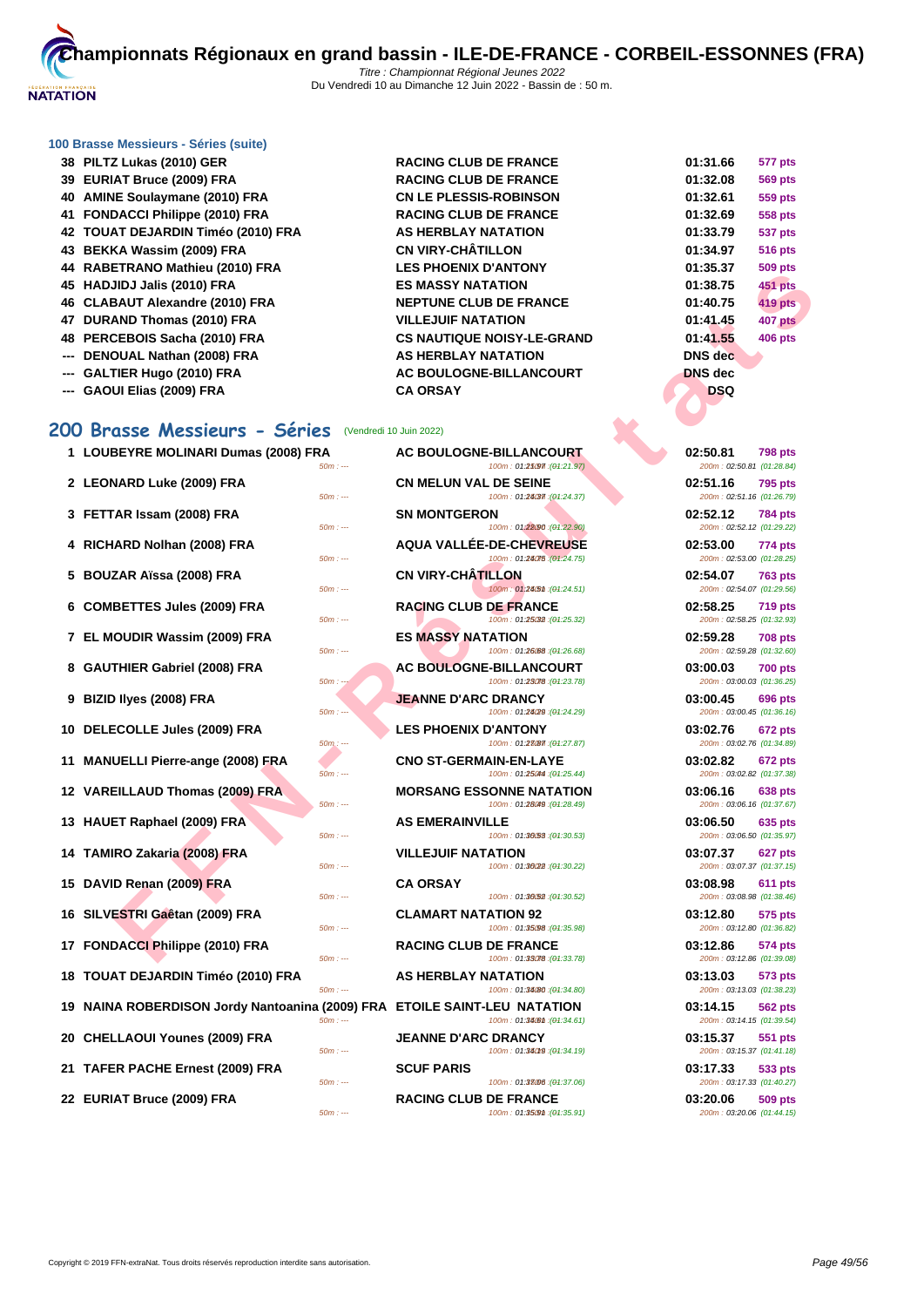

**88 BLUB DE FRANCE BACING CLUB DE FRANCE 40 AMINE Soulaymane (2010) FRA CN LE PLESSIS-ROBINSON 01:32.61 559 pts RACING CLUB DE FRANCE AS HERBLAY NATATION 43 BEKKA Wassim (2009) FRA CN VIRY-CHÂTILLON 01:34.97 516 pts 44 LES PHOENIX D'ANTONY** 

### **[100 Brass](http://www.ffnatation.fr/webffn/index.php)e Messieurs - Séries (suite)**

| 38 PILTZ Lukas (2010) GER          |
|------------------------------------|
| 39 EURIAT Bruce (2009) FRA         |
| 40 AMINE Soulaymane (2010) FRA     |
| 41 FONDACCI Philippe (2010) FRA    |
| 42 TOUAT DEJARDIN Timéo (2010) FRA |
| 43 BEKKA Wassim (2009) FRA         |
| 44 RABETRANO Mathieu (2010) FRA    |
| 45 HADJIDJ Jalis (2010) FRA        |
| 46 CLABAUT Alexandre (2010) FRA    |
| 47 DURAND Thomas (2010) FRA        |
| 48 PERCEBOIS Sacha (2010) FRA      |
| --- DENOUAL Nathan (2008) FRA      |
| --- GALTIER Hugo (2010) FRA        |

--- **GAOUI Elias (2009) FRA CA ORSAY** 

# **200 Brasse Messieurs - Séries** (Vendredi 10 Juin 2022)

- **1 LOUBEYRE MOLINARI Dumas (2008) FRA AC BOULOGNE-BILLANCOURT 02:50.81 798 pts 2 LEONARD Luke (2009) FRA CN MELUN VAL DE SEINE 02:51.16 795 pts 3 FETTAR Issam (2008) FRA SN MONTGERON 4 RICHARD Nolhan (2008) FRA AQUA VALLÉE-DE-CHEVREUSE**<br>50m **and 100m 774475.000 124475.00 702:4475 5 BOUZAR Aïssa (2008) FRA CN VIRY-CHÂTILLON**
- 
- 
- 
- 
- **10 DELECOLLE Jules (2009) FRA LES PHOENIX D'ANTONY**
- **11 MANUELLI Pierre-ange (2008) FRA CNO ST-GERMAIN-EN-LAYE 03:02.82 672 pts**
- 
- 
- **14 TAMIRO Zakaria (2008) FRA VILLEJUIF NATATION 03:07.37 627 pts**
- **15 DAVID Renan (2009) FRA CA ORSAY 03:08.98 611 pts**
- 16 SILVESTRI Gaêtan (2009) FRA **CLAMART NATATION 92**
- 
- **18 TOUAT DEJARDIN Timéo (2010) FRA AS HERBLAY NATATION 03:13.03 573 pts**
- **19 NAINA ROBERDISON Jordy Nantoanina (2009) FRA ETOILE SAINT-LEU NATATION 03:14.15 562 pts**
- **20 CHELLAOUI Younes (2009) FRA JEANNE D'ARC DRANCY 03:15.37 551 pts**
- **21 TAFER PACHE Ernest (2009) FRA SCUF PARIS**
- **22 EURIAT Bruce (2009) FRA RACING CLUB DE FRANCE 03:20.06 509 pts**

**FRANCE CHO DE ANNELLE ADVIRE CHO DE RANCE CHO DE RANCE (1993 FRANCE CHO DE RANCE CHO DE RANCE CHO DE RANCE CHO DE RANCE CHO DE RANCE CHO DE RANCE CHO DE RANCE CHO DE RANCE CHO DE RANCE CHO DE RANCE CHO DE RANCE CHO DE RA 453 BJS MASSY NATATION 166 NEPTUNE CLUB DE FRANCE ATATION THEORY IN THE PATATION 48 YOUS SACK SACRAND FRAQUE NOISY-LE-GRAND AS HERBLAY NATATION AC BOULOGNE-BILLANCOURT**  $50m$  : ---  $100m$  : 01:25097 (04:21.97)  $50m$  : ---  $100m$  : 01:24.37 ( $\theta$ 4:24.37) 100m : 01:22.90 : (01:22.90) 100m : 01:24075 : (01:24.75)  $100m : 01:24.51$   $(04:24.51)$ **6** COMBETTES Jules (2009) FRA<br>  $\frac{60m}{2}$  **RACING CLUB DE FRANCE**  $100m : 01:25082 : (01:25.32)$ **7 EL MOUDIR Wassim (2009) FRA ES MASSY NATATION ES** m : 01:26.68 : (<del>0</del>1:26.68) **8 GAUTHIER Gabriel (2008) FRA AC BOULOGNE-BILLANCOURT 100m**: 01:3878 (91:23.78  $100m : 01:23.78$   $(04:23.78)$ **9 BIZID Ilyes (2008) FRA JEANNE D'ARC DRANCY 03:00.45 696 pts**  $50m : -100m : 01:28029 : (01:24.29)$  $50m$ :  $100m$  : 01:27.87 (04:27.87) 50m : --- 100m : 01:25.044 (01:25.44) **12 VAREILLAUD Thomas (2009) FRA MORSANG ESSONNE NATATION** 50m : --- 100m : 01:28.49 100m : 01:28.49 100m : 01:28.49 **13 HAUET Raphael (2009) FRA AS EMERAINVILLE**  $100m$  : 01:36.53 : (04:30.53) 50m : --- 100m : 01:36022 (04:30.22)  $50m : -100m : 01:36.52$  (04:30.52)

50m : --- 100m : 01:35.98 10m : --- (01:35.98) 200m : 03:12.80 (01:36.82) **17 FONDACCI Philippe (2010) FRA RACING CLUB DE FRANCE RAGING 100m 101:38078 04:** 100m : 01:33078 : (01:33.78)

50m : --- 100m : 01:34.80 (04:34.80)

 $50m$  : ---  $100m$  : 01:34.61  $(04:34.61)$ 

50m : --- 100m : 01:34.019 (04:34.19)

 $100m : 01:38006/(91:37.06)$ 

50m : ---  $100m : 01:35.91$ 

| 01:31.66       | 577 pts        |
|----------------|----------------|
| 01:32.08       | <b>569 pts</b> |
| 01:32.61       | <b>559 pts</b> |
| 01:32.69       | 558 pts        |
| 01:33.79       | 537 pts        |
| 01:34.97       | <b>516 pts</b> |
| 01:35.37       | <b>509 pts</b> |
| 01:38.75       | 451 pts        |
| 01:40.75       | 419 pts        |
| 01:41.45       | <b>407 pts</b> |
| 01:41.55       | <b>406 pts</b> |
| <b>DNS</b> dec |                |
| <b>DNS</b> dec |                |
| DSQ            |                |
|                |                |

| 02:50.81<br>798 pts<br>200m: 02:50.81 (01:28.84)        |
|---------------------------------------------------------|
| 02:51.16<br><b>795 pts</b>                              |
| 200m: 02:51.16 (01:26.79)<br>02:52.12<br>784 pts        |
| 200m: 02:52.12 (01:29.22)                               |
| 02:53.00<br>774 pts<br>200m: 02:53.00 (01:28.25)        |
| 02:54.07<br><b>763 pts</b><br>200m: 02:54.07 (01:29.56) |
| 02:58.25<br>719 pts<br>200m: 02:58.25 (01:32.93)        |
| 02:59.28<br><b>708 pts</b>                              |
| 200m: 02:59.28 (01:32.60)                               |
| 03:00.03<br>700 pts<br>200m: 03:00.03 (01:36.25)        |
| 03:00.45<br><b>696 pts</b>                              |
| 200m: 03:00.45 (01:36.16)                               |
| 03:02.76<br>672 pts<br>200m: 03:02.76 (01:34.89)        |
| 03:02.82<br>672 pts<br>200m: 03:02.82 (01:37.38)        |
| 03:06.16<br>638 pts                                     |
| 200m: 03:06.16 (01:37.67)                               |
| 03:06.50<br>635 pts<br>200m: 03:06.50 (01:35.97)        |
| 03:07.37<br>627 pts                                     |
| 200m: 03:07.37 (01:37.15)                               |
| 03:08.98<br>611 pts<br>200m: 03:08.98 (01:38.46)        |
| 03:12.80<br>575 pts                                     |
| 200m: 03:12.80 (01:36.82)                               |
| 03:12.86<br>574 pts<br>200m: 03:12.86 (01:39.08)        |
| 03:13.03<br>573 pts                                     |
| 200m: 03:13.03 (01:38.23)                               |
| 03:14.15<br>562 pts<br>200m: 03:14.15 (01:39.54)        |
| 03:15.37<br>551 pts                                     |
| 200m: 03:15.37 (01:41.18)                               |
| 03:17.33<br>533 pts<br>200m: 03:17.33 (01:40.27)        |
|                                                         |
| 03:20.06<br>509 pts                                     |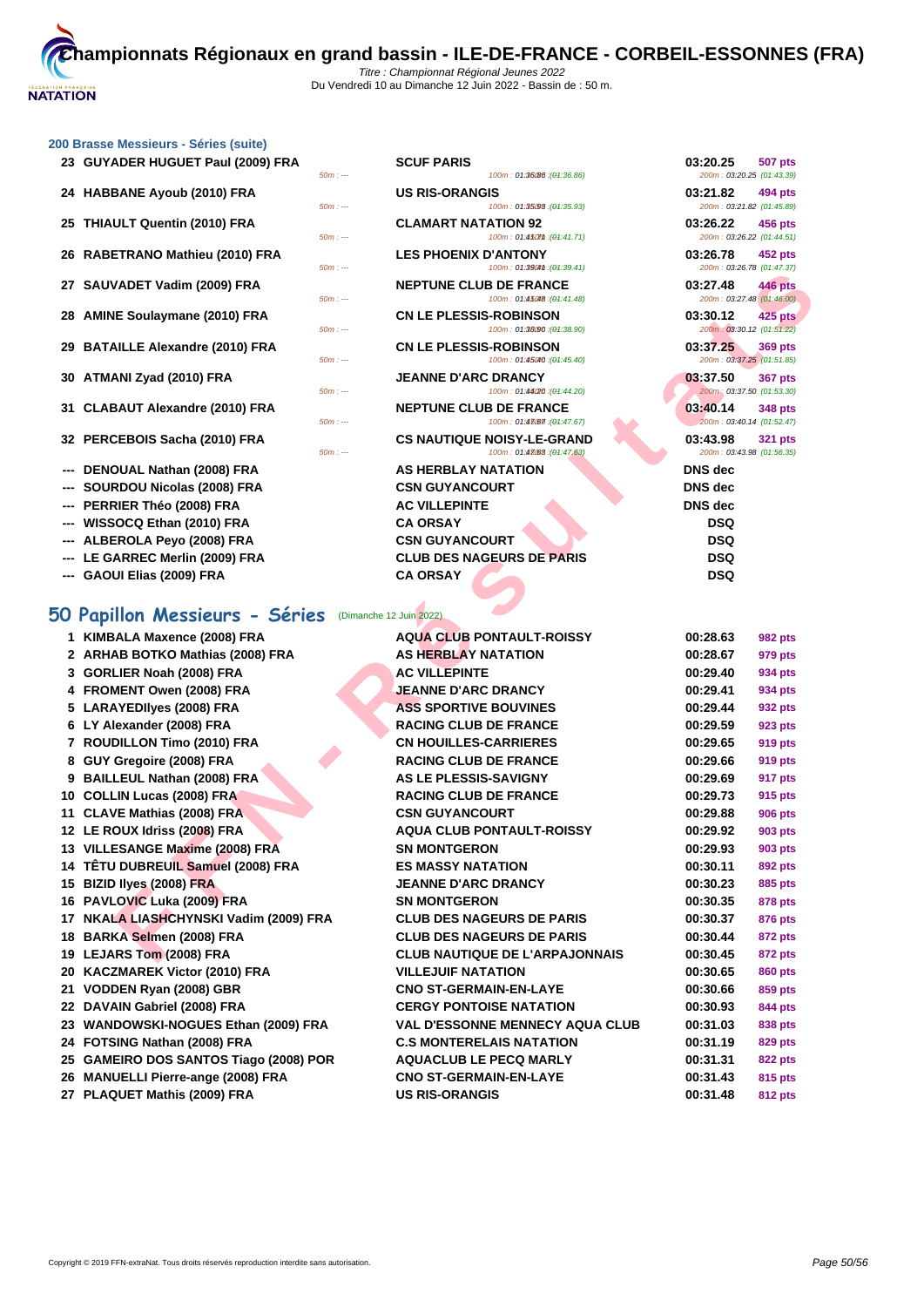50m : --- 100m : 01:36.86 150m : --- (01:36.86) 200m : 03:20.25 (01:43.39)

50m : --- 100m : 01:39641 (04:39.41) 200m : 03:26.78 (01:47.37)

 $100m$  :  $01:450m$  :  $(04:41.71)$ 

200m : 03:21.82 (01:45.89)

## **[200 Brass](http://www.ffnatation.fr/webffn/index.php)e Messieurs - Séries (suite)**

| 23 GUYADER HUGUET Paul (2009) FRA | <b>SCUF PARIS</b> | 03:20.25 | 507 pts |
|-----------------------------------|-------------------|----------|---------|
|-----------------------------------|-------------------|----------|---------|

- **24 HABBANE Ayoub (2010) FRA US RIS-ORANGIS 100m**: 01:3598 (04:35.93) **03:21.82 03:21.82 494 pts**<br> **200m**: 01:45.89
- **25 THIAULT Quentin (2010) FRA CLAMART NATATION 92 03:26.22 03:26.22 456 pts**<br> **CLAMART NATATION 92 100m**: 01:45/01:41.71) **100m**: 01:45/01:41.71) **100m**: 01:45/01:41.71
- **26 RABETRANO Mathieu (2010) FRA LES PHOENIX D'ANTONY 03:26.78 452 pts**
- **27 SAUVADET Vadim (2009) FRA NEPTUNE CLUB DE FRANCE 03:27.48 03:27.48 446 pts**<br> **100m**: 01:45*a*e (91:41.48) **100m**: 01:45*ae* (91:41.48) **100m**: 01:45*ae* (91:41.48)
- **28 AMINE Soulaymane (2010) FRA CN LE PLESSIS-ROBINSON 03:30.12 425 pts**
- **29 BATAILLE Alexandre (2010) FRA CN LE PLESSIS-ROBINSON 03:37.25 369 pts**
- **30 ATMANI Zyad (2010) FRA JEANNE D'ARC DRANCY 100m**: 01:44200 **1300 10:44200 04:5420 03:37.50 01:53.30 01:53.30**
- **31 CLABAUT Alexandre (2010) FRA 160m**: --- **NEPTUNE CLUB DE FRANCE 03:40.14 03:40.14 01:52.47 01:52.47 01:47.67 01:47.67 01:47.67 01:47.67 01:47.67 01:52.47**
- **32 PERCEBOIS Sacha (2010) FRA CS NAUTIQUE NOISY-LE-GRAND 03:43.98 321 pts**
- **--- DENOUAL Nathan (2008) FRA AS HERBLAY NATATION DNS dec**
- **--- SOURDOU Nicolas (2008) FRA CSN GUYANCOURT DNS dec**
- **--- PERRIER Théo (2008) FRA AC VILLEPINTE DNS dec**
- **--- WISSOCQ Ethan (2010) FRA CA ORSAY DSQ**
- **--- ALBEROLA Peyo (2008) FRA CSN GUYANCOURT DSQ**
- **--- LE GARREC Merlin (2009) FRA CLUB DES NAGEURS DE PARIS DSQ**
- **--- GAOUI Elias (2009) FRA CA ORSAY DSQ**

# **50 Papillon Messieurs - Séries** (Dimanche 12 Juin 2022)

| 27 SAUVADET Vadim (2009) FRA<br><b>NEPTUNE CLUB DE FRANCE</b><br>03:27.48<br><b>446 pts</b><br>200m: 03:27.48 (01:46.00)<br>$50m: -$<br>100m: 01:45048 : (01:41.48)<br>28 AMINE Soulaymane (2010) FRA<br><b>CN LE PLESSIS-ROBINSON</b><br>03:30.12<br>425 pts<br>200m: 03:30.12 (01:51.22)<br>$50m: -$<br>100m: 01:38.90 : (01:38.90)<br>29 BATAILLE Alexandre (2010) FRA<br><b>CN LE PLESSIS-ROBINSON</b><br>03:37.25<br>369 pts<br>200m: 03:37.25 (01:51.85)<br>100m: 01:45040 : (01:45.40)<br>$50m: -$<br>30 ATMANI Zyad (2010) FRA<br><b>JEANNE D'ARC DRANCY</b><br>03:37.50<br><b>367 pts</b><br>200m: 03:37.50 (01:53.30)<br>$50m: -$<br>100m: 01:44/20: (01:44.20)<br>31 CLABAUT Alexandre (2010) FRA<br><b>NEPTUNE CLUB DE FRANCE</b><br>03:40.14<br>348 pts<br>200m: 03:40.14 (01:52.47)<br>$50m: -$<br>100m: 01:43067 : (04:47.67)<br>32 PERCEBOIS Sacha (2010) FRA<br><b>CS NAUTIQUE NOISY-LE-GRAND</b><br>03:43.98<br><b>321 pts</b><br>200m: 03:43.98 (01:56.35)<br>$50m: -$<br>100m: 01:43083 : (01:47.63)<br>DENOUAL Nathan (2008) FRA<br><b>AS HERBLAY NATATION</b><br><b>DNS</b> dec<br><b>DNS</b> dec<br>SOURDOU Nicolas (2008) FRA<br><b>CSN GUYANCOURT</b><br>---<br>--- PERRIER Théo (2008) FRA<br><b>AC VILLEPINTE</b><br><b>DNS</b> dec<br><b>DSQ</b><br>--- WISSOCQ Ethan (2010) FRA<br><b>CA ORSAY</b><br><b>DSQ</b><br>ALBEROLA Peyo (2008) FRA<br><b>CSN GUYANCOURT</b><br><b>CLUB DES NAGEURS DE PARIS</b><br><b>DSQ</b><br>--- LE GARREC Merlin (2009) FRA<br><b>DSQ</b><br>--- GAOUI Elias (2009) FRA<br><b>CA ORSAY</b><br>0 Papillon Messieurs - Séries<br>(Dimanche 12 Juin 2022)<br>1 KIMBALA Maxence (2008) FRA<br><b>AQUA CLUB PONTAULT-ROISSY</b><br>00:28.63<br>982 pts<br>2 ARHAB BOTKO Mathias (2008) FRA<br><b>AS HERBLAY NATATION</b><br>00:28.67<br>979 pts<br>3 GORLIER Noah (2008) FRA<br><b>AC VILLEPINTE</b><br>00:29.40<br>934 pts<br>4 FROMENT Owen (2008) FRA<br>JEANNE D'ARC DRANCY<br>00:29.41<br>934 pts<br>5 LARAYEDIIyes (2008) FRA<br><b>ASS SPORTIVE BOUVINES</b><br>00:29.44<br>932 pts<br>6 LY Alexander (2008) FRA<br><b>RACING CLUB DE FRANCE</b><br>00:29.59<br>923 pts<br>7 ROUDILLON Timo (2010) FRA<br><b>CN HOUILLES-CARRIERES</b><br>00:29.65<br>919 pts<br>8 GUY Gregoire (2008) FRA<br><b>RACING CLUB DE FRANCE</b><br>00:29.66<br>919 pts<br>AS LE PLESSIS-SAVIGNY<br>00:29.69<br>9 BAILLEUL Nathan (2008) FRA<br><b>917 pts</b><br>10 COLLIN Lucas (2008) FRA<br><b>RACING CLUB DE FRANCE</b><br>00:29.73<br>915 pts<br>11 CLAVE Mathias (2008) FRA<br><b>CSN GUYANCOURT</b><br>00:29.88<br>906 pts<br>12 LE ROUX Idriss (2008) FRA<br><b>AQUA CLUB PONTAULT-ROISSY</b><br>00:29.92<br>903 pts<br>13 VILLESANGE Maxime (2008) FRA<br><b>SN MONTGERON</b><br>00:29.93<br>903 pts<br>14 TÊTU DUBREUIL Samuel (2008) FRA<br><b>ES MASSY NATATION</b><br>00:30.11<br>892 pts<br>15 BIZID liyes (2008) FRA<br><b>JEANNE D'ARC DRANCY</b><br>00:30.23<br>885 pts<br>16 PAVLOVIC Luka (2009) FRA<br><b>SN MONTGERON</b><br>00:30.35<br>878 pts<br>17 NKALA LIASHCHYNSKI Vadim (2009) FRA<br><b>CLUB DES NAGEURS DE PARIS</b><br>00:30.37<br>876 pts<br>18 BARKA Selmen (2008) FRA<br><b>CLUB DES NAGEURS DE PARIS</b><br>00:30.44<br>872 pts<br>19 LEJARS Tom (2008) FRA<br><b>CLUB NAUTIQUE DE L'ARPAJONNAIS</b><br>00:30.45<br><b>872 pts</b><br>20 KACZMAREK Victor (2010) FRA<br><b>VILLEJUIF NATATION</b><br>00:30.65<br>860 pts<br>21 VODDEN Ryan (2008) GBR<br><b>CNO ST-GERMAIN-EN-LAYE</b><br>00:30.66<br>859 pts<br>22 DAVAIN Gabriel (2008) FRA<br><b>CERGY PONTOISE NATATION</b><br>00:30.93<br>844 pts<br>23 WANDOWSKI-NOGUES Ethan (2009) FRA<br><b>VAL D'ESSONNE MENNECY AQUA CLUB</b><br>00:31.03<br>838 pts<br>24 FOTSING Nathan (2008) FRA<br><b>C.S MONTERELAIS NATATION</b><br>00:31.19<br>829 pts<br>25 GAMEIRO DOS SANTOS Tiago (2008) POR<br><b>AQUACLUB LE PECQ MARLY</b><br>00:31.31<br>822 pts<br>26 MANUELLI Pierre-ange (2008) FRA<br><b>CNO ST-GERMAIN-EN-LAYE</b><br>00:31.43<br>815 pts<br>27 PLAQUET Mathis (2009) FRA<br><b>US RIS-ORANGIS</b><br>00:31.48<br>812 pts | $111.7$ | 10011.00011.0001 | 20011.0320.10001.41.31) |  |
|------------------------------------------------------------------------------------------------------------------------------------------------------------------------------------------------------------------------------------------------------------------------------------------------------------------------------------------------------------------------------------------------------------------------------------------------------------------------------------------------------------------------------------------------------------------------------------------------------------------------------------------------------------------------------------------------------------------------------------------------------------------------------------------------------------------------------------------------------------------------------------------------------------------------------------------------------------------------------------------------------------------------------------------------------------------------------------------------------------------------------------------------------------------------------------------------------------------------------------------------------------------------------------------------------------------------------------------------------------------------------------------------------------------------------------------------------------------------------------------------------------------------------------------------------------------------------------------------------------------------------------------------------------------------------------------------------------------------------------------------------------------------------------------------------------------------------------------------------------------------------------------------------------------------------------------------------------------------------------------------------------------------------------------------------------------------------------------------------------------------------------------------------------------------------------------------------------------------------------------------------------------------------------------------------------------------------------------------------------------------------------------------------------------------------------------------------------------------------------------------------------------------------------------------------------------------------------------------------------------------------------------------------------------------------------------------------------------------------------------------------------------------------------------------------------------------------------------------------------------------------------------------------------------------------------------------------------------------------------------------------------------------------------------------------------------------------------------------------------------------------------------------------------------------------------------------------------------------------------------------------------------------------------------------------------------------------------------------------------------------------------------------------------------------------------------------------------------------------------------------------------------------------------------------------------------------------------------------------------------------------------------------------------------------------------------------------------------------------------------------------------------------------------------------------------------------------------------------------------------------------------------------------------------------------------------------------------------------------------------------------------------------------------------------------------------------|---------|------------------|-------------------------|--|
|                                                                                                                                                                                                                                                                                                                                                                                                                                                                                                                                                                                                                                                                                                                                                                                                                                                                                                                                                                                                                                                                                                                                                                                                                                                                                                                                                                                                                                                                                                                                                                                                                                                                                                                                                                                                                                                                                                                                                                                                                                                                                                                                                                                                                                                                                                                                                                                                                                                                                                                                                                                                                                                                                                                                                                                                                                                                                                                                                                                                                                                                                                                                                                                                                                                                                                                                                                                                                                                                                                                                                                                                                                                                                                                                                                                                                                                                                                                                                                                                                                                                        |         |                  |                         |  |
|                                                                                                                                                                                                                                                                                                                                                                                                                                                                                                                                                                                                                                                                                                                                                                                                                                                                                                                                                                                                                                                                                                                                                                                                                                                                                                                                                                                                                                                                                                                                                                                                                                                                                                                                                                                                                                                                                                                                                                                                                                                                                                                                                                                                                                                                                                                                                                                                                                                                                                                                                                                                                                                                                                                                                                                                                                                                                                                                                                                                                                                                                                                                                                                                                                                                                                                                                                                                                                                                                                                                                                                                                                                                                                                                                                                                                                                                                                                                                                                                                                                                        |         |                  |                         |  |
|                                                                                                                                                                                                                                                                                                                                                                                                                                                                                                                                                                                                                                                                                                                                                                                                                                                                                                                                                                                                                                                                                                                                                                                                                                                                                                                                                                                                                                                                                                                                                                                                                                                                                                                                                                                                                                                                                                                                                                                                                                                                                                                                                                                                                                                                                                                                                                                                                                                                                                                                                                                                                                                                                                                                                                                                                                                                                                                                                                                                                                                                                                                                                                                                                                                                                                                                                                                                                                                                                                                                                                                                                                                                                                                                                                                                                                                                                                                                                                                                                                                                        |         |                  |                         |  |
|                                                                                                                                                                                                                                                                                                                                                                                                                                                                                                                                                                                                                                                                                                                                                                                                                                                                                                                                                                                                                                                                                                                                                                                                                                                                                                                                                                                                                                                                                                                                                                                                                                                                                                                                                                                                                                                                                                                                                                                                                                                                                                                                                                                                                                                                                                                                                                                                                                                                                                                                                                                                                                                                                                                                                                                                                                                                                                                                                                                                                                                                                                                                                                                                                                                                                                                                                                                                                                                                                                                                                                                                                                                                                                                                                                                                                                                                                                                                                                                                                                                                        |         |                  |                         |  |
|                                                                                                                                                                                                                                                                                                                                                                                                                                                                                                                                                                                                                                                                                                                                                                                                                                                                                                                                                                                                                                                                                                                                                                                                                                                                                                                                                                                                                                                                                                                                                                                                                                                                                                                                                                                                                                                                                                                                                                                                                                                                                                                                                                                                                                                                                                                                                                                                                                                                                                                                                                                                                                                                                                                                                                                                                                                                                                                                                                                                                                                                                                                                                                                                                                                                                                                                                                                                                                                                                                                                                                                                                                                                                                                                                                                                                                                                                                                                                                                                                                                                        |         |                  |                         |  |
|                                                                                                                                                                                                                                                                                                                                                                                                                                                                                                                                                                                                                                                                                                                                                                                                                                                                                                                                                                                                                                                                                                                                                                                                                                                                                                                                                                                                                                                                                                                                                                                                                                                                                                                                                                                                                                                                                                                                                                                                                                                                                                                                                                                                                                                                                                                                                                                                                                                                                                                                                                                                                                                                                                                                                                                                                                                                                                                                                                                                                                                                                                                                                                                                                                                                                                                                                                                                                                                                                                                                                                                                                                                                                                                                                                                                                                                                                                                                                                                                                                                                        |         |                  |                         |  |
|                                                                                                                                                                                                                                                                                                                                                                                                                                                                                                                                                                                                                                                                                                                                                                                                                                                                                                                                                                                                                                                                                                                                                                                                                                                                                                                                                                                                                                                                                                                                                                                                                                                                                                                                                                                                                                                                                                                                                                                                                                                                                                                                                                                                                                                                                                                                                                                                                                                                                                                                                                                                                                                                                                                                                                                                                                                                                                                                                                                                                                                                                                                                                                                                                                                                                                                                                                                                                                                                                                                                                                                                                                                                                                                                                                                                                                                                                                                                                                                                                                                                        |         |                  |                         |  |
|                                                                                                                                                                                                                                                                                                                                                                                                                                                                                                                                                                                                                                                                                                                                                                                                                                                                                                                                                                                                                                                                                                                                                                                                                                                                                                                                                                                                                                                                                                                                                                                                                                                                                                                                                                                                                                                                                                                                                                                                                                                                                                                                                                                                                                                                                                                                                                                                                                                                                                                                                                                                                                                                                                                                                                                                                                                                                                                                                                                                                                                                                                                                                                                                                                                                                                                                                                                                                                                                                                                                                                                                                                                                                                                                                                                                                                                                                                                                                                                                                                                                        |         |                  |                         |  |
|                                                                                                                                                                                                                                                                                                                                                                                                                                                                                                                                                                                                                                                                                                                                                                                                                                                                                                                                                                                                                                                                                                                                                                                                                                                                                                                                                                                                                                                                                                                                                                                                                                                                                                                                                                                                                                                                                                                                                                                                                                                                                                                                                                                                                                                                                                                                                                                                                                                                                                                                                                                                                                                                                                                                                                                                                                                                                                                                                                                                                                                                                                                                                                                                                                                                                                                                                                                                                                                                                                                                                                                                                                                                                                                                                                                                                                                                                                                                                                                                                                                                        |         |                  |                         |  |
|                                                                                                                                                                                                                                                                                                                                                                                                                                                                                                                                                                                                                                                                                                                                                                                                                                                                                                                                                                                                                                                                                                                                                                                                                                                                                                                                                                                                                                                                                                                                                                                                                                                                                                                                                                                                                                                                                                                                                                                                                                                                                                                                                                                                                                                                                                                                                                                                                                                                                                                                                                                                                                                                                                                                                                                                                                                                                                                                                                                                                                                                                                                                                                                                                                                                                                                                                                                                                                                                                                                                                                                                                                                                                                                                                                                                                                                                                                                                                                                                                                                                        |         |                  |                         |  |
|                                                                                                                                                                                                                                                                                                                                                                                                                                                                                                                                                                                                                                                                                                                                                                                                                                                                                                                                                                                                                                                                                                                                                                                                                                                                                                                                                                                                                                                                                                                                                                                                                                                                                                                                                                                                                                                                                                                                                                                                                                                                                                                                                                                                                                                                                                                                                                                                                                                                                                                                                                                                                                                                                                                                                                                                                                                                                                                                                                                                                                                                                                                                                                                                                                                                                                                                                                                                                                                                                                                                                                                                                                                                                                                                                                                                                                                                                                                                                                                                                                                                        |         |                  |                         |  |
|                                                                                                                                                                                                                                                                                                                                                                                                                                                                                                                                                                                                                                                                                                                                                                                                                                                                                                                                                                                                                                                                                                                                                                                                                                                                                                                                                                                                                                                                                                                                                                                                                                                                                                                                                                                                                                                                                                                                                                                                                                                                                                                                                                                                                                                                                                                                                                                                                                                                                                                                                                                                                                                                                                                                                                                                                                                                                                                                                                                                                                                                                                                                                                                                                                                                                                                                                                                                                                                                                                                                                                                                                                                                                                                                                                                                                                                                                                                                                                                                                                                                        |         |                  |                         |  |
|                                                                                                                                                                                                                                                                                                                                                                                                                                                                                                                                                                                                                                                                                                                                                                                                                                                                                                                                                                                                                                                                                                                                                                                                                                                                                                                                                                                                                                                                                                                                                                                                                                                                                                                                                                                                                                                                                                                                                                                                                                                                                                                                                                                                                                                                                                                                                                                                                                                                                                                                                                                                                                                                                                                                                                                                                                                                                                                                                                                                                                                                                                                                                                                                                                                                                                                                                                                                                                                                                                                                                                                                                                                                                                                                                                                                                                                                                                                                                                                                                                                                        |         |                  |                         |  |
|                                                                                                                                                                                                                                                                                                                                                                                                                                                                                                                                                                                                                                                                                                                                                                                                                                                                                                                                                                                                                                                                                                                                                                                                                                                                                                                                                                                                                                                                                                                                                                                                                                                                                                                                                                                                                                                                                                                                                                                                                                                                                                                                                                                                                                                                                                                                                                                                                                                                                                                                                                                                                                                                                                                                                                                                                                                                                                                                                                                                                                                                                                                                                                                                                                                                                                                                                                                                                                                                                                                                                                                                                                                                                                                                                                                                                                                                                                                                                                                                                                                                        |         |                  |                         |  |
|                                                                                                                                                                                                                                                                                                                                                                                                                                                                                                                                                                                                                                                                                                                                                                                                                                                                                                                                                                                                                                                                                                                                                                                                                                                                                                                                                                                                                                                                                                                                                                                                                                                                                                                                                                                                                                                                                                                                                                                                                                                                                                                                                                                                                                                                                                                                                                                                                                                                                                                                                                                                                                                                                                                                                                                                                                                                                                                                                                                                                                                                                                                                                                                                                                                                                                                                                                                                                                                                                                                                                                                                                                                                                                                                                                                                                                                                                                                                                                                                                                                                        |         |                  |                         |  |
|                                                                                                                                                                                                                                                                                                                                                                                                                                                                                                                                                                                                                                                                                                                                                                                                                                                                                                                                                                                                                                                                                                                                                                                                                                                                                                                                                                                                                                                                                                                                                                                                                                                                                                                                                                                                                                                                                                                                                                                                                                                                                                                                                                                                                                                                                                                                                                                                                                                                                                                                                                                                                                                                                                                                                                                                                                                                                                                                                                                                                                                                                                                                                                                                                                                                                                                                                                                                                                                                                                                                                                                                                                                                                                                                                                                                                                                                                                                                                                                                                                                                        |         |                  |                         |  |
|                                                                                                                                                                                                                                                                                                                                                                                                                                                                                                                                                                                                                                                                                                                                                                                                                                                                                                                                                                                                                                                                                                                                                                                                                                                                                                                                                                                                                                                                                                                                                                                                                                                                                                                                                                                                                                                                                                                                                                                                                                                                                                                                                                                                                                                                                                                                                                                                                                                                                                                                                                                                                                                                                                                                                                                                                                                                                                                                                                                                                                                                                                                                                                                                                                                                                                                                                                                                                                                                                                                                                                                                                                                                                                                                                                                                                                                                                                                                                                                                                                                                        |         |                  |                         |  |
|                                                                                                                                                                                                                                                                                                                                                                                                                                                                                                                                                                                                                                                                                                                                                                                                                                                                                                                                                                                                                                                                                                                                                                                                                                                                                                                                                                                                                                                                                                                                                                                                                                                                                                                                                                                                                                                                                                                                                                                                                                                                                                                                                                                                                                                                                                                                                                                                                                                                                                                                                                                                                                                                                                                                                                                                                                                                                                                                                                                                                                                                                                                                                                                                                                                                                                                                                                                                                                                                                                                                                                                                                                                                                                                                                                                                                                                                                                                                                                                                                                                                        |         |                  |                         |  |
|                                                                                                                                                                                                                                                                                                                                                                                                                                                                                                                                                                                                                                                                                                                                                                                                                                                                                                                                                                                                                                                                                                                                                                                                                                                                                                                                                                                                                                                                                                                                                                                                                                                                                                                                                                                                                                                                                                                                                                                                                                                                                                                                                                                                                                                                                                                                                                                                                                                                                                                                                                                                                                                                                                                                                                                                                                                                                                                                                                                                                                                                                                                                                                                                                                                                                                                                                                                                                                                                                                                                                                                                                                                                                                                                                                                                                                                                                                                                                                                                                                                                        |         |                  |                         |  |
|                                                                                                                                                                                                                                                                                                                                                                                                                                                                                                                                                                                                                                                                                                                                                                                                                                                                                                                                                                                                                                                                                                                                                                                                                                                                                                                                                                                                                                                                                                                                                                                                                                                                                                                                                                                                                                                                                                                                                                                                                                                                                                                                                                                                                                                                                                                                                                                                                                                                                                                                                                                                                                                                                                                                                                                                                                                                                                                                                                                                                                                                                                                                                                                                                                                                                                                                                                                                                                                                                                                                                                                                                                                                                                                                                                                                                                                                                                                                                                                                                                                                        |         |                  |                         |  |
|                                                                                                                                                                                                                                                                                                                                                                                                                                                                                                                                                                                                                                                                                                                                                                                                                                                                                                                                                                                                                                                                                                                                                                                                                                                                                                                                                                                                                                                                                                                                                                                                                                                                                                                                                                                                                                                                                                                                                                                                                                                                                                                                                                                                                                                                                                                                                                                                                                                                                                                                                                                                                                                                                                                                                                                                                                                                                                                                                                                                                                                                                                                                                                                                                                                                                                                                                                                                                                                                                                                                                                                                                                                                                                                                                                                                                                                                                                                                                                                                                                                                        |         |                  |                         |  |
|                                                                                                                                                                                                                                                                                                                                                                                                                                                                                                                                                                                                                                                                                                                                                                                                                                                                                                                                                                                                                                                                                                                                                                                                                                                                                                                                                                                                                                                                                                                                                                                                                                                                                                                                                                                                                                                                                                                                                                                                                                                                                                                                                                                                                                                                                                                                                                                                                                                                                                                                                                                                                                                                                                                                                                                                                                                                                                                                                                                                                                                                                                                                                                                                                                                                                                                                                                                                                                                                                                                                                                                                                                                                                                                                                                                                                                                                                                                                                                                                                                                                        |         |                  |                         |  |
|                                                                                                                                                                                                                                                                                                                                                                                                                                                                                                                                                                                                                                                                                                                                                                                                                                                                                                                                                                                                                                                                                                                                                                                                                                                                                                                                                                                                                                                                                                                                                                                                                                                                                                                                                                                                                                                                                                                                                                                                                                                                                                                                                                                                                                                                                                                                                                                                                                                                                                                                                                                                                                                                                                                                                                                                                                                                                                                                                                                                                                                                                                                                                                                                                                                                                                                                                                                                                                                                                                                                                                                                                                                                                                                                                                                                                                                                                                                                                                                                                                                                        |         |                  |                         |  |
|                                                                                                                                                                                                                                                                                                                                                                                                                                                                                                                                                                                                                                                                                                                                                                                                                                                                                                                                                                                                                                                                                                                                                                                                                                                                                                                                                                                                                                                                                                                                                                                                                                                                                                                                                                                                                                                                                                                                                                                                                                                                                                                                                                                                                                                                                                                                                                                                                                                                                                                                                                                                                                                                                                                                                                                                                                                                                                                                                                                                                                                                                                                                                                                                                                                                                                                                                                                                                                                                                                                                                                                                                                                                                                                                                                                                                                                                                                                                                                                                                                                                        |         |                  |                         |  |
|                                                                                                                                                                                                                                                                                                                                                                                                                                                                                                                                                                                                                                                                                                                                                                                                                                                                                                                                                                                                                                                                                                                                                                                                                                                                                                                                                                                                                                                                                                                                                                                                                                                                                                                                                                                                                                                                                                                                                                                                                                                                                                                                                                                                                                                                                                                                                                                                                                                                                                                                                                                                                                                                                                                                                                                                                                                                                                                                                                                                                                                                                                                                                                                                                                                                                                                                                                                                                                                                                                                                                                                                                                                                                                                                                                                                                                                                                                                                                                                                                                                                        |         |                  |                         |  |
|                                                                                                                                                                                                                                                                                                                                                                                                                                                                                                                                                                                                                                                                                                                                                                                                                                                                                                                                                                                                                                                                                                                                                                                                                                                                                                                                                                                                                                                                                                                                                                                                                                                                                                                                                                                                                                                                                                                                                                                                                                                                                                                                                                                                                                                                                                                                                                                                                                                                                                                                                                                                                                                                                                                                                                                                                                                                                                                                                                                                                                                                                                                                                                                                                                                                                                                                                                                                                                                                                                                                                                                                                                                                                                                                                                                                                                                                                                                                                                                                                                                                        |         |                  |                         |  |
|                                                                                                                                                                                                                                                                                                                                                                                                                                                                                                                                                                                                                                                                                                                                                                                                                                                                                                                                                                                                                                                                                                                                                                                                                                                                                                                                                                                                                                                                                                                                                                                                                                                                                                                                                                                                                                                                                                                                                                                                                                                                                                                                                                                                                                                                                                                                                                                                                                                                                                                                                                                                                                                                                                                                                                                                                                                                                                                                                                                                                                                                                                                                                                                                                                                                                                                                                                                                                                                                                                                                                                                                                                                                                                                                                                                                                                                                                                                                                                                                                                                                        |         |                  |                         |  |
|                                                                                                                                                                                                                                                                                                                                                                                                                                                                                                                                                                                                                                                                                                                                                                                                                                                                                                                                                                                                                                                                                                                                                                                                                                                                                                                                                                                                                                                                                                                                                                                                                                                                                                                                                                                                                                                                                                                                                                                                                                                                                                                                                                                                                                                                                                                                                                                                                                                                                                                                                                                                                                                                                                                                                                                                                                                                                                                                                                                                                                                                                                                                                                                                                                                                                                                                                                                                                                                                                                                                                                                                                                                                                                                                                                                                                                                                                                                                                                                                                                                                        |         |                  |                         |  |
|                                                                                                                                                                                                                                                                                                                                                                                                                                                                                                                                                                                                                                                                                                                                                                                                                                                                                                                                                                                                                                                                                                                                                                                                                                                                                                                                                                                                                                                                                                                                                                                                                                                                                                                                                                                                                                                                                                                                                                                                                                                                                                                                                                                                                                                                                                                                                                                                                                                                                                                                                                                                                                                                                                                                                                                                                                                                                                                                                                                                                                                                                                                                                                                                                                                                                                                                                                                                                                                                                                                                                                                                                                                                                                                                                                                                                                                                                                                                                                                                                                                                        |         |                  |                         |  |
|                                                                                                                                                                                                                                                                                                                                                                                                                                                                                                                                                                                                                                                                                                                                                                                                                                                                                                                                                                                                                                                                                                                                                                                                                                                                                                                                                                                                                                                                                                                                                                                                                                                                                                                                                                                                                                                                                                                                                                                                                                                                                                                                                                                                                                                                                                                                                                                                                                                                                                                                                                                                                                                                                                                                                                                                                                                                                                                                                                                                                                                                                                                                                                                                                                                                                                                                                                                                                                                                                                                                                                                                                                                                                                                                                                                                                                                                                                                                                                                                                                                                        |         |                  |                         |  |
|                                                                                                                                                                                                                                                                                                                                                                                                                                                                                                                                                                                                                                                                                                                                                                                                                                                                                                                                                                                                                                                                                                                                                                                                                                                                                                                                                                                                                                                                                                                                                                                                                                                                                                                                                                                                                                                                                                                                                                                                                                                                                                                                                                                                                                                                                                                                                                                                                                                                                                                                                                                                                                                                                                                                                                                                                                                                                                                                                                                                                                                                                                                                                                                                                                                                                                                                                                                                                                                                                                                                                                                                                                                                                                                                                                                                                                                                                                                                                                                                                                                                        |         |                  |                         |  |
|                                                                                                                                                                                                                                                                                                                                                                                                                                                                                                                                                                                                                                                                                                                                                                                                                                                                                                                                                                                                                                                                                                                                                                                                                                                                                                                                                                                                                                                                                                                                                                                                                                                                                                                                                                                                                                                                                                                                                                                                                                                                                                                                                                                                                                                                                                                                                                                                                                                                                                                                                                                                                                                                                                                                                                                                                                                                                                                                                                                                                                                                                                                                                                                                                                                                                                                                                                                                                                                                                                                                                                                                                                                                                                                                                                                                                                                                                                                                                                                                                                                                        |         |                  |                         |  |
|                                                                                                                                                                                                                                                                                                                                                                                                                                                                                                                                                                                                                                                                                                                                                                                                                                                                                                                                                                                                                                                                                                                                                                                                                                                                                                                                                                                                                                                                                                                                                                                                                                                                                                                                                                                                                                                                                                                                                                                                                                                                                                                                                                                                                                                                                                                                                                                                                                                                                                                                                                                                                                                                                                                                                                                                                                                                                                                                                                                                                                                                                                                                                                                                                                                                                                                                                                                                                                                                                                                                                                                                                                                                                                                                                                                                                                                                                                                                                                                                                                                                        |         |                  |                         |  |
|                                                                                                                                                                                                                                                                                                                                                                                                                                                                                                                                                                                                                                                                                                                                                                                                                                                                                                                                                                                                                                                                                                                                                                                                                                                                                                                                                                                                                                                                                                                                                                                                                                                                                                                                                                                                                                                                                                                                                                                                                                                                                                                                                                                                                                                                                                                                                                                                                                                                                                                                                                                                                                                                                                                                                                                                                                                                                                                                                                                                                                                                                                                                                                                                                                                                                                                                                                                                                                                                                                                                                                                                                                                                                                                                                                                                                                                                                                                                                                                                                                                                        |         |                  |                         |  |
|                                                                                                                                                                                                                                                                                                                                                                                                                                                                                                                                                                                                                                                                                                                                                                                                                                                                                                                                                                                                                                                                                                                                                                                                                                                                                                                                                                                                                                                                                                                                                                                                                                                                                                                                                                                                                                                                                                                                                                                                                                                                                                                                                                                                                                                                                                                                                                                                                                                                                                                                                                                                                                                                                                                                                                                                                                                                                                                                                                                                                                                                                                                                                                                                                                                                                                                                                                                                                                                                                                                                                                                                                                                                                                                                                                                                                                                                                                                                                                                                                                                                        |         |                  |                         |  |
|                                                                                                                                                                                                                                                                                                                                                                                                                                                                                                                                                                                                                                                                                                                                                                                                                                                                                                                                                                                                                                                                                                                                                                                                                                                                                                                                                                                                                                                                                                                                                                                                                                                                                                                                                                                                                                                                                                                                                                                                                                                                                                                                                                                                                                                                                                                                                                                                                                                                                                                                                                                                                                                                                                                                                                                                                                                                                                                                                                                                                                                                                                                                                                                                                                                                                                                                                                                                                                                                                                                                                                                                                                                                                                                                                                                                                                                                                                                                                                                                                                                                        |         |                  |                         |  |
|                                                                                                                                                                                                                                                                                                                                                                                                                                                                                                                                                                                                                                                                                                                                                                                                                                                                                                                                                                                                                                                                                                                                                                                                                                                                                                                                                                                                                                                                                                                                                                                                                                                                                                                                                                                                                                                                                                                                                                                                                                                                                                                                                                                                                                                                                                                                                                                                                                                                                                                                                                                                                                                                                                                                                                                                                                                                                                                                                                                                                                                                                                                                                                                                                                                                                                                                                                                                                                                                                                                                                                                                                                                                                                                                                                                                                                                                                                                                                                                                                                                                        |         |                  |                         |  |
|                                                                                                                                                                                                                                                                                                                                                                                                                                                                                                                                                                                                                                                                                                                                                                                                                                                                                                                                                                                                                                                                                                                                                                                                                                                                                                                                                                                                                                                                                                                                                                                                                                                                                                                                                                                                                                                                                                                                                                                                                                                                                                                                                                                                                                                                                                                                                                                                                                                                                                                                                                                                                                                                                                                                                                                                                                                                                                                                                                                                                                                                                                                                                                                                                                                                                                                                                                                                                                                                                                                                                                                                                                                                                                                                                                                                                                                                                                                                                                                                                                                                        |         |                  |                         |  |
|                                                                                                                                                                                                                                                                                                                                                                                                                                                                                                                                                                                                                                                                                                                                                                                                                                                                                                                                                                                                                                                                                                                                                                                                                                                                                                                                                                                                                                                                                                                                                                                                                                                                                                                                                                                                                                                                                                                                                                                                                                                                                                                                                                                                                                                                                                                                                                                                                                                                                                                                                                                                                                                                                                                                                                                                                                                                                                                                                                                                                                                                                                                                                                                                                                                                                                                                                                                                                                                                                                                                                                                                                                                                                                                                                                                                                                                                                                                                                                                                                                                                        |         |                  |                         |  |
|                                                                                                                                                                                                                                                                                                                                                                                                                                                                                                                                                                                                                                                                                                                                                                                                                                                                                                                                                                                                                                                                                                                                                                                                                                                                                                                                                                                                                                                                                                                                                                                                                                                                                                                                                                                                                                                                                                                                                                                                                                                                                                                                                                                                                                                                                                                                                                                                                                                                                                                                                                                                                                                                                                                                                                                                                                                                                                                                                                                                                                                                                                                                                                                                                                                                                                                                                                                                                                                                                                                                                                                                                                                                                                                                                                                                                                                                                                                                                                                                                                                                        |         |                  |                         |  |
|                                                                                                                                                                                                                                                                                                                                                                                                                                                                                                                                                                                                                                                                                                                                                                                                                                                                                                                                                                                                                                                                                                                                                                                                                                                                                                                                                                                                                                                                                                                                                                                                                                                                                                                                                                                                                                                                                                                                                                                                                                                                                                                                                                                                                                                                                                                                                                                                                                                                                                                                                                                                                                                                                                                                                                                                                                                                                                                                                                                                                                                                                                                                                                                                                                                                                                                                                                                                                                                                                                                                                                                                                                                                                                                                                                                                                                                                                                                                                                                                                                                                        |         |                  |                         |  |
|                                                                                                                                                                                                                                                                                                                                                                                                                                                                                                                                                                                                                                                                                                                                                                                                                                                                                                                                                                                                                                                                                                                                                                                                                                                                                                                                                                                                                                                                                                                                                                                                                                                                                                                                                                                                                                                                                                                                                                                                                                                                                                                                                                                                                                                                                                                                                                                                                                                                                                                                                                                                                                                                                                                                                                                                                                                                                                                                                                                                                                                                                                                                                                                                                                                                                                                                                                                                                                                                                                                                                                                                                                                                                                                                                                                                                                                                                                                                                                                                                                                                        |         |                  |                         |  |
|                                                                                                                                                                                                                                                                                                                                                                                                                                                                                                                                                                                                                                                                                                                                                                                                                                                                                                                                                                                                                                                                                                                                                                                                                                                                                                                                                                                                                                                                                                                                                                                                                                                                                                                                                                                                                                                                                                                                                                                                                                                                                                                                                                                                                                                                                                                                                                                                                                                                                                                                                                                                                                                                                                                                                                                                                                                                                                                                                                                                                                                                                                                                                                                                                                                                                                                                                                                                                                                                                                                                                                                                                                                                                                                                                                                                                                                                                                                                                                                                                                                                        |         |                  |                         |  |
|                                                                                                                                                                                                                                                                                                                                                                                                                                                                                                                                                                                                                                                                                                                                                                                                                                                                                                                                                                                                                                                                                                                                                                                                                                                                                                                                                                                                                                                                                                                                                                                                                                                                                                                                                                                                                                                                                                                                                                                                                                                                                                                                                                                                                                                                                                                                                                                                                                                                                                                                                                                                                                                                                                                                                                                                                                                                                                                                                                                                                                                                                                                                                                                                                                                                                                                                                                                                                                                                                                                                                                                                                                                                                                                                                                                                                                                                                                                                                                                                                                                                        |         |                  |                         |  |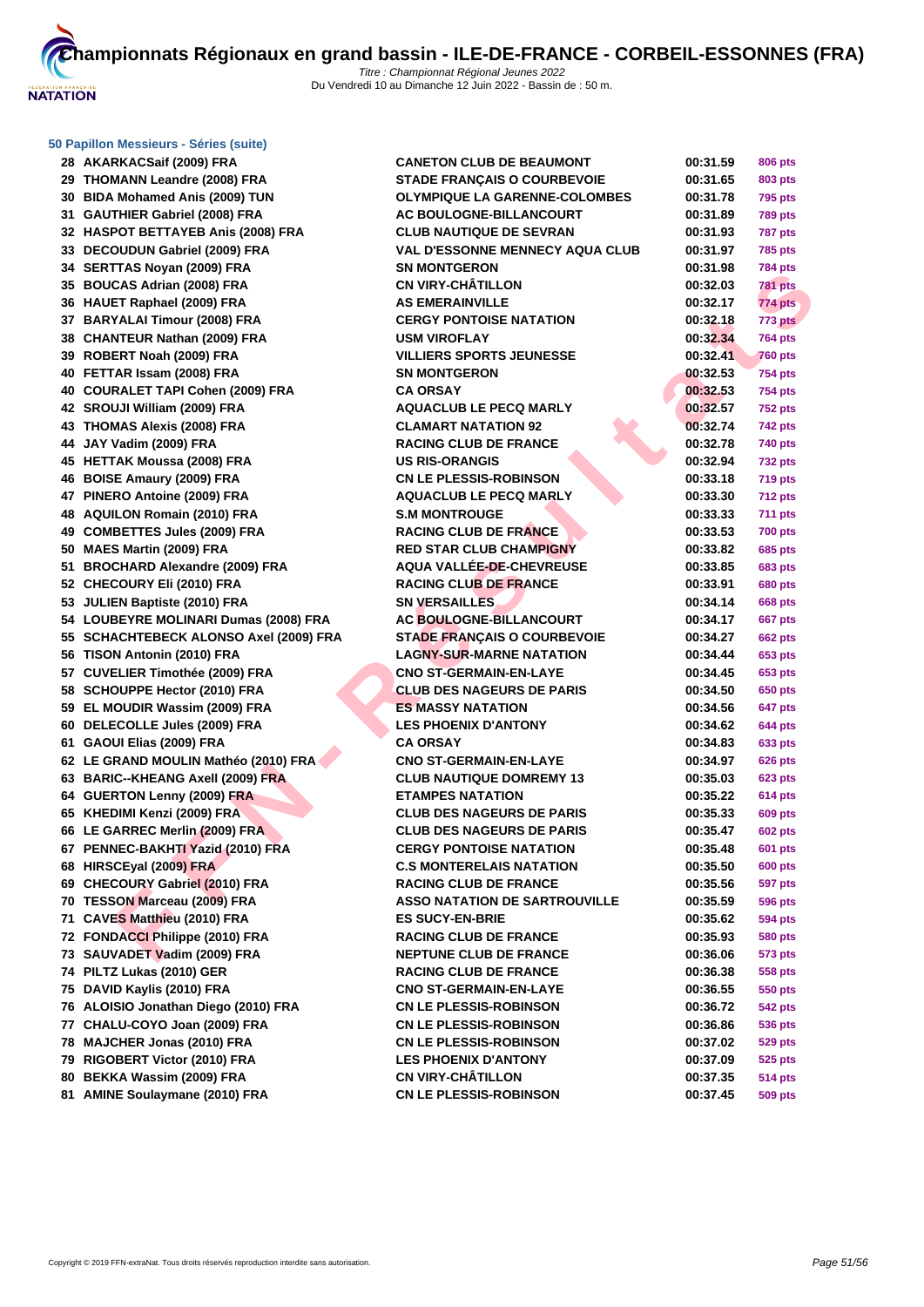

# **[50 Papillo](http://www.ffnatation.fr/webffn/index.php)n Messieurs - Séries (suite)**

| 28 AKARKACSaif (2009) FRA              | <b>CANETON CLUB DE BEAUMONT</b>        | 00:31.59 | 806 pts        |
|----------------------------------------|----------------------------------------|----------|----------------|
| 29 THOMANN Leandre (2008) FRA          | <b>STADE FRANÇAIS O COURBEVOIE</b>     | 00:31.65 | 803 pts        |
| 30 BIDA Mohamed Anis (2009) TUN        | <b>OLYMPIQUE LA GARENNE-COLOMBES</b>   | 00:31.78 | 795 pts        |
| 31 GAUTHIER Gabriel (2008) FRA         | <b>AC BOULOGNE-BILLANCOURT</b>         | 00:31.89 | <b>789 pts</b> |
| 32 HASPOT BETTAYEB Anis (2008) FRA     | <b>CLUB NAUTIQUE DE SEVRAN</b>         | 00:31.93 | <b>787 pts</b> |
| 33 DECOUDUN Gabriel (2009) FRA         | <b>VAL D'ESSONNE MENNECY AQUA CLUB</b> | 00:31.97 | <b>785 pts</b> |
| 34 SERTTAS Noyan (2009) FRA            | <b>SN MONTGERON</b>                    | 00:31.98 | <b>784 pts</b> |
| 35 BOUCAS Adrian (2008) FRA            | <b>CN VIRY-CHÂTILLON</b>               | 00:32.03 | <b>781 pts</b> |
| 36 HAUET Raphael (2009) FRA            | <b>AS EMERAINVILLE</b>                 | 00:32.17 | 774 pts        |
| 37 BARYALAI Timour (2008) FRA          | <b>CERGY PONTOISE NATATION</b>         | 00:32.18 | 773 pts        |
| 38 CHANTEUR Nathan (2009) FRA          | <b>USM VIROFLAY</b>                    | 00:32.34 | <b>764 pts</b> |
| 39 ROBERT Noah (2009) FRA              | <b>VILLIERS SPORTS JEUNESSE</b>        | 00:32.41 | <b>760 pts</b> |
| 40 FETTAR Issam (2008) FRA             | <b>SN MONTGERON</b>                    | 00:32.53 | 754 pts        |
| 40 COURALET TAPI Cohen (2009) FRA      | <b>CA ORSAY</b>                        | 00:32.53 | 754 pts        |
| 42 SROUJI William (2009) FRA           | <b>AQUACLUB LE PECQ MARLY</b>          | 00:32.57 | <b>752 pts</b> |
| 43 THOMAS Alexis (2008) FRA            | <b>CLAMART NATATION 92</b>             | 00:32.74 | 742 pts        |
| 44 JAY Vadim (2009) FRA                | <b>RACING CLUB DE FRANCE</b>           | 00:32.78 | 740 pts        |
| 45 HETTAK Moussa (2008) FRA            | <b>US RIS-ORANGIS</b>                  | 00:32.94 | <b>732 pts</b> |
| 46 BOISE Amaury (2009) FRA             | <b>CN LE PLESSIS-ROBINSON</b>          | 00:33.18 | <b>719 pts</b> |
| 47 PINERO Antoine (2009) FRA           | <b>AQUACLUB LE PECQ MARLY</b>          | 00:33.30 | <b>712 pts</b> |
| 48 AQUILON Romain (2010) FRA           | <b>S.M MONTROUGE</b>                   | 00:33.33 | 711 pts        |
| 49 COMBETTES Jules (2009) FRA          | <b>RACING CLUB DE FRANCE</b>           | 00:33.53 | <b>700 pts</b> |
| 50 MAES Martin (2009) FRA              | <b>RED STAR CLUB CHAMPIGNY</b>         | 00:33.82 | 685 pts        |
| 51 BROCHARD Alexandre (2009) FRA       | AQUA VALLÉE-DE-CHEVREUSE               | 00:33.85 | 683 pts        |
| 52 CHECOURY Eli (2010) FRA             | <b>RACING CLUB DE FRANCE</b>           | 00:33.91 | 680 pts        |
| 53 JULIEN Baptiste (2010) FRA          | <b>SN VERSAILLES</b>                   | 00:34.14 | 668 pts        |
| 54 LOUBEYRE MOLINARI Dumas (2008) FRA  | AC BOULOGNE-BILLANCOURT                | 00:34.17 | <b>667 pts</b> |
| 55 SCHACHTEBECK ALONSO Axel (2009) FRA | <b>STADE FRANÇAIS O COURBEVOIE</b>     | 00:34.27 | <b>662 pts</b> |
| 56 TISON Antonin (2010) FRA            | <b>LAGNY-SUR-MARNE NATATION</b>        | 00:34.44 | 653 pts        |
| 57 CUVELIER Timothée (2009) FRA        | <b>CNO ST-GERMAIN-EN-LAYE</b>          | 00:34.45 | 653 pts        |
| 58 SCHOUPPE Hector (2010) FRA          | <b>CLUB DES NAGEURS DE PARIS</b>       | 00:34.50 | 650 pts        |
| 59 EL MOUDIR Wassim (2009) FRA         | <b>ES MASSY NATATION</b>               | 00:34.56 | 647 pts        |
| 60 DELECOLLE Jules (2009) FRA          | <b>LES PHOENIX D'ANTONY</b>            | 00:34.62 | 644 pts        |
| 61 GAOUI Elias (2009) FRA              | <b>CA ORSAY</b>                        | 00:34.83 | 633 pts        |
| 62 LE GRAND MOULIN Mathéo (2010) FRA   | <b>CNO ST-GERMAIN-EN-LAYE</b>          | 00:34.97 | <b>626 pts</b> |
| 63 BARIC--KHEANG Axell (2009) FRA      | <b>CLUB NAUTIQUE DOMREMY 13</b>        | 00:35.03 | 623 pts        |
| 64 GUERTON Lenny (2009) FRA            | <b>ETAMPES NATATION</b>                | 00:35.22 | 614 pts        |
| 65 KHEDIMI Kenzi (2009) FRA            | <b>CLUB DES NAGEURS DE PARIS</b>       | 00:35.33 | 609 pts        |
| 66 LE GARREC Merlin (2009) FRA         | <b>CLUB DES NAGEURS DE PARIS</b>       | 00:35.47 | <b>602 pts</b> |
| 67 PENNEC-BAKHTI Yazid (2010) FRA      | <b>CERGY PONTOISE NATATION</b>         | 00:35.48 | 601 pts        |
| 68 HIRSCEyal (2009) FRA                | <b>C.S MONTERELAIS NATATION</b>        | 00:35.50 | <b>600 pts</b> |
| 69 CHECOURY Gabriel (2010) FRA         | <b>RACING CLUB DE FRANCE</b>           | 00:35.56 | <b>597 pts</b> |
| 70 TESSON Marceau (2009) FRA           | <b>ASSO NATATION DE SARTROUVILLE</b>   | 00:35.59 | 596 pts        |
| 71 CAVES Matthieu (2010) FRA           | <b>ES SUCY-EN-BRIE</b>                 | 00:35.62 | 594 pts        |
| 72 FONDACCI Philippe (2010) FRA        | <b>RACING CLUB DE FRANCE</b>           | 00:35.93 | <b>580 pts</b> |
| 73 SAUVADET Vadim (2009) FRA           | <b>NEPTUNE CLUB DE FRANCE</b>          | 00:36.06 | 573 pts        |
| 74 PILTZ Lukas (2010) GER              | <b>RACING CLUB DE FRANCE</b>           | 00:36.38 | 558 pts        |
| 75 DAVID Kaylis (2010) FRA             | <b>CNO ST-GERMAIN-EN-LAYE</b>          | 00:36.55 | 550 pts        |
| 76 ALOISIO Jonathan Diego (2010) FRA   | <b>CN LE PLESSIS-ROBINSON</b>          | 00:36.72 | 542 pts        |
| 77 CHALU-COYO Joan (2009) FRA          | <b>CN LE PLESSIS-ROBINSON</b>          | 00:36.86 | 536 pts        |
| 78 MAJCHER Jonas (2010) FRA            | <b>CN LE PLESSIS-ROBINSON</b>          | 00:37.02 | 529 pts        |
| 79 RIGOBERT Victor (2010) FRA          | <b>LES PHOENIX D'ANTONY</b>            | 00:37.09 | 525 pts        |
| 80 BEKKA Wassim (2009) FRA             | <b>CN VIRY-CHÂTILLON</b>               | 00:37.35 | <b>514 pts</b> |
|                                        |                                        |          |                |
| 81 AMINE Soulaymane (2010) FRA         | <b>CN LE PLESSIS-ROBINSON</b>          | 00:37.45 | 509 pts        |

| 00:31.78 | 795 pts        |
|----------|----------------|
| 00:31.89 | 789 pts        |
| 00:31.93 | <b>787 pts</b> |
| 00:31.97 | <b>785 pts</b> |
| 00:31.98 | 784 pts        |
| 00:32.03 | <b>781 pts</b> |
| 00:32.17 | 774 pts        |
| 00:32.18 | 773 pts        |
| 00:32.34 | <b>764 pts</b> |
| 00:32.41 | <b>760 pts</b> |
| 00:32.53 | <b>754 pts</b> |
| 00:32.53 | <b>754 pts</b> |
| 00:32.57 | <b>752 pts</b> |
| 00:32.74 | 742 pts        |
| 00:32.78 | <b>740 pts</b> |
| 00:32.94 | 732 pts        |
| 00:33.18 | <b>719 pts</b> |
| 00:33.30 | 712 pts        |
| 00:33.33 | 711 pts        |
| 00:33.53 | <b>700 pts</b> |
| 00:33.82 | 685 pts        |
| 00:33.85 | 683 pts        |
| 00:33.91 | <b>680 pts</b> |
| 00:34.14 | 668 pts        |
| 00:34.17 | 667 pts        |
| 00:34.27 | 662 pts        |
| 00:34.44 | 653 pts        |
| 00:34.45 | 653 pts        |
| 00:34.50 | 650 pts        |
| 00:34.56 | 647 pts        |
| 00:34.62 | 644 pts        |
| 00:34.83 | 633 pts        |
| 00:34.97 | 626 pts        |
| 00:35.03 | 623 pts        |
| 00:35.22 | 614 pts        |
| 00:35.33 | 609 pts        |
| 00:35.47 | 602 pts        |
| 00:35.48 | 601 pts        |
| 00:35.50 | 600 pts        |
| 00:35.56 | 597 pts        |
| 00:35.59 | 596 pts        |
| 00:35.62 | 594 pts        |
| 00:35.93 | 580 pts        |
| 00:36.06 | 573 pts        |
| 00:36.38 | 558 pts        |
| 00:36.55 | 550 pts        |
| 00:36.72 | <b>542 pts</b> |
| 00:36.86 | 536 pts        |
| 00:37.02 | 529 pts        |
| 00:37.09 | 525 pts        |
| 00:37.35 | <b>514 pts</b> |
| 00:37.45 | 509 pts        |
|          |                |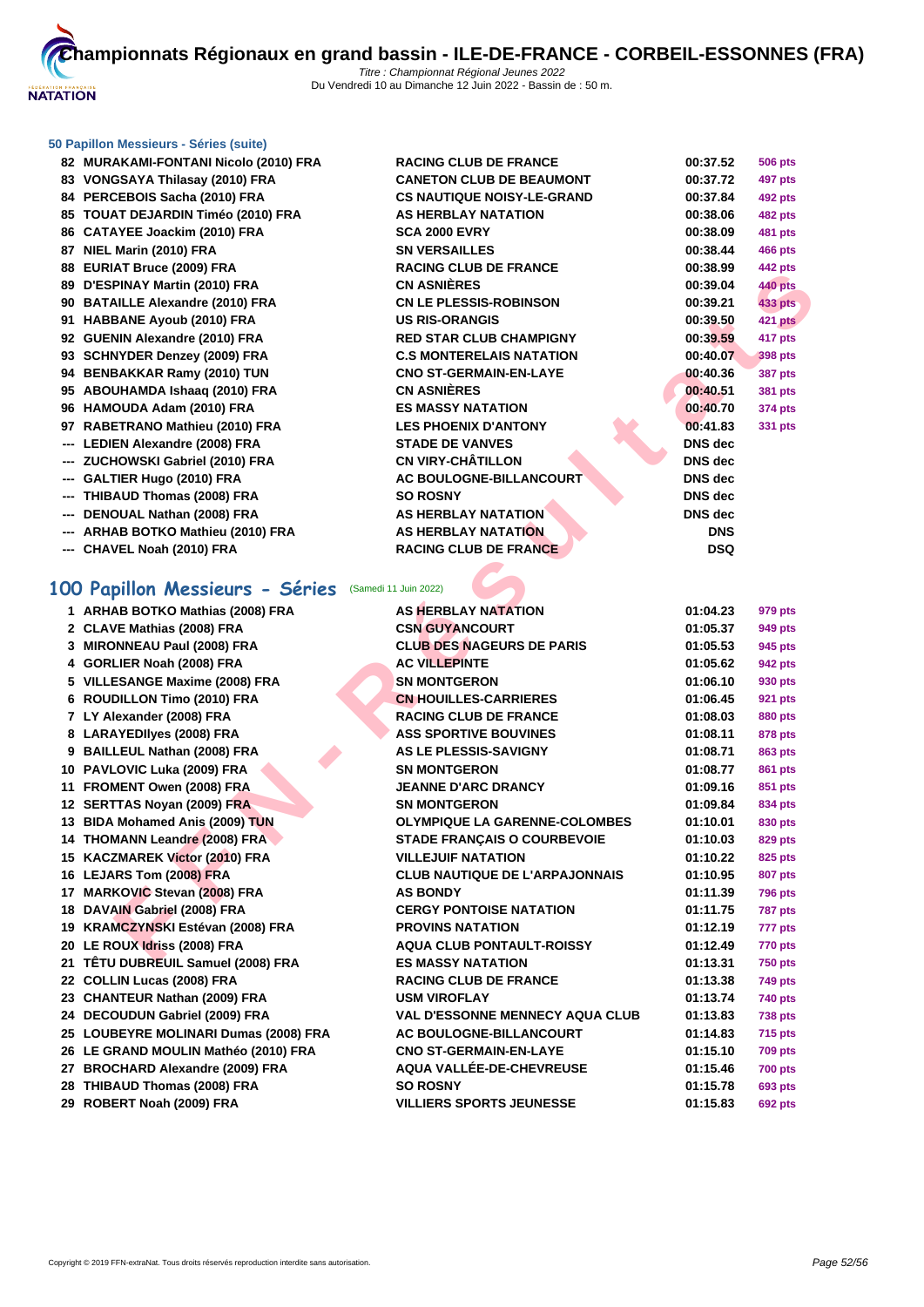

## **[50 Papillo](http://www.ffnatation.fr/webffn/index.php)n Messieurs - Séries (suite)**

|     | 82 MURAKAMI-FONTANI Nicolo (2010) FRA | <b>RACING CLUB DE FRANCE</b>      | 00:37.52   | <b>506 pts</b> |
|-----|---------------------------------------|-----------------------------------|------------|----------------|
|     | 83 VONGSAYA Thilasay (2010) FRA       | <b>CANETON CLUB DE BEAUMONT</b>   | 00:37.72   | 497 pts        |
|     | 84 PERCEBOIS Sacha (2010) FRA         | <b>CS NAUTIQUE NOISY-LE-GRAND</b> | 00:37.84   | <b>492 pts</b> |
|     | 85 TOUAT DEJARDIN Timéo (2010) FRA    | <b>AS HERBLAY NATATION</b>        | 00:38.06   | <b>482 pts</b> |
|     | 86 CATAYEE Joackim (2010) FRA         | <b>SCA 2000 EVRY</b>              | 00:38.09   | <b>481 pts</b> |
|     | 87 NIEL Marin (2010) FRA              | <b>SN VERSAILLES</b>              | 00:38.44   | <b>466 pts</b> |
|     | 88 EURIAT Bruce (2009) FRA            | <b>RACING CLUB DE FRANCE</b>      | 00:38.99   | <b>442 pts</b> |
|     | 89 D'ESPINAY Martin (2010) FRA        | <b>CN ASNIÈRES</b>                | 00:39.04   | <b>440 pts</b> |
|     | 90 BATAILLE Alexandre (2010) FRA      | <b>CN LE PLESSIS-ROBINSON</b>     | 00:39.21   | <b>433 pts</b> |
|     | 91 HABBANE Ayoub (2010) FRA           | <b>US RIS-ORANGIS</b>             | 00:39.50   | 421 pts        |
|     | 92 GUENIN Alexandre (2010) FRA        | <b>RED STAR CLUB CHAMPIGNY</b>    | 00:39.59   | 417 pts        |
|     | 93 SCHNYDER Denzey (2009) FRA         | <b>C.S MONTERELAIS NATATION</b>   | 00:40.07   | 398 pts        |
|     | 94 BENBAKKAR Ramy (2010) TUN          | <b>CNO ST-GERMAIN-EN-LAYE</b>     | 00:40.36   | <b>387 pts</b> |
|     | 95 ABOUHAMDA Ishaaq (2010) FRA        | <b>CN ASNIÈRES</b>                | 00:40.51   | <b>381 pts</b> |
|     | 96 HAMOUDA Adam (2010) FRA            | <b>ES MASSY NATATION</b>          | 00:40.70   | <b>374 pts</b> |
|     | 97 RABETRANO Mathieu (2010) FRA       | <b>LES PHOENIX D'ANTONY</b>       | 00:41.83   | 331 pts        |
| --- | <b>LEDIEN Alexandre (2008) FRA</b>    | <b>STADE DE VANVES</b>            | DNS dec    |                |
|     | ZUCHOWSKI Gabriel (2010) FRA          | <b>CN VIRY-CHÂTILLON</b>          | DNS dec    |                |
| --- | GALTIER Hugo (2010) FRA               | AC BOULOGNE-BILLANCOURT           | DNS dec    |                |
|     | THIBAUD Thomas (2008) FRA             | <b>SO ROSNY</b>                   | DNS dec    |                |
|     | DENOUAL Nathan (2008) FRA             | AS HERBLAY NATATION               | DNS dec    |                |
| --- | ARHAB BOTKO Mathieu (2010) FRA        | <b>AS HERBLAY NATATION</b>        | <b>DNS</b> |                |
|     | --- CHAVEL Noah (2010) FRA            | <b>RACING CLUB DE FRANCE</b>      | <b>DSQ</b> |                |
|     |                                       |                                   |            |                |

# **100 Papillon Messieurs - Séries** (Samedi 11 Juin 2022)

| $00$ LUMAT DRUG (2003) TM                            | 1189119 GLOD DL I INSITOL              | UU.JU.JJ       | יי≁ µי         |
|------------------------------------------------------|----------------------------------------|----------------|----------------|
| 89 D'ESPINAY Martin (2010) FRA                       | <b>CN ASNIÈRES</b>                     | 00:39.04       | 440 pts        |
| 90 BATAILLE Alexandre (2010) FRA                     | <b>CN LE PLESSIS-ROBINSON</b>          | 00:39.21       | <b>433 pts</b> |
| 91 HABBANE Ayoub (2010) FRA                          | <b>US RIS-ORANGIS</b>                  | 00:39.50       | <b>421 pts</b> |
| 92 GUENIN Alexandre (2010) FRA                       | <b>RED STAR CLUB CHAMPIGNY</b>         | 00:39.59       | 417 pts        |
| 93 SCHNYDER Denzey (2009) FRA                        | <b>C.S MONTERELAIS NATATION</b>        | 00:40.07       | <b>398 pts</b> |
| 94 BENBAKKAR Ramy (2010) TUN                         | <b>CNO ST-GERMAIN-EN-LAYE</b>          | 00:40.36       | <b>387 pts</b> |
| 95 ABOUHAMDA Ishaaq (2010) FRA                       | <b>CN ASNIÈRES</b>                     | 00:40.51       | <b>381 pts</b> |
| 96 HAMOUDA Adam (2010) FRA                           | <b>ES MASSY NATATION</b>               | 00:40.70       | 374 pts        |
| 97 RABETRANO Mathieu (2010) FRA                      | <b>LES PHOENIX D'ANTONY</b>            | 00:41.83       | 331 pts        |
| --- LEDIEN Alexandre (2008) FRA                      | <b>STADE DE VANVES</b>                 | <b>DNS</b> dec |                |
| --- ZUCHOWSKI Gabriel (2010) FRA                     | <b>CN VIRY-CHÂTILLON</b>               | <b>DNS</b> dec |                |
| --- GALTIER Hugo (2010) FRA                          | AC BOULOGNE-BILLANCOURT                | <b>DNS</b> dec |                |
| --- THIBAUD Thomas (2008) FRA                        | <b>SO ROSNY</b>                        | <b>DNS</b> dec |                |
| --- DENOUAL Nathan (2008) FRA                        | AS HERBLAY NATATION                    | DNS dec        |                |
| --- ARHAB BOTKO Mathieu (2010) FRA                   | AS HERBLAY NATATION                    | <b>DNS</b>     |                |
| --- CHAVEL Noah (2010) FRA                           | <b>RACING CLUB DE FRANCE</b>           | <b>DSQ</b>     |                |
|                                                      |                                        |                |                |
| 00 Papillon Messieurs - Séries (Samedi 11 Juin 2022) |                                        |                |                |
| 1 ARHAB BOTKO Mathias (2008) FRA                     | <b>AS HERBLAY NATATION</b>             | 01:04.23       | 979 pts        |
| 2 CLAVE Mathias (2008) FRA                           | <b>CSN GUYANCOURT</b>                  | 01:05.37       | 949 pts        |
| 3 MIRONNEAU Paul (2008) FRA                          | <b>CLUB DES NAGEURS DE PARIS</b>       | 01:05.53       | 945 pts        |
| 4 GORLIER Noah (2008) FRA                            | <b>AC VILLEPINTE</b>                   | 01:05.62       | 942 pts        |
| 5 VILLESANGE Maxime (2008) FRA                       | <b>SN MONTGERON</b>                    | 01:06.10       | 930 pts        |
| 6 ROUDILLON Timo (2010) FRA                          | <b>CN HOUILLES-CARRIERES</b>           | 01:06.45       | 921 pts        |
| 7 LY Alexander (2008) FRA                            | <b>RACING CLUB DE FRANCE</b>           | 01:08.03       | <b>880 pts</b> |
| 8 LARAYEDIIyes (2008) FRA                            | <b>ASS SPORTIVE BOUVINES</b>           | 01:08.11       | 878 pts        |
| 9 BAILLEUL Nathan (2008) FRA                         | AS LE PLESSIS-SAVIGNY                  | 01:08.71       | 863 pts        |
| 10 PAVLOVIC Luka (2009) FRA                          | <b>SN MONTGERON</b>                    | 01:08.77       | 861 pts        |
| 11 FROMENT Owen (2008) FRA                           | <b>JEANNE D'ARC DRANCY</b>             | 01:09.16       | 851 pts        |
| 12 SERTTAS Noyan (2009) FRA                          | <b>SN MONTGERON</b>                    | 01:09.84       | 834 pts        |
| 13 BIDA Mohamed Anis (2009) TUN                      | <b>OLYMPIQUE LA GARENNE-COLOMBES</b>   | 01:10.01       | 830 pts        |
| 14 THOMANN Leandre (2008) FRA                        | <b>STADE FRANÇAIS O COURBEVOIE</b>     | 01:10.03       | 829 pts        |
| 15 KACZMAREK Victor (2010) FRA                       | <b>VILLEJUIF NATATION</b>              | 01:10.22       | 825 pts        |
| 16 LEJARS Tom (2008) FRA                             | <b>CLUB NAUTIQUE DE L'ARPAJONNAIS</b>  | 01:10.95       | <b>807 pts</b> |
| 17 MARKOVIC Stevan (2008) FRA                        | <b>AS BONDY</b>                        | 01:11.39       | <b>796 pts</b> |
| 18 DAVAIN Gabriel (2008) FRA                         | <b>CERGY PONTOISE NATATION</b>         | 01:11.75       | <b>787 pts</b> |
| 19 KRAMCZYNSKI Estévan (2008) FRA                    | <b>PROVINS NATATION</b>                | 01:12.19       | 777 pts        |
| 20 LE ROUX Idriss (2008) FRA                         | <b>AQUA CLUB PONTAULT-ROISSY</b>       | 01:12.49       | 770 pts        |
| 21 TÊTU DUBREUIL Samuel (2008) FRA                   | <b>ES MASSY NATATION</b>               | 01:13.31       | <b>750 pts</b> |
| 22 COLLIN Lucas (2008) FRA                           | <b>RACING CLUB DE FRANCE</b>           | 01:13.38       | <b>749 pts</b> |
| 23 CHANTEUR Nathan (2009) FRA                        | <b>USM VIROFLAY</b>                    | 01:13.74       | 740 pts        |
| 24 DECOUDUN Gabriel (2009) FRA                       | <b>VAL D'ESSONNE MENNECY AQUA CLUB</b> | 01:13.83       | <b>738 pts</b> |
| 25 LOUBEYRE MOLINARI Dumas (2008) FRA                | <b>AC BOULOGNE-BILLANCOURT</b>         | 01:14.83       | <b>715 pts</b> |
| 26 LE GRAND MOULIN Mathéo (2010) FRA                 | <b>CNO ST-GERMAIN-EN-LAYE</b>          | 01:15.10       | <b>709 pts</b> |
| 27 BROCHARD Alexandre (2009) FRA                     | AQUA VALLÉE-DE-CHEVREUSE               | 01:15.46       | <b>700 pts</b> |
| 28 THIBAUD Thomas (2008) FRA                         | <b>SO ROSNY</b>                        | 01:15.78       | 693 pts        |
| 29 ROBERT Noah (2009) FRA                            | <b>VILLIERS SPORTS JEUNESSE</b>        | 01:15.83       | <b>692 pts</b> |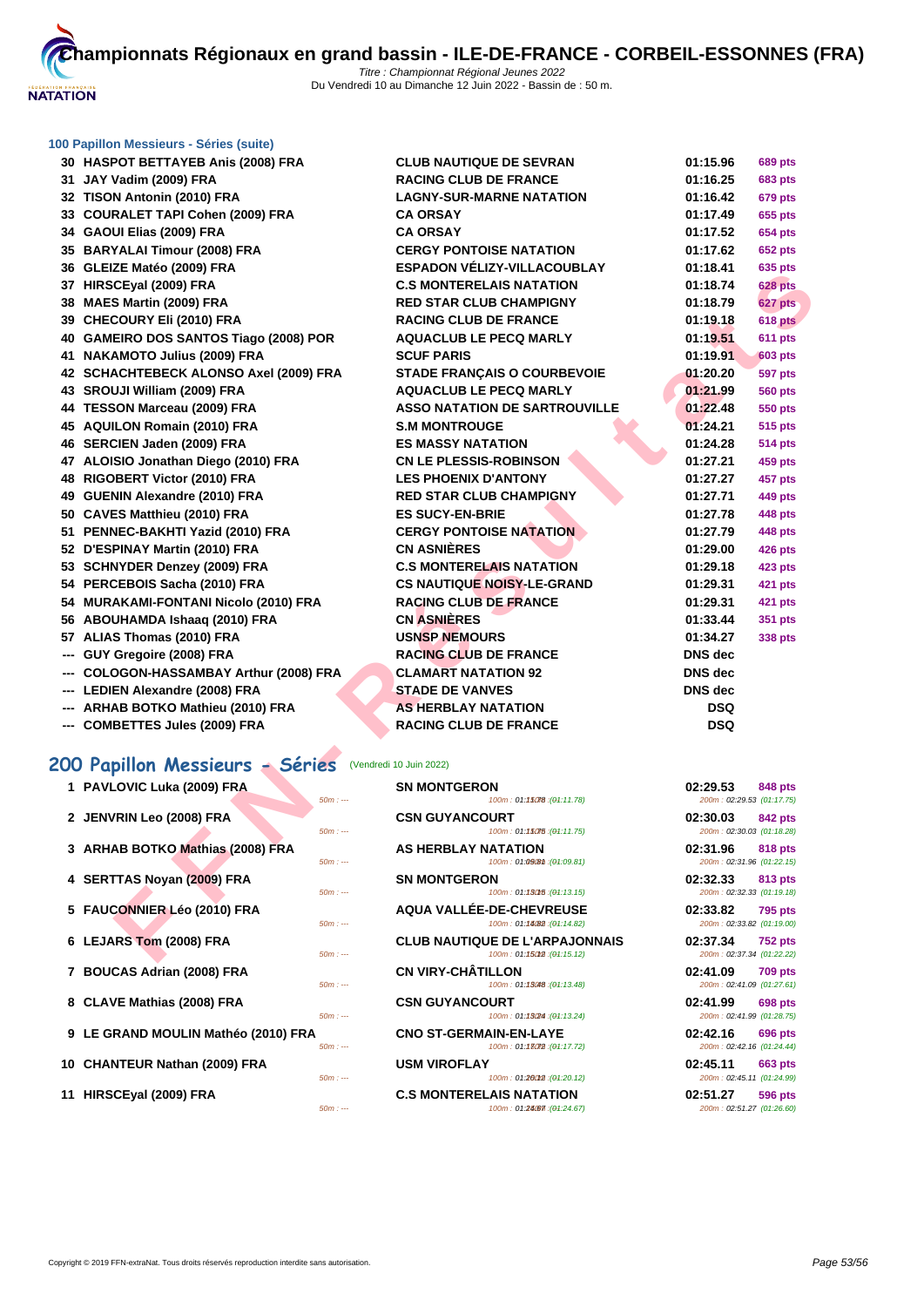

#### **[100 Papil](http://www.ffnatation.fr/webffn/index.php)lon Messieurs - Séries (suite)**

| 30 HASPOT BETTAYEB Anis (2008) FRA                      | <b>CLUB NAUTIQUE DE SEVRAN</b>                       | 01:15.96                              | <b>689 pts</b> |
|---------------------------------------------------------|------------------------------------------------------|---------------------------------------|----------------|
| 31 JAY Vadim (2009) FRA                                 | <b>RACING CLUB DE FRANCE</b>                         | 01:16.25                              | <b>683 pts</b> |
| 32 TISON Antonin (2010) FRA                             | <b>LAGNY-SUR-MARNE NATATION</b>                      | 01:16.42                              | <b>679 pts</b> |
| 33 COURALET TAPI Cohen (2009) FRA                       | <b>CA ORSAY</b>                                      | 01:17.49                              | 655 pts        |
| 34 GAOUI Elias (2009) FRA                               | <b>CA ORSAY</b>                                      | 01:17.52                              | 654 pts        |
| 35 BARYALAI Timour (2008) FRA                           | <b>CERGY PONTOISE NATATION</b>                       | 01:17.62                              | <b>652 pts</b> |
| 36 GLEIZE Matéo (2009) FRA                              | <b>ESPADON VELIZY-VILLACOUBLAY</b>                   | 01:18.41                              | 635 pts        |
| 37 HIRSCEyal (2009) FRA                                 | <b>C.S MONTERELAIS NATATION</b>                      | 01:18.74                              | <b>628 pts</b> |
| 38 MAES Martin (2009) FRA                               | <b>RED STAR CLUB CHAMPIGNY</b>                       | 01:18.79                              | 627 pts        |
| 39 CHECOURY Eli (2010) FRA                              | <b>RACING CLUB DE FRANCE</b>                         | 01:19.18                              | 618 pts        |
| 40 GAMEIRO DOS SANTOS Tiago (2008) POR                  | <b>AQUACLUB LE PECQ MARLY</b>                        | 01:19.51                              | 611 pts        |
| 41 NAKAMOTO Julius (2009) FRA                           | <b>SCUF PARIS</b>                                    | 01:19.91                              | <b>603 pts</b> |
| 42 SCHACHTEBECK ALONSO Axel (2009) FRA                  | <b>STADE FRANÇAIS O COURBEVOIE</b>                   | 01:20.20                              | <b>597 pts</b> |
| 43 SROUJI William (2009) FRA                            | <b>AQUACLUB LE PECQ MARLY</b>                        | 01:21.99                              | <b>560 pts</b> |
| 44 TESSON Marceau (2009) FRA                            | <b>ASSO NATATION DE SARTROUVILLE</b>                 | 01:22.48                              | <b>550 pts</b> |
| 45 AQUILON Romain (2010) FRA                            | <b>S.M MONTROUGE</b>                                 | 01:24.21                              | <b>515 pts</b> |
| 46 SERCIEN Jaden (2009) FRA                             | <b>ES MASSY NATATION</b>                             | 01:24.28                              | <b>514 pts</b> |
| 47 ALOISIO Jonathan Diego (2010) FRA                    | <b>CN LE PLESSIS-ROBINSON</b>                        | 01:27.21                              | 459 pts        |
| 48 RIGOBERT Victor (2010) FRA                           | <b>LES PHOENIX D'ANTONY</b>                          | 01:27.27                              | 457 pts        |
| 49 GUENIN Alexandre (2010) FRA                          | <b>RED STAR CLUB CHAMPIGNY</b>                       | 01:27.71                              | 449 pts        |
| 50 CAVES Matthieu (2010) FRA                            | <b>ES SUCY-EN-BRIE</b>                               | 01:27.78                              | 448 pts        |
| 51 PENNEC-BAKHTI Yazid (2010) FRA                       | <b>CERGY PONTOISE NATATION</b>                       | 01:27.79                              | 448 pts        |
| 52 D'ESPINAY Martin (2010) FRA                          | <b>CN ASNIÈRES</b>                                   | 01:29.00                              | <b>426 pts</b> |
| 53 SCHNYDER Denzey (2009) FRA                           | <b>C.S MONTERELAIS NATATION</b>                      | 01:29.18                              | 423 pts        |
| 54 PERCEBOIS Sacha (2010) FRA                           | <b>CS NAUTIQUE NOISY-LE-GRAND</b>                    | 01:29.31                              | 421 pts        |
| 54 MURAKAMI-FONTANI Nicolo (2010) FRA                   | <b>RACING CLUB DE FRANCE</b>                         | 01:29.31                              | 421 pts        |
| 56 ABOUHAMDA Ishaaq (2010) FRA                          | <b>CN ASNIÈRES</b>                                   | 01:33.44                              | 351 pts        |
| 57 ALIAS Thomas (2010) FRA                              | <b>USNSP NEMOURS</b>                                 | 01:34.27                              | 338 pts        |
| --- GUY Gregoire (2008) FRA                             | <b>RACING CLUB DE FRANCE</b>                         | DNS dec                               |                |
| --- COLOGON-HASSAMBAY Arthur (2008) FRA                 | <b>CLAMART NATATION 92</b>                           | <b>DNS</b> dec                        |                |
| --- LEDIEN Alexandre (2008) FRA                         | <b>STADE DE VANVES</b>                               | <b>DNS</b> dec                        |                |
| --- ARHAB BOTKO Mathieu (2010) FRA                      | <b>AS HERBLAY NATATION</b>                           | <b>DSQ</b>                            |                |
| --- COMBETTES Jules (2009) FRA                          | <b>RACING CLUB DE FRANCE</b>                         | <b>DSQ</b>                            |                |
|                                                         |                                                      |                                       |                |
| 200 Papillon Messieurs - Séries (Vendredi 10 Juin 2022) |                                                      |                                       |                |
| 1 PAVLOVIC Luka (2009) FRA                              | <b>SN MONTGERON</b>                                  | 02:29.53                              | 848 pts        |
| $50m: -$                                                | 100m: 01:15078 : (01:11.78)                          | 200m: 02:29.53 (01:17.75)             |                |
| 2 JENVRIN Leo (2008) FRA                                | <b>CSN GUYANCOURT</b>                                | 02:30.03                              | <b>842 pts</b> |
| $50m: -$                                                | 100m: 01:15075 : (01:11.75)                          | 200m: 02:30.03 (01:18.28)             |                |
| 3 ARHAB BOTKO Mathias (2008) FRA<br>$50m: -$            | <b>AS HERBLAY NATATION</b><br>100m: 01:09 (01:09.81) | 02:31.96<br>200m: 02:31.96 (01:22.15) | 818 pts        |
| 4 SERTTAS Noyan (2009) FRA                              | <b>SN MONTGERON</b>                                  | 02:32.33                              | 813 pts        |
| $50m: -$                                                | 100m: 01:130f5 : (01:13.15)                          | 200m: 02:32.33 (01:19.18)             |                |
| 5 FAUCONNIER Léo (2010) FRA                             | AQUA VALLÉE-DE-CHEVREUSE                             | 02:33.82                              | 795 pts        |
| $50m: -$                                                | 100m: 01:14082 : (01:14.82)                          | 200m: 02:33.82 (01:19.00)             |                |
| 6 LEJARS Tom (2008) FRA                                 | <b>CLUB NAUTIQUE DE L'ARPAJONNAIS</b>                | 02:37.34                              | <b>752 pts</b> |
| $50m: -$                                                | 100m: 01:15012 : (01:15.12)                          | 200m: 02:37.34 (01:22.22)             |                |

# 200 Papillon Messieurs - Séries **Mendred**

| 1 PAVLOVIC Luka (2009) FRA          | $50m: -$  | <b>SN MONTGERON</b><br>100m: 01.15078: (01.11.78)                       | 02:29.53<br>200m: 02:29.53 (01:17.75)       | 848 pts        |
|-------------------------------------|-----------|-------------------------------------------------------------------------|---------------------------------------------|----------------|
| 2 JENVRIN Leo (2008) FRA            | $50m: -$  | <b>CSN GUYANCOURT</b><br>100m: 01:150T5:(01:11.75)                      | 02:30.03<br>200m: 02:30.03 (01:18.28)       | 842 pts        |
| 3 ARHAB BOTKO Mathias (2008) FRA    | $50m: -$  | AS HERBLAY NATATION<br>100m: 01:09 (8th : (04:09.81)                    | 02:31.96<br>200m: 02:31.96 (01:22.15)       | <b>818 pts</b> |
| 4 SERTTAS Noyan (2009) FRA          | $50m: -$  | <b>SN MONTGERON</b><br>100m: 01:130f5 : (04:13.15)                      | 02:32.33<br>200m: 02:32.33 (01:19.18)       | 813 pts        |
| 5 FAUCONNIER Léo (2010) FRA         | $50m: --$ | AQUA VALLÉE-DE-CHEVREUSE<br>100m: 01:14082 : (04:14.82)                 | 02:33.82<br>200m: 02:33.82 (01:19.00)       | 795 pts        |
| 6 LEJARS Tom (2008) FRA             | $50m: -$  | <b>CLUB NAUTIQUE DE L'ARPAJONNAIS</b><br>100m: 01:15012 : (04:15.12)    | 02:37.34<br>200m: 02:37.34 (01:22.22)       | <b>752 pts</b> |
| 7 BOUCAS Adrian (2008) FRA          | $50m: -$  | <b>CN VIRY-CHÂTILLON</b><br>100m: 01:13048 : (01:13.48)                 | 02:41.09<br>200m: 02:41.09 (01:27.61)       | <b>709 pts</b> |
| 8 CLAVE Mathias (2008) FRA          | $50m: -$  | <b>CSN GUYANCOURT</b><br>100m: 01:13024 : (01:13.24)                    | 02:41.99<br>200m: 02:41.99 (01:28.75)       | <b>698 pts</b> |
| 9 LE GRAND MOULIN Mathéo (2010) FRA | $50m: -$  | <b>CNO ST-GERMAIN-EN-LAYE</b><br>100m: 01:13072 : (04:17.72)            | 02:42.16<br>200m: 02:42.16 (01:24.44)       | 696 pts        |
| 10 CHANTEUR Nathan (2009) FRA       | $50m: --$ | <b>USM VIROFLAY</b><br>100m: 01:20012 : (04:20.12)                      | 02:45.11<br>200m: 02:45.11 (01:24.99)       | 663 pts        |
| 11 HIRSCEyal (2009) FRA             | $50m + 1$ | <b>C.S MONTERELAIS NATATION</b><br>100m · 01: <b>380m7</b> · (01:24.67) | 02:51.27<br>$200m \cdot 02.5127$ (01:26.60) | <b>596 pts</b> |

| 2S -      | (Vendredi 10 Juin 2022)               |                            |
|-----------|---------------------------------------|----------------------------|
|           | <b>SN MONTGERON</b>                   | 02:29.53<br><b>848 pts</b> |
| $50m: -$  | 100m: 01:15078:(04:11.78)             | 200m: 02:29.53 (01:17.75)  |
|           | <b>CSN GUYANCOURT</b>                 | 02:30.03<br><b>842 pts</b> |
| $50m: -$  | 100m: 01:15075 : (04:11.75)           | 200m: 02:30.03 (01:18.28)  |
|           | AS HERBLAY NATATION                   | 02:31.96<br>818 pts        |
| $50m: -$  | 100m: 01:09 (04:09.81)                | 200m: 02:31.96 (01:22.15)  |
|           | <b>SN MONTGERON</b>                   | 02:32.33<br>813 pts        |
| $50m: -$  | 100m: 01:130f5 : (04:13.15)           | 200m: 02:32.33 (01:19.18)  |
|           | <b>AQUA VALLÉE-DE-CHEVREUSE</b>       | 02:33.82<br><b>795 pts</b> |
| $50m: -$  | 100m: 01:14082 : (04:14.82)           | 200m: 02:33.82 (01:19.00)  |
|           | <b>CLUB NAUTIQUE DE L'ARPAJONNAIS</b> | 02:37.34<br><b>752 pts</b> |
| $50m: -$  | 100m: 01:15012 : (01:15.12)           | 200m: 02:37.34 (01:22.22)  |
|           | <b>CN VIRY-CHÂTILLON</b>              | 02:41.09<br><b>709 pts</b> |
| $50m: -$  | 100m: 01:13048 : (04:13.48)           | 200m: 02:41.09 (01:27.61)  |
|           | <b>CSN GUYANCOURT</b>                 | 02:41.99<br>698 pts        |
| $50m: -$  | 100m: 01:130M: (01:13.24)             | 200m: 02:41.99 (01:28.75)  |
|           | <b>CNO ST-GERMAIN-EN-LAYE</b>         | 02:42.16<br>696 pts        |
| $50m: -$  | 100m: 01:13072 : (04:17.72)           | 200m: 02:42.16 (01:24.44)  |
|           | <b>USM VIROFLAY</b>                   | 02:45.11<br><b>663 pts</b> |
| $50m: -$  | 100m: 01:260M2:(04:20.12)             | 200m: 02:45.11 (01:24.99)  |
|           | <b>C.S MONTERELAIS NATATION</b>       | 02:51.27<br><b>596 pts</b> |
| 50m : --- | 100m: 01:24.67 : (01:24.67)           | 200m: 02:51.27 (01:26.60)  |

| 02:29.53 848 pts          |                |
|---------------------------|----------------|
| 200m: 02:29.53 (01:17.75) |                |
| 02:30.03                  | <b>842 pts</b> |
| 200m: 02:30.03 (01:18.28) |                |
| 02:31.96                  | 818 pts        |
| 200m: 02:31.96 (01:22.15) |                |
| 02:32.33 813 pts          |                |
| 200m: 02:32.33 (01:19.18) |                |
| 02:33.82 795 pts          |                |
| 200m: 02:33.82 (01:19.00) |                |
| 02:37.34 752 pts          |                |
| 200m: 02:37.34 (01:22.22) |                |
| 02:41.09 709 pts          |                |
| 200m: 02:41.09 (01:27.61) |                |
| 02:41.99 698 pts          |                |
| 200m: 02:41.99 (01:28.75) |                |
| 02:42.16  696 pts         |                |
| 200m: 02:42.16 (01:24.44) |                |
| 02:45.11 663 pts          |                |
| 200m: 02:45.11 (01:24.99) |                |
| 02:51.27 596 pts          |                |
| 200m: 02:51.27 (01:26.60) |                |
|                           |                |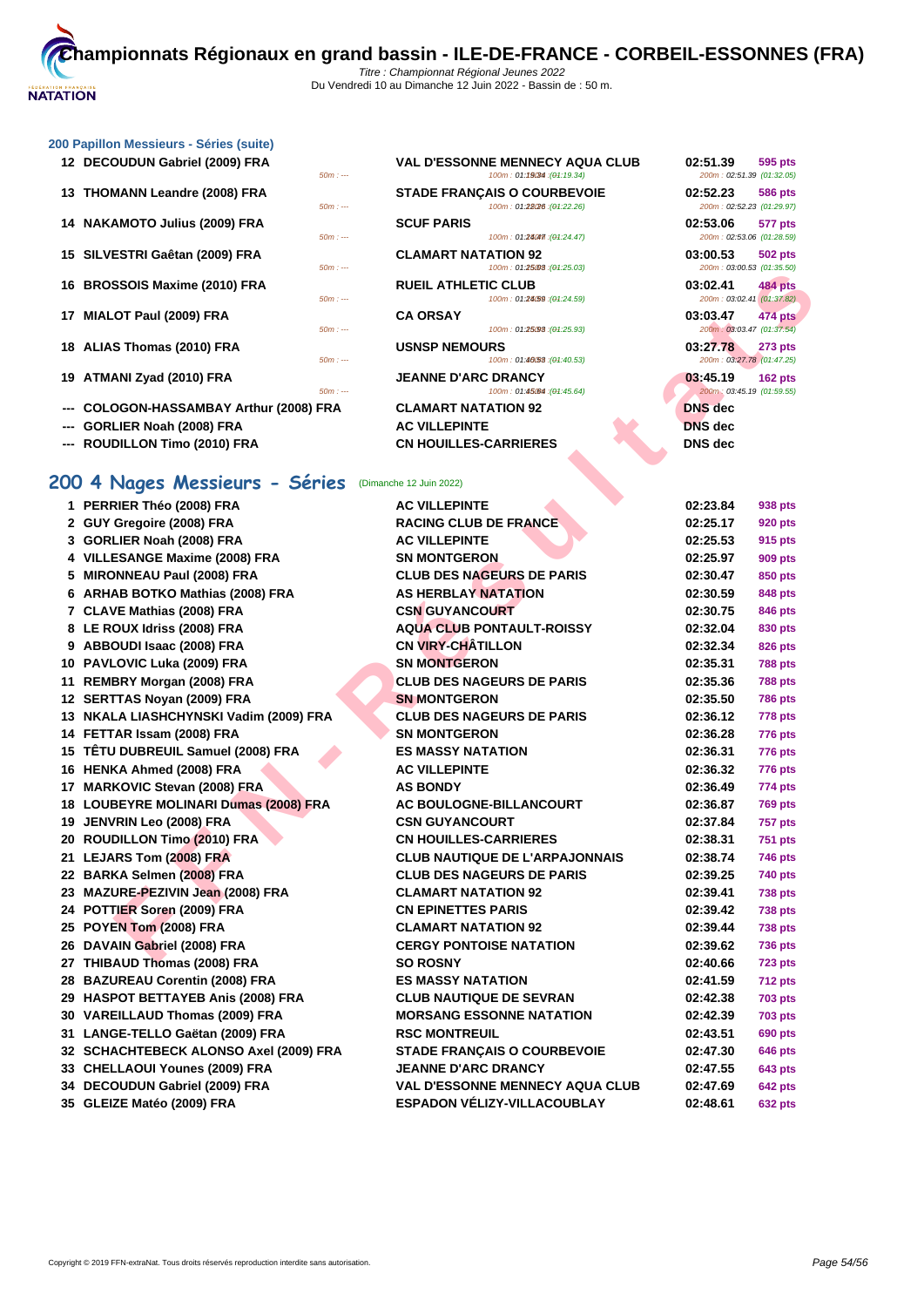50m : --- 100m : 01:25.03 10m : --- (01:25.03) 200m : 03:00.53 (01:35.50)

100m : 01:19034 : (01:19.34)

100m : 01:22.26 : (01:22.26)

 $100m : 01:24.047$  :  $(04:24.47)$ 

### **[200 Papil](http://www.ffnatation.fr/webffn/index.php)lon Messieurs - Séries (suite)**

- **DECOUDUN Gabriel (2009) FRA VAL D'ESSONNE MENNECY AQUA CLUB 100m**: 01:19034 (01:19.34)
- **THOMANN Leandre (2008) FRA STADE FRANÇAIS O COURBEVOIE 100m** : 01:2808 (04:22.26)
- **NAKAMOTO Julius (2009) FRA SCUF PARIS SOmeomy**
- **SILVESTRI Gaêtan (2009) FRA CLAMART NATATION 92 03:00.53 502 pts**
- **BROSSOIS Maxime (2010) FRA RUEIL ATHLETIC CLUB 100m 01240 1240**
- **MIALOT Paul (2009) FRA CA ORSAY 03:03.47 474 pts**
- **ALIAS Thomas (2010) FRA USNSP NEMOURS 100m**
- **ATMANI Zyad (2010) FRA JEANNE D'ARC DRANCY 1000**: 01:45.64
- -- **COLOGON-HASSAMBAY Arthur (2008) FRA CLAMART NATATION 92**
- --- **GORLIER Noah (2008) FRA AC VILLEPINTE**
- **--- ROUDILLON Timo (2010) FRA CN HOUILLES-CARRIERES DNS dec**

# **200 4 Nages Messieurs - Séries** (Dimanche 12 Juin 2022)

| $111.7$                                                | $10011.$ ULAUND. $101.20.00$                              | <b><i>LUUIII. UJ.UU.JJ (UT.JJ.JU)</i></b>   |                |
|--------------------------------------------------------|-----------------------------------------------------------|---------------------------------------------|----------------|
| 16 BROSSOIS Maxime (2010) FRA                          | <b>RUEIL ATHLETIC CLUB</b>                                | 03:02.41                                    | 484 pts        |
| $50m: -$<br>17 MIALOT Paul (2009) FRA                  | 100m: 01:24/59 : (01:24.59)<br><b>CA ORSAY</b>            | 200m: 03:02.41 (01:37.82)<br>03:03.47       | 474 pts        |
| $50m: -$                                               | 100m: 01:25.93 : (01:25.93)                               | 200m: 03:03.47 (01:37.54)                   |                |
| 18 ALIAS Thomas (2010) FRA<br>$50m: -$                 | <b>USNSP NEMOURS</b><br>100m: 01:40.53 : (01:40.53)       | 03:27.78<br>200m: 03:27.78 (01:47.25)       | 273 pts        |
| 19 ATMANI Zyad (2010) FRA                              | <b>JEANNE D'ARC DRANCY</b>                                | 03:45.19                                    | $162$ pts      |
| $50m: -$<br>--- COLOGON-HASSAMBAY Arthur (2008) FRA    | 100m: 01:45064 : (01:45.64)<br><b>CLAMART NATATION 92</b> | 200m: 03:45.19 (01:59.55)<br><b>DNS</b> dec |                |
| GORLIER Noah (2008) FRA                                | <b>AC VILLEPINTE</b>                                      | <b>DNS</b> dec                              |                |
| ROUDILLON Timo (2010) FRA                              | <b>CN HOUILLES-CARRIERES</b>                              | DNS dec                                     |                |
|                                                        |                                                           |                                             |                |
| 200 4 Nages Messieurs - Séries (Dimanche 12 Juin 2022) |                                                           |                                             |                |
| 1 PERRIER Théo (2008) FRA                              | <b>AC VILLEPINTE</b>                                      | 02:23.84                                    | 938 pts        |
| 2 GUY Gregoire (2008) FRA                              | <b>RACING CLUB DE FRANCE</b>                              | 02:25.17                                    | 920 pts        |
| 3 GORLIER Noah (2008) FRA                              | <b>AC VILLEPINTE</b>                                      | 02:25.53                                    | 915 pts        |
| 4 VILLESANGE Maxime (2008) FRA                         | <b>SN MONTGERON</b>                                       | 02:25.97                                    | 909 pts        |
| 5 MIRONNEAU Paul (2008) FRA                            | <b>CLUB DES NAGEURS DE PARIS</b>                          | 02:30.47                                    | 850 pts        |
| 6 ARHAB BOTKO Mathias (2008) FRA                       | <b>AS HERBLAY NATATION</b>                                | 02:30.59                                    | 848 pts        |
| 7 CLAVE Mathias (2008) FRA                             | <b>CSN GUYANCOURT</b>                                     | 02:30.75                                    | 846 pts        |
| 8 LE ROUX Idriss (2008) FRA                            | <b>AQUA CLUB PONTAULT-ROISSY</b>                          | 02:32.04                                    | 830 pts        |
| 9 ABBOUDI Isaac (2008) FRA                             | <b>CN VIRY-CHÂTILLON</b>                                  | 02:32.34                                    | 826 pts        |
| 10 PAVLOVIC Luka (2009) FRA                            | <b>SN MONTGERON</b>                                       | 02:35.31                                    | 788 pts        |
| 11 REMBRY Morgan (2008) FRA                            | <b>CLUB DES NAGEURS DE PARIS</b>                          | 02:35.36                                    | <b>788 pts</b> |
| 12 SERTTAS Noyan (2009) FRA                            | <b>SN MONTGERON</b>                                       | 02:35.50                                    | 786 pts        |
| 13 NKALA LIASHCHYNSKI Vadim (2009) FRA                 | <b>CLUB DES NAGEURS DE PARIS</b>                          | 02:36.12                                    | <b>778 pts</b> |
| 14 FETTAR Issam (2008) FRA                             | <b>SN MONTGERON</b>                                       | 02:36.28                                    | 776 pts        |
| 15 TETU DUBREUIL Samuel (2008) FRA                     | <b>ES MASSY NATATION</b>                                  | 02:36.31                                    | 776 pts        |
| 16 HENKA Ahmed (2008) FRA                              | <b>AC VILLEPINTE</b>                                      | 02:36.32                                    | 776 pts        |
| 17 MARKOVIC Stevan (2008) FRA                          | <b>AS BONDY</b>                                           | 02:36.49                                    | 774 pts        |
| 18 LOUBEYRE MOLINARI Dumas (2008) FRA                  | AC BOULOGNE-BILLANCOURT                                   | 02:36.87                                    | <b>769 pts</b> |
| 19 JENVRIN Leo (2008) FRA                              | <b>CSN GUYANCOURT</b>                                     | 02:37.84                                    | 757 pts        |
| 20 ROUDILLON Timo (2010) FRA                           | <b>CN HOUILLES-CARRIERES</b>                              | 02:38.31                                    | 751 pts        |
| 21 LEJARS Tom (2008) FRA                               | <b>CLUB NAUTIQUE DE L'ARPAJONNAIS</b>                     | 02:38.74                                    | 746 pts        |
| 22 BARKA Selmen (2008) FRA                             | <b>CLUB DES NAGEURS DE PARIS</b>                          | 02:39.25                                    | 740 pts        |
| 23 MAZURE-PEZIVIN Jean (2008) FRA                      | <b>CLAMART NATATION 92</b>                                | 02:39.41                                    | 738 pts        |
| 24 POTTIER Soren (2009) FRA                            | <b>CN EPINETTES PARIS</b>                                 | 02:39.42                                    | 738 pts        |
| 25 POYEN Tom (2008) FRA                                | <b>CLAMART NATATION 92</b>                                | 02:39.44                                    | <b>738 pts</b> |
| 26 DAVAIN Gabriel (2008) FRA                           | <b>CERGY PONTOISE NATATION</b>                            | 02:39.62                                    | <b>736 pts</b> |
| 27 THIBAUD Thomas (2008) FRA                           | <b>SO ROSNY</b>                                           | 02:40.66                                    | 723 pts        |
| 28 BAZUREAU Corentin (2008) FRA                        | <b>ES MASSY NATATION</b>                                  | 02:41.59                                    | <b>712 pts</b> |
| 29 HASPOT BETTAYEB Anis (2008) FRA                     | <b>CLUB NAUTIQUE DE SEVRAN</b>                            | 02:42.38                                    | 703 pts        |
| 30 VAREILLAUD Thomas (2009) FRA                        | <b>MORSANG ESSONNE NATATION</b>                           | 02:42.39                                    | 703 pts        |
| 31 LANGE-TELLO Gaëtan (2009) FRA                       | <b>RSC MONTREUIL</b>                                      | 02:43.51                                    | 690 pts        |
| 32 SCHACHTEBECK ALONSO Axel (2009) FRA                 | <b>STADE FRANÇAIS O COURBEVOIE</b>                        | 02:47.30                                    | 646 pts        |
| 33 CHELLAOUI Younes (2009) FRA                         | <b>JEANNE D'ARC DRANCY</b>                                | 02:47.55                                    | 643 pts        |
| 34 DECOUDUN Gabriel (2009) FRA                         | VAL D'ESSONNE MENNECY AQUA CLUB                           | 02:47.69                                    | <b>642 pts</b> |
| 35 GLEIZE Matéo (2009) FRA                             | ESPADON VÉLIZY-VILLACOUBLAY                               | 02:48.61                                    | 632 pts        |

| 02:51.39 595 pts          |           |
|---------------------------|-----------|
| 200m: 02:51.39 (01:32.05) |           |
| 02:52.23 586 pts          |           |
| 200m: 02:52.23 (01:29.97) |           |
| 02:53.06 577 pts          |           |
| 200m: 02:53.06 (01:28.59) |           |
| 03:00.53 502 pts          |           |
| 200m: 03:00.53 (01:35.50) |           |
| 03:02.41 484 pts          |           |
| 200m: 03:02.41 (01:37.82) |           |
| 03:03.47 474 pts          |           |
| 200m: 03:03.47 (01:37.54) |           |
| 03:27.78 273 pts          |           |
| 200m: 03:27.78 (01:47.25) |           |
| 03:45.19                  | $162$ pts |
| 200m: 03:45.19 (01:59.55) |           |
| <b>DNS</b> dec            |           |
| <b>DNS</b> dec            |           |
| hNS לומח                  |           |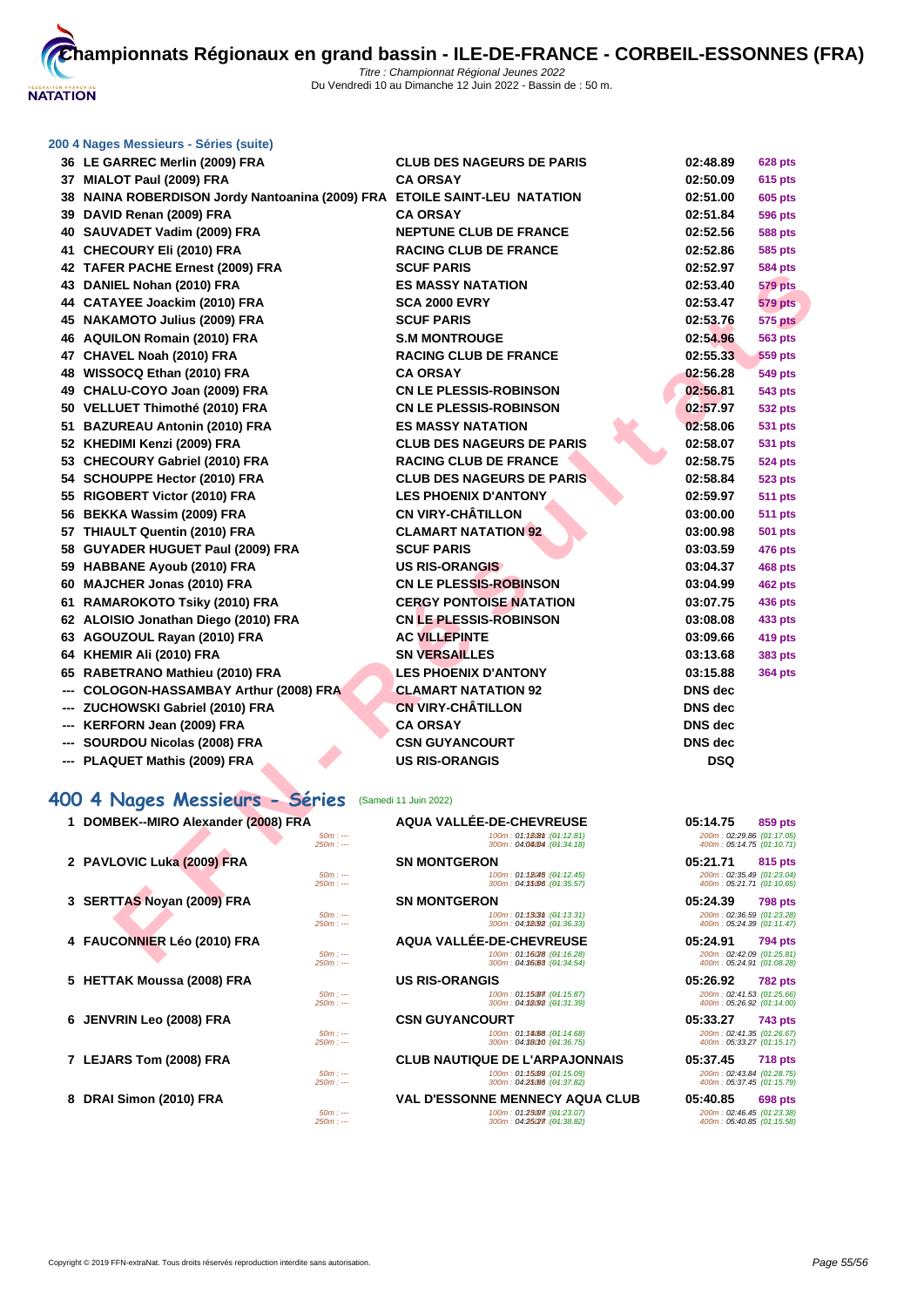

| 200 4 Nages Messieurs - Séries (suite)                                                                                                                 |                                  |                             |                |
|--------------------------------------------------------------------------------------------------------------------------------------------------------|----------------------------------|-----------------------------|----------------|
| 36 LE GARREC Merlin (2009) FRA                                                                                                                         | <b>CLUB DES NAGEURS DE PARIS</b> | 02:48.89                    | 628 pts        |
| 37 MIALOT Paul (2009) FRA                                                                                                                              | <b>CA ORSAY</b>                  | 02:50.09                    | <b>615 pts</b> |
| 38 NAINA ROBERDISON Jordy Nantoanina (2009) FRA ETOILE SAINT-LEU NATATION                                                                              |                                  | 02:51.00                    | <b>605 pts</b> |
| 39 DAVID Renan (2009) FRA                                                                                                                              | <b>CA ORSAY</b>                  | 02:51.84                    | <b>596 pts</b> |
| 40 SAUVADET Vadim (2009) FRA                                                                                                                           | <b>NEPTUNE CLUB DE FRANCE</b>    | 02:52.56                    | <b>588 pts</b> |
| 41 CHECOURY Eli (2010) FRA                                                                                                                             | <b>RACING CLUB DE FRANCE</b>     | 02:52.86                    | 585 pts        |
| 42 TAFER PACHE Ernest (2009) FRA                                                                                                                       | <b>SCUF PARIS</b>                | 02:52.97                    | <b>584 pts</b> |
| 43 DANIEL Nohan (2010) FRA                                                                                                                             | <b>ES MASSY NATATION</b>         | 02:53.40                    | <b>579 pts</b> |
| $\overline{a}$ . $\overline{a}$ . $\overline{a}$ . $\overline{a}$ . $\overline{a}$ . $\overline{a}$ . $\overline{a}$ . $\overline{a}$ . $\overline{a}$ |                                  | $\sim$ $\sim$ $\sim$ $\sim$ | ____           |

|    | <b>INILIA LAULIL LINGSI (2003) LIVA</b>              |                                                            |                                                        | งงฯ µเจ        |
|----|------------------------------------------------------|------------------------------------------------------------|--------------------------------------------------------|----------------|
|    | 43 DANIEL Nohan (2010) FRA                           | <b>ES MASSY NATATION</b>                                   | 02:53.40                                               | <b>579 pts</b> |
|    | 44 CATAYEE Joackim (2010) FRA                        | <b>SCA 2000 EVRY</b>                                       | 02:53.47                                               | <b>579 pts</b> |
|    | 45 NAKAMOTO Julius (2009) FRA                        | <b>SCUF PARIS</b>                                          | 02:53.76                                               | <b>575 pts</b> |
|    | 46 AQUILON Romain (2010) FRA                         | <b>S.M MONTROUGE</b>                                       | 02:54.96                                               | <b>563 pts</b> |
|    | 47 CHAVEL Noah (2010) FRA                            | <b>RACING CLUB DE FRANCE</b>                               | 02:55.33                                               | <b>559 pts</b> |
| 48 | WISSOCQ Ethan (2010) FRA                             | <b>CA ORSAY</b>                                            | 02:56.28                                               | 549 pts        |
| 49 | CHALU-COYO Joan (2009) FRA                           | <b>CN LE PLESSIS-ROBINSON</b>                              | 02:56.81                                               | 543 pts        |
|    | 50 VELLUET Thimothé (2010) FRA                       | <b>CN LE PLESSIS-ROBINSON</b>                              | 02:57.97                                               | 532 pts        |
| 51 | <b>BAZUREAU Antonin (2010) FRA</b>                   | <b>ES MASSY NATATION</b>                                   | 02:58.06                                               | <b>531 pts</b> |
|    | 52 KHEDIMI Kenzi (2009) FRA                          | <b>CLUB DES NAGEURS DE PARIS</b>                           | 02:58.07                                               | 531 pts        |
|    | 53 CHECOURY Gabriel (2010) FRA                       | <b>RACING CLUB DE FRANCE</b>                               | 02:58.75                                               | 524 pts        |
| 54 | <b>SCHOUPPE Hector (2010) FRA</b>                    | <b>CLUB DES NAGEURS DE PARIS</b>                           | 02:58.84                                               | <b>523 pts</b> |
| 55 | <b>RIGOBERT Victor (2010) FRA</b>                    | <b>LES PHOENIX D'ANTONY</b>                                | 02:59.97                                               | <b>511 pts</b> |
|    | 56 BEKKA Wassim (2009) FRA                           | <b>CN VIRY-CHÂTILLON</b>                                   | 03:00.00                                               | <b>511 pts</b> |
|    | 57 THIAULT Quentin (2010) FRA                        | <b>CLAMART NATATION 92</b>                                 | 03:00.98                                               | <b>501 pts</b> |
| 58 | <b>GUYADER HUGUET Paul (2009) FRA</b>                | <b>SCUF PARIS</b>                                          | 03:03.59                                               | 476 pts        |
| 59 | <b>HABBANE Ayoub (2010) FRA</b>                      | <b>US RIS-ORANGIS</b>                                      | 03:04.37                                               | 468 pts        |
| 60 | <b>MAJCHER Jonas (2010) FRA</b>                      | <b>CN LE PLESSIS-ROBINSON</b>                              | 03:04.99                                               | <b>462 pts</b> |
| 61 | <b>RAMAROKOTO Tsiky (2010) FRA</b>                   | <b>CERGY PONTOISE NATATION</b>                             | 03:07.75                                               | 436 pts        |
|    | 62 ALOISIO Jonathan Diego (2010) FRA                 | <b>CN LE PLESSIS-ROBINSON</b>                              | 03:08.08                                               | 433 pts        |
|    | 63 AGOUZOUL Rayan (2010) FRA                         | <b>AC VILLEPINTE</b>                                       | 03:09.66                                               | 419 pts        |
| 64 | KHEMIR Ali (2010) FRA                                | <b>SN VERSAILLES</b>                                       | 03:13.68                                               | 383 pts        |
| 65 | RABETRANO Mathieu (2010) FRA                         | <b>LES PHOENIX D'ANTONY</b>                                | 03:15.88                                               | <b>364 pts</b> |
|    | COLOGON-HASSAMBAY Arthur (2008) FRA                  | <b>CLAMART NATATION 92</b>                                 | <b>DNS</b> dec                                         |                |
|    | ZUCHOWSKI Gabriel (2010) FRA                         | <b>CN VIRY-CHÂTILLON</b>                                   | <b>DNS</b> dec                                         |                |
|    | KERFORN Jean (2009) FRA                              | <b>CA ORSAY</b>                                            | <b>DNS</b> dec                                         |                |
|    | SOURDOU Nicolas (2008) FRA                           | <b>CSN GUYANCOURT</b>                                      | <b>DNS</b> dec                                         |                |
|    | <b>PLAQUET Mathis (2009) FRA</b>                     | <b>US RIS-ORANGIS</b>                                      | <b>DSQ</b>                                             |                |
|    | 400 4 Nages Messieurs - Séries (Samedi 11 Juin 2022) |                                                            |                                                        |                |
|    | 1 DOMBEK--MIRO Alexander (2008) FRA                  | AQUA VALLÉE-DE-CHEVREUSE                                   | 05:14.75                                               | 859 pts        |
|    | $50m: -$<br>$250m: -$                                | 100m: 01:128th : (04:12.81)<br>300m: 04:04:04 : (01:34.18) | 200m: 02:29.86 (01:17.05)<br>400m: 05:14.75 (01:10.71) |                |
|    | 2 PAVLOVIC Luka (2009) FRA                           | <b>SN MONTGERON</b>                                        | 05:21.71                                               | 815 pts        |
|    | $50m: --$<br>$250m: -$                               | 100m: 01:18045 : (01:12.45)<br>300m: 04:35006 : (01:35.57) | 200m: 02:35.49 (01:23.04)<br>400m: 05:21.71 (01:10.65) |                |
|    | 3 SERTTAS Noyan (2009) FRA                           | <b>SN MONTGERON</b>                                        | 05:24.39                                               | <b>798 pts</b> |
|    | $50m: -$<br>$250m: -$                                | 100m: 01:1303th: (01:13.31)<br>300m: 04:38092 : (04:36.33) | 200m: 02:36.59 (01:23.28)<br>400m: 05:24.39 (01:11.47) |                |
|    | 4 FAUCONNIER Léo (2010) FRA                          | <b>AQUA VALLÉE-DE-CHEVREUSE</b>                            | 05:24.91                                               | 794 pts        |
|    | $50m: -$                                             | 100m: 01:16/28 : (01:16.28)<br>$0.4.80$ mo                 | 200m: 02:42.09 (01:25.81)                              |                |

# **400 4 Nages Messieurs - Séries (San**

| 1 DOMBEK--MIRO Alexander (2008) FRA | AQUA VALLÉE-DE-CHEVREUSE                                     | 05:14.75                                                                    | 859 pts        |
|-------------------------------------|--------------------------------------------------------------|-----------------------------------------------------------------------------|----------------|
| $50m: -$<br>$250m: -$               | 100m: 01:1808m: (04:12.81)<br>300m: 04:04:04:04 : (04:34.18) | 200m: 02:29.86 (01:17.05)<br>400m: 05:14.75 (01:10.71)                      |                |
| 2 PAVLOVIC Luka (2009) FRA          | <b>SN MONTGERON</b>                                          | 05:21.71                                                                    | 815 pts        |
| $50m: -$<br>$250m: -$               | 100m: 01:18045 : (04:12.45)<br>300m: 04:35:06 : (04:35.57)   | 200m: 02:35.49 (01:23.04)<br>400m: 05:21.71 (01:10.65)                      |                |
| 3 SERTTAS Noyan (2009) FRA          | <b>SN MONTGERON</b>                                          | 05:24.39                                                                    | <b>798 pts</b> |
| $50m: -$<br>$250m: -$               | 100m: 01:1503m: (04:13.31)<br>300m: 04:38092 : (04:36.33)    | 200m: 02:36.59 (01:23.28)<br>400m: 05:24.39 (01:11.47)                      |                |
| 4 FAUCONNIER Léo (2010) FRA         | AQUA VALLÉE-DE-CHEVREUSE                                     | 05:24.91                                                                    | 794 pts        |
| $50m: -$<br>$250m: -$               | 100m: 01:16/28 : (01:16.28)<br>300m : 04:36000 : (04:34.54)  | 200m: 02:42.09 (01:25.81)<br>400m: 05:24.91 (01:08.28)                      |                |
| 5 HETTAK Moussa (2008) FRA          | <b>US RIS-ORANGIS</b>                                        | 05:26.92                                                                    | <b>782 pts</b> |
| $50m: -$<br>$250m: -$               | 100m: 01:15087 : (04:15.87)<br>300m: 04:32092 : (04:31.39)   | 200m: 02:41.53 (01:25.66)<br>400m: 05:26.92 (01:14.00)                      |                |
| 6 JENVRIN Leo (2008) FRA            | <b>CSN GUYANCOURT</b>                                        | 05:33.27                                                                    | <b>743 pts</b> |
| $50m: -$<br>$250m: -$               | 100m: 01:14668:(04:14.68)<br>300m: 04:38010 : (04:36.75)     | 200m: 02:41.35 (01:26.67)<br>400m: 05:33.27 (01:15.17)                      |                |
| 7 LEJARS Tom (2008) FRA             | <b>CLUB NAUTIQUE DE L'ARPAJONNAIS</b>                        | 05:37.45                                                                    | <b>718 pts</b> |
| $50m: -$<br>$250m: -$               | 100m: 01:15009 : (04:15.09)<br>300m: 04:25:66 : (04:37.82)   | 200m: 02:43.84 (01:28.75)<br>400m: 05:37.45 (01:15.79)                      |                |
| 8 DRAI Simon (2010) FRA             | <b>VAL D'ESSONNE MENNECY AQUA CLUB</b>                       | 05:40.85                                                                    | 698 pts        |
| $50m: -$<br>$0.50 - 1$              | 100m: 01:25007 : (04:23.07)                                  | 200m: 02:46.45 (01:23.38)<br>$AOO_{\text{max}}$ , $OC, AO, OC, LOA, AC, CO$ |                |

| rıes                  | (Samedi 11 Juin 2022)                                                                                |                                                                                      |
|-----------------------|------------------------------------------------------------------------------------------------------|--------------------------------------------------------------------------------------|
| $50m: -$<br>$250m: -$ | <b>AQUA VALLÉE-DE-CHEVREUSE</b><br>100m: 01:12.8th : (01:12.81)<br>300m: 04:04:04:04:34.18)          | 05:14.75<br>859 pts<br>200m: 02:29.86 (01:17.05)<br>400m: 05:14.75 (01:10.71)        |
| $50m: -$<br>$250m: -$ | <b>SN MONTGERON</b><br>100m: 01:18045 : (04:12.45)<br>300m: 04:35006 : (04:35.57)                    | 05:21.71<br>815 pts<br>200m: 02:35.49 (01:23.04)<br>400m: 05:21.71 (01:10.65)        |
| $50m: -$<br>$250m: -$ | <b>SN MONTGERON</b><br>100m: 01:1503m: (04:13.31)<br>300m: 04:38092 : (04:36.33)                     | 05:24.39<br><b>798 pts</b><br>200m: 02:36.59 (01:23.28)<br>400m: 05:24.39 (01:11.47) |
| $50m: -$<br>$250m: -$ | AQUA VALLÉE-DE-CHEVREUSE<br>100m: 01:16028 : (01:16.28)<br>300m: 04:36:68 : (01:34.54)               | 05:24.91<br><b>794 pts</b><br>200m: 02:42.09 (01:25.81)<br>400m: 05:24.91 (01:08.28) |
| $50m: -$<br>$250m: -$ | <b>US RIS-ORANGIS</b><br>100m: 01:15087 : (04:15.87)<br>300m: 04:38092 : (04:31.39)                  | 05:26.92<br><b>782 pts</b><br>200m: 02:41.53 (01:25.66)<br>400m: 05:26.92 (01:14.00) |
| $50m: -$<br>$250m: -$ | <b>CSN GUYANCOURT</b><br>100m: 01:14088: (04:14.68)<br>300m: 04:38010 : (04:36.75)                   | 05:33.27<br>743 pts<br>200m: 02:41.35 (01:26.67)<br>400m: 05:33.27 (01:15.17)        |
| $50m: -$<br>$250m: -$ | <b>CLUB NAUTIQUE DE L'ARPAJONNAIS</b><br>100m: 01:15009 : (04:15.09)<br>300m: 04:25/66 : (04:37.82)  | 05:37.45<br><b>718 pts</b><br>200m: 02:43.84 (01:28.75)<br>400m: 05:37.45 (01:15.79) |
| $50m: -$<br>$250m: -$ | <b>VAL D'ESSONNE MENNECY AQUA CLUB</b><br>100m: 01:23007 : (01:23.07)<br>300m: 04:25/27 : (04:38.82) | 05:40.85<br><b>698 pts</b><br>200m: 02:46.45 (01:23.38)<br>400m: 05:40.85 (01:15.58) |

| 02:48.89       | 628 pts        |
|----------------|----------------|
| 02:50.09       | <b>615 pts</b> |
| 02:51.00       | <b>605 pts</b> |
| 02:51.84       | 596 pts        |
| 02:52.56       | <b>588 pts</b> |
| 02:52.86       | 585 pts        |
| 02:52.97       | 584 pts        |
| 02:53.40       | 579 pts        |
| 02:53.47       | <b>579 pts</b> |
| 02:53.76       | 575 pts        |
| 02:54.96       | 563 pts        |
| 02:55.33       | 559 pts        |
| 02:56.28       | 549 pts        |
| 02:56.81       | 543 pts        |
| 02:57.97       | 532 pts        |
| 02:58.06       | <b>531 pts</b> |
| 02:58.07       | <b>531 pts</b> |
| 02:58.75       | 524 pts        |
| 02:58.84       | 523 pts        |
| 02:59.97       | 511 pts        |
| 03:00.00       | 511 pts        |
| 03:00.98       | 501 pts        |
| 03:03.59       | 476 pts        |
| 03:04.37       | 468 pts        |
| 03:04.99       | 462 pts        |
| 03:07.75       | 436 pts        |
| 03:08.08       | 433 pts        |
| 03:09.66       | <b>419 pts</b> |
| 03:13.68       | <b>383 pts</b> |
| 03:15.88       | <b>364 pts</b> |
| DNS dec        |                |
| DNS dec        |                |
| <b>DNS</b> dec |                |
| DNS dec        |                |
| DSQ            |                |
|                |                |
| 05:14.75       | 859 pts        |
|                |                |

| U5:14.75                                               | ່ 859 pts |
|--------------------------------------------------------|-----------|
|                                                        |           |
| 200m: 02:29.86 (01:17.05)<br>400m: 05:14.75 (01:10.71) |           |
|                                                        |           |
| 05:21.71 815 pts                                       |           |
| 200m: 02:35.49 (01:23.04)                              |           |
| 400m: 05:21.71 (01:10.65)                              |           |
|                                                        |           |
| 05:24.39 798 pts                                       |           |
| 200m: 02:36.59 (01:23.28)                              |           |
| 400m: 05:24.39 (01:11.47)                              |           |
|                                                        |           |
| 05:24.91 794 pts                                       |           |
| 200m: 02:42.09 (01:25.81)                              |           |
| 400m: 05:24.91 (01:08.28)                              |           |
|                                                        |           |
|                                                        |           |
|                                                        |           |
| 05:26.92 782 pts                                       |           |
|                                                        |           |
| 200m: 02:41.53 (01:25.66)<br>400m: 05:26.92 (01:14.00) |           |
|                                                        |           |
| 05:33.27 743 pts                                       |           |
| 200m: 02:41.35 (01:26.67)<br>400m: 05:33.27 (01:15.17) |           |
|                                                        |           |
| 05:37.45 718 pts                                       |           |
|                                                        |           |
| 200m: 02:43.84 (01:28.75)                              |           |
| 400m: 05:37.45 (01:15.79)                              |           |
| 05:40.85 698 pts                                       |           |
| 200m: 02:46.45 (01:23.38)                              |           |